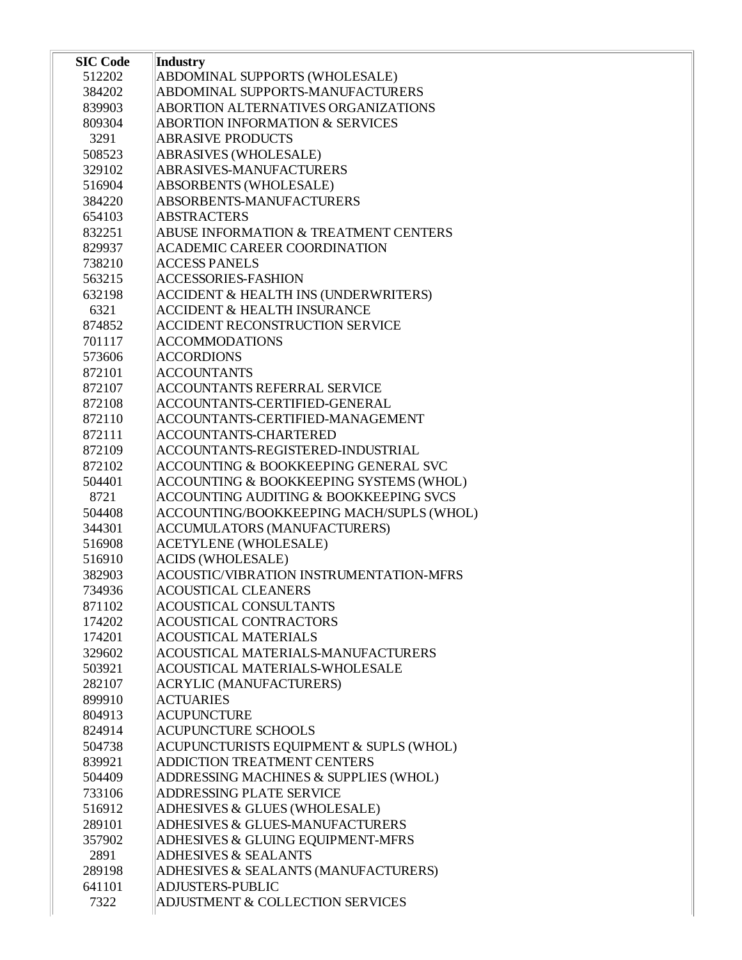| <b>SIC Code</b> | Industry                                         |
|-----------------|--------------------------------------------------|
| 512202          | ABDOMINAL SUPPORTS (WHOLESALE)                   |
| 384202          | ABDOMINAL SUPPORTS-MANUFACTURERS                 |
| 839903          | ABORTION ALTERNATIVES ORGANIZATIONS              |
| 809304          | <b>ABORTION INFORMATION &amp; SERVICES</b>       |
| 3291            | <b>ABRASIVE PRODUCTS</b>                         |
| 508523          | ABRASIVES (WHOLESALE)                            |
| 329102          | ABRASIVES-MANUFACTURERS                          |
| 516904          | ABSORBENTS (WHOLESALE)                           |
| 384220          | ABSORBENTS-MANUFACTURERS                         |
| 654103          | <b>ABSTRACTERS</b>                               |
| 832251          | <b>ABUSE INFORMATION &amp; TREATMENT CENTERS</b> |
| 829937          | <b>ACADEMIC CAREER COORDINATION</b>              |
| 738210          | <b>ACCESS PANELS</b>                             |
| 563215          | <b>ACCESSORIES-FASHION</b>                       |
| 632198          | <b>ACCIDENT &amp; HEALTH INS (UNDERWRITERS)</b>  |
| 6321            | <b>ACCIDENT &amp; HEALTH INSURANCE</b>           |
| 874852          | <b>ACCIDENT RECONSTRUCTION SERVICE</b>           |
| 701117          | <b>ACCOMMODATIONS</b>                            |
| 573606          | <b>ACCORDIONS</b>                                |
| 872101          | <b>ACCOUNTANTS</b>                               |
| 872107          | <b>ACCOUNTANTS REFERRAL SERVICE</b>              |
| 872108          | ACCOUNTANTS-CERTIFIED-GENERAL                    |
| 872110          | ACCOUNTANTS-CERTIFIED-MANAGEMENT                 |
| 872111          | ACCOUNTANTS-CHARTERED                            |
| 872109          | ACCOUNTANTS-REGISTERED-INDUSTRIAL                |
| 872102          | <b>ACCOUNTING &amp; BOOKKEEPING GENERAL SVC</b>  |
| 504401          | ACCOUNTING & BOOKKEEPING SYSTEMS (WHOL)          |
| 8721            | ACCOUNTING AUDITING & BOOKKEEPING SVCS           |
| 504408          | ACCOUNTING/BOOKKEEPING MACH/SUPLS (WHOL)         |
| 344301          | <b>ACCUMULATORS (MANUFACTURERS)</b>              |
| 516908          | <b>ACETYLENE (WHOLESALE)</b>                     |
| 516910          | <b>ACIDS (WHOLESALE)</b>                         |
| 382903          | ACOUSTIC/VIBRATION INSTRUMENTATION-MFRS          |
| 734936          | <b>ACOUSTICAL CLEANERS</b>                       |
| 871102          | <b>ACOUSTICAL CONSULTANTS</b>                    |
| 174202          | <b>ACOUSTICAL CONTRACTORS</b>                    |
| 174201          | <b>ACOUSTICAL MATERIALS</b>                      |
| 329602          | ACOUSTICAL MATERIALS-MANUFACTURERS               |
| 503921          | <b>ACOUSTICAL MATERIALS-WHOLESALE</b>            |
| 282107          | <b>ACRYLIC (MANUFACTURERS)</b>                   |
| 899910          | <b>ACTUARIES</b>                                 |
| 804913          | <b>ACUPUNCTURE</b>                               |
| 824914          | <b>ACUPUNCTURE SCHOOLS</b>                       |
| 504738          | ACUPUNCTURISTS EQUIPMENT & SUPLS (WHOL)          |
| 839921          | ADDICTION TREATMENT CENTERS                      |
| 504409          | ADDRESSING MACHINES & SUPPLIES (WHOL)            |
| 733106          | ADDRESSING PLATE SERVICE                         |
| 516912          | ADHESIVES & GLUES (WHOLESALE)                    |
| 289101          | ADHESIVES & GLUES-MANUFACTURERS                  |
| 357902          | ADHESIVES & GLUING EQUIPMENT-MFRS                |
| 2891            | <b>ADHESIVES &amp; SEALANTS</b>                  |
| 289198          | ADHESIVES & SEALANTS (MANUFACTURERS)             |
| 641101          | <b>ADJUSTERS-PUBLIC</b>                          |
| 7322            | ADJUSTMENT & COLLECTION SERVICES                 |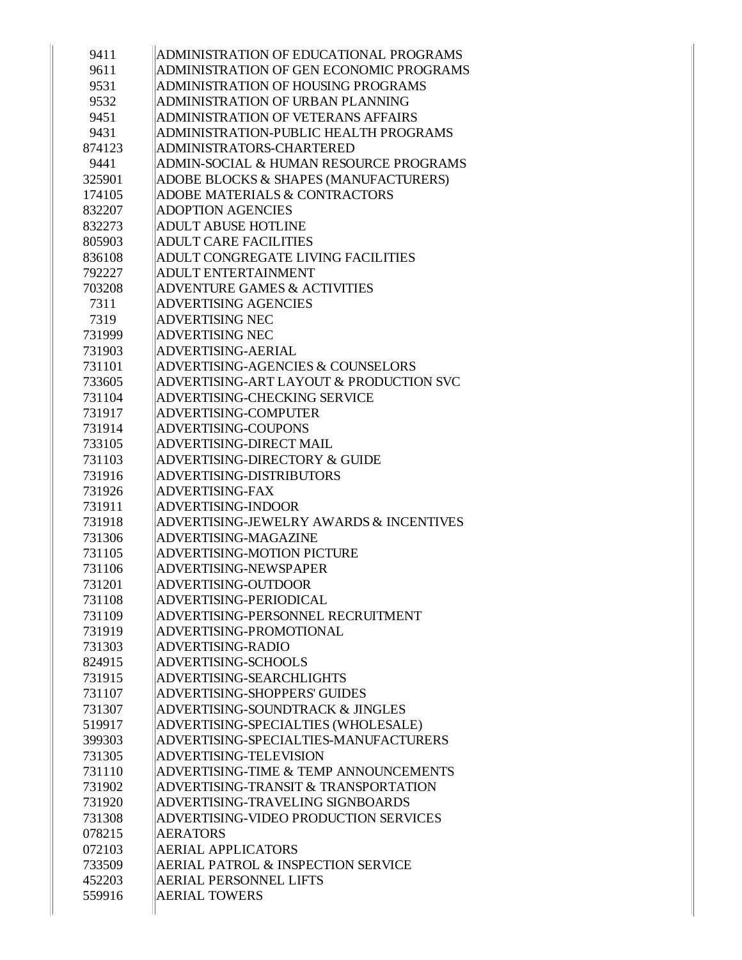| 9411   | ADMINISTRATION OF EDUCATIONAL PROGRAMS             |
|--------|----------------------------------------------------|
| 9611   | ADMINISTRATION OF GEN ECONOMIC PROGRAMS            |
| 9531   | <b>ADMINISTRATION OF HOUSING PROGRAMS</b>          |
| 9532   | ADMINISTRATION OF URBAN PLANNING                   |
| 9451   | <b>ADMINISTRATION OF VETERANS AFFAIRS</b>          |
| 9431   | ADMINISTRATION-PUBLIC HEALTH PROGRAMS              |
| 874123 | ADMINISTRATORS-CHARTERED                           |
| 9441   | ADMIN-SOCIAL & HUMAN RESOURCE PROGRAMS             |
| 325901 | ADOBE BLOCKS & SHAPES (MANUFACTURERS)              |
| 174105 | <b>ADOBE MATERIALS &amp; CONTRACTORS</b>           |
| 832207 | <b>ADOPTION AGENCIES</b>                           |
| 832273 | <b>ADULT ABUSE HOTLINE</b>                         |
| 805903 | <b>ADULT CARE FACILITIES</b>                       |
| 836108 | ADULT CONGREGATE LIVING FACILITIES                 |
| 792227 | <b>ADULT ENTERTAINMENT</b>                         |
| 703208 | <b>ADVENTURE GAMES &amp; ACTIVITIES</b>            |
| 7311   | <b>ADVERTISING AGENCIES</b>                        |
| 7319   | <b>ADVERTISING NEC</b>                             |
| 731999 | <b>ADVERTISING NEC</b>                             |
| 731903 | ADVERTISING-AERIAL                                 |
| 731101 | <b>ADVERTISING-AGENCIES &amp; COUNSELORS</b>       |
| 733605 | ADVERTISING-ART LAYOUT & PRODUCTION SVC            |
| 731104 | ADVERTISING-CHECKING SERVICE                       |
| 731917 | ADVERTISING-COMPUTER                               |
| 731914 | ADVERTISING-COUPONS                                |
| 733105 | ADVERTISING-DIRECT MAIL                            |
| 731103 | ADVERTISING-DIRECTORY & GUIDE                      |
| 731916 | ADVERTISING-DISTRIBUTORS                           |
| 731926 | <b>ADVERTISING-FAX</b>                             |
| 731911 | <b>ADVERTISING-INDOOR</b>                          |
| 731918 | <b>ADVERTISING-JEWELRY AWARDS &amp; INCENTIVES</b> |
| 731306 | ADVERTISING-MAGAZINE                               |
| 731105 | <b>ADVERTISING-MOTION PICTURE</b>                  |
| 731106 | ADVERTISING-NEWSPAPER                              |
| 731201 | ADVERTISING-OUTDOOR                                |
| 731108 | ADVERTISING-PERIODICAL                             |
| 731109 | ADVERTISING-PERSONNEL RECRUITMENT                  |
| 731919 | ADVERTISING-PROMOTIONAL                            |
| 731303 | <b>ADVERTISING-RADIO</b>                           |
| 824915 | ADVERTISING-SCHOOLS                                |
| 731915 | ADVERTISING-SEARCHLIGHTS                           |
| 731107 | <b>ADVERTISING-SHOPPERS' GUIDES</b>                |
| 731307 | ADVERTISING-SOUNDTRACK & JINGLES                   |
| 519917 | ADVERTISING-SPECIALTIES (WHOLESALE)                |
| 399303 | ADVERTISING-SPECIALTIES-MANUFACTURERS              |
| 731305 | ADVERTISING-TELEVISION                             |
| 731110 | ADVERTISING-TIME & TEMP ANNOUNCEMENTS              |
| 731902 | ADVERTISING-TRANSIT & TRANSPORTATION               |
| 731920 | ADVERTISING-TRAVELING SIGNBOARDS                   |
| 731308 | ADVERTISING-VIDEO PRODUCTION SERVICES              |
| 078215 | <b>AERATORS</b>                                    |
| 072103 | <b>AERIAL APPLICATORS</b>                          |
| 733509 | <b>AERIAL PATROL &amp; INSPECTION SERVICE</b>      |
| 452203 | <b>AERIAL PERSONNEL LIFTS</b>                      |
| 559916 | <b>AERIAL TOWERS</b>                               |
|        |                                                    |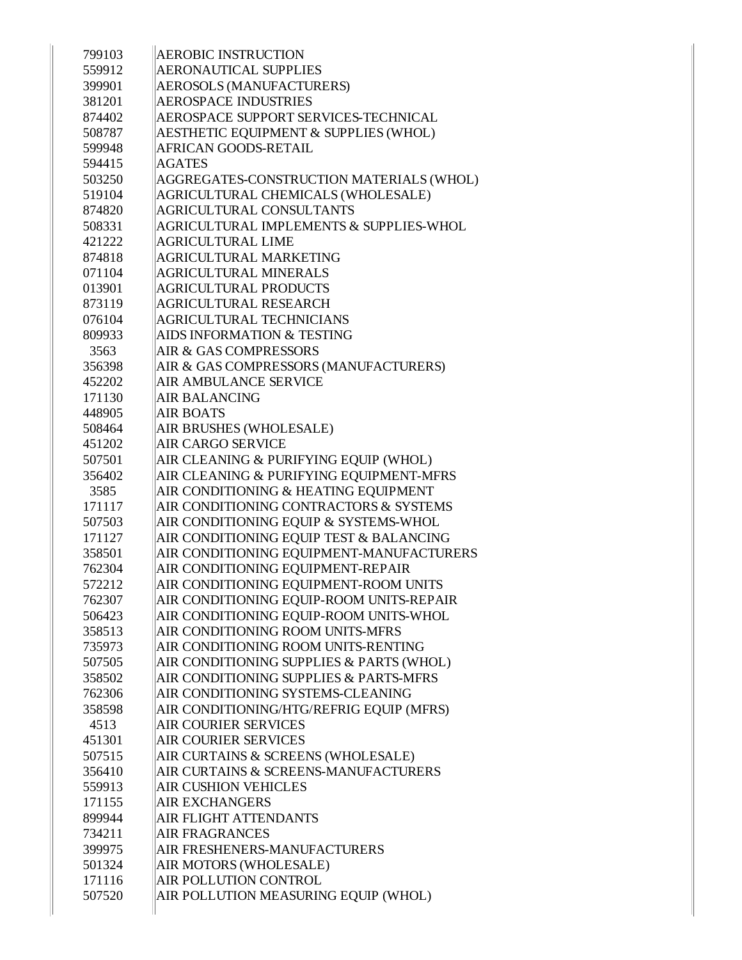| 799103           | <b>AEROBIC INSTRUCTION</b>                      |
|------------------|-------------------------------------------------|
| 559912           | <b>AERONAUTICAL SUPPLIES</b>                    |
| 399901           | <b>AEROSOLS (MANUFACTURERS)</b>                 |
| 381201           | <b>AEROSPACE INDUSTRIES</b>                     |
| 874402           | AEROSPACE SUPPORT SERVICES-TECHNICAL            |
| 508787           | AESTHETIC EQUIPMENT & SUPPLIES (WHOL)           |
| 599948           | AFRICAN GOODS-RETAIL                            |
| 594415           | <b>AGATES</b>                                   |
| 503250           | AGGREGATES-CONSTRUCTION MATERIALS (WHOL)        |
| 519104           | AGRICULTURAL CHEMICALS (WHOLESALE)              |
| 874820           | <b>AGRICULTURAL CONSULTANTS</b>                 |
| 508331           | AGRICULTURAL IMPLEMENTS & SUPPLIES-WHOL         |
| 421222           | <b>AGRICULTURAL LIME</b>                        |
| 874818           | <b>AGRICULTURAL MARKETING</b>                   |
| 071104           | <b>AGRICULTURAL MINERALS</b>                    |
| 013901           | <b>AGRICULTURAL PRODUCTS</b>                    |
| 873119           | AGRICULTURAL RESEARCH                           |
| 076104           | <b>AGRICULTURAL TECHNICIANS</b>                 |
| 809933           | AIDS INFORMATION & TESTING                      |
| 3563             | AIR & GAS COMPRESSORS                           |
| 356398           | AIR & GAS COMPRESSORS (MANUFACTURERS)           |
| 452202           | AIR AMBULANCE SERVICE                           |
| 171130           | <b>AIR BALANCING</b>                            |
| 448905           | <b>AIR BOATS</b>                                |
| 508464           | AIR BRUSHES (WHOLESALE)                         |
| 451202           | <b>AIR CARGO SERVICE</b>                        |
| 507501           | AIR CLEANING & PURIFYING EQUIP (WHOL)           |
| 356402           | AIR CLEANING & PURIFYING EQUIPMENT-MFRS         |
| 3585             | AIR CONDITIONING & HEATING EQUIPMENT            |
| 171117           | AIR CONDITIONING CONTRACTORS & SYSTEMS          |
| 507503           | AIR CONDITIONING EQUIP & SYSTEMS-WHOL           |
| 171127           | AIR CONDITIONING EQUIP TEST & BALANCING         |
| 358501           | AIR CONDITIONING EQUIPMENT-MANUFACTURERS        |
| 762304           | AIR CONDITIONING EQUIPMENT-REPAIR               |
| 572212           | AIR CONDITIONING EQUIPMENT-ROOM UNITS           |
| 762307           | AIR CONDITIONING EQUIP-ROOM UNITS-REPAIR        |
| 506423           | AIR CONDITIONING EQUIP-ROOM UNITS-WHOL          |
| 358513           | AIR CONDITIONING ROOM UNITS-MFRS                |
| 735973           | AIR CONDITIONING ROOM UNITS-RENTING             |
| 507505           | AIR CONDITIONING SUPPLIES & PARTS (WHOL)        |
| 358502           | AIR CONDITIONING SUPPLIES & PARTS-MFRS          |
| 762306           | AIR CONDITIONING SYSTEMS-CLEANING               |
| 358598           | AIR CONDITIONING/HTG/REFRIG EQUIP (MFRS)        |
| 4513             | <b>AIR COURIER SERVICES</b>                     |
| 451301           | <b>AIR COURIER SERVICES</b>                     |
| 507515           | AIR CURTAINS & SCREENS (WHOLESALE)              |
| 356410           | AIR CURTAINS & SCREENS-MANUFACTURERS            |
| 559913           | <b>AIR CUSHION VEHICLES</b>                     |
| 171155           | <b>AIR EXCHANGERS</b>                           |
| 899944           | AIR FLIGHT ATTENDANTS                           |
| 734211           | <b>AIR FRAGRANCES</b>                           |
| 399975           | AIR FRESHENERS-MANUFACTURERS                    |
| 501324<br>171116 | AIR MOTORS (WHOLESALE)<br>AIR POLLUTION CONTROL |
| 507520           | AIR POLLUTION MEASURING EQUIP (WHOL)            |
|                  |                                                 |
|                  |                                                 |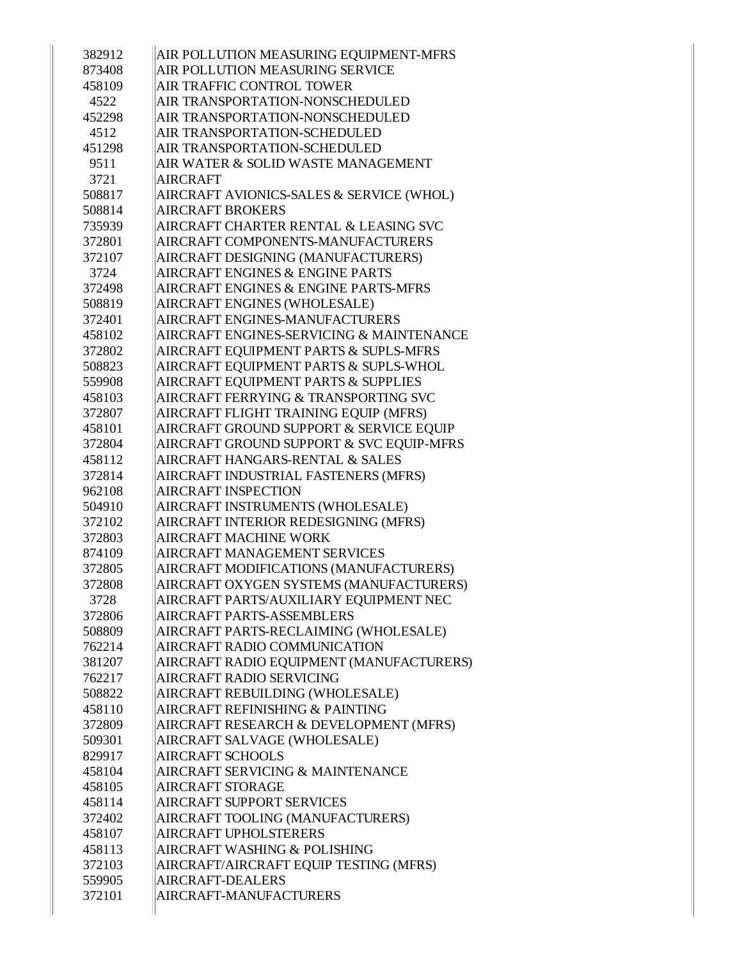| 382912 | AIR POLLUTION MEASURING EQUIPMENT-MFRS     |
|--------|--------------------------------------------|
| 873408 | AIR POLLUTION MEASURING SERVICE            |
| 458109 | AIR TRAFFIC CONTROL TOWER                  |
| 4522   | AIR TRANSPORTATION-NONSCHEDULED            |
| 452298 | AIR TRANSPORTATION-NONSCHEDULED            |
| 4512   | AIR TRANSPORTATION-SCHEDULED               |
| 451298 | AIR TRANSPORTATION-SCHEDULED               |
| 9511   | AIR WATER & SOLID WASTE MANAGEMENT         |
| 3721   | <b>AIRCRAFT</b>                            |
| 508817 | AIRCRAFT AVIONICS-SALES & SERVICE (WHOL)   |
| 508814 | <b>AIRCRAFT BROKERS</b>                    |
| 735939 | AIRCRAFT CHARTER RENTAL & LEASING SVC      |
| 372801 | AIRCRAFT COMPONENTS-MANUFACTURERS          |
| 372107 | AIRCRAFT DESIGNING (MANUFACTURERS)         |
| 3724   | <b>AIRCRAFT ENGINES &amp; ENGINE PARTS</b> |
| 372498 | AIRCRAFT ENGINES & ENGINE PARTS-MFRS       |
| 508819 | AIRCRAFT ENGINES (WHOLESALE)               |
| 372401 | AIRCRAFT ENGINES-MANUFACTURERS             |
| 458102 | AIRCRAFT ENGINES-SERVICING & MAINTENANCE   |
| 372802 | AIRCRAFT EQUIPMENT PARTS & SUPLS-MFRS      |
| 508823 | AIRCRAFT EQUIPMENT PARTS & SUPLS-WHOL      |
| 559908 | AIRCRAFT EQUIPMENT PARTS & SUPPLIES        |
| 458103 | AIRCRAFT FERRYING & TRANSPORTING SVC       |
| 372807 | AIRCRAFT FLIGHT TRAINING EQUIP (MFRS)      |
| 458101 | AIRCRAFT GROUND SUPPORT & SERVICE EQUIP    |
| 372804 | AIRCRAFT GROUND SUPPORT & SVC EQUIP-MFRS   |
| 458112 | AIRCRAFT HANGARS-RENTAL & SALES            |
| 372814 | AIRCRAFT INDUSTRIAL FASTENERS (MFRS)       |
| 962108 | <b>AIRCRAFT INSPECTION</b>                 |
| 504910 | AIRCRAFT INSTRUMENTS (WHOLESALE)           |
| 372102 | AIRCRAFT INTERIOR REDESIGNING (MFRS)       |
| 372803 | <b>AIRCRAFT MACHINE WORK</b>               |
| 874109 | <b>AIRCRAFT MANAGEMENT SERVICES</b>        |
| 372805 | AIRCRAFT MODIFICATIONS (MANUFACTURERS)     |
| 372808 | AIRCRAFT OXYGEN SYSTEMS (MANUFACTURERS)    |
| 3728   | AIRCRAFT PARTS/AUXILIARY EQUIPMENT NEC     |
| 372806 | AIRCRAFT PARTS-ASSEMBLERS                  |
| 508809 | AIRCRAFT PARTS-RECLAIMING (WHOLESALE)      |
| 762214 | AIRCRAFT RADIO COMMUNICATION               |
| 381207 | AIRCRAFT RADIO EQUIPMENT (MANUFACTURERS)   |
| 762217 | AIRCRAFT RADIO SERVICING                   |
| 508822 | AIRCRAFT REBUILDING (WHOLESALE)            |
| 458110 | AIRCRAFT REFINISHING & PAINTING            |
| 372809 | AIRCRAFT RESEARCH & DEVELOPMENT (MFRS)     |
| 509301 | AIRCRAFT SALVAGE (WHOLESALE)               |
| 829917 | <b>AIRCRAFT SCHOOLS</b>                    |
| 458104 | AIRCRAFT SERVICING & MAINTENANCE           |
| 458105 | <b>AIRCRAFT STORAGE</b>                    |
| 458114 | AIRCRAFT SUPPORT SERVICES                  |
| 372402 | AIRCRAFT TOOLING (MANUFACTURERS)           |
| 458107 | <b>AIRCRAFT UPHOLSTERERS</b>               |
| 458113 | AIRCRAFT WASHING & POLISHING               |
| 372103 | AIRCRAFT/AIRCRAFT EQUIP TESTING (MFRS)     |
| 559905 | <b>AIRCRAFT-DEALERS</b>                    |
| 372101 | AIRCRAFT-MANUFACTURERS                     |
|        |                                            |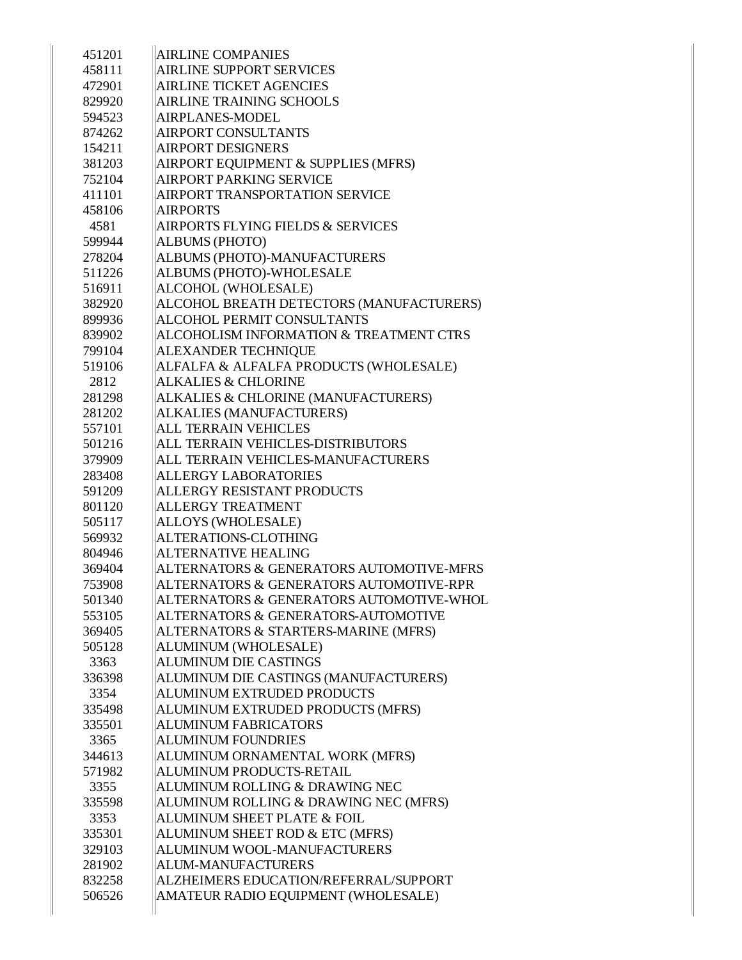| 451201           | <b>AIRLINE COMPANIES</b>                           |
|------------------|----------------------------------------------------|
| 458111           | <b>AIRLINE SUPPORT SERVICES</b>                    |
| 472901           | <b>AIRLINE TICKET AGENCIES</b>                     |
| 829920           | <b>AIRLINE TRAINING SCHOOLS</b>                    |
| 594523           | AIRPLANES-MODEL                                    |
| 874262           | <b>AIRPORT CONSULTANTS</b>                         |
| 154211           | <b>AIRPORT DESIGNERS</b>                           |
| 381203           | AIRPORT EQUIPMENT & SUPPLIES (MFRS)                |
| 752104           | <b>AIRPORT PARKING SERVICE</b>                     |
| 411101           | AIRPORT TRANSPORTATION SERVICE                     |
| 458106           | <b>AIRPORTS</b>                                    |
| 4581             | <b>AIRPORTS FLYING FIELDS &amp; SERVICES</b>       |
| 599944           | <b>ALBUMS (PHOTO)</b>                              |
| 278204           | ALBUMS (PHOTO)-MANUFACTURERS                       |
| 511226           | ALBUMS (PHOTO)-WHOLESALE                           |
| 516911           | ALCOHOL (WHOLESALE)                                |
| 382920           | ALCOHOL BREATH DETECTORS (MANUFACTURERS)           |
| 899936           | <b>ALCOHOL PERMIT CONSULTANTS</b>                  |
| 839902           | <b>ALCOHOLISM INFORMATION &amp; TREATMENT CTRS</b> |
| 799104           | ALEXANDER TECHNIQUE                                |
| 519106           | ALFALFA & ALFALFA PRODUCTS (WHOLESALE)             |
| 2812             | <b>ALKALIES &amp; CHLORINE</b>                     |
| 281298           | ALKALIES & CHLORINE (MANUFACTURERS)                |
| 281202           | <b>ALKALIES (MANUFACTURERS)</b>                    |
| 557101           | <b>ALL TERRAIN VEHICLES</b>                        |
| 501216           | ALL TERRAIN VEHICLES-DISTRIBUTORS                  |
| 379909           | ALL TERRAIN VEHICLES-MANUFACTURERS                 |
|                  |                                                    |
| 283408           | <b>ALLERGY LABORATORIES</b>                        |
|                  | <b>ALLERGY RESISTANT PRODUCTS</b>                  |
| 591209<br>801120 | <b>ALLERGY TREATMENT</b>                           |
| 505117           |                                                    |
| 569932           | ALLOYS (WHOLESALE)<br>ALTERATIONS-CLOTHING         |
| 804946           | <b>ALTERNATIVE HEALING</b>                         |
| 369404           | ALTERNATORS & GENERATORS AUTOMOTIVE-MFRS           |
| 753908           | ALTERNATORS & GENERATORS AUTOMOTIVE-RPR            |
| 501340           | ALTERNATORS & GENERATORS AUTOMOTIVE-WHOL           |
| 553105           | ALTERNATORS & GENERATORS-AUTOMOTIVE                |
| 369405           | ALTERNATORS & STARTERS-MARINE (MFRS)               |
| 505128           | ALUMINUM (WHOLESALE)                               |
| 3363             | <b>ALUMINUM DIE CASTINGS</b>                       |
| 336398           | ALUMINUM DIE CASTINGS (MANUFACTURERS)              |
| 3354             | ALUMINUM EXTRUDED PRODUCTS                         |
| 335498           | ALUMINUM EXTRUDED PRODUCTS (MFRS)                  |
| 335501           | <b>ALUMINUM FABRICATORS</b>                        |
| 3365             | <b>ALUMINUM FOUNDRIES</b>                          |
| 344613           | ALUMINUM ORNAMENTAL WORK (MFRS)                    |
| 571982           | ALUMINUM PRODUCTS-RETAIL                           |
| 3355             | ALUMINUM ROLLING & DRAWING NEC                     |
| 335598           | ALUMINUM ROLLING & DRAWING NEC (MFRS)              |
| 3353             | ALUMINUM SHEET PLATE & FOIL                        |
| 335301           | ALUMINUM SHEET ROD & ETC (MFRS)                    |
| 329103           | ALUMINUM WOOL-MANUFACTURERS                        |
| 281902           | <b>ALUM-MANUFACTURERS</b>                          |
| 832258           | ALZHEIMERS EDUCATION/REFERRAL/SUPPORT              |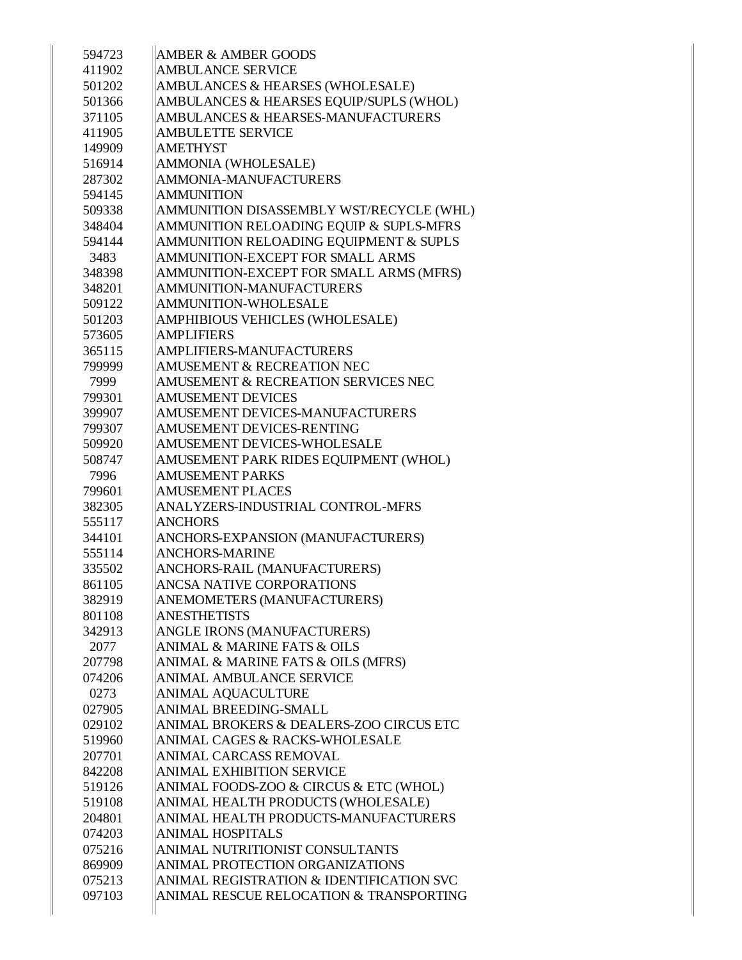| 594723           | <b>AMBER &amp; AMBER GOODS</b>                                             |
|------------------|----------------------------------------------------------------------------|
| 411902           | <b>AMBULANCE SERVICE</b>                                                   |
| 501202           | AMBULANCES & HEARSES (WHOLESALE)                                           |
| 501366           | AMBULANCES & HEARSES EQUIP/SUPLS (WHOL)                                    |
| 371105           | AMBULANCES & HEARSES-MANUFACTURERS                                         |
| 411905           | <b>AMBULETTE SERVICE</b>                                                   |
| 149909           | <b>AMETHYST</b>                                                            |
| 516914           | AMMONIA (WHOLESALE)                                                        |
| 287302           | <b>AMMONIA-MANUFACTURERS</b>                                               |
| 594145           | <b>AMMUNITION</b>                                                          |
| 509338           | AMMUNITION DISASSEMBLY WST/RECYCLE (WHL)                                   |
| 348404           | AMMUNITION RELOADING EQUIP & SUPLS-MFRS                                    |
| 594144           | AMMUNITION RELOADING EQUIPMENT & SUPLS                                     |
| 3483             | AMMUNITION-EXCEPT FOR SMALL ARMS                                           |
| 348398           | AMMUNITION-EXCEPT FOR SMALL ARMS (MFRS)                                    |
| 348201           | AMMUNITION-MANUFACTURERS                                                   |
| 509122           | <b>AMMUNITION-WHOLESALE</b>                                                |
| 501203           | AMPHIBIOUS VEHICLES (WHOLESALE)                                            |
| 573605           | <b>AMPLIFIERS</b>                                                          |
| 365115           | AMPLIFIERS-MANUFACTURERS                                                   |
| 799999           | <b>AMUSEMENT &amp; RECREATION NEC</b>                                      |
| 7999             | AMUSEMENT & RECREATION SERVICES NEC                                        |
| 799301           | <b>AMUSEMENT DEVICES</b>                                                   |
| 399907           | AMUSEMENT DEVICES-MANUFACTURERS                                            |
| 799307           | AMUSEMENT DEVICES-RENTING                                                  |
| 509920           | AMUSEMENT DEVICES-WHOLESALE                                                |
| 508747           | AMUSEMENT PARK RIDES EQUIPMENT (WHOL)                                      |
| 7996             | <b>AMUSEMENT PARKS</b>                                                     |
| 799601           | <b>AMUSEMENT PLACES</b>                                                    |
| 382305           | ANALYZERS-INDUSTRIAL CONTROL-MFRS                                          |
| 555117           | <b>ANCHORS</b>                                                             |
| 344101           | ANCHORS-EXPANSION (MANUFACTURERS)                                          |
| 555114           | <b>ANCHORS-MARINE</b>                                                      |
| 335502           | ANCHORS-RAIL (MANUFACTURERS)                                               |
| 861105           | ANCSA NATIVE CORPORATIONS                                                  |
| 382919           | ANEMOMETERS (MANUFACTURERS)                                                |
| 801108           | <b>ANESTHETISTS</b>                                                        |
| 342913           | ANGLE IRONS (MANUFACTURERS)<br><b>ANIMAL &amp; MARINE FATS &amp; OILS</b>  |
| 2077             |                                                                            |
| 207798           | ANIMAL & MARINE FATS & OILS (MFRS)                                         |
| 074206           | ANIMAL AMBULANCE SERVICE                                                   |
| 0273             | <b>ANIMAL AQUACULTURE</b>                                                  |
| 027905           | ANIMAL BREEDING-SMALL                                                      |
| 029102           | ANIMAL BROKERS & DEALERS-ZOO CIRCUS ETC                                    |
| 519960           | ANIMAL CAGES & RACKS-WHOLESALE                                             |
| 207701           | ANIMAL CARCASS REMOVAL                                                     |
| 842208<br>519126 | <b>ANIMAL EXHIBITION SERVICE</b><br>ANIMAL FOODS-ZOO & CIRCUS & ETC (WHOL) |
|                  |                                                                            |
| 519108<br>204801 | ANIMAL HEALTH PRODUCTS (WHOLESALE)<br>ANIMAL HEALTH PRODUCTS-MANUFACTURERS |
|                  | <b>ANIMAL HOSPITALS</b>                                                    |
| 074203<br>075216 | ANIMAL NUTRITIONIST CONSULTANTS                                            |
| 869909           | ANIMAL PROTECTION ORGANIZATIONS                                            |
|                  | ANIMAL REGISTRATION & IDENTIFICATION SVC                                   |
| 075213           |                                                                            |
| 097103           | ANIMAL RESCUE RELOCATION & TRANSPORTING                                    |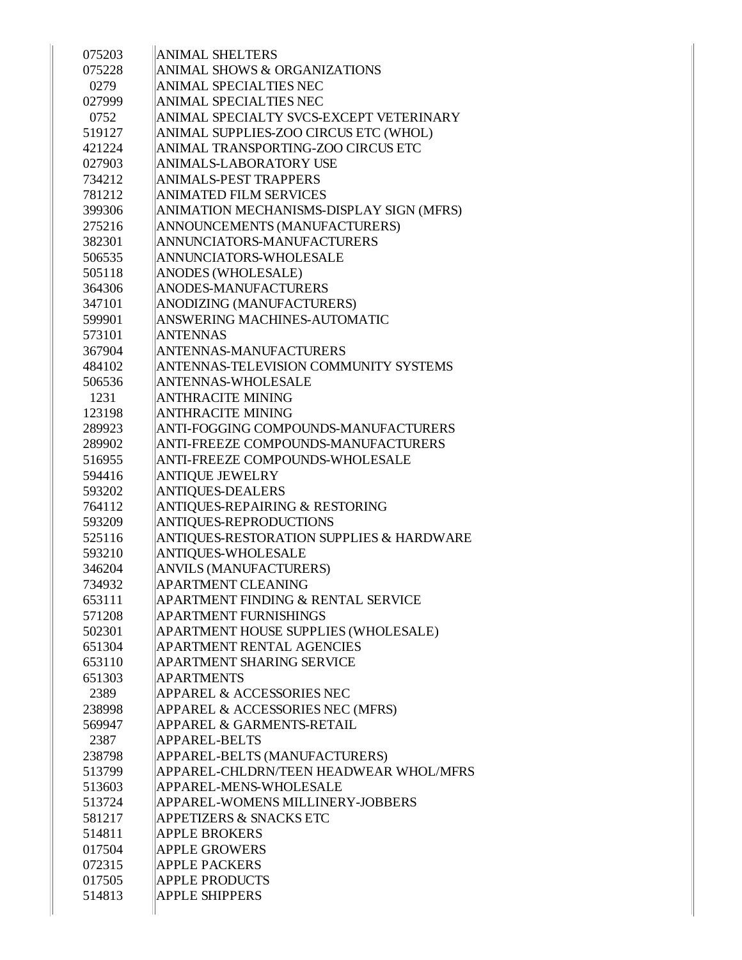| 075203 | <b>ANIMAL SHELTERS</b>                   |
|--------|------------------------------------------|
| 075228 | <b>ANIMAL SHOWS &amp; ORGANIZATIONS</b>  |
| 0279   | ANIMAL SPECIALTIES NEC                   |
| 027999 | <b>ANIMAL SPECIALTIES NEC</b>            |
| 0752   | ANIMAL SPECIALTY SVCS-EXCEPT VETERINARY  |
| 519127 | ANIMAL SUPPLIES-ZOO CIRCUS ETC (WHOL)    |
| 421224 | ANIMAL TRANSPORTING-ZOO CIRCUS ETC       |
| 027903 | ANIMALS-LABORATORY USE                   |
| 734212 | <b>ANIMALS-PEST TRAPPERS</b>             |
| 781212 | <b>ANIMATED FILM SERVICES</b>            |
| 399306 | ANIMATION MECHANISMS-DISPLAY SIGN (MFRS) |
| 275216 | ANNOUNCEMENTS (MANUFACTURERS)            |
| 382301 | ANNUNCIATORS-MANUFACTURERS               |
| 506535 | ANNUNCIATORS-WHOLESALE                   |
| 505118 | ANODES (WHOLESALE)                       |
| 364306 | ANODES-MANUFACTURERS                     |
| 347101 | ANODIZING (MANUFACTURERS)                |
| 599901 | ANSWERING MACHINES-AUTOMATIC             |
| 573101 | <b>ANTENNAS</b>                          |
| 367904 | <b>ANTENNAS-MANUFACTURERS</b>            |
| 484102 | ANTENNAS-TELEVISION COMMUNITY SYSTEMS    |
| 506536 | <b>ANTENNAS-WHOLESALE</b>                |
| 1231   | <b>ANTHRACITE MINING</b>                 |
| 123198 | ANTHRACITE MINING                        |
| 289923 | ANTI-FOGGING COMPOUNDS-MANUFACTURERS     |
| 289902 | ANTI-FREEZE COMPOUNDS-MANUFACTURERS      |
| 516955 | ANTI-FREEZE COMPOUNDS-WHOLESALE          |
| 594416 | <b>ANTIQUE JEWELRY</b>                   |
| 593202 | <b>ANTIQUES-DEALERS</b>                  |
| 764112 | ANTIQUES-REPAIRING & RESTORING           |
| 593209 | ANTIQUES-REPRODUCTIONS                   |
| 525116 | ANTIQUES-RESTORATION SUPPLIES & HARDWARE |
| 593210 | ANTIQUES-WHOLESALE                       |
| 346204 | <b>ANVILS (MANUFACTURERS)</b>            |
| 734932 | <b>APARTMENT CLEANING</b>                |
| 653111 | APARTMENT FINDING & RENTAL SERVICE       |
| 571208 | <b>APARTMENT FURNISHINGS</b>             |
| 502301 | APARTMENT HOUSE SUPPLIES (WHOLESALE)     |
| 651304 | <b>APARTMENT RENTAL AGENCIES</b>         |
| 653110 | <b>APARTMENT SHARING SERVICE</b>         |
| 651303 | <b>APARTMENTS</b>                        |
| 2389   | <b>APPAREL &amp; ACCESSORIES NEC</b>     |
| 238998 | APPAREL & ACCESSORIES NEC (MFRS)         |
| 569947 | <b>APPAREL &amp; GARMENTS-RETAIL</b>     |
| 2387   | APPAREL-BELTS                            |
| 238798 | APPAREL-BELTS (MANUFACTURERS)            |
| 513799 | APPAREL-CHLDRN/TEEN HEADWEAR WHOL/MFRS   |
| 513603 | APPAREL-MENS-WHOLESALE                   |
| 513724 | <b>APPAREL-WOMENS MILLINERY-JOBBERS</b>  |
| 581217 | <b>APPETIZERS &amp; SNACKS ETC</b>       |
| 514811 | <b>APPLE BROKERS</b>                     |
| 017504 | <b>APPLE GROWERS</b>                     |
| 072315 | <b>APPLE PACKERS</b>                     |
| 017505 | <b>APPLE PRODUCTS</b>                    |
| 514813 | <b>APPLE SHIPPERS</b>                    |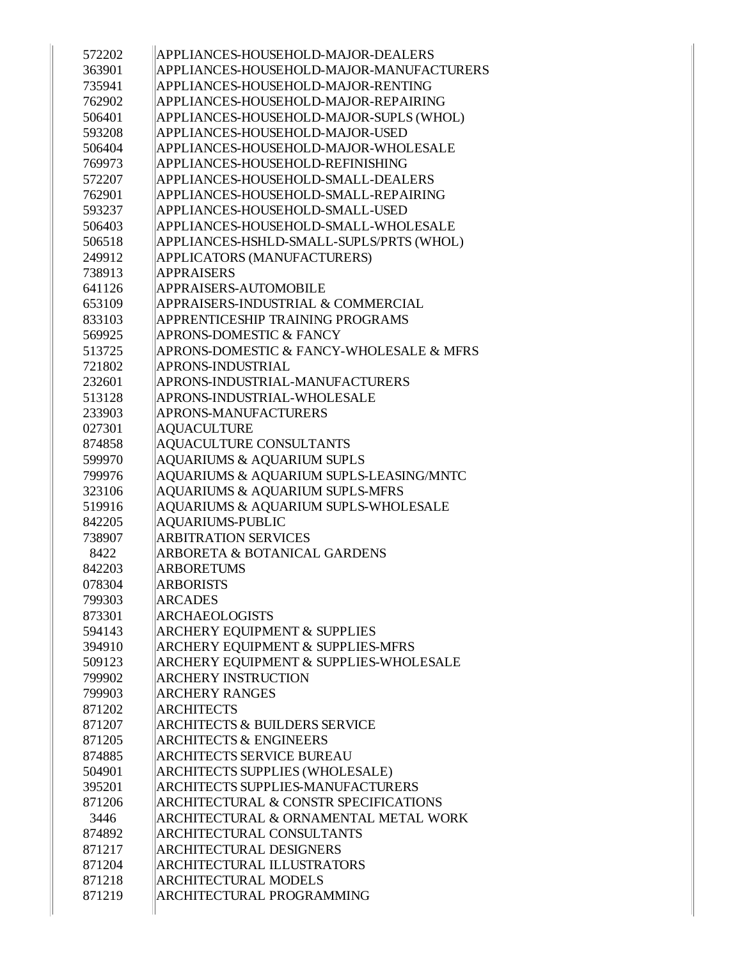| 572202 | APPLIANCES-HOUSEHOLD-MAJOR-DEALERS               |
|--------|--------------------------------------------------|
| 363901 | APPLIANCES-HOUSEHOLD-MAJOR-MANUFACTURERS         |
| 735941 | APPLIANCES-HOUSEHOLD-MAJOR-RENTING               |
| 762902 | APPLIANCES-HOUSEHOLD-MAJOR-REPAIRING             |
| 506401 | APPLIANCES-HOUSEHOLD-MAJOR-SUPLS (WHOL)          |
| 593208 | APPLIANCES-HOUSEHOLD-MAJOR-USED                  |
| 506404 | APPLIANCES-HOUSEHOLD-MAJOR-WHOLESALE             |
| 769973 | APPLIANCES-HOUSEHOLD-REFINISHING                 |
| 572207 | APPLIANCES-HOUSEHOLD-SMALL-DEALERS               |
| 762901 | APPLIANCES-HOUSEHOLD-SMALL-REPAIRING             |
| 593237 | APPLIANCES-HOUSEHOLD-SMALL-USED                  |
| 506403 | APPLIANCES-HOUSEHOLD-SMALL-WHOLESALE             |
| 506518 | APPLIANCES-HSHLD-SMALL-SUPLS/PRTS (WHOL)         |
| 249912 | APPLICATORS (MANUFACTURERS)                      |
| 738913 | <b>APPRAISERS</b>                                |
| 641126 | APPRAISERS-AUTOMOBILE                            |
| 653109 | APPRAISERS-INDUSTRIAL & COMMERCIAL               |
| 833103 | APPRENTICESHIP TRAINING PROGRAMS                 |
| 569925 | APRONS-DOMESTIC & FANCY                          |
| 513725 | APRONS-DOMESTIC & FANCY-WHOLESALE & MFRS         |
| 721802 | APRONS-INDUSTRIAL                                |
| 232601 | APRONS-INDUSTRIAL-MANUFACTURERS                  |
| 513128 | APRONS-INDUSTRIAL-WHOLESALE                      |
| 233903 | APRONS-MANUFACTURERS                             |
| 027301 | <b>AQUACULTURE</b>                               |
| 874858 | <b>AQUACULTURE CONSULTANTS</b>                   |
| 599970 | <b>AQUARIUMS &amp; AQUARIUM SUPLS</b>            |
| 799976 | AQUARIUMS & AQUARIUM SUPLS-LEASING/MNTC          |
| 323106 | <b>AQUARIUMS &amp; AQUARIUM SUPLS-MFRS</b>       |
| 519916 | AQUARIUMS & AQUARIUM SUPLS-WHOLESALE             |
| 842205 | <b>AQUARIUMS-PUBLIC</b>                          |
| 738907 | <b>ARBITRATION SERVICES</b>                      |
| 8422   | <b>ARBORETA &amp; BOTANICAL GARDENS</b>          |
| 842203 | <b>ARBORETUMS</b>                                |
| 078304 | <b>ARBORISTS</b>                                 |
| 799303 | <b>ARCADES</b>                                   |
| 873301 | <b>ARCHAEOLOGISTS</b>                            |
| 594143 | <b>ARCHERY EQUIPMENT &amp; SUPPLIES</b>          |
| 394910 | ARCHERY EQUIPMENT & SUPPLIES-MFRS                |
| 509123 | ARCHERY EQUIPMENT & SUPPLIES-WHOLESALE           |
| 799902 | <b>ARCHERY INSTRUCTION</b>                       |
| 799903 | <b>ARCHERY RANGES</b>                            |
| 871202 | <b>ARCHITECTS</b>                                |
| 871207 | <b>ARCHITECTS &amp; BUILDERS SERVICE</b>         |
| 871205 | <b>ARCHITECTS &amp; ENGINEERS</b>                |
| 874885 | <b>ARCHITECTS SERVICE BUREAU</b>                 |
| 504901 | ARCHITECTS SUPPLIES (WHOLESALE)                  |
| 395201 | <b>ARCHITECTS SUPPLIES-MANUFACTURERS</b>         |
| 871206 | <b>ARCHITECTURAL &amp; CONSTR SPECIFICATIONS</b> |
| 3446   | ARCHITECTURAL & ORNAMENTAL METAL WORK            |
| 874892 | ARCHITECTURAL CONSULTANTS                        |
| 871217 | ARCHITECTURAL DESIGNERS                          |
| 871204 | ARCHITECTURAL ILLUSTRATORS                       |
| 871218 | <b>ARCHITECTURAL MODELS</b>                      |
| 871219 | ARCHITECTURAL PROGRAMMING                        |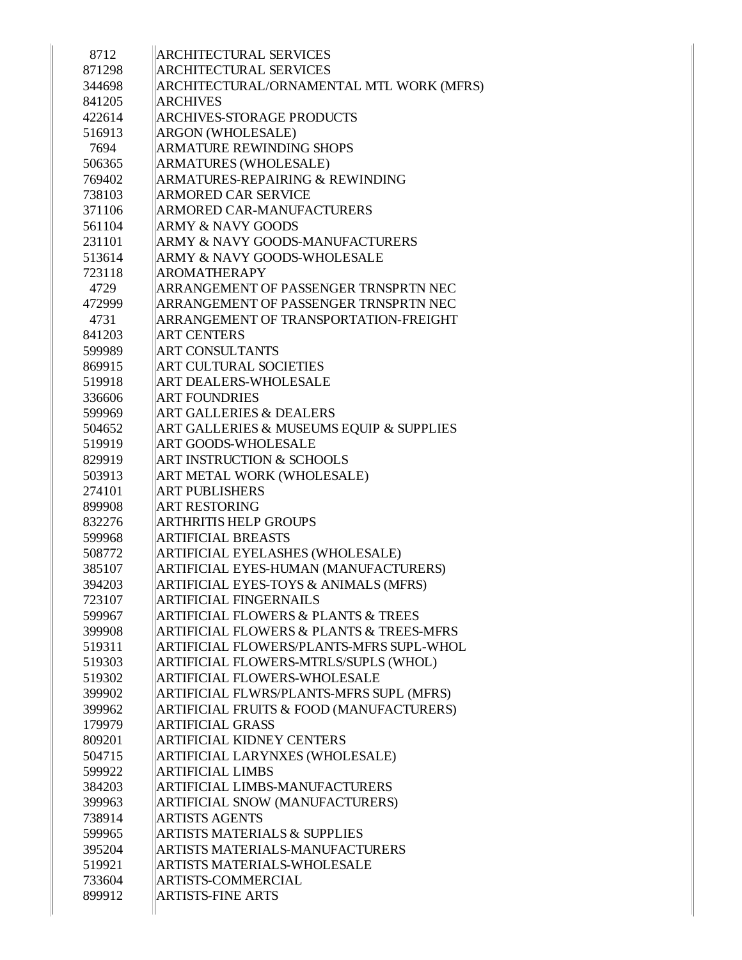| 8712   | <b>ARCHITECTURAL SERVICES</b>                           |
|--------|---------------------------------------------------------|
| 871298 | <b>ARCHITECTURAL SERVICES</b>                           |
| 344698 | ARCHITECTURAL/ORNAMENTAL MTL WORK (MFRS)                |
| 841205 | <b>ARCHIVES</b>                                         |
| 422614 | <b>ARCHIVES-STORAGE PRODUCTS</b>                        |
| 516913 | <b>ARGON (WHOLESALE)</b>                                |
| 7694   | <b>ARMATURE REWINDING SHOPS</b>                         |
| 506365 | <b>ARMATURES (WHOLESALE)</b>                            |
| 769402 | <b>ARMATURES-REPAIRING &amp; REWINDING</b>              |
| 738103 | ARMORED CAR SERVICE                                     |
| 371106 | <b>ARMORED CAR-MANUFACTURERS</b>                        |
| 561104 | <b>ARMY &amp; NAVY GOODS</b>                            |
| 231101 | ARMY & NAVY GOODS-MANUFACTURERS                         |
| 513614 | ARMY & NAVY GOODS-WHOLESALE                             |
| 723118 | <b>AROMATHERAPY</b>                                     |
| 4729   | ARRANGEMENT OF PASSENGER TRNSPRTN NEC                   |
| 472999 | ARRANGEMENT OF PASSENGER TRNSPRTN NEC                   |
| 4731   | ARRANGEMENT OF TRANSPORTATION-FREIGHT                   |
| 841203 | <b>ART CENTERS</b>                                      |
| 599989 | <b>ART CONSULTANTS</b>                                  |
| 869915 | <b>ART CULTURAL SOCIETIES</b>                           |
| 519918 | ART DEALERS-WHOLESALE                                   |
| 336606 | <b>ART FOUNDRIES</b>                                    |
| 599969 | <b>ART GALLERIES &amp; DEALERS</b>                      |
| 504652 | ART GALLERIES & MUSEUMS EQUIP & SUPPLIES                |
| 519919 | <b>ART GOODS-WHOLESALE</b>                              |
| 829919 | ART INSTRUCTION & SCHOOLS                               |
| 503913 | ART METAL WORK (WHOLESALE)                              |
| 274101 | <b>ART PUBLISHERS</b>                                   |
| 899908 | <b>ART RESTORING</b>                                    |
| 832276 | <b>ARTHRITIS HELP GROUPS</b>                            |
| 599968 | <b>ARTIFICIAL BREASTS</b>                               |
| 508772 | ARTIFICIAL EYELASHES (WHOLESALE)                        |
| 385107 | ARTIFICIAL EYES-HUMAN (MANUFACTURERS)                   |
| 394203 | ARTIFICIAL EYES-TOYS & ANIMALS (MFRS)                   |
| 723107 | <b>ARTIFICIAL FINGERNAILS</b>                           |
| 599967 | <b>ARTIFICIAL FLOWERS &amp; PLANTS &amp; TREES</b>      |
| 399908 | <b>ARTIFICIAL FLOWERS &amp; PLANTS &amp; TREES-MFRS</b> |
| 519311 | ARTIFICIAL FLOWERS/PLANTS-MFRS SUPL-WHOL                |
| 519303 | ARTIFICIAL FLOWERS-MTRLS/SUPLS (WHOL)                   |
| 519302 | ARTIFICIAL FLOWERS-WHOLESALE                            |
| 399902 | ARTIFICIAL FLWRS/PLANTS-MFRS SUPL (MFRS)                |
| 399962 | <b>ARTIFICIAL FRUITS &amp; FOOD (MANUFACTURERS)</b>     |
|        | <b>ARTIFICIAL GRASS</b>                                 |
| 179979 |                                                         |
| 809201 | <b>ARTIFICIAL KIDNEY CENTERS</b>                        |
| 504715 | ARTIFICIAL LARYNXES (WHOLESALE)                         |
| 599922 | <b>ARTIFICIAL LIMBS</b>                                 |
| 384203 | <b>ARTIFICIAL LIMBS-MANUFACTURERS</b>                   |
| 399963 | ARTIFICIAL SNOW (MANUFACTURERS)                         |
| 738914 | <b>ARTISTS AGENTS</b>                                   |
| 599965 | <b>ARTISTS MATERIALS &amp; SUPPLIES</b>                 |
| 395204 | ARTISTS MATERIALS-MANUFACTURERS                         |
| 519921 | ARTISTS MATERIALS-WHOLESALE                             |
| 733604 | <b>ARTISTS-COMMERCIAL</b>                               |
| 899912 | <b>ARTISTS-FINE ARTS</b>                                |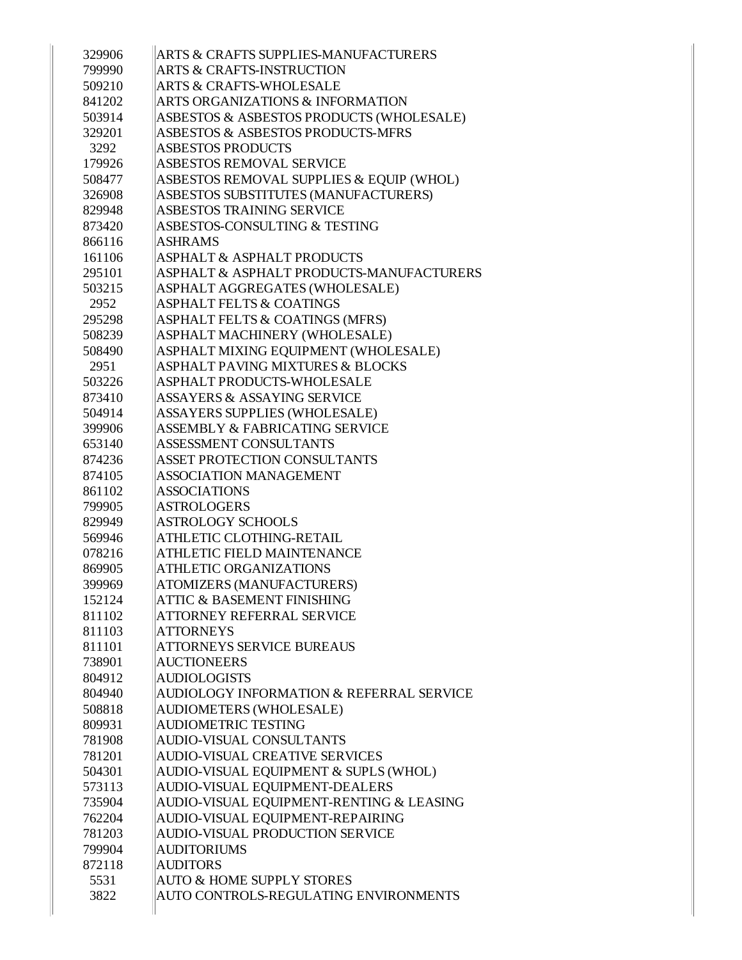| 329906         | ARTS & CRAFTS SUPPLIES-MANUFACTURERS                    |
|----------------|---------------------------------------------------------|
| 799990         | <b>ARTS &amp; CRAFTS-INSTRUCTION</b>                    |
| 509210         | <b>ARTS &amp; CRAFTS-WHOLESALE</b>                      |
| 841202         | <b>ARTS ORGANIZATIONS &amp; INFORMATION</b>             |
| 503914         | ASBESTOS & ASBESTOS PRODUCTS (WHOLESALE)                |
| 329201         | ASBESTOS & ASBESTOS PRODUCTS-MFRS                       |
| 3292           | <b>ASBESTOS PRODUCTS</b>                                |
| 179926         | <b>ASBESTOS REMOVAL SERVICE</b>                         |
| 508477         | ASBESTOS REMOVAL SUPPLIES & EQUIP (WHOL)                |
| 326908         | ASBESTOS SUBSTITUTES (MANUFACTURERS)                    |
| 829948         | ASBESTOS TRAINING SERVICE                               |
| 873420         | ASBESTOS-CONSULTING & TESTING                           |
| 866116         | <b>ASHRAMS</b>                                          |
| 161106         | <b>ASPHALT &amp; ASPHALT PRODUCTS</b>                   |
| 295101         | ASPHALT & ASPHALT PRODUCTS-MANUFACTURERS                |
| 503215         | ASPHALT AGGREGATES (WHOLESALE)                          |
| 2952           | <b>ASPHALT FELTS &amp; COATINGS</b>                     |
| 295298         | <b>ASPHALT FELTS &amp; COATINGS (MFRS)</b>              |
| 508239         | ASPHALT MACHINERY (WHOLESALE)                           |
| 508490         | ASPHALT MIXING EQUIPMENT (WHOLESALE)                    |
| 2951           | <b>ASPHALT PAVING MIXTURES &amp; BLOCKS</b>             |
| 503226         | ASPHALT PRODUCTS-WHOLESALE                              |
| 873410         | <b>ASSAYERS &amp; ASSAYING SERVICE</b>                  |
| 504914         | <b>ASSAYERS SUPPLIES (WHOLESALE)</b>                    |
| 399906         | <b>ASSEMBLY &amp; FABRICATING SERVICE</b>               |
| 653140         | ASSESSMENT CONSULTANTS                                  |
| 874236         | <b>ASSET PROTECTION CONSULTANTS</b>                     |
| 874105         | <b>ASSOCIATION MANAGEMENT</b>                           |
| 861102         | <b>ASSOCIATIONS</b>                                     |
| 799905         | <b>ASTROLOGERS</b>                                      |
| 829949         | <b>ASTROLOGY SCHOOLS</b>                                |
| 569946         | ATHLETIC CLOTHING-RETAIL                                |
| 078216         | <b>ATHLETIC FIELD MAINTENANCE</b>                       |
| 869905         | <b>ATHLETIC ORGANIZATIONS</b>                           |
| 399969         | ATOMIZERS (MANUFACTURERS)                               |
| 152124         | <b>ATTIC &amp; BASEMENT FINISHING</b>                   |
| 811102         | ATTORNEY REFERRAL SERVICE                               |
| 811103         | <b>ATTORNEYS</b>                                        |
| 811101         | <b>ATTORNEYS SERVICE BUREAUS</b>                        |
| 738901         | <b>AUCTIONEERS</b>                                      |
| 804912         | <b>AUDIOLOGISTS</b>                                     |
| 804940         | AUDIOLOGY INFORMATION & REFERRAL SERVICE                |
| 508818         | <b>AUDIOMETERS (WHOLESALE)</b>                          |
| 809931         | <b>AUDIOMETRIC TESTING</b>                              |
| 781908         | <b>AUDIO-VISUAL CONSULTANTS</b>                         |
| 781201         | <b>AUDIO-VISUAL CREATIVE SERVICES</b>                   |
| 504301         | AUDIO-VISUAL EQUIPMENT & SUPLS (WHOL)                   |
| 573113         | AUDIO-VISUAL EQUIPMENT-DEALERS                          |
| 735904         | AUDIO-VISUAL EQUIPMENT-RENTING & LEASING                |
| 762204         | AUDIO-VISUAL EQUIPMENT-REPAIRING                        |
| 781203         | AUDIO-VISUAL PRODUCTION SERVICE                         |
| 799904         | <b>AUDITORIUMS</b>                                      |
| 872118<br>5531 | <b>AUDITORS</b><br><b>AUTO &amp; HOME SUPPLY STORES</b> |
| 3822           | AUTO CONTROLS-REGULATING ENVIRONMENTS                   |
|                |                                                         |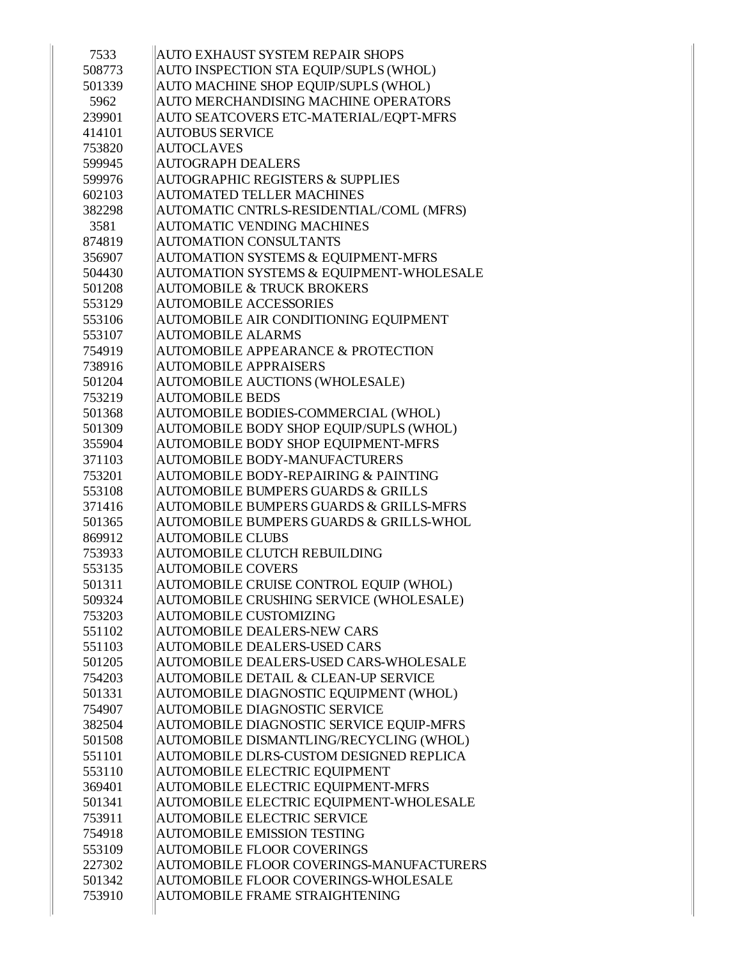| 7533   | AUTO EXHAUST SYSTEM REPAIR SHOPS                   |
|--------|----------------------------------------------------|
| 508773 | AUTO INSPECTION STA EQUIP/SUPLS (WHOL)             |
| 501339 | AUTO MACHINE SHOP EQUIP/SUPLS (WHOL)               |
| 5962   | AUTO MERCHANDISING MACHINE OPERATORS               |
| 239901 | AUTO SEATCOVERS ETC-MATERIAL/EQPT-MFRS             |
| 414101 | <b>AUTOBUS SERVICE</b>                             |
| 753820 | <b>AUTOCLAVES</b>                                  |
| 599945 | <b>AUTOGRAPH DEALERS</b>                           |
| 599976 | <b>AUTOGRAPHIC REGISTERS &amp; SUPPLIES</b>        |
| 602103 | <b>AUTOMATED TELLER MACHINES</b>                   |
| 382298 | AUTOMATIC CNTRLS-RESIDENTIAL/COML (MFRS)           |
| 3581   | <b>AUTOMATIC VENDING MACHINES</b>                  |
| 874819 | <b>AUTOMATION CONSULTANTS</b>                      |
| 356907 | AUTOMATION SYSTEMS & EQUIPMENT-MFRS                |
| 504430 | AUTOMATION SYSTEMS & EQUIPMENT-WHOLESALE           |
| 501208 | <b>AUTOMOBILE &amp; TRUCK BROKERS</b>              |
| 553129 | <b>AUTOMOBILE ACCESSORIES</b>                      |
| 553106 | AUTOMOBILE AIR CONDITIONING EQUIPMENT              |
| 553107 | <b>AUTOMOBILE ALARMS</b>                           |
| 754919 | <b>AUTOMOBILE APPEARANCE &amp; PROTECTION</b>      |
| 738916 | <b>AUTOMOBILE APPRAISERS</b>                       |
| 501204 | <b>AUTOMOBILE AUCTIONS (WHOLESALE)</b>             |
| 753219 | <b>AUTOMOBILE BEDS</b>                             |
| 501368 | AUTOMOBILE BODIES-COMMERCIAL (WHOL)                |
| 501309 | AUTOMOBILE BODY SHOP EQUIP/SUPLS (WHOL)            |
| 355904 | AUTOMOBILE BODY SHOP EQUIPMENT-MFRS                |
| 371103 | AUTOMOBILE BODY-MANUFACTURERS                      |
| 753201 | <b>AUTOMOBILE BODY-REPAIRING &amp; PAINTING</b>    |
| 553108 | <b>AUTOMOBILE BUMPERS GUARDS &amp; GRILLS</b>      |
| 371416 | <b>AUTOMOBILE BUMPERS GUARDS &amp; GRILLS-MFRS</b> |
| 501365 | AUTOMOBILE BUMPERS GUARDS & GRILLS-WHOL            |
| 869912 | <b>AUTOMOBILE CLUBS</b>                            |
| 753933 | <b>AUTOMOBILE CLUTCH REBUILDING</b>                |
| 553135 | <b>AUTOMOBILE COVERS</b>                           |
| 501311 | AUTOMOBILE CRUISE CONTROL EQUIP (WHOL)             |
| 509324 | AUTOMOBILE CRUSHING SERVICE (WHOLESALE)            |
| 753203 | <b>AUTOMOBILE CUSTOMIZING</b>                      |
| 551102 | <b>AUTOMOBILE DEALERS-NEW CARS</b>                 |
| 551103 | <b>AUTOMOBILE DEALERS-USED CARS</b>                |
| 501205 | AUTOMOBILE DEALERS-USED CARS-WHOLESALE             |
| 754203 | AUTOMOBILE DETAIL & CLEAN-UP SERVICE               |
| 501331 | AUTOMOBILE DIAGNOSTIC EQUIPMENT (WHOL)             |
| 754907 | AUTOMOBILE DIAGNOSTIC SERVICE                      |
| 382504 | AUTOMOBILE DIAGNOSTIC SERVICE EQUIP-MFRS           |
| 501508 | AUTOMOBILE DISMANTLING/RECYCLING (WHOL)            |
| 551101 | AUTOMOBILE DLRS-CUSTOM DESIGNED REPLICA            |
| 553110 | AUTOMOBILE ELECTRIC EQUIPMENT                      |
| 369401 | AUTOMOBILE ELECTRIC EQUIPMENT-MFRS                 |
| 501341 | AUTOMOBILE ELECTRIC EQUIPMENT-WHOLESALE            |
| 753911 | <b>AUTOMOBILE ELECTRIC SERVICE</b>                 |
| 754918 | <b>AUTOMOBILE EMISSION TESTING</b>                 |
| 553109 | <b>AUTOMOBILE FLOOR COVERINGS</b>                  |
| 227302 | AUTOMOBILE FLOOR COVERINGS-MANUFACTURERS           |
| 501342 | AUTOMOBILE FLOOR COVERINGS-WHOLESALE               |
| 753910 | <b>AUTOMOBILE FRAME STRAIGHTENING</b>              |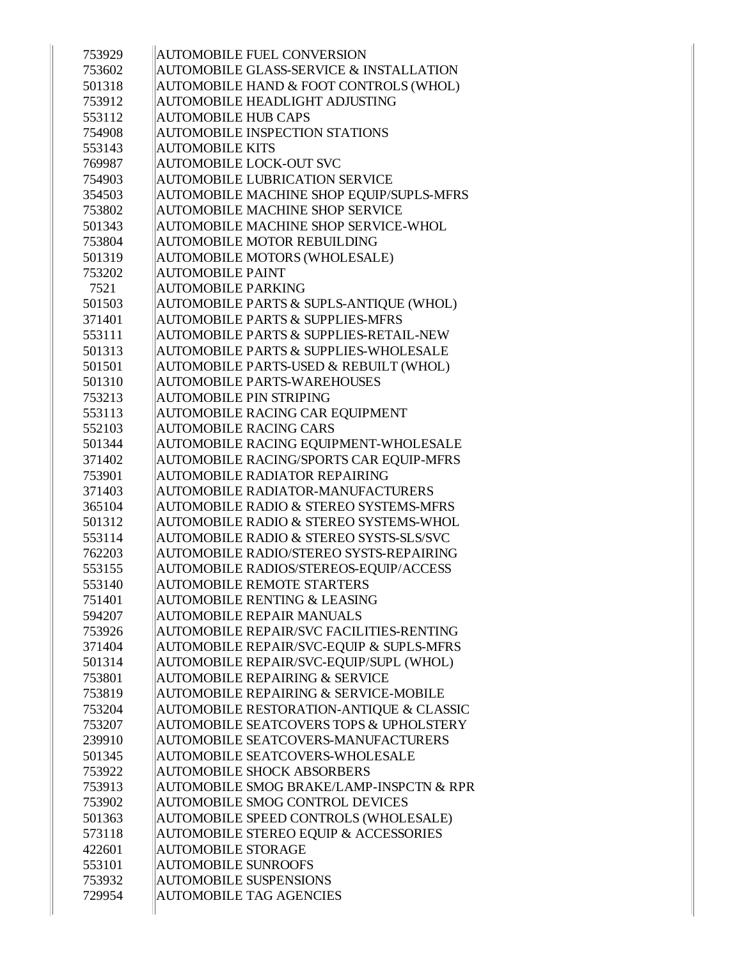| 753929 | <b>AUTOMOBILE FUEL CONVERSION</b>                   |
|--------|-----------------------------------------------------|
| 753602 | AUTOMOBILE GLASS-SERVICE & INSTALLATION             |
| 501318 | AUTOMOBILE HAND & FOOT CONTROLS (WHOL)              |
| 753912 | AUTOMOBILE HEADLIGHT ADJUSTING                      |
| 553112 | <b>AUTOMOBILE HUB CAPS</b>                          |
| 754908 | <b>AUTOMOBILE INSPECTION STATIONS</b>               |
| 553143 | <b>AUTOMOBILE KITS</b>                              |
| 769987 | <b>AUTOMOBILE LOCK-OUT SVC</b>                      |
| 754903 | <b>AUTOMOBILE LUBRICATION SERVICE</b>               |
| 354503 | AUTOMOBILE MACHINE SHOP EQUIP/SUPLS-MFRS            |
| 753802 | <b>AUTOMOBILE MACHINE SHOP SERVICE</b>              |
| 501343 | AUTOMOBILE MACHINE SHOP SERVICE-WHOL                |
| 753804 | <b>AUTOMOBILE MOTOR REBUILDING</b>                  |
| 501319 | AUTOMOBILE MOTORS (WHOLESALE)                       |
| 753202 | <b>AUTOMOBILE PAINT</b>                             |
| 7521   | <b>AUTOMOBILE PARKING</b>                           |
| 501503 | AUTOMOBILE PARTS & SUPLS-ANTIQUE (WHOL)             |
| 371401 | <b>AUTOMOBILE PARTS &amp; SUPPLIES-MFRS</b>         |
| 553111 | <b>AUTOMOBILE PARTS &amp; SUPPLIES-RETAIL-NEW</b>   |
| 501313 | <b>AUTOMOBILE PARTS &amp; SUPPLIES-WHOLESALE</b>    |
| 501501 | AUTOMOBILE PARTS-USED & REBUILT (WHOL)              |
| 501310 | <b>AUTOMOBILE PARTS-WAREHOUSES</b>                  |
| 753213 | <b>AUTOMOBILE PIN STRIPING</b>                      |
| 553113 | <b>AUTOMOBILE RACING CAR EQUIPMENT</b>              |
| 552103 | <b>AUTOMOBILE RACING CARS</b>                       |
| 501344 | AUTOMOBILE RACING EQUIPMENT-WHOLESALE               |
| 371402 | AUTOMOBILE RACING/SPORTS CAR EQUIP-MFRS             |
| 753901 | <b>AUTOMOBILE RADIATOR REPAIRING</b>                |
| 371403 | <b>AUTOMOBILE RADIATOR-MANUFACTURERS</b>            |
| 365104 | <b>AUTOMOBILE RADIO &amp; STEREO SYSTEMS-MFRS</b>   |
| 501312 | AUTOMOBILE RADIO & STEREO SYSTEMS-WHOL              |
| 553114 | <b>AUTOMOBILE RADIO &amp; STEREO SYSTS-SLS/SVC</b>  |
| 762203 | <b>AUTOMOBILE RADIO/STEREO SYSTS-REPAIRING</b>      |
| 553155 | AUTOMOBILE RADIOS/STEREOS-EQUIP/ACCESS              |
| 553140 | <b>AUTOMOBILE REMOTE STARTERS</b>                   |
| 751401 | <b>AUTOMOBILE RENTING &amp; LEASING</b>             |
| 594207 | <b>AUTOMOBILE REPAIR MANUALS</b>                    |
| 753926 | <b>AUTOMOBILE REPAIR/SVC FACILITIES-RENTING</b>     |
| 371404 | <b>AUTOMOBILE REPAIR/SVC-EOUIP &amp; SUPLS-MFRS</b> |
| 501314 | AUTOMOBILE REPAIR/SVC-EQUIP/SUPL (WHOL)             |
| 753801 | <b>AUTOMOBILE REPAIRING &amp; SERVICE</b>           |
| 753819 | <b>AUTOMOBILE REPAIRING &amp; SERVICE-MOBILE</b>    |
| 753204 | AUTOMOBILE RESTORATION-ANTIQUE & CLASSIC            |
| 753207 | <b>AUTOMOBILE SEATCOVERS TOPS &amp; UPHOLSTERY</b>  |
| 239910 | AUTOMOBILE SEATCOVERS-MANUFACTURERS                 |
| 501345 | <b>AUTOMOBILE SEATCOVERS-WHOLESALE</b>              |
| 753922 | <b>AUTOMOBILE SHOCK ABSORBERS</b>                   |
| 753913 | AUTOMOBILE SMOG BRAKE/LAMP-INSPCTN & RPR            |
| 753902 | <b>AUTOMOBILE SMOG CONTROL DEVICES</b>              |
| 501363 | AUTOMOBILE SPEED CONTROLS (WHOLESALE)               |
| 573118 | <b>AUTOMOBILE STEREO EQUIP &amp; ACCESSORIES</b>    |
| 422601 | <b>AUTOMOBILE STORAGE</b>                           |
| 553101 | <b>AUTOMOBILE SUNROOFS</b>                          |
| 753932 | <b>AUTOMOBILE SUSPENSIONS</b>                       |
| 729954 | <b>AUTOMOBILE TAG AGENCIES</b>                      |
|        |                                                     |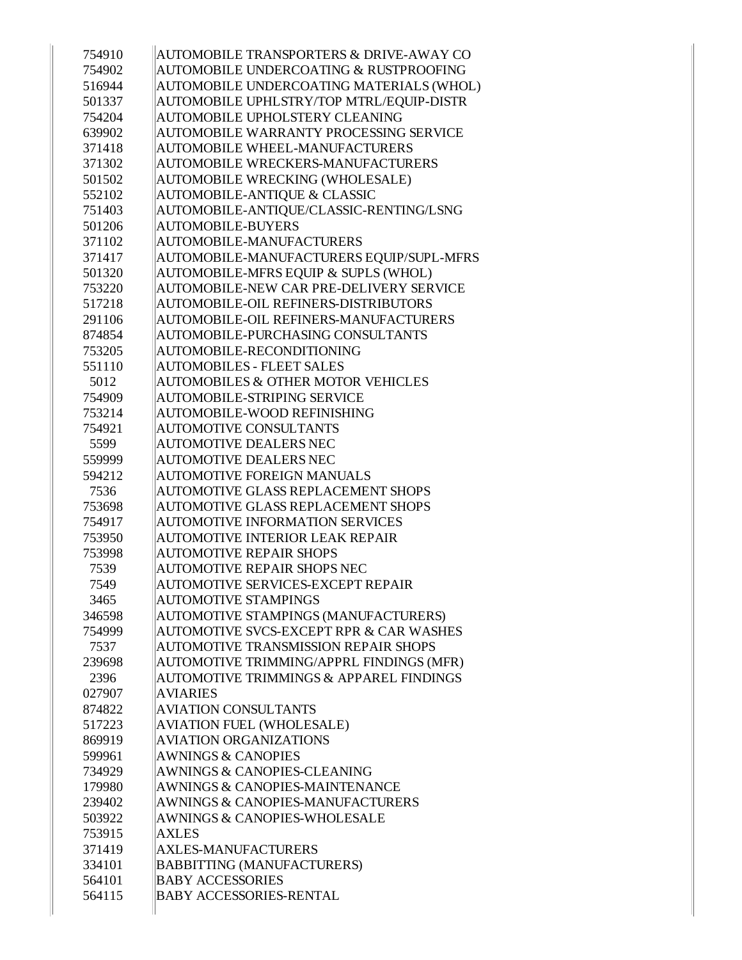| 754910 | <b>AUTOMOBILE TRANSPORTERS &amp; DRIVE-AWAY CO</b> |
|--------|----------------------------------------------------|
| 754902 | <b>AUTOMOBILE UNDERCOATING &amp; RUSTPROOFING</b>  |
| 516944 | AUTOMOBILE UNDERCOATING MATERIALS (WHOL)           |
| 501337 | AUTOMOBILE UPHLSTRY/TOP MTRL/EQUIP-DISTR           |
| 754204 | <b>AUTOMOBILE UPHOLSTERY CLEANING</b>              |
| 639902 | <b>AUTOMOBILE WARRANTY PROCESSING SERVICE</b>      |
| 371418 | <b>AUTOMOBILE WHEEL-MANUFACTURERS</b>              |
| 371302 | <b>AUTOMOBILE WRECKERS-MANUFACTURERS</b>           |
| 501502 | <b>AUTOMOBILE WRECKING (WHOLESALE)</b>             |
| 552102 | <b>AUTOMOBILE-ANTIQUE &amp; CLASSIC</b>            |
| 751403 | AUTOMOBILE-ANTIQUE/CLASSIC-RENTING/LSNG            |
| 501206 | <b>AUTOMOBILE-BUYERS</b>                           |
| 371102 | AUTOMOBILE-MANUFACTURERS                           |
| 371417 | AUTOMOBILE-MANUFACTURERS EQUIP/SUPL-MFRS           |
| 501320 | AUTOMOBILE-MFRS EQUIP & SUPLS (WHOL)               |
| 753220 | AUTOMOBILE-NEW CAR PRE-DELIVERY SERVICE            |
| 517218 | AUTOMOBILE-OIL REFINERS-DISTRIBUTORS               |
| 291106 | AUTOMOBILE-OIL REFINERS-MANUFACTURERS              |
| 874854 | AUTOMOBILE-PURCHASING CONSULTANTS                  |
| 753205 | AUTOMOBILE-RECONDITIONING                          |
| 551110 | <b>AUTOMOBILES - FLEET SALES</b>                   |
| 5012   | <b>AUTOMOBILES &amp; OTHER MOTOR VEHICLES</b>      |
| 754909 | <b>AUTOMOBILE-STRIPING SERVICE</b>                 |
| 753214 | AUTOMOBILE-WOOD REFINISHING                        |
| 754921 | <b>AUTOMOTIVE CONSULTANTS</b>                      |
| 5599   | <b>AUTOMOTIVE DEALERS NEC</b>                      |
| 559999 | <b>AUTOMOTIVE DEALERS NEC</b>                      |
| 594212 | <b>AUTOMOTIVE FOREIGN MANUALS</b>                  |
| 7536   | <b>AUTOMOTIVE GLASS REPLACEMENT SHOPS</b>          |
| 753698 | <b>AUTOMOTIVE GLASS REPLACEMENT SHOPS</b>          |
| 754917 | <b>AUTOMOTIVE INFORMATION SERVICES</b>             |
| 753950 | <b>AUTOMOTIVE INTERIOR LEAK REPAIR</b>             |
| 753998 | <b>AUTOMOTIVE REPAIR SHOPS</b>                     |
| 7539   | AUTOMOTIVE REPAIR SHOPS NEC                        |
| 7549   | <b>AUTOMOTIVE SERVICES-EXCEPT REPAIR</b>           |
| 3465   | <b>AUTOMOTIVE STAMPINGS</b>                        |
| 346598 | AUTOMOTIVE STAMPINGS (MANUFACTURERS)               |
| 754999 | AUTOMOTIVE SVCS-EXCEPT RPR & CAR WASHES            |
| 7537   | <b>AUTOMOTIVE TRANSMISSION REPAIR SHOPS</b>        |
| 239698 | AUTOMOTIVE TRIMMING/APPRL FINDINGS (MFR)           |
| 2396   | <b>AUTOMOTIVE TRIMMINGS &amp; APPAREL FINDINGS</b> |
| 027907 | <b>AVIARIES</b>                                    |
| 874822 | <b>AVIATION CONSULTANTS</b>                        |
| 517223 | <b>AVIATION FUEL (WHOLESALE)</b>                   |
| 869919 | <b>AVIATION ORGANIZATIONS</b>                      |
| 599961 | <b>AWNINGS &amp; CANOPIES</b>                      |
| 734929 | <b>AWNINGS &amp; CANOPIES-CLEANING</b>             |
| 179980 | AWNINGS & CANOPIES-MAINTENANCE                     |
| 239402 | AWNINGS & CANOPIES-MANUFACTURERS                   |
| 503922 | <b>AWNINGS &amp; CANOPIES-WHOLESALE</b>            |
| 753915 | <b>AXLES</b>                                       |
| 371419 | <b>AXLES-MANUFACTURERS</b>                         |
| 334101 | <b>BABBITTING (MANUFACTURERS)</b>                  |
| 564101 | <b>BABY ACCESSORIES</b>                            |
| 564115 | <b>BABY ACCESSORIES-RENTAL</b>                     |
|        |                                                    |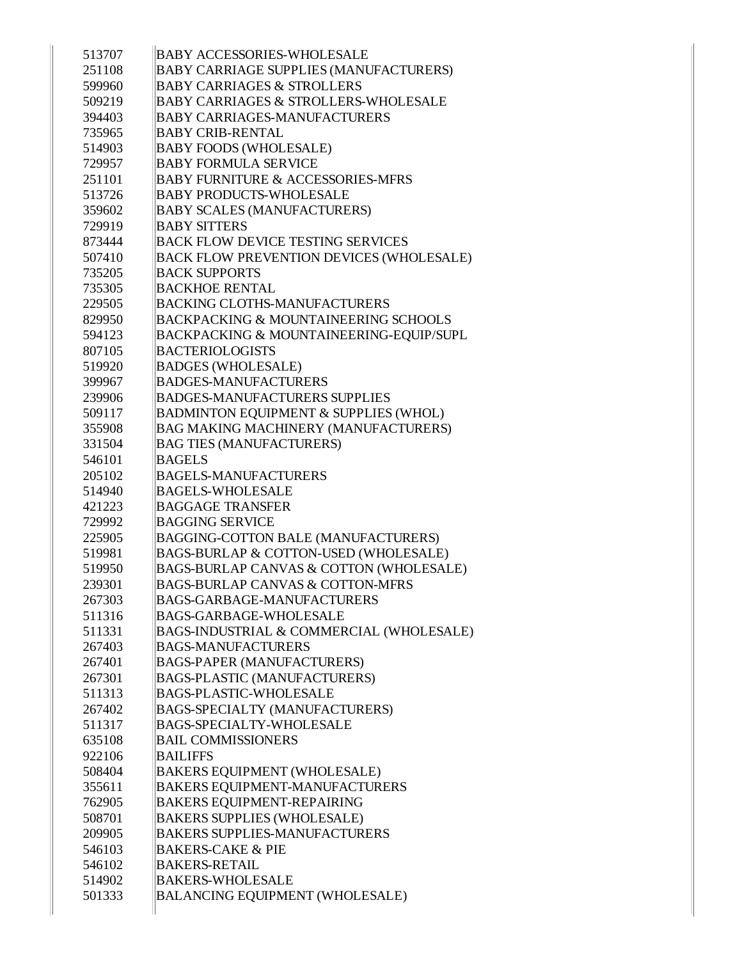| 513707           | <b>BABY ACCESSORIES-WHOLESALE</b>                                            |
|------------------|------------------------------------------------------------------------------|
| 251108           | <b>BABY CARRIAGE SUPPLIES (MANUFACTURERS)</b>                                |
| 599960           | <b>BABY CARRIAGES &amp; STROLLERS</b>                                        |
| 509219           | <b>BABY CARRIAGES &amp; STROLLERS-WHOLESALE</b>                              |
| 394403           | <b>BABY CARRIAGES-MANUFACTURERS</b>                                          |
| 735965           | <b>BABY CRIB-RENTAL</b>                                                      |
| 514903           | <b>BABY FOODS (WHOLESALE)</b>                                                |
| 729957           | <b>BABY FORMULA SERVICE</b>                                                  |
| 251101           | <b>BABY FURNITURE &amp; ACCESSORIES-MFRS</b>                                 |
| 513726           | <b>BABY PRODUCTS-WHOLESALE</b>                                               |
| 359602           | <b>BABY SCALES (MANUFACTURERS)</b>                                           |
| 729919           | <b>BABY SITTERS</b>                                                          |
| 873444           | <b>BACK FLOW DEVICE TESTING SERVICES</b>                                     |
| 507410           | <b>BACK FLOW PREVENTION DEVICES (WHOLESALE)</b>                              |
| 735205           | <b>BACK SUPPORTS</b>                                                         |
| 735305           | <b>BACKHOE RENTAL</b>                                                        |
| 229505           | BACKING CLOTHS-MANUFACTURERS                                                 |
| 829950           | <b>BACKPACKING &amp; MOUNTAINEERING SCHOOLS</b>                              |
| 594123           | BACKPACKING & MOUNTAINEERING-EQUIP/SUPL                                      |
| 807105           | <b>BACTERIOLOGISTS</b>                                                       |
| 519920           | <b>BADGES (WHOLESALE)</b>                                                    |
| 399967           | <b>BADGES-MANUFACTURERS</b>                                                  |
| 239906           | <b>BADGES-MANUFACTURERS SUPPLIES</b>                                         |
| 509117           | <b>BADMINTON EQUIPMENT &amp; SUPPLIES (WHOL)</b>                             |
| 355908           | <b>BAG MAKING MACHINERY (MANUFACTURERS)</b>                                  |
| 331504           | <b>BAG TIES (MANUFACTURERS)</b>                                              |
| 546101           | <b>BAGELS</b>                                                                |
| 205102           | <b>BAGELS-MANUFACTURERS</b>                                                  |
| 514940           | <b>BAGELS-WHOLESALE</b>                                                      |
| 421223           | <b>BAGGAGE TRANSFER</b><br><b>BAGGING SERVICE</b>                            |
| 729992<br>225905 |                                                                              |
| 519981           | BAGGING-COTTON BALE (MANUFACTURERS)<br>BAGS-BURLAP & COTTON-USED (WHOLESALE) |
| 519950           | BAGS-BURLAP CANVAS & COTTON (WHOLESALE)                                      |
| 239301           | <b>BAGS-BURLAP CANVAS &amp; COTTON-MFRS</b>                                  |
| 267303           | <b>BAGS-GARBAGE-MANUFACTURERS</b>                                            |
| 511316           | <b>BAGS-GARBAGE-WHOLESALE</b>                                                |
| 511331           | BAGS-INDUSTRIAL & COMMERCIAL (WHOLESALE)                                     |
| 267403           | <b>BAGS-MANUFACTURERS</b>                                                    |
| 267401           | <b>BAGS-PAPER (MANUFACTURERS)</b>                                            |
| 267301           | <b>BAGS-PLASTIC (MANUFACTURERS)</b>                                          |
| 511313           | <b>BAGS-PLASTIC-WHOLESALE</b>                                                |
| 267402           | <b>BAGS-SPECIALTY (MANUFACTURERS)</b>                                        |
| 511317           | <b>BAGS-SPECIALTY-WHOLESALE</b>                                              |
| 635108           | <b>BAIL COMMISSIONERS</b>                                                    |
| 922106           | <b>BAILIFFS</b>                                                              |
| 508404           | <b>BAKERS EQUIPMENT (WHOLESALE)</b>                                          |
| 355611           | <b>BAKERS EQUIPMENT-MANUFACTURERS</b>                                        |
| 762905           | <b>BAKERS EQUIPMENT-REPAIRING</b>                                            |
| 508701           | <b>BAKERS SUPPLIES (WHOLESALE)</b>                                           |
| 209905           | <b>BAKERS SUPPLIES-MANUFACTURERS</b>                                         |
| 546103           | <b>BAKERS-CAKE &amp; PIE</b>                                                 |
| 546102           | <b>BAKERS-RETAIL</b>                                                         |
| 514902           | <b>BAKERS-WHOLESALE</b>                                                      |
|                  |                                                                              |
| 501333           | <b>BALANCING EQUIPMENT (WHOLESALE)</b>                                       |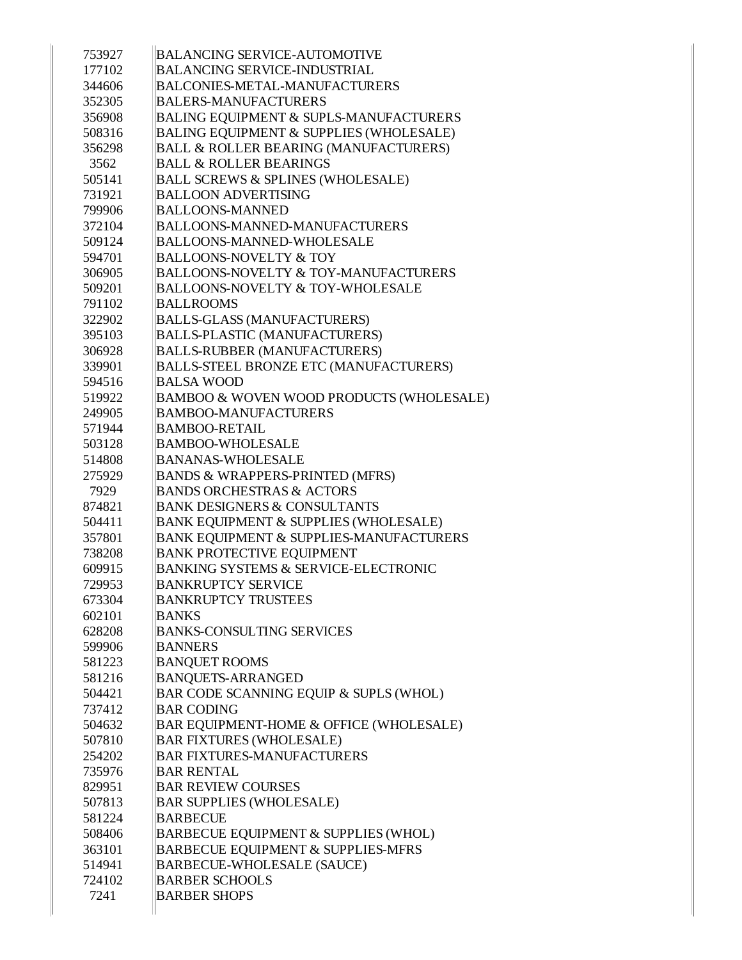| 753927 | <b>BALANCING SERVICE-AUTOMOTIVE</b>               |
|--------|---------------------------------------------------|
| 177102 | <b>BALANCING SERVICE-INDUSTRIAL</b>               |
| 344606 | <b>BALCONIES-METAL-MANUFACTURERS</b>              |
| 352305 | <b>BALERS-MANUFACTURERS</b>                       |
| 356908 | <b>BALING EQUIPMENT &amp; SUPLS-MANUFACTURERS</b> |
| 508316 | BALING EQUIPMENT & SUPPLIES (WHOLESALE)           |
| 356298 | <b>BALL &amp; ROLLER BEARING (MANUFACTURERS)</b>  |
| 3562   | <b>BALL &amp; ROLLER BEARINGS</b>                 |
| 505141 | <b>BALL SCREWS &amp; SPLINES (WHOLESALE)</b>      |
| 731921 | <b>BALLOON ADVERTISING</b>                        |
| 799906 | <b>BALLOONS-MANNED</b>                            |
| 372104 | <b>BALLOONS-MANNED-MANUFACTURERS</b>              |
| 509124 | <b>BALLOONS-MANNED-WHOLESALE</b>                  |
| 594701 | <b>BALLOONS-NOVELTY &amp; TOY</b>                 |
| 306905 | <b>BALLOONS-NOVELTY &amp; TOY-MANUFACTURERS</b>   |
| 509201 | <b>BALLOONS-NOVELTY &amp; TOY-WHOLESALE</b>       |
| 791102 | <b>BALLROOMS</b>                                  |
| 322902 | <b>BALLS-GLASS (MANUFACTURERS)</b>                |
| 395103 | <b>BALLS-PLASTIC (MANUFACTURERS)</b>              |
| 306928 | <b>BALLS-RUBBER (MANUFACTURERS)</b>               |
| 339901 | <b>BALLS-STEEL BRONZE ETC (MANUFACTURERS)</b>     |
| 594516 | <b>BALSA WOOD</b>                                 |
| 519922 | BAMBOO & WOVEN WOOD PRODUCTS (WHOLESALE)          |
| 249905 | <b>BAMBOO-MANUFACTURERS</b>                       |
| 571944 | <b>BAMBOO-RETAIL</b>                              |
| 503128 | <b>BAMBOO-WHOLESALE</b>                           |
| 514808 | <b>BANANAS-WHOLESALE</b>                          |
| 275929 | <b>BANDS &amp; WRAPPERS-PRINTED (MFRS)</b>        |
| 7929   | <b>BANDS ORCHESTRAS &amp; ACTORS</b>              |
| 874821 | <b>BANK DESIGNERS &amp; CONSULTANTS</b>           |
| 504411 | <b>BANK EQUIPMENT &amp; SUPPLIES (WHOLESALE)</b>  |
| 357801 | BANK EQUIPMENT & SUPPLIES-MANUFACTURERS           |
| 738208 | <b>BANK PROTECTIVE EQUIPMENT</b>                  |
| 609915 | <b>BANKING SYSTEMS &amp; SERVICE-ELECTRONIC</b>   |
| 729953 | <b>BANKRUPTCY SERVICE</b>                         |
| 673304 | <b>BANKRUPTCY TRUSTEES</b>                        |
| 602101 | <b>BANKS</b>                                      |
| 628208 | <b>BANKS-CONSULTING SERVICES</b>                  |
| 599906 | <b>BANNERS</b>                                    |
| 581223 | <b>BANQUET ROOMS</b>                              |
| 581216 | <b>BANQUETS-ARRANGED</b>                          |
| 504421 | BAR CODE SCANNING EQUIP & SUPLS (WHOL)            |
| 737412 | <b>BAR CODING</b>                                 |
| 504632 | BAR EQUIPMENT-HOME & OFFICE (WHOLESALE)           |
| 507810 | <b>BAR FIXTURES (WHOLESALE)</b>                   |
| 254202 | <b>BAR FIXTURES-MANUFACTURERS</b>                 |
| 735976 | <b>BAR RENTAL</b>                                 |
| 829951 | <b>BAR REVIEW COURSES</b>                         |
| 507813 | <b>BAR SUPPLIES (WHOLESALE)</b>                   |
| 581224 | <b>BARBECUE</b>                                   |
| 508406 | BARBECUE EQUIPMENT & SUPPLIES (WHOL)              |
| 363101 | <b>BARBECUE EQUIPMENT &amp; SUPPLIES-MFRS</b>     |
| 514941 | <b>BARBECUE-WHOLESALE (SAUCE)</b>                 |
| 724102 | <b>BARBER SCHOOLS</b>                             |
| 7241   | <b>BARBER SHOPS</b>                               |
|        |                                                   |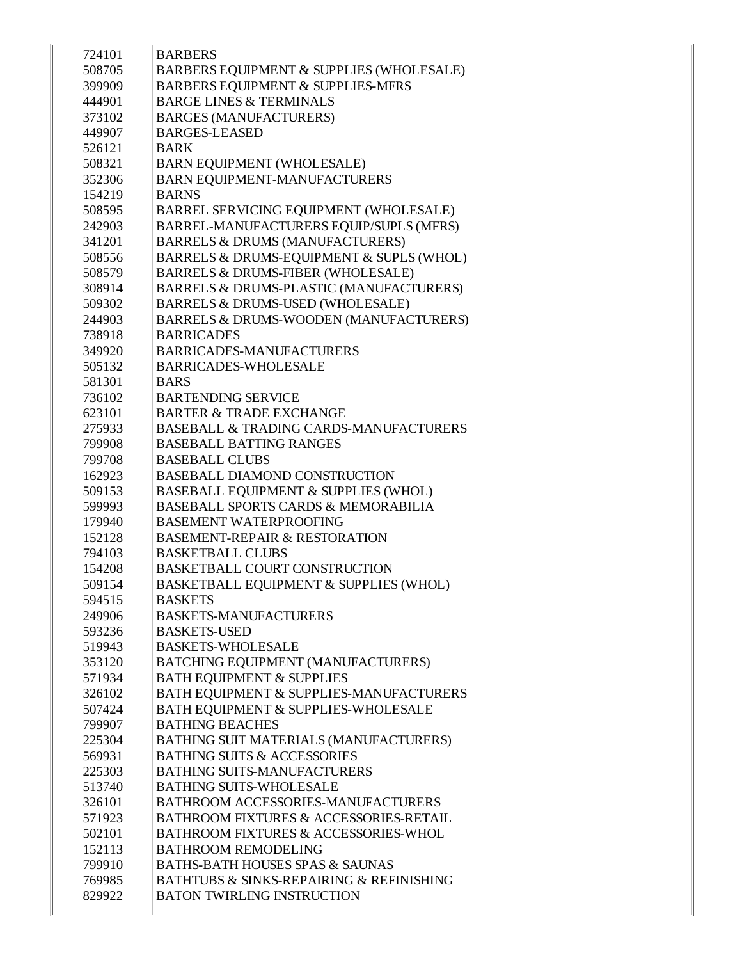| 724101 | <b>BARBERS</b>                                          |
|--------|---------------------------------------------------------|
| 508705 | BARBERS EQUIPMENT & SUPPLIES (WHOLESALE)                |
| 399909 | <b>BARBERS EQUIPMENT &amp; SUPPLIES-MFRS</b>            |
| 444901 | <b>BARGE LINES &amp; TERMINALS</b>                      |
|        |                                                         |
| 373102 | <b>BARGES (MANUFACTURERS)</b><br><b>BARGES-LEASED</b>   |
| 449907 |                                                         |
| 526121 | <b>BARK</b>                                             |
| 508321 | <b>BARN EQUIPMENT (WHOLESALE)</b>                       |
| 352306 | <b>BARN EQUIPMENT-MANUFACTURERS</b>                     |
| 154219 | <b>BARNS</b>                                            |
| 508595 | BARREL SERVICING EQUIPMENT (WHOLESALE)                  |
| 242903 | BARREL-MANUFACTURERS EQUIP/SUPLS (MFRS)                 |
| 341201 | <b>BARRELS &amp; DRUMS (MANUFACTURERS)</b>              |
| 508556 | BARRELS & DRUMS-EQUIPMENT & SUPLS (WHOL)                |
| 508579 | BARRELS & DRUMS-FIBER (WHOLESALE)                       |
| 308914 | <b>BARRELS &amp; DRUMS-PLASTIC (MANUFACTURERS)</b>      |
| 509302 | BARRELS & DRUMS-USED (WHOLESALE)                        |
| 244903 | <b>BARRELS &amp; DRUMS-WOODEN (MANUFACTURERS)</b>       |
| 738918 | <b>BARRICADES</b>                                       |
| 349920 | <b>BARRICADES-MANUFACTURERS</b>                         |
| 505132 | <b>BARRICADES-WHOLESALE</b>                             |
| 581301 | <b>BARS</b>                                             |
| 736102 | <b>BARTENDING SERVICE</b>                               |
| 623101 | <b>BARTER &amp; TRADE EXCHANGE</b>                      |
| 275933 | <b>BASEBALL &amp; TRADING CARDS-MANUFACTURERS</b>       |
| 799908 | <b>BASEBALL BATTING RANGES</b>                          |
| 799708 | <b>BASEBALL CLUBS</b>                                   |
| 162923 | <b>BASEBALL DIAMOND CONSTRUCTION</b>                    |
| 509153 | <b>BASEBALL EQUIPMENT &amp; SUPPLIES (WHOL)</b>         |
| 599993 | <b>BASEBALL SPORTS CARDS &amp; MEMORABILIA</b>          |
| 179940 | <b>BASEMENT WATERPROOFING</b>                           |
| 152128 | <b>BASEMENT-REPAIR &amp; RESTORATION</b>                |
| 794103 | <b>BASKETBALL CLUBS</b>                                 |
| 154208 | <b>BASKETBALL COURT CONSTRUCTION</b>                    |
| 509154 | BASKETBALL EQUIPMENT & SUPPLIES (WHOL)                  |
| 594515 | <b>BASKETS</b>                                          |
| 249906 | <b>BASKETS-MANUFACTURERS</b>                            |
| 593236 | <b>BASKETS-USED</b>                                     |
| 519943 | <b>BASKETS-WHOLESALE</b>                                |
| 353120 | BATCHING EQUIPMENT (MANUFACTURERS)                      |
| 571934 | <b>BATH EQUIPMENT &amp; SUPPLIES</b>                    |
| 326102 | BATH EQUIPMENT & SUPPLIES-MANUFACTURERS                 |
| 507424 | <b>BATH EQUIPMENT &amp; SUPPLIES-WHOLESALE</b>          |
| 799907 | <b>BATHING BEACHES</b>                                  |
| 225304 | BATHING SUIT MATERIALS (MANUFACTURERS)                  |
| 569931 | <b>BATHING SUITS &amp; ACCESSORIES</b>                  |
| 225303 | <b>BATHING SUITS-MANUFACTURERS</b>                      |
| 513740 | <b>BATHING SUITS-WHOLESALE</b>                          |
| 326101 | <b>BATHROOM ACCESSORIES-MANUFACTURERS</b>               |
| 571923 | <b>BATHROOM FIXTURES &amp; ACCESSORIES-RETAIL</b>       |
| 502101 | <b>BATHROOM FIXTURES &amp; ACCESSORIES-WHOL</b>         |
| 152113 | <b>BATHROOM REMODELING</b>                              |
| 799910 | <b>BATHS-BATH HOUSES SPAS &amp; SAUNAS</b>              |
| 769985 | <b>BATHTUBS &amp; SINKS-REPAIRING &amp; REFINISHING</b> |
| 829922 | <b>BATON TWIRLING INSTRUCTION</b>                       |
|        |                                                         |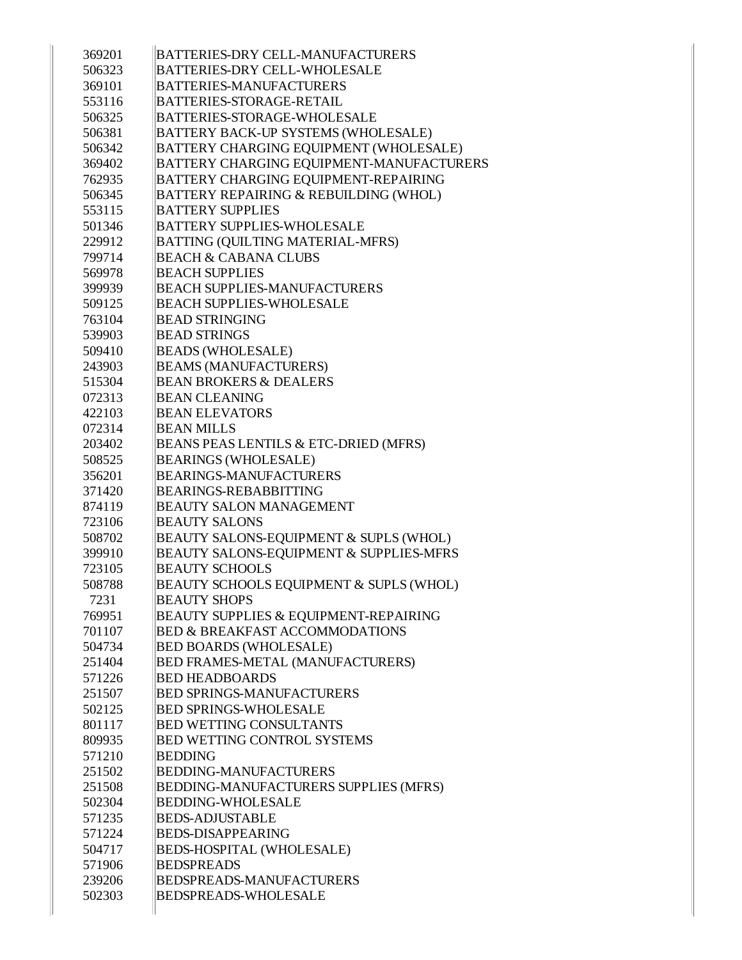| 369201 | <b>BATTERIES-DRY CELL-MANUFACTURERS</b>         |
|--------|-------------------------------------------------|
| 506323 | <b>BATTERIES-DRY CELL-WHOLESALE</b>             |
| 369101 | <b>BATTERIES-MANUFACTURERS</b>                  |
| 553116 | <b>BATTERIES-STORAGE-RETAIL</b>                 |
| 506325 | <b>BATTERIES-STORAGE-WHOLESALE</b>              |
| 506381 | <b>BATTERY BACK-UP SYSTEMS (WHOLESALE)</b>      |
| 506342 | BATTERY CHARGING EQUIPMENT (WHOLESALE)          |
| 369402 | <b>BATTERY CHARGING EQUIPMENT-MANUFACTURERS</b> |
| 762935 | BATTERY CHARGING EQUIPMENT-REPAIRING            |
| 506345 | BATTERY REPAIRING & REBUILDING (WHOL)           |
| 553115 | <b>BATTERY SUPPLIES</b>                         |
| 501346 | <b>BATTERY SUPPLIES-WHOLESALE</b>               |
| 229912 | <b>BATTING (QUILTING MATERIAL-MFRS)</b>         |
| 799714 | <b>BEACH &amp; CABANA CLUBS</b>                 |
| 569978 | <b>BEACH SUPPLIES</b>                           |
| 399939 | <b>BEACH SUPPLIES-MANUFACTURERS</b>             |
| 509125 | <b>BEACH SUPPLIES-WHOLESALE</b>                 |
| 763104 | <b>BEAD STRINGING</b>                           |
| 539903 | <b>BEAD STRINGS</b>                             |
| 509410 | <b>BEADS (WHOLESALE)</b>                        |
| 243903 | <b>BEAMS (MANUFACTURERS)</b>                    |
| 515304 | <b>BEAN BROKERS &amp; DEALERS</b>               |
| 072313 | <b>BEAN CLEANING</b>                            |
| 422103 | <b>BEAN ELEVATORS</b>                           |
| 072314 | <b>BEAN MILLS</b>                               |
| 203402 | BEANS PEAS LENTILS & ETC-DRIED (MFRS)           |
| 508525 | <b>BEARINGS (WHOLESALE)</b>                     |
| 356201 | <b>BEARINGS-MANUFACTURERS</b>                   |
| 371420 | <b>BEARINGS-REBABBITTING</b>                    |
| 874119 | <b>BEAUTY SALON MANAGEMENT</b>                  |
| 723106 | <b>BEAUTY SALONS</b>                            |
| 508702 | BEAUTY SALONS-EQUIPMENT & SUPLS (WHOL)          |
| 399910 | BEAUTY SALONS-EQUIPMENT & SUPPLIES-MFRS         |
| 723105 | <b>BEAUTY SCHOOLS</b>                           |
| 508788 | BEAUTY SCHOOLS EQUIPMENT & SUPLS (WHOL)         |
| 7231   | <b>BEAUTY SHOPS</b>                             |
| 769951 | BEAUTY SUPPLIES & EQUIPMENT-REPAIRING           |
| 701107 | <b>BED &amp; BREAKFAST ACCOMMODATIONS</b>       |
| 504734 | <b>BED BOARDS (WHOLESALE)</b>                   |
| 251404 | <b>BED FRAMES-METAL (MANUFACTURERS)</b>         |
| 571226 | <b>BED HEADBOARDS</b>                           |
| 251507 | <b>BED SPRINGS-MANUFACTURERS</b>                |
| 502125 | <b>BED SPRINGS-WHOLESALE</b>                    |
| 801117 | <b>BED WETTING CONSULTANTS</b>                  |
| 809935 | <b>BED WETTING CONTROL SYSTEMS</b>              |
| 571210 | <b>BEDDING</b>                                  |
| 251502 | <b>BEDDING-MANUFACTURERS</b>                    |
| 251508 | BEDDING-MANUFACTURERS SUPPLIES (MFRS)           |
| 502304 | <b>BEDDING-WHOLESALE</b>                        |
| 571235 | <b>BEDS-ADJUSTABLE</b>                          |
| 571224 | <b>BEDS-DISAPPEARING</b>                        |
| 504717 | <b>BEDS-HOSPITAL (WHOLESALE)</b>                |
| 571906 | <b>BEDSPREADS</b>                               |
| 239206 | <b>BEDSPREADS-MANUFACTURERS</b>                 |
| 502303 | <b>BEDSPREADS-WHOLESALE</b>                     |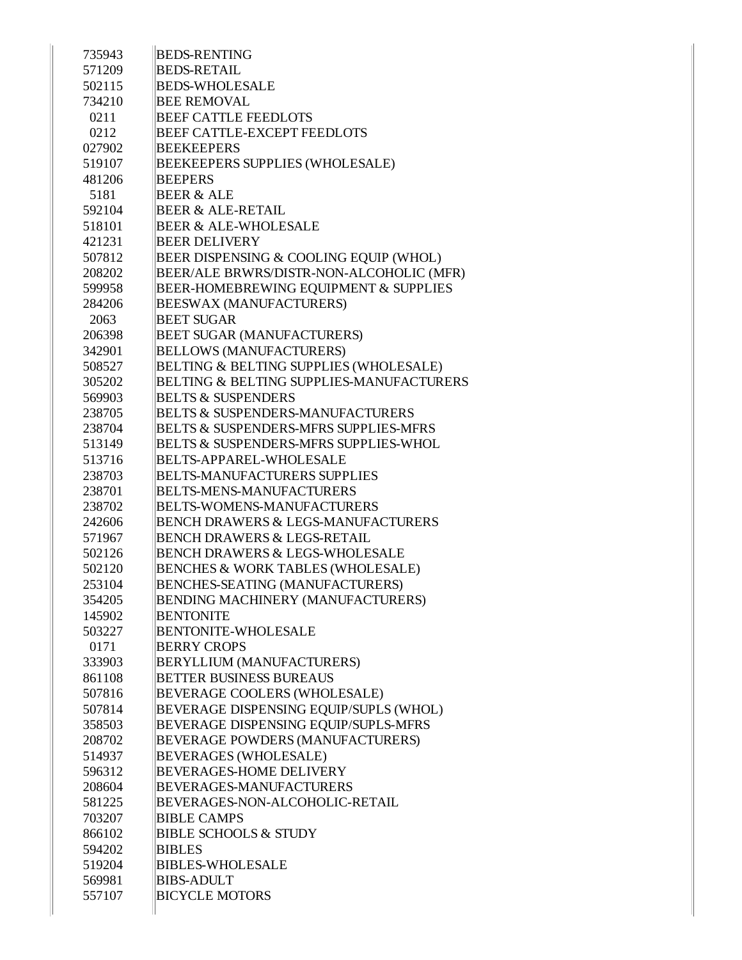| 735943 | <b>BEDS-RENTING</b>                                 |
|--------|-----------------------------------------------------|
| 571209 | <b>BEDS-RETAIL</b>                                  |
| 502115 | <b>BEDS-WHOLESALE</b>                               |
| 734210 | <b>BEE REMOVAL</b>                                  |
| 0211   | <b>BEEF CATTLE FEEDLOTS</b>                         |
| 0212   | <b>BEEF CATTLE-EXCEPT FEEDLOTS</b>                  |
| 027902 | <b>BEEKEEPERS</b>                                   |
| 519107 | <b>BEEKEEPERS SUPPLIES (WHOLESALE)</b>              |
| 481206 | <b>BEEPERS</b>                                      |
| 5181   | <b>BEER &amp; ALE</b>                               |
| 592104 | <b>BEER &amp; ALE-RETAIL</b>                        |
| 518101 | <b>BEER &amp; ALE-WHOLESALE</b>                     |
| 421231 | <b>BEER DELIVERY</b>                                |
| 507812 | BEER DISPENSING & COOLING EQUIP (WHOL)              |
| 208202 | BEER/ALE BRWRS/DISTR-NON-ALCOHOLIC (MFR)            |
| 599958 | BEER-HOMEBREWING EQUIPMENT & SUPPLIES               |
| 284206 | <b>BEESWAX (MANUFACTURERS)</b>                      |
| 2063   | <b>BEET SUGAR</b>                                   |
| 206398 | <b>BEET SUGAR (MANUFACTURERS)</b>                   |
| 342901 | <b>BELLOWS (MANUFACTURERS)</b>                      |
| 508527 | BELTING & BELTING SUPPLIES (WHOLESALE)              |
| 305202 | <b>BELTING &amp; BELTING SUPPLIES-MANUFACTURERS</b> |
| 569903 | <b>BELTS &amp; SUSPENDERS</b>                       |
| 238705 | <b>BELTS &amp; SUSPENDERS-MANUFACTURERS</b>         |
| 238704 | <b>BELTS &amp; SUSPENDERS-MFRS SUPPLIES-MFRS</b>    |
| 513149 | <b>BELTS &amp; SUSPENDERS-MFRS SUPPLIES-WHOL</b>    |
| 513716 | <b>BELTS-APPAREL-WHOLESALE</b>                      |
| 238703 | <b>BELTS-MANUFACTURERS SUPPLIES</b>                 |
| 238701 | <b>BELTS-MENS-MANUFACTURERS</b>                     |
| 238702 | <b>BELTS-WOMENS-MANUFACTURERS</b>                   |
| 242606 | <b>BENCH DRAWERS &amp; LEGS-MANUFACTURERS</b>       |
| 571967 | <b>BENCH DRAWERS &amp; LEGS-RETAIL</b>              |
| 502126 | <b>BENCH DRAWERS &amp; LEGS-WHOLESALE</b>           |
| 502120 | <b>BENCHES &amp; WORK TABLES (WHOLESALE)</b>        |
| 253104 | BENCHES-SEATING (MANUFACTURERS)                     |
| 354205 | <b>BENDING MACHINERY (MANUFACTURERS)</b>            |
| 145902 | <b>BENTONITE</b>                                    |
| 503227 | <b>BENTONITE-WHOLESALE</b>                          |
| 0171   | <b>BERRY CROPS</b>                                  |
| 333903 | <b>BERYLLIUM (MANUFACTURERS)</b>                    |
| 861108 | <b>BETTER BUSINESS BUREAUS</b>                      |
| 507816 | <b>BEVERAGE COOLERS (WHOLESALE)</b>                 |
| 507814 | BEVERAGE DISPENSING EQUIP/SUPLS (WHOL)              |
| 358503 | <b>BEVERAGE DISPENSING EQUIP/SUPLS-MFRS</b>         |
| 208702 | BEVERAGE POWDERS (MANUFACTURERS)                    |
| 514937 | <b>BEVERAGES (WHOLESALE)</b>                        |
| 596312 | <b>BEVERAGES-HOME DELIVERY</b>                      |
| 208604 | <b>BEVERAGES-MANUFACTURERS</b>                      |
| 581225 | BEVERAGES-NON-ALCOHOLIC-RETAIL                      |
| 703207 | <b>BIBLE CAMPS</b>                                  |
| 866102 | <b>BIBLE SCHOOLS &amp; STUDY</b>                    |
| 594202 | <b>BIBLES</b>                                       |
| 519204 | <b>BIBLES-WHOLESALE</b>                             |
| 569981 | <b>BIBS-ADULT</b>                                   |
| 557107 | <b>BICYCLE MOTORS</b>                               |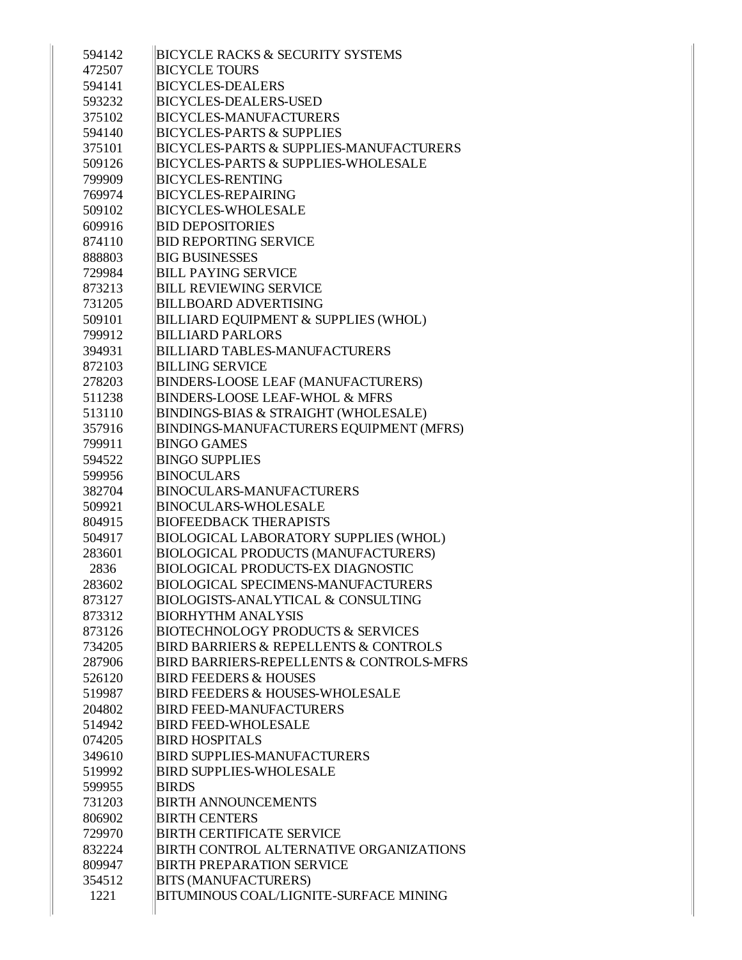| 594142         | <b>BICYCLE RACKS &amp; SECURITY SYSTEMS</b>                           |
|----------------|-----------------------------------------------------------------------|
| 472507         | <b>BICYCLE TOURS</b>                                                  |
| 594141         | <b>BICYCLES-DEALERS</b>                                               |
| 593232         | <b>BICYCLES-DEALERS-USED</b>                                          |
| 375102         | <b>BICYCLES-MANUFACTURERS</b>                                         |
| 594140         | <b>BICYCLES-PARTS &amp; SUPPLIES</b>                                  |
| 375101         | <b>BICYCLES-PARTS &amp; SUPPLIES-MANUFACTURERS</b>                    |
| 509126         | <b>BICYCLES-PARTS &amp; SUPPLIES-WHOLESALE</b>                        |
| 799909         | <b>BICYCLES-RENTING</b>                                               |
| 769974         | <b>BICYCLES-REPAIRING</b>                                             |
| 509102         | <b>BICYCLES-WHOLESALE</b>                                             |
| 609916         | <b>BID DEPOSITORIES</b>                                               |
| 874110         | <b>BID REPORTING SERVICE</b>                                          |
| 888803         | <b>BIG BUSINESSES</b>                                                 |
| 729984         | <b>BILL PAYING SERVICE</b>                                            |
| 873213         | <b>BILL REVIEWING SERVICE</b>                                         |
| 731205         | <b>BILLBOARD ADVERTISING</b>                                          |
| 509101         | BILLIARD EQUIPMENT & SUPPLIES (WHOL)                                  |
| 799912         | <b>BILLIARD PARLORS</b>                                               |
| 394931         | <b>BILLIARD TABLES-MANUFACTURERS</b>                                  |
| 872103         | <b>BILLING SERVICE</b>                                                |
| 278203         | BINDERS-LOOSE LEAF (MANUFACTURERS)                                    |
| 511238         | <b>BINDERS-LOOSE LEAF-WHOL &amp; MFRS</b>                             |
| 513110         | BINDINGS-BIAS & STRAIGHT (WHOLESALE)                                  |
| 357916         | BINDINGS-MANUFACTURERS EQUIPMENT (MFRS)                               |
| 799911         | <b>BINGO GAMES</b>                                                    |
| 594522         | <b>BINGO SUPPLIES</b>                                                 |
| 599956         | <b>BINOCULARS</b>                                                     |
| 382704         | <b>BINOCULARS-MANUFACTURERS</b>                                       |
| 509921         | <b>BINOCULARS-WHOLESALE</b>                                           |
| 804915         | <b>BIOFEEDBACK THERAPISTS</b>                                         |
| 504917         | <b>BIOLOGICAL LABORATORY SUPPLIES (WHOL)</b>                          |
| 283601         | <b>BIOLOGICAL PRODUCTS (MANUFACTURERS)</b>                            |
| 2836           | <b>BIOLOGICAL PRODUCTS-EX DIAGNOSTIC</b>                              |
| 283602         | <b>BIOLOGICAL SPECIMENS-MANUFACTURERS</b>                             |
| 873127         | <b>BIOLOGISTS-ANALYTICAL &amp; CONSULTING</b>                         |
| 873312         | <b>BIORHYTHM ANALYSIS</b>                                             |
| 873126         | <b>BIOTECHNOLOGY PRODUCTS &amp; SERVICES</b>                          |
| 734205         | <b>BIRD BARRIERS &amp; REPELLENTS &amp; CONTROLS</b>                  |
| 287906         | <b>BIRD BARRIERS-REPELLENTS &amp; CONTROLS-MFRS</b>                   |
| 526120         | <b>BIRD FEEDERS &amp; HOUSES</b>                                      |
| 519987         | <b>BIRD FEEDERS &amp; HOUSES-WHOLESALE</b>                            |
| 204802         | <b>BIRD FEED-MANUFACTURERS</b>                                        |
| 514942         | <b>BIRD FEED-WHOLESALE</b>                                            |
| 074205         | <b>BIRD HOSPITALS</b>                                                 |
| 349610         | <b>BIRD SUPPLIES-MANUFACTURERS</b>                                    |
| 519992         | <b>BIRD SUPPLIES-WHOLESALE</b>                                        |
| 599955         |                                                                       |
|                |                                                                       |
|                | <b>BIRDS</b>                                                          |
| 731203         | <b>BIRTH ANNOUNCEMENTS</b>                                            |
| 806902         | <b>BIRTH CENTERS</b>                                                  |
| 729970         | <b>BIRTH CERTIFICATE SERVICE</b>                                      |
| 832224         | <b>BIRTH CONTROL ALTERNATIVE ORGANIZATIONS</b>                        |
| 809947         | <b>BIRTH PREPARATION SERVICE</b>                                      |
| 354512<br>1221 | <b>BITS (MANUFACTURERS)</b><br>BITUMINOUS COAL/LIGNITE-SURFACE MINING |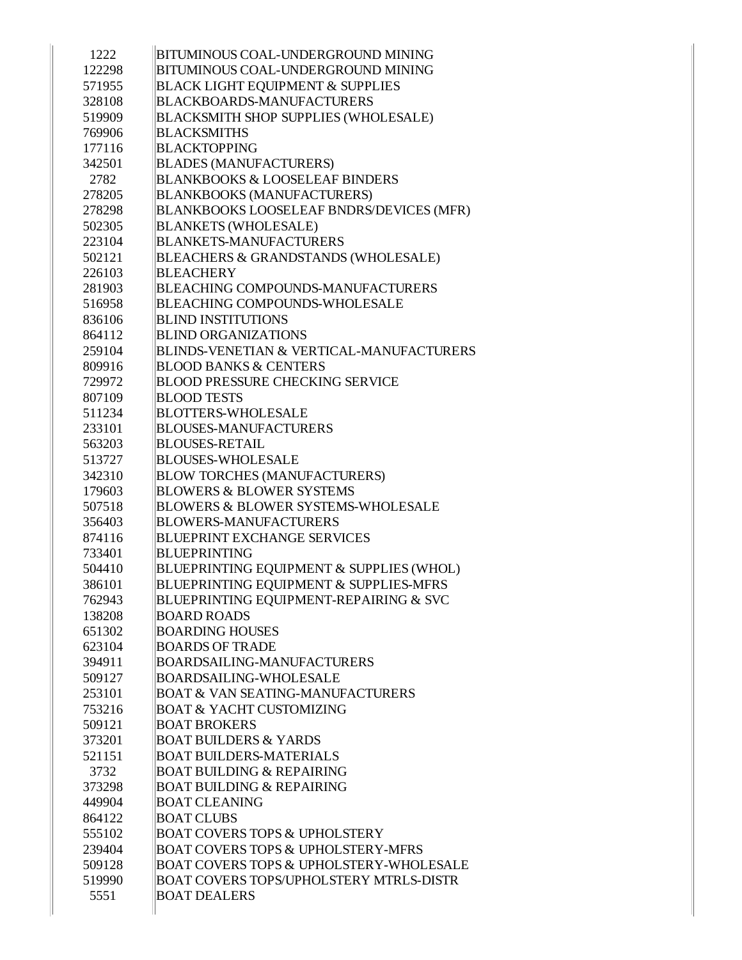| <b>BITUMINOUS COAL-UNDERGROUND MINING</b>          |
|----------------------------------------------------|
| <b>BITUMINOUS COAL-UNDERGROUND MINING</b>          |
| <b>BLACK LIGHT EQUIPMENT &amp; SUPPLIES</b>        |
| <b>BLACKBOARDS-MANUFACTURERS</b>                   |
| <b>BLACKSMITH SHOP SUPPLIES (WHOLESALE)</b>        |
| <b>BLACKSMITHS</b>                                 |
| <b>BLACKTOPPING</b>                                |
| <b>BLADES (MANUFACTURERS)</b>                      |
| <b>BLANKBOOKS &amp; LOOSELEAF BINDERS</b>          |
| <b>BLANKBOOKS (MANUFACTURERS)</b>                  |
| BLANKBOOKS LOOSELEAF BNDRS/DEVICES (MFR)           |
| <b>BLANKETS (WHOLESALE)</b>                        |
| <b>BLANKETS-MANUFACTURERS</b>                      |
| BLEACHERS & GRANDSTANDS (WHOLESALE)                |
| <b>BLEACHERY</b>                                   |
| <b>BLEACHING COMPOUNDS-MANUFACTURERS</b>           |
| <b>BLEACHING COMPOUNDS-WHOLESALE</b>               |
| <b>BLIND INSTITUTIONS</b>                          |
| <b>BLIND ORGANIZATIONS</b>                         |
| BLINDS-VENETIAN & VERTICAL-MANUFACTURERS           |
| <b>BLOOD BANKS &amp; CENTERS</b>                   |
| <b>BLOOD PRESSURE CHECKING SERVICE</b>             |
| <b>BLOOD TESTS</b>                                 |
| <b>BLOTTERS-WHOLESALE</b>                          |
| <b>BLOUSES-MANUFACTURERS</b>                       |
| <b>BLOUSES-RETAIL</b>                              |
| <b>BLOUSES-WHOLESALE</b>                           |
| <b>BLOW TORCHES (MANUFACTURERS)</b>                |
| <b>BLOWERS &amp; BLOWER SYSTEMS</b>                |
| <b>BLOWERS &amp; BLOWER SYSTEMS-WHOLESALE</b>      |
| <b>BLOWERS-MANUFACTURERS</b>                       |
| <b>BLUEPRINT EXCHANGE SERVICES</b>                 |
| <b>BLUEPRINTING</b>                                |
| BLUEPRINTING EQUIPMENT & SUPPLIES (WHOL)           |
| BLUEPRINTING EQUIPMENT & SUPPLIES-MFRS             |
| BLUEPRINTING EQUIPMENT-REPAIRING & SVC             |
| <b>BOARD ROADS</b>                                 |
| <b>BOARDING HOUSES</b>                             |
| <b>BOARDS OF TRADE</b>                             |
| <b>BOARDSAILING-MANUFACTURERS</b>                  |
| <b>BOARDSAILING-WHOLESALE</b>                      |
| <b>BOAT &amp; VAN SEATING-MANUFACTURERS</b>        |
| <b>BOAT &amp; YACHT CUSTOMIZING</b>                |
| <b>BOAT BROKERS</b>                                |
| <b>BOAT BUILDERS &amp; YARDS</b>                   |
| <b>BOAT BUILDERS-MATERIALS</b>                     |
| <b>BOAT BUILDING &amp; REPAIRING</b>               |
| <b>BOAT BUILDING &amp; REPAIRING</b>               |
| <b>BOAT CLEANING</b>                               |
| <b>BOAT CLUBS</b>                                  |
| <b>BOAT COVERS TOPS &amp; UPHOLSTERY</b>           |
| <b>BOAT COVERS TOPS &amp; UPHOLSTERY-MFRS</b>      |
| <b>BOAT COVERS TOPS &amp; UPHOLSTERY-WHOLESALE</b> |
| <b>BOAT COVERS TOPS/UPHOLSTERY MTRLS-DISTR</b>     |
| <b>BOAT DEALERS</b>                                |
|                                                    |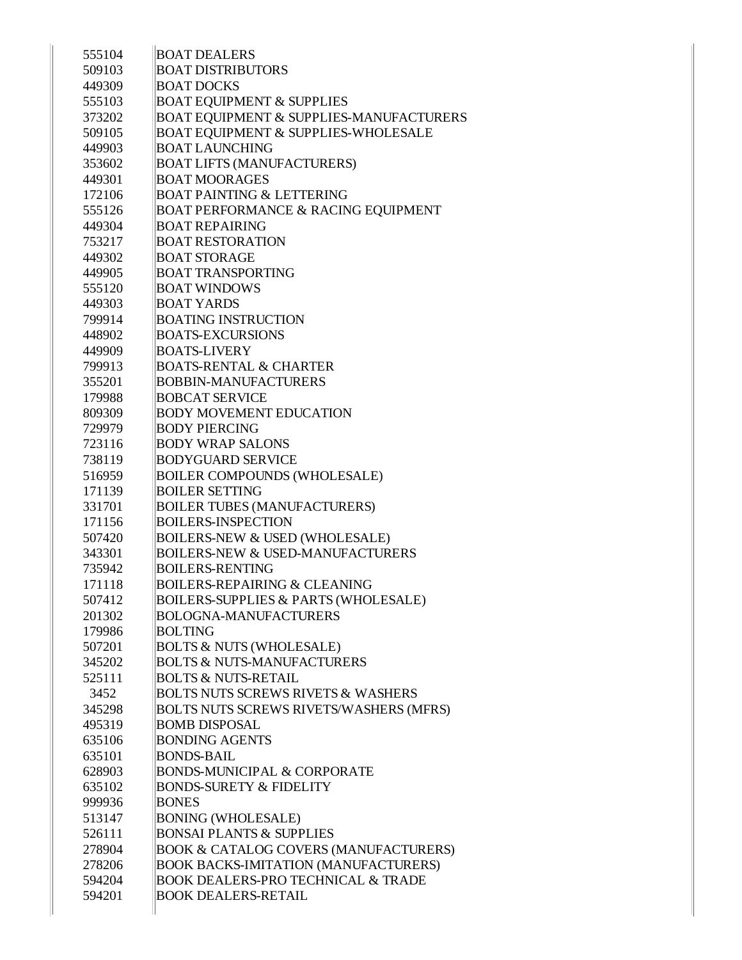| 555104           | <b>BOAT DEALERS</b>                                                          |
|------------------|------------------------------------------------------------------------------|
| 509103           | <b>BOAT DISTRIBUTORS</b>                                                     |
| 449309           | <b>BOAT DOCKS</b>                                                            |
| 555103           | <b>BOAT EQUIPMENT &amp; SUPPLIES</b>                                         |
| 373202           | BOAT EQUIPMENT & SUPPLIES-MANUFACTURERS                                      |
| 509105           | <b>BOAT EQUIPMENT &amp; SUPPLIES-WHOLESALE</b>                               |
| 449903           | <b>BOAT LAUNCHING</b>                                                        |
| 353602           | <b>BOAT LIFTS (MANUFACTURERS)</b>                                            |
| 449301           | <b>BOAT MOORAGES</b>                                                         |
| 172106           | <b>BOAT PAINTING &amp; LETTERING</b>                                         |
| 555126           | <b>BOAT PERFORMANCE &amp; RACING EQUIPMENT</b>                               |
| 449304           | <b>BOAT REPAIRING</b>                                                        |
| 753217           | <b>BOAT RESTORATION</b>                                                      |
| 449302           | <b>BOAT STORAGE</b>                                                          |
| 449905           | <b>BOAT TRANSPORTING</b>                                                     |
| 555120           | <b>BOAT WINDOWS</b>                                                          |
| 449303           | <b>BOAT YARDS</b>                                                            |
| 799914           | <b>BOATING INSTRUCTION</b>                                                   |
| 448902           | <b>BOATS-EXCURSIONS</b>                                                      |
| 449909           | <b>BOATS-LIVERY</b>                                                          |
| 799913           | <b>BOATS-RENTAL &amp; CHARTER</b>                                            |
| 355201           | <b>BOBBIN-MANUFACTURERS</b>                                                  |
| 179988           | <b>BOBCAT SERVICE</b>                                                        |
| 809309           | <b>BODY MOVEMENT EDUCATION</b>                                               |
| 729979           | <b>BODY PIERCING</b>                                                         |
| 723116           | <b>BODY WRAP SALONS</b>                                                      |
| 738119           | <b>BODYGUARD SERVICE</b>                                                     |
| 516959           | <b>BOILER COMPOUNDS (WHOLESALE)</b>                                          |
| 171139           | <b>BOILER SETTING</b>                                                        |
| 331701           | <b>BOILER TUBES (MANUFACTURERS)</b>                                          |
| 171156           | <b>BOILERS-INSPECTION</b>                                                    |
| 507420           | <b>BOILERS-NEW &amp; USED (WHOLESALE)</b>                                    |
| 343301           | <b>BOILERS-NEW &amp; USED-MANUFACTURERS</b>                                  |
| 735942           | <b>BOILERS-RENTING</b>                                                       |
| 171118           | <b>BOILERS-REPAIRING &amp; CLEANING</b>                                      |
| 507412           | <b>BOILERS-SUPPLIES &amp; PARTS (WHOLESALE)</b>                              |
| 201302           | <b>BOLOGNA-MANUFACTURERS</b>                                                 |
| 179986           | <b>BOLTING</b>                                                               |
|                  |                                                                              |
| 507201           | <b>BOLTS &amp; NUTS (WHOLESALE)</b><br><b>BOLTS &amp; NUTS-MANUFACTURERS</b> |
| 345202<br>525111 | <b>BOLTS &amp; NUTS-RETAIL</b>                                               |
| 3452             | <b>BOLTS NUTS SCREWS RIVETS &amp; WASHERS</b>                                |
|                  |                                                                              |
| 345298<br>495319 | <b>BOLTS NUTS SCREWS RIVETS/WASHERS (MFRS)</b>                               |
|                  | <b>BOMB DISPOSAL</b>                                                         |
| 635106           | <b>BONDING AGENTS</b>                                                        |
| 635101           | <b>BONDS-BAIL</b>                                                            |
| 628903           | <b>BONDS-MUNICIPAL &amp; CORPORATE</b>                                       |
| 635102           | <b>BONDS-SURETY &amp; FIDELITY</b>                                           |
| 999936           | <b>BONES</b>                                                                 |
| 513147           | <b>BONING (WHOLESALE)</b>                                                    |
| 526111           | <b>BONSAI PLANTS &amp; SUPPLIES</b>                                          |
| 278904           | <b>BOOK &amp; CATALOG COVERS (MANUFACTURERS)</b>                             |
| 278206           | <b>BOOK BACKS-IMITATION (MANUFACTURERS)</b>                                  |
| 594204           | <b>BOOK DEALERS-PRO TECHNICAL &amp; TRADE</b>                                |
| 594201           | <b>BOOK DEALERS-RETAIL</b>                                                   |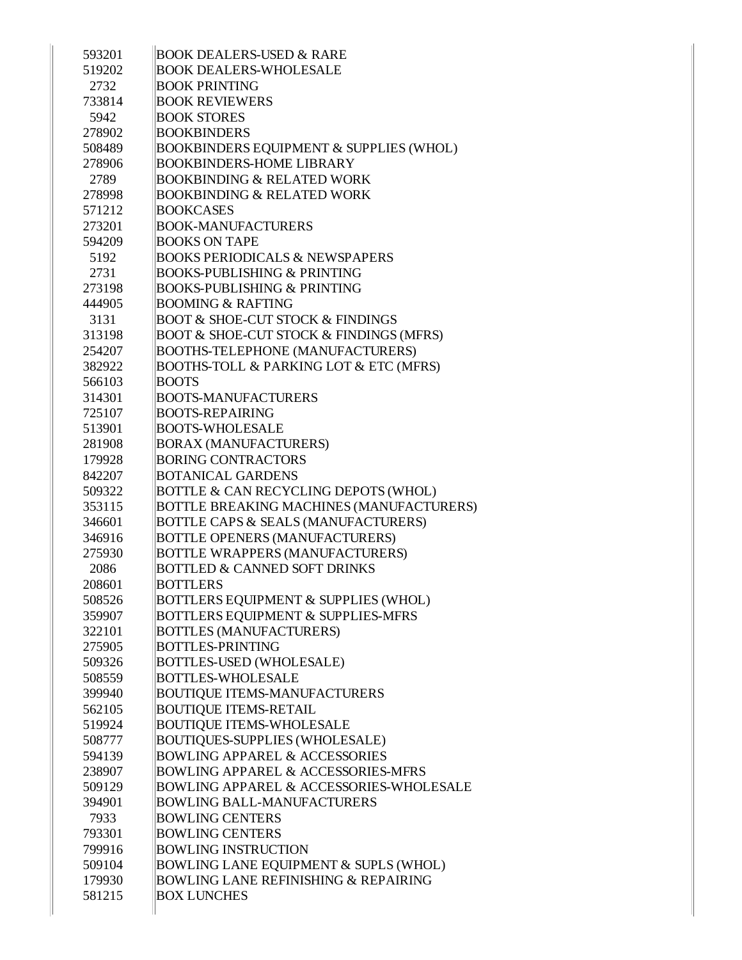| 593201 | <b>BOOK DEALERS-USED &amp; RARE</b>                    |
|--------|--------------------------------------------------------|
| 519202 | <b>BOOK DEALERS-WHOLESALE</b>                          |
| 2732   | <b>BOOK PRINTING</b>                                   |
| 733814 | <b>BOOK REVIEWERS</b>                                  |
| 5942   | <b>BOOK STORES</b>                                     |
| 278902 | <b>BOOKBINDERS</b>                                     |
| 508489 | <b>BOOKBINDERS EQUIPMENT &amp; SUPPLIES (WHOL)</b>     |
| 278906 | <b>BOOKBINDERS-HOME LIBRARY</b>                        |
| 2789   | <b>BOOKBINDING &amp; RELATED WORK</b>                  |
| 278998 | <b>BOOKBINDING &amp; RELATED WORK</b>                  |
| 571212 | <b>BOOKCASES</b>                                       |
| 273201 | <b>BOOK-MANUFACTURERS</b>                              |
| 594209 | <b>BOOKS ON TAPE</b>                                   |
| 5192   | <b>BOOKS PERIODICALS &amp; NEWSPAPERS</b>              |
| 2731   | <b>BOOKS-PUBLISHING &amp; PRINTING</b>                 |
| 273198 | <b>BOOKS-PUBLISHING &amp; PRINTING</b>                 |
| 444905 | <b>BOOMING &amp; RAFTING</b>                           |
| 3131   | <b>BOOT &amp; SHOE-CUT STOCK &amp; FINDINGS</b>        |
| 313198 | <b>BOOT &amp; SHOE-CUT STOCK &amp; FINDINGS (MFRS)</b> |
| 254207 | <b>BOOTHS-TELEPHONE (MANUFACTURERS)</b>                |
| 382922 | <b>BOOTHS-TOLL &amp; PARKING LOT &amp; ETC (MFRS)</b>  |
| 566103 | <b>BOOTS</b>                                           |
| 314301 | <b>BOOTS-MANUFACTURERS</b>                             |
| 725107 | <b>BOOTS-REPAIRING</b>                                 |
| 513901 | <b>BOOTS-WHOLESALE</b>                                 |
| 281908 | <b>BORAX (MANUFACTURERS)</b>                           |
| 179928 | <b>BORING CONTRACTORS</b>                              |
| 842207 | <b>BOTANICAL GARDENS</b>                               |
| 509322 | BOTTLE & CAN RECYCLING DEPOTS (WHOL)                   |
| 353115 | BOTTLE BREAKING MACHINES (MANUFACTURERS)               |
| 346601 | BOTTLE CAPS & SEALS (MANUFACTURERS)                    |
| 346916 | BOTTLE OPENERS (MANUFACTURERS)                         |
| 275930 | <b>BOTTLE WRAPPERS (MANUFACTURERS)</b>                 |
| 2086   | <b>BOTTLED &amp; CANNED SOFT DRINKS</b>                |
| 208601 | <b>BOTTLERS</b>                                        |
| 508526 | BOTTLERS EQUIPMENT & SUPPLIES (WHOL)                   |
| 359907 | <b>BOTTLERS EQUIPMENT &amp; SUPPLIES-MFRS</b>          |
| 322101 | <b>BOTTLES (MANUFACTURERS)</b>                         |
| 275905 | <b>BOTTLES-PRINTING</b>                                |
| 509326 | <b>BOTTLES-USED (WHOLESALE)</b>                        |
| 508559 | <b>BOTTLES-WHOLESALE</b>                               |
| 399940 | <b>BOUTIQUE ITEMS-MANUFACTURERS</b>                    |
| 562105 | <b>BOUTIQUE ITEMS-RETAIL</b>                           |
| 519924 | <b>BOUTIQUE ITEMS-WHOLESALE</b>                        |
| 508777 | <b>BOUTIQUES-SUPPLIES (WHOLESALE)</b>                  |
| 594139 | <b>BOWLING APPAREL &amp; ACCESSORIES</b>               |
| 238907 | <b>BOWLING APPAREL &amp; ACCESSORIES-MFRS</b>          |
| 509129 | <b>BOWLING APPAREL &amp; ACCESSORIES-WHOLESALE</b>     |
| 394901 | <b>BOWLING BALL-MANUFACTURERS</b>                      |
| 7933   | <b>BOWLING CENTERS</b>                                 |
| 793301 | <b>BOWLING CENTERS</b>                                 |
| 799916 | <b>BOWLING INSTRUCTION</b>                             |
| 509104 | BOWLING LANE EQUIPMENT & SUPLS (WHOL)                  |
| 179930 | <b>BOWLING LANE REFINISHING &amp; REPAIRING</b>        |
| 581215 | <b>BOX LUNCHES</b>                                     |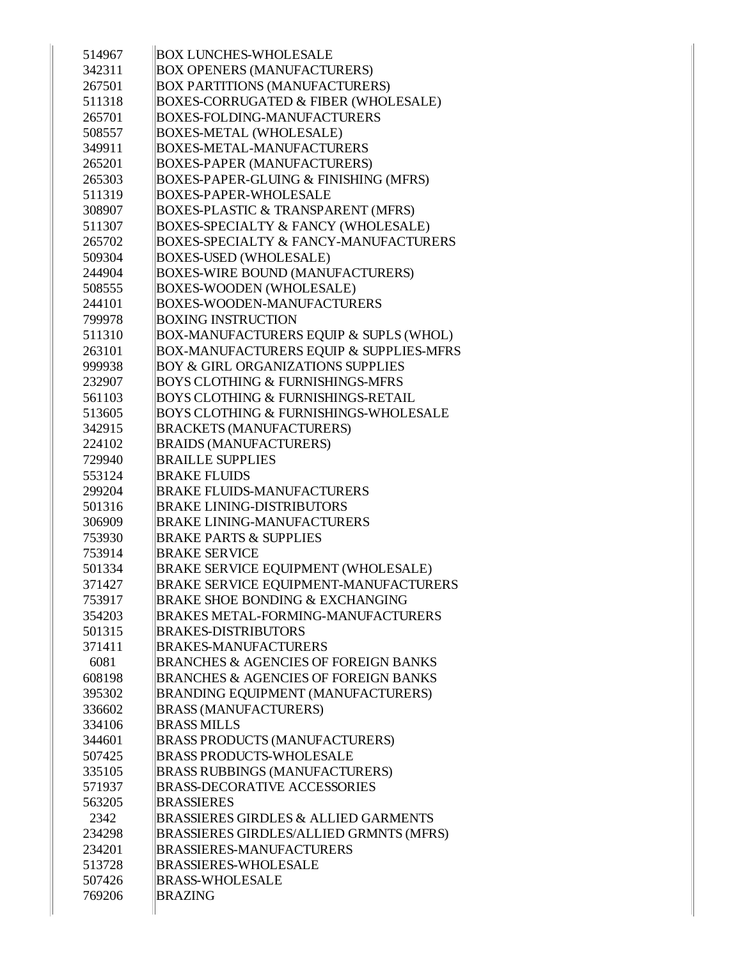| 514967 | <b>BOX LUNCHES-WHOLESALE</b>                       |
|--------|----------------------------------------------------|
| 342311 | <b>BOX OPENERS (MANUFACTURERS)</b>                 |
| 267501 | <b>BOX PARTITIONS (MANUFACTURERS)</b>              |
| 511318 | <b>BOXES-CORRUGATED &amp; FIBER (WHOLESALE)</b>    |
| 265701 | <b>BOXES-FOLDING-MANUFACTURERS</b>                 |
| 508557 | <b>BOXES-METAL (WHOLESALE)</b>                     |
| 349911 | <b>BOXES-METAL-MANUFACTURERS</b>                   |
| 265201 | <b>BOXES-PAPER (MANUFACTURERS)</b>                 |
| 265303 | BOXES-PAPER-GLUING & FINISHING (MFRS)              |
| 511319 | <b>BOXES-PAPER-WHOLESALE</b>                       |
| 308907 | <b>BOXES-PLASTIC &amp; TRANSPARENT (MFRS)</b>      |
| 511307 | <b>BOXES-SPECIALTY &amp; FANCY (WHOLESALE)</b>     |
| 265702 | <b>BOXES-SPECIALTY &amp; FANCY-MANUFACTURERS</b>   |
| 509304 | <b>BOXES-USED (WHOLESALE)</b>                      |
| 244904 | <b>BOXES-WIRE BOUND (MANUFACTURERS)</b>            |
| 508555 | <b>BOXES-WOODEN (WHOLESALE)</b>                    |
| 244101 | <b>BOXES-WOODEN-MANUFACTURERS</b>                  |
| 799978 | <b>BOXING INSTRUCTION</b>                          |
| 511310 | BOX-MANUFACTURERS EQUIP & SUPLS (WHOL)             |
| 263101 | <b>BOX-MANUFACTURERS EQUIP &amp; SUPPLIES-MFRS</b> |
| 999938 | <b>BOY &amp; GIRL ORGANIZATIONS SUPPLIES</b>       |
| 232907 | <b>BOYS CLOTHING &amp; FURNISHINGS-MFRS</b>        |
| 561103 | <b>BOYS CLOTHING &amp; FURNISHINGS-RETAIL</b>      |
| 513605 | <b>BOYS CLOTHING &amp; FURNISHINGS-WHOLESALE</b>   |
| 342915 | <b>BRACKETS (MANUFACTURERS)</b>                    |
| 224102 | <b>BRAIDS (MANUFACTURERS)</b>                      |
| 729940 | <b>BRAILLE SUPPLIES</b>                            |
| 553124 | <b>BRAKE FLUIDS</b>                                |
| 299204 | <b>BRAKE FLUIDS-MANUFACTURERS</b>                  |
| 501316 | <b>BRAKE LINING-DISTRIBUTORS</b>                   |
| 306909 | <b>BRAKE LINING-MANUFACTURERS</b>                  |
| 753930 | <b>BRAKE PARTS &amp; SUPPLIES</b>                  |
| 753914 | <b>BRAKE SERVICE</b>                               |
| 501334 | BRAKE SERVICE EQUIPMENT (WHOLESALE)                |
| 371427 | <b>BRAKE SERVICE EQUIPMENT-MANUFACTURERS</b>       |
| 753917 | <b>BRAKE SHOE BONDING &amp; EXCHANGING</b>         |
| 354203 | <b>BRAKES METAL-FORMING-MANUFACTURERS</b>          |
| 501315 | <b>BRAKES-DISTRIBUTORS</b>                         |
| 371411 | <b>BRAKES-MANUFACTURERS</b>                        |
| 6081   | <b>BRANCHES &amp; AGENCIES OF FOREIGN BANKS</b>    |
| 608198 | <b>BRANCHES &amp; AGENCIES OF FOREIGN BANKS</b>    |
| 395302 | <b>BRANDING EQUIPMENT (MANUFACTURERS)</b>          |
| 336602 | <b>BRASS (MANUFACTURERS)</b>                       |
| 334106 | <b>BRASS MILLS</b>                                 |
| 344601 | <b>BRASS PRODUCTS (MANUFACTURERS)</b>              |
| 507425 | <b>BRASS PRODUCTS-WHOLESALE</b>                    |
| 335105 | <b>BRASS RUBBINGS (MANUFACTURERS)</b>              |
| 571937 | <b>BRASS-DECORATIVE ACCESSORIES</b>                |
| 563205 | <b>BRASSIERES</b>                                  |
| 2342   | <b>BRASSIERES GIRDLES &amp; ALLIED GARMENTS</b>    |
| 234298 | BRASSIERES GIRDLES/ALLIED GRMNTS (MFRS)            |
| 234201 | <b>BRASSIERES-MANUFACTURERS</b>                    |
| 513728 | <b>BRASSIERES-WHOLESALE</b>                        |
| 507426 | <b>BRASS-WHOLESALE</b>                             |
| 769206 | <b>BRAZING</b>                                     |
|        |                                                    |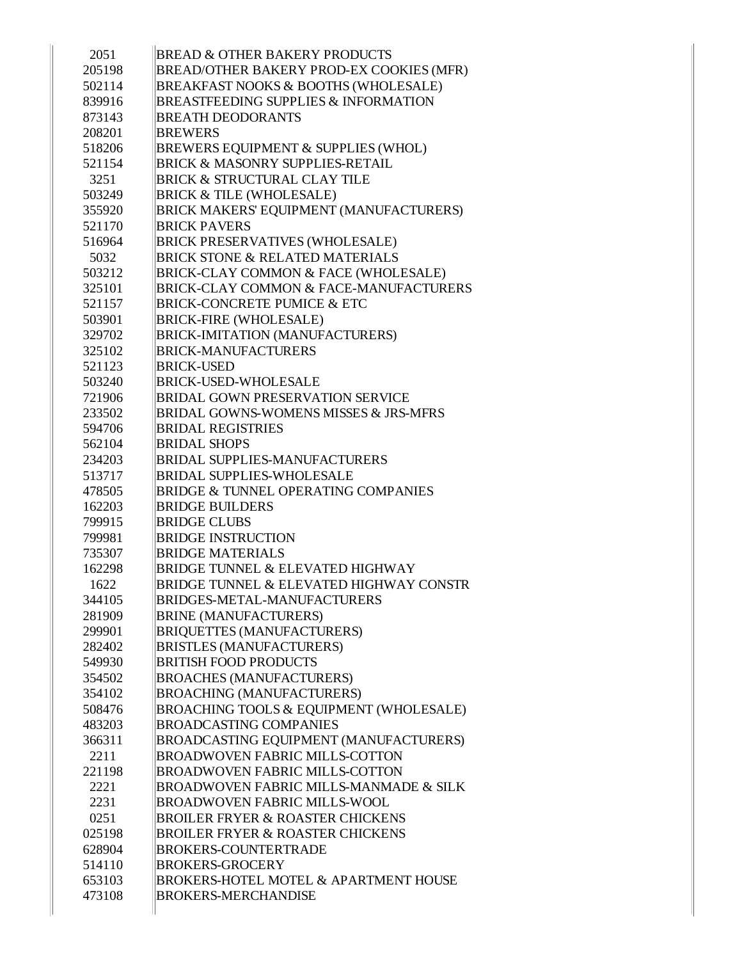| 2051   | <b>BREAD &amp; OTHER BAKERY PRODUCTS</b>           |
|--------|----------------------------------------------------|
| 205198 | BREAD/OTHER BAKERY PROD-EX COOKIES (MFR)           |
| 502114 | BREAKFAST NOOKS & BOOTHS (WHOLESALE)               |
| 839916 | <b>BREASTFEEDING SUPPLIES &amp; INFORMATION</b>    |
| 873143 | <b>BREATH DEODORANTS</b>                           |
| 208201 | <b>BREWERS</b>                                     |
| 518206 | BREWERS EQUIPMENT & SUPPLIES (WHOL)                |
| 521154 | <b>BRICK &amp; MASONRY SUPPLIES-RETAIL</b>         |
| 3251   | <b>BRICK &amp; STRUCTURAL CLAY TILE</b>            |
| 503249 | <b>BRICK &amp; TILE (WHOLESALE)</b>                |
| 355920 | BRICK MAKERS' EQUIPMENT (MANUFACTURERS)            |
| 521170 | <b>BRICK PAVERS</b>                                |
| 516964 | <b>BRICK PRESERVATIVES (WHOLESALE)</b>             |
| 5032   | <b>BRICK STONE &amp; RELATED MATERIALS</b>         |
| 503212 | BRICK-CLAY COMMON & FACE (WHOLESALE)               |
| 325101 | <b>BRICK-CLAY COMMON &amp; FACE-MANUFACTURERS</b>  |
| 521157 | <b>BRICK-CONCRETE PUMICE &amp; ETC</b>             |
| 503901 | <b>BRICK-FIRE (WHOLESALE)</b>                      |
| 329702 | <b>BRICK-IMITATION (MANUFACTURERS)</b>             |
| 325102 | <b>BRICK-MANUFACTURERS</b>                         |
| 521123 | <b>BRICK-USED</b>                                  |
| 503240 | <b>BRICK-USED-WHOLESALE</b>                        |
| 721906 | BRIDAL GOWN PRESERVATION SERVICE                   |
| 233502 | <b>BRIDAL GOWNS-WOMENS MISSES &amp; JRS-MFRS</b>   |
| 594706 | <b>BRIDAL REGISTRIES</b>                           |
| 562104 | <b>BRIDAL SHOPS</b>                                |
| 234203 | <b>BRIDAL SUPPLIES-MANUFACTURERS</b>               |
| 513717 | <b>BRIDAL SUPPLIES-WHOLESALE</b>                   |
| 478505 | <b>BRIDGE &amp; TUNNEL OPERATING COMPANIES</b>     |
| 162203 | <b>BRIDGE BUILDERS</b>                             |
| 799915 | <b>BRIDGE CLUBS</b>                                |
| 799981 | <b>BRIDGE INSTRUCTION</b>                          |
| 735307 | <b>BRIDGE MATERIALS</b>                            |
| 162298 | <b>BRIDGE TUNNEL &amp; ELEVATED HIGHWAY</b>        |
| 1622   | <b>BRIDGE TUNNEL &amp; ELEVATED HIGHWAY CONSTR</b> |
| 344105 | <b>BRIDGES-METAL-MANUFACTURERS</b>                 |
| 281909 | <b>BRINE (MANUFACTURERS)</b>                       |
| 299901 | <b>BRIQUETTES (MANUFACTURERS)</b>                  |
| 282402 | <b>BRISTLES (MANUFACTURERS)</b>                    |
| 549930 | <b>BRITISH FOOD PRODUCTS</b>                       |
| 354502 | <b>BROACHES (MANUFACTURERS)</b>                    |
| 354102 | <b>BROACHING (MANUFACTURERS)</b>                   |
| 508476 | BROACHING TOOLS & EQUIPMENT (WHOLESALE)            |
| 483203 | <b>BROADCASTING COMPANIES</b>                      |
| 366311 | BROADCASTING EQUIPMENT (MANUFACTURERS)             |
| 2211   | <b>BROADWOVEN FABRIC MILLS-COTTON</b>              |
| 221198 | <b>BROADWOVEN FABRIC MILLS-COTTON</b>              |
| 2221   | BROADWOVEN FABRIC MILLS-MANMADE & SILK             |
| 2231   | <b>BROADWOVEN FABRIC MILLS-WOOL</b>                |
| 0251   | <b>BROILER FRYER &amp; ROASTER CHICKENS</b>        |
| 025198 | <b>BROILER FRYER &amp; ROASTER CHICKENS</b>        |
| 628904 | <b>BROKERS-COUNTERTRADE</b>                        |
| 514110 | <b>BROKERS-GROCERY</b>                             |
| 653103 | <b>BROKERS-HOTEL MOTEL &amp; APARTMENT HOUSE</b>   |
| 473108 | <b>BROKERS-MERCHANDISE</b>                         |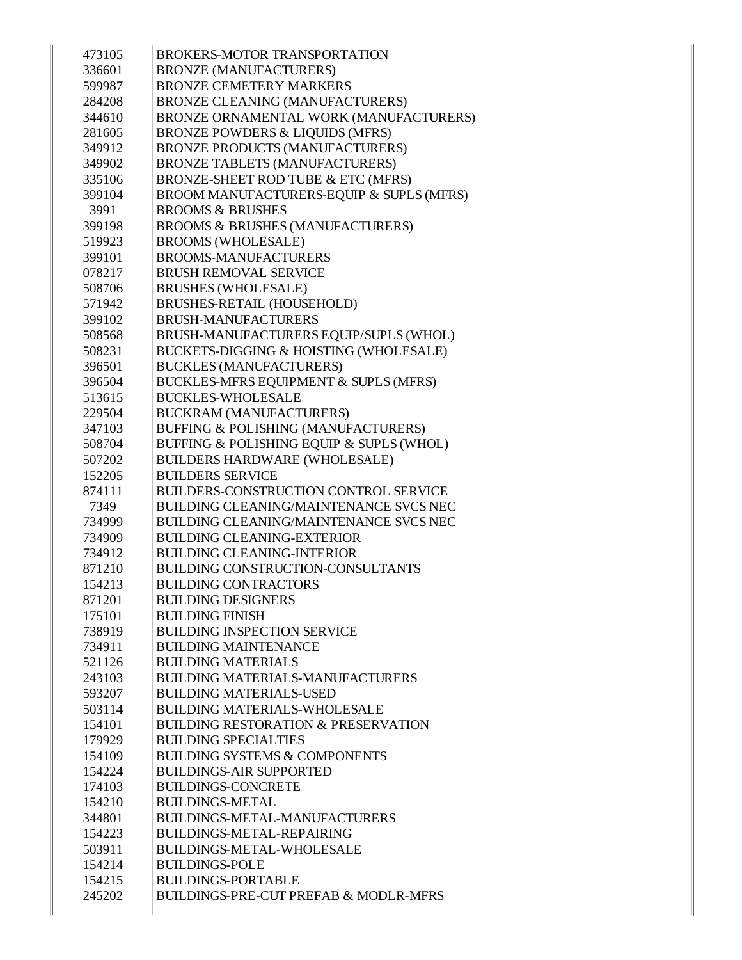| 473105 | <b>BROKERS-MOTOR TRANSPORTATION</b>              |
|--------|--------------------------------------------------|
| 336601 | <b>BRONZE (MANUFACTURERS)</b>                    |
| 599987 | <b>BRONZE CEMETERY MARKERS</b>                   |
| 284208 | <b>BRONZE CLEANING (MANUFACTURERS)</b>           |
| 344610 | BRONZE ORNAMENTAL WORK (MANUFACTURERS)           |
| 281605 | <b>BRONZE POWDERS &amp; LIQUIDS (MFRS)</b>       |
| 349912 | <b>BRONZE PRODUCTS (MANUFACTURERS)</b>           |
| 349902 | <b>BRONZE TABLETS (MANUFACTURERS)</b>            |
| 335106 | BRONZE-SHEET ROD TUBE & ETC (MFRS)               |
| 399104 | BROOM MANUFACTURERS-EQUIP & SUPLS (MFRS)         |
| 3991   | <b>BROOMS &amp; BRUSHES</b>                      |
| 399198 | <b>BROOMS &amp; BRUSHES (MANUFACTURERS)</b>      |
| 519923 | <b>BROOMS (WHOLESALE)</b>                        |
| 399101 | <b>BROOMS-MANUFACTURERS</b>                      |
| 078217 | <b>BRUSH REMOVAL SERVICE</b>                     |
| 508706 | <b>BRUSHES (WHOLESALE)</b>                       |
| 571942 | <b>BRUSHES-RETAIL (HOUSEHOLD)</b>                |
| 399102 | <b>BRUSH-MANUFACTURERS</b>                       |
| 508568 | BRUSH-MANUFACTURERS EQUIP/SUPLS (WHOL)           |
| 508231 | BUCKETS-DIGGING & HOISTING (WHOLESALE)           |
| 396501 | <b>BUCKLES (MANUFACTURERS)</b>                   |
| 396504 | BUCKLES-MFRS EQUIPMENT & SUPLS (MFRS)            |
| 513615 | <b>BUCKLES-WHOLESALE</b>                         |
| 229504 | <b>BUCKRAM (MANUFACTURERS)</b>                   |
| 347103 | BUFFING & POLISHING (MANUFACTURERS)              |
| 508704 | BUFFING & POLISHING EQUIP & SUPLS (WHOL)         |
| 507202 | <b>BUILDERS HARDWARE (WHOLESALE)</b>             |
| 152205 | <b>BUILDERS SERVICE</b>                          |
| 874111 | <b>BUILDERS-CONSTRUCTION CONTROL SERVICE</b>     |
| 7349   | <b>BUILDING CLEANING/MAINTENANCE SVCS NEC</b>    |
| 734999 | <b>BUILDING CLEANING/MAINTENANCE SVCS NEC</b>    |
| 734909 | <b>BUILDING CLEANING-EXTERIOR</b>                |
| 734912 | <b>BUILDING CLEANING-INTERIOR</b>                |
| 871210 | <b>BUILDING CONSTRUCTION-CONSULTANTS</b>         |
| 154213 | <b>BUILDING CONTRACTORS</b>                      |
| 871201 | <b>BUILDING DESIGNERS</b>                        |
| 175101 | <b>BUILDING FINISH</b>                           |
| 738919 | <b>BUILDING INSPECTION SERVICE</b>               |
| 734911 | <b>BUILDING MAINTENANCE</b>                      |
| 521126 | <b>BUILDING MATERIALS</b>                        |
| 243103 | <b>BUILDING MATERIALS-MANUFACTURERS</b>          |
| 593207 | <b>BUILDING MATERIALS-USED</b>                   |
| 503114 | <b>BUILDING MATERIALS-WHOLESALE</b>              |
| 154101 | <b>BUILDING RESTORATION &amp; PRESERVATION</b>   |
| 179929 | <b>BUILDING SPECIALTIES</b>                      |
| 154109 | <b>BUILDING SYSTEMS &amp; COMPONENTS</b>         |
| 154224 | <b>BUILDINGS-AIR SUPPORTED</b>                   |
| 174103 | <b>BUILDINGS-CONCRETE</b>                        |
| 154210 | <b>BUILDINGS-METAL</b>                           |
| 344801 | <b>BUILDINGS-METAL-MANUFACTURERS</b>             |
| 154223 | <b>BUILDINGS-METAL-REPAIRING</b>                 |
| 503911 | <b>BUILDINGS-METAL-WHOLESALE</b>                 |
| 154214 | <b>BUILDINGS-POLE</b>                            |
| 154215 | <b>BUILDINGS-PORTABLE</b>                        |
| 245202 | <b>BUILDINGS-PRE-CUT PREFAB &amp; MODLR-MFRS</b> |
|        |                                                  |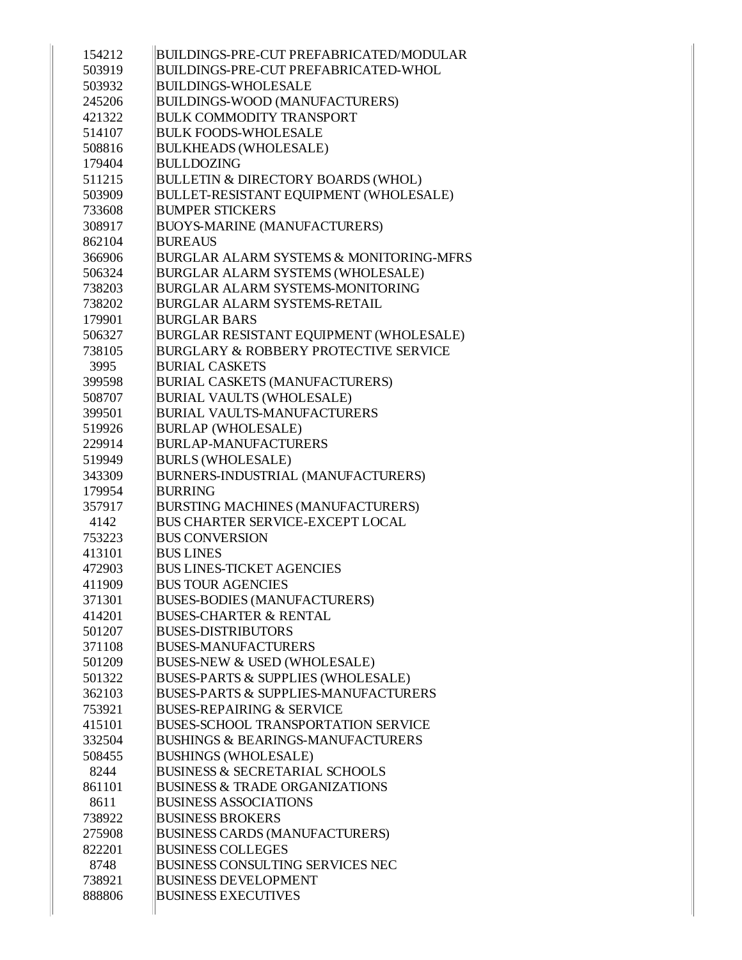| 154212 | BUILDINGS-PRE-CUT PREFABRICATED/MODULAR            |
|--------|----------------------------------------------------|
| 503919 | <b>BUILDINGS-PRE-CUT PREFABRICATED-WHOL</b>        |
| 503932 | <b>BUILDINGS-WHOLESALE</b>                         |
| 245206 | <b>BUILDINGS-WOOD (MANUFACTURERS)</b>              |
| 421322 | <b>BULK COMMODITY TRANSPORT</b>                    |
| 514107 | <b>BULK FOODS-WHOLESALE</b>                        |
| 508816 | <b>BULKHEADS (WHOLESALE)</b>                       |
| 179404 | <b>BULLDOZING</b>                                  |
| 511215 | <b>BULLETIN &amp; DIRECTORY BOARDS (WHOL)</b>      |
| 503909 | BULLET-RESISTANT EQUIPMENT (WHOLESALE)             |
| 733608 | <b>BUMPER STICKERS</b>                             |
| 308917 | <b>BUOYS-MARINE (MANUFACTURERS)</b>                |
| 862104 | <b>BUREAUS</b>                                     |
| 366906 | <b>BURGLAR ALARM SYSTEMS &amp; MONITORING-MFRS</b> |
| 506324 | BURGLAR ALARM SYSTEMS (WHOLESALE)                  |
| 738203 | <b>BURGLAR ALARM SYSTEMS-MONITORING</b>            |
| 738202 | <b>BURGLAR ALARM SYSTEMS-RETAIL</b>                |
| 179901 | <b>BURGLAR BARS</b>                                |
| 506327 | BURGLAR RESISTANT EQUIPMENT (WHOLESALE)            |
| 738105 | <b>BURGLARY &amp; ROBBERY PROTECTIVE SERVICE</b>   |
| 3995   | <b>BURIAL CASKETS</b>                              |
| 399598 | <b>BURIAL CASKETS (MANUFACTURERS)</b>              |
| 508707 | <b>BURIAL VAULTS (WHOLESALE)</b>                   |
| 399501 | <b>BURIAL VAULTS-MANUFACTURERS</b>                 |
| 519926 | <b>BURLAP (WHOLESALE)</b>                          |
| 229914 | <b>BURLAP-MANUFACTURERS</b>                        |
| 519949 | <b>BURLS (WHOLESALE)</b>                           |
| 343309 | BURNERS-INDUSTRIAL (MANUFACTURERS)                 |
| 179954 | <b>BURRING</b>                                     |
| 357917 | BURSTING MACHINES (MANUFACTURERS)                  |
| 4142   | <b>BUS CHARTER SERVICE-EXCEPT LOCAL</b>            |
| 753223 | <b>BUS CONVERSION</b>                              |
| 413101 | <b>BUS LINES</b>                                   |
| 472903 | <b>BUS LINES-TICKET AGENCIES</b>                   |
| 411909 | <b>BUS TOUR AGENCIES</b>                           |
| 371301 | <b>BUSES-BODIES (MANUFACTURERS)</b>                |
| 414201 | <b>BUSES-CHARTER &amp; RENTAL</b>                  |
| 501207 | <b>BUSES-DISTRIBUTORS</b>                          |
| 371108 | <b>BUSES-MANUFACTURERS</b>                         |
| 501209 | <b>BUSES-NEW &amp; USED (WHOLESALE)</b>            |
| 501322 | <b>BUSES-PARTS &amp; SUPPLIES (WHOLESALE)</b>      |
| 362103 | <b>BUSES-PARTS &amp; SUPPLIES-MANUFACTURERS</b>    |
| 753921 | <b>BUSES-REPAIRING &amp; SERVICE</b>               |
| 415101 | <b>BUSES-SCHOOL TRANSPORTATION SERVICE</b>         |
| 332504 | <b>BUSHINGS &amp; BEARINGS-MANUFACTURERS</b>       |
| 508455 | <b>BUSHINGS (WHOLESALE)</b>                        |
| 8244   | <b>BUSINESS &amp; SECRETARIAL SCHOOLS</b>          |
| 861101 | <b>BUSINESS &amp; TRADE ORGANIZATIONS</b>          |
| 8611   | <b>BUSINESS ASSOCIATIONS</b>                       |
| 738922 | <b>BUSINESS BROKERS</b>                            |
| 275908 | <b>BUSINESS CARDS (MANUFACTURERS)</b>              |
| 822201 | <b>BUSINESS COLLEGES</b>                           |
| 8748   | <b>BUSINESS CONSULTING SERVICES NEC</b>            |
| 738921 | <b>BUSINESS DEVELOPMENT</b>                        |
| 888806 | <b>BUSINESS EXECUTIVES</b>                         |
|        |                                                    |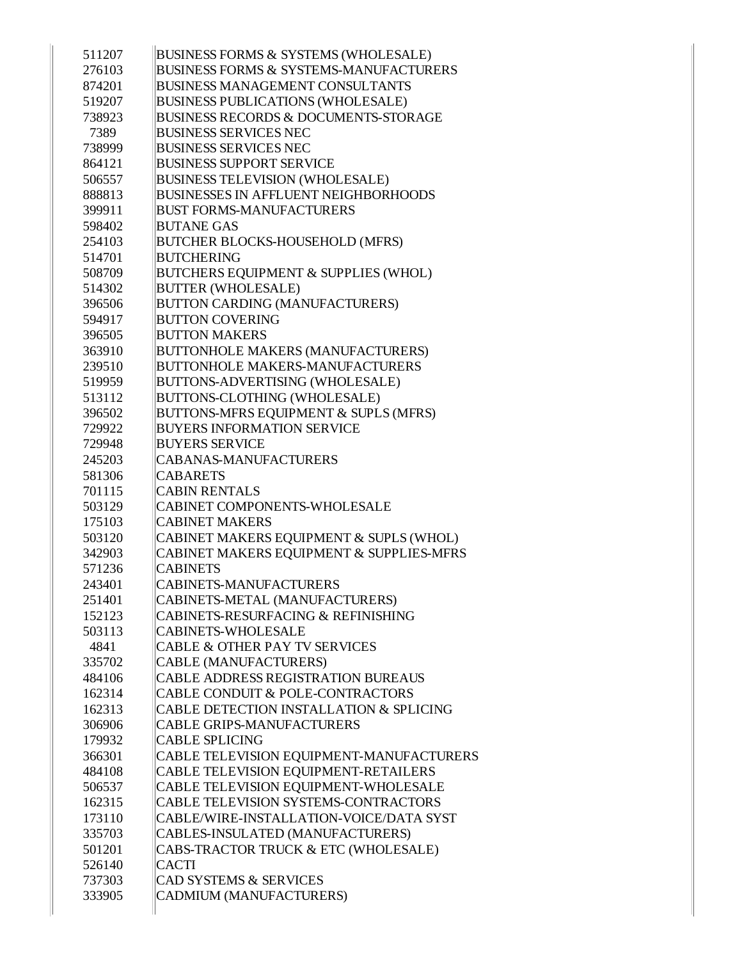| 511207 | BUSINESS FORMS & SYSTEMS (WHOLESALE)              |
|--------|---------------------------------------------------|
| 276103 | <b>BUSINESS FORMS &amp; SYSTEMS-MANUFACTURERS</b> |
| 874201 | <b>BUSINESS MANAGEMENT CONSULTANTS</b>            |
| 519207 | <b>BUSINESS PUBLICATIONS (WHOLESALE)</b>          |
| 738923 | <b>BUSINESS RECORDS &amp; DOCUMENTS-STORAGE</b>   |
| 7389   | <b>BUSINESS SERVICES NEC</b>                      |
| 738999 | <b>BUSINESS SERVICES NEC</b>                      |
| 864121 | <b>BUSINESS SUPPORT SERVICE</b>                   |
| 506557 | <b>BUSINESS TELEVISION (WHOLESALE)</b>            |
| 888813 | <b>BUSINESSES IN AFFLUENT NEIGHBORHOODS</b>       |
| 399911 | <b>BUST FORMS-MANUFACTURERS</b>                   |
| 598402 | <b>BUTANE GAS</b>                                 |
| 254103 | <b>BUTCHER BLOCKS-HOUSEHOLD (MFRS)</b>            |
| 514701 | <b>BUTCHERING</b>                                 |
| 508709 | BUTCHERS EQUIPMENT & SUPPLIES (WHOL)              |
| 514302 | <b>BUTTER (WHOLESALE)</b>                         |
| 396506 | <b>BUTTON CARDING (MANUFACTURERS)</b>             |
| 594917 | <b>BUTTON COVERING</b>                            |
| 396505 | <b>BUTTON MAKERS</b>                              |
| 363910 | <b>BUTTONHOLE MAKERS (MANUFACTURERS)</b>          |
| 239510 | <b>BUTTONHOLE MAKERS-MANUFACTURERS</b>            |
| 519959 | BUTTONS-ADVERTISING (WHOLESALE)                   |
| 513112 | BUTTONS-CLOTHING (WHOLESALE)                      |
| 396502 | BUTTONS-MFRS EQUIPMENT & SUPLS (MFRS)             |
| 729922 | <b>BUYERS INFORMATION SERVICE</b>                 |
| 729948 | <b>BUYERS SERVICE</b>                             |
| 245203 | <b>CABANAS-MANUFACTURERS</b>                      |
| 581306 | <b>CABARETS</b>                                   |
| 701115 | <b>CABIN RENTALS</b>                              |
| 503129 | <b>CABINET COMPONENTS-WHOLESALE</b>               |
| 175103 | <b>CABINET MAKERS</b>                             |
| 503120 | CABINET MAKERS EQUIPMENT & SUPLS (WHOL)           |
| 342903 | CABINET MAKERS EQUIPMENT & SUPPLIES-MFRS          |
| 571236 | <b>CABINETS</b>                                   |
| 243401 | CABINETS-MANUFACTURERS                            |
| 251401 | CABINETS-METAL (MANUFACTURERS)                    |
| 152123 | CABINETS-RESURFACING & REFINISHING                |
| 503113 | <b>CABINETS-WHOLESALE</b>                         |
| 4841   | <b>CABLE &amp; OTHER PAY TV SERVICES</b>          |
| 335702 | <b>CABLE (MANUFACTURERS)</b>                      |
| 484106 | <b>CABLE ADDRESS REGISTRATION BUREAUS</b>         |
| 162314 | CABLE CONDUIT & POLE-CONTRACTORS                  |
| 162313 | CABLE DETECTION INSTALLATION & SPLICING           |
| 306906 | <b>CABLE GRIPS-MANUFACTURERS</b>                  |
| 179932 | <b>CABLE SPLICING</b>                             |
| 366301 | CABLE TELEVISION EQUIPMENT-MANUFACTURERS          |
| 484108 | CABLE TELEVISION EQUIPMENT-RETAILERS              |
| 506537 | CABLE TELEVISION EQUIPMENT-WHOLESALE              |
| 162315 | CABLE TELEVISION SYSTEMS-CONTRACTORS              |
| 173110 | CABLE/WIRE-INSTALLATION-VOICE/DATA SYST           |
| 335703 | CABLES-INSULATED (MANUFACTURERS)                  |
| 501201 | CABS-TRACTOR TRUCK & ETC (WHOLESALE)              |
| 526140 | <b>CACTI</b>                                      |
| 737303 | <b>CAD SYSTEMS &amp; SERVICES</b>                 |
| 333905 | CADMIUM (MANUFACTURERS)                           |
|        |                                                   |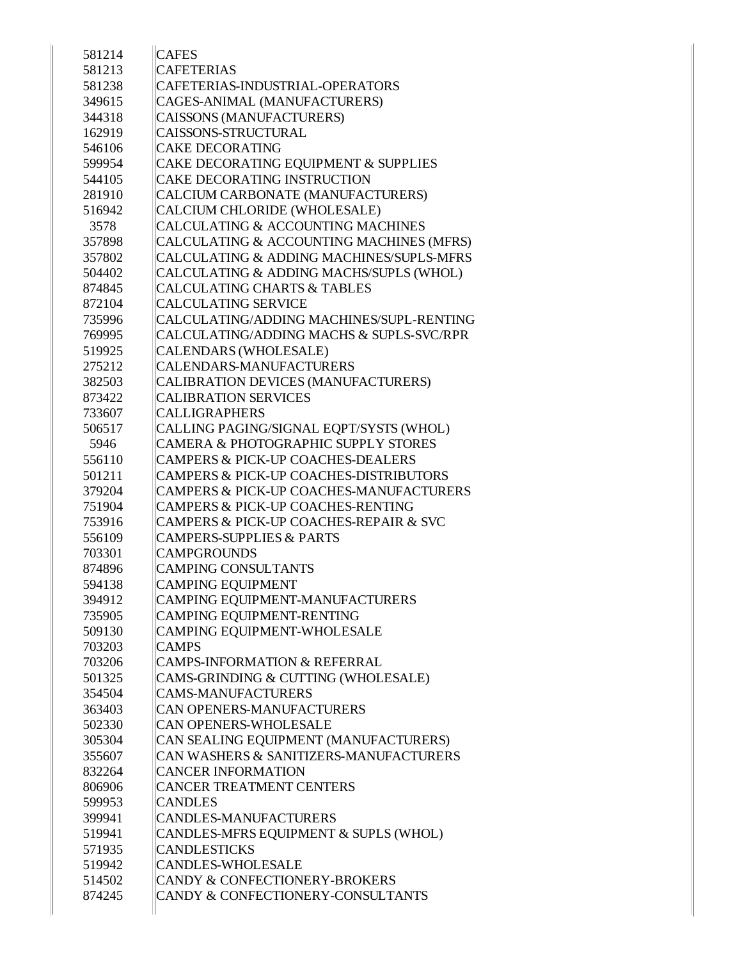| 581214 | <b>CAFES</b>                                       |
|--------|----------------------------------------------------|
| 581213 | <b>CAFETERIAS</b>                                  |
| 581238 | CAFETERIAS-INDUSTRIAL-OPERATORS                    |
| 349615 | CAGES-ANIMAL (MANUFACTURERS)                       |
| 344318 | CAISSONS (MANUFACTURERS)                           |
| 162919 | <b>CAISSONS-STRUCTURAL</b>                         |
| 546106 | <b>CAKE DECORATING</b>                             |
| 599954 | CAKE DECORATING EQUIPMENT & SUPPLIES               |
| 544105 | CAKE DECORATING INSTRUCTION                        |
| 281910 | CALCIUM CARBONATE (MANUFACTURERS)                  |
| 516942 | CALCIUM CHLORIDE (WHOLESALE)                       |
| 3578   | CALCULATING & ACCOUNTING MACHINES                  |
| 357898 | CALCULATING & ACCOUNTING MACHINES (MFRS)           |
| 357802 | CALCULATING & ADDING MACHINES/SUPLS-MFRS           |
| 504402 | CALCULATING & ADDING MACHS/SUPLS (WHOL)            |
| 874845 | <b>CALCULATING CHARTS &amp; TABLES</b>             |
| 872104 | <b>CALCULATING SERVICE</b>                         |
| 735996 | CALCULATING/ADDING MACHINES/SUPL-RENTING           |
| 769995 | CALCULATING/ADDING MACHS & SUPLS-SVC/RPR           |
| 519925 | <b>CALENDARS (WHOLESALE)</b>                       |
| 275212 | CALENDARS-MANUFACTURERS                            |
| 382503 | CALIBRATION DEVICES (MANUFACTURERS)                |
| 873422 | <b>CALIBRATION SERVICES</b>                        |
| 733607 | <b>CALLIGRAPHERS</b>                               |
| 506517 | CALLING PAGING/SIGNAL EQPT/SYSTS (WHOL)            |
| 5946   | CAMERA & PHOTOGRAPHIC SUPPLY STORES                |
| 556110 | <b>CAMPERS &amp; PICK-UP COACHES-DEALERS</b>       |
| 501211 | <b>CAMPERS &amp; PICK-UP COACHES-DISTRIBUTORS</b>  |
| 379204 | <b>CAMPERS &amp; PICK-UP COACHES-MANUFACTURERS</b> |
| 751904 | CAMPERS & PICK-UP COACHES-RENTING                  |
| 753916 | CAMPERS & PICK-UP COACHES-REPAIR & SVC             |
| 556109 | <b>CAMPERS-SUPPLIES &amp; PARTS</b>                |
| 703301 | <b>CAMPGROUNDS</b>                                 |
| 874896 | <b>CAMPING CONSULTANTS</b>                         |
| 594138 | <b>CAMPING EQUIPMENT</b>                           |
| 394912 | CAMPING EQUIPMENT-MANUFACTURERS                    |
| 735905 | CAMPING EQUIPMENT-RENTING                          |
| 509130 | CAMPING EQUIPMENT-WHOLESALE                        |
| 703203 | <b>CAMPS</b>                                       |
| 703206 | <b>CAMPS-INFORMATION &amp; REFERRAL</b>            |
| 501325 | CAMS-GRINDING & CUTTING (WHOLESALE)                |
| 354504 | <b>CAMS-MANUFACTURERS</b>                          |
| 363403 | CAN OPENERS-MANUFACTURERS                          |
| 502330 | <b>CAN OPENERS-WHOLESALE</b>                       |
| 305304 | CAN SEALING EQUIPMENT (MANUFACTURERS)              |
| 355607 | CAN WASHERS & SANITIZERS-MANUFACTURERS             |
| 832264 | <b>CANCER INFORMATION</b>                          |
| 806906 | <b>CANCER TREATMENT CENTERS</b>                    |
| 599953 | <b>CANDLES</b>                                     |
| 399941 | <b>CANDLES-MANUFACTURERS</b>                       |
| 519941 | CANDLES-MFRS EQUIPMENT & SUPLS (WHOL)              |
| 571935 | <b>CANDLESTICKS</b>                                |
| 519942 | <b>CANDLES-WHOLESALE</b>                           |
| 514502 | CANDY & CONFECTIONERY-BROKERS                      |
| 874245 | CANDY & CONFECTIONERY-CONSULTANTS                  |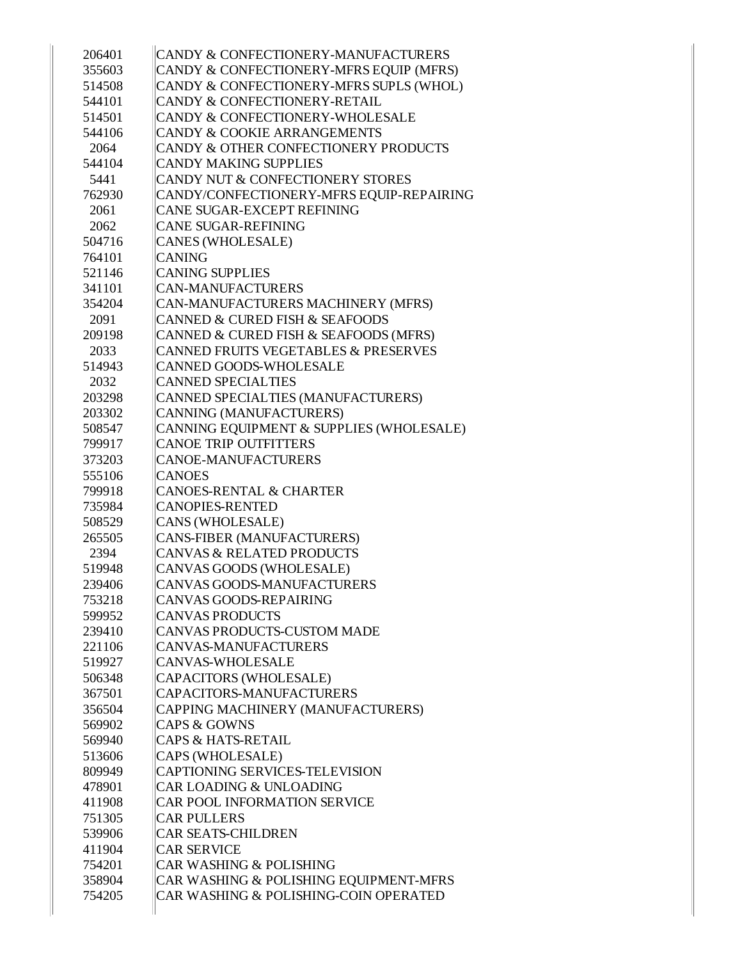| 206401 | CANDY & CONFECTIONERY-MANUFACTURERS      |
|--------|------------------------------------------|
| 355603 | CANDY & CONFECTIONERY-MFRS EQUIP (MFRS)  |
| 514508 | CANDY & CONFECTIONERY-MFRS SUPLS (WHOL)  |
| 544101 | CANDY & CONFECTIONERY-RETAIL             |
| 514501 | CANDY & CONFECTIONERY-WHOLESALE          |
| 544106 | CANDY & COOKIE ARRANGEMENTS              |
| 2064   | CANDY & OTHER CONFECTIONERY PRODUCTS     |
| 544104 | <b>CANDY MAKING SUPPLIES</b>             |
| 5441   | CANDY NUT & CONFECTIONERY STORES         |
| 762930 | CANDY/CONFECTIONERY-MFRS EQUIP-REPAIRING |
| 2061   | CANE SUGAR-EXCEPT REFINING               |
| 2062   | <b>CANE SUGAR-REFINING</b>               |
| 504716 | <b>CANES (WHOLESALE)</b>                 |
| 764101 | <b>CANING</b>                            |
| 521146 | <b>CANING SUPPLIES</b>                   |
| 341101 | <b>CAN-MANUFACTURERS</b>                 |
| 354204 | CAN-MANUFACTURERS MACHINERY (MFRS)       |
| 2091   | CANNED & CURED FISH & SEAFOODS           |
| 209198 | CANNED & CURED FISH & SEAFOODS (MFRS)    |
| 2033   | CANNED FRUITS VEGETABLES & PRESERVES     |
| 514943 | <b>CANNED GOODS-WHOLESALE</b>            |
| 2032   | <b>CANNED SPECIALTIES</b>                |
| 203298 | CANNED SPECIALTIES (MANUFACTURERS)       |
| 203302 | CANNING (MANUFACTURERS)                  |
| 508547 | CANNING EQUIPMENT & SUPPLIES (WHOLESALE) |
| 799917 | <b>CANOE TRIP OUTFITTERS</b>             |
| 373203 | <b>CANOE-MANUFACTURERS</b>               |
| 555106 | <b>CANOES</b>                            |
| 799918 | <b>CANOES-RENTAL &amp; CHARTER</b>       |
| 735984 | <b>CANOPIES-RENTED</b>                   |
| 508529 | CANS (WHOLESALE)                         |
| 265505 | CANS-FIBER (MANUFACTURERS)               |
| 2394   | <b>CANVAS &amp; RELATED PRODUCTS</b>     |
| 519948 | CANVAS GOODS (WHOLESALE)                 |
| 239406 | <b>CANVAS GOODS-MANUFACTURERS</b>        |
| 753218 | CANVAS GOODS-REPAIRING                   |
| 599952 | <b>CANVAS PRODUCTS</b>                   |
| 239410 | <b>CANVAS PRODUCTS-CUSTOM MADE</b>       |
| 221106 | <b>CANVAS-MANUFACTURERS</b>              |
| 519927 | <b>CANVAS-WHOLESALE</b>                  |
| 506348 | CAPACITORS (WHOLESALE)                   |
| 367501 | CAPACITORS-MANUFACTURERS                 |
| 356504 | CAPPING MACHINERY (MANUFACTURERS)        |
| 569902 | <b>CAPS &amp; GOWNS</b>                  |
| 569940 | <b>CAPS &amp; HATS-RETAIL</b>            |
| 513606 | CAPS (WHOLESALE)                         |
| 809949 | <b>CAPTIONING SERVICES-TELEVISION</b>    |
| 478901 | <b>CAR LOADING &amp; UNLOADING</b>       |
| 411908 | CAR POOL INFORMATION SERVICE             |
| 751305 | <b>CAR PULLERS</b>                       |
| 539906 | <b>CAR SEATS-CHILDREN</b>                |
| 411904 | <b>CAR SERVICE</b>                       |
| 754201 | <b>CAR WASHING &amp; POLISHING</b>       |
| 358904 | CAR WASHING & POLISHING EQUIPMENT-MFRS   |
| 754205 | CAR WASHING & POLISHING-COIN OPERATED    |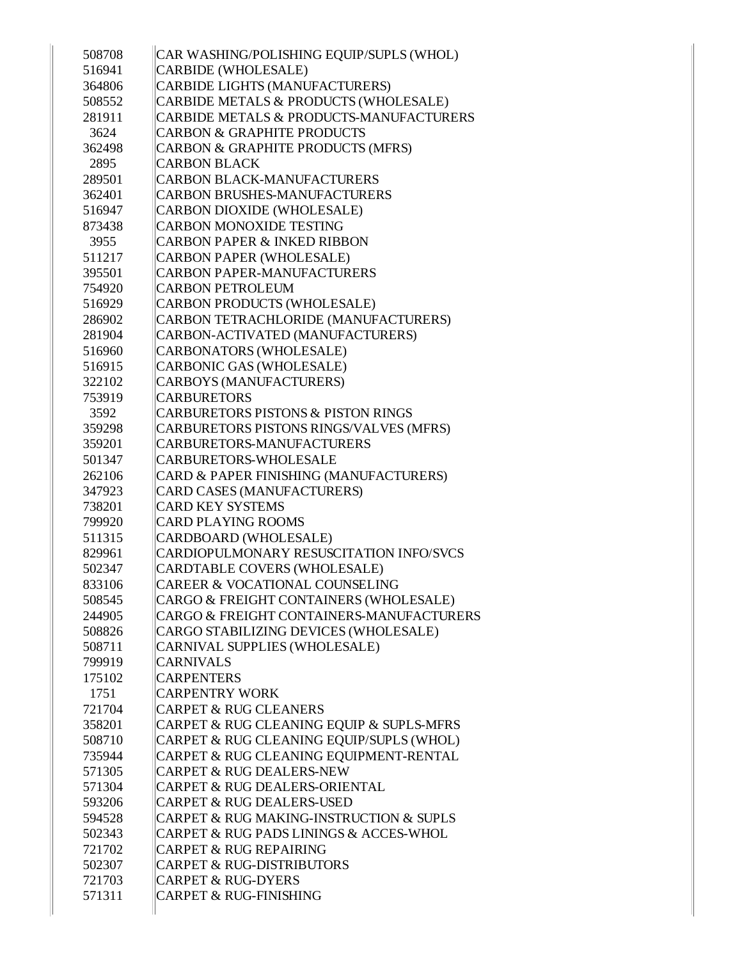| 508708 | CAR WASHING/POLISHING EQUIP/SUPLS (WHOL) |
|--------|------------------------------------------|
| 516941 | CARBIDE (WHOLESALE)                      |
| 364806 | CARBIDE LIGHTS (MANUFACTURERS)           |
| 508552 | CARBIDE METALS & PRODUCTS (WHOLESALE)    |
| 281911 | CARBIDE METALS & PRODUCTS-MANUFACTURERS  |
| 3624   | <b>CARBON &amp; GRAPHITE PRODUCTS</b>    |
| 362498 | CARBON & GRAPHITE PRODUCTS (MFRS)        |
| 2895   | <b>CARBON BLACK</b>                      |
| 289501 | <b>CARBON BLACK-MANUFACTURERS</b>        |
| 362401 | <b>CARBON BRUSHES-MANUFACTURERS</b>      |
| 516947 | CARBON DIOXIDE (WHOLESALE)               |
| 873438 | <b>CARBON MONOXIDE TESTING</b>           |
| 3955   | <b>CARBON PAPER &amp; INKED RIBBON</b>   |
| 511217 | CARBON PAPER (WHOLESALE)                 |
| 395501 | CARBON PAPER-MANUFACTURERS               |
| 754920 | <b>CARBON PETROLEUM</b>                  |
| 516929 | CARBON PRODUCTS (WHOLESALE)              |
| 286902 | CARBON TETRACHLORIDE (MANUFACTURERS)     |
| 281904 | CARBON-ACTIVATED (MANUFACTURERS)         |
| 516960 | CARBONATORS (WHOLESALE)                  |
| 516915 | CARBONIC GAS (WHOLESALE)                 |
| 322102 | CARBOYS (MANUFACTURERS)                  |
| 753919 | <b>CARBURETORS</b>                       |
| 3592   | CARBURETORS PISTONS & PISTON RINGS       |
| 359298 | CARBURETORS PISTONS RINGS/VALVES (MFRS)  |
| 359201 | CARBURETORS-MANUFACTURERS                |
| 501347 | CARBURETORS-WHOLESALE                    |
| 262106 | CARD & PAPER FINISHING (MANUFACTURERS)   |
| 347923 | CARD CASES (MANUFACTURERS)               |
| 738201 | <b>CARD KEY SYSTEMS</b>                  |
| 799920 | <b>CARD PLAYING ROOMS</b>                |
| 511315 | CARDBOARD (WHOLESALE)                    |
| 829961 | CARDIOPULMONARY RESUSCITATION INFO/SVCS  |
| 502347 | CARDTABLE COVERS (WHOLESALE)             |
| 833106 | CAREER & VOCATIONAL COUNSELING           |
| 508545 | CARGO & FREIGHT CONTAINERS (WHOLESALE)   |
| 244905 | CARGO & FREIGHT CONTAINERS-MANUFACTURERS |
| 508826 | CARGO STABILIZING DEVICES (WHOLESALE)    |
| 508711 | CARNIVAL SUPPLIES (WHOLESALE)            |
| 799919 | <b>CARNIVALS</b>                         |
| 175102 | <b>CARPENTERS</b>                        |
| 1751   | <b>CARPENTRY WORK</b>                    |
| 721704 | <b>CARPET &amp; RUG CLEANERS</b>         |
| 358201 | CARPET & RUG CLEANING EQUIP & SUPLS-MFRS |
| 508710 | CARPET & RUG CLEANING EQUIP/SUPLS (WHOL) |
| 735944 | CARPET & RUG CLEANING EQUIPMENT-RENTAL   |
| 571305 | <b>CARPET &amp; RUG DEALERS-NEW</b>      |
| 571304 | CARPET & RUG DEALERS-ORIENTAL            |
| 593206 | <b>CARPET &amp; RUG DEALERS-USED</b>     |
| 594528 | CARPET & RUG MAKING-INSTRUCTION & SUPLS  |
| 502343 | CARPET & RUG PADS LININGS & ACCES-WHOL   |
| 721702 | <b>CARPET &amp; RUG REPAIRING</b>        |
| 502307 | CARPET & RUG-DISTRIBUTORS                |
| 721703 | <b>CARPET &amp; RUG-DYERS</b>            |
| 571311 | <b>CARPET &amp; RUG-FINISHING</b>        |
|        |                                          |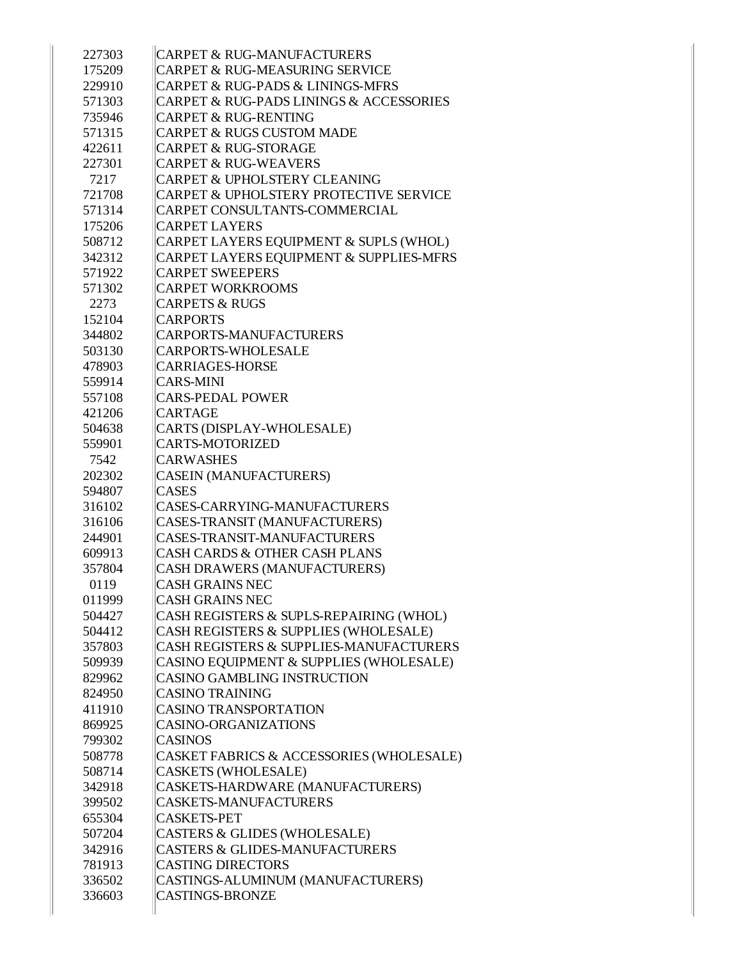| 227303 | <b>CARPET &amp; RUG-MANUFACTURERS</b>                  |
|--------|--------------------------------------------------------|
| 175209 | <b>CARPET &amp; RUG-MEASURING SERVICE</b>              |
| 229910 | CARPET & RUG-PADS & LININGS-MFRS                       |
| 571303 | <b>CARPET &amp; RUG-PADS LININGS &amp; ACCESSORIES</b> |
| 735946 | <b>CARPET &amp; RUG-RENTING</b>                        |
| 571315 | <b>CARPET &amp; RUGS CUSTOM MADE</b>                   |
| 422611 | <b>CARPET &amp; RUG-STORAGE</b>                        |
| 227301 | <b>CARPET &amp; RUG-WEAVERS</b>                        |
| 7217   | <b>CARPET &amp; UPHOLSTERY CLEANING</b>                |
| 721708 | <b>CARPET &amp; UPHOLSTERY PROTECTIVE SERVICE</b>      |
| 571314 | CARPET CONSULTANTS-COMMERCIAL                          |
| 175206 | <b>CARPET LAYERS</b>                                   |
| 508712 | CARPET LAYERS EQUIPMENT & SUPLS (WHOL)                 |
| 342312 | CARPET LAYERS EQUIPMENT & SUPPLIES-MFRS                |
| 571922 | <b>CARPET SWEEPERS</b>                                 |
| 571302 | <b>CARPET WORKROOMS</b>                                |
| 2273   | <b>CARPETS &amp; RUGS</b>                              |
| 152104 | <b>CARPORTS</b>                                        |
| 344802 | <b>CARPORTS-MANUFACTURERS</b>                          |
| 503130 | CARPORTS-WHOLESALE                                     |
| 478903 | <b>CARRIAGES-HORSE</b>                                 |
| 559914 | <b>CARS-MINI</b>                                       |
| 557108 | <b>CARS-PEDAL POWER</b>                                |
| 421206 | <b>CARTAGE</b>                                         |
| 504638 | CARTS (DISPLAY-WHOLESALE)                              |
| 559901 | <b>CARTS-MOTORIZED</b>                                 |
| 7542   | <b>CARWASHES</b>                                       |
| 202302 | <b>CASEIN (MANUFACTURERS)</b>                          |
| 594807 | <b>CASES</b>                                           |
| 316102 | CASES-CARRYING-MANUFACTURERS                           |
| 316106 | CASES-TRANSIT (MANUFACTURERS)                          |
| 244901 | CASES-TRANSIT-MANUFACTURERS                            |
| 609913 | <b>CASH CARDS &amp; OTHER CASH PLANS</b>               |
| 357804 | CASH DRAWERS (MANUFACTURERS)                           |
| 0119   | <b>CASH GRAINS NEC</b>                                 |
| 011999 | <b>CASH GRAINS NEC</b>                                 |
| 504427 | CASH REGISTERS & SUPLS-REPAIRING (WHOL)                |
| 504412 | CASH REGISTERS & SUPPLIES (WHOLESALE)                  |
| 357803 | <b>CASH REGISTERS &amp; SUPPLIES-MANUFACTURERS</b>     |
| 509939 | CASINO EQUIPMENT & SUPPLIES (WHOLESALE)                |
| 829962 | <b>CASINO GAMBLING INSTRUCTION</b>                     |
| 824950 | <b>CASINO TRAINING</b>                                 |
| 411910 | <b>CASINO TRANSPORTATION</b>                           |
| 869925 | <b>CASINO-ORGANIZATIONS</b>                            |
| 799302 | <b>CASINOS</b>                                         |
| 508778 | CASKET FABRICS & ACCESSORIES (WHOLESALE)               |
| 508714 | <b>CASKETS (WHOLESALE)</b>                             |
| 342918 | CASKETS-HARDWARE (MANUFACTURERS)                       |
| 399502 | CASKETS-MANUFACTURERS                                  |
| 655304 | <b>CASKETS-PET</b>                                     |
| 507204 | CASTERS & GLIDES (WHOLESALE)                           |
| 342916 | <b>CASTERS &amp; GLIDES-MANUFACTURERS</b>              |
| 781913 | <b>CASTING DIRECTORS</b>                               |
| 336502 | CASTINGS-ALUMINUM (MANUFACTURERS)                      |
| 336603 | <b>CASTINGS-BRONZE</b>                                 |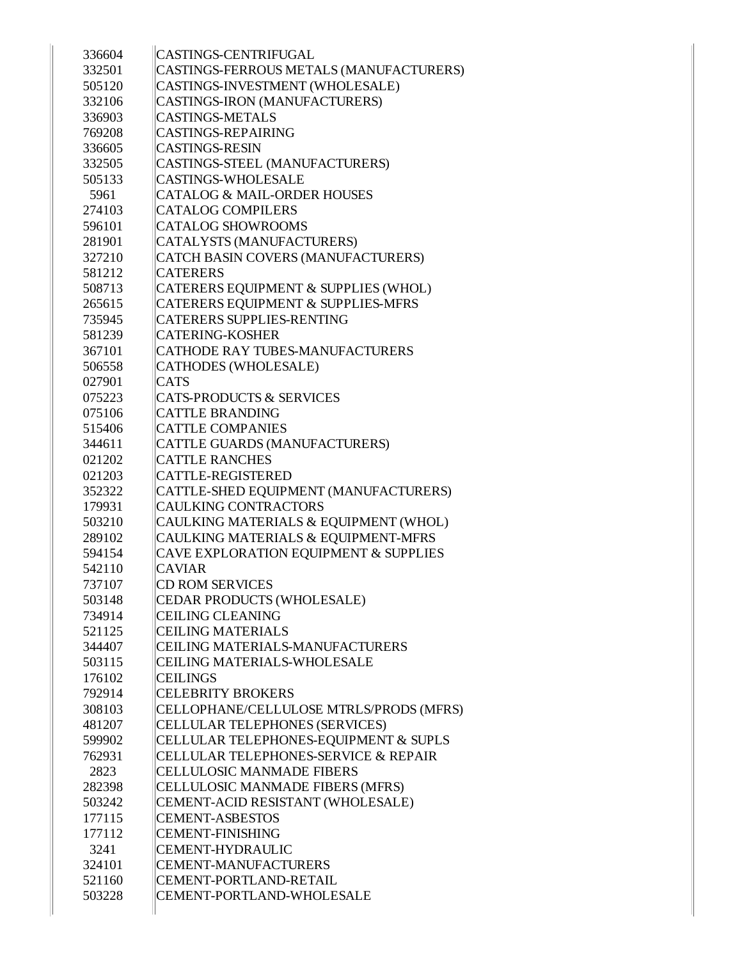| 336604 | <b>CASTINGS-CENTRIFUGAL</b>             |
|--------|-----------------------------------------|
| 332501 | CASTINGS-FERROUS METALS (MANUFACTURERS) |
| 505120 | CASTINGS-INVESTMENT (WHOLESALE)         |
| 332106 | CASTINGS-IRON (MANUFACTURERS)           |
| 336903 | <b>CASTINGS-METALS</b>                  |
| 769208 | <b>CASTINGS-REPAIRING</b>               |
| 336605 | <b>CASTINGS-RESIN</b>                   |
| 332505 | CASTINGS-STEEL (MANUFACTURERS)          |
| 505133 | <b>CASTINGS-WHOLESALE</b>               |
| 5961   | <b>CATALOG &amp; MAIL-ORDER HOUSES</b>  |
| 274103 | <b>CATALOG COMPILERS</b>                |
| 596101 | <b>CATALOG SHOWROOMS</b>                |
| 281901 | CATALYSTS (MANUFACTURERS)               |
| 327210 | CATCH BASIN COVERS (MANUFACTURERS)      |
| 581212 | <b>CATERERS</b>                         |
| 508713 | CATERERS EQUIPMENT & SUPPLIES (WHOL)    |
| 265615 | CATERERS EQUIPMENT & SUPPLIES-MFRS      |
| 735945 | <b>CATERERS SUPPLIES-RENTING</b>        |
| 581239 | <b>CATERING-KOSHER</b>                  |
| 367101 | CATHODE RAY TUBES-MANUFACTURERS         |
| 506558 | <b>CATHODES (WHOLESALE)</b>             |
| 027901 | <b>CATS</b>                             |
| 075223 | <b>CATS-PRODUCTS &amp; SERVICES</b>     |
| 075106 | <b>CATTLE BRANDING</b>                  |
| 515406 | <b>CATTLE COMPANIES</b>                 |
| 344611 | CATTLE GUARDS (MANUFACTURERS)           |
| 021202 | <b>CATTLE RANCHES</b>                   |
| 021203 | CATTLE-REGISTERED                       |
| 352322 | CATTLE-SHED EQUIPMENT (MANUFACTURERS)   |
| 179931 | <b>CAULKING CONTRACTORS</b>             |
| 503210 | CAULKING MATERIALS & EQUIPMENT (WHOL)   |
| 289102 | CAULKING MATERIALS & EQUIPMENT-MFRS     |
| 594154 | CAVE EXPLORATION EQUIPMENT & SUPPLIES   |
| 542110 | <b>CAVIAR</b>                           |
| 737107 | <b>CD ROM SERVICES</b>                  |
| 503148 | CEDAR PRODUCTS (WHOLESALE)              |
| 734914 | <b>CEILING CLEANING</b>                 |
| 521125 | <b>CEILING MATERIALS</b>                |
| 344407 | CEILING MATERIALS-MANUFACTURERS         |
| 503115 | CEILING MATERIALS-WHOLESALE             |
| 176102 | <b>CEILINGS</b>                         |
| 792914 | <b>CELEBRITY BROKERS</b>                |
| 308103 | CELLOPHANE/CELLULOSE MTRLS/PRODS (MFRS) |
| 481207 | CELLULAR TELEPHONES (SERVICES)          |
| 599902 | CELLULAR TELEPHONES-EQUIPMENT & SUPLS   |
| 762931 | CELLULAR TELEPHONES-SERVICE & REPAIR    |
| 2823   | <b>CELLULOSIC MANMADE FIBERS</b>        |
| 282398 | CELLULOSIC MANMADE FIBERS (MFRS)        |
| 503242 | CEMENT-ACID RESISTANT (WHOLESALE)       |
| 177115 | <b>CEMENT-ASBESTOS</b>                  |
| 177112 | <b>CEMENT-FINISHING</b>                 |
| 3241   | <b>CEMENT-HYDRAULIC</b>                 |
| 324101 | <b>CEMENT-MANUFACTURERS</b>             |
| 521160 | CEMENT-PORTLAND-RETAIL                  |
| 503228 | CEMENT-PORTLAND-WHOLESALE               |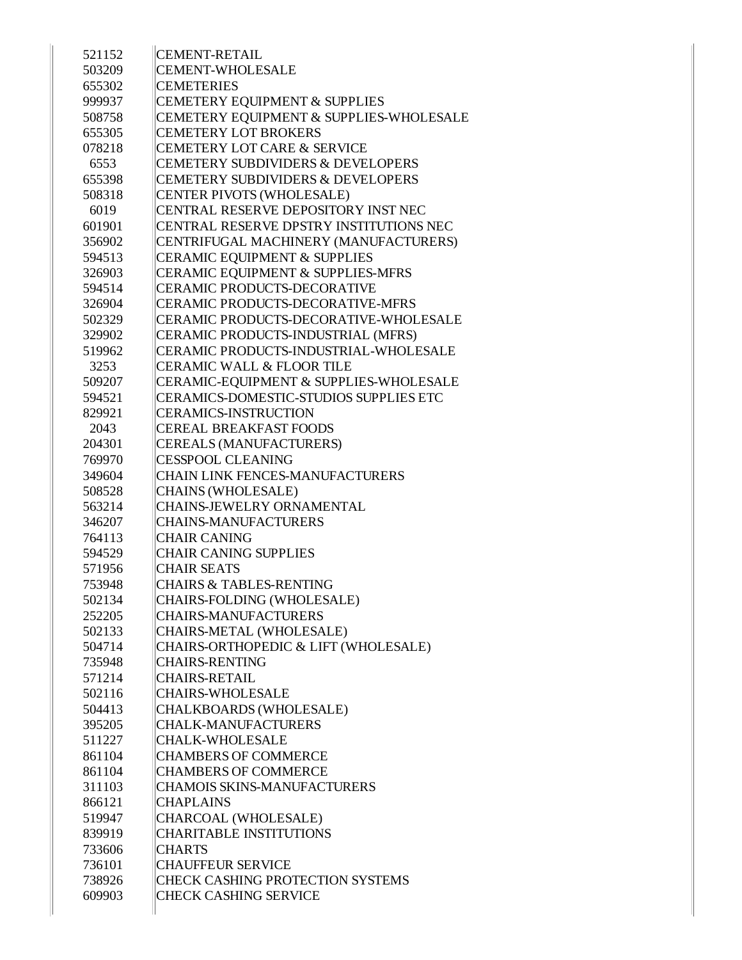| 521152 | <b>CEMENT-RETAIL</b>                         |
|--------|----------------------------------------------|
| 503209 | <b>CEMENT-WHOLESALE</b>                      |
| 655302 | <b>CEMETERIES</b>                            |
| 999937 | CEMETERY EQUIPMENT & SUPPLIES                |
| 508758 | CEMETERY EQUIPMENT & SUPPLIES-WHOLESALE      |
| 655305 | <b>CEMETERY LOT BROKERS</b>                  |
| 078218 | <b>CEMETERY LOT CARE &amp; SERVICE</b>       |
| 6553   | <b>CEMETERY SUBDIVIDERS &amp; DEVELOPERS</b> |
| 655398 | <b>CEMETERY SUBDIVIDERS &amp; DEVELOPERS</b> |
| 508318 | CENTER PIVOTS (WHOLESALE)                    |
| 6019   | CENTRAL RESERVE DEPOSITORY INST NEC          |
| 601901 | CENTRAL RESERVE DPSTRY INSTITUTIONS NEC      |
| 356902 | CENTRIFUGAL MACHINERY (MANUFACTURERS)        |
| 594513 | <b>CERAMIC EQUIPMENT &amp; SUPPLIES</b>      |
| 326903 | CERAMIC EQUIPMENT & SUPPLIES-MFRS            |
| 594514 | <b>CERAMIC PRODUCTS-DECORATIVE</b>           |
| 326904 | CERAMIC PRODUCTS-DECORATIVE-MFRS             |
| 502329 | CERAMIC PRODUCTS-DECORATIVE-WHOLESALE        |
| 329902 | CERAMIC PRODUCTS-INDUSTRIAL (MFRS)           |
| 519962 | CERAMIC PRODUCTS-INDUSTRIAL-WHOLESALE        |
| 3253   | <b>CERAMIC WALL &amp; FLOOR TILE</b>         |
| 509207 | CERAMIC-EQUIPMENT & SUPPLIES-WHOLESALE       |
| 594521 | CERAMICS-DOMESTIC-STUDIOS SUPPLIES ETC       |
| 829921 | <b>CERAMICS-INSTRUCTION</b>                  |
| 2043   | <b>CEREAL BREAKFAST FOODS</b>                |
| 204301 | CEREALS (MANUFACTURERS)                      |
| 769970 | <b>CESSPOOL CLEANING</b>                     |
| 349604 | <b>CHAIN LINK FENCES-MANUFACTURERS</b>       |
| 508528 | CHAINS (WHOLESALE)                           |
| 563214 | <b>CHAINS-JEWELRY ORNAMENTAL</b>             |
| 346207 | <b>CHAINS-MANUFACTURERS</b>                  |
| 764113 | <b>CHAIR CANING</b>                          |
| 594529 | <b>CHAIR CANING SUPPLIES</b>                 |
| 571956 | <b>CHAIR SEATS</b>                           |
| 753948 | <b>CHAIRS &amp; TABLES-RENTING</b>           |
| 502134 | CHAIRS-FOLDING (WHOLESALE)                   |
| 252205 | CHAIRS-MANUFACTURERS                         |
| 502133 | CHAIRS-METAL (WHOLESALE)                     |
| 504714 | CHAIRS-ORTHOPEDIC & LIFT (WHOLESALE)         |
| 735948 | <b>CHAIRS-RENTING</b>                        |
| 571214 | <b>CHAIRS-RETAIL</b>                         |
| 502116 | <b>CHAIRS-WHOLESALE</b>                      |
| 504413 | CHALKBOARDS (WHOLESALE)                      |
| 395205 | <b>CHALK-MANUFACTURERS</b>                   |
| 511227 | CHALK-WHOLESALE                              |
| 861104 | <b>CHAMBERS OF COMMERCE</b>                  |
| 861104 | <b>CHAMBERS OF COMMERCE</b>                  |
| 311103 | <b>CHAMOIS SKINS-MANUFACTURERS</b>           |
| 866121 | <b>CHAPLAINS</b>                             |
| 519947 | CHARCOAL (WHOLESALE)                         |
| 839919 | <b>CHARITABLE INSTITUTIONS</b>               |
| 733606 | <b>CHARTS</b>                                |
| 736101 | <b>CHAUFFEUR SERVICE</b>                     |
| 738926 | CHECK CASHING PROTECTION SYSTEMS             |
| 609903 | <b>CHECK CASHING SERVICE</b>                 |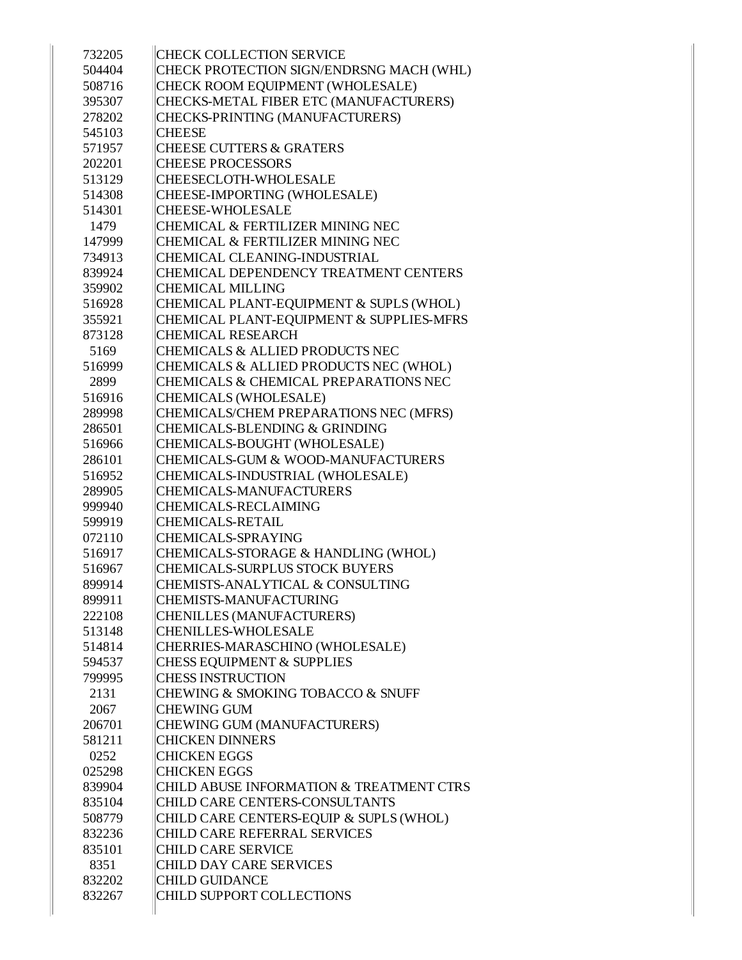| 732205 | <b>CHECK COLLECTION SERVICE</b>                                                |
|--------|--------------------------------------------------------------------------------|
| 504404 | CHECK PROTECTION SIGN/ENDRSNG MACH (WHL)                                       |
| 508716 | CHECK ROOM EQUIPMENT (WHOLESALE)                                               |
| 395307 | CHECKS-METAL FIBER ETC (MANUFACTURERS)                                         |
| 278202 | CHECKS-PRINTING (MANUFACTURERS)                                                |
| 545103 | <b>CHEESE</b>                                                                  |
| 571957 | <b>CHEESE CUTTERS &amp; GRATERS</b>                                            |
| 202201 | <b>CHEESE PROCESSORS</b>                                                       |
| 513129 | CHEESECLOTH-WHOLESALE                                                          |
| 514308 | CHEESE-IMPORTING (WHOLESALE)                                                   |
| 514301 | <b>CHEESE-WHOLESALE</b>                                                        |
| 1479   | <b>CHEMICAL &amp; FERTILIZER MINING NEC</b>                                    |
| 147999 | <b>CHEMICAL &amp; FERTILIZER MINING NEC</b>                                    |
| 734913 | CHEMICAL CLEANING-INDUSTRIAL                                                   |
| 839924 | CHEMICAL DEPENDENCY TREATMENT CENTERS                                          |
| 359902 | <b>CHEMICAL MILLING</b>                                                        |
| 516928 | CHEMICAL PLANT-EQUIPMENT & SUPLS (WHOL)                                        |
| 355921 | CHEMICAL PLANT-EQUIPMENT & SUPPLIES-MFRS                                       |
| 873128 | <b>CHEMICAL RESEARCH</b>                                                       |
| 5169   | <b>CHEMICALS &amp; ALLIED PRODUCTS NEC</b>                                     |
| 516999 | CHEMICALS & ALLIED PRODUCTS NEC (WHOL)                                         |
| 2899   | CHEMICALS & CHEMICAL PREPARATIONS NEC                                          |
| 516916 | <b>CHEMICALS (WHOLESALE)</b>                                                   |
| 289998 | CHEMICALS/CHEM PREPARATIONS NEC (MFRS)                                         |
| 286501 | <b>CHEMICALS-BLENDING &amp; GRINDING</b>                                       |
| 516966 | CHEMICALS-BOUGHT (WHOLESALE)                                                   |
| 286101 | CHEMICALS-GUM & WOOD-MANUFACTURERS                                             |
| 516952 | CHEMICALS-INDUSTRIAL (WHOLESALE)                                               |
| 289905 | <b>CHEMICALS-MANUFACTURERS</b>                                                 |
| 999940 | <b>CHEMICALS-RECLAIMING</b>                                                    |
| 599919 | <b>CHEMICALS-RETAIL</b>                                                        |
| 072110 | <b>CHEMICALS-SPRAYING</b>                                                      |
| 516917 | CHEMICALS-STORAGE & HANDLING (WHOL)                                            |
| 516967 | <b>CHEMICALS-SURPLUS STOCK BUYERS</b>                                          |
| 899914 | CHEMISTS-ANALYTICAL & CONSULTING                                               |
| 899911 | CHEMISTS-MANUFACTURING                                                         |
| 222108 | <b>CHENILLES (MANUFACTURERS)</b>                                               |
| 513148 | <b>CHENILLES-WHOLESALE</b>                                                     |
| 514814 | CHERRIES-MARASCHINO (WHOLESALE)                                                |
| 594537 | <b>CHESS EQUIPMENT &amp; SUPPLIES</b>                                          |
| 799995 | <b>CHESS INSTRUCTION</b>                                                       |
| 2131   | CHEWING & SMOKING TOBACCO & SNUFF                                              |
| 2067   | <b>CHEWING GUM</b>                                                             |
| 206701 | CHEWING GUM (MANUFACTURERS)                                                    |
| 581211 | <b>CHICKEN DINNERS</b>                                                         |
| 0252   | <b>CHICKEN EGGS</b>                                                            |
| 025298 | <b>CHICKEN EGGS</b>                                                            |
| 839904 | CHILD ABUSE INFORMATION & TREATMENT CTRS                                       |
| 835104 | CHILD CARE CENTERS-CONSULTANTS                                                 |
|        |                                                                                |
| 508779 | CHILD CARE CENTERS-EQUIP & SUPLS (WHOL)<br><b>CHILD CARE REFERRAL SERVICES</b> |
| 832236 | <b>CHILD CARE SERVICE</b>                                                      |
| 835101 |                                                                                |
| 8351   | CHILD DAY CARE SERVICES                                                        |
| 832202 | <b>CHILD GUIDANCE</b>                                                          |
| 832267 | CHILD SUPPORT COLLECTIONS                                                      |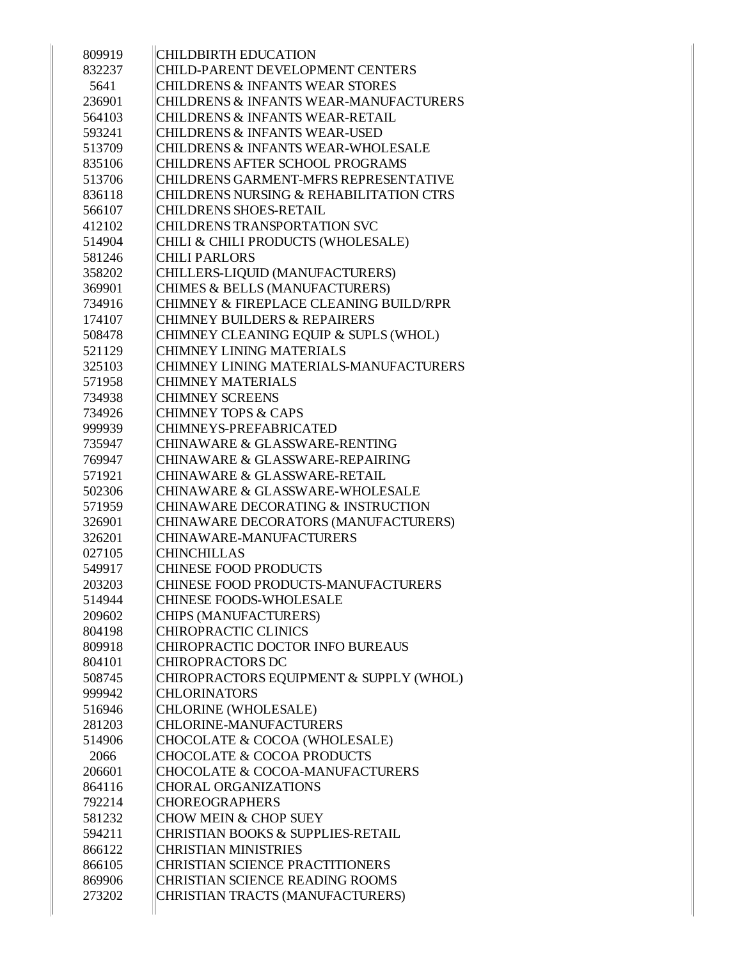| 809919 | <b>CHILDBIRTH EDUCATION</b>                       |
|--------|---------------------------------------------------|
| 832237 | <b>CHILD-PARENT DEVELOPMENT CENTERS</b>           |
| 5641   | <b>CHILDRENS &amp; INFANTS WEAR STORES</b>        |
| 236901 | <b>CHILDRENS &amp; INFANTS WEAR-MANUFACTURERS</b> |
| 564103 | <b>CHILDRENS &amp; INFANTS WEAR-RETAIL</b>        |
| 593241 | <b>CHILDRENS &amp; INFANTS WEAR-USED</b>          |
| 513709 | <b>CHILDRENS &amp; INFANTS WEAR-WHOLESALE</b>     |
| 835106 | <b>CHILDRENS AFTER SCHOOL PROGRAMS</b>            |
| 513706 | CHILDRENS GARMENT-MFRS REPRESENTATIVE             |
| 836118 | CHILDRENS NURSING & REHABILITATION CTRS           |
| 566107 | <b>CHILDRENS SHOES-RETAIL</b>                     |
| 412102 | <b>CHILDRENS TRANSPORTATION SVC</b>               |
| 514904 | CHILI & CHILI PRODUCTS (WHOLESALE)                |
| 581246 | <b>CHILI PARLORS</b>                              |
| 358202 | CHILLERS-LIQUID (MANUFACTURERS)                   |
| 369901 | CHIMES & BELLS (MANUFACTURERS)                    |
| 734916 | CHIMNEY & FIREPLACE CLEANING BUILD/RPR            |
| 174107 | <b>CHIMNEY BUILDERS &amp; REPAIRERS</b>           |
| 508478 | CHIMNEY CLEANING EQUIP & SUPLS (WHOL)             |
| 521129 | <b>CHIMNEY LINING MATERIALS</b>                   |
| 325103 | CHIMNEY LINING MATERIALS-MANUFACTURERS            |
| 571958 | <b>CHIMNEY MATERIALS</b>                          |
| 734938 | <b>CHIMNEY SCREENS</b>                            |
| 734926 | <b>CHIMNEY TOPS &amp; CAPS</b>                    |
| 999939 | <b>CHIMNEYS-PREFABRICATED</b>                     |
| 735947 | CHINAWARE & GLASSWARE-RENTING                     |
| 769947 | CHINAWARE & GLASSWARE-REPAIRING                   |
| 571921 | <b>CHINAWARE &amp; GLASSWARE-RETAIL</b>           |
| 502306 | <b>CHINAWARE &amp; GLASSWARE-WHOLESALE</b>        |
| 571959 | CHINAWARE DECORATING & INSTRUCTION                |
| 326901 | CHINAWARE DECORATORS (MANUFACTURERS)              |
| 326201 | CHINAWARE-MANUFACTURERS                           |
| 027105 | <b>CHINCHILLAS</b>                                |
| 549917 | <b>CHINESE FOOD PRODUCTS</b>                      |
| 203203 | CHINESE FOOD PRODUCTS-MANUFACTURERS               |
| 514944 | <b>CHINESE FOODS-WHOLESALE</b>                    |
| 209602 | CHIPS (MANUFACTURERS)                             |
| 804198 | <b>CHIROPRACTIC CLINICS</b>                       |
| 809918 | CHIROPRACTIC DOCTOR INFO BUREAUS                  |
| 804101 | <b>CHIROPRACTORS DC</b>                           |
| 508745 | CHIROPRACTORS EQUIPMENT & SUPPLY (WHOL)           |
| 999942 | <b>CHLORINATORS</b>                               |
| 516946 | CHLORINE (WHOLESALE)                              |
| 281203 | <b>CHLORINE-MANUFACTURERS</b>                     |
| 514906 | CHOCOLATE & COCOA (WHOLESALE)                     |
| 2066   | <b>CHOCOLATE &amp; COCOA PRODUCTS</b>             |
| 206601 | CHOCOLATE & COCOA-MANUFACTURERS                   |
| 864116 | <b>CHORAL ORGANIZATIONS</b>                       |
| 792214 | <b>CHOREOGRAPHERS</b>                             |
| 581232 | <b>CHOW MEIN &amp; CHOP SUEY</b>                  |
| 594211 | <b>CHRISTIAN BOOKS &amp; SUPPLIES-RETAIL</b>      |
| 866122 | <b>CHRISTIAN MINISTRIES</b>                       |
| 866105 | <b>CHRISTIAN SCIENCE PRACTITIONERS</b>            |
| 869906 | <b>CHRISTIAN SCIENCE READING ROOMS</b>            |
| 273202 | CHRISTIAN TRACTS (MANUFACTURERS)                  |
|        |                                                   |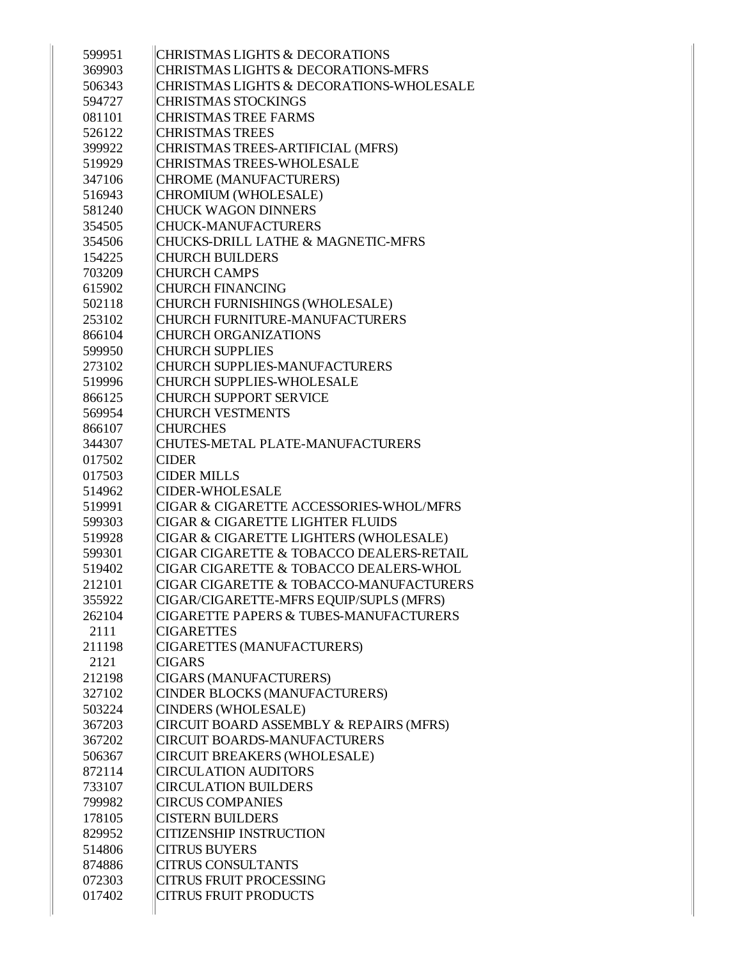| 599951           | <b>CHRISTMAS LIGHTS &amp; DECORATIONS</b>                      |
|------------------|----------------------------------------------------------------|
| 369903           | <b>CHRISTMAS LIGHTS &amp; DECORATIONS-MFRS</b>                 |
| 506343           | CHRISTMAS LIGHTS & DECORATIONS-WHOLESALE                       |
| 594727           | <b>CHRISTMAS STOCKINGS</b>                                     |
| 081101           | <b>CHRISTMAS TREE FARMS</b>                                    |
| 526122           | <b>CHRISTMAS TREES</b>                                         |
| 399922           | CHRISTMAS TREES-ARTIFICIAL (MFRS)                              |
| 519929           | <b>CHRISTMAS TREES-WHOLESALE</b>                               |
| 347106           | CHROME (MANUFACTURERS)                                         |
| 516943           | CHROMIUM (WHOLESALE)                                           |
| 581240           | <b>CHUCK WAGON DINNERS</b>                                     |
| 354505           | <b>CHUCK-MANUFACTURERS</b>                                     |
| 354506           | <b>CHUCKS-DRILL LATHE &amp; MAGNETIC-MFRS</b>                  |
| 154225           | <b>CHURCH BUILDERS</b>                                         |
| 703209           | <b>CHURCH CAMPS</b>                                            |
| 615902           | <b>CHURCH FINANCING</b>                                        |
| 502118           | CHURCH FURNISHINGS (WHOLESALE)                                 |
| 253102           | <b>CHURCH FURNITURE-MANUFACTURERS</b>                          |
| 866104           | <b>CHURCH ORGANIZATIONS</b>                                    |
| 599950           | <b>CHURCH SUPPLIES</b>                                         |
| 273102           | <b>CHURCH SUPPLIES-MANUFACTURERS</b>                           |
| 519996           | <b>CHURCH SUPPLIES-WHOLESALE</b>                               |
| 866125           | <b>CHURCH SUPPORT SERVICE</b>                                  |
| 569954           | <b>CHURCH VESTMENTS</b>                                        |
| 866107           | <b>CHURCHES</b>                                                |
| 344307           | CHUTES-METAL PLATE-MANUFACTURERS                               |
| 017502           | <b>CIDER</b>                                                   |
| 017503           | <b>CIDER MILLS</b>                                             |
| 514962           | <b>CIDER-WHOLESALE</b>                                         |
| 519991           | CIGAR & CIGARETTE ACCESSORIES-WHOL/MFRS                        |
| 599303           | <b>CIGAR &amp; CIGARETTE LIGHTER FLUIDS</b>                    |
| 519928           | CIGAR & CIGARETTE LIGHTERS (WHOLESALE)                         |
| 599301           | CIGAR CIGARETTE & TOBACCO DEALERS-RETAIL                       |
| 519402           | CIGAR CIGARETTE & TOBACCO DEALERS-WHOL                         |
| 212101           | CIGAR CIGARETTE & TOBACCO-MANUFACTURERS                        |
| 355922           | CIGAR/CIGARETTE-MFRS EQUIP/SUPLS (MFRS)                        |
| 262104           | CIGARETTE PAPERS & TUBES-MANUFACTURERS                         |
| 2111             | <b>CIGARETTES</b>                                              |
| 211198           | CIGARETTES (MANUFACTURERS)                                     |
| 2121             | <b>CIGARS</b>                                                  |
| 212198           | CIGARS (MANUFACTURERS)                                         |
| 327102           | CINDER BLOCKS (MANUFACTURERS)                                  |
| 503224           | <b>CINDERS (WHOLESALE)</b>                                     |
| 367203           | CIRCUIT BOARD ASSEMBLY & REPAIRS (MFRS)                        |
| 367202           | <b>CIRCUIT BOARDS-MANUFACTURERS</b>                            |
| 506367           | <b>CIRCUIT BREAKERS (WHOLESALE)</b>                            |
| 872114           | <b>CIRCULATION AUDITORS</b>                                    |
| 733107           | <b>CIRCULATION BUILDERS</b>                                    |
| 799982           | <b>CIRCUS COMPANIES</b>                                        |
| 178105           | <b>CISTERN BUILDERS</b>                                        |
| 829952           |                                                                |
| 514806           |                                                                |
|                  | <b>CITIZENSHIP INSTRUCTION</b>                                 |
|                  | <b>CITRUS BUYERS</b>                                           |
| 874886           | <b>CITRUS CONSULTANTS</b>                                      |
| 072303<br>017402 | <b>CITRUS FRUIT PROCESSING</b><br><b>CITRUS FRUIT PRODUCTS</b> |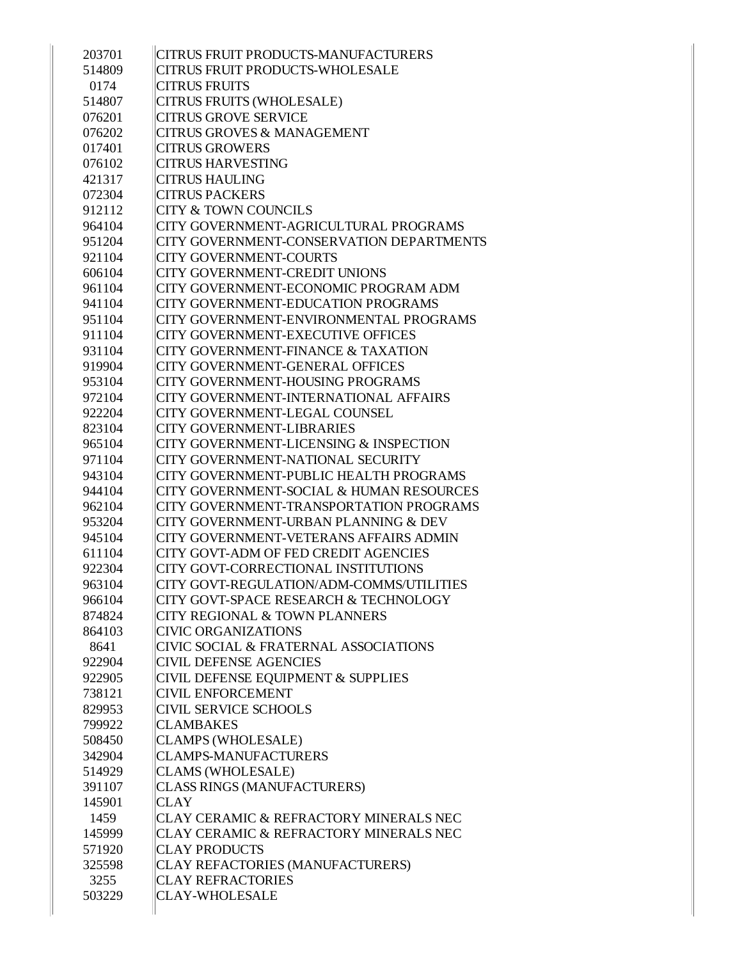| CITRUS FRUIT PRODUCTS-MANUFACTURERS           |
|-----------------------------------------------|
| <b>CITRUS FRUIT PRODUCTS-WHOLESALE</b>        |
| <b>CITRUS FRUITS</b>                          |
| CITRUS FRUITS (WHOLESALE)                     |
| <b>CITRUS GROVE SERVICE</b>                   |
| <b>CITRUS GROVES &amp; MANAGEMENT</b>         |
| <b>CITRUS GROWERS</b>                         |
| <b>CITRUS HARVESTING</b>                      |
| <b>CITRUS HAULING</b>                         |
| <b>CITRUS PACKERS</b>                         |
| <b>CITY &amp; TOWN COUNCILS</b>               |
| CITY GOVERNMENT-AGRICULTURAL PROGRAMS         |
| CITY GOVERNMENT-CONSERVATION DEPARTMENTS      |
| <b>CITY GOVERNMENT-COURTS</b>                 |
| <b>CITY GOVERNMENT-CREDIT UNIONS</b>          |
| CITY GOVERNMENT-ECONOMIC PROGRAM ADM          |
| <b>CITY GOVERNMENT-EDUCATION PROGRAMS</b>     |
| CITY GOVERNMENT-ENVIRONMENTAL PROGRAMS        |
| CITY GOVERNMENT-EXECUTIVE OFFICES             |
| <b>CITY GOVERNMENT-FINANCE &amp; TAXATION</b> |
| <b>CITY GOVERNMENT-GENERAL OFFICES</b>        |
| <b>CITY GOVERNMENT-HOUSING PROGRAMS</b>       |
| CITY GOVERNMENT-INTERNATIONAL AFFAIRS         |
| CITY GOVERNMENT-LEGAL COUNSEL                 |
| <b>CITY GOVERNMENT-LIBRARIES</b>              |
| CITY GOVERNMENT-LICENSING & INSPECTION        |
| CITY GOVERNMENT-NATIONAL SECURITY             |
| CITY GOVERNMENT-PUBLIC HEALTH PROGRAMS        |
| CITY GOVERNMENT-SOCIAL & HUMAN RESOURCES      |
| CITY GOVERNMENT-TRANSPORTATION PROGRAMS       |
| CITY GOVERNMENT-URBAN PLANNING & DEV          |
| CITY GOVERNMENT-VETERANS AFFAIRS ADMIN        |
| CITY GOVT-ADM OF FED CREDIT AGENCIES          |
| CITY GOVT-CORRECTIONAL INSTITUTIONS           |
| CITY GOVT-REGULATION/ADM-COMMS/UTILITIES      |
| CITY GOVT-SPACE RESEARCH & TECHNOLOGY         |
| CITY REGIONAL & TOWN PLANNERS                 |
| <b>CIVIC ORGANIZATIONS</b>                    |
| CIVIC SOCIAL & FRATERNAL ASSOCIATIONS         |
| <b>CIVIL DEFENSE AGENCIES</b>                 |
| CIVIL DEFENSE EQUIPMENT & SUPPLIES            |
| <b>CIVIL ENFORCEMENT</b>                      |
| <b>CIVIL SERVICE SCHOOLS</b>                  |
| <b>CLAMBAKES</b>                              |
| <b>CLAMPS (WHOLESALE)</b>                     |
| <b>CLAMPS-MANUFACTURERS</b>                   |
| <b>CLAMS (WHOLESALE)</b>                      |
| <b>CLASS RINGS (MANUFACTURERS)</b>            |
| <b>CLAY</b>                                   |
| CLAY CERAMIC & REFRACTORY MINERALS NEC        |
| CLAY CERAMIC & REFRACTORY MINERALS NEC        |
| <b>CLAY PRODUCTS</b>                          |
| CLAY REFACTORIES (MANUFACTURERS)              |
| <b>CLAY REFRACTORIES</b>                      |
| <b>CLAY-WHOLESALE</b>                         |
|                                               |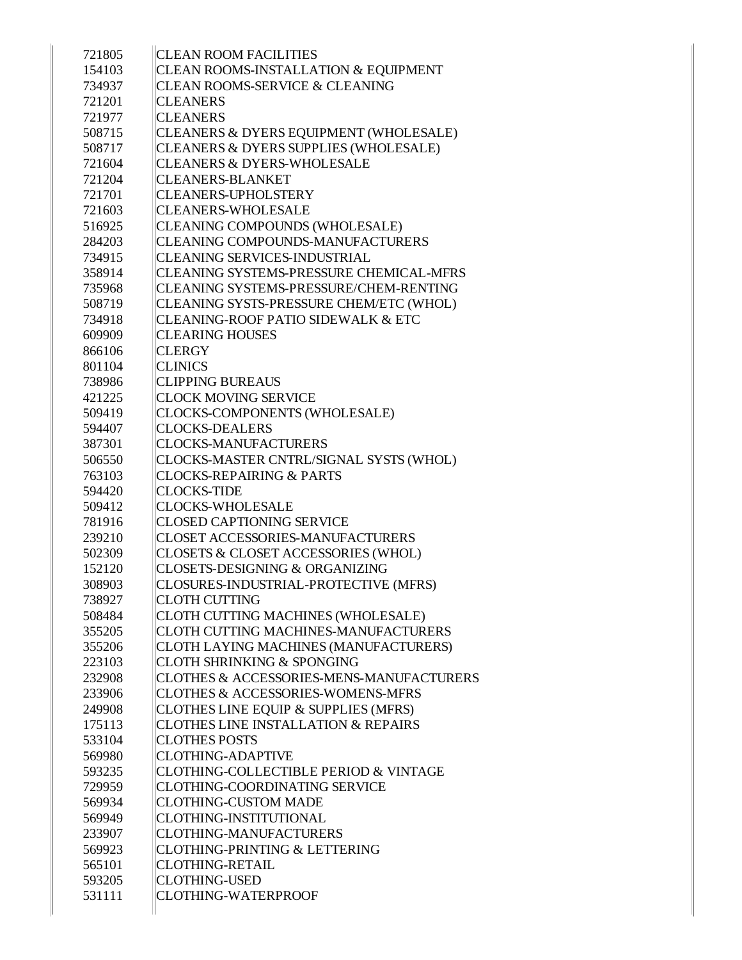| 721805 | <b>CLEAN ROOM FACILITIES</b>                   |
|--------|------------------------------------------------|
| 154103 | CLEAN ROOMS-INSTALLATION & EQUIPMENT           |
| 734937 | <b>CLEAN ROOMS-SERVICE &amp; CLEANING</b>      |
| 721201 | <b>CLEANERS</b>                                |
| 721977 | <b>CLEANERS</b>                                |
| 508715 | CLEANERS & DYERS EQUIPMENT (WHOLESALE)         |
| 508717 | CLEANERS & DYERS SUPPLIES (WHOLESALE)          |
| 721604 | <b>CLEANERS &amp; DYERS-WHOLESALE</b>          |
| 721204 | <b>CLEANERS-BLANKET</b>                        |
| 721701 | <b>CLEANERS-UPHOLSTERY</b>                     |
| 721603 | <b>CLEANERS-WHOLESALE</b>                      |
| 516925 | CLEANING COMPOUNDS (WHOLESALE)                 |
| 284203 | CLEANING COMPOUNDS-MANUFACTURERS               |
| 734915 | <b>CLEANING SERVICES-INDUSTRIAL</b>            |
| 358914 | CLEANING SYSTEMS-PRESSURE CHEMICAL-MFRS        |
| 735968 | CLEANING SYSTEMS-PRESSURE/CHEM-RENTING         |
| 508719 | CLEANING SYSTS-PRESSURE CHEM/ETC (WHOL)        |
| 734918 | CLEANING-ROOF PATIO SIDEWALK & ETC             |
| 609909 | <b>CLEARING HOUSES</b>                         |
| 866106 | <b>CLERGY</b>                                  |
| 801104 | <b>CLINICS</b>                                 |
| 738986 | <b>CLIPPING BUREAUS</b>                        |
| 421225 | <b>CLOCK MOVING SERVICE</b>                    |
| 509419 | CLOCKS-COMPONENTS (WHOLESALE)                  |
| 594407 | <b>CLOCKS-DEALERS</b>                          |
| 387301 | <b>CLOCKS-MANUFACTURERS</b>                    |
| 506550 | CLOCKS-MASTER CNTRL/SIGNAL SYSTS (WHOL)        |
| 763103 | <b>CLOCKS-REPAIRING &amp; PARTS</b>            |
| 594420 | <b>CLOCKS-TIDE</b>                             |
| 509412 | <b>CLOCKS-WHOLESALE</b>                        |
| 781916 | <b>CLOSED CAPTIONING SERVICE</b>               |
| 239210 | <b>CLOSET ACCESSORIES-MANUFACTURERS</b>        |
| 502309 | CLOSETS & CLOSET ACCESSORIES (WHOL)            |
| 152120 | CLOSETS-DESIGNING & ORGANIZING                 |
| 308903 | CLOSURES-INDUSTRIAL-PROTECTIVE (MFRS)          |
| 738927 | <b>CLOTH CUTTING</b>                           |
| 508484 | CLOTH CUTTING MACHINES (WHOLESALE)             |
| 355205 | CLOTH CUTTING MACHINES-MANUFACTURERS           |
| 355206 | CLOTH LAYING MACHINES (MANUFACTURERS)          |
| 223103 | <b>CLOTH SHRINKING &amp; SPONGING</b>          |
| 232908 | CLOTHES & ACCESSORIES-MENS-MANUFACTURERS       |
| 233906 | <b>CLOTHES &amp; ACCESSORIES-WOMENS-MFRS</b>   |
| 249908 | CLOTHES LINE EQUIP & SUPPLIES (MFRS)           |
| 175113 | <b>CLOTHES LINE INSTALLATION &amp; REPAIRS</b> |
| 533104 | <b>CLOTHES POSTS</b>                           |
| 569980 | <b>CLOTHING-ADAPTIVE</b>                       |
| 593235 | CLOTHING-COLLECTIBLE PERIOD & VINTAGE          |
| 729959 | CLOTHING-COORDINATING SERVICE                  |
| 569934 | <b>CLOTHING-CUSTOM MADE</b>                    |
| 569949 | CLOTHING-INSTITUTIONAL                         |
| 233907 | <b>CLOTHING-MANUFACTURERS</b>                  |
| 569923 | CLOTHING-PRINTING & LETTERING                  |
| 565101 | CLOTHING-RETAIL                                |
| 593205 | <b>CLOTHING-USED</b>                           |
| 531111 | CLOTHING-WATERPROOF                            |
|        |                                                |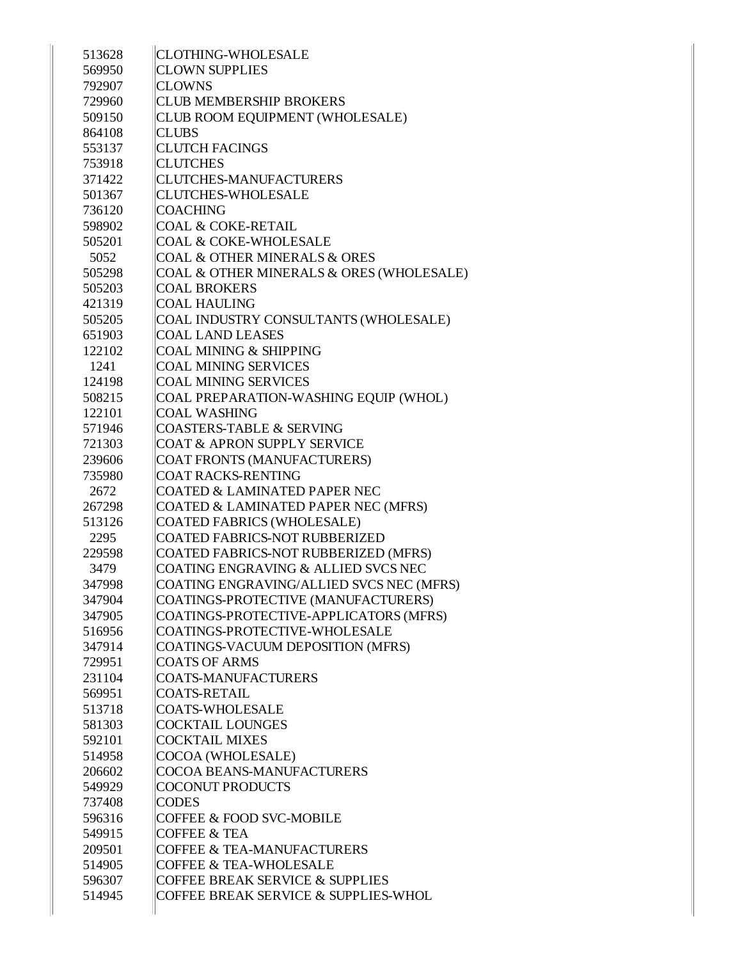| 513628 | <b>CLOTHING-WHOLESALE</b>                   |
|--------|---------------------------------------------|
| 569950 | <b>CLOWN SUPPLIES</b>                       |
| 792907 | <b>CLOWNS</b>                               |
| 729960 | <b>CLUB MEMBERSHIP BROKERS</b>              |
| 509150 | CLUB ROOM EQUIPMENT (WHOLESALE)             |
| 864108 | <b>CLUBS</b>                                |
| 553137 | <b>CLUTCH FACINGS</b>                       |
| 753918 | <b>CLUTCHES</b>                             |
| 371422 | <b>CLUTCHES-MANUFACTURERS</b>               |
| 501367 | <b>CLUTCHES-WHOLESALE</b>                   |
| 736120 | <b>COACHING</b>                             |
| 598902 | <b>COAL &amp; COKE-RETAIL</b>               |
| 505201 | <b>COAL &amp; COKE-WHOLESALE</b>            |
| 5052   | <b>COAL &amp; OTHER MINERALS &amp; ORES</b> |
| 505298 | COAL & OTHER MINERALS & ORES (WHOLESALE)    |
| 505203 | <b>COAL BROKERS</b>                         |
| 421319 | <b>COAL HAULING</b>                         |
| 505205 | COAL INDUSTRY CONSULTANTS (WHOLESALE)       |
| 651903 | <b>COAL LAND LEASES</b>                     |
| 122102 | <b>COAL MINING &amp; SHIPPING</b>           |
| 1241   | <b>COAL MINING SERVICES</b>                 |
| 124198 | <b>COAL MINING SERVICES</b>                 |
| 508215 | COAL PREPARATION-WASHING EQUIP (WHOL)       |
| 122101 | <b>COAL WASHING</b>                         |
| 571946 | <b>COASTERS-TABLE &amp; SERVING</b>         |
| 721303 | <b>COAT &amp; APRON SUPPLY SERVICE</b>      |
| 239606 | COAT FRONTS (MANUFACTURERS)                 |
| 735980 | <b>COAT RACKS-RENTING</b>                   |
| 2672   | <b>COATED &amp; LAMINATED PAPER NEC</b>     |
| 267298 | COATED & LAMINATED PAPER NEC (MFRS)         |
| 513126 | <b>COATED FABRICS (WHOLESALE)</b>           |
| 2295   | <b>COATED FABRICS-NOT RUBBERIZED</b>        |
| 229598 | <b>COATED FABRICS-NOT RUBBERIZED (MFRS)</b> |
| 3479   | COATING ENGRAVING & ALLIED SVCS NEC         |
| 347998 | COATING ENGRAVING/ALLIED SVCS NEC (MFRS)    |
| 347904 | COATINGS-PROTECTIVE (MANUFACTURERS)         |
| 347905 | COATINGS-PROTECTIVE-APPLICATORS (MFRS)      |
| 516956 | COATINGS-PROTECTIVE-WHOLESALE               |
| 347914 | COATINGS-VACUUM DEPOSITION (MFRS)           |
| 729951 | <b>COATS OF ARMS</b>                        |
| 231104 | <b>COATS-MANUFACTURERS</b>                  |
| 569951 | <b>COATS-RETAIL</b>                         |
|        | <b>COATS-WHOLESALE</b>                      |
| 513718 |                                             |
| 581303 | <b>COCKTAIL LOUNGES</b>                     |
| 592101 | <b>COCKTAIL MIXES</b>                       |
| 514958 | COCOA (WHOLESALE)                           |
| 206602 | COCOA BEANS-MANUFACTURERS                   |
| 549929 | <b>COCONUT PRODUCTS</b>                     |
| 737408 | <b>CODES</b>                                |
| 596316 | <b>COFFEE &amp; FOOD SVC-MOBILE</b>         |
| 549915 | <b>COFFEE &amp; TEA</b>                     |
| 209501 | <b>COFFEE &amp; TEA-MANUFACTURERS</b>       |
| 514905 | <b>COFFEE &amp; TEA-WHOLESALE</b>           |
| 596307 | <b>COFFEE BREAK SERVICE &amp; SUPPLIES</b>  |
| 514945 | COFFEE BREAK SERVICE & SUPPLIES-WHOL        |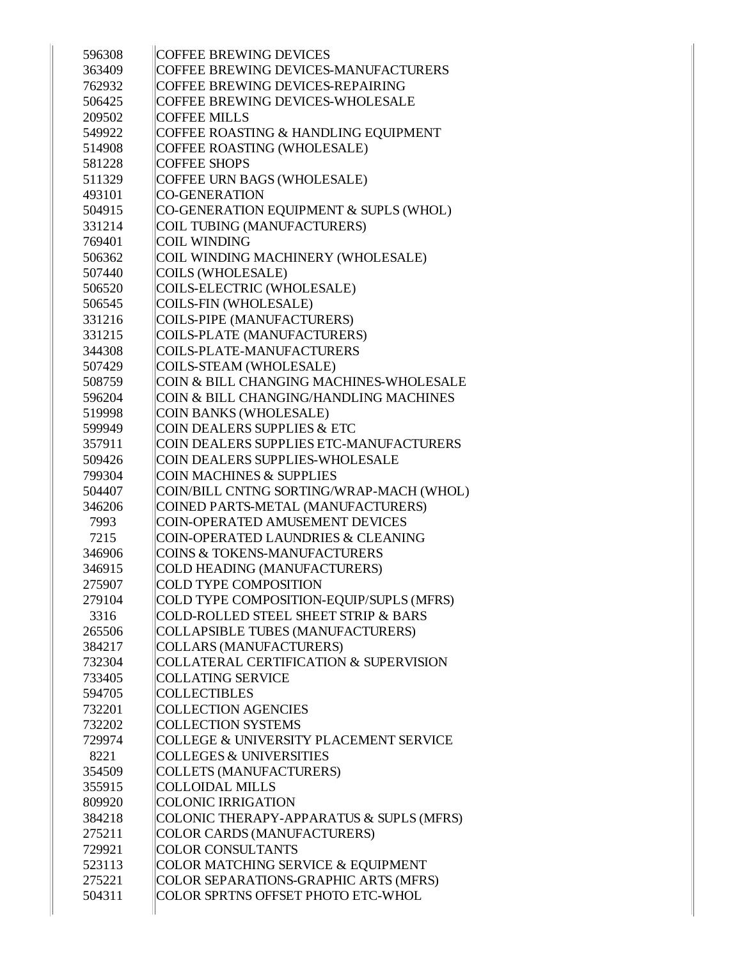| 596308 | <b>COFFEE BREWING DEVICES</b>                     |
|--------|---------------------------------------------------|
| 363409 | COFFEE BREWING DEVICES-MANUFACTURERS              |
| 762932 | COFFEE BREWING DEVICES-REPAIRING                  |
| 506425 | COFFEE BREWING DEVICES-WHOLESALE                  |
| 209502 | <b>COFFEE MILLS</b>                               |
| 549922 | COFFEE ROASTING & HANDLING EQUIPMENT              |
| 514908 | COFFEE ROASTING (WHOLESALE)                       |
| 581228 | <b>COFFEE SHOPS</b>                               |
| 511329 | COFFEE URN BAGS (WHOLESALE)                       |
| 493101 | <b>CO-GENERATION</b>                              |
| 504915 | CO-GENERATION EQUIPMENT & SUPLS (WHOL)            |
| 331214 | <b>COIL TUBING (MANUFACTURERS)</b>                |
| 769401 | <b>COIL WINDING</b>                               |
| 506362 | COIL WINDING MACHINERY (WHOLESALE)                |
| 507440 | <b>COILS (WHOLESALE)</b>                          |
| 506520 | COILS-ELECTRIC (WHOLESALE)                        |
| 506545 | <b>COILS-FIN (WHOLESALE)</b>                      |
| 331216 | <b>COILS-PIPE (MANUFACTURERS)</b>                 |
| 331215 | <b>COILS-PLATE (MANUFACTURERS)</b>                |
| 344308 | COILS-PLATE-MANUFACTURERS                         |
| 507429 | COILS-STEAM (WHOLESALE)                           |
| 508759 | COIN & BILL CHANGING MACHINES-WHOLESALE           |
| 596204 | COIN & BILL CHANGING/HANDLING MACHINES            |
| 519998 | <b>COIN BANKS (WHOLESALE)</b>                     |
| 599949 | <b>COIN DEALERS SUPPLIES &amp; ETC</b>            |
| 357911 | COIN DEALERS SUPPLIES ETC-MANUFACTURERS           |
| 509426 | COIN DEALERS SUPPLIES-WHOLESALE                   |
| 799304 | <b>COIN MACHINES &amp; SUPPLIES</b>               |
| 504407 | COIN/BILL CNTNG SORTING/WRAP-MACH (WHOL)          |
| 346206 | COINED PARTS-METAL (MANUFACTURERS)                |
| 7993   | COIN-OPERATED AMUSEMENT DEVICES                   |
| 7215   | <b>COIN-OPERATED LAUNDRIES &amp; CLEANING</b>     |
| 346906 | <b>COINS &amp; TOKENS-MANUFACTURERS</b>           |
| 346915 | COLD HEADING (MANUFACTURERS)                      |
| 275907 | COLD TYPE COMPOSITION                             |
| 279104 | COLD TYPE COMPOSITION-EQUIP/SUPLS (MFRS)          |
| 3316   | <b>COLD-ROLLED STEEL SHEET STRIP &amp; BARS</b>   |
| 265506 | <b>COLLAPSIBLE TUBES (MANUFACTURERS)</b>          |
| 384217 | <b>COLLARS (MANUFACTURERS)</b>                    |
| 732304 | <b>COLLATERAL CERTIFICATION &amp; SUPERVISION</b> |
| 733405 | <b>COLLATING SERVICE</b>                          |
| 594705 | <b>COLLECTIBLES</b>                               |
| 732201 | <b>COLLECTION AGENCIES</b>                        |
| 732202 | <b>COLLECTION SYSTEMS</b>                         |
| 729974 | COLLEGE & UNIVERSITY PLACEMENT SERVICE            |
| 8221   | <b>COLLEGES &amp; UNIVERSITIES</b>                |
| 354509 | <b>COLLETS (MANUFACTURERS)</b>                    |
| 355915 | <b>COLLOIDAL MILLS</b>                            |
| 809920 | <b>COLONIC IRRIGATION</b>                         |
| 384218 | COLONIC THERAPY-APPARATUS & SUPLS (MFRS)          |
| 275211 | <b>COLOR CARDS (MANUFACTURERS)</b>                |
| 729921 | <b>COLOR CONSULTANTS</b>                          |
| 523113 | COLOR MATCHING SERVICE & EQUIPMENT                |
| 275221 | COLOR SEPARATIONS-GRAPHIC ARTS (MFRS)             |
| 504311 | COLOR SPRTNS OFFSET PHOTO ETC-WHOL                |
|        |                                                   |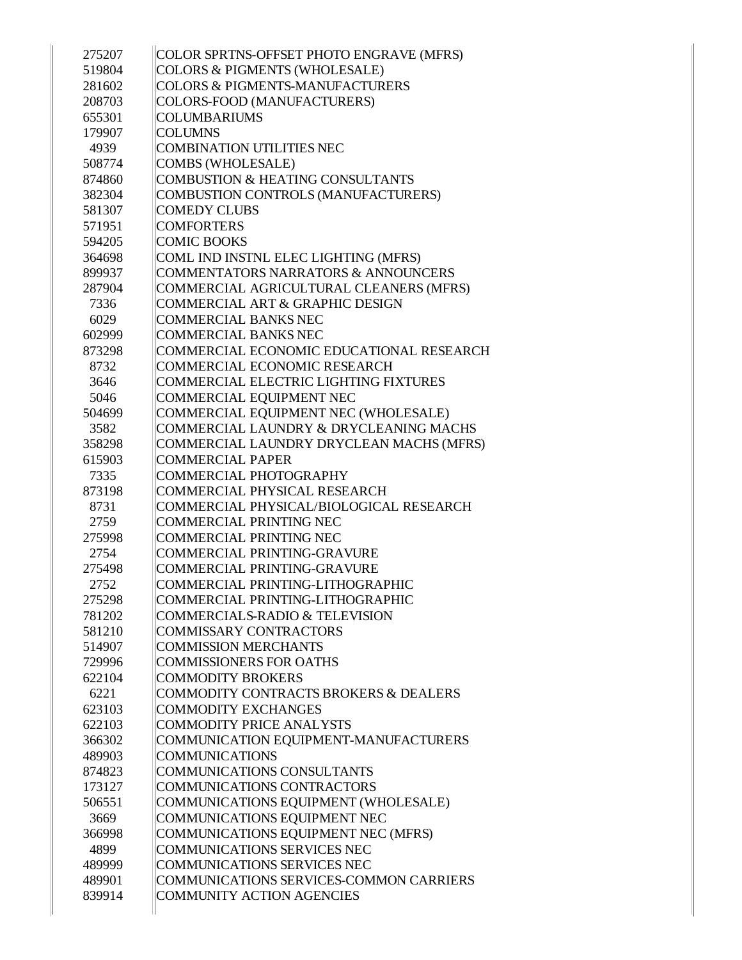| 275207 | COLOR SPRTNS-OFFSET PHOTO ENGRAVE (MFRS)                            |
|--------|---------------------------------------------------------------------|
| 519804 | <b>COLORS &amp; PIGMENTS (WHOLESALE)</b>                            |
| 281602 | <b>COLORS &amp; PIGMENTS-MANUFACTURERS</b>                          |
| 208703 | COLORS-FOOD (MANUFACTURERS)                                         |
| 655301 | <b>COLUMBARIUMS</b>                                                 |
| 179907 | <b>COLUMNS</b>                                                      |
| 4939   | <b>COMBINATION UTILITIES NEC</b>                                    |
| 508774 | <b>COMBS (WHOLESALE)</b>                                            |
| 874860 | <b>COMBUSTION &amp; HEATING CONSULTANTS</b>                         |
| 382304 | COMBUSTION CONTROLS (MANUFACTURERS)                                 |
| 581307 | <b>COMEDY CLUBS</b>                                                 |
| 571951 | <b>COMFORTERS</b>                                                   |
| 594205 | <b>COMIC BOOKS</b>                                                  |
| 364698 | COML IND INSTNL ELEC LIGHTING (MFRS)                                |
| 899937 | <b>COMMENTATORS NARRATORS &amp; ANNOUNCERS</b>                      |
| 287904 | COMMERCIAL AGRICULTURAL CLEANERS (MFRS)                             |
| 7336   | COMMERCIAL ART & GRAPHIC DESIGN                                     |
| 6029   | <b>COMMERCIAL BANKS NEC</b>                                         |
| 602999 | <b>COMMERCIAL BANKS NEC</b>                                         |
| 873298 | COMMERCIAL ECONOMIC EDUCATIONAL RESEARCH                            |
| 8732   | COMMERCIAL ECONOMIC RESEARCH                                        |
| 3646   | COMMERCIAL ELECTRIC LIGHTING FIXTURES                               |
| 5046   | COMMERCIAL EQUIPMENT NEC                                            |
| 504699 | COMMERCIAL EQUIPMENT NEC (WHOLESALE)                                |
| 3582   | COMMERCIAL LAUNDRY & DRYCLEANING MACHS                              |
| 358298 | COMMERCIAL LAUNDRY DRYCLEAN MACHS (MFRS)                            |
| 615903 | <b>COMMERCIAL PAPER</b>                                             |
| 7335   | COMMERCIAL PHOTOGRAPHY                                              |
| 873198 | COMMERCIAL PHYSICAL RESEARCH                                        |
| 8731   | COMMERCIAL PHYSICAL/BIOLOGICAL RESEARCH                             |
| 2759   | <b>COMMERCIAL PRINTING NEC</b>                                      |
| 275998 | <b>COMMERCIAL PRINTING NEC</b>                                      |
| 2754   | COMMERCIAL PRINTING-GRAVURE                                         |
| 275498 | COMMERCIAL PRINTING-GRAVURE                                         |
| 2752   | COMMERCIAL PRINTING-LITHOGRAPHIC                                    |
| 275298 | COMMERCIAL PRINTING-LITHOGRAPHIC                                    |
| 781202 | <b>COMMERCIALS-RADIO &amp; TELEVISION</b>                           |
| 581210 | COMMISSARY CONTRACTORS                                              |
| 514907 | <b>COMMISSION MERCHANTS</b>                                         |
| 729996 | <b>COMMISSIONERS FOR OATHS</b>                                      |
| 622104 | <b>COMMODITY BROKERS</b>                                            |
| 6221   | COMMODITY CONTRACTS BROKERS & DEALERS                               |
| 623103 | <b>COMMODITY EXCHANGES</b>                                          |
| 622103 | COMMODITY PRICE ANALYSTS                                            |
| 366302 | COMMUNICATION EQUIPMENT-MANUFACTURERS                               |
| 489903 | <b>COMMUNICATIONS</b>                                               |
| 874823 | COMMUNICATIONS CONSULTANTS                                          |
| 173127 | COMMUNICATIONS CONTRACTORS                                          |
| 506551 | COMMUNICATIONS EQUIPMENT (WHOLESALE)                                |
|        |                                                                     |
| 3669   | COMMUNICATIONS EQUIPMENT NEC<br>COMMUNICATIONS EQUIPMENT NEC (MFRS) |
| 366998 | COMMUNICATIONS SERVICES NEC                                         |
| 4899   |                                                                     |
| 489999 | COMMUNICATIONS SERVICES NEC                                         |
| 489901 | COMMUNICATIONS SERVICES-COMMON CARRIERS                             |
| 839914 | <b>COMMUNITY ACTION AGENCIES</b>                                    |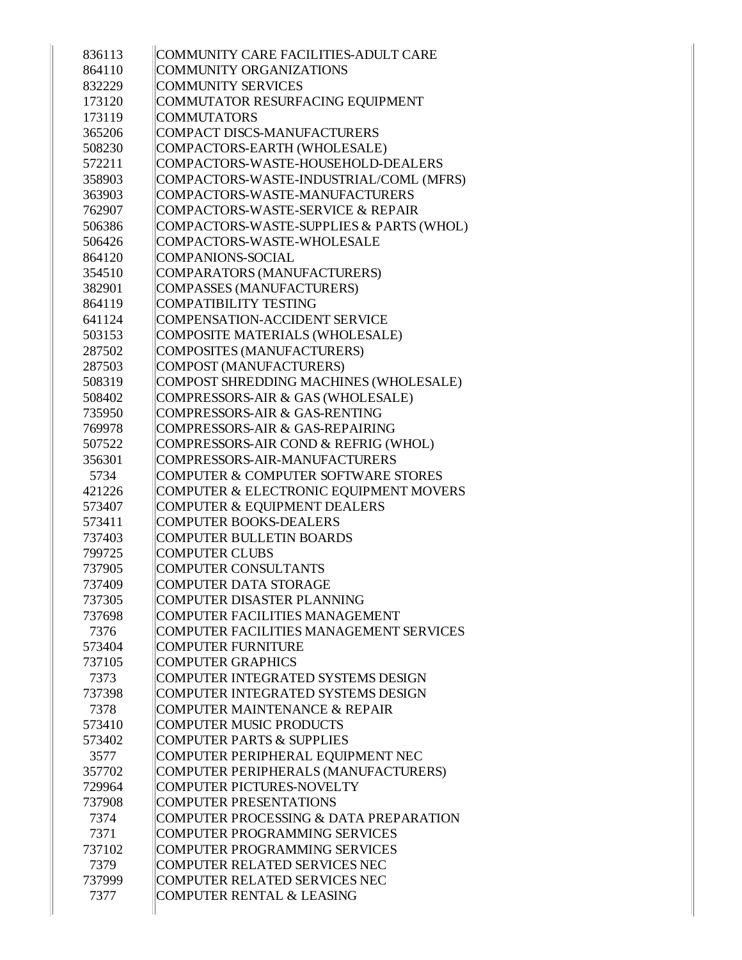| 836113 | COMMUNITY CARE FACILITIES-ADULT CARE           |
|--------|------------------------------------------------|
| 864110 | <b>COMMUNITY ORGANIZATIONS</b>                 |
| 832229 | <b>COMMUNITY SERVICES</b>                      |
| 173120 | COMMUTATOR RESURFACING EQUIPMENT               |
| 173119 | <b>COMMUTATORS</b>                             |
| 365206 | <b>COMPACT DISCS-MANUFACTURERS</b>             |
| 508230 | COMPACTORS-EARTH (WHOLESALE)                   |
| 572211 | COMPACTORS-WASTE-HOUSEHOLD-DEALERS             |
| 358903 | COMPACTORS-WASTE-INDUSTRIAL/COML (MFRS)        |
| 363903 | COMPACTORS-WASTE-MANUFACTURERS                 |
| 762907 | COMPACTORS-WASTE-SERVICE & REPAIR              |
| 506386 | COMPACTORS-WASTE-SUPPLIES & PARTS (WHOL)       |
| 506426 | COMPACTORS-WASTE-WHOLESALE                     |
| 864120 | <b>COMPANIONS-SOCIAL</b>                       |
| 354510 | COMPARATORS (MANUFACTURERS)                    |
| 382901 | <b>COMPASSES (MANUFACTURERS)</b>               |
| 864119 | <b>COMPATIBILITY TESTING</b>                   |
| 641124 | <b>COMPENSATION-ACCIDENT SERVICE</b>           |
| 503153 | COMPOSITE MATERIALS (WHOLESALE)                |
| 287502 | <b>COMPOSITES (MANUFACTURERS)</b>              |
| 287503 | <b>COMPOST (MANUFACTURERS)</b>                 |
| 508319 | COMPOST SHREDDING MACHINES (WHOLESALE)         |
| 508402 | COMPRESSORS-AIR & GAS (WHOLESALE)              |
| 735950 | COMPRESSORS-AIR & GAS-RENTING                  |
| 769978 | COMPRESSORS-AIR & GAS-REPAIRING                |
| 507522 | COMPRESSORS-AIR COND & REFRIG (WHOL)           |
| 356301 | COMPRESSORS-AIR-MANUFACTURERS                  |
| 5734   | <b>COMPUTER &amp; COMPUTER SOFTWARE STORES</b> |
| 421226 | COMPUTER & ELECTRONIC EQUIPMENT MOVERS         |
| 573407 | COMPUTER & EQUIPMENT DEALERS                   |
| 573411 | <b>COMPUTER BOOKS-DEALERS</b>                  |
| 737403 | <b>COMPUTER BULLETIN BOARDS</b>                |
| 799725 | <b>COMPUTER CLUBS</b>                          |
| 737905 | <b>COMPUTER CONSULTANTS</b>                    |
| 737409 | <b>COMPUTER DATA STORAGE</b>                   |
| 737305 | <b>COMPUTER DISASTER PLANNING</b>              |
| 737698 | <b>COMPUTER FACILITIES MANAGEMENT</b>          |
| 7376   | COMPUTER FACILITIES MANAGEMENT SERVICES        |
| 573404 | <b>COMPUTER FURNITURE</b>                      |
| 737105 | <b>COMPUTER GRAPHICS</b>                       |
| 7373   | COMPUTER INTEGRATED SYSTEMS DESIGN             |
| 737398 | COMPUTER INTEGRATED SYSTEMS DESIGN             |
| 7378   | <b>COMPUTER MAINTENANCE &amp; REPAIR</b>       |
| 573410 | <b>COMPUTER MUSIC PRODUCTS</b>                 |
| 573402 | <b>COMPUTER PARTS &amp; SUPPLIES</b>           |
| 3577   | COMPUTER PERIPHERAL EQUIPMENT NEC              |
| 357702 | COMPUTER PERIPHERALS (MANUFACTURERS)           |
| 729964 | <b>COMPUTER PICTURES-NOVELTY</b>               |
| 737908 | <b>COMPUTER PRESENTATIONS</b>                  |
| 7374   | COMPUTER PROCESSING & DATA PREPARATION         |
| 7371   | <b>COMPUTER PROGRAMMING SERVICES</b>           |
| 737102 | <b>COMPUTER PROGRAMMING SERVICES</b>           |
| 7379   | <b>COMPUTER RELATED SERVICES NEC</b>           |
| 737999 | <b>COMPUTER RELATED SERVICES NEC</b>           |
| 7377   | <b>COMPUTER RENTAL &amp; LEASING</b>           |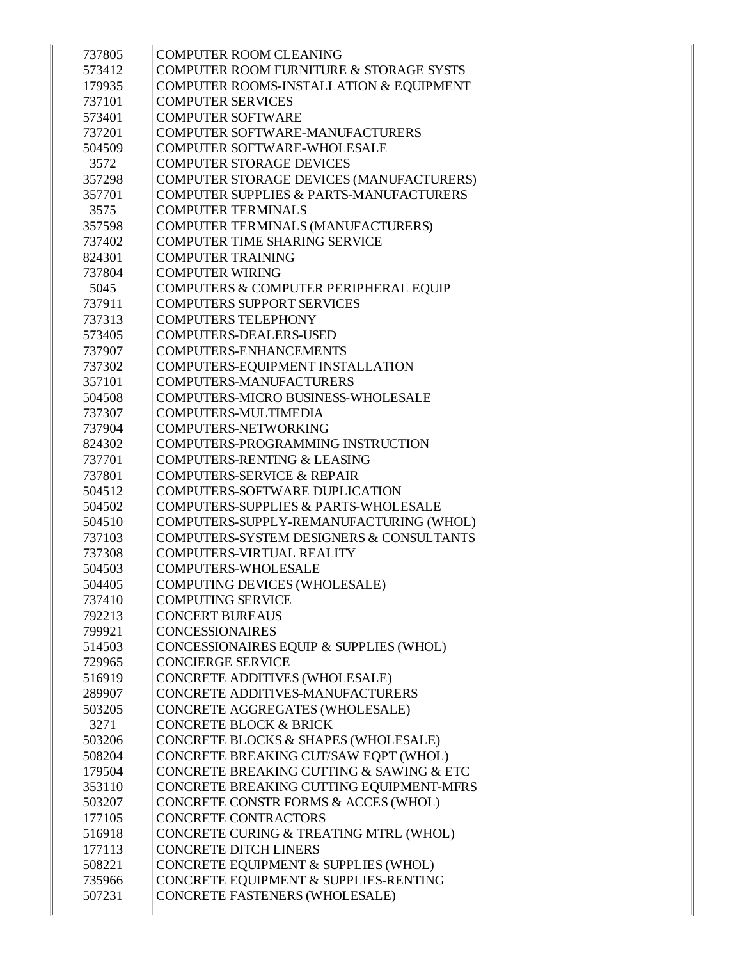| 737805 | COMPUTER ROOM CLEANING                   |
|--------|------------------------------------------|
| 573412 | COMPUTER ROOM FURNITURE & STORAGE SYSTS  |
| 179935 | COMPUTER ROOMS-INSTALLATION & EQUIPMENT  |
| 737101 | <b>COMPUTER SERVICES</b>                 |
| 573401 | <b>COMPUTER SOFTWARE</b>                 |
| 737201 | COMPUTER SOFTWARE-MANUFACTURERS          |
| 504509 | COMPUTER SOFTWARE-WHOLESALE              |
| 3572   | <b>COMPUTER STORAGE DEVICES</b>          |
| 357298 | COMPUTER STORAGE DEVICES (MANUFACTURERS) |
| 357701 | COMPUTER SUPPLIES & PARTS-MANUFACTURERS  |
| 3575   | <b>COMPUTER TERMINALS</b>                |
| 357598 | COMPUTER TERMINALS (MANUFACTURERS)       |
| 737402 | <b>COMPUTER TIME SHARING SERVICE</b>     |
| 824301 | <b>COMPUTER TRAINING</b>                 |
| 737804 | <b>COMPUTER WIRING</b>                   |
| 5045   | COMPUTERS & COMPUTER PERIPHERAL EQUIP    |
| 737911 | <b>COMPUTERS SUPPORT SERVICES</b>        |
| 737313 | <b>COMPUTERS TELEPHONY</b>               |
| 573405 | COMPUTERS-DEALERS-USED                   |
| 737907 | COMPUTERS-ENHANCEMENTS                   |
| 737302 | COMPUTERS-EQUIPMENT INSTALLATION         |
| 357101 | COMPUTERS-MANUFACTURERS                  |
| 504508 | COMPUTERS-MICRO BUSINESS-WHOLESALE       |
| 737307 | COMPUTERS-MULTIMEDIA                     |
| 737904 | COMPUTERS-NETWORKING                     |
| 824302 | COMPUTERS-PROGRAMMING INSTRUCTION        |
| 737701 | COMPUTERS-RENTING & LEASING              |
| 737801 | COMPUTERS-SERVICE & REPAIR               |
| 504512 | COMPUTERS-SOFTWARE DUPLICATION           |
| 504502 | COMPUTERS-SUPPLIES & PARTS-WHOLESALE     |
| 504510 | COMPUTERS-SUPPLY-REMANUFACTURING (WHOL)  |
| 737103 | COMPUTERS-SYSTEM DESIGNERS & CONSULTANTS |
| 737308 | COMPUTERS-VIRTUAL REALITY                |
| 504503 | COMPUTERS-WHOLESALE                      |
| 504405 | COMPUTING DEVICES (WHOLESALE)            |
| 737410 | COMPUTING SERVICE                        |
| 792213 | <b>CONCERT BUREAUS</b>                   |
| 799921 | <b>CONCESSIONAIRES</b>                   |
| 514503 | CONCESSIONAIRES EQUIP & SUPPLIES (WHOL)  |
| 729965 | CONCIERGE SERVICE                        |
| 516919 | CONCRETE ADDITIVES (WHOLESALE)           |
| 289907 | CONCRETE ADDITIVES-MANUFACTURERS         |
| 503205 | CONCRETE AGGREGATES (WHOLESALE)          |
| 3271   | <b>CONCRETE BLOCK &amp; BRICK</b>        |
| 503206 | CONCRETE BLOCKS & SHAPES (WHOLESALE)     |
| 508204 | CONCRETE BREAKING CUT/SAW EQPT (WHOL)    |
| 179504 | CONCRETE BREAKING CUTTING & SAWING & ETC |
| 353110 | CONCRETE BREAKING CUTTING EQUIPMENT-MFRS |
| 503207 | CONCRETE CONSTR FORMS & ACCES (WHOL)     |
| 177105 | CONCRETE CONTRACTORS                     |
| 516918 | CONCRETE CURING & TREATING MTRL (WHOL)   |
| 177113 | <b>CONCRETE DITCH LINERS</b>             |
| 508221 | CONCRETE EQUIPMENT & SUPPLIES (WHOL)     |
| 735966 | CONCRETE EQUIPMENT & SUPPLIES-RENTING    |
| 507231 | CONCRETE FASTENERS (WHOLESALE)           |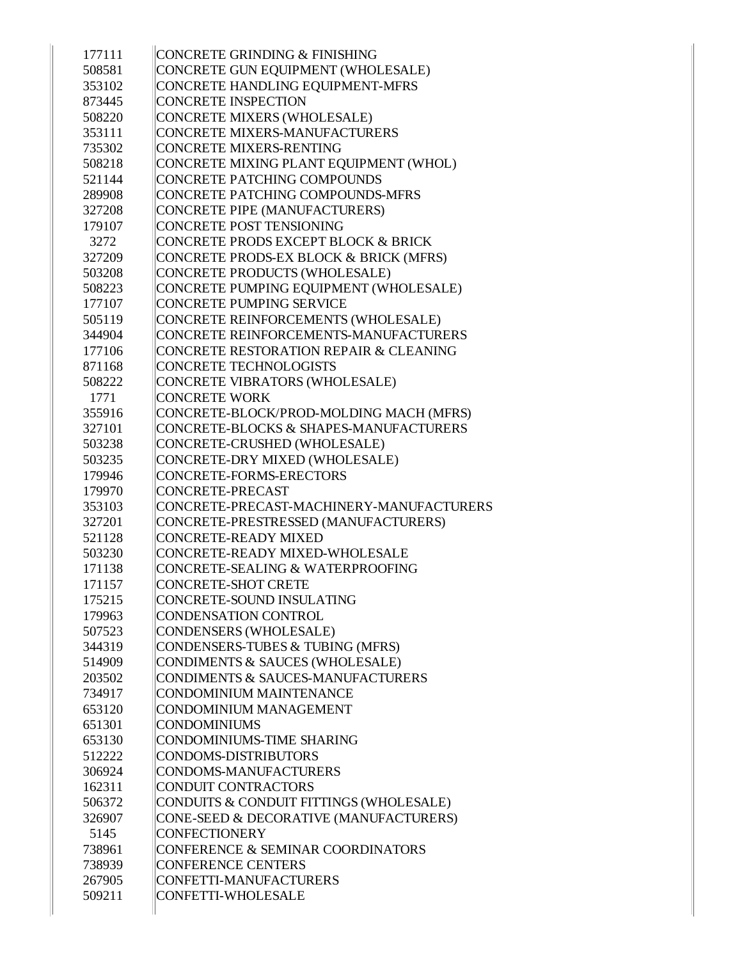| 177111 | CONCRETE GRINDING & FINISHING            |
|--------|------------------------------------------|
| 508581 | CONCRETE GUN EQUIPMENT (WHOLESALE)       |
| 353102 | CONCRETE HANDLING EQUIPMENT-MFRS         |
| 873445 | <b>CONCRETE INSPECTION</b>               |
| 508220 | CONCRETE MIXERS (WHOLESALE)              |
| 353111 | CONCRETE MIXERS-MANUFACTURERS            |
| 735302 | CONCRETE MIXERS-RENTING                  |
| 508218 | CONCRETE MIXING PLANT EQUIPMENT (WHOL)   |
| 521144 | CONCRETE PATCHING COMPOUNDS              |
| 289908 | CONCRETE PATCHING COMPOUNDS-MFRS         |
| 327208 | CONCRETE PIPE (MANUFACTURERS)            |
| 179107 | <b>CONCRETE POST TENSIONING</b>          |
| 3272   | CONCRETE PRODS EXCEPT BLOCK & BRICK      |
| 327209 | CONCRETE PRODS-EX BLOCK & BRICK (MFRS)   |
| 503208 | CONCRETE PRODUCTS (WHOLESALE)            |
| 508223 | CONCRETE PUMPING EQUIPMENT (WHOLESALE)   |
| 177107 | CONCRETE PUMPING SERVICE                 |
| 505119 | CONCRETE REINFORCEMENTS (WHOLESALE)      |
| 344904 | CONCRETE REINFORCEMENTS-MANUFACTURERS    |
| 177106 | CONCRETE RESTORATION REPAIR & CLEANING   |
| 871168 | CONCRETE TECHNOLOGISTS                   |
| 508222 | CONCRETE VIBRATORS (WHOLESALE)           |
| 1771   | <b>CONCRETE WORK</b>                     |
| 355916 | CONCRETE-BLOCK/PROD-MOLDING MACH (MFRS)  |
| 327101 | CONCRETE-BLOCKS & SHAPES-MANUFACTURERS   |
| 503238 | CONCRETE-CRUSHED (WHOLESALE)             |
| 503235 | CONCRETE-DRY MIXED (WHOLESALE)           |
| 179946 | CONCRETE-FORMS-ERECTORS                  |
| 179970 | CONCRETE-PRECAST                         |
| 353103 | CONCRETE-PRECAST-MACHINERY-MANUFACTURERS |
| 327201 | CONCRETE-PRESTRESSED (MANUFACTURERS)     |
| 521128 | CONCRETE-READY MIXED                     |
| 503230 | CONCRETE-READY MIXED-WHOLESALE           |
| 171138 | CONCRETE-SEALING & WATERPROOFING         |
| 171157 | CONCRETE-SHOT CRETE                      |
| 175215 | CONCRETE-SOUND INSULATING                |
| 179963 | CONDENSATION CONTROL                     |
| 507523 | CONDENSERS (WHOLESALE)                   |
| 344319 | CONDENSERS-TUBES & TUBING (MFRS)         |
| 514909 | CONDIMENTS & SAUCES (WHOLESALE)          |
| 203502 | CONDIMENTS & SAUCES-MANUFACTURERS        |
| 734917 | CONDOMINIUM MAINTENANCE                  |
| 653120 | CONDOMINIUM MANAGEMENT                   |
| 651301 | <b>CONDOMINIUMS</b>                      |
| 653130 | CONDOMINIUMS-TIME SHARING                |
| 512222 | CONDOMS-DISTRIBUTORS                     |
| 306924 | CONDOMS-MANUFACTURERS                    |
| 162311 | CONDUIT CONTRACTORS                      |
| 506372 | CONDUITS & CONDUIT FITTINGS (WHOLESALE)  |
| 326907 | CONE-SEED & DECORATIVE (MANUFACTURERS)   |
| 5145   | <b>CONFECTIONERY</b>                     |
| 738961 | CONFERENCE & SEMINAR COORDINATORS        |
| 738939 | <b>CONFERENCE CENTERS</b>                |
| 267905 | CONFETTI-MANUFACTURERS                   |
| 509211 | CONFETTI-WHOLESALE                       |
|        |                                          |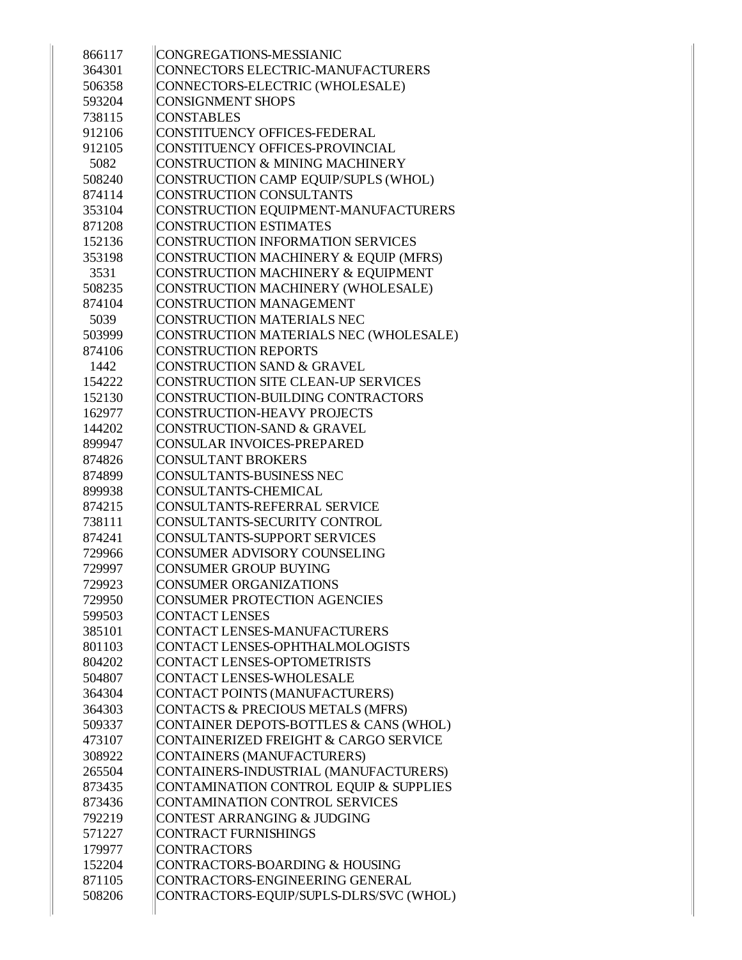| 866117 | CONGREGATIONS-MESSIANIC                 |
|--------|-----------------------------------------|
| 364301 | CONNECTORS ELECTRIC-MANUFACTURERS       |
| 506358 | CONNECTORS-ELECTRIC (WHOLESALE)         |
| 593204 | <b>CONSIGNMENT SHOPS</b>                |
| 738115 | <b>CONSTABLES</b>                       |
| 912106 | CONSTITUENCY OFFICES-FEDERAL            |
| 912105 | CONSTITUENCY OFFICES-PROVINCIAL         |
| 5082   | CONSTRUCTION & MINING MACHINERY         |
| 508240 | CONSTRUCTION CAMP EQUIP/SUPLS (WHOL)    |
| 874114 | <b>CONSTRUCTION CONSULTANTS</b>         |
| 353104 | CONSTRUCTION EQUIPMENT-MANUFACTURERS    |
| 871208 | <b>CONSTRUCTION ESTIMATES</b>           |
| 152136 | CONSTRUCTION INFORMATION SERVICES       |
| 353198 | CONSTRUCTION MACHINERY & EQUIP (MFRS)   |
| 3531   | CONSTRUCTION MACHINERY & EQUIPMENT      |
| 508235 | CONSTRUCTION MACHINERY (WHOLESALE)      |
| 874104 | <b>CONSTRUCTION MANAGEMENT</b>          |
| 5039   | <b>CONSTRUCTION MATERIALS NEC</b>       |
| 503999 | CONSTRUCTION MATERIALS NEC (WHOLESALE)  |
| 874106 | <b>CONSTRUCTION REPORTS</b>             |
| 1442   | <b>CONSTRUCTION SAND &amp; GRAVEL</b>   |
| 154222 | CONSTRUCTION SITE CLEAN-UP SERVICES     |
| 152130 | CONSTRUCTION-BUILDING CONTRACTORS       |
| 162977 | <b>CONSTRUCTION-HEAVY PROJECTS</b>      |
| 144202 | CONSTRUCTION-SAND & GRAVEL              |
| 899947 | <b>CONSULAR INVOICES-PREPARED</b>       |
| 874826 | <b>CONSULTANT BROKERS</b>               |
| 874899 | <b>CONSULTANTS-BUSINESS NEC</b>         |
| 899938 | CONSULTANTS-CHEMICAL                    |
| 874215 | CONSULTANTS-REFERRAL SERVICE            |
| 738111 | CONSULTANTS-SECURITY CONTROL            |
| 874241 | <b>CONSULTANTS-SUPPORT SERVICES</b>     |
| 729966 | <b>CONSUMER ADVISORY COUNSELING</b>     |
| 729997 | <b>CONSUMER GROUP BUYING</b>            |
| 729923 | <b>CONSUMER ORGANIZATIONS</b>           |
| 729950 | <b>CONSUMER PROTECTION AGENCIES</b>     |
| 599503 | <b>CONTACT LENSES</b>                   |
| 385101 | CONTACT LENSES-MANUFACTURERS            |
| 801103 | CONTACT LENSES-OPHTHALMOLOGISTS         |
| 804202 | CONTACT LENSES-OPTOMETRISTS             |
| 504807 | CONTACT LENSES-WHOLESALE                |
| 364304 | CONTACT POINTS (MANUFACTURERS)          |
| 364303 | CONTACTS & PRECIOUS METALS (MFRS)       |
| 509337 | CONTAINER DEPOTS-BOTTLES & CANS (WHOL)  |
| 473107 | CONTAINERIZED FREIGHT & CARGO SERVICE   |
| 308922 | CONTAINERS (MANUFACTURERS)              |
| 265504 | CONTAINERS-INDUSTRIAL (MANUFACTURERS)   |
| 873435 | CONTAMINATION CONTROL EQUIP & SUPPLIES  |
| 873436 | CONTAMINATION CONTROL SERVICES          |
| 792219 | <b>CONTEST ARRANGING &amp; JUDGING</b>  |
| 571227 | <b>CONTRACT FURNISHINGS</b>             |
| 179977 | <b>CONTRACTORS</b>                      |
| 152204 | CONTRACTORS-BOARDING & HOUSING          |
| 871105 | CONTRACTORS-ENGINEERING GENERAL         |
| 508206 | CONTRACTORS-EQUIP/SUPLS-DLRS/SVC (WHOL) |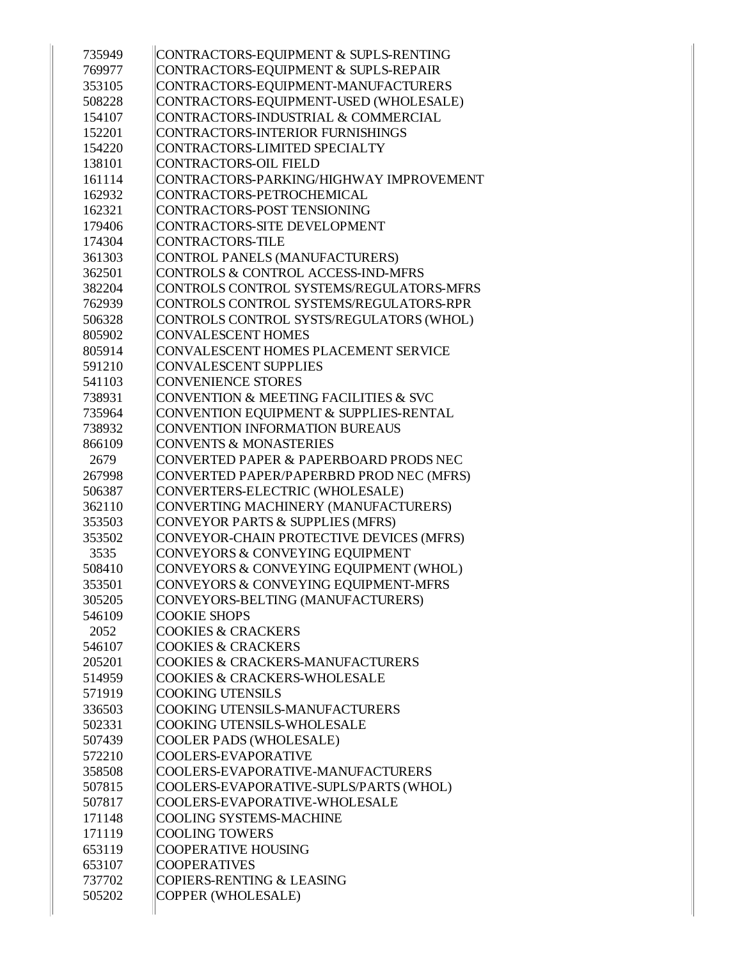| 735949 | CONTRACTORS-EQUIPMENT & SUPLS-RENTING       |
|--------|---------------------------------------------|
| 769977 | CONTRACTORS-EQUIPMENT & SUPLS-REPAIR        |
| 353105 | CONTRACTORS-EQUIPMENT-MANUFACTURERS         |
| 508228 | CONTRACTORS-EQUIPMENT-USED (WHOLESALE)      |
| 154107 | CONTRACTORS-INDUSTRIAL & COMMERCIAL         |
| 152201 | CONTRACTORS-INTERIOR FURNISHINGS            |
| 154220 | CONTRACTORS-LIMITED SPECIALTY               |
| 138101 | <b>CONTRACTORS-OIL FIELD</b>                |
| 161114 | CONTRACTORS-PARKING/HIGHWAY IMPROVEMENT     |
| 162932 | CONTRACTORS-PETROCHEMICAL                   |
| 162321 | CONTRACTORS-POST TENSIONING                 |
| 179406 | CONTRACTORS-SITE DEVELOPMENT                |
| 174304 | <b>CONTRACTORS-TILE</b>                     |
| 361303 | CONTROL PANELS (MANUFACTURERS)              |
| 362501 | CONTROLS & CONTROL ACCESS-IND-MFRS          |
| 382204 | CONTROLS CONTROL SYSTEMS/REGULATORS-MFRS    |
| 762939 | CONTROLS CONTROL SYSTEMS/REGULATORS-RPR     |
| 506328 | CONTROLS CONTROL SYSTS/REGULATORS (WHOL)    |
| 805902 | <b>CONVALESCENT HOMES</b>                   |
| 805914 | CONVALESCENT HOMES PLACEMENT SERVICE        |
| 591210 | <b>CONVALESCENT SUPPLIES</b>                |
| 541103 | <b>CONVENIENCE STORES</b>                   |
| 738931 | CONVENTION & MEETING FACILITIES & SVC       |
| 735964 | CONVENTION EQUIPMENT & SUPPLIES-RENTAL      |
| 738932 | <b>CONVENTION INFORMATION BUREAUS</b>       |
| 866109 | <b>CONVENTS &amp; MONASTERIES</b>           |
| 2679   | CONVERTED PAPER & PAPERBOARD PRODS NEC      |
| 267998 | CONVERTED PAPER/PAPERBRD PROD NEC (MFRS)    |
| 506387 | CONVERTERS-ELECTRIC (WHOLESALE)             |
| 362110 | CONVERTING MACHINERY (MANUFACTURERS)        |
| 353503 | CONVEYOR PARTS & SUPPLIES (MFRS)            |
| 353502 | CONVEYOR-CHAIN PROTECTIVE DEVICES (MFRS)    |
| 3535   | CONVEYORS & CONVEYING EQUIPMENT             |
| 508410 | CONVEYORS & CONVEYING EQUIPMENT (WHOL)      |
| 353501 | CONVEYORS & CONVEYING EQUIPMENT-MFRS        |
| 305205 | CONVEYORS-BELTING (MANUFACTURERS)           |
| 546109 | <b>COOKIE SHOPS</b>                         |
| 2052   | <b>COOKIES &amp; CRACKERS</b>               |
| 546107 | <b>COOKIES &amp; CRACKERS</b>               |
| 205201 | <b>COOKIES &amp; CRACKERS-MANUFACTURERS</b> |
| 514959 | <b>COOKIES &amp; CRACKERS-WHOLESALE</b>     |
| 571919 | <b>COOKING UTENSILS</b>                     |
| 336503 | COOKING UTENSILS-MANUFACTURERS              |
| 502331 | <b>COOKING UTENSILS-WHOLESALE</b>           |
| 507439 | <b>COOLER PADS (WHOLESALE)</b>              |
| 572210 | <b>COOLERS-EVAPORATIVE</b>                  |
| 358508 | COOLERS-EVAPORATIVE-MANUFACTURERS           |
| 507815 | COOLERS-EVAPORATIVE-SUPLS/PARTS (WHOL)      |
| 507817 | COOLERS-EVAPORATIVE-WHOLESALE               |
| 171148 | <b>COOLING SYSTEMS-MACHINE</b>              |
| 171119 | <b>COOLING TOWERS</b>                       |
| 653119 | <b>COOPERATIVE HOUSING</b>                  |
| 653107 | <b>COOPERATIVES</b>                         |
| 737702 | COPIERS-RENTING & LEASING                   |
| 505202 | COPPER (WHOLESALE)                          |
|        |                                             |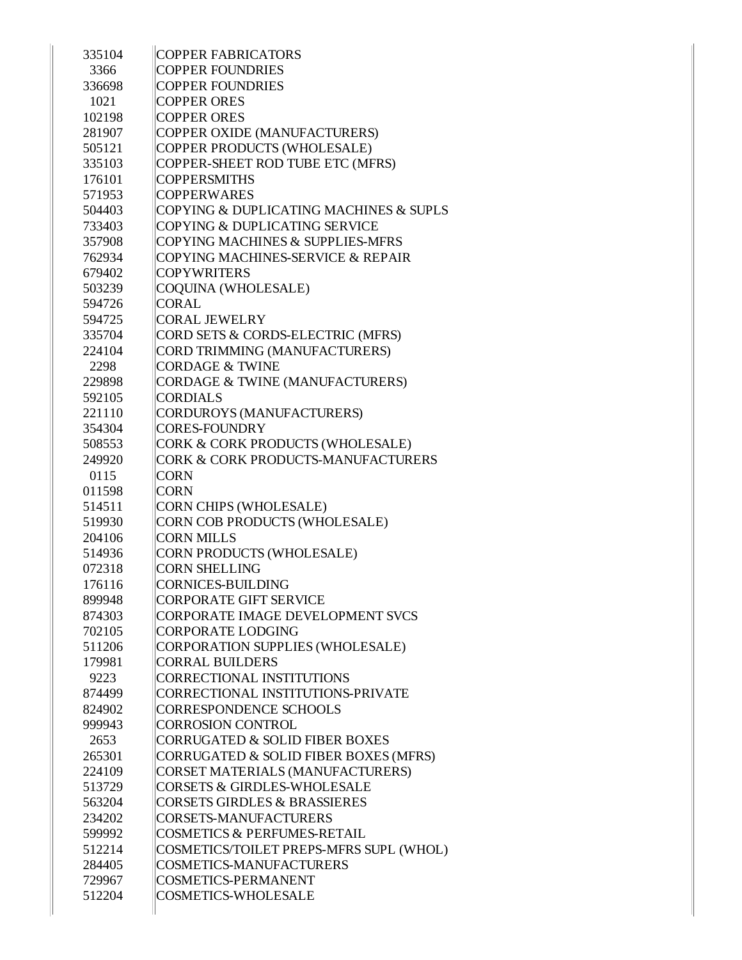| 335104           | <b>COPPER FABRICATORS</b>                                                  |
|------------------|----------------------------------------------------------------------------|
| 3366             | <b>COPPER FOUNDRIES</b>                                                    |
| 336698           | <b>COPPER FOUNDRIES</b>                                                    |
| 1021             | <b>COPPER ORES</b>                                                         |
| 102198           | <b>COPPER ORES</b>                                                         |
| 281907           | COPPER OXIDE (MANUFACTURERS)                                               |
| 505121           | COPPER PRODUCTS (WHOLESALE)                                                |
| 335103           | COPPER-SHEET ROD TUBE ETC (MFRS)                                           |
| 176101           | <b>COPPERSMITHS</b>                                                        |
| 571953           | <b>COPPERWARES</b>                                                         |
| 504403           | COPYING & DUPLICATING MACHINES & SUPLS                                     |
| 733403           | COPYING & DUPLICATING SERVICE                                              |
| 357908           | COPYING MACHINES & SUPPLIES-MFRS                                           |
| 762934           | <b>COPYING MACHINES-SERVICE &amp; REPAIR</b>                               |
| 679402           | <b>COPYWRITERS</b>                                                         |
| 503239           | COQUINA (WHOLESALE)                                                        |
| 594726           | <b>CORAL</b>                                                               |
| 594725           | <b>CORAL JEWELRY</b>                                                       |
| 335704           | CORD SETS & CORDS-ELECTRIC (MFRS)                                          |
| 224104           | CORD TRIMMING (MANUFACTURERS)                                              |
| 2298             | <b>CORDAGE &amp; TWINE</b>                                                 |
| 229898           | CORDAGE & TWINE (MANUFACTURERS)                                            |
| 592105           | <b>CORDIALS</b>                                                            |
| 221110           | <b>CORDUROYS (MANUFACTURERS)</b>                                           |
| 354304           | <b>CORES-FOUNDRY</b>                                                       |
| 508553           | CORK & CORK PRODUCTS (WHOLESALE)                                           |
| 249920           | <b>CORK &amp; CORK PRODUCTS-MANUFACTURERS</b>                              |
| 0115             | <b>CORN</b>                                                                |
| 011598           | <b>CORN</b>                                                                |
| 514511           | <b>CORN CHIPS (WHOLESALE)</b>                                              |
| 519930           | CORN COB PRODUCTS (WHOLESALE)                                              |
| 204106           | <b>CORN MILLS</b>                                                          |
| 514936           | CORN PRODUCTS (WHOLESALE)                                                  |
| 072318           | <b>CORN SHELLING</b>                                                       |
| 176116           | <b>CORNICES-BUILDING</b>                                                   |
| 899948           | <b>CORPORATE GIFT SERVICE</b>                                              |
| 874303           | CORPORATE IMAGE DEVELOPMENT SVCS                                           |
| 702105           | <b>CORPORATE LODGING</b>                                                   |
| 511206           | CORPORATION SUPPLIES (WHOLESALE)                                           |
| 179981           | <b>CORRAL BUILDERS</b><br><b>CORRECTIONAL INSTITUTIONS</b>                 |
| 9223<br>874499   |                                                                            |
|                  | CORRECTIONAL INSTITUTIONS-PRIVATE                                          |
| 824902           | <b>CORRESPONDENCE SCHOOLS</b><br><b>CORROSION CONTROL</b>                  |
| 999943           | <b>CORRUGATED &amp; SOLID FIBER BOXES</b>                                  |
| 2653             |                                                                            |
| 265301           | CORRUGATED & SOLID FIBER BOXES (MFRS)                                      |
| 224109           | CORSET MATERIALS (MANUFACTURERS)<br><b>CORSETS &amp; GIRDLES-WHOLESALE</b> |
| 513729           | <b>CORSETS GIRDLES &amp; BRASSIERES</b>                                    |
| 563204<br>234202 | <b>CORSETS-MANUFACTURERS</b>                                               |
|                  | <b>COSMETICS &amp; PERFUMES-RETAIL</b>                                     |
| 599992           | COSMETICS/TOILET PREPS-MFRS SUPL (WHOL)                                    |
| 512214<br>284405 | <b>COSMETICS-MANUFACTURERS</b>                                             |
|                  |                                                                            |
| 729967           | <b>COSMETICS-PERMANENT</b>                                                 |
| 512204           | <b>COSMETICS-WHOLESALE</b>                                                 |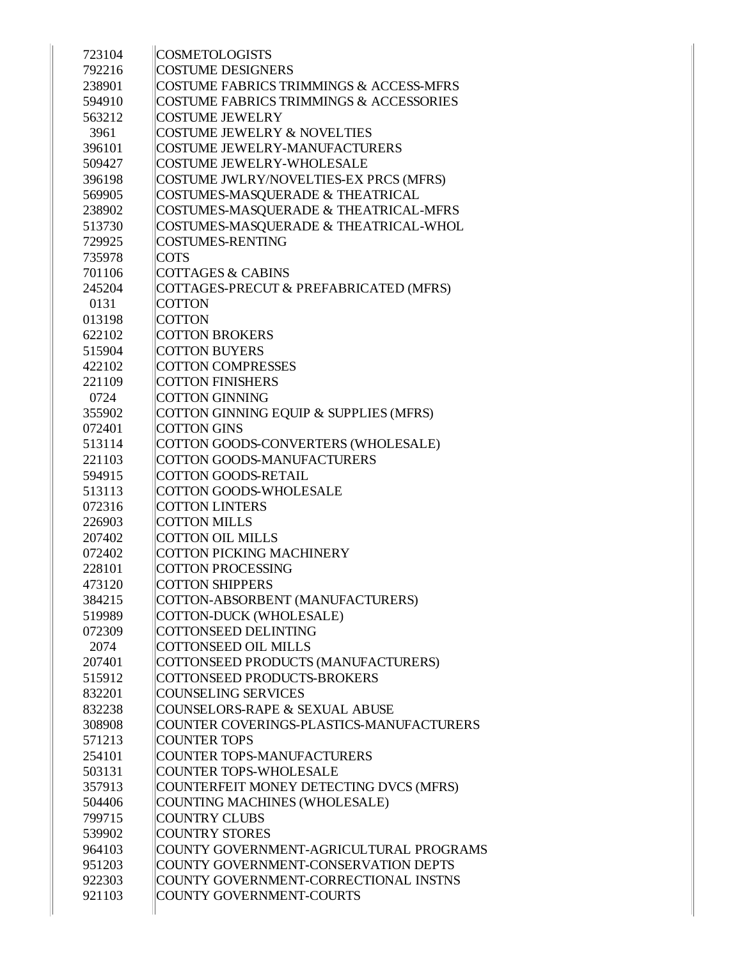| 723104 | <b>COSMETOLOGISTS</b>                              |
|--------|----------------------------------------------------|
| 792216 | <b>COSTUME DESIGNERS</b>                           |
| 238901 | COSTUME FABRICS TRIMMINGS & ACCESS-MFRS            |
| 594910 | <b>COSTUME FABRICS TRIMMINGS &amp; ACCESSORIES</b> |
| 563212 | <b>COSTUME JEWELRY</b>                             |
| 3961   | <b>COSTUME JEWELRY &amp; NOVELTIES</b>             |
| 396101 | <b>COSTUME JEWELRY-MANUFACTURERS</b>               |
| 509427 | <b>COSTUME JEWELRY-WHOLESALE</b>                   |
| 396198 | COSTUME JWLRY/NOVELTIES-EX PRCS (MFRS)             |
| 569905 | COSTUMES-MASQUERADE & THEATRICAL                   |
| 238902 | COSTUMES-MASQUERADE & THEATRICAL-MFRS              |
| 513730 | COSTUMES-MASQUERADE & THEATRICAL-WHOL              |
| 729925 | <b>COSTUMES-RENTING</b>                            |
| 735978 | <b>COTS</b>                                        |
| 701106 | <b>COTTAGES &amp; CABINS</b>                       |
| 245204 | COTTAGES-PRECUT & PREFABRICATED (MFRS)             |
| 0131   | <b>COTTON</b>                                      |
| 013198 | <b>COTTON</b>                                      |
| 622102 | <b>COTTON BROKERS</b>                              |
| 515904 | <b>COTTON BUYERS</b>                               |
| 422102 | <b>COTTON COMPRESSES</b>                           |
| 221109 | <b>COTTON FINISHERS</b>                            |
| 0724   | <b>COTTON GINNING</b>                              |
| 355902 | COTTON GINNING EQUIP & SUPPLIES (MFRS)             |
| 072401 | <b>COTTON GINS</b>                                 |
| 513114 | COTTON GOODS-CONVERTERS (WHOLESALE)                |
| 221103 | <b>COTTON GOODS-MANUFACTURERS</b>                  |
| 594915 | <b>COTTON GOODS-RETAIL</b>                         |
| 513113 | <b>COTTON GOODS-WHOLESALE</b>                      |
| 072316 | <b>COTTON LINTERS</b>                              |
| 226903 | <b>COTTON MILLS</b>                                |
| 207402 | <b>COTTON OIL MILLS</b>                            |
| 072402 | <b>COTTON PICKING MACHINERY</b>                    |
| 228101 | <b>COTTON PROCESSING</b>                           |
| 473120 | <b>COTTON SHIPPERS</b>                             |
| 384215 | COTTON-ABSORBENT (MANUFACTURERS)                   |
| 519989 | COTTON-DUCK (WHOLESALE)                            |
| 072309 | <b>COTTONSEED DELINTING</b>                        |
| 2074   | <b>COTTONSEED OIL MILLS</b>                        |
| 207401 | COTTONSEED PRODUCTS (MANUFACTURERS)                |
| 515912 | <b>COTTONSEED PRODUCTS-BROKERS</b>                 |
| 832201 | <b>COUNSELING SERVICES</b>                         |
| 832238 | <b>COUNSELORS-RAPE &amp; SEXUAL ABUSE</b>          |
| 308908 | COUNTER COVERINGS-PLASTICS-MANUFACTURERS           |
| 571213 | <b>COUNTER TOPS</b>                                |
| 254101 | <b>COUNTER TOPS-MANUFACTURERS</b>                  |
| 503131 | <b>COUNTER TOPS-WHOLESALE</b>                      |
| 357913 | COUNTERFEIT MONEY DETECTING DVCS (MFRS)            |
| 504406 | COUNTING MACHINES (WHOLESALE)                      |
| 799715 | <b>COUNTRY CLUBS</b>                               |
| 539902 | <b>COUNTRY STORES</b>                              |
| 964103 | COUNTY GOVERNMENT-AGRICULTURAL PROGRAMS            |
| 951203 | COUNTY GOVERNMENT-CONSERVATION DEPTS               |
| 922303 | COUNTY GOVERNMENT-CORRECTIONAL INSTNS              |
| 921103 | COUNTY GOVERNMENT-COURTS                           |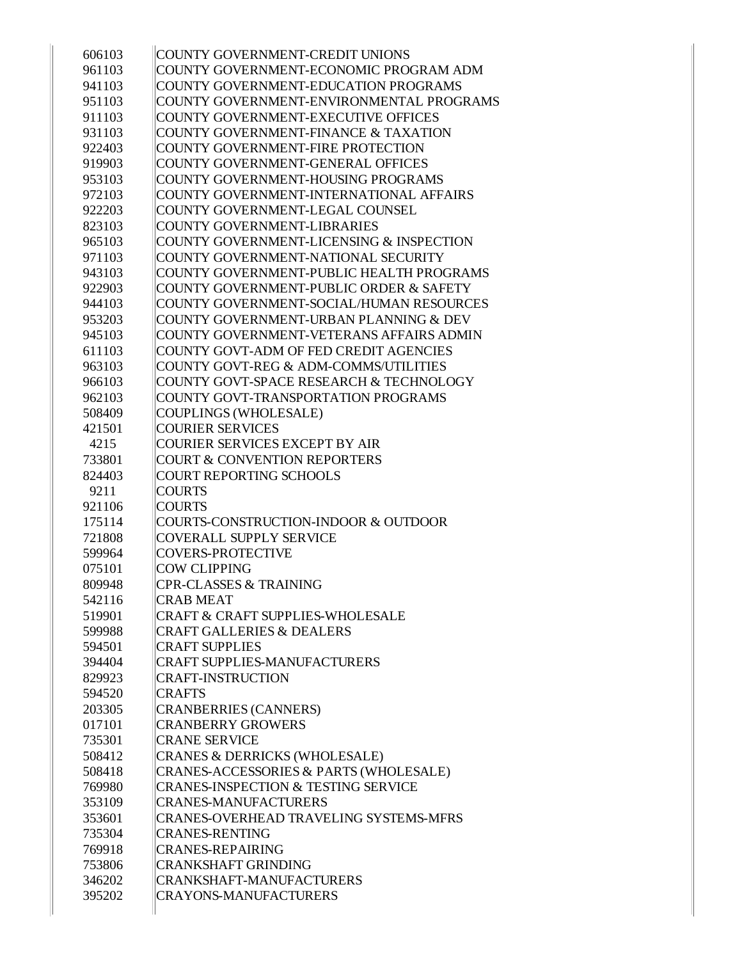| 606103 | COUNTY GOVERNMENT-CREDIT UNIONS                |
|--------|------------------------------------------------|
| 961103 | COUNTY GOVERNMENT-ECONOMIC PROGRAM ADM         |
| 941103 | COUNTY GOVERNMENT-EDUCATION PROGRAMS           |
| 951103 | COUNTY GOVERNMENT-ENVIRONMENTAL PROGRAMS       |
| 911103 | COUNTY GOVERNMENT-EXECUTIVE OFFICES            |
| 931103 | COUNTY GOVERNMENT-FINANCE & TAXATION           |
| 922403 | COUNTY GOVERNMENT-FIRE PROTECTION              |
| 919903 | COUNTY GOVERNMENT-GENERAL OFFICES              |
| 953103 | COUNTY GOVERNMENT-HOUSING PROGRAMS             |
| 972103 | COUNTY GOVERNMENT-INTERNATIONAL AFFAIRS        |
| 922203 | COUNTY GOVERNMENT-LEGAL COUNSEL                |
| 823103 | COUNTY GOVERNMENT-LIBRARIES                    |
| 965103 | COUNTY GOVERNMENT-LICENSING & INSPECTION       |
| 971103 | COUNTY GOVERNMENT-NATIONAL SECURITY            |
| 943103 | COUNTY GOVERNMENT-PUBLIC HEALTH PROGRAMS       |
| 922903 | COUNTY GOVERNMENT-PUBLIC ORDER & SAFETY        |
| 944103 | COUNTY GOVERNMENT-SOCIAL/HUMAN RESOURCES       |
| 953203 | COUNTY GOVERNMENT-URBAN PLANNING & DEV         |
| 945103 | COUNTY GOVERNMENT-VETERANS AFFAIRS ADMIN       |
| 611103 | COUNTY GOVT-ADM OF FED CREDIT AGENCIES         |
| 963103 | COUNTY GOVT-REG & ADM-COMMS/UTILITIES          |
| 966103 | COUNTY GOVT-SPACE RESEARCH & TECHNOLOGY        |
| 962103 | COUNTY GOVT-TRANSPORTATION PROGRAMS            |
| 508409 | COUPLINGS (WHOLESALE)                          |
| 421501 | <b>COURIER SERVICES</b>                        |
| 4215   | COURIER SERVICES EXCEPT BY AIR                 |
| 733801 | <b>COURT &amp; CONVENTION REPORTERS</b>        |
| 824403 | COURT REPORTING SCHOOLS                        |
| 9211   | <b>COURTS</b>                                  |
| 921106 | <b>COURTS</b>                                  |
| 175114 | COURTS-CONSTRUCTION-INDOOR & OUTDOOR           |
| 721808 | COVERALL SUPPLY SERVICE                        |
| 599964 | <b>COVERS-PROTECTIVE</b>                       |
| 075101 | <b>COW CLIPPING</b>                            |
| 809948 | <b>CPR-CLASSES &amp; TRAINING</b>              |
| 542116 | <b>CRAB MEAT</b>                               |
| 519901 | <b>CRAFT &amp; CRAFT SUPPLIES-WHOLESALE</b>    |
| 599988 | <b>CRAFT GALLERIES &amp; DEALERS</b>           |
| 594501 | <b>CRAFT SUPPLIES</b>                          |
| 394404 | <b>CRAFT SUPPLIES-MANUFACTURERS</b>            |
| 829923 | <b>CRAFT-INSTRUCTION</b>                       |
| 594520 | <b>CRAFTS</b>                                  |
| 203305 | <b>CRANBERRIES (CANNERS)</b>                   |
| 017101 | <b>CRANBERRY GROWERS</b>                       |
| 735301 | <b>CRANE SERVICE</b>                           |
| 508412 | CRANES & DERRICKS (WHOLESALE)                  |
| 508418 | CRANES-ACCESSORIES & PARTS (WHOLESALE)         |
| 769980 | <b>CRANES-INSPECTION &amp; TESTING SERVICE</b> |
| 353109 | <b>CRANES-MANUFACTURERS</b>                    |
| 353601 | <b>CRANES-OVERHEAD TRAVELING SYSTEMS-MFRS</b>  |
| 735304 | <b>CRANES-RENTING</b>                          |
| 769918 | <b>CRANES-REPAIRING</b>                        |
| 753806 | <b>CRANKSHAFT GRINDING</b>                     |
| 346202 | CRANKSHAFT-MANUFACTURERS                       |
| 395202 | <b>CRAYONS-MANUFACTURERS</b>                   |
|        |                                                |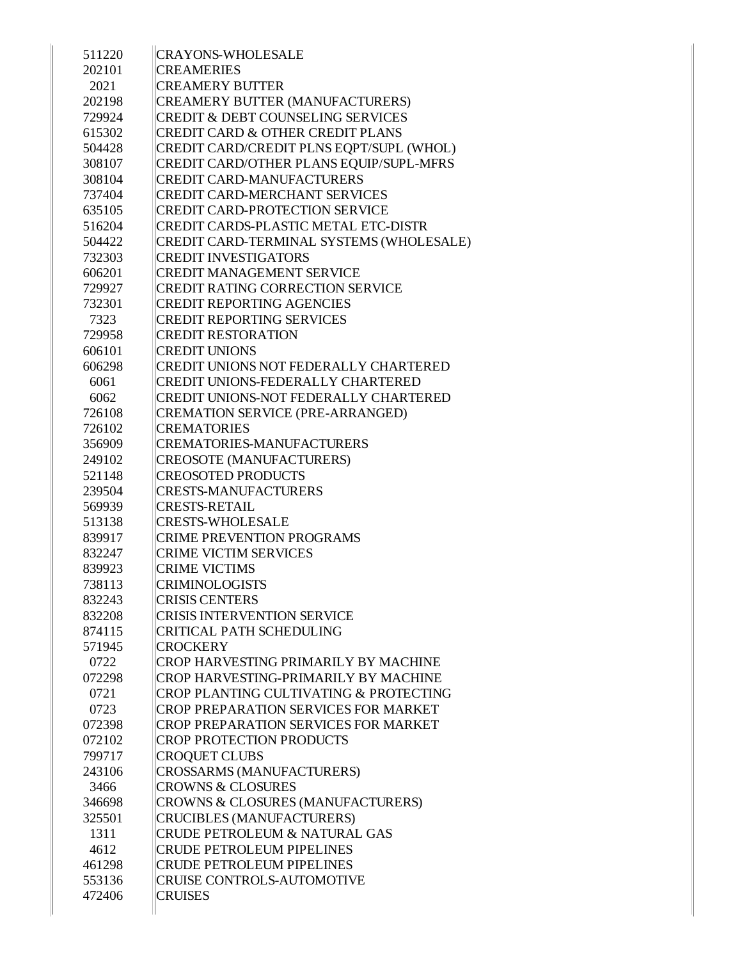| 511220 | <b>CRAYONS-WHOLESALE</b>                          |
|--------|---------------------------------------------------|
| 202101 | <b>CREAMERIES</b>                                 |
| 2021   | <b>CREAMERY BUTTER</b>                            |
| 202198 | CREAMERY BUTTER (MANUFACTURERS)                   |
| 729924 | <b>CREDIT &amp; DEBT COUNSELING SERVICES</b>      |
| 615302 | <b>CREDIT CARD &amp; OTHER CREDIT PLANS</b>       |
| 504428 | CREDIT CARD/CREDIT PLNS EQPT/SUPL (WHOL)          |
| 308107 | CREDIT CARD/OTHER PLANS EQUIP/SUPL-MFRS           |
| 308104 | <b>CREDIT CARD-MANUFACTURERS</b>                  |
| 737404 | <b>CREDIT CARD-MERCHANT SERVICES</b>              |
| 635105 | <b>CREDIT CARD-PROTECTION SERVICE</b>             |
| 516204 | CREDIT CARDS-PLASTIC METAL ETC-DISTR              |
| 504422 | CREDIT CARD-TERMINAL SYSTEMS (WHOLESALE)          |
| 732303 | <b>CREDIT INVESTIGATORS</b>                       |
| 606201 | <b>CREDIT MANAGEMENT SERVICE</b>                  |
| 729927 | <b>CREDIT RATING CORRECTION SERVICE</b>           |
| 732301 | <b>CREDIT REPORTING AGENCIES</b>                  |
| 7323   | <b>CREDIT REPORTING SERVICES</b>                  |
| 729958 | <b>CREDIT RESTORATION</b>                         |
| 606101 | <b>CREDIT UNIONS</b>                              |
| 606298 | CREDIT UNIONS NOT FEDERALLY CHARTERED             |
| 6061   | <b>CREDIT UNIONS-FEDERALLY CHARTERED</b>          |
| 6062   | <b>CREDIT UNIONS-NOT FEDERALLY CHARTERED</b>      |
| 726108 | CREMATION SERVICE (PRE-ARRANGED)                  |
| 726102 | <b>CREMATORIES</b>                                |
| 356909 | <b>CREMATORIES-MANUFACTURERS</b>                  |
| 249102 | <b>CREOSOTE (MANUFACTURERS)</b>                   |
| 521148 | <b>CREOSOTED PRODUCTS</b>                         |
| 239504 | <b>CRESTS-MANUFACTURERS</b>                       |
| 569939 | <b>CRESTS-RETAIL</b>                              |
| 513138 | <b>CRESTS-WHOLESALE</b>                           |
| 839917 | <b>CRIME PREVENTION PROGRAMS</b>                  |
| 832247 | <b>CRIME VICTIM SERVICES</b>                      |
| 839923 | <b>CRIME VICTIMS</b>                              |
| 738113 | <b>CRIMINOLOGISTS</b>                             |
| 832243 | <b>CRISIS CENTERS</b>                             |
| 832208 | <b>CRISIS INTERVENTION SERVICE</b>                |
| 874115 | <b>CRITICAL PATH SCHEDULING</b>                   |
| 571945 | <b>CROCKERY</b>                                   |
| 0722   | <b>CROP HARVESTING PRIMARILY BY MACHINE</b>       |
| 072298 | <b>CROP HARVESTING-PRIMARILY BY MACHINE</b>       |
| 0721   | <b>CROP PLANTING CULTIVATING &amp; PROTECTING</b> |
| 0723   | CROP PREPARATION SERVICES FOR MARKET              |
| 072398 | <b>CROP PREPARATION SERVICES FOR MARKET</b>       |
| 072102 | <b>CROP PROTECTION PRODUCTS</b>                   |
| 799717 | <b>CROQUET CLUBS</b>                              |
| 243106 | CROSSARMS (MANUFACTURERS)                         |
| 3466   | <b>CROWNS &amp; CLOSURES</b>                      |
| 346698 | CROWNS & CLOSURES (MANUFACTURERS)                 |
| 325501 | <b>CRUCIBLES (MANUFACTURERS)</b>                  |
| 1311   | <b>CRUDE PETROLEUM &amp; NATURAL GAS</b>          |
| 4612   | <b>CRUDE PETROLEUM PIPELINES</b>                  |
| 461298 | <b>CRUDE PETROLEUM PIPELINES</b>                  |
| 553136 | <b>CRUISE CONTROLS-AUTOMOTIVE</b>                 |
| 472406 | <b>CRUISES</b>                                    |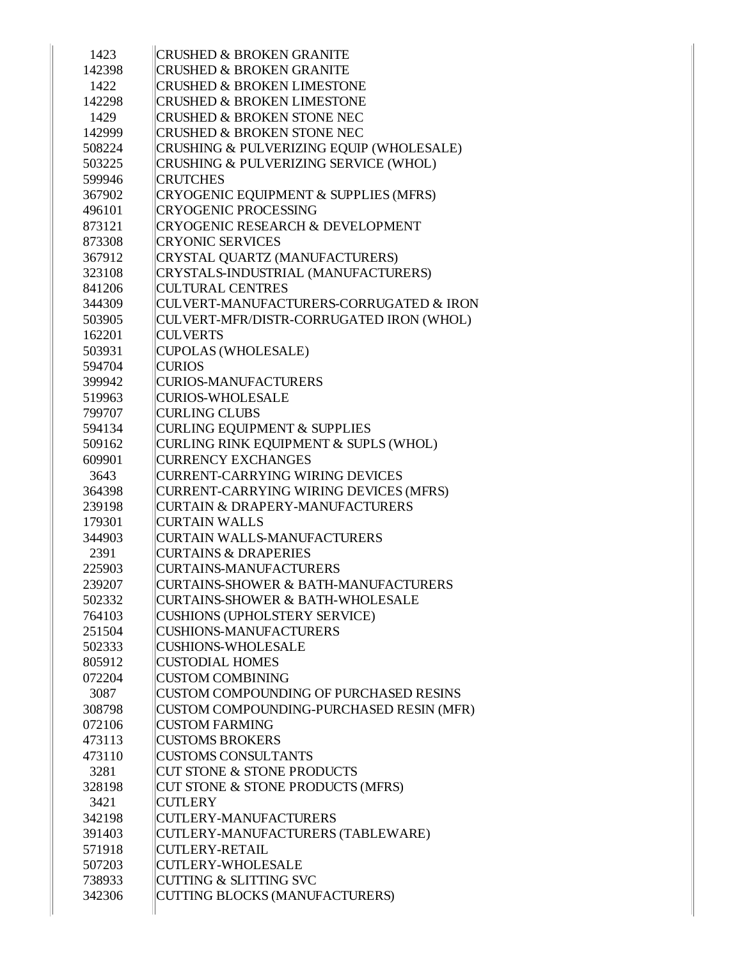| 1423   | <b>CRUSHED &amp; BROKEN GRANITE</b>         |
|--------|---------------------------------------------|
| 142398 | <b>CRUSHED &amp; BROKEN GRANITE</b>         |
| 1422   | <b>CRUSHED &amp; BROKEN LIMESTONE</b>       |
| 142298 | <b>CRUSHED &amp; BROKEN LIMESTONE</b>       |
| 1429   | <b>CRUSHED &amp; BROKEN STONE NEC</b>       |
| 142999 | <b>CRUSHED &amp; BROKEN STONE NEC</b>       |
| 508224 | CRUSHING & PULVERIZING EQUIP (WHOLESALE)    |
| 503225 | CRUSHING & PULVERIZING SERVICE (WHOL)       |
| 599946 | <b>CRUTCHES</b>                             |
| 367902 | CRYOGENIC EQUIPMENT & SUPPLIES (MFRS)       |
| 496101 | <b>CRYOGENIC PROCESSING</b>                 |
| 873121 | <b>CRYOGENIC RESEARCH &amp; DEVELOPMENT</b> |
| 873308 | <b>CRYONIC SERVICES</b>                     |
| 367912 | CRYSTAL QUARTZ (MANUFACTURERS)              |
| 323108 | CRYSTALS-INDUSTRIAL (MANUFACTURERS)         |
| 841206 | <b>CULTURAL CENTRES</b>                     |
| 344309 | CULVERT-MANUFACTURERS-CORRUGATED & IRON     |
| 503905 | CULVERT-MFR/DISTR-CORRUGATED IRON (WHOL)    |
| 162201 | <b>CULVERTS</b>                             |
| 503931 | CUPOLAS (WHOLESALE)                         |
| 594704 | <b>CURIOS</b>                               |
| 399942 | <b>CURIOS-MANUFACTURERS</b>                 |
| 519963 | CURIOS-WHOLESALE                            |
| 799707 | <b>CURLING CLUBS</b>                        |
| 594134 | <b>CURLING EQUIPMENT &amp; SUPPLIES</b>     |
| 509162 | CURLING RINK EQUIPMENT & SUPLS (WHOL)       |
| 609901 | <b>CURRENCY EXCHANGES</b>                   |
| 3643   | <b>CURRENT-CARRYING WIRING DEVICES</b>      |
| 364398 | CURRENT-CARRYING WIRING DEVICES (MFRS)      |
| 239198 | <b>CURTAIN &amp; DRAPERY-MANUFACTURERS</b>  |
| 179301 | <b>CURTAIN WALLS</b>                        |
| 344903 | CURTAIN WALLS-MANUFACTURERS                 |
| 2391   | <b>CURTAINS &amp; DRAPERIES</b>             |
| 225903 | CURTAINS-MANUFACTURERS                      |
| 239207 | CURTAINS-SHOWER & BATH-MANUFACTURERS        |
| 502332 | <b>CURTAINS-SHOWER &amp; BATH-WHOLESALE</b> |
| 764103 | CUSHIONS (UPHOLSTERY SERVICE)               |
| 251504 | CUSHIONS-MANUFACTURERS                      |
| 502333 | CUSHIONS-WHOLESALE                          |
| 805912 | <b>CUSTODIAL HOMES</b>                      |
| 072204 | <b>CUSTOM COMBINING</b>                     |
| 3087   | CUSTOM COMPOUNDING OF PURCHASED RESINS      |
| 308798 | CUSTOM COMPOUNDING-PURCHASED RESIN (MFR)    |
| 072106 | <b>CUSTOM FARMING</b>                       |
| 473113 | <b>CUSTOMS BROKERS</b>                      |
| 473110 | <b>CUSTOMS CONSULTANTS</b>                  |
| 3281   | <b>CUT STONE &amp; STONE PRODUCTS</b>       |
| 328198 | CUT STONE & STONE PRODUCTS (MFRS)           |
| 3421   | <b>CUTLERY</b>                              |
| 342198 | CUTLERY-MANUFACTURERS                       |
| 391403 | CUTLERY-MANUFACTURERS (TABLEWARE)           |
| 571918 | <b>CUTLERY-RETAIL</b>                       |
| 507203 | CUTLERY-WHOLESALE                           |
| 738933 | CUTTING & SLITTING SVC                      |
|        |                                             |
| 342306 | CUTTING BLOCKS (MANUFACTURERS)              |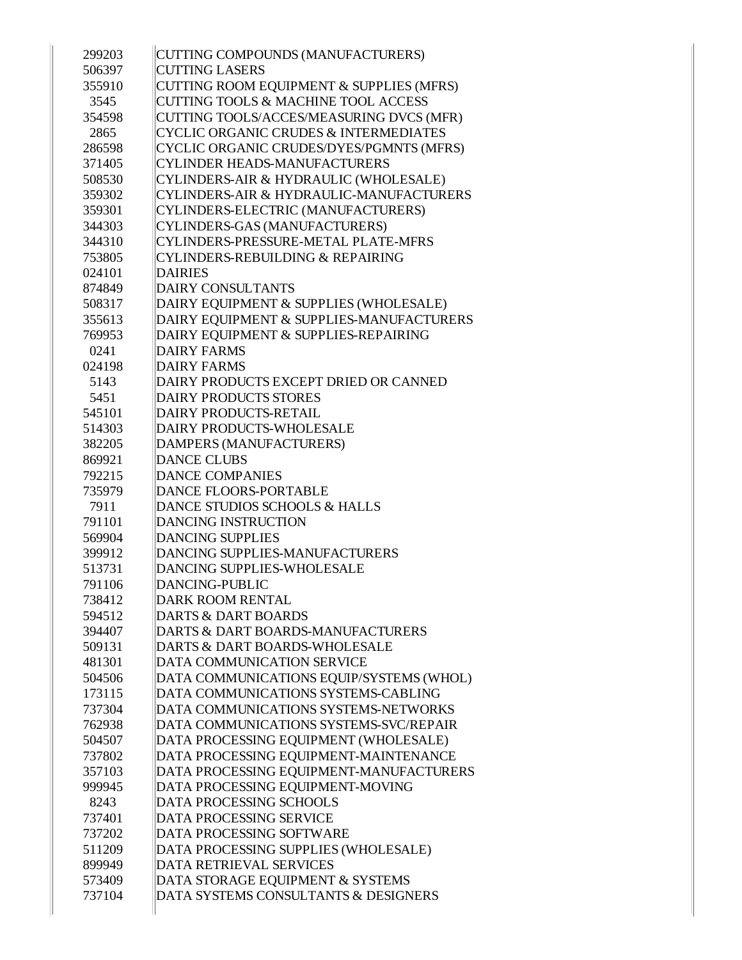| 299203 | CUTTING COMPOUNDS (MANUFACTURERS)                |
|--------|--------------------------------------------------|
| 506397 | <b>CUTTING LASERS</b>                            |
| 355910 | CUTTING ROOM EQUIPMENT & SUPPLIES (MFRS)         |
| 3545   | <b>CUTTING TOOLS &amp; MACHINE TOOL ACCESS</b>   |
| 354598 | CUTTING TOOLS/ACCES/MEASURING DVCS (MFR)         |
| 2865   | <b>CYCLIC ORGANIC CRUDES &amp; INTERMEDIATES</b> |
| 286598 | CYCLIC ORGANIC CRUDES/DYES/PGMNTS (MFRS)         |
| 371405 | <b>CYLINDER HEADS-MANUFACTURERS</b>              |
| 508530 | CYLINDERS-AIR & HYDRAULIC (WHOLESALE)            |
| 359302 | CYLINDERS-AIR & HYDRAULIC-MANUFACTURERS          |
| 359301 | CYLINDERS-ELECTRIC (MANUFACTURERS)               |
| 344303 | CYLINDERS-GAS (MANUFACTURERS)                    |
| 344310 | CYLINDERS-PRESSURE-METAL PLATE-MFRS              |
| 753805 | <b>CYLINDERS-REBUILDING &amp; REPAIRING</b>      |
| 024101 | <b>DAIRIES</b>                                   |
| 874849 | DAIRY CONSULTANTS                                |
| 508317 | DAIRY EQUIPMENT & SUPPLIES (WHOLESALE)           |
| 355613 | DAIRY EQUIPMENT & SUPPLIES-MANUFACTURERS         |
| 769953 | DAIRY EQUIPMENT & SUPPLIES-REPAIRING             |
| 0241   | <b>DAIRY FARMS</b>                               |
| 024198 | <b>DAIRY FARMS</b>                               |
| 5143   | DAIRY PRODUCTS EXCEPT DRIED OR CANNED            |
| 5451   | <b>DAIRY PRODUCTS STORES</b>                     |
| 545101 | <b>DAIRY PRODUCTS-RETAIL</b>                     |
| 514303 | DAIRY PRODUCTS-WHOLESALE                         |
| 382205 | DAMPERS (MANUFACTURERS)                          |
| 869921 | <b>DANCE CLUBS</b>                               |
| 792215 | <b>DANCE COMPANIES</b>                           |
| 735979 | <b>DANCE FLOORS-PORTABLE</b>                     |
| 7911   | DANCE STUDIOS SCHOOLS & HALLS                    |
| 791101 | <b>DANCING INSTRUCTION</b>                       |
| 569904 | <b>DANCING SUPPLIES</b>                          |
| 399912 | <b>DANCING SUPPLIES-MANUFACTURERS</b>            |
| 513731 | <b>DANCING SUPPLIES-WHOLESALE</b>                |
| 791106 | <b>DANCING-PUBLIC</b>                            |
| 738412 | <b>DARK ROOM RENTAL</b>                          |
| 594512 | <b>DARTS &amp; DART BOARDS</b>                   |
| 394407 | <b>DARTS &amp; DART BOARDS-MANUFACTURERS</b>     |
| 509131 | DARTS & DART BOARDS-WHOLESALE                    |
| 481301 | DATA COMMUNICATION SERVICE                       |
| 504506 | DATA COMMUNICATIONS EQUIP/SYSTEMS (WHOL)         |
| 173115 | DATA COMMUNICATIONS SYSTEMS-CABLING              |
| 737304 | DATA COMMUNICATIONS SYSTEMS-NETWORKS             |
| 762938 | DATA COMMUNICATIONS SYSTEMS-SVC/REPAIR           |
| 504507 | DATA PROCESSING EQUIPMENT (WHOLESALE)            |
| 737802 | DATA PROCESSING EQUIPMENT-MAINTENANCE            |
| 357103 | DATA PROCESSING EQUIPMENT-MANUFACTURERS          |
| 999945 | DATA PROCESSING EQUIPMENT-MOVING                 |
| 8243   | DATA PROCESSING SCHOOLS                          |
| 737401 | <b>DATA PROCESSING SERVICE</b>                   |
| 737202 | DATA PROCESSING SOFTWARE                         |
| 511209 | DATA PROCESSING SUPPLIES (WHOLESALE)             |
| 899949 | <b>DATA RETRIEVAL SERVICES</b>                   |
| 573409 | DATA STORAGE EQUIPMENT & SYSTEMS                 |
| 737104 | DATA SYSTEMS CONSULTANTS & DESIGNERS             |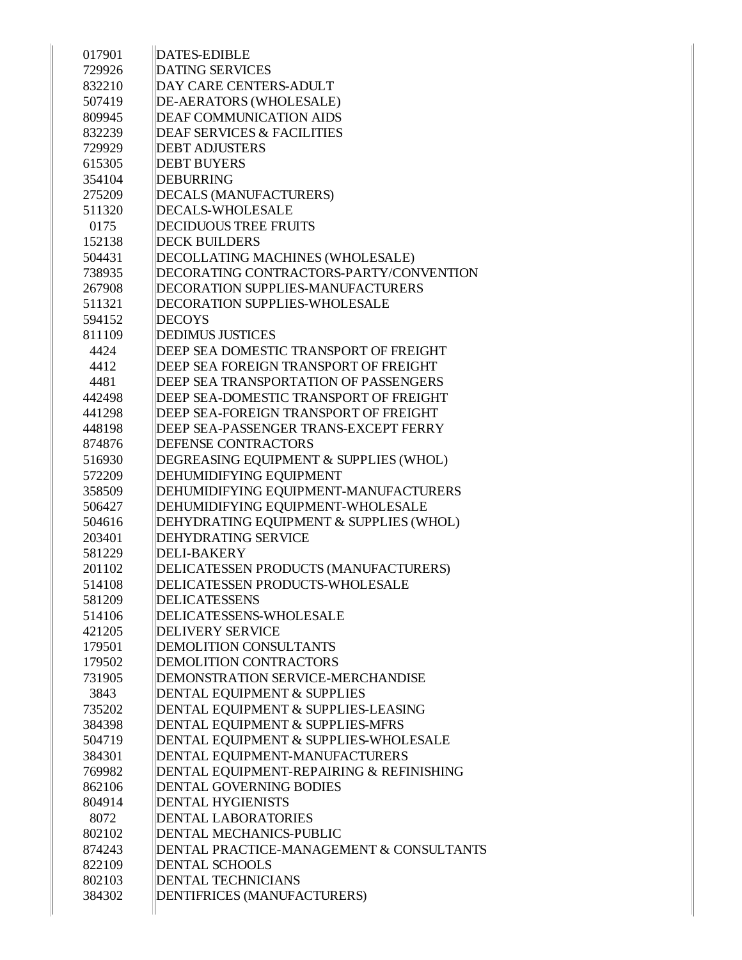| 017901 | <b>DATES-EDIBLE</b>                      |
|--------|------------------------------------------|
| 729926 | <b>DATING SERVICES</b>                   |
| 832210 | DAY CARE CENTERS-ADULT                   |
| 507419 | DE-AERATORS (WHOLESALE)                  |
| 809945 | <b>DEAF COMMUNICATION AIDS</b>           |
| 832239 | <b>DEAF SERVICES &amp; FACILITIES</b>    |
| 729929 | <b>DEBT ADJUSTERS</b>                    |
| 615305 | <b>DEBT BUYERS</b>                       |
| 354104 | <b>DEBURRING</b>                         |
| 275209 | DECALS (MANUFACTURERS)                   |
| 511320 | DECALS-WHOLESALE                         |
| 0175   | <b>DECIDUOUS TREE FRUITS</b>             |
| 152138 | <b>DECK BUILDERS</b>                     |
| 504431 | DECOLLATING MACHINES (WHOLESALE)         |
| 738935 | DECORATING CONTRACTORS-PARTY/CONVENTION  |
| 267908 | <b>DECORATION SUPPLIES-MANUFACTURERS</b> |
| 511321 | <b>DECORATION SUPPLIES-WHOLESALE</b>     |
| 594152 | <b>DECOYS</b>                            |
| 811109 | <b>DEDIMUS JUSTICES</b>                  |
| 4424   | DEEP SEA DOMESTIC TRANSPORT OF FREIGHT   |
| 4412   | DEEP SEA FOREIGN TRANSPORT OF FREIGHT    |
| 4481   | DEEP SEA TRANSPORTATION OF PASSENGERS    |
| 442498 | DEEP SEA-DOMESTIC TRANSPORT OF FREIGHT   |
| 441298 | DEEP SEA-FOREIGN TRANSPORT OF FREIGHT    |
| 448198 | DEEP SEA-PASSENGER TRANS-EXCEPT FERRY    |
| 874876 | DEFENSE CONTRACTORS                      |
| 516930 | DEGREASING EQUIPMENT & SUPPLIES (WHOL)   |
| 572209 | DEHUMIDIFYING EQUIPMENT                  |
| 358509 | DEHUMIDIFYING EQUIPMENT-MANUFACTURERS    |
| 506427 | DEHUMIDIFYING EQUIPMENT-WHOLESALE        |
| 504616 | DEHYDRATING EQUIPMENT & SUPPLIES (WHOL)  |
| 203401 | <b>DEHYDRATING SERVICE</b>               |
| 581229 | <b>DELI-BAKERY</b>                       |
| 201102 | DELICATESSEN PRODUCTS (MANUFACTURERS)    |
| 514108 | DELICATESSEN PRODUCTS-WHOLESALE          |
| 581209 | DELICATESSENS                            |
| 514106 | DELICATESSENS-WHOLESALE                  |
| 421205 | <b>DELIVERY SERVICE</b>                  |
| 179501 | <b>DEMOLITION CONSULTANTS</b>            |
| 179502 | DEMOLITION CONTRACTORS                   |
| 731905 | DEMONSTRATION SERVICE-MERCHANDISE        |
| 3843   | DENTAL EQUIPMENT & SUPPLIES              |
| 735202 | DENTAL EQUIPMENT & SUPPLIES-LEASING      |
| 384398 | DENTAL EQUIPMENT & SUPPLIES-MFRS         |
| 504719 | DENTAL EQUIPMENT & SUPPLIES-WHOLESALE    |
| 384301 | DENTAL EQUIPMENT-MANUFACTURERS           |
| 769982 | DENTAL EQUIPMENT-REPAIRING & REFINISHING |
| 862106 | DENTAL GOVERNING BODIES                  |
| 804914 | <b>DENTAL HYGIENISTS</b>                 |
| 8072   | <b>DENTAL LABORATORIES</b>               |
| 802102 | DENTAL MECHANICS-PUBLIC                  |
| 874243 | DENTAL PRACTICE-MANAGEMENT & CONSULTANTS |
| 822109 | <b>DENTAL SCHOOLS</b>                    |
| 802103 | <b>DENTAL TECHNICIANS</b>                |
| 384302 | DENTIFRICES (MANUFACTURERS)              |
|        |                                          |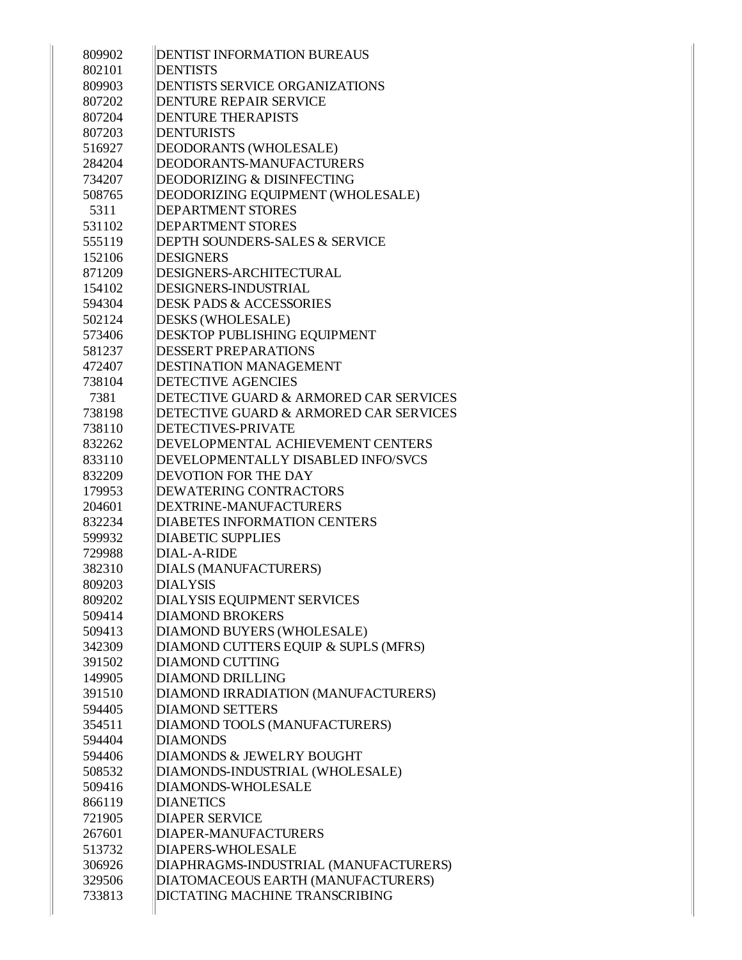| 809902 | <b>DENTIST INFORMATION BUREAUS</b>        |
|--------|-------------------------------------------|
| 802101 | <b>DENTISTS</b>                           |
| 809903 | <b>DENTISTS SERVICE ORGANIZATIONS</b>     |
| 807202 | <b>DENTURE REPAIR SERVICE</b>             |
| 807204 | <b>DENTURE THERAPISTS</b>                 |
| 807203 | <b>DENTURISTS</b>                         |
| 516927 | DEODORANTS (WHOLESALE)                    |
| 284204 | DEODORANTS-MANUFACTURERS                  |
| 734207 | <b>DEODORIZING &amp; DISINFECTING</b>     |
| 508765 | DEODORIZING EQUIPMENT (WHOLESALE)         |
| 5311   | <b>DEPARTMENT STORES</b>                  |
| 531102 | <b>DEPARTMENT STORES</b>                  |
| 555119 | <b>DEPTH SOUNDERS-SALES &amp; SERVICE</b> |
| 152106 | <b>DESIGNERS</b>                          |
| 871209 | DESIGNERS-ARCHITECTURAL                   |
| 154102 | DESIGNERS-INDUSTRIAL                      |
| 594304 | <b>DESK PADS &amp; ACCESSORIES</b>        |
| 502124 | DESKS (WHOLESALE)                         |
| 573406 | <b>DESKTOP PUBLISHING EQUIPMENT</b>       |
| 581237 | <b>DESSERT PREPARATIONS</b>               |
| 472407 | <b>DESTINATION MANAGEMENT</b>             |
| 738104 | <b>DETECTIVE AGENCIES</b>                 |
| 7381   | DETECTIVE GUARD & ARMORED CAR SERVICES    |
| 738198 | DETECTIVE GUARD & ARMORED CAR SERVICES    |
| 738110 | <b>DETECTIVES-PRIVATE</b>                 |
| 832262 | DEVELOPMENTAL ACHIEVEMENT CENTERS         |
| 833110 | DEVELOPMENTALLY DISABLED INFO/SVCS        |
| 832209 | <b>DEVOTION FOR THE DAY</b>               |
| 179953 | <b>DEWATERING CONTRACTORS</b>             |
| 204601 | DEXTRINE-MANUFACTURERS                    |
| 832234 | <b>DIABETES INFORMATION CENTERS</b>       |
| 599932 | <b>DIABETIC SUPPLIES</b>                  |
| 729988 | DIAL-A-RIDE                               |
| 382310 | DIALS (MANUFACTURERS)                     |
| 809203 | <b>DIALYSIS</b>                           |
| 809202 | DIALYSIS EQUIPMENT SERVICES               |
| 509414 | <b>DIAMOND BROKERS</b>                    |
| 509413 | DIAMOND BUYERS (WHOLESALE)                |
| 342309 | DIAMOND CUTTERS EQUIP & SUPLS (MFRS)      |
| 391502 | <b>DIAMOND CUTTING</b>                    |
| 149905 | <b>DIAMOND DRILLING</b>                   |
| 391510 | DIAMOND IRRADIATION (MANUFACTURERS)       |
| 594405 | <b>DIAMOND SETTERS</b>                    |
| 354511 | DIAMOND TOOLS (MANUFACTURERS)             |
| 594404 | <b>DIAMONDS</b>                           |
| 594406 | DIAMONDS & JEWELRY BOUGHT                 |
| 508532 | DIAMONDS-INDUSTRIAL (WHOLESALE)           |
| 509416 | DIAMONDS-WHOLESALE                        |
| 866119 | <b>DIANETICS</b>                          |
| 721905 | <b>DIAPER SERVICE</b>                     |
| 267601 | DIAPER-MANUFACTURERS                      |
| 513732 | <b>DIAPERS-WHOLESALE</b>                  |
| 306926 | DIAPHRAGMS-INDUSTRIAL (MANUFACTURERS)     |
| 329506 | DIATOMACEOUS EARTH (MANUFACTURERS)        |
| 733813 | <b>DICTATING MACHINE TRANSCRIBING</b>     |
|        |                                           |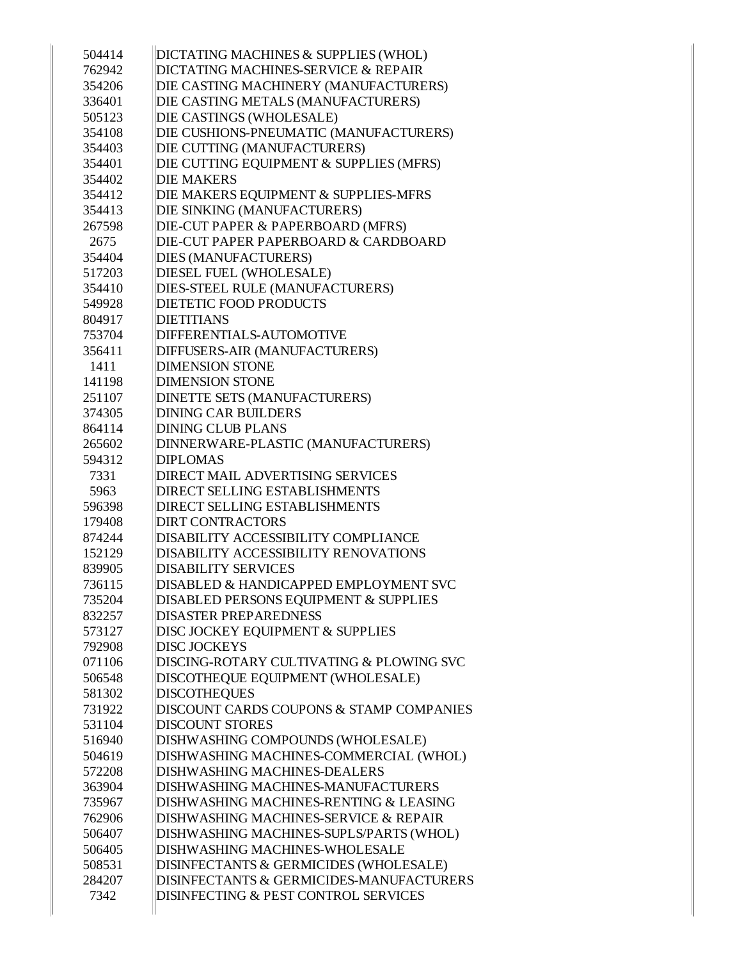| 504414 | DICTATING MACHINES & SUPPLIES (WHOL)     |
|--------|------------------------------------------|
| 762942 | DICTATING MACHINES-SERVICE & REPAIR      |
| 354206 | DIE CASTING MACHINERY (MANUFACTURERS)    |
| 336401 | DIE CASTING METALS (MANUFACTURERS)       |
| 505123 | DIE CASTINGS (WHOLESALE)                 |
| 354108 | DIE CUSHIONS-PNEUMATIC (MANUFACTURERS)   |
| 354403 | DIE CUTTING (MANUFACTURERS)              |
| 354401 | DIE CUTTING EQUIPMENT & SUPPLIES (MFRS)  |
| 354402 | <b>DIE MAKERS</b>                        |
| 354412 | DIE MAKERS EQUIPMENT & SUPPLIES-MFRS     |
| 354413 | DIE SINKING (MANUFACTURERS)              |
| 267598 | DIE-CUT PAPER & PAPERBOARD (MFRS)        |
| 2675   | DIE-CUT PAPER PAPERBOARD & CARDBOARD     |
|        |                                          |
| 354404 | DIES (MANUFACTURERS)                     |
| 517203 | DIESEL FUEL (WHOLESALE)                  |
| 354410 | DIES-STEEL RULE (MANUFACTURERS)          |
| 549928 | <b>DIETETIC FOOD PRODUCTS</b>            |
| 804917 | <b>DIETITIANS</b>                        |
| 753704 | DIFFERENTIALS-AUTOMOTIVE                 |
| 356411 | DIFFUSERS-AIR (MANUFACTURERS)            |
| 1411   | <b>DIMENSION STONE</b>                   |
| 141198 | <b>DIMENSION STONE</b>                   |
| 251107 | DINETTE SETS (MANUFACTURERS)             |
| 374305 | <b>DINING CAR BUILDERS</b>               |
| 864114 | <b>DINING CLUB PLANS</b>                 |
| 265602 | DINNERWARE-PLASTIC (MANUFACTURERS)       |
| 594312 | <b>DIPLOMAS</b>                          |
| 7331   | <b>DIRECT MAIL ADVERTISING SERVICES</b>  |
| 5963   | <b>DIRECT SELLING ESTABLISHMENTS</b>     |
| 596398 | <b>DIRECT SELLING ESTABLISHMENTS</b>     |
| 179408 | <b>DIRT CONTRACTORS</b>                  |
| 874244 | DISABILITY ACCESSIBILITY COMPLIANCE      |
| 152129 | DISABILITY ACCESSIBILITY RENOVATIONS     |
| 839905 | <b>DISABILITY SERVICES</b>               |
| 736115 | DISABLED & HANDICAPPED EMPLOYMENT SVC    |
| 735204 | DISABLED PERSONS EQUIPMENT & SUPPLIES    |
| 832257 | <b>DISASTER PREPAREDNESS</b>             |
| 573127 | DISC JOCKEY EQUIPMENT & SUPPLIES         |
| 792908 | <b>DISC JOCKEYS</b>                      |
| 071106 | DISCING-ROTARY CULTIVATING & PLOWING SVC |
| 506548 | DISCOTHEQUE EQUIPMENT (WHOLESALE)        |
| 581302 | <b>DISCOTHEQUES</b>                      |
| 731922 | DISCOUNT CARDS COUPONS & STAMP COMPANIES |
| 531104 | <b>DISCOUNT STORES</b>                   |
| 516940 | DISHWASHING COMPOUNDS (WHOLESALE)        |
| 504619 | DISHWASHING MACHINES-COMMERCIAL (WHOL)   |
| 572208 | <b>DISHWASHING MACHINES-DEALERS</b>      |
| 363904 | DISHWASHING MACHINES-MANUFACTURERS       |
| 735967 | DISHWASHING MACHINES-RENTING & LEASING   |
| 762906 | DISHWASHING MACHINES-SERVICE & REPAIR    |
| 506407 | DISHWASHING MACHINES-SUPLS/PARTS (WHOL)  |
| 506405 | <b>DISHWASHING MACHINES-WHOLESALE</b>    |
| 508531 | DISINFECTANTS & GERMICIDES (WHOLESALE)   |
| 284207 | DISINFECTANTS & GERMICIDES-MANUFACTURERS |
| 7342   | DISINFECTING & PEST CONTROL SERVICES     |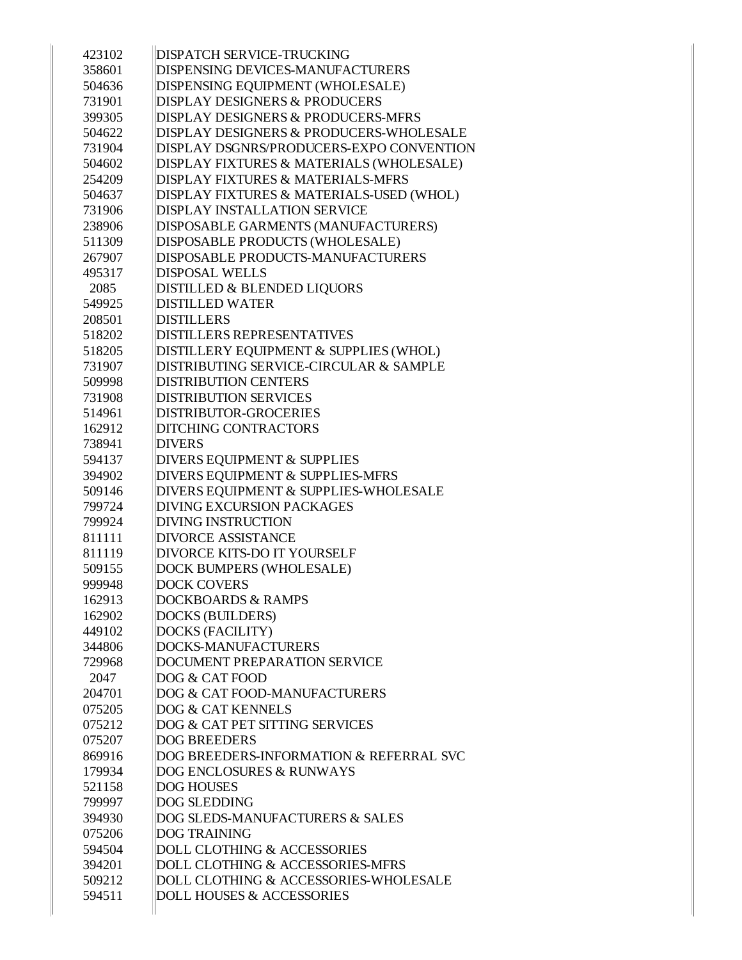| 423102 | <b>DISPATCH SERVICE-TRUCKING</b>              |
|--------|-----------------------------------------------|
| 358601 | <b>DISPENSING DEVICES-MANUFACTURERS</b>       |
| 504636 | DISPENSING EQUIPMENT (WHOLESALE)              |
| 731901 | <b>DISPLAY DESIGNERS &amp; PRODUCERS</b>      |
| 399305 | <b>DISPLAY DESIGNERS &amp; PRODUCERS-MFRS</b> |
| 504622 | DISPLAY DESIGNERS & PRODUCERS-WHOLESALE       |
| 731904 | DISPLAY DSGNRS/PRODUCERS-EXPO CONVENTION      |
| 504602 | DISPLAY FIXTURES & MATERIALS (WHOLESALE)      |
| 254209 | <b>DISPLAY FIXTURES &amp; MATERIALS-MFRS</b>  |
| 504637 | DISPLAY FIXTURES & MATERIALS-USED (WHOL)      |
| 731906 | <b>DISPLAY INSTALLATION SERVICE</b>           |
| 238906 | DISPOSABLE GARMENTS (MANUFACTURERS)           |
| 511309 | DISPOSABLE PRODUCTS (WHOLESALE)               |
| 267907 | <b>DISPOSABLE PRODUCTS-MANUFACTURERS</b>      |
| 495317 | <b>DISPOSAL WELLS</b>                         |
| 2085   | <b>DISTILLED &amp; BLENDED LIQUORS</b>        |
| 549925 | <b>DISTILLED WATER</b>                        |
| 208501 | <b>DISTILLERS</b>                             |
| 518202 | <b>DISTILLERS REPRESENTATIVES</b>             |
| 518205 | DISTILLERY EQUIPMENT & SUPPLIES (WHOL)        |
| 731907 | DISTRIBUTING SERVICE-CIRCULAR & SAMPLE        |
| 509998 | <b>DISTRIBUTION CENTERS</b>                   |
| 731908 | <b>DISTRIBUTION SERVICES</b>                  |
| 514961 | <b>DISTRIBUTOR-GROCERIES</b>                  |
| 162912 | <b>DITCHING CONTRACTORS</b>                   |
| 738941 | <b>DIVERS</b>                                 |
| 594137 | DIVERS EQUIPMENT & SUPPLIES                   |
| 394902 | DIVERS EQUIPMENT & SUPPLIES-MFRS              |
| 509146 | DIVERS EQUIPMENT & SUPPLIES-WHOLESALE         |
| 799724 | <b>DIVING EXCURSION PACKAGES</b>              |
| 799924 | <b>DIVING INSTRUCTION</b>                     |
| 811111 | <b>DIVORCE ASSISTANCE</b>                     |
| 811119 | <b>DIVORCE KITS-DO IT YOURSELF</b>            |
| 509155 | <b>DOCK BUMPERS (WHOLESALE)</b>               |
| 999948 | <b>DOCK COVERS</b>                            |
| 162913 | <b>DOCKBOARDS &amp; RAMPS</b>                 |
| 162902 | <b>DOCKS (BUILDERS)</b>                       |
| 449102 | <b>DOCKS (FACILITY)</b>                       |
| 344806 | <b>DOCKS-MANUFACTURERS</b>                    |
| 729968 | <b>DOCUMENT PREPARATION SERVICE</b>           |
| 2047   | DOG & CAT FOOD                                |
| 204701 | DOG & CAT FOOD-MANUFACTURERS                  |
| 075205 | <b>DOG &amp; CAT KENNELS</b>                  |
| 075212 | DOG & CAT PET SITTING SERVICES                |
| 075207 | <b>DOG BREEDERS</b>                           |
| 869916 | DOG BREEDERS-INFORMATION & REFERRAL SVC       |
| 179934 | <b>DOG ENCLOSURES &amp; RUNWAYS</b>           |
| 521158 | <b>DOG HOUSES</b>                             |
| 799997 | <b>DOG SLEDDING</b>                           |
| 394930 | <b>DOG SLEDS-MANUFACTURERS &amp; SALES</b>    |
| 075206 | <b>DOG TRAINING</b>                           |
| 594504 | <b>DOLL CLOTHING &amp; ACCESSORIES</b>        |
| 394201 | DOLL CLOTHING & ACCESSORIES-MFRS              |
| 509212 | DOLL CLOTHING & ACCESSORIES-WHOLESALE         |
| 594511 | <b>DOLL HOUSES &amp; ACCESSORIES</b>          |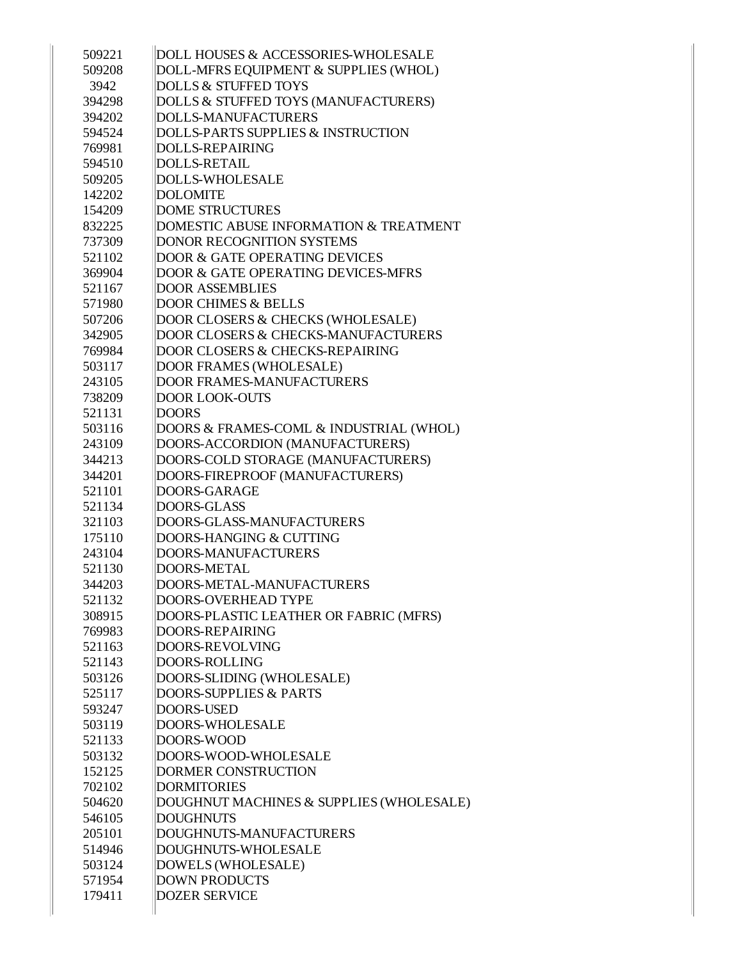| 509221 | DOLL HOUSES & ACCESSORIES-WHOLESALE            |
|--------|------------------------------------------------|
| 509208 | DOLL-MFRS EQUIPMENT & SUPPLIES (WHOL)          |
| 3942   | <b>DOLLS &amp; STUFFED TOYS</b>                |
| 394298 | DOLLS & STUFFED TOYS (MANUFACTURERS)           |
| 394202 | <b>DOLLS-MANUFACTURERS</b>                     |
| 594524 | DOLLS-PARTS SUPPLIES & INSTRUCTION             |
| 769981 | DOLLS-REPAIRING                                |
| 594510 | <b>DOLLS-RETAIL</b>                            |
| 509205 | <b>DOLLS-WHOLESALE</b>                         |
| 142202 | <b>DOLOMITE</b>                                |
| 154209 | <b>DOME STRUCTURES</b>                         |
| 832225 | DOMESTIC ABUSE INFORMATION & TREATMENT         |
| 737309 | <b>DONOR RECOGNITION SYSTEMS</b>               |
| 521102 | <b>DOOR &amp; GATE OPERATING DEVICES</b>       |
| 369904 | <b>DOOR &amp; GATE OPERATING DEVICES-MFRS</b>  |
| 521167 | <b>DOOR ASSEMBLIES</b>                         |
| 571980 | <b>DOOR CHIMES &amp; BELLS</b>                 |
| 507206 | DOOR CLOSERS & CHECKS (WHOLESALE)              |
| 342905 | <b>DOOR CLOSERS &amp; CHECKS-MANUFACTURERS</b> |
| 769984 | <b>DOOR CLOSERS &amp; CHECKS-REPAIRING</b>     |
| 503117 | DOOR FRAMES (WHOLESALE)                        |
| 243105 | <b>DOOR FRAMES-MANUFACTURERS</b>               |
| 738209 | <b>DOOR LOOK-OUTS</b>                          |
| 521131 | <b>DOORS</b>                                   |
| 503116 | DOORS & FRAMES-COML & INDUSTRIAL (WHOL)        |
| 243109 | DOORS-ACCORDION (MANUFACTURERS)                |
| 344213 | DOORS-COLD STORAGE (MANUFACTURERS)             |
| 344201 | DOORS-FIREPROOF (MANUFACTURERS)                |
| 521101 | DOORS-GARAGE                                   |
| 521134 | DOORS-GLASS                                    |
| 321103 | DOORS-GLASS-MANUFACTURERS                      |
| 175110 | DOORS-HANGING & CUTTING                        |
| 243104 | DOORS-MANUFACTURERS                            |
| 521130 | <b>DOORS-METAL</b>                             |
| 344203 | DOORS-METAL-MANUFACTURERS                      |
| 521132 | <b>DOORS-OVERHEAD TYPE</b>                     |
| 308915 | DOORS-PLASTIC LEATHER OR FABRIC (MFRS)         |
| 769983 | DOORS-REPAIRING                                |
| 521163 | DOORS-REVOLVING                                |
| 521143 | DOORS-ROLLING                                  |
| 503126 | DOORS-SLIDING (WHOLESALE)                      |
| 525117 | <b>DOORS-SUPPLIES &amp; PARTS</b>              |
| 593247 | <b>DOORS-USED</b>                              |
| 503119 | <b>DOORS-WHOLESALE</b>                         |
| 521133 | DOORS-WOOD                                     |
| 503132 | DOORS-WOOD-WHOLESALE                           |
| 152125 | <b>DORMER CONSTRUCTION</b>                     |
| 702102 | <b>DORMITORIES</b>                             |
| 504620 | DOUGHNUT MACHINES & SUPPLIES (WHOLESALE)       |
| 546105 | <b>DOUGHNUTS</b>                               |
| 205101 | DOUGHNUTS-MANUFACTURERS                        |
| 514946 | DOUGHNUTS-WHOLESALE                            |
| 503124 | DOWELS (WHOLESALE)                             |
| 571954 | <b>DOWN PRODUCTS</b>                           |
| 179411 | <b>DOZER SERVICE</b>                           |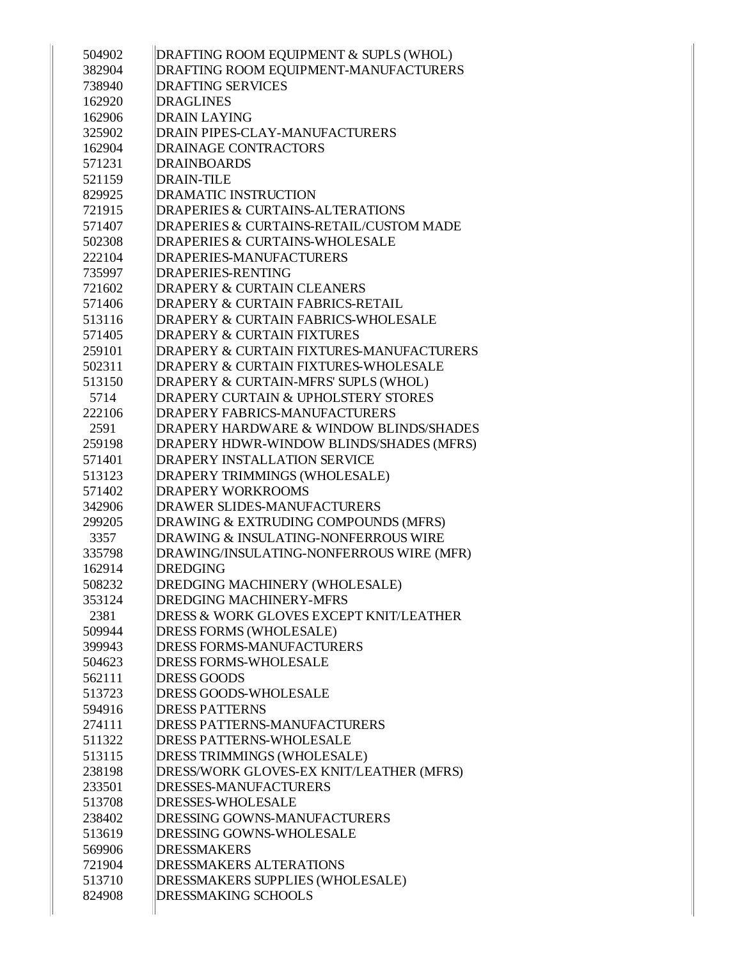| 504902 | DRAFTING ROOM EQUIPMENT & SUPLS (WHOL)              |
|--------|-----------------------------------------------------|
| 382904 | DRAFTING ROOM EQUIPMENT-MANUFACTURERS               |
| 738940 | <b>DRAFTING SERVICES</b>                            |
| 162920 | <b>DRAGLINES</b>                                    |
| 162906 | <b>DRAIN LAYING</b>                                 |
| 325902 | DRAIN PIPES-CLAY-MANUFACTURERS                      |
| 162904 | <b>DRAINAGE CONTRACTORS</b>                         |
| 571231 | <b>DRAINBOARDS</b>                                  |
| 521159 | <b>DRAIN-TILE</b>                                   |
| 829925 | <b>DRAMATIC INSTRUCTION</b>                         |
| 721915 | <b>DRAPERIES &amp; CURTAINS-ALTERATIONS</b>         |
| 571407 | <b>DRAPERIES &amp; CURTAINS-RETAIL/CUSTOM MADE</b>  |
| 502308 | DRAPERIES & CURTAINS-WHOLESALE                      |
| 222104 | DRAPERIES-MANUFACTURERS                             |
| 735997 | <b>DRAPERIES-RENTING</b>                            |
| 721602 | <b>DRAPERY &amp; CURTAIN CLEANERS</b>               |
| 571406 | <b>DRAPERY &amp; CURTAIN FABRICS-RETAIL</b>         |
| 513116 | <b>DRAPERY &amp; CURTAIN FABRICS-WHOLESALE</b>      |
| 571405 | <b>DRAPERY &amp; CURTAIN FIXTURES</b>               |
| 259101 | <b>DRAPERY &amp; CURTAIN FIXTURES-MANUFACTURERS</b> |
| 502311 | <b>DRAPERY &amp; CURTAIN FIXTURES-WHOLESALE</b>     |
| 513150 | DRAPERY & CURTAIN-MFRS' SUPLS (WHOL)                |
| 5714   | <b>DRAPERY CURTAIN &amp; UPHOLSTERY STORES</b>      |
| 222106 | <b>DRAPERY FABRICS-MANUFACTURERS</b>                |
| 2591   | DRAPERY HARDWARE & WINDOW BLINDS/SHADES             |
| 259198 | DRAPERY HDWR-WINDOW BLINDS/SHADES (MFRS)            |
| 571401 | <b>DRAPERY INSTALLATION SERVICE</b>                 |
| 513123 | DRAPERY TRIMMINGS (WHOLESALE)                       |
| 571402 | <b>DRAPERY WORKROOMS</b>                            |
| 342906 | <b>DRAWER SLIDES-MANUFACTURERS</b>                  |
| 299205 | DRAWING & EXTRUDING COMPOUNDS (MFRS)                |
| 3357   | DRAWING & INSULATING-NONFERROUS WIRE                |
| 335798 | DRAWING/INSULATING-NONFERROUS WIRE (MFR)            |
| 162914 | <b>DREDGING</b>                                     |
| 508232 | DREDGING MACHINERY (WHOLESALE)                      |
| 353124 | <b>DREDGING MACHINERY-MFRS</b>                      |
| 2381   | <b>DRESS &amp; WORK GLOVES EXCEPT KNIT/LEATHER</b>  |
| 509944 | DRESS FORMS (WHOLESALE)                             |
| 399943 | <b>DRESS FORMS-MANUFACTURERS</b>                    |
| 504623 | <b>DRESS FORMS-WHOLESALE</b>                        |
| 562111 | <b>DRESS GOODS</b>                                  |
| 513723 | <b>DRESS GOODS-WHOLESALE</b>                        |
| 594916 | <b>DRESS PATTERNS</b>                               |
| 274111 | <b>DRESS PATTERNS-MANUFACTURERS</b>                 |
| 511322 | <b>DRESS PATTERNS-WHOLESALE</b>                     |
| 513115 | DRESS TRIMMINGS (WHOLESALE)                         |
| 238198 | DRESS/WORK GLOVES-EX KNIT/LEATHER (MFRS)            |
| 233501 | DRESSES-MANUFACTURERS                               |
| 513708 | <b>DRESSES-WHOLESALE</b>                            |
| 238402 | <b>DRESSING GOWNS-MANUFACTURERS</b>                 |
| 513619 | <b>DRESSING GOWNS-WHOLESALE</b>                     |
| 569906 | <b>DRESSMAKERS</b>                                  |
| 721904 | <b>DRESSMAKERS ALTERATIONS</b>                      |
| 513710 | DRESSMAKERS SUPPLIES (WHOLESALE)                    |
| 824908 | DRESSMAKING SCHOOLS                                 |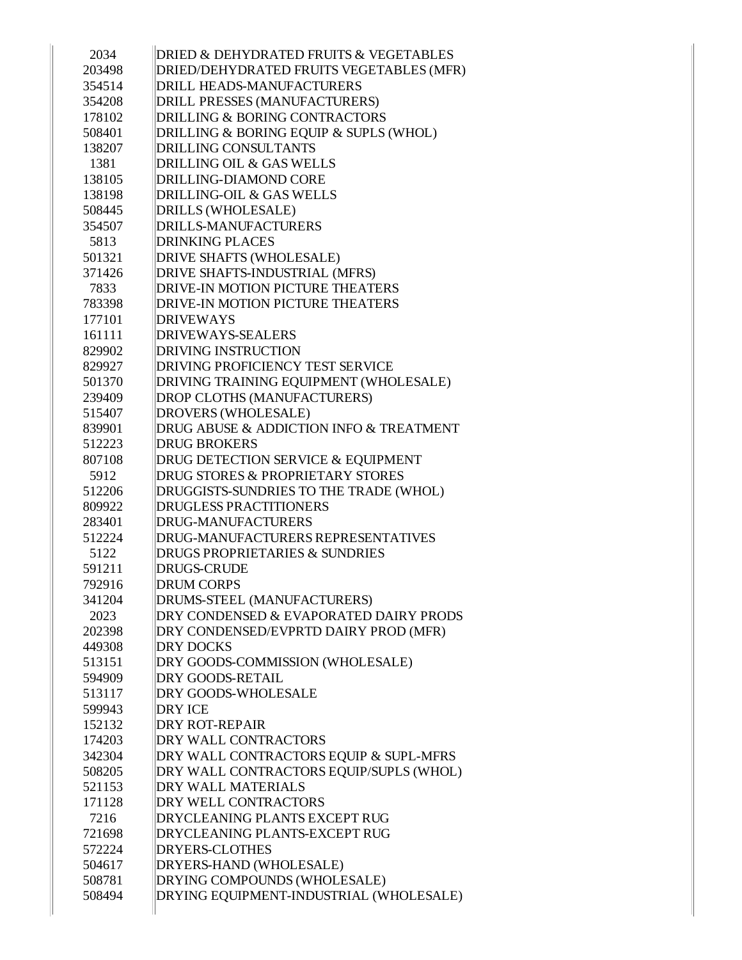| 2034   | DRIED & DEHYDRATED FRUITS & VEGETABLES      |
|--------|---------------------------------------------|
| 203498 | DRIED/DEHYDRATED FRUITS VEGETABLES (MFR)    |
| 354514 | <b>DRILL HEADS-MANUFACTURERS</b>            |
| 354208 | DRILL PRESSES (MANUFACTURERS)               |
| 178102 | <b>DRILLING &amp; BORING CONTRACTORS</b>    |
| 508401 | DRILLING & BORING EQUIP & SUPLS (WHOL)      |
| 138207 | <b>DRILLING CONSULTANTS</b>                 |
| 1381   | <b>DRILLING OIL &amp; GAS WELLS</b>         |
| 138105 | DRILLING-DIAMOND CORE                       |
| 138198 | DRILLING-OIL & GAS WELLS                    |
| 508445 | DRILLS (WHOLESALE)                          |
| 354507 | DRILLS-MANUFACTURERS                        |
| 5813   | <b>DRINKING PLACES</b>                      |
| 501321 | DRIVE SHAFTS (WHOLESALE)                    |
| 371426 | DRIVE SHAFTS-INDUSTRIAL (MFRS)              |
| 7833   | DRIVE-IN MOTION PICTURE THEATERS            |
| 783398 | DRIVE-IN MOTION PICTURE THEATERS            |
| 177101 | <b>DRIVEWAYS</b>                            |
| 161111 | DRIVEWAYS-SEALERS                           |
| 829902 | <b>DRIVING INSTRUCTION</b>                  |
| 829927 | <b>DRIVING PROFICIENCY TEST SERVICE</b>     |
| 501370 | DRIVING TRAINING EQUIPMENT (WHOLESALE)      |
| 239409 | DROP CLOTHS (MANUFACTURERS)                 |
| 515407 | DROVERS (WHOLESALE)                         |
| 839901 | DRUG ABUSE & ADDICTION INFO & TREATMENT     |
| 512223 | <b>DRUG BROKERS</b>                         |
| 807108 | DRUG DETECTION SERVICE & EQUIPMENT          |
| 5912   | <b>DRUG STORES &amp; PROPRIETARY STORES</b> |
| 512206 | DRUGGISTS-SUNDRIES TO THE TRADE (WHOL)      |
| 809922 | <b>DRUGLESS PRACTITIONERS</b>               |
| 283401 | DRUG-MANUFACTURERS                          |
| 512224 | DRUG-MANUFACTURERS REPRESENTATIVES          |
| 5122   | <b>DRUGS PROPRIETARIES &amp; SUNDRIES</b>   |
| 591211 | <b>DRUGS-CRUDE</b>                          |
| 792916 | <b>DRUM CORPS</b>                           |
| 341204 | DRUMS-STEEL (MANUFACTURERS)                 |
| 2023   | DRY CONDENSED & EVAPORATED DAIRY PRODS      |
| 202398 | DRY CONDENSED/EVPRTD DAIRY PROD (MFR)       |
| 449308 | <b>DRY DOCKS</b>                            |
| 513151 | DRY GOODS-COMMISSION (WHOLESALE)            |
| 594909 | <b>DRY GOODS-RETAIL</b>                     |
| 513117 | <b>DRY GOODS-WHOLESALE</b>                  |
| 599943 | <b>DRY ICE</b>                              |
| 152132 | <b>DRY ROT-REPAIR</b>                       |
| 174203 | DRY WALL CONTRACTORS                        |
| 342304 | DRY WALL CONTRACTORS EQUIP & SUPL-MFRS      |
| 508205 | DRY WALL CONTRACTORS EQUIP/SUPLS (WHOL)     |
| 521153 | <b>DRY WALL MATERIALS</b>                   |
| 171128 | <b>DRY WELL CONTRACTORS</b>                 |
| 7216   | <b>DRYCLEANING PLANTS EXCEPT RUG</b>        |
| 721698 | <b>DRYCLEANING PLANTS-EXCEPT RUG</b>        |
| 572224 | <b>DRYERS-CLOTHES</b>                       |
| 504617 | DRYERS-HAND (WHOLESALE)                     |
| 508781 | DRYING COMPOUNDS (WHOLESALE)                |
| 508494 | DRYING EQUIPMENT-INDUSTRIAL (WHOLESALE)     |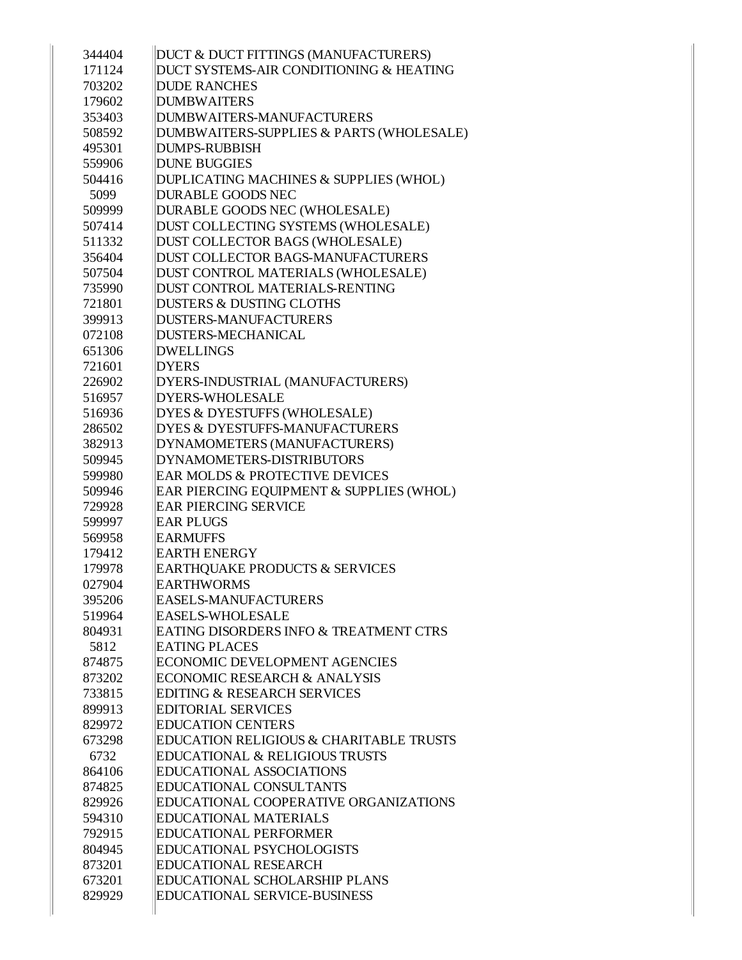| 344404 | DUCT & DUCT FITTINGS (MANUFACTURERS)               |
|--------|----------------------------------------------------|
| 171124 | DUCT SYSTEMS-AIR CONDITIONING & HEATING            |
| 703202 | <b>DUDE RANCHES</b>                                |
| 179602 | <b>DUMBWAITERS</b>                                 |
| 353403 | DUMBWAITERS-MANUFACTURERS                          |
| 508592 | DUMBWAITERS-SUPPLIES & PARTS (WHOLESALE)           |
| 495301 | <b>DUMPS-RUBBISH</b>                               |
| 559906 | <b>DUNE BUGGIES</b>                                |
| 504416 | DUPLICATING MACHINES & SUPPLIES (WHOL)             |
| 5099   | <b>DURABLE GOODS NEC</b>                           |
| 509999 | DURABLE GOODS NEC (WHOLESALE)                      |
| 507414 | DUST COLLECTING SYSTEMS (WHOLESALE)                |
| 511332 | DUST COLLECTOR BAGS (WHOLESALE)                    |
| 356404 | DUST COLLECTOR BAGS-MANUFACTURERS                  |
| 507504 | DUST CONTROL MATERIALS (WHOLESALE)                 |
| 735990 | DUST CONTROL MATERIALS-RENTING                     |
| 721801 | <b>DUSTERS &amp; DUSTING CLOTHS</b>                |
| 399913 | <b>DUSTERS-MANUFACTURERS</b>                       |
| 072108 | <b>DUSTERS-MECHANICAL</b>                          |
| 651306 | <b>DWELLINGS</b>                                   |
| 721601 | <b>DYERS</b>                                       |
| 226902 | DYERS-INDUSTRIAL (MANUFACTURERS)                   |
| 516957 | <b>DYERS-WHOLESALE</b>                             |
| 516936 | DYES & DYESTUFFS (WHOLESALE)                       |
| 286502 | <b>DYES &amp; DYESTUFFS-MANUFACTURERS</b>          |
| 382913 | DYNAMOMETERS (MANUFACTURERS)                       |
| 509945 | DYNAMOMETERS-DISTRIBUTORS                          |
| 599980 | EAR MOLDS & PROTECTIVE DEVICES                     |
| 509946 | EAR PIERCING EQUIPMENT & SUPPLIES (WHOL)           |
| 729928 | <b>EAR PIERCING SERVICE</b>                        |
| 599997 | <b>EAR PLUGS</b>                                   |
| 569958 | <b>EARMUFFS</b>                                    |
| 179412 | <b>EARTH ENERGY</b>                                |
| 179978 | EARTHQUAKE PRODUCTS & SERVICES                     |
| 027904 | <b>EARTHWORMS</b>                                  |
| 395206 | <b>EASELS-MANUFACTURERS</b>                        |
| 519964 | <b>EASELS-WHOLESALE</b>                            |
| 804931 | EATING DISORDERS INFO & TREATMENT CTRS             |
| 5812   | <b>EATING PLACES</b>                               |
| 874875 | ECONOMIC DEVELOPMENT AGENCIES                      |
| 873202 | <b>ECONOMIC RESEARCH &amp; ANALYSIS</b>            |
| 733815 | <b>EDITING &amp; RESEARCH SERVICES</b>             |
| 899913 | <b>EDITORIAL SERVICES</b>                          |
| 829972 | <b>EDUCATION CENTERS</b>                           |
| 673298 | <b>EDUCATION RELIGIOUS &amp; CHARITABLE TRUSTS</b> |
| 6732   | <b>EDUCATIONAL &amp; RELIGIOUS TRUSTS</b>          |
| 864106 | <b>EDUCATIONAL ASSOCIATIONS</b>                    |
| 874825 | <b>EDUCATIONAL CONSULTANTS</b>                     |
| 829926 | EDUCATIONAL COOPERATIVE ORGANIZATIONS              |
| 594310 | <b>EDUCATIONAL MATERIALS</b>                       |
| 792915 | <b>EDUCATIONAL PERFORMER</b>                       |
| 804945 | <b>EDUCATIONAL PSYCHOLOGISTS</b>                   |
| 873201 | <b>EDUCATIONAL RESEARCH</b>                        |
| 673201 | <b>EDUCATIONAL SCHOLARSHIP PLANS</b>               |
| 829929 | <b>EDUCATIONAL SERVICE-BUSINESS</b>                |
|        |                                                    |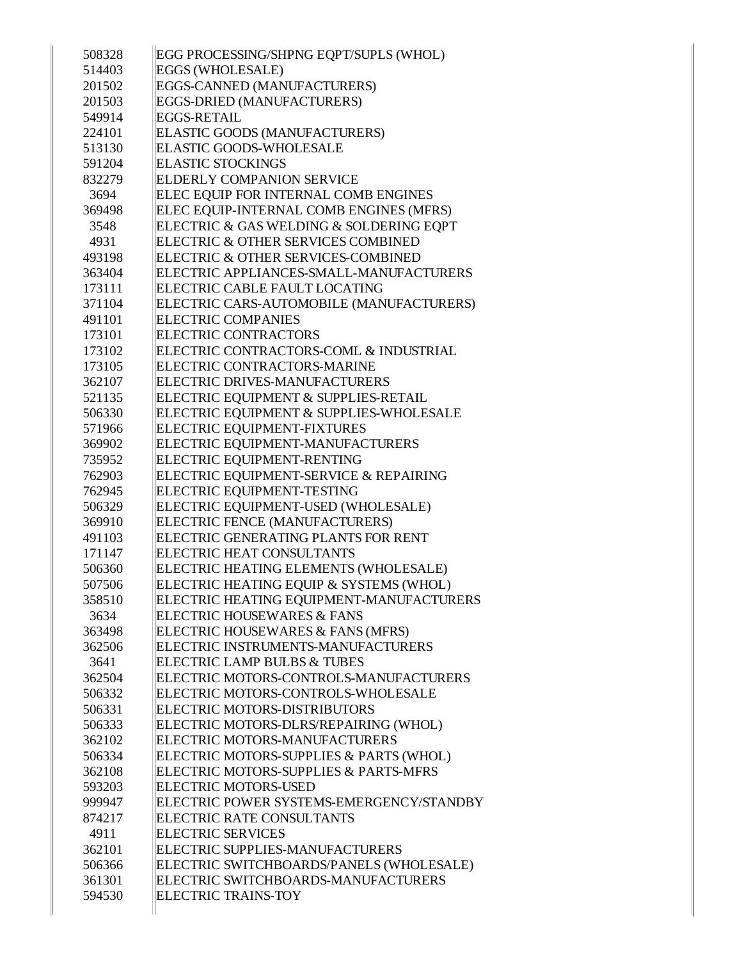| 508328 | EGG PROCESSING/SHPNG EQPT/SUPLS (WHOL)   |
|--------|------------------------------------------|
| 514403 | EGGS (WHOLESALE)                         |
| 201502 | EGGS-CANNED (MANUFACTURERS)              |
| 201503 | EGGS-DRIED (MANUFACTURERS)               |
| 549914 | EGGS-RETAIL                              |
| 224101 |                                          |
|        | ELASTIC GOODS (MANUFACTURERS)            |
| 513130 | <b>ELASTIC GOODS-WHOLESALE</b>           |
| 591204 | <b>ELASTIC STOCKINGS</b>                 |
| 832279 | <b>ELDERLY COMPANION SERVICE</b>         |
| 3694   | ELEC EOUIP FOR INTERNAL COMB ENGINES     |
| 369498 | ELEC EQUIP-INTERNAL COMB ENGINES (MFRS)  |
| 3548   | ELECTRIC & GAS WELDING & SOLDERING EQPT  |
| 4931   | ELECTRIC & OTHER SERVICES COMBINED       |
| 493198 | ELECTRIC & OTHER SERVICES-COMBINED       |
| 363404 | ELECTRIC APPLIANCES-SMALL-MANUFACTURERS  |
| 173111 | ELECTRIC CABLE FAULT LOCATING            |
| 371104 | ELECTRIC CARS-AUTOMOBILE (MANUFACTURERS) |
| 491101 | <b>ELECTRIC COMPANIES</b>                |
| 173101 | <b>ELECTRIC CONTRACTORS</b>              |
| 173102 | ELECTRIC CONTRACTORS-COML & INDUSTRIAL   |
| 173105 | ELECTRIC CONTRACTORS-MARINE              |
| 362107 | ELECTRIC DRIVES-MANUFACTURERS            |
| 521135 | ELECTRIC EQUIPMENT & SUPPLIES-RETAIL     |
| 506330 | ELECTRIC EQUIPMENT & SUPPLIES-WHOLESALE  |
| 571966 | ELECTRIC EQUIPMENT-FIXTURES              |
| 369902 | ELECTRIC EQUIPMENT-MANUFACTURERS         |
| 735952 | <b>ELECTRIC EQUIPMENT-RENTING</b>        |
| 762903 | ELECTRIC EQUIPMENT-SERVICE & REPAIRING   |
| 762945 | ELECTRIC EQUIPMENT-TESTING               |
| 506329 | ELECTRIC EQUIPMENT-USED (WHOLESALE)      |
| 369910 | ELECTRIC FENCE (MANUFACTURERS)           |
| 491103 | ELECTRIC GENERATING PLANTS FOR RENT      |
| 171147 | <b>ELECTRIC HEAT CONSULTANTS</b>         |
| 506360 | ELECTRIC HEATING ELEMENTS (WHOLESALE)    |
| 507506 | ELECTRIC HEATING EQUIP & SYSTEMS (WHOL)  |
| 358510 | ELECTRIC HEATING EQUIPMENT-MANUFACTURERS |
| 3634   | ELECTRIC HOUSEWARES & FANS               |
| 363498 | ELECTRIC HOUSEWARES & FANS (MFRS)        |
| 362506 | ELECTRIC INSTRUMENTS-MANUFACTURERS       |
| 3641   | ELECTRIC LAMP BULBS & TUBES              |
| 362504 | ELECTRIC MOTORS-CONTROLS-MANUFACTURERS   |
| 506332 | ELECTRIC MOTORS-CONTROLS-WHOLESALE       |
| 506331 | <b>ELECTRIC MOTORS-DISTRIBUTORS</b>      |
| 506333 | ELECTRIC MOTORS-DLRS/REPAIRING (WHOL)    |
| 362102 | ELECTRIC MOTORS-MANUFACTURERS            |
| 506334 | ELECTRIC MOTORS-SUPPLIES & PARTS (WHOL)  |
| 362108 | ELECTRIC MOTORS-SUPPLIES & PARTS-MFRS    |
| 593203 | <b>ELECTRIC MOTORS-USED</b>              |
| 999947 | ELECTRIC POWER SYSTEMS-EMERGENCY/STANDBY |
| 874217 | <b>ELECTRIC RATE CONSULTANTS</b>         |
| 4911   | <b>ELECTRIC SERVICES</b>                 |
| 362101 | ELECTRIC SUPPLIES-MANUFACTURERS          |
| 506366 | ELECTRIC SWITCHBOARDS/PANELS (WHOLESALE) |
| 361301 | ELECTRIC SWITCHBOARDS-MANUFACTURERS      |
| 594530 | <b>ELECTRIC TRAINS-TOY</b>               |
|        |                                          |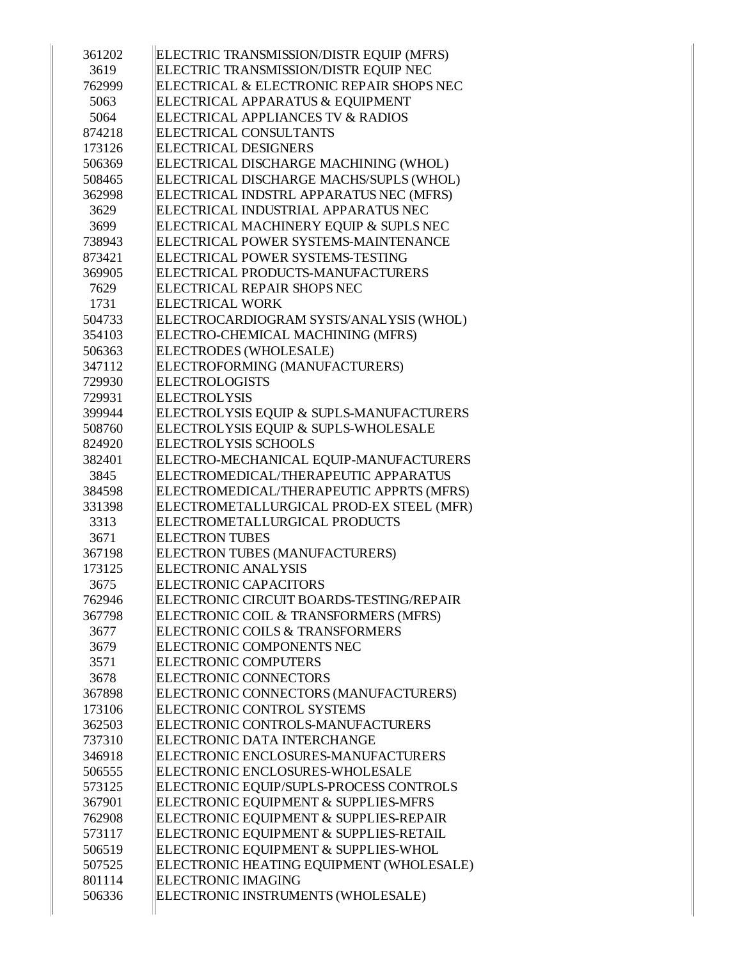| 361202 | ELECTRIC TRANSMISSION/DISTR EQUIP (MFRS) |
|--------|------------------------------------------|
| 3619   | ELECTRIC TRANSMISSION/DISTR EQUIP NEC    |
| 762999 | ELECTRICAL & ELECTRONIC REPAIR SHOPS NEC |
| 5063   | ELECTRICAL APPARATUS & EQUIPMENT         |
| 5064   | ELECTRICAL APPLIANCES TV & RADIOS        |
| 874218 | <b>ELECTRICAL CONSULTANTS</b>            |
| 173126 | <b>ELECTRICAL DESIGNERS</b>              |
| 506369 | ELECTRICAL DISCHARGE MACHINING (WHOL)    |
| 508465 | ELECTRICAL DISCHARGE MACHS/SUPLS (WHOL)  |
| 362998 | ELECTRICAL INDSTRL APPARATUS NEC (MFRS)  |
| 3629   | ELECTRICAL INDUSTRIAL APPARATUS NEC      |
| 3699   | ELECTRICAL MACHINERY EQUIP & SUPLS NEC   |
| 738943 | ELECTRICAL POWER SYSTEMS-MAINTENANCE     |
| 873421 | ELECTRICAL POWER SYSTEMS-TESTING         |
| 369905 | ELECTRICAL PRODUCTS-MANUFACTURERS        |
| 7629   | ELECTRICAL REPAIR SHOPS NEC              |
| 1731   | <b>ELECTRICAL WORK</b>                   |
| 504733 | ELECTROCARDIOGRAM SYSTS/ANALYSIS (WHOL)  |
| 354103 | ELECTRO-CHEMICAL MACHINING (MFRS)        |
| 506363 | ELECTRODES (WHOLESALE)                   |
| 347112 | ELECTROFORMING (MANUFACTURERS)           |
| 729930 | <b>ELECTROLOGISTS</b>                    |
| 729931 | <b>ELECTROLYSIS</b>                      |
| 399944 | ELECTROLYSIS EQUIP & SUPLS-MANUFACTURERS |
| 508760 | ELECTROLYSIS EQUIP & SUPLS-WHOLESALE     |
| 824920 | <b>ELECTROLYSIS SCHOOLS</b>              |
| 382401 | ELECTRO-MECHANICAL EQUIP-MANUFACTURERS   |
| 3845   | ELECTROMEDICAL/THERAPEUTIC APPARATUS     |
| 384598 | ELECTROMEDICAL/THERAPEUTIC APPRTS (MFRS) |
| 331398 | ELECTROMETALLURGICAL PROD-EX STEEL (MFR) |
| 3313   | ELECTROMETALLURGICAL PRODUCTS            |
| 3671   | <b>ELECTRON TUBES</b>                    |
| 367198 | ELECTRON TUBES (MANUFACTURERS)           |
| 173125 | <b>ELECTRONIC ANALYSIS</b>               |
| 3675   | <b>ELECTRONIC CAPACITORS</b>             |
| 762946 | ELECTRONIC CIRCUIT BOARDS-TESTING/REPAIR |
| 367798 | ELECTRONIC COIL & TRANSFORMERS (MFRS)    |
| 3677   | ELECTRONIC COILS & TRANSFORMERS          |
| 3679   | ELECTRONIC COMPONENTS NEC                |
| 3571   | <b>ELECTRONIC COMPUTERS</b>              |
| 3678   | <b>ELECTRONIC CONNECTORS</b>             |
| 367898 | ELECTRONIC CONNECTORS (MANUFACTURERS)    |
| 173106 | ELECTRONIC CONTROL SYSTEMS               |
| 362503 | ELECTRONIC CONTROLS-MANUFACTURERS        |
| 737310 | ELECTRONIC DATA INTERCHANGE              |
| 346918 | ELECTRONIC ENCLOSURES-MANUFACTURERS      |
| 506555 | ELECTRONIC ENCLOSURES-WHOLESALE          |
| 573125 | ELECTRONIC EQUIP/SUPLS-PROCESS CONTROLS  |
| 367901 | ELECTRONIC EQUIPMENT & SUPPLIES-MFRS     |
| 762908 | ELECTRONIC EQUIPMENT & SUPPLIES-REPAIR   |
| 573117 | ELECTRONIC EQUIPMENT & SUPPLIES-RETAIL   |
| 506519 | ELECTRONIC EQUIPMENT & SUPPLIES-WHOL     |
| 507525 | ELECTRONIC HEATING EQUIPMENT (WHOLESALE) |
| 801114 | <b>ELECTRONIC IMAGING</b>                |
| 506336 | ELECTRONIC INSTRUMENTS (WHOLESALE)       |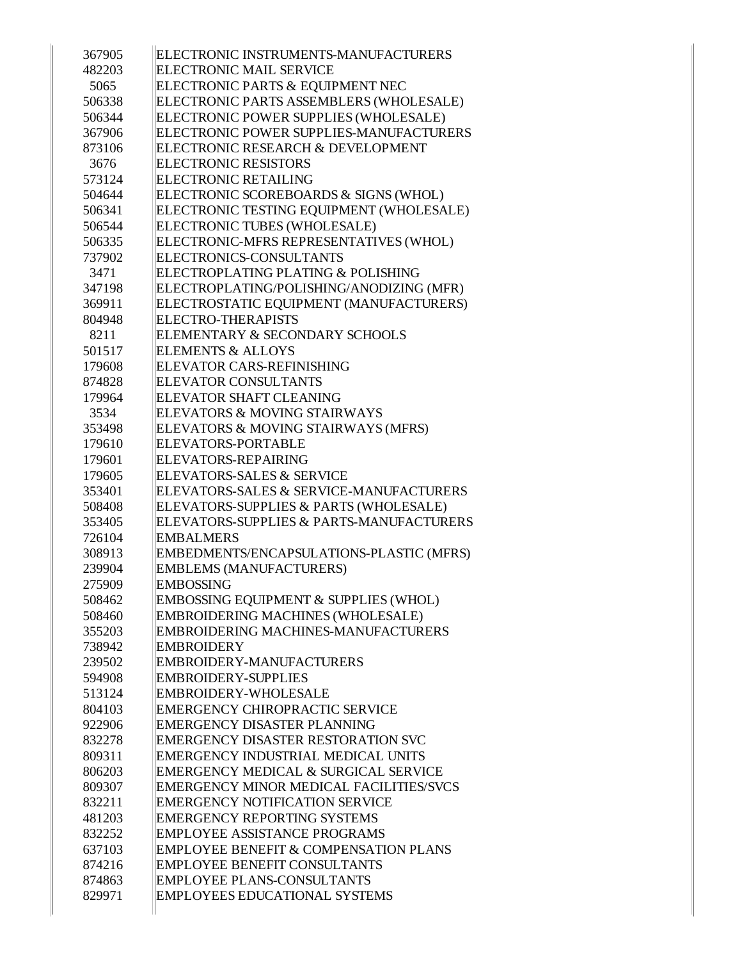| 367905 | ELECTRONIC INSTRUMENTS-MANUFACTURERS             |
|--------|--------------------------------------------------|
| 482203 | <b>ELECTRONIC MAIL SERVICE</b>                   |
| 5065   | ELECTRONIC PARTS & EQUIPMENT NEC                 |
| 506338 | ELECTRONIC PARTS ASSEMBLERS (WHOLESALE)          |
| 506344 | ELECTRONIC POWER SUPPLIES (WHOLESALE)            |
| 367906 | ELECTRONIC POWER SUPPLIES-MANUFACTURERS          |
| 873106 | ELECTRONIC RESEARCH & DEVELOPMENT                |
| 3676   | <b>ELECTRONIC RESISTORS</b>                      |
| 573124 | <b>ELECTRONIC RETAILING</b>                      |
| 504644 | ELECTRONIC SCOREBOARDS & SIGNS (WHOL)            |
| 506341 | ELECTRONIC TESTING EQUIPMENT (WHOLESALE)         |
| 506544 | ELECTRONIC TUBES (WHOLESALE)                     |
| 506335 | ELECTRONIC-MFRS REPRESENTATIVES (WHOL)           |
| 737902 | ELECTRONICS-CONSULTANTS                          |
| 3471   | ELECTROPLATING PLATING & POLISHING               |
| 347198 | ELECTROPLATING/POLISHING/ANODIZING (MFR)         |
| 369911 | ELECTROSTATIC EQUIPMENT (MANUFACTURERS)          |
| 804948 | <b>ELECTRO-THERAPISTS</b>                        |
| 8211   | ELEMENTARY & SECONDARY SCHOOLS                   |
| 501517 | <b>ELEMENTS &amp; ALLOYS</b>                     |
| 179608 | <b>ELEVATOR CARS-REFINISHING</b>                 |
| 874828 | <b>ELEVATOR CONSULTANTS</b>                      |
| 179964 | ELEVATOR SHAFT CLEANING                          |
| 3534   | ELEVATORS & MOVING STAIRWAYS                     |
| 353498 | ELEVATORS & MOVING STAIRWAYS (MFRS)              |
| 179610 | <b>ELEVATORS-PORTABLE</b>                        |
| 179601 | ELEVATORS-REPAIRING                              |
| 179605 | <b>ELEVATORS-SALES &amp; SERVICE</b>             |
|        |                                                  |
| 353401 | ELEVATORS-SALES & SERVICE-MANUFACTURERS          |
| 508408 | ELEVATORS-SUPPLIES & PARTS (WHOLESALE)           |
| 353405 | ELEVATORS-SUPPLIES & PARTS-MANUFACTURERS         |
| 726104 | <b>EMBALMERS</b>                                 |
| 308913 | EMBEDMENTS/ENCAPSULATIONS-PLASTIC (MFRS)         |
| 239904 | <b>EMBLEMS (MANUFACTURERS)</b>                   |
| 275909 | <b>EMBOSSING</b>                                 |
| 508462 | EMBOSSING EQUIPMENT & SUPPLIES (WHOL)            |
| 508460 | EMBROIDERING MACHINES (WHOLESALE)                |
| 355203 | <b>EMBROIDERING MACHINES-MANUFACTURERS</b>       |
| 738942 | <b>EMBROIDERY</b>                                |
| 239502 | <b>EMBROIDERY-MANUFACTURERS</b>                  |
| 594908 | <b>EMBROIDERY-SUPPLIES</b>                       |
| 513124 | <b>EMBROIDERY-WHOLESALE</b>                      |
| 804103 | <b>EMERGENCY CHIROPRACTIC SERVICE</b>            |
| 922906 | <b>EMERGENCY DISASTER PLANNING</b>               |
| 832278 | <b>EMERGENCY DISASTER RESTORATION SVC</b>        |
| 809311 | EMERGENCY INDUSTRIAL MEDICAL UNITS               |
| 806203 | EMERGENCY MEDICAL & SURGICAL SERVICE             |
| 809307 | <b>EMERGENCY MINOR MEDICAL FACILITIES/SVCS</b>   |
| 832211 | <b>EMERGENCY NOTIFICATION SERVICE</b>            |
| 481203 | <b>EMERGENCY REPORTING SYSTEMS</b>               |
| 832252 | <b>EMPLOYEE ASSISTANCE PROGRAMS</b>              |
| 637103 | <b>EMPLOYEE BENEFIT &amp; COMPENSATION PLANS</b> |
| 874216 | <b>EMPLOYEE BENEFIT CONSULTANTS</b>              |
| 874863 | <b>EMPLOYEE PLANS-CONSULTANTS</b>                |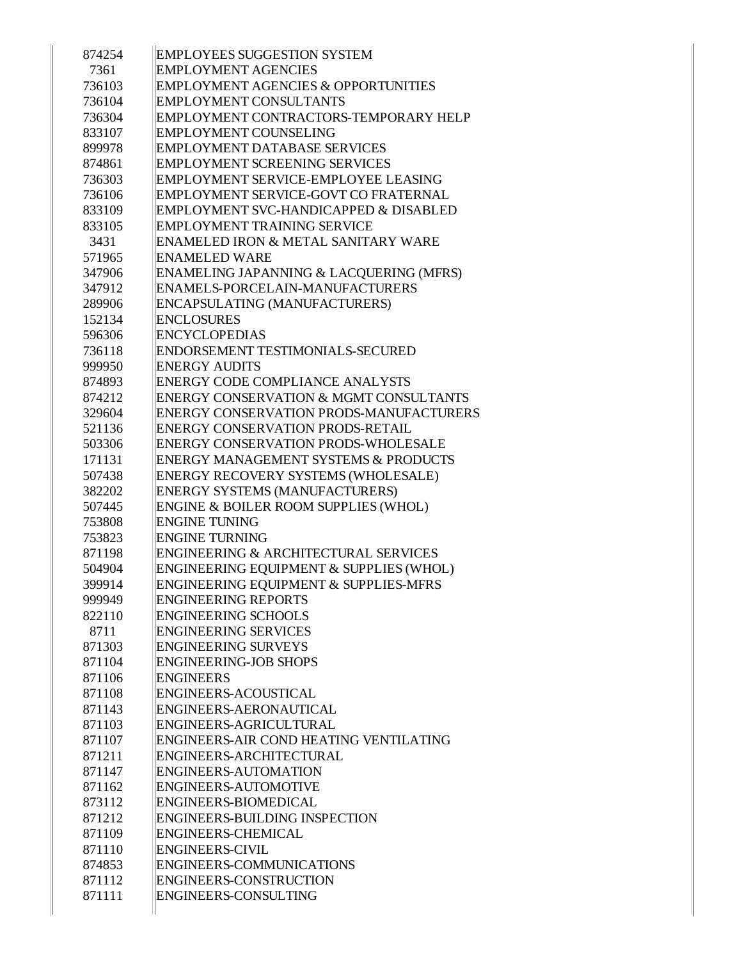| 874254 | <b>EMPLOYEES SUGGESTION SYSTEM</b>                |
|--------|---------------------------------------------------|
| 7361   | <b>EMPLOYMENT AGENCIES</b>                        |
| 736103 | <b>EMPLOYMENT AGENCIES &amp; OPPORTUNITIES</b>    |
| 736104 | <b>EMPLOYMENT CONSULTANTS</b>                     |
| 736304 | EMPLOYMENT CONTRACTORS-TEMPORARY HELP             |
| 833107 | <b>EMPLOYMENT COUNSELING</b>                      |
| 899978 | <b>EMPLOYMENT DATABASE SERVICES</b>               |
| 874861 | <b>EMPLOYMENT SCREENING SERVICES</b>              |
| 736303 | EMPLOYMENT SERVICE-EMPLOYEE LEASING               |
| 736106 | EMPLOYMENT SERVICE-GOVT CO FRATERNAL              |
| 833109 | EMPLOYMENT SVC-HANDICAPPED & DISABLED             |
| 833105 | <b>EMPLOYMENT TRAINING SERVICE</b>                |
| 3431   | ENAMELED IRON & METAL SANITARY WARE               |
| 571965 | <b>ENAMELED WARE</b>                              |
| 347906 | ENAMELING JAPANNING & LACQUERING (MFRS)           |
| 347912 | ENAMELS-PORCELAIN-MANUFACTURERS                   |
| 289906 | ENCAPSULATING (MANUFACTURERS)                     |
| 152134 | <b>ENCLOSURES</b>                                 |
| 596306 | <b>ENCYCLOPEDIAS</b>                              |
| 736118 | ENDORSEMENT TESTIMONIALS-SECURED                  |
| 999950 | <b>ENERGY AUDITS</b>                              |
| 874893 | <b>ENERGY CODE COMPLIANCE ANALYSTS</b>            |
| 874212 | <b>ENERGY CONSERVATION &amp; MGMT CONSULTANTS</b> |
| 329604 | <b>ENERGY CONSERVATION PRODS-MANUFACTURERS</b>    |
| 521136 | <b>ENERGY CONSERVATION PRODS-RETAIL</b>           |
| 503306 | <b>ENERGY CONSERVATION PRODS-WHOLESALE</b>        |
| 171131 | <b>ENERGY MANAGEMENT SYSTEMS &amp; PRODUCTS</b>   |
| 507438 | ENERGY RECOVERY SYSTEMS (WHOLESALE)               |
| 382202 | <b>ENERGY SYSTEMS (MANUFACTURERS)</b>             |
| 507445 | ENGINE & BOILER ROOM SUPPLIES (WHOL)              |
| 753808 | <b>ENGINE TUNING</b>                              |
| 753823 | <b>ENGINE TURNING</b>                             |
| 871198 | <b>ENGINEERING &amp; ARCHITECTURAL SERVICES</b>   |
| 504904 | ENGINEERING EQUIPMENT & SUPPLIES (WHOL)           |
| 399914 | ENGINEERING EQUIPMENT & SUPPLIES-MFRS             |
| 999949 | <b>ENGINEERING REPORTS</b>                        |
| 822110 | <b>ENGINEERING SCHOOLS</b>                        |
| 8711   | <b>ENGINEERING SERVICES</b>                       |
| 871303 | <b>ENGINEERING SURVEYS</b>                        |
| 871104 | <b>ENGINEERING-JOB SHOPS</b>                      |
| 871106 | <b>ENGINEERS</b>                                  |
| 871108 | ENGINEERS-ACOUSTICAL                              |
| 871143 | ENGINEERS-AERONAUTICAL                            |
| 871103 | ENGINEERS-AGRICULTURAL                            |
| 871107 | ENGINEERS-AIR COND HEATING VENTILATING            |
| 871211 | ENGINEERS-ARCHITECTURAL                           |
| 871147 | <b>ENGINEERS-AUTOMATION</b>                       |
| 871162 | <b>ENGINEERS-AUTOMOTIVE</b>                       |
| 873112 | ENGINEERS-BIOMEDICAL                              |
| 871212 | <b>ENGINEERS-BUILDING INSPECTION</b>              |
| 871109 | <b>ENGINEERS-CHEMICAL</b>                         |
| 871110 | <b>ENGINEERS-CIVIL</b>                            |
| 874853 | ENGINEERS-COMMUNICATIONS                          |
| 871112 | <b>ENGINEERS-CONSTRUCTION</b>                     |
| 871111 | ENGINEERS-CONSULTING                              |
|        |                                                   |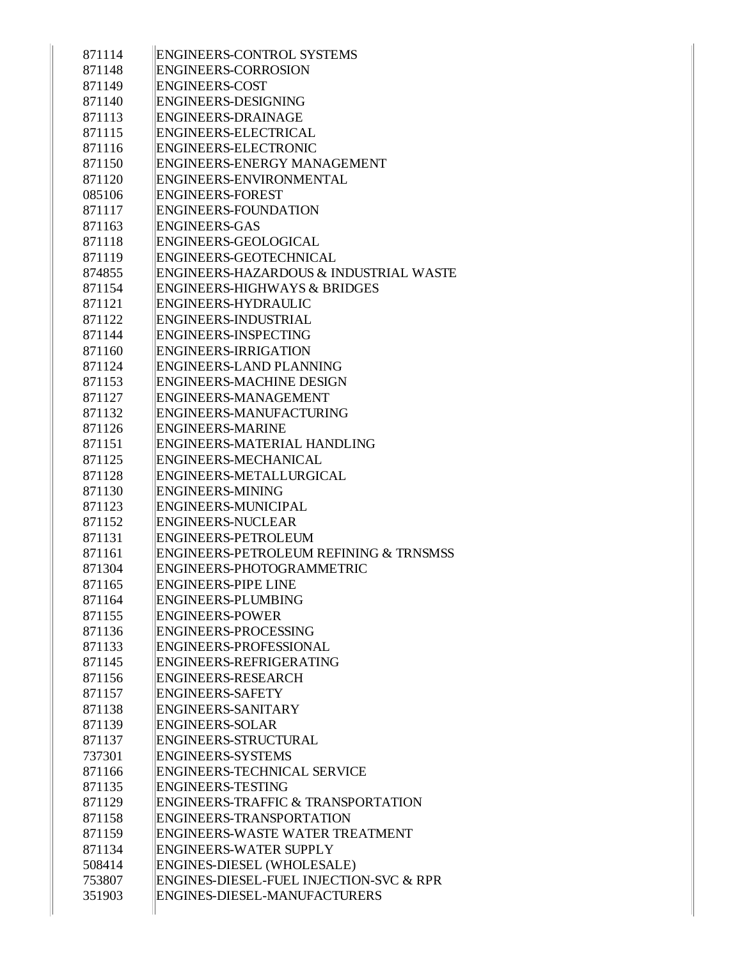| 871114 | <b>ENGINEERS-CONTROL SYSTEMS</b>                  |
|--------|---------------------------------------------------|
| 871148 | <b>ENGINEERS-CORROSION</b>                        |
| 871149 | <b>ENGINEERS-COST</b>                             |
| 871140 | <b>ENGINEERS-DESIGNING</b>                        |
| 871113 | <b>ENGINEERS-DRAINAGE</b>                         |
| 871115 | <b>ENGINEERS-ELECTRICAL</b>                       |
| 871116 | <b>ENGINEERS-ELECTRONIC</b>                       |
| 871150 | <b>ENGINEERS-ENERGY MANAGEMENT</b>                |
| 871120 | ENGINEERS-ENVIRONMENTAL                           |
| 085106 | <b>ENGINEERS-FOREST</b>                           |
| 871117 | <b>ENGINEERS-FOUNDATION</b>                       |
| 871163 | <b>ENGINEERS-GAS</b>                              |
| 871118 | ENGINEERS-GEOLOGICAL                              |
| 871119 | ENGINEERS-GEOTECHNICAL                            |
| 874855 | ENGINEERS-HAZARDOUS & INDUSTRIAL WASTE            |
| 871154 | <b>ENGINEERS-HIGHWAYS &amp; BRIDGES</b>           |
| 871121 | ENGINEERS-HYDRAULIC                               |
| 871122 | ENGINEERS-INDUSTRIAL                              |
| 871144 | <b>ENGINEERS-INSPECTING</b>                       |
| 871160 | <b>ENGINEERS-IRRIGATION</b>                       |
| 871124 | <b>ENGINEERS-LAND PLANNING</b>                    |
| 871153 | <b>ENGINEERS-MACHINE DESIGN</b>                   |
| 871127 | ENGINEERS-MANAGEMENT                              |
| 871132 | ENGINEERS-MANUFACTURING                           |
| 871126 | <b>ENGINEERS-MARINE</b>                           |
| 871151 | ENGINEERS-MATERIAL HANDLING                       |
| 871125 | ENGINEERS-MECHANICAL                              |
| 871128 | ENGINEERS-METALLURGICAL                           |
| 871130 | <b>ENGINEERS-MINING</b>                           |
| 871123 | <b>ENGINEERS-MUNICIPAL</b>                        |
| 871152 | <b>ENGINEERS-NUCLEAR</b>                          |
| 871131 | <b>ENGINEERS-PETROLEUM</b>                        |
| 871161 | <b>ENGINEERS-PETROLEUM REFINING &amp; TRNSMSS</b> |
| 871304 | ENGINEERS-PHOTOGRAMMETRIC                         |
| 871165 | <b>ENGINEERS-PIPE LINE</b>                        |
| 871164 | <b>ENGINEERS-PLUMBING</b>                         |
| 871155 | <b>ENGINEERS-POWER</b>                            |
| 871136 | ENGINEERS-PROCESSING                              |
| 871133 | ENGINEERS-PROFESSIONAL                            |
| 871145 | ENGINEERS-REFRIGERATING                           |
| 871156 | <b>ENGINEERS-RESEARCH</b>                         |
| 871157 | <b>ENGINEERS-SAFETY</b>                           |
| 871138 | <b>ENGINEERS-SANITARY</b>                         |
| 871139 | <b>ENGINEERS-SOLAR</b>                            |
| 871137 | ENGINEERS-STRUCTURAL                              |
| 737301 | <b>ENGINEERS-SYSTEMS</b>                          |
| 871166 | <b>ENGINEERS-TECHNICAL SERVICE</b>                |
| 871135 | <b>ENGINEERS-TESTING</b>                          |
| 871129 | <b>ENGINEERS-TRAFFIC &amp; TRANSPORTATION</b>     |
|        | ENGINEERS-TRANSPORTATION                          |
| 871158 | ENGINEERS-WASTE WATER TREATMENT                   |
| 871159 |                                                   |
| 871134 | <b>ENGINEERS-WATER SUPPLY</b>                     |
| 508414 | ENGINES-DIESEL (WHOLESALE)                        |
| 753807 | ENGINES-DIESEL-FUEL INJECTION-SVC & RPR           |
| 351903 | ENGINES-DIESEL-MANUFACTURERS                      |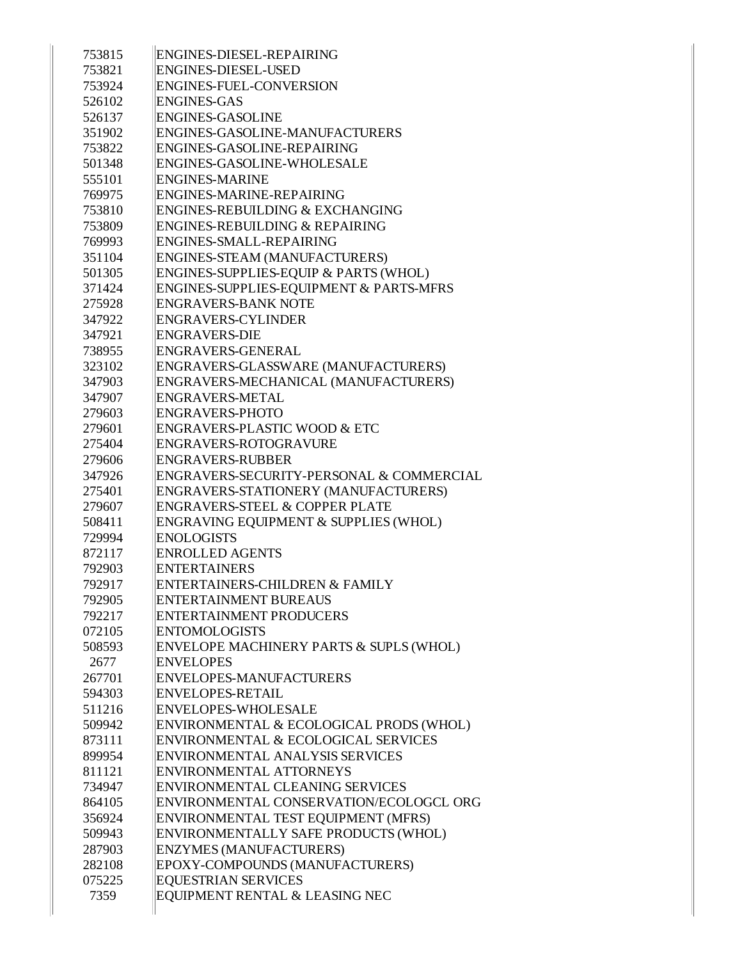| 753815 | ENGINES-DIESEL-REPAIRING                  |
|--------|-------------------------------------------|
| 753821 | <b>ENGINES-DIESEL-USED</b>                |
| 753924 | ENGINES-FUEL-CONVERSION                   |
| 526102 | <b>ENGINES-GAS</b>                        |
| 526137 | <b>ENGINES-GASOLINE</b>                   |
| 351902 | ENGINES-GASOLINE-MANUFACTURERS            |
| 753822 | ENGINES-GASOLINE-REPAIRING                |
| 501348 | ENGINES-GASOLINE-WHOLESALE                |
| 555101 | <b>ENGINES-MARINE</b>                     |
| 769975 | ENGINES-MARINE-REPAIRING                  |
| 753810 | ENGINES-REBUILDING & EXCHANGING           |
| 753809 | ENGINES-REBUILDING & REPAIRING            |
| 769993 | ENGINES-SMALL-REPAIRING                   |
| 351104 | ENGINES-STEAM (MANUFACTURERS)             |
| 501305 | ENGINES-SUPPLIES-EQUIP & PARTS (WHOL)     |
| 371424 | ENGINES-SUPPLIES-EQUIPMENT & PARTS-MFRS   |
| 275928 | <b>ENGRAVERS-BANK NOTE</b>                |
| 347922 | <b>ENGRAVERS-CYLINDER</b>                 |
| 347921 | ENGRAVERS-DIE                             |
| 738955 | ENGRAVERS-GENERAL                         |
| 323102 | ENGRAVERS-GLASSWARE (MANUFACTURERS)       |
| 347903 | ENGRAVERS-MECHANICAL (MANUFACTURERS)      |
| 347907 | ENGRAVERS-METAL                           |
| 279603 | <b>ENGRAVERS-PHOTO</b>                    |
| 279601 | ENGRAVERS-PLASTIC WOOD & ETC              |
| 275404 | ENGRAVERS-ROTOGRAVURE                     |
| 279606 | <b>ENGRAVERS-RUBBER</b>                   |
| 347926 | ENGRAVERS-SECURITY-PERSONAL & COMMERCIAL  |
| 275401 | ENGRAVERS-STATIONERY (MANUFACTURERS)      |
| 279607 | <b>ENGRAVERS-STEEL &amp; COPPER PLATE</b> |
| 508411 | ENGRAVING EQUIPMENT & SUPPLIES (WHOL)     |
| 729994 | <b>ENOLOGISTS</b>                         |
| 872117 | <b>ENROLLED AGENTS</b>                    |
| 792903 | <b>ENTERTAINERS</b>                       |
| 792917 | ENTERTAINERS-CHILDREN & FAMILY            |
| 792905 | <b>ENTERTAINMENT BUREAUS</b>              |
| 792217 | <b>ENTERTAINMENT PRODUCERS</b>            |
| 072105 | <b>ENTOMOLOGISTS</b>                      |
| 508593 | ENVELOPE MACHINERY PARTS & SUPLS (WHOL)   |
| 2677   | <b>ENVELOPES</b>                          |
| 267701 | <b>ENVELOPES-MANUFACTURERS</b>            |
| 594303 | <b>ENVELOPES-RETAIL</b>                   |
| 511216 | <b>ENVELOPES-WHOLESALE</b>                |
| 509942 | ENVIRONMENTAL & ECOLOGICAL PRODS (WHOL)   |
| 873111 | ENVIRONMENTAL & ECOLOGICAL SERVICES       |
| 899954 | ENVIRONMENTAL ANALYSIS SERVICES           |
| 811121 | ENVIRONMENTAL ATTORNEYS                   |
| 734947 | ENVIRONMENTAL CLEANING SERVICES           |
| 864105 | ENVIRONMENTAL CONSERVATION/ECOLOGCL ORG   |
| 356924 | ENVIRONMENTAL TEST EQUIPMENT (MFRS)       |
| 509943 | ENVIRONMENTALLY SAFE PRODUCTS (WHOL)      |
| 287903 | <b>ENZYMES (MANUFACTURERS)</b>            |
| 282108 | EPOXY-COMPOUNDS (MANUFACTURERS)           |
| 075225 | <b>EQUESTRIAN SERVICES</b>                |
| 7359   | EQUIPMENT RENTAL & LEASING NEC            |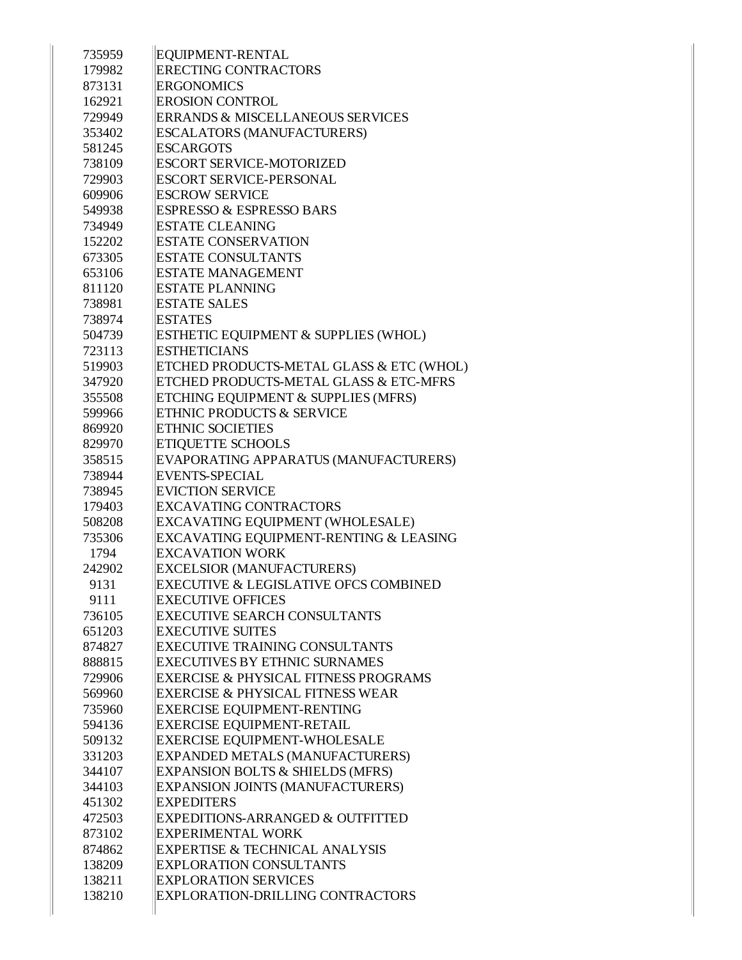| 735959 | EQUIPMENT-RENTAL                                  |
|--------|---------------------------------------------------|
| 179982 | <b>ERECTING CONTRACTORS</b>                       |
| 873131 | <b>ERGONOMICS</b>                                 |
| 162921 | <b>EROSION CONTROL</b>                            |
| 729949 | <b>ERRANDS &amp; MISCELLANEOUS SERVICES</b>       |
| 353402 | <b>ESCALATORS (MANUFACTURERS)</b>                 |
| 581245 | <b>ESCARGOTS</b>                                  |
| 738109 | <b>ESCORT SERVICE-MOTORIZED</b>                   |
| 729903 | <b>ESCORT SERVICE-PERSONAL</b>                    |
| 609906 | <b>ESCROW SERVICE</b>                             |
| 549938 | <b>ESPRESSO &amp; ESPRESSO BARS</b>               |
| 734949 | <b>ESTATE CLEANING</b>                            |
| 152202 | <b>ESTATE CONSERVATION</b>                        |
| 673305 | <b>ESTATE CONSULTANTS</b>                         |
| 653106 | <b>ESTATE MANAGEMENT</b>                          |
| 811120 | <b>ESTATE PLANNING</b>                            |
| 738981 | <b>ESTATE SALES</b>                               |
| 738974 | <b>ESTATES</b>                                    |
| 504739 | ESTHETIC EQUIPMENT & SUPPLIES (WHOL)              |
| 723113 | <b>ESTHETICIANS</b>                               |
| 519903 | ETCHED PRODUCTS-METAL GLASS & ETC (WHOL)          |
| 347920 | <b>ETCHED PRODUCTS-METAL GLASS &amp; ETC-MFRS</b> |
| 355508 | ETCHING EQUIPMENT & SUPPLIES (MFRS)               |
| 599966 | <b>ETHNIC PRODUCTS &amp; SERVICE</b>              |
| 869920 | <b>ETHNIC SOCIETIES</b>                           |
| 829970 | <b>ETIQUETTE SCHOOLS</b>                          |
| 358515 | EVAPORATING APPARATUS (MANUFACTURERS)             |
| 738944 | <b>EVENTS-SPECIAL</b>                             |
| 738945 | <b>EVICTION SERVICE</b>                           |
| 179403 | <b>EXCAVATING CONTRACTORS</b>                     |
| 508208 | EXCAVATING EQUIPMENT (WHOLESALE)                  |
| 735306 | EXCAVATING EQUIPMENT-RENTING & LEASING            |
| 1794   | <b>EXCAVATION WORK</b>                            |
| 242902 | <b>EXCELSIOR (MANUFACTURERS)</b>                  |
| 9131   | <b>EXECUTIVE &amp; LEGISLATIVE OFCS COMBINED</b>  |
| 9111   | <b>EXECUTIVE OFFICES</b>                          |
| 736105 | <b>EXECUTIVE SEARCH CONSULTANTS</b>               |
| 651203 | <b>EXECUTIVE SUITES</b>                           |
| 874827 | <b>EXECUTIVE TRAINING CONSULTANTS</b>             |
| 888815 | <b>EXECUTIVES BY ETHNIC SURNAMES</b>              |
| 729906 | <b>EXERCISE &amp; PHYSICAL FITNESS PROGRAMS</b>   |
| 569960 | <b>EXERCISE &amp; PHYSICAL FITNESS WEAR</b>       |
| 735960 | <b>EXERCISE EQUIPMENT-RENTING</b>                 |
| 594136 | <b>EXERCISE EQUIPMENT-RETAIL</b>                  |
| 509132 | <b>EXERCISE EQUIPMENT-WHOLESALE</b>               |
| 331203 | EXPANDED METALS (MANUFACTURERS)                   |
| 344107 | EXPANSION BOLTS & SHIELDS (MFRS)                  |
| 344103 | EXPANSION JOINTS (MANUFACTURERS)                  |
| 451302 | <b>EXPEDITERS</b>                                 |
| 472503 | EXPEDITIONS-ARRANGED & OUTFITTED                  |
| 873102 | <b>EXPERIMENTAL WORK</b>                          |
| 874862 | <b>EXPERTISE &amp; TECHNICAL ANALYSIS</b>         |
| 138209 | EXPLORATION CONSULTANTS                           |
| 138211 | <b>EXPLORATION SERVICES</b>                       |
| 138210 | EXPLORATION-DRILLING CONTRACTORS                  |
|        |                                                   |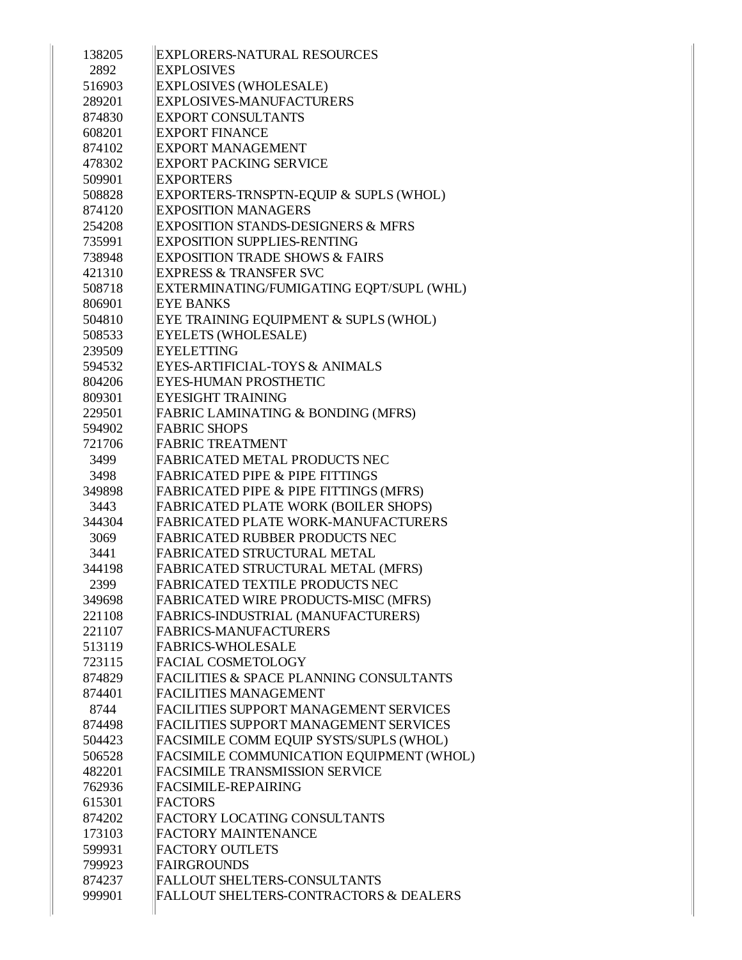| 138205         | <b>EXPLORERS-NATURAL RESOURCES</b>                                          |
|----------------|-----------------------------------------------------------------------------|
| 2892           | <b>EXPLOSIVES</b>                                                           |
| 516903         | <b>EXPLOSIVES (WHOLESALE)</b>                                               |
| 289201         | <b>EXPLOSIVES-MANUFACTURERS</b>                                             |
| 874830         | <b>EXPORT CONSULTANTS</b>                                                   |
| 608201         | <b>EXPORT FINANCE</b>                                                       |
| 874102         | <b>EXPORT MANAGEMENT</b>                                                    |
| 478302         | <b>EXPORT PACKING SERVICE</b>                                               |
| 509901         | <b>EXPORTERS</b>                                                            |
| 508828         | EXPORTERS-TRNSPTN-EQUIP & SUPLS (WHOL)                                      |
| 874120         | <b>EXPOSITION MANAGERS</b>                                                  |
| 254208         | EXPOSITION STANDS-DESIGNERS & MFRS                                          |
| 735991         | <b>EXPOSITION SUPPLIES-RENTING</b>                                          |
| 738948         | <b>EXPOSITION TRADE SHOWS &amp; FAIRS</b>                                   |
| 421310         | <b>EXPRESS &amp; TRANSFER SVC</b>                                           |
| 508718         | EXTERMINATING/FUMIGATING EQPT/SUPL (WHL)                                    |
| 806901         | <b>EYE BANKS</b>                                                            |
| 504810         | EYE TRAINING EQUIPMENT & SUPLS (WHOL)                                       |
| 508533         | <b>EYELETS (WHOLESALE)</b>                                                  |
| 239509         | <b>EYELETTING</b>                                                           |
| 594532         | EYES-ARTIFICIAL-TOYS & ANIMALS                                              |
| 804206         | <b>EYES-HUMAN PROSTHETIC</b>                                                |
| 809301         | <b>EYESIGHT TRAINING</b>                                                    |
| 229501         | FABRIC LAMINATING & BONDING (MFRS)                                          |
| 594902         | <b>FABRIC SHOPS</b>                                                         |
| 721706         | <b>FABRIC TREATMENT</b>                                                     |
| 3499           | <b>FABRICATED METAL PRODUCTS NEC</b>                                        |
| 3498           | <b>FABRICATED PIPE &amp; PIPE FITTINGS</b>                                  |
| 349898         | FABRICATED PIPE & PIPE FITTINGS (MFRS)                                      |
| 3443           | FABRICATED PLATE WORK (BOILER SHOPS)                                        |
| 344304         | FABRICATED PLATE WORK-MANUFACTURERS                                         |
| 3069           | <b>FABRICATED RUBBER PRODUCTS NEC</b><br><b>FABRICATED STRUCTURAL METAL</b> |
| 3441<br>344198 | FABRICATED STRUCTURAL METAL (MFRS)                                          |
| 2399           | FABRICATED TEXTILE PRODUCTS NEC                                             |
| 349698         | FABRICATED WIRE PRODUCTS-MISC (MFRS)                                        |
| 221108         | FABRICS-INDUSTRIAL (MANUFACTURERS)                                          |
| 221107         | <b>FABRICS-MANUFACTURERS</b>                                                |
| 513119         | <b>FABRICS-WHOLESALE</b>                                                    |
| 723115         | <b>FACIAL COSMETOLOGY</b>                                                   |
| 874829         | <b>FACILITIES &amp; SPACE PLANNING CONSULTANTS</b>                          |
| 874401         | <b>FACILITIES MANAGEMENT</b>                                                |
| 8744           | FACILITIES SUPPORT MANAGEMENT SERVICES                                      |
| 874498         | FACILITIES SUPPORT MANAGEMENT SERVICES                                      |
| 504423         | FACSIMILE COMM EQUIP SYSTS/SUPLS (WHOL)                                     |
| 506528         | FACSIMILE COMMUNICATION EQUIPMENT (WHOL)                                    |
| 482201         | FACSIMILE TRANSMISSION SERVICE                                              |
| 762936         | <b>FACSIMILE-REPAIRING</b>                                                  |
| 615301         | <b>FACTORS</b>                                                              |
| 874202         | FACTORY LOCATING CONSULTANTS                                                |
| 173103         | <b>FACTORY MAINTENANCE</b>                                                  |
| 599931         | <b>FACTORY OUTLETS</b>                                                      |
| 799923         | <b>FAIRGROUNDS</b>                                                          |
| 874237         | <b>FALLOUT SHELTERS-CONSULTANTS</b>                                         |
| 999901         | <b>FALLOUT SHELTERS-CONTRACTORS &amp; DEALERS</b>                           |
|                |                                                                             |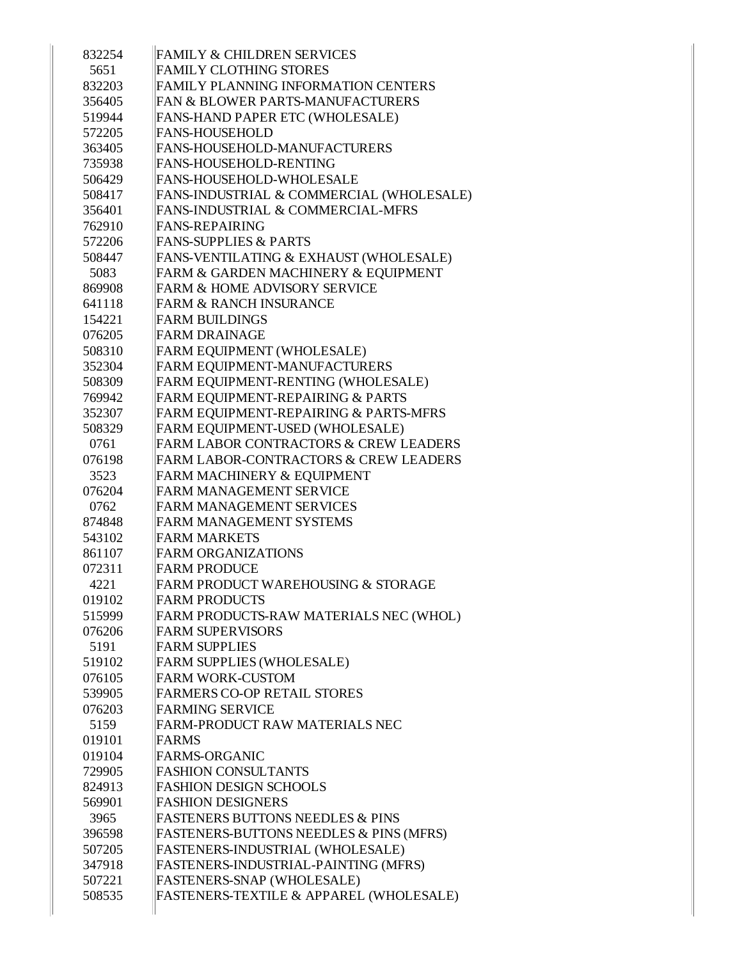| 832254         | <b>FAMILY &amp; CHILDREN SERVICES</b>                                               |
|----------------|-------------------------------------------------------------------------------------|
| 5651           | <b>FAMILY CLOTHING STORES</b>                                                       |
| 832203         | <b>FAMILY PLANNING INFORMATION CENTERS</b>                                          |
| 356405         | <b>FAN &amp; BLOWER PARTS-MANUFACTURERS</b>                                         |
| 519944         | FANS-HAND PAPER ETC (WHOLESALE)                                                     |
| 572205         | <b>FANS-HOUSEHOLD</b>                                                               |
| 363405         | FANS-HOUSEHOLD-MANUFACTURERS                                                        |
| 735938         | FANS-HOUSEHOLD-RENTING                                                              |
| 506429         | FANS-HOUSEHOLD-WHOLESALE                                                            |
| 508417         | FANS-INDUSTRIAL & COMMERCIAL (WHOLESALE)                                            |
| 356401         | FANS-INDUSTRIAL & COMMERCIAL-MFRS                                                   |
| 762910         | <b>FANS-REPAIRING</b>                                                               |
| 572206         | <b>FANS-SUPPLIES &amp; PARTS</b>                                                    |
| 508447         | FANS-VENTILATING & EXHAUST (WHOLESALE)                                              |
| 5083           | FARM & GARDEN MACHINERY & EQUIPMENT<br><b>FARM &amp; HOME ADVISORY SERVICE</b>      |
| 869908         |                                                                                     |
| 641118         | <b>FARM &amp; RANCH INSURANCE</b>                                                   |
| 154221         | <b>FARM BUILDINGS</b>                                                               |
| 076205         | <b>FARM DRAINAGE</b>                                                                |
| 508310         | FARM EQUIPMENT (WHOLESALE)                                                          |
| 352304         | FARM EQUIPMENT-MANUFACTURERS                                                        |
| 508309         | FARM EQUIPMENT-RENTING (WHOLESALE)                                                  |
| 769942         | FARM EQUIPMENT-REPAIRING & PARTS                                                    |
| 352307         | FARM EQUIPMENT-REPAIRING & PARTS-MFRS                                               |
| 508329         | FARM EQUIPMENT-USED (WHOLESALE)<br><b>FARM LABOR CONTRACTORS &amp; CREW LEADERS</b> |
| 0761           | <b>FARM LABOR-CONTRACTORS &amp; CREW LEADERS</b>                                    |
| 076198         |                                                                                     |
| 3523<br>076204 | FARM MACHINERY & EQUIPMENT<br><b>FARM MANAGEMENT SERVICE</b>                        |
| 0762           | <b>FARM MANAGEMENT SERVICES</b>                                                     |
| 874848         | <b>FARM MANAGEMENT SYSTEMS</b>                                                      |
| 543102         | <b>FARM MARKETS</b>                                                                 |
| 861107         | <b>FARM ORGANIZATIONS</b>                                                           |
| 072311         | <b>FARM PRODUCE</b>                                                                 |
| 4221           | FARM PRODUCT WAREHOUSING & STORAGE                                                  |
| 019102         | <b>FARM PRODUCTS</b>                                                                |
| 515999         | FARM PRODUCTS-RAW MATERIALS NEC (WHOL)                                              |
| 076206         | <b>FARM SUPERVISORS</b>                                                             |
| 5191           | <b>FARM SUPPLIES</b>                                                                |
| 519102         | FARM SUPPLIES (WHOLESALE)                                                           |
| 076105         | <b>FARM WORK-CUSTOM</b>                                                             |
| 539905         | <b>FARMERS CO-OP RETAIL STORES</b>                                                  |
| 076203         | <b>FARMING SERVICE</b>                                                              |
| 5159           | FARM-PRODUCT RAW MATERIALS NEC                                                      |
| 019101         | FARMS                                                                               |
| 019104         | <b>FARMS-ORGANIC</b>                                                                |
| 729905         | <b>FASHION CONSULTANTS</b>                                                          |
| 824913         | <b>FASHION DESIGN SCHOOLS</b>                                                       |
| 569901         | <b>FASHION DESIGNERS</b>                                                            |
| 3965           | <b>FASTENERS BUTTONS NEEDLES &amp; PINS</b>                                         |
| 396598         | FASTENERS-BUTTONS NEEDLES & PINS (MFRS)                                             |
| 507205         | FASTENERS-INDUSTRIAL (WHOLESALE)                                                    |
| 347918         | FASTENERS-INDUSTRIAL-PAINTING (MFRS)                                                |
| 507221         | FASTENERS-SNAP (WHOLESALE)                                                          |
| 508535         | FASTENERS-TEXTILE & APPAREL (WHOLESALE)                                             |
|                |                                                                                     |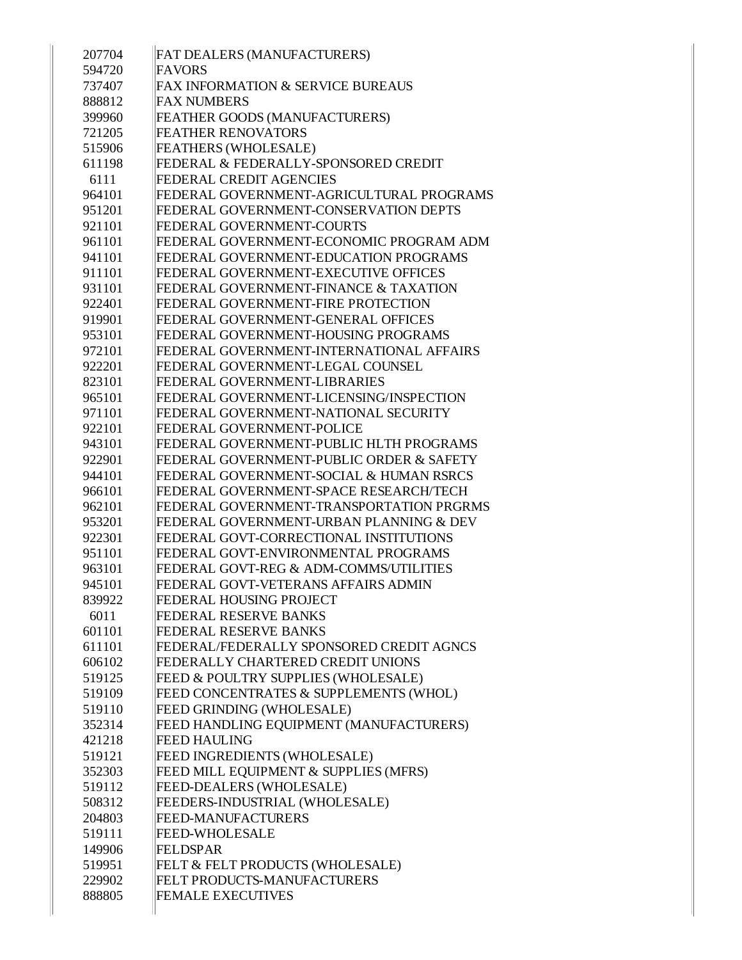| 207704 | FAT DEALERS (MANUFACTURERS)              |
|--------|------------------------------------------|
| 594720 | FAVORS                                   |
| 737407 | FAX INFORMATION & SERVICE BUREAUS        |
| 888812 | <b>FAX NUMBERS</b>                       |
| 399960 | FEATHER GOODS (MANUFACTURERS)            |
| 721205 | <b>FEATHER RENOVATORS</b>                |
| 515906 | <b>FEATHERS (WHOLESALE)</b>              |
| 611198 | FEDERAL & FEDERALLY-SPONSORED CREDIT     |
| 6111   | <b>FEDERAL CREDIT AGENCIES</b>           |
| 964101 | FEDERAL GOVERNMENT-AGRICULTURAL PROGRAMS |
| 951201 | FEDERAL GOVERNMENT-CONSERVATION DEPTS    |
| 921101 | FEDERAL GOVERNMENT-COURTS                |
| 961101 | FEDERAL GOVERNMENT-ECONOMIC PROGRAM ADM  |
| 941101 | FEDERAL GOVERNMENT-EDUCATION PROGRAMS    |
| 911101 | FEDERAL GOVERNMENT-EXECUTIVE OFFICES     |
| 931101 | FEDERAL GOVERNMENT-FINANCE & TAXATION    |
| 922401 | FEDERAL GOVERNMENT-FIRE PROTECTION       |
| 919901 | FEDERAL GOVERNMENT-GENERAL OFFICES       |
| 953101 | FEDERAL GOVERNMENT-HOUSING PROGRAMS      |
| 972101 | FEDERAL GOVERNMENT-INTERNATIONAL AFFAIRS |
| 922201 | FEDERAL GOVERNMENT-LEGAL COUNSEL         |
| 823101 | FEDERAL GOVERNMENT-LIBRARIES             |
| 965101 | FEDERAL GOVERNMENT-LICENSING/INSPECTION  |
| 971101 | FEDERAL GOVERNMENT-NATIONAL SECURITY     |
| 922101 | FEDERAL GOVERNMENT-POLICE                |
| 943101 | FEDERAL GOVERNMENT-PUBLIC HLTH PROGRAMS  |
| 922901 | FEDERAL GOVERNMENT-PUBLIC ORDER & SAFETY |
| 944101 | FEDERAL GOVERNMENT-SOCIAL & HUMAN RSRCS  |
| 966101 | FEDERAL GOVERNMENT-SPACE RESEARCH/TECH   |
| 962101 | FEDERAL GOVERNMENT-TRANSPORTATION PRGRMS |
| 953201 | FEDERAL GOVERNMENT-URBAN PLANNING & DEV  |
| 922301 | FEDERAL GOVT-CORRECTIONAL INSTITUTIONS   |
| 951101 | FEDERAL GOVT-ENVIRONMENTAL PROGRAMS      |
| 963101 | FEDERAL GOVT-REG & ADM-COMMS/UTILITIES   |
| 945101 | FEDERAL GOVT-VETERANS AFFAIRS ADMIN      |
| 839922 | FEDERAL HOUSING PROJECT                  |
| 6011   | FEDERAL RESERVE BANKS                    |
| 601101 | FEDERAL RESERVE BANKS                    |
| 611101 | FEDERAL/FEDERALLY SPONSORED CREDIT AGNCS |
| 606102 | FEDERALLY CHARTERED CREDIT UNIONS        |
| 519125 | FEED & POULTRY SUPPLIES (WHOLESALE)      |
| 519109 | FEED CONCENTRATES & SUPPLEMENTS (WHOL)   |
| 519110 | <b>FEED GRINDING (WHOLESALE)</b>         |
| 352314 | FEED HANDLING EQUIPMENT (MANUFACTURERS)  |
| 421218 | <b>FEED HAULING</b>                      |
| 519121 | FEED INGREDIENTS (WHOLESALE)             |
| 352303 | FEED MILL EQUIPMENT & SUPPLIES (MFRS)    |
| 519112 | FEED-DEALERS (WHOLESALE)                 |
| 508312 | FEEDERS-INDUSTRIAL (WHOLESALE)           |
| 204803 | <b>FEED-MANUFACTURERS</b>                |
| 519111 | <b>FEED-WHOLESALE</b>                    |
| 149906 | <b>FELDSPAR</b>                          |
| 519951 | FELT & FELT PRODUCTS (WHOLESALE)         |
| 229902 | FELT PRODUCTS-MANUFACTURERS              |
| 888805 | <b>FEMALE EXECUTIVES</b>                 |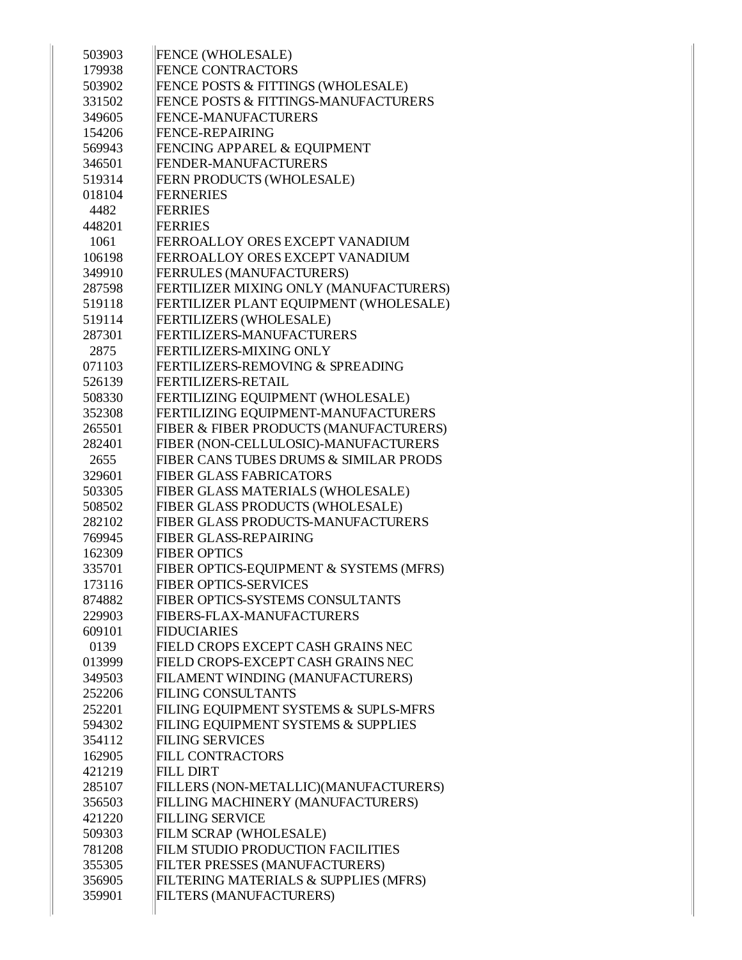| 503903 | <b>FENCE (WHOLESALE)</b>                    |
|--------|---------------------------------------------|
| 179938 | <b>FENCE CONTRACTORS</b>                    |
| 503902 | FENCE POSTS & FITTINGS (WHOLESALE)          |
| 331502 | FENCE POSTS & FITTINGS-MANUFACTURERS        |
| 349605 | <b>FENCE-MANUFACTURERS</b>                  |
| 154206 | <b>FENCE-REPAIRING</b>                      |
| 569943 | FENCING APPAREL & EQUIPMENT                 |
| 346501 | FENDER-MANUFACTURERS                        |
| 519314 | FERN PRODUCTS (WHOLESALE)                   |
| 018104 | <b>FERNERIES</b>                            |
| 4482   | <b>FERRIES</b>                              |
| 448201 | <b>FERRIES</b>                              |
| 1061   | FERROALLOY ORES EXCEPT VANADIUM             |
| 106198 | FERROALLOY ORES EXCEPT VANADIUM             |
| 349910 | <b>FERRULES (MANUFACTURERS)</b>             |
| 287598 | FERTILIZER MIXING ONLY (MANUFACTURERS)      |
| 519118 | FERTILIZER PLANT EQUIPMENT (WHOLESALE)      |
| 519114 | FERTILIZERS (WHOLESALE)                     |
| 287301 | FERTILIZERS-MANUFACTURERS                   |
| 2875   | <b>FERTILIZERS-MIXING ONLY</b>              |
| 071103 | <b>FERTILIZERS-REMOVING &amp; SPREADING</b> |
| 526139 | FERTILIZERS-RETAIL                          |
| 508330 | FERTILIZING EQUIPMENT (WHOLESALE)           |
| 352308 | FERTILIZING EQUIPMENT-MANUFACTURERS         |
| 265501 | FIBER & FIBER PRODUCTS (MANUFACTURERS)      |
| 282401 | FIBER (NON-CELLULOSIC)-MANUFACTURERS        |
| 2655   | FIBER CANS TUBES DRUMS & SIMILAR PRODS      |
| 329601 | <b>FIBER GLASS FABRICATORS</b>              |
| 503305 | FIBER GLASS MATERIALS (WHOLESALE)           |
| 508502 | FIBER GLASS PRODUCTS (WHOLESALE)            |
| 282102 | FIBER GLASS PRODUCTS-MANUFACTURERS          |
| 769945 | FIBER GLASS-REPAIRING                       |
| 162309 | <b>FIBER OPTICS</b>                         |
| 335701 | FIBER OPTICS-EQUIPMENT & SYSTEMS (MFRS)     |
| 173116 | <b>FIBER OPTICS-SERVICES</b>                |
| 874882 | <b>FIBER OPTICS-SYSTEMS CONSULTANTS</b>     |
| 229903 | <b>FIBERS-FLAX-MANUFACTURERS</b>            |
| 609101 | <b>FIDUCIARIES</b>                          |
| 0139   | FIELD CROPS EXCEPT CASH GRAINS NEC          |
| 013999 | FIELD CROPS-EXCEPT CASH GRAINS NEC          |
| 349503 | FILAMENT WINDING (MANUFACTURERS)            |
| 252206 | <b>FILING CONSULTANTS</b>                   |
| 252201 | FILING EQUIPMENT SYSTEMS & SUPLS-MFRS       |
| 594302 | FILING EQUIPMENT SYSTEMS & SUPPLIES         |
| 354112 | <b>FILING SERVICES</b>                      |
| 162905 | <b>FILL CONTRACTORS</b>                     |
| 421219 | <b>FILL DIRT</b>                            |
| 285107 | FILLERS (NON-METALLIC)(MANUFACTURERS)       |
| 356503 | FILLING MACHINERY (MANUFACTURERS)           |
| 421220 | <b>FILLING SERVICE</b>                      |
| 509303 | FILM SCRAP (WHOLESALE)                      |
| 781208 | FILM STUDIO PRODUCTION FACILITIES           |
| 355305 | FILTER PRESSES (MANUFACTURERS)              |
| 356905 | FILTERING MATERIALS & SUPPLIES (MFRS)       |
| 359901 | FILTERS (MANUFACTURERS)                     |
|        |                                             |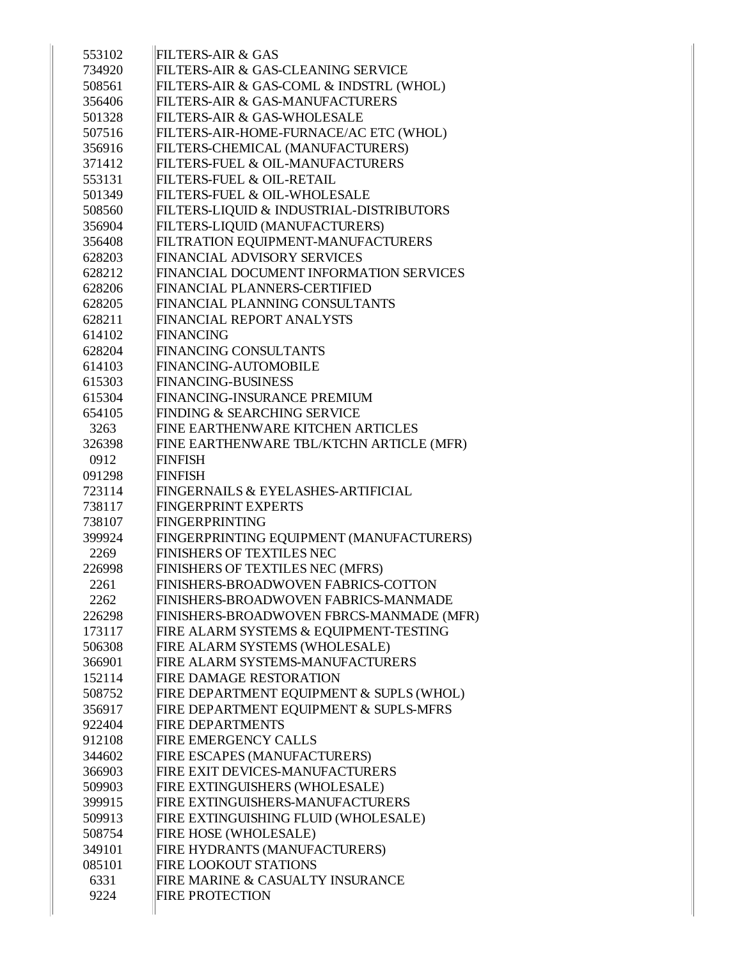| 553102 | FILTERS-AIR & GAS                        |
|--------|------------------------------------------|
| 734920 | FILTERS-AIR & GAS-CLEANING SERVICE       |
| 508561 | FILTERS-AIR & GAS-COML & INDSTRL (WHOL)  |
| 356406 | FILTERS-AIR & GAS-MANUFACTURERS          |
| 501328 | FILTERS-AIR & GAS-WHOLESALE              |
| 507516 | FILTERS-AIR-HOME-FURNACE/AC ETC (WHOL)   |
| 356916 | FILTERS-CHEMICAL (MANUFACTURERS)         |
| 371412 | FILTERS-FUEL & OIL-MANUFACTURERS         |
| 553131 | <b>FILTERS-FUEL &amp; OIL-RETAIL</b>     |
| 501349 | FILTERS-FUEL & OIL-WHOLESALE             |
| 508560 | FILTERS-LIQUID & INDUSTRIAL-DISTRIBUTORS |
| 356904 | FILTERS-LIQUID (MANUFACTURERS)           |
| 356408 | FILTRATION EQUIPMENT-MANUFACTURERS       |
| 628203 | FINANCIAL ADVISORY SERVICES              |
| 628212 | FINANCIAL DOCUMENT INFORMATION SERVICES  |
| 628206 | FINANCIAL PLANNERS-CERTIFIED             |
| 628205 | FINANCIAL PLANNING CONSULTANTS           |
| 628211 | FINANCIAL REPORT ANALYSTS                |
| 614102 | <b>FINANCING</b>                         |
| 628204 | <b>FINANCING CONSULTANTS</b>             |
| 614103 | <b>FINANCING-AUTOMOBILE</b>              |
| 615303 | <b>FINANCING-BUSINESS</b>                |
| 615304 | FINANCING-INSURANCE PREMIUM              |
| 654105 | <b>FINDING &amp; SEARCHING SERVICE</b>   |
| 3263   | FINE EARTHENWARE KITCHEN ARTICLES        |
| 326398 | FINE EARTHENWARE TBL/KTCHN ARTICLE (MFR) |
| 0912   | <b>FINFISH</b>                           |
| 091298 | <b>FINFISH</b>                           |
| 723114 | FINGERNAILS & EYELASHES-ARTIFICIAL       |
| 738117 | <b>FINGERPRINT EXPERTS</b>               |
| 738107 | <b>FINGERPRINTING</b>                    |
| 399924 | FINGERPRINTING EQUIPMENT (MANUFACTURERS) |
| 2269   | <b>FINISHERS OF TEXTILES NEC</b>         |
| 226998 | FINISHERS OF TEXTILES NEC (MFRS)         |
| 2261   | FINISHERS-BROADWOVEN FABRICS-COTTON      |
| 2262   | FINISHERS-BROADWOVEN FABRICS-MANMADE     |
| 226298 | FINISHERS-BROADWOVEN FBRCS-MANMADE (MFR) |
| 173117 | FIRE ALARM SYSTEMS & EQUIPMENT-TESTING   |
| 506308 | FIRE ALARM SYSTEMS (WHOLESALE)           |
| 366901 | FIRE ALARM SYSTEMS-MANUFACTURERS         |
| 152114 | <b>FIRE DAMAGE RESTORATION</b>           |
| 508752 | FIRE DEPARTMENT EQUIPMENT & SUPLS (WHOL) |
| 356917 | FIRE DEPARTMENT EQUIPMENT & SUPLS-MFRS   |
| 922404 | <b>FIRE DEPARTMENTS</b>                  |
| 912108 | <b>FIRE EMERGENCY CALLS</b>              |
| 344602 | FIRE ESCAPES (MANUFACTURERS)             |
| 366903 | FIRE EXIT DEVICES-MANUFACTURERS          |
| 509903 | FIRE EXTINGUISHERS (WHOLESALE)           |
| 399915 | FIRE EXTINGUISHERS-MANUFACTURERS         |
| 509913 | FIRE EXTINGUISHING FLUID (WHOLESALE)     |
| 508754 | FIRE HOSE (WHOLESALE)                    |
| 349101 | FIRE HYDRANTS (MANUFACTURERS)            |
| 085101 | <b>FIRE LOOKOUT STATIONS</b>             |
| 6331   | FIRE MARINE & CASUALTY INSURANCE         |
| 9224   | <b>FIRE PROTECTION</b>                   |
|        |                                          |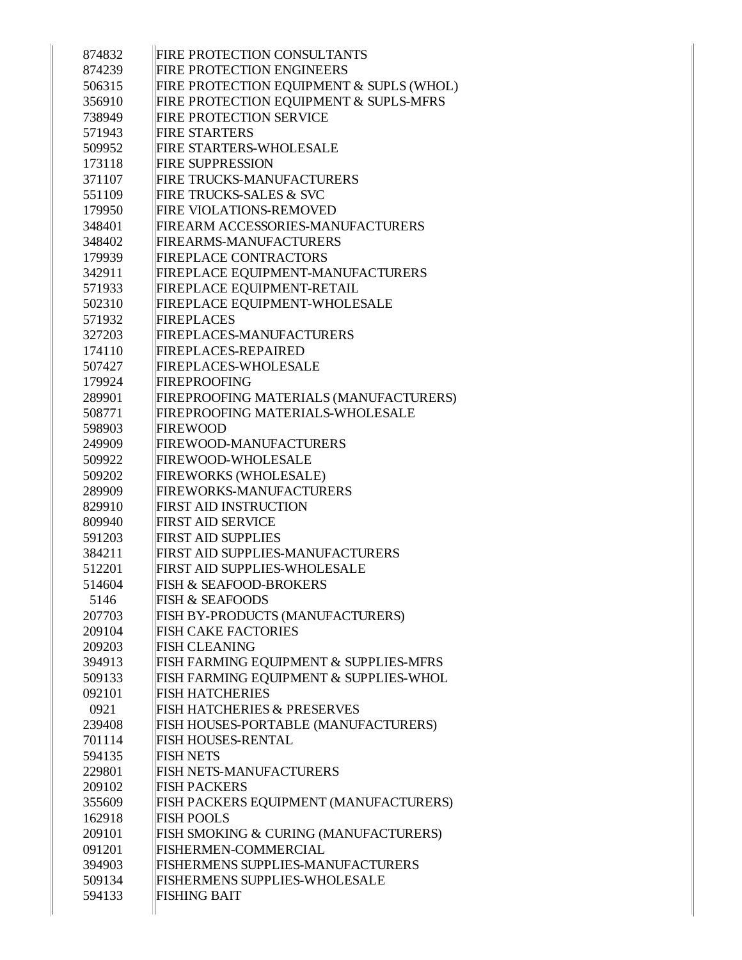| 874832 | <b>FIRE PROTECTION CONSULTANTS</b>       |
|--------|------------------------------------------|
| 874239 | <b>FIRE PROTECTION ENGINEERS</b>         |
| 506315 | FIRE PROTECTION EQUIPMENT & SUPLS (WHOL) |
| 356910 | FIRE PROTECTION EQUIPMENT & SUPLS-MFRS   |
| 738949 | <b>FIRE PROTECTION SERVICE</b>           |
| 571943 | <b>FIRE STARTERS</b>                     |
| 509952 | <b>FIRE STARTERS-WHOLESALE</b>           |
| 173118 | <b>FIRE SUPPRESSION</b>                  |
| 371107 | FIRE TRUCKS-MANUFACTURERS                |
| 551109 | <b>FIRE TRUCKS-SALES &amp; SVC</b>       |
| 179950 | <b>FIRE VIOLATIONS-REMOVED</b>           |
| 348401 | FIREARM ACCESSORIES-MANUFACTURERS        |
| 348402 | <b>FIREARMS-MANUFACTURERS</b>            |
| 179939 | <b>FIREPLACE CONTRACTORS</b>             |
| 342911 | FIREPLACE EQUIPMENT-MANUFACTURERS        |
| 571933 | FIREPLACE EQUIPMENT-RETAIL               |
| 502310 | FIREPLACE EQUIPMENT-WHOLESALE            |
| 571932 | <b>FIREPLACES</b>                        |
| 327203 | FIREPLACES-MANUFACTURERS                 |
| 174110 | <b>FIREPLACES-REPAIRED</b>               |
| 507427 | <b>FIREPLACES-WHOLESALE</b>              |
| 179924 | <b>FIREPROOFING</b>                      |
| 289901 | FIREPROOFING MATERIALS (MANUFACTURERS)   |
| 508771 | FIREPROOFING MATERIALS-WHOLESALE         |
| 598903 | <b>FIREWOOD</b>                          |
| 249909 | FIREWOOD-MANUFACTURERS                   |
| 509922 | <b>FIREWOOD-WHOLESALE</b>                |
| 509202 | <b>FIREWORKS (WHOLESALE)</b>             |
| 289909 | FIREWORKS-MANUFACTURERS                  |
| 829910 | <b>FIRST AID INSTRUCTION</b>             |
| 809940 | <b>FIRST AID SERVICE</b>                 |
| 591203 | <b>FIRST AID SUPPLIES</b>                |
| 384211 | <b>FIRST AID SUPPLIES-MANUFACTURERS</b>  |
| 512201 | <b>FIRST AID SUPPLIES-WHOLESALE</b>      |
| 514604 | <b>FISH &amp; SEAFOOD-BROKERS</b>        |
| 5146   | <b>FISH &amp; SEAFOODS</b>               |
| 207703 | FISH BY-PRODUCTS (MANUFACTURERS)         |
| 209104 | <b>FISH CAKE FACTORIES</b>               |
| 209203 | <b>FISH CLEANING</b>                     |
| 394913 | FISH FARMING EQUIPMENT & SUPPLIES-MFRS   |
| 509133 | FISH FARMING EQUIPMENT & SUPPLIES-WHOL   |
| 092101 | <b>FISH HATCHERIES</b>                   |
| 0921   | <b>FISH HATCHERIES &amp; PRESERVES</b>   |
| 239408 | FISH HOUSES-PORTABLE (MANUFACTURERS)     |
| 701114 | <b>FISH HOUSES-RENTAL</b>                |
| 594135 | <b>FISH NETS</b>                         |
| 229801 | <b>FISH NETS-MANUFACTURERS</b>           |
| 209102 | <b>FISH PACKERS</b>                      |
| 355609 | FISH PACKERS EQUIPMENT (MANUFACTURERS)   |
| 162918 | <b>FISH POOLS</b>                        |
| 209101 | FISH SMOKING & CURING (MANUFACTURERS)    |
| 091201 | FISHERMEN-COMMERCIAL                     |
| 394903 | FISHERMENS SUPPLIES-MANUFACTURERS        |
| 509134 | <b>FISHERMENS SUPPLIES-WHOLESALE</b>     |
| 594133 | <b>FISHING BAIT</b>                      |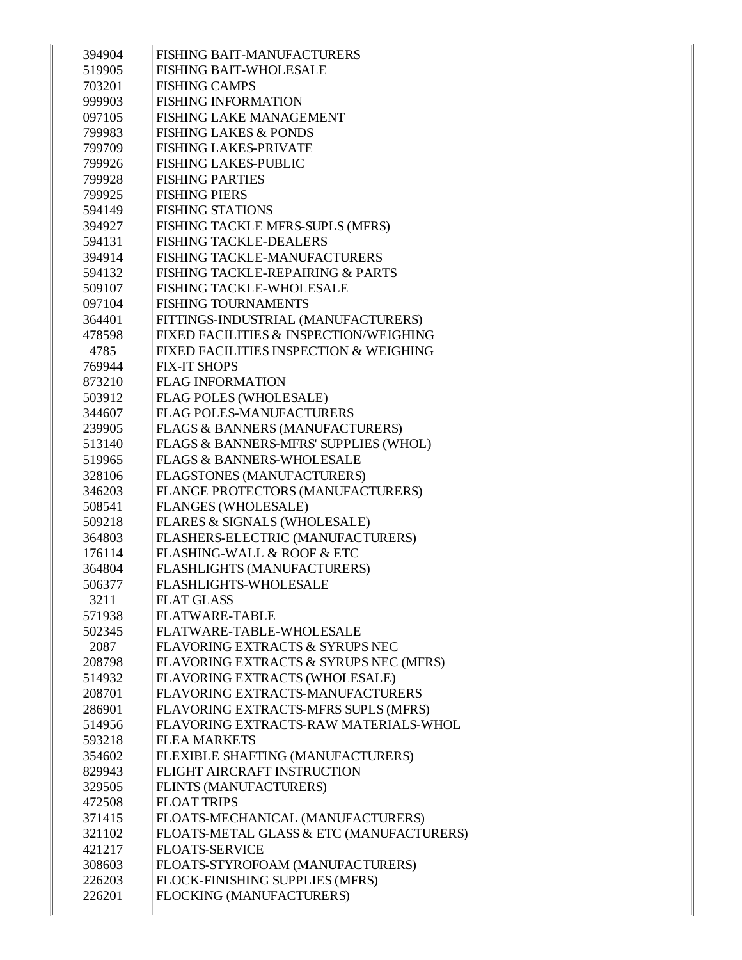| 394904 | <b>FISHING BAIT-MANUFACTURERS</b>        |
|--------|------------------------------------------|
| 519905 | <b>FISHING BAIT-WHOLESALE</b>            |
| 703201 | <b>FISHING CAMPS</b>                     |
| 999903 | <b>FISHING INFORMATION</b>               |
| 097105 | <b>FISHING LAKE MANAGEMENT</b>           |
| 799983 | <b>FISHING LAKES &amp; PONDS</b>         |
| 799709 | <b>FISHING LAKES-PRIVATE</b>             |
| 799926 | <b>FISHING LAKES-PUBLIC</b>              |
| 799928 | <b>FISHING PARTIES</b>                   |
| 799925 | <b>FISHING PIERS</b>                     |
| 594149 | <b>FISHING STATIONS</b>                  |
| 394927 | FISHING TACKLE MFRS-SUPLS (MFRS)         |
| 594131 | <b>FISHING TACKLE-DEALERS</b>            |
| 394914 | FISHING TACKLE-MANUFACTURERS             |
| 594132 | FISHING TACKLE-REPAIRING & PARTS         |
| 509107 | <b>FISHING TACKLE-WHOLESALE</b>          |
| 097104 | <b>FISHING TOURNAMENTS</b>               |
| 364401 | FITTINGS-INDUSTRIAL (MANUFACTURERS)      |
| 478598 | FIXED FACILITIES & INSPECTION/WEIGHING   |
| 4785   | FIXED FACILITIES INSPECTION & WEIGHING   |
| 769944 | <b>FIX-IT SHOPS</b>                      |
| 873210 | <b>FLAG INFORMATION</b>                  |
| 503912 | FLAG POLES (WHOLESALE)                   |
| 344607 | <b>FLAG POLES-MANUFACTURERS</b>          |
| 239905 | FLAGS & BANNERS (MANUFACTURERS)          |
| 513140 | FLAGS & BANNERS-MFRS' SUPPLIES (WHOL)    |
| 519965 | <b>FLAGS &amp; BANNERS-WHOLESALE</b>     |
| 328106 | FLAGSTONES (MANUFACTURERS)               |
| 346203 | FLANGE PROTECTORS (MANUFACTURERS)        |
| 508541 | FLANGES (WHOLESALE)                      |
| 509218 | FLARES & SIGNALS (WHOLESALE)             |
| 364803 | FLASHERS-ELECTRIC (MANUFACTURERS)        |
| 176114 | FLASHING-WALL & ROOF & ETC               |
| 364804 | FLASHLIGHTS (MANUFACTURERS)              |
| 506377 | <b>FLASHLIGHTS-WHOLESALE</b>             |
| 3211   | <b>FLAT GLASS</b>                        |
| 571938 | <b>FLATWARE-TABLE</b>                    |
| 502345 | FLATWARE-TABLE-WHOLESALE                 |
| 2087   | FLAVORING EXTRACTS & SYRUPS NEC          |
| 208798 | FLAVORING EXTRACTS & SYRUPS NEC (MFRS)   |
| 514932 | FLAVORING EXTRACTS (WHOLESALE)           |
| 208701 | FLAVORING EXTRACTS-MANUFACTURERS         |
| 286901 | FLAVORING EXTRACTS-MFRS SUPLS (MFRS)     |
| 514956 | FLAVORING EXTRACTS-RAW MATERIALS-WHOL    |
| 593218 | <b>FLEA MARKETS</b>                      |
| 354602 | FLEXIBLE SHAFTING (MANUFACTURERS)        |
| 829943 | FLIGHT AIRCRAFT INSTRUCTION              |
| 329505 | FLINTS (MANUFACTURERS)                   |
| 472508 | <b>FLOAT TRIPS</b>                       |
| 371415 | FLOATS-MECHANICAL (MANUFACTURERS)        |
| 321102 | FLOATS-METAL GLASS & ETC (MANUFACTURERS) |
| 421217 | <b>FLOATS-SERVICE</b>                    |
| 308603 | FLOATS-STYROFOAM (MANUFACTURERS)         |
| 226203 | FLOCK-FINISHING SUPPLIES (MFRS)          |
| 226201 | FLOCKING (MANUFACTURERS)                 |
|        |                                          |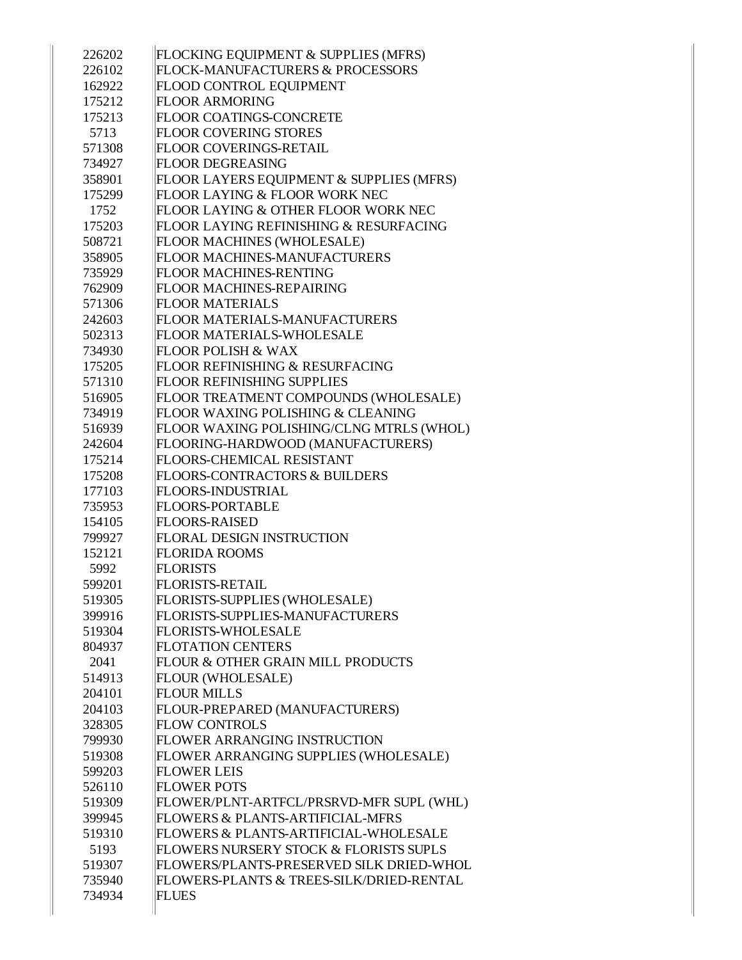| 226202 | FLOCKING EQUIPMENT & SUPPLIES (MFRS)     |
|--------|------------------------------------------|
| 226102 | FLOCK-MANUFACTURERS & PROCESSORS         |
| 162922 | FLOOD CONTROL EQUIPMENT                  |
| 175212 | <b>FLOOR ARMORING</b>                    |
| 175213 | <b>FLOOR COATINGS-CONCRETE</b>           |
| 5713   | <b>FLOOR COVERING STORES</b>             |
| 571308 | FLOOR COVERINGS-RETAIL                   |
| 734927 | <b>FLOOR DEGREASING</b>                  |
| 358901 | FLOOR LAYERS EQUIPMENT & SUPPLIES (MFRS) |
| 175299 | FLOOR LAYING & FLOOR WORK NEC            |
| 1752   | FLOOR LAYING & OTHER FLOOR WORK NEC      |
| 175203 | FLOOR LAYING REFINISHING & RESURFACING   |
| 508721 | FLOOR MACHINES (WHOLESALE)               |
| 358905 | FLOOR MACHINES-MANUFACTURERS             |
| 735929 | FLOOR MACHINES-RENTING                   |
| 762909 | <b>FLOOR MACHINES-REPAIRING</b>          |
| 571306 | <b>FLOOR MATERIALS</b>                   |
| 242603 | FLOOR MATERIALS-MANUFACTURERS            |
| 502313 | <b>FLOOR MATERIALS-WHOLESALE</b>         |
| 734930 | <b>FLOOR POLISH &amp; WAX</b>            |
| 175205 | FLOOR REFINISHING & RESURFACING          |
| 571310 | <b>FLOOR REFINISHING SUPPLIES</b>        |
| 516905 | FLOOR TREATMENT COMPOUNDS (WHOLESALE)    |
| 734919 | FLOOR WAXING POLISHING & CLEANING        |
| 516939 | FLOOR WAXING POLISHING/CLNG MTRLS (WHOL) |
| 242604 | FLOORING-HARDWOOD (MANUFACTURERS)        |
| 175214 | <b>FLOORS-CHEMICAL RESISTANT</b>         |
| 175208 | <b>FLOORS-CONTRACTORS &amp; BUILDERS</b> |
| 177103 | <b>FLOORS-INDUSTRIAL</b>                 |
| 735953 | <b>FLOORS-PORTABLE</b>                   |
| 154105 | <b>FLOORS-RAISED</b>                     |
| 799927 | <b>FLORAL DESIGN INSTRUCTION</b>         |
| 152121 | <b>FLORIDA ROOMS</b>                     |
| 5992   | <b>FLORISTS</b>                          |
| 599201 | <b>FLORISTS-RETAIL</b>                   |
| 519305 | FLORISTS-SUPPLIES (WHOLESALE)            |
| 399916 | FLORISTS-SUPPLIES-MANUFACTURERS          |
| 519304 | <b>FLORISTS-WHOLESALE</b>                |
| 804937 | <b>FLOTATION CENTERS</b>                 |
| 2041   | FLOUR & OTHER GRAIN MILL PRODUCTS        |
| 514913 | <b>FLOUR (WHOLESALE)</b>                 |
| 204101 | <b>FLOUR MILLS</b>                       |
| 204103 | FLOUR-PREPARED (MANUFACTURERS)           |
| 328305 | <b>FLOW CONTROLS</b>                     |
| 799930 | FLOWER ARRANGING INSTRUCTION             |
| 519308 | FLOWER ARRANGING SUPPLIES (WHOLESALE)    |
| 599203 | <b>FLOWER LEIS</b>                       |
| 526110 | <b>FLOWER POTS</b>                       |
| 519309 | FLOWER/PLNT-ARTFCL/PRSRVD-MFR SUPL (WHL) |
| 399945 | FLOWERS & PLANTS-ARTIFICIAL-MFRS         |
| 519310 | FLOWERS & PLANTS-ARTIFICIAL-WHOLESALE    |
| 5193   | FLOWERS NURSERY STOCK & FLORISTS SUPLS   |
| 519307 |                                          |
|        | FLOWERS/PLANTS-PRESERVED SILK DRIED-WHOL |
| 735940 | FLOWERS-PLANTS & TREES-SILK/DRIED-RENTAL |
| 734934 | <b>FLUES</b>                             |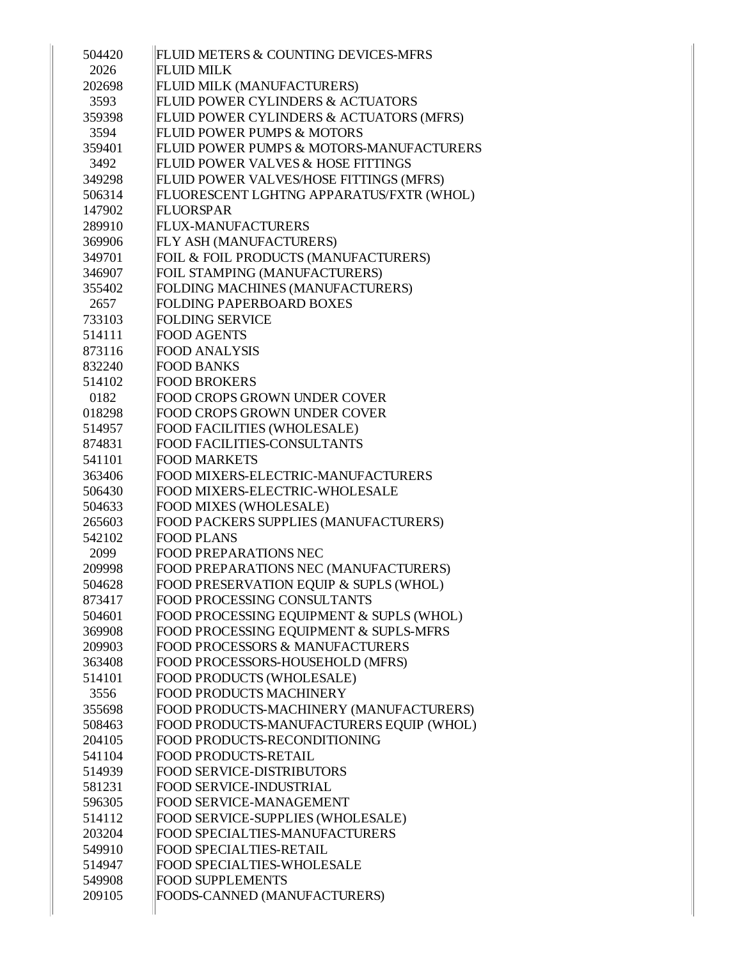| 504420 | FLUID METERS & COUNTING DEVICES-MFRS          |
|--------|-----------------------------------------------|
| 2026   | <b>FLUID MILK</b>                             |
| 202698 | FLUID MILK (MANUFACTURERS)                    |
| 3593   | FLUID POWER CYLINDERS & ACTUATORS             |
| 359398 | FLUID POWER CYLINDERS & ACTUATORS (MFRS)      |
| 3594   | <b>FLUID POWER PUMPS &amp; MOTORS</b>         |
| 359401 | FLUID POWER PUMPS & MOTORS-MANUFACTURERS      |
| 3492   | <b>FLUID POWER VALVES &amp; HOSE FITTINGS</b> |
| 349298 | FLUID POWER VALVES/HOSE FITTINGS (MFRS)       |
| 506314 | FLUORESCENT LGHTNG APPARATUS/FXTR (WHOL)      |
| 147902 | <b>FLUORSPAR</b>                              |
| 289910 | <b>FLUX-MANUFACTURERS</b>                     |
| 369906 | FLY ASH (MANUFACTURERS)                       |
| 349701 | FOIL & FOIL PRODUCTS (MANUFACTURERS)          |
| 346907 | FOIL STAMPING (MANUFACTURERS)                 |
| 355402 | FOLDING MACHINES (MANUFACTURERS)              |
| 2657   | <b>FOLDING PAPERBOARD BOXES</b>               |
| 733103 | <b>FOLDING SERVICE</b>                        |
| 514111 | <b>FOOD AGENTS</b>                            |
| 873116 | <b>FOOD ANALYSIS</b>                          |
| 832240 | <b>FOOD BANKS</b>                             |
| 514102 | <b>FOOD BROKERS</b>                           |
| 0182   | <b>FOOD CROPS GROWN UNDER COVER</b>           |
| 018298 | <b>FOOD CROPS GROWN UNDER COVER</b>           |
| 514957 | FOOD FACILITIES (WHOLESALE)                   |
| 874831 | <b>FOOD FACILITIES-CONSULTANTS</b>            |
| 541101 | <b>FOOD MARKETS</b>                           |
| 363406 | FOOD MIXERS-ELECTRIC-MANUFACTURERS            |
| 506430 | FOOD MIXERS-ELECTRIC-WHOLESALE                |
| 504633 | FOOD MIXES (WHOLESALE)                        |
| 265603 | FOOD PACKERS SUPPLIES (MANUFACTURERS)         |
| 542102 | <b>FOOD PLANS</b>                             |
| 2099   | FOOD PREPARATIONS NEC                         |
| 209998 | FOOD PREPARATIONS NEC (MANUFACTURERS)         |
| 504628 | FOOD PRESERVATION EQUIP & SUPLS (WHOL)        |
| 873417 | <b>FOOD PROCESSING CONSULTANTS</b>            |
| 504601 | FOOD PROCESSING EQUIPMENT & SUPLS (WHOL)      |
| 369908 | FOOD PROCESSING EQUIPMENT & SUPLS-MFRS        |
| 209903 | <b>FOOD PROCESSORS &amp; MANUFACTURERS</b>    |
| 363408 | FOOD PROCESSORS-HOUSEHOLD (MFRS)              |
| 514101 | FOOD PRODUCTS (WHOLESALE)                     |
| 3556   | <b>FOOD PRODUCTS MACHINERY</b>                |
| 355698 | FOOD PRODUCTS-MACHINERY (MANUFACTURERS)       |
| 508463 | FOOD PRODUCTS-MANUFACTURERS EQUIP (WHOL)      |
| 204105 | FOOD PRODUCTS-RECONDITIONING                  |
| 541104 | <b>FOOD PRODUCTS-RETAIL</b>                   |
| 514939 | <b>FOOD SERVICE-DISTRIBUTORS</b>              |
| 581231 | <b>FOOD SERVICE-INDUSTRIAL</b>                |
| 596305 | FOOD SERVICE-MANAGEMENT                       |
| 514112 | FOOD SERVICE-SUPPLIES (WHOLESALE)             |
| 203204 | FOOD SPECIALTIES-MANUFACTURERS                |
| 549910 | <b>FOOD SPECIALTIES-RETAIL</b>                |
| 514947 | FOOD SPECIALTIES-WHOLESALE                    |
| 549908 | <b>FOOD SUPPLEMENTS</b>                       |
| 209105 | FOODS-CANNED (MANUFACTURERS)                  |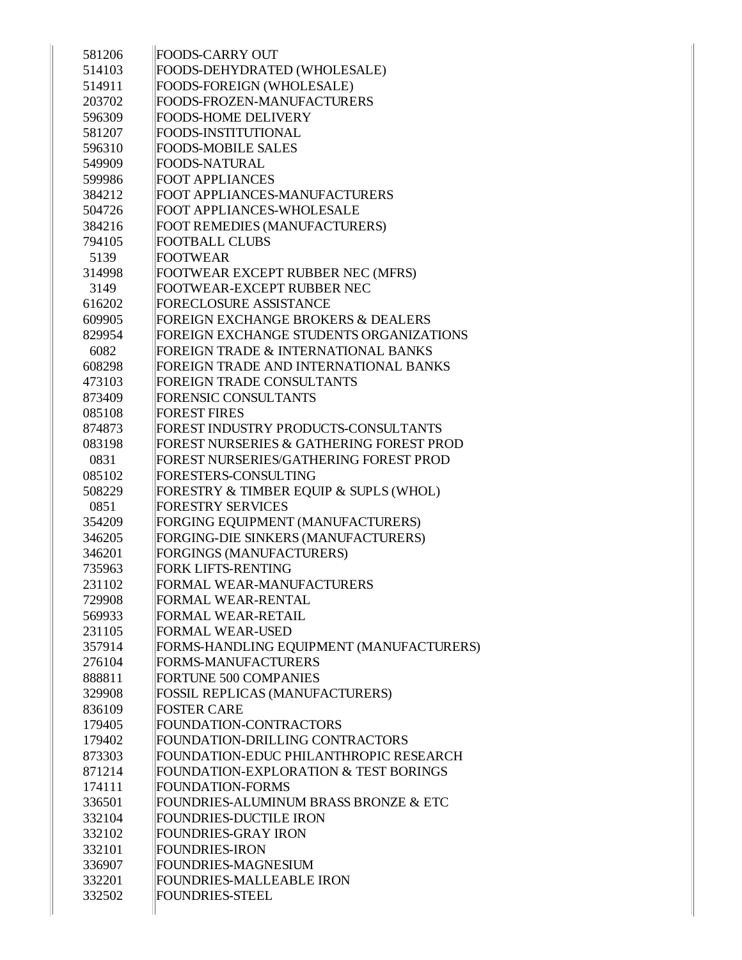| 581206 | <b>FOODS-CARRY OUT</b>                        |
|--------|-----------------------------------------------|
| 514103 | FOODS-DEHYDRATED (WHOLESALE)                  |
| 514911 | FOODS-FOREIGN (WHOLESALE)                     |
| 203702 | FOODS-FROZEN-MANUFACTURERS                    |
| 596309 | <b>FOODS-HOME DELIVERY</b>                    |
| 581207 | <b>FOODS-INSTITUTIONAL</b>                    |
| 596310 | <b>FOODS-MOBILE SALES</b>                     |
| 549909 | <b>FOODS-NATURAL</b>                          |
| 599986 | <b>FOOT APPLIANCES</b>                        |
| 384212 | FOOT APPLIANCES-MANUFACTURERS                 |
| 504726 | FOOT APPLIANCES-WHOLESALE                     |
| 384216 | FOOT REMEDIES (MANUFACTURERS)                 |
| 794105 | <b>FOOTBALL CLUBS</b>                         |
| 5139   | <b>FOOTWEAR</b>                               |
| 314998 | FOOTWEAR EXCEPT RUBBER NEC (MFRS)             |
| 3149   | FOOTWEAR-EXCEPT RUBBER NEC                    |
| 616202 | <b>FORECLOSURE ASSISTANCE</b>                 |
| 609905 | <b>FOREIGN EXCHANGE BROKERS &amp; DEALERS</b> |
| 829954 | FOREIGN EXCHANGE STUDENTS ORGANIZATIONS       |
| 6082   | FOREIGN TRADE & INTERNATIONAL BANKS           |
| 608298 | FOREIGN TRADE AND INTERNATIONAL BANKS         |
| 473103 | <b>FOREIGN TRADE CONSULTANTS</b>              |
| 873409 | FORENSIC CONSULTANTS                          |
| 085108 | <b>FOREST FIRES</b>                           |
| 874873 | FOREST INDUSTRY PRODUCTS-CONSULTANTS          |
| 083198 | FOREST NURSERIES & GATHERING FOREST PROD      |
| 0831   | FOREST NURSERIES/GATHERING FOREST PROD        |
| 085102 | FORESTERS-CONSULTING                          |
| 508229 | FORESTRY & TIMBER EQUIP & SUPLS (WHOL)        |
| 0851   | <b>FORESTRY SERVICES</b>                      |
| 354209 | FORGING EQUIPMENT (MANUFACTURERS)             |
| 346205 | FORGING-DIE SINKERS (MANUFACTURERS)           |
| 346201 | FORGINGS (MANUFACTURERS)                      |
| 735963 | <b>FORK LIFTS-RENTING</b>                     |
| 231102 | FORMAL WEAR-MANUFACTURERS                     |
| 729908 | FORMAL WEAR-RENTAL                            |
| 569933 | FORMAL WEAR-RETAIL                            |
| 231105 | <b>FORMAL WEAR-USED</b>                       |
| 357914 | FORMS-HANDLING EQUIPMENT (MANUFACTURERS)      |
| 276104 | FORMS-MANUFACTURERS                           |
| 888811 | FORTUNE 500 COMPANIES                         |
| 329908 | FOSSIL REPLICAS (MANUFACTURERS)               |
| 836109 | <b>FOSTER CARE</b>                            |
| 179405 | FOUNDATION-CONTRACTORS                        |
| 179402 | FOUNDATION-DRILLING CONTRACTORS               |
|        |                                               |
| 873303 | FOUNDATION-EDUC PHILANTHROPIC RESEARCH        |
| 871214 | FOUNDATION-EXPLORATION & TEST BORINGS         |
| 174111 | <b>FOUNDATION-FORMS</b>                       |
| 336501 | FOUNDRIES-ALUMINUM BRASS BRONZE & ETC         |
| 332104 | <b>FOUNDRIES-DUCTILE IRON</b>                 |
| 332102 | <b>FOUNDRIES-GRAY IRON</b>                    |
| 332101 | <b>FOUNDRIES-IRON</b>                         |
| 336907 | FOUNDRIES-MAGNESIUM                           |
| 332201 | FOUNDRIES-MALLEABLE IRON                      |
| 332502 | <b>FOUNDRIES-STEEL</b>                        |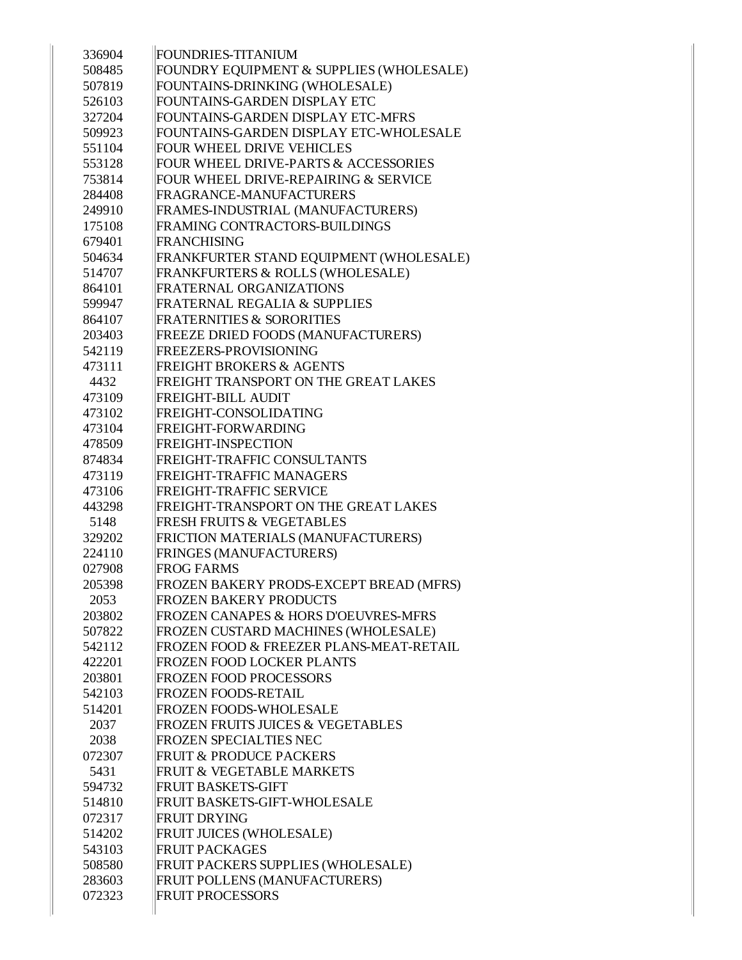| 336904 | <b>FOUNDRIES-TITANIUM</b>                       |
|--------|-------------------------------------------------|
| 508485 | FOUNDRY EQUIPMENT & SUPPLIES (WHOLESALE)        |
| 507819 | FOUNTAINS-DRINKING (WHOLESALE)                  |
| 526103 | FOUNTAINS-GARDEN DISPLAY ETC                    |
| 327204 | FOUNTAINS-GARDEN DISPLAY ETC-MFRS               |
| 509923 | FOUNTAINS-GARDEN DISPLAY ETC-WHOLESALE          |
| 551104 | FOUR WHEEL DRIVE VEHICLES                       |
| 553128 | FOUR WHEEL DRIVE-PARTS & ACCESSORIES            |
| 753814 | FOUR WHEEL DRIVE-REPAIRING & SERVICE            |
| 284408 | FRAGRANCE-MANUFACTURERS                         |
| 249910 | FRAMES-INDUSTRIAL (MANUFACTURERS)               |
| 175108 | FRAMING CONTRACTORS-BUILDINGS                   |
| 679401 | FRANCHISING                                     |
| 504634 | FRANKFURTER STAND EQUIPMENT (WHOLESALE)         |
| 514707 | FRANKFURTERS & ROLLS (WHOLESALE)                |
| 864101 | FRATERNAL ORGANIZATIONS                         |
| 599947 | FRATERNAL REGALIA & SUPPLIES                    |
| 864107 | <b>FRATERNITIES &amp; SORORITIES</b>            |
| 203403 | FREEZE DRIED FOODS (MANUFACTURERS)              |
| 542119 | <b>FREEZERS-PROVISIONING</b>                    |
| 473111 | <b>FREIGHT BROKERS &amp; AGENTS</b>             |
| 4432   | FREIGHT TRANSPORT ON THE GREAT LAKES            |
| 473109 | <b>FREIGHT-BILL AUDIT</b>                       |
| 473102 | FREIGHT-CONSOLIDATING                           |
| 473104 | <b>FREIGHT-FORWARDING</b>                       |
| 478509 | <b>FREIGHT-INSPECTION</b>                       |
| 874834 | FREIGHT-TRAFFIC CONSULTANTS                     |
| 473119 | <b>FREIGHT-TRAFFIC MANAGERS</b>                 |
| 473106 | FREIGHT-TRAFFIC SERVICE                         |
| 443298 | FREIGHT-TRANSPORT ON THE GREAT LAKES            |
| 5148   | <b>FRESH FRUITS &amp; VEGETABLES</b>            |
| 329202 | FRICTION MATERIALS (MANUFACTURERS)              |
| 224110 | FRINGES (MANUFACTURERS)                         |
| 027908 | <b>FROG FARMS</b>                               |
| 205398 | FROZEN BAKERY PRODS-EXCEPT BREAD (MFRS)         |
| 2053   | <b>FROZEN BAKERY PRODUCTS</b>                   |
| 203802 | <b>FROZEN CANAPES &amp; HORS D'OEUVRES-MFRS</b> |
| 507822 | FROZEN CUSTARD MACHINES (WHOLESALE)             |
| 542112 | FROZEN FOOD & FREEZER PLANS-MEAT-RETAIL         |
| 422201 | <b>FROZEN FOOD LOCKER PLANTS</b>                |
| 203801 | <b>FROZEN FOOD PROCESSORS</b>                   |
| 542103 | <b>FROZEN FOODS-RETAIL</b>                      |
| 514201 | <b>FROZEN FOODS-WHOLESALE</b>                   |
| 2037   | <b>FROZEN FRUITS JUICES &amp; VEGETABLES</b>    |
| 2038   | <b>FROZEN SPECIALTIES NEC</b>                   |
| 072307 | <b>FRUIT &amp; PRODUCE PACKERS</b>              |
| 5431   | <b>FRUIT &amp; VEGETABLE MARKETS</b>            |
| 594732 | <b>FRUIT BASKETS-GIFT</b>                       |
| 514810 | <b>FRUIT BASKETS-GIFT-WHOLESALE</b>             |
| 072317 | <b>FRUIT DRYING</b>                             |
| 514202 | <b>FRUIT JUICES (WHOLESALE)</b>                 |
| 543103 | <b>FRUIT PACKAGES</b>                           |
| 508580 | FRUIT PACKERS SUPPLIES (WHOLESALE)              |
| 283603 | FRUIT POLLENS (MANUFACTURERS)                   |
| 072323 | <b>FRUIT PROCESSORS</b>                         |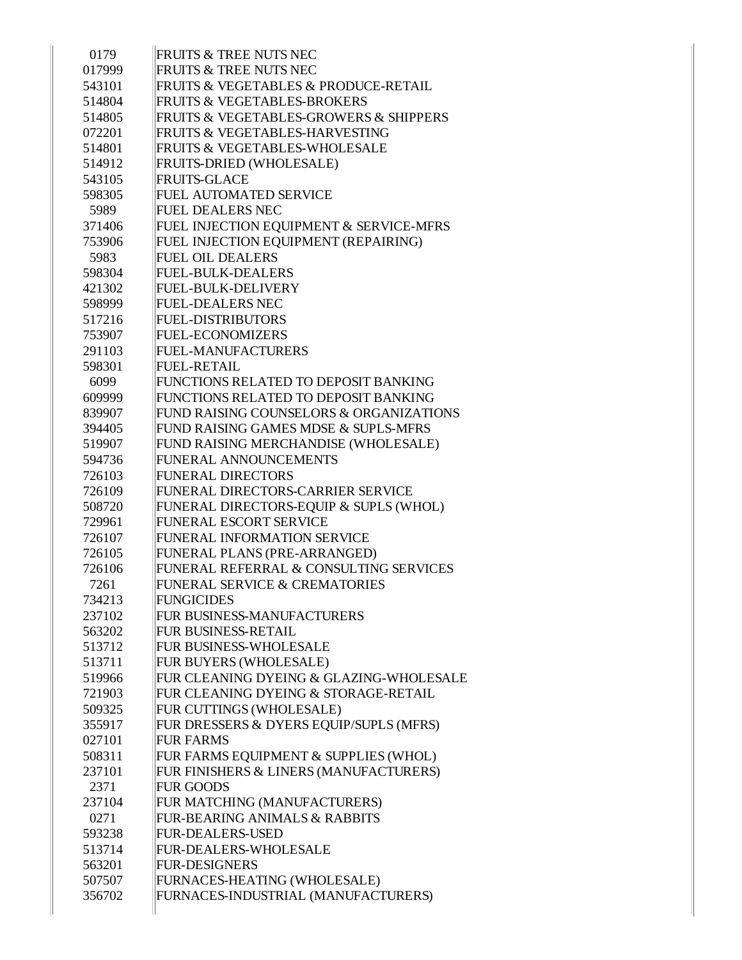| 0179   | <b>FRUITS &amp; TREE NUTS NEC</b>                     |
|--------|-------------------------------------------------------|
| 017999 | <b>FRUITS &amp; TREE NUTS NEC</b>                     |
| 543101 | FRUITS & VEGETABLES & PRODUCE-RETAIL                  |
| 514804 | <b>FRUITS &amp; VEGETABLES-BROKERS</b>                |
| 514805 | <b>FRUITS &amp; VEGETABLES-GROWERS &amp; SHIPPERS</b> |
| 072201 | <b>FRUITS &amp; VEGETABLES-HARVESTING</b>             |
| 514801 | <b>FRUITS &amp; VEGETABLES-WHOLESALE</b>              |
| 514912 | <b>FRUITS-DRIED (WHOLESALE)</b>                       |
| 543105 | <b>FRUITS-GLACE</b>                                   |
| 598305 | <b>FUEL AUTOMATED SERVICE</b>                         |
| 5989   | <b>FUEL DEALERS NEC</b>                               |
| 371406 | FUEL INJECTION EQUIPMENT & SERVICE-MFRS               |
| 753906 | FUEL INJECTION EQUIPMENT (REPAIRING)                  |
| 5983   | <b>FUEL OIL DEALERS</b>                               |
| 598304 | <b>FUEL-BULK-DEALERS</b>                              |
| 421302 | <b>FUEL-BULK-DELIVERY</b>                             |
| 598999 | <b>FUEL-DEALERS NEC</b>                               |
| 517216 | <b>FUEL-DISTRIBUTORS</b>                              |
| 753907 | <b>FUEL-ECONOMIZERS</b>                               |
| 291103 | <b>FUEL-MANUFACTURERS</b>                             |
| 598301 | <b>FUEL-RETAIL</b>                                    |
| 6099   | FUNCTIONS RELATED TO DEPOSIT BANKING                  |
| 609999 | FUNCTIONS RELATED TO DEPOSIT BANKING                  |
| 839907 | FUND RAISING COUNSELORS & ORGANIZATIONS               |
| 394405 | FUND RAISING GAMES MDSE & SUPLS-MFRS                  |
| 519907 | FUND RAISING MERCHANDISE (WHOLESALE)                  |
| 594736 | FUNERAL ANNOUNCEMENTS                                 |
| 726103 | <b>FUNERAL DIRECTORS</b>                              |
| 726109 | FUNERAL DIRECTORS-CARRIER SERVICE                     |
| 508720 | FUNERAL DIRECTORS-EQUIP & SUPLS (WHOL)                |
| 729961 | <b>FUNERAL ESCORT SERVICE</b>                         |
| 726107 | <b>FUNERAL INFORMATION SERVICE</b>                    |
| 726105 | FUNERAL PLANS (PRE-ARRANGED)                          |
| 726106 | FUNERAL REFERRAL & CONSULTING SERVICES                |
| 7261   | <b>FUNERAL SERVICE &amp; CREMATORIES</b>              |
| 734213 | <b>FUNGICIDES</b>                                     |
| 237102 | FUR BUSINESS-MANUFACTURERS                            |
| 563202 | <b>FUR BUSINESS-RETAIL</b>                            |
| 513712 | FUR BUSINESS-WHOLESALE                                |
| 513711 | FUR BUYERS (WHOLESALE)                                |
| 519966 | FUR CLEANING DYEING & GLAZING-WHOLESALE               |
| 721903 | FUR CLEANING DYEING & STORAGE-RETAIL                  |
| 509325 | FUR CUTTINGS (WHOLESALE)                              |
| 355917 | FUR DRESSERS & DYERS EQUIP/SUPLS (MFRS)               |
| 027101 | <b>FUR FARMS</b>                                      |
| 508311 | FUR FARMS EQUIPMENT & SUPPLIES (WHOL)                 |
| 237101 | FUR FINISHERS & LINERS (MANUFACTURERS)                |
| 2371   | <b>FUR GOODS</b>                                      |
| 237104 | FUR MATCHING (MANUFACTURERS)                          |
| 0271   | <b>FUR-BEARING ANIMALS &amp; RABBITS</b>              |
| 593238 | <b>FUR-DEALERS-USED</b>                               |
| 513714 | FUR-DEALERS-WHOLESALE                                 |
| 563201 | <b>FUR-DESIGNERS</b>                                  |
| 507507 | FURNACES-HEATING (WHOLESALE)                          |
| 356702 | FURNACES-INDUSTRIAL (MANUFACTURERS)                   |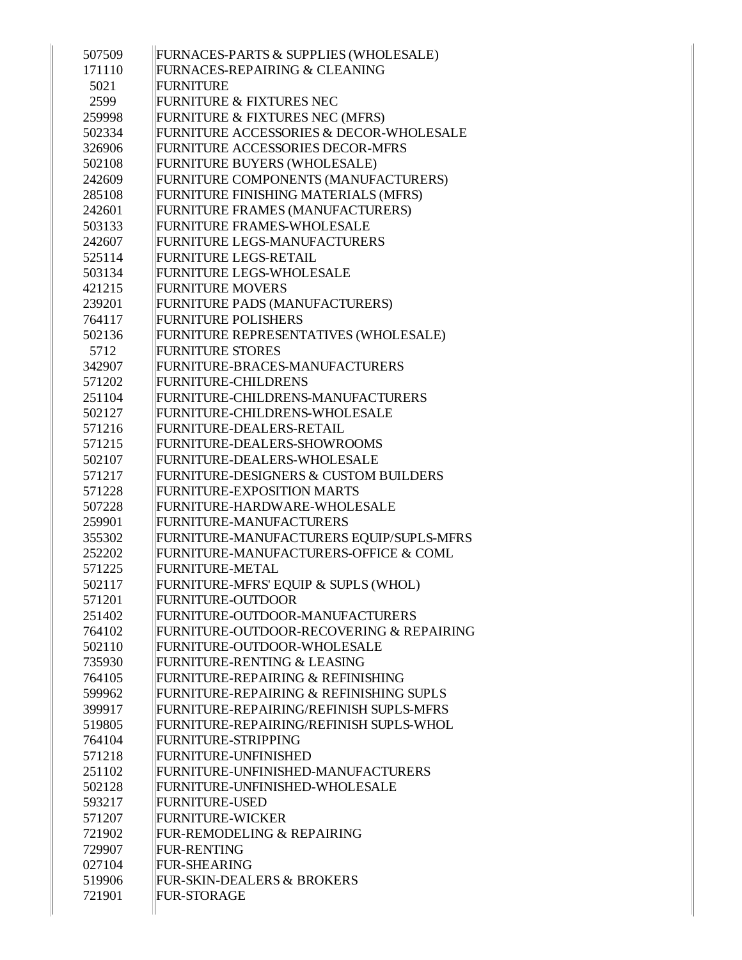| 507509<br>171110 | FURNACES-PARTS & SUPPLIES (WHOLESALE)<br>FURNACES-REPAIRING & CLEANING |
|------------------|------------------------------------------------------------------------|
| 5021             | <b>FURNITURE</b>                                                       |
| 2599             | <b>FURNITURE &amp; FIXTURES NEC</b>                                    |
| 259998           | FURNITURE & FIXTURES NEC (MFRS)                                        |
| 502334           | FURNITURE ACCESSORIES & DECOR-WHOLESALE                                |
| 326906           | FURNITURE ACCESSORIES DECOR-MFRS                                       |
| 502108           |                                                                        |
| 242609           | FURNITURE BUYERS (WHOLESALE)<br>FURNITURE COMPONENTS (MANUFACTURERS)   |
| 285108           | FURNITURE FINISHING MATERIALS (MFRS)                                   |
| 242601           | FURNITURE FRAMES (MANUFACTURERS)                                       |
|                  |                                                                        |
| 503133<br>242607 | FURNITURE FRAMES-WHOLESALE<br>FURNITURE LEGS-MANUFACTURERS             |
|                  | FURNITURE LEGS-RETAIL                                                  |
| 525114           | FURNITURE LEGS-WHOLESALE                                               |
| 503134           | <b>FURNITURE MOVERS</b>                                                |
| 421215           |                                                                        |
| 239201           | FURNITURE PADS (MANUFACTURERS)<br><b>FURNITURE POLISHERS</b>           |
| 764117           |                                                                        |
| 502136           | FURNITURE REPRESENTATIVES (WHOLESALE)                                  |
| 5712             | <b>FURNITURE STORES</b>                                                |
| 342907           | FURNITURE-BRACES-MANUFACTURERS                                         |
| 571202           | FURNITURE-CHILDRENS                                                    |
| 251104           | FURNITURE-CHILDRENS-MANUFACTURERS                                      |
| 502127           | FURNITURE-CHILDRENS-WHOLESALE                                          |
| 571216           | FURNITURE-DEALERS-RETAIL                                               |
| 571215           | FURNITURE-DEALERS-SHOWROOMS                                            |
| 502107           | FURNITURE-DEALERS-WHOLESALE                                            |
| 571217           | FURNITURE-DESIGNERS & CUSTOM BUILDERS                                  |
| 571228           | FURNITURE-EXPOSITION MARTS                                             |
| 507228           | FURNITURE-HARDWARE-WHOLESALE                                           |
| 259901           | FURNITURE-MANUFACTURERS                                                |
| 355302           | FURNITURE-MANUFACTURERS EQUIP/SUPLS-MFRS                               |
| 252202           | FURNITURE-MANUFACTURERS-OFFICE & COML                                  |
| 571225           | <b>FURNITURE-METAL</b>                                                 |
| 502117           | FURNITURE-MFRS' EQUIP & SUPLS (WHOL)                                   |
| 571201           | <b>FURNITURE-OUTDOOR</b>                                               |
| 251402           | FURNITURE-OUTDOOR-MANUFACTURERS                                        |
| 764102           | FURNITURE-OUTDOOR-RECOVERING & REPAIRING                               |
| 502110           | FURNITURE-OUTDOOR-WHOLESALE                                            |
| 735930           | FURNITURE-RENTING & LEASING                                            |
| 764105           | FURNITURE-REPAIRING & REFINISHING                                      |
| 599962           | FURNITURE-REPAIRING & REFINISHING SUPLS                                |
| 399917           | FURNITURE-REPAIRING/REFINISH SUPLS-MFRS                                |
| 519805           | FURNITURE-REPAIRING/REFINISH SUPLS-WHOL                                |
| 764104           | FURNITURE-STRIPPING                                                    |
| 571218           | FURNITURE-UNFINISHED                                                   |
| 251102           | FURNITURE-UNFINISHED-MANUFACTURERS                                     |
| 502128           | FURNITURE-UNFINISHED-WHOLESALE                                         |
| 593217           | <b>FURNITURE-USED</b>                                                  |
| 571207           | <b>FURNITURE-WICKER</b>                                                |
| 721902           | FUR-REMODELING & REPAIRING                                             |
| 729907           | <b>FUR-RENTING</b>                                                     |
| 027104           | <b>FUR-SHEARING</b>                                                    |
| 519906           | <b>FUR-SKIN-DEALERS &amp; BROKERS</b>                                  |
| 721901           | <b>FUR-STORAGE</b>                                                     |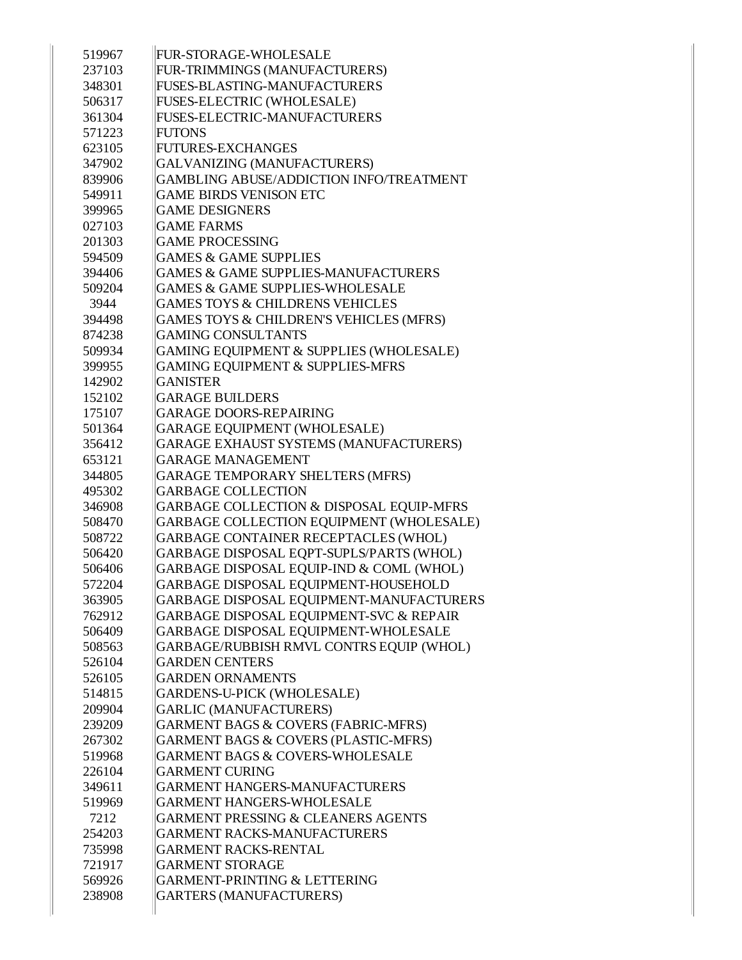| 519967 | FUR-STORAGE-WHOLESALE                           |
|--------|-------------------------------------------------|
| 237103 | FUR-TRIMMINGS (MANUFACTURERS)                   |
| 348301 | FUSES-BLASTING-MANUFACTURERS                    |
| 506317 | FUSES-ELECTRIC (WHOLESALE)                      |
| 361304 | <b>FUSES-ELECTRIC-MANUFACTURERS</b>             |
| 571223 | <b>FUTONS</b>                                   |
| 623105 | <b>FUTURES-EXCHANGES</b>                        |
| 347902 | GALVANIZING (MANUFACTURERS)                     |
| 839906 | GAMBLING ABUSE/ADDICTION INFO/TREATMENT         |
| 549911 | <b>GAME BIRDS VENISON ETC</b>                   |
| 399965 | <b>GAME DESIGNERS</b>                           |
| 027103 | <b>GAME FARMS</b>                               |
| 201303 | <b>GAME PROCESSING</b>                          |
| 594509 | <b>GAMES &amp; GAME SUPPLIES</b>                |
| 394406 | <b>GAMES &amp; GAME SUPPLIES-MANUFACTURERS</b>  |
| 509204 | <b>GAMES &amp; GAME SUPPLIES-WHOLESALE</b>      |
| 3944   | <b>GAMES TOYS &amp; CHILDRENS VEHICLES</b>      |
| 394498 | GAMES TOYS & CHILDREN'S VEHICLES (MFRS)         |
| 874238 | <b>GAMING CONSULTANTS</b>                       |
| 509934 | GAMING EQUIPMENT & SUPPLIES (WHOLESALE)         |
| 399955 | <b>GAMING EQUIPMENT &amp; SUPPLIES-MFRS</b>     |
| 142902 | <b>GANISTER</b>                                 |
| 152102 | <b>GARAGE BUILDERS</b>                          |
| 175107 | <b>GARAGE DOORS-REPAIRING</b>                   |
| 501364 | GARAGE EQUIPMENT (WHOLESALE)                    |
| 356412 | GARAGE EXHAUST SYSTEMS (MANUFACTURERS)          |
| 653121 | <b>GARAGE MANAGEMENT</b>                        |
| 344805 | <b>GARAGE TEMPORARY SHELTERS (MFRS)</b>         |
| 495302 | <b>GARBAGE COLLECTION</b>                       |
| 346908 | GARBAGE COLLECTION & DISPOSAL EQUIP-MFRS        |
| 508470 | GARBAGE COLLECTION EQUIPMENT (WHOLESALE)        |
| 508722 | GARBAGE CONTAINER RECEPTACLES (WHOL)            |
| 506420 | GARBAGE DISPOSAL EQPT-SUPLS/PARTS (WHOL)        |
| 506406 | GARBAGE DISPOSAL EQUIP-IND & COML (WHOL)        |
| 572204 | GARBAGE DISPOSAL EQUIPMENT-HOUSEHOLD            |
| 363905 | GARBAGE DISPOSAL EQUIPMENT-MANUFACTURERS        |
| 762912 | GARBAGE DISPOSAL EQUIPMENT-SVC & REPAIR         |
| 506409 | GARBAGE DISPOSAL EQUIPMENT-WHOLESALE            |
| 508563 | GARBAGE/RUBBISH RMVL CONTRS EQUIP (WHOL)        |
| 526104 | <b>GARDEN CENTERS</b>                           |
| 526105 | <b>GARDEN ORNAMENTS</b>                         |
| 514815 | <b>GARDENS-U-PICK (WHOLESALE)</b>               |
| 209904 | <b>GARLIC (MANUFACTURERS)</b>                   |
| 239209 | GARMENT BAGS & COVERS (FABRIC-MFRS)             |
| 267302 | <b>GARMENT BAGS &amp; COVERS (PLASTIC-MFRS)</b> |
| 519968 | <b>GARMENT BAGS &amp; COVERS-WHOLESALE</b>      |
| 226104 | <b>GARMENT CURING</b>                           |
| 349611 | <b>GARMENT HANGERS-MANUFACTURERS</b>            |
| 519969 | <b>GARMENT HANGERS-WHOLESALE</b>                |
| 7212   | <b>GARMENT PRESSING &amp; CLEANERS AGENTS</b>   |
| 254203 | <b>GARMENT RACKS-MANUFACTURERS</b>              |
| 735998 | <b>GARMENT RACKS-RENTAL</b>                     |
| 721917 | <b>GARMENT STORAGE</b>                          |
| 569926 | <b>GARMENT-PRINTING &amp; LETTERING</b>         |
| 238908 | <b>GARTERS (MANUFACTURERS)</b>                  |
|        |                                                 |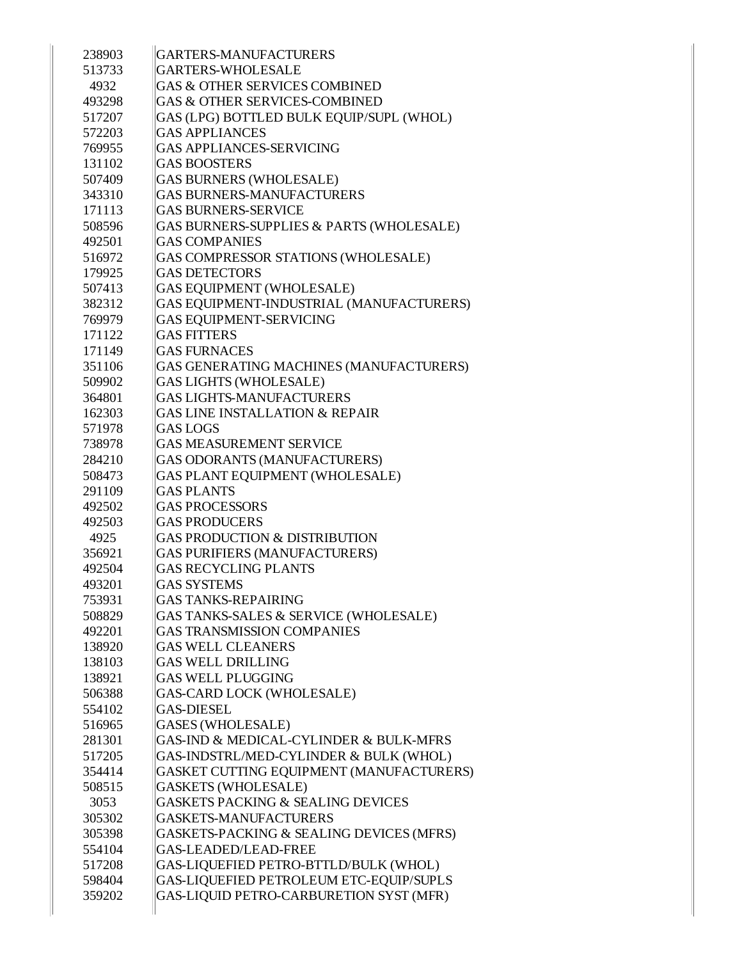| 238903 | GARTERS-MANUFACTURERS                        |
|--------|----------------------------------------------|
| 513733 | <b>GARTERS-WHOLESALE</b>                     |
| 4932   | <b>GAS &amp; OTHER SERVICES COMBINED</b>     |
| 493298 | <b>GAS &amp; OTHER SERVICES-COMBINED</b>     |
| 517207 | GAS (LPG) BOTTLED BULK EQUIP/SUPL (WHOL)     |
| 572203 | <b>GAS APPLIANCES</b>                        |
| 769955 | <b>GAS APPLIANCES-SERVICING</b>              |
| 131102 | <b>GAS BOOSTERS</b>                          |
| 507409 | <b>GAS BURNERS (WHOLESALE)</b>               |
| 343310 | <b>GAS BURNERS-MANUFACTURERS</b>             |
| 171113 | <b>GAS BURNERS-SERVICE</b>                   |
| 508596 | GAS BURNERS-SUPPLIES & PARTS (WHOLESALE)     |
| 492501 | <b>GAS COMPANIES</b>                         |
| 516972 | GAS COMPRESSOR STATIONS (WHOLESALE)          |
| 179925 | <b>GAS DETECTORS</b>                         |
| 507413 | <b>GAS EQUIPMENT (WHOLESALE)</b>             |
| 382312 | GAS EQUIPMENT-INDUSTRIAL (MANUFACTURERS)     |
| 769979 | <b>GAS EQUIPMENT-SERVICING</b>               |
| 171122 | <b>GAS FITTERS</b>                           |
| 171149 | <b>GAS FURNACES</b>                          |
| 351106 | GAS GENERATING MACHINES (MANUFACTURERS)      |
| 509902 | <b>GAS LIGHTS (WHOLESALE)</b>                |
| 364801 | <b>GAS LIGHTS-MANUFACTURERS</b>              |
| 162303 | <b>GAS LINE INSTALLATION &amp; REPAIR</b>    |
| 571978 | <b>GAS LOGS</b>                              |
| 738978 | <b>GAS MEASUREMENT SERVICE</b>               |
| 284210 | GAS ODORANTS (MANUFACTURERS)                 |
| 508473 | GAS PLANT EQUIPMENT (WHOLESALE)              |
| 291109 | <b>GAS PLANTS</b>                            |
| 492502 | <b>GAS PROCESSORS</b>                        |
| 492503 | <b>GAS PRODUCERS</b>                         |
| 4925   | <b>GAS PRODUCTION &amp; DISTRIBUTION</b>     |
| 356921 | <b>GAS PURIFIERS (MANUFACTURERS)</b>         |
| 492504 | <b>GAS RECYCLING PLANTS</b>                  |
| 493201 | <b>GAS SYSTEMS</b>                           |
| 753931 | <b>GAS TANKS-REPAIRING</b>                   |
| 508829 | GAS TANKS-SALES & SERVICE (WHOLESALE)        |
| 492201 | <b>GAS TRANSMISSION COMPANIES</b>            |
| 138920 | <b>GAS WELL CLEANERS</b>                     |
| 138103 | <b>GAS WELL DRILLING</b>                     |
| 138921 | <b>GAS WELL PLUGGING</b>                     |
| 506388 | GAS-CARD LOCK (WHOLESALE)                    |
| 554102 | <b>GAS-DIESEL</b>                            |
| 516965 | GASES (WHOLESALE)                            |
| 281301 | GAS-IND & MEDICAL-CYLINDER & BULK-MFRS       |
| 517205 | GAS-INDSTRL/MED-CYLINDER & BULK (WHOL)       |
| 354414 | GASKET CUTTING EQUIPMENT (MANUFACTURERS)     |
| 508515 | <b>GASKETS (WHOLESALE)</b>                   |
| 3053   | <b>GASKETS PACKING &amp; SEALING DEVICES</b> |
| 305302 | GASKETS-MANUFACTURERS                        |
| 305398 | GASKETS-PACKING & SEALING DEVICES (MFRS)     |
| 554104 | <b>GAS-LEADED/LEAD-FREE</b>                  |
| 517208 | GAS-LIQUEFIED PETRO-BTTLD/BULK (WHOL)        |
| 598404 | GAS-LIQUEFIED PETROLEUM ETC-EQUIP/SUPLS      |
| 359202 | GAS-LIQUID PETRO-CARBURETION SYST (MFR)      |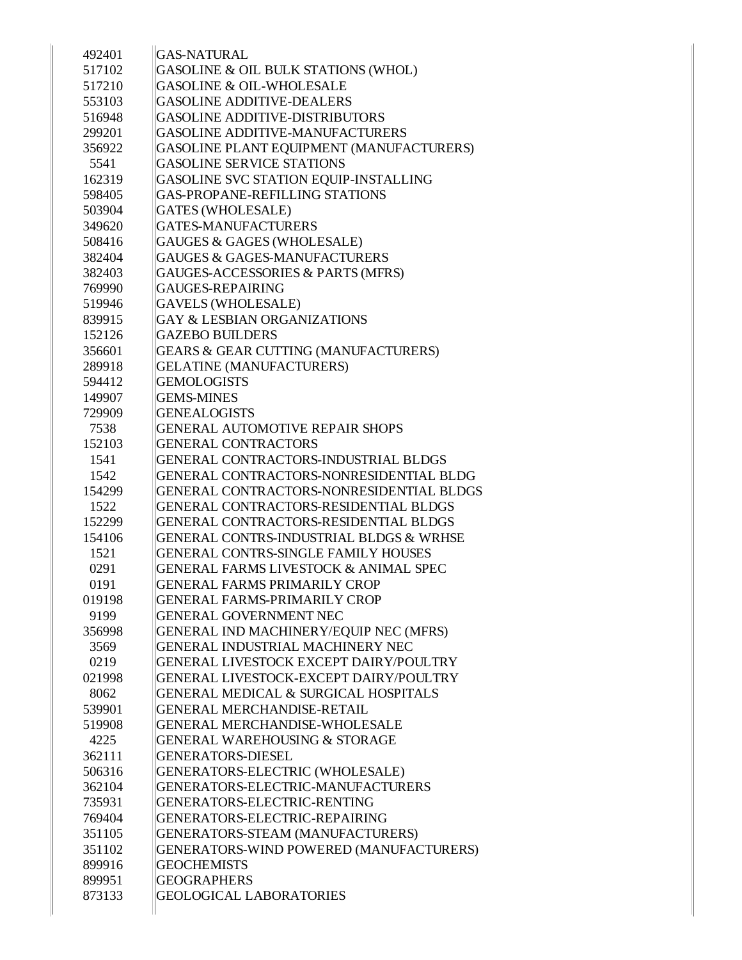| 492401 | <b>GAS-NATURAL</b>                               |
|--------|--------------------------------------------------|
| 517102 | GASOLINE & OIL BULK STATIONS (WHOL)              |
| 517210 | GASOLINE & OIL-WHOLESALE                         |
| 553103 | <b>GASOLINE ADDITIVE-DEALERS</b>                 |
| 516948 | <b>GASOLINE ADDITIVE-DISTRIBUTORS</b>            |
| 299201 | GASOLINE ADDITIVE-MANUFACTURERS                  |
| 356922 | GASOLINE PLANT EQUIPMENT (MANUFACTURERS)         |
| 5541   | <b>GASOLINE SERVICE STATIONS</b>                 |
| 162319 | GASOLINE SVC STATION EQUIP-INSTALLING            |
| 598405 | <b>GAS-PROPANE-REFILLING STATIONS</b>            |
| 503904 | <b>GATES (WHOLESALE)</b>                         |
| 349620 | GATES-MANUFACTURERS                              |
| 508416 | GAUGES & GAGES (WHOLESALE)                       |
| 382404 | <b>GAUGES &amp; GAGES-MANUFACTURERS</b>          |
| 382403 | GAUGES-ACCESSORIES & PARTS (MFRS)                |
| 769990 | GAUGES-REPAIRING                                 |
| 519946 | <b>GAVELS (WHOLESALE)</b>                        |
| 839915 | <b>GAY &amp; LESBIAN ORGANIZATIONS</b>           |
| 152126 | <b>GAZEBO BUILDERS</b>                           |
| 356601 | GEARS & GEAR CUTTING (MANUFACTURERS)             |
| 289918 | <b>GELATINE (MANUFACTURERS)</b>                  |
| 594412 | <b>GEMOLOGISTS</b>                               |
| 149907 | <b>GEMS-MINES</b>                                |
| 729909 | <b>GENEALOGISTS</b>                              |
| 7538   | <b>GENERAL AUTOMOTIVE REPAIR SHOPS</b>           |
| 152103 | <b>GENERAL CONTRACTORS</b>                       |
| 1541   | GENERAL CONTRACTORS-INDUSTRIAL BLDGS             |
| 1542   | GENERAL CONTRACTORS-NONRESIDENTIAL BLDG          |
| 154299 | GENERAL CONTRACTORS-NONRESIDENTIAL BLDGS         |
| 1522   | GENERAL CONTRACTORS-RESIDENTIAL BLDGS            |
| 152299 | GENERAL CONTRACTORS-RESIDENTIAL BLDGS            |
| 154106 | GENERAL CONTRS-INDUSTRIAL BLDGS & WRHSE          |
| 1521   | GENERAL CONTRS-SINGLE FAMILY HOUSES              |
| 0291   | <b>GENERAL FARMS LIVESTOCK &amp; ANIMAL SPEC</b> |
| 0191   | <b>GENERAL FARMS PRIMARILY CROP</b>              |
| 019198 | <b>GENERAL FARMS-PRIMARILY CROP</b>              |
| 9199   | <b>GENERAL GOVERNMENT NEC</b>                    |
| 356998 | GENERAL IND MACHINERY/EQUIP NEC (MFRS)           |
| 3569   | GENERAL INDUSTRIAL MACHINERY NEC                 |
| 0219   | GENERAL LIVESTOCK EXCEPT DAIRY/POULTRY           |
| 021998 | GENERAL LIVESTOCK-EXCEPT DAIRY/POULTRY           |
| 8062   | GENERAL MEDICAL & SURGICAL HOSPITALS             |
| 539901 | <b>GENERAL MERCHANDISE-RETAIL</b>                |
| 519908 | <b>GENERAL MERCHANDISE-WHOLESALE</b>             |
| 4225   | <b>GENERAL WAREHOUSING &amp; STORAGE</b>         |
| 362111 | GENERATORS-DIESEL                                |
| 506316 | GENERATORS-ELECTRIC (WHOLESALE)                  |
| 362104 | GENERATORS-ELECTRIC-MANUFACTURERS                |
| 735931 | GENERATORS-ELECTRIC-RENTING                      |
| 769404 | GENERATORS-ELECTRIC-REPAIRING                    |
| 351105 | GENERATORS-STEAM (MANUFACTURERS)                 |
| 351102 | GENERATORS-WIND POWERED (MANUFACTURERS)          |
| 899916 | <b>GEOCHEMISTS</b>                               |
| 899951 | <b>GEOGRAPHERS</b>                               |
| 873133 | <b>GEOLOGICAL LABORATORIES</b>                   |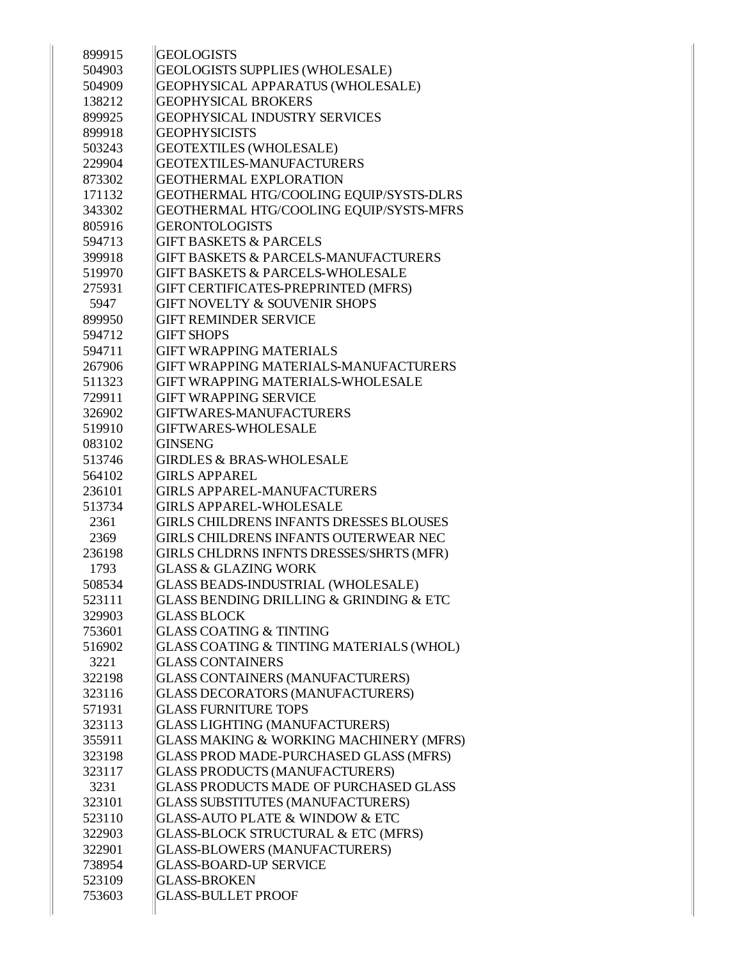| 899915           | <b>GEOLOGISTS</b>                                                               |
|------------------|---------------------------------------------------------------------------------|
| 504903           | GEOLOGISTS SUPPLIES (WHOLESALE)                                                 |
| 504909           | GEOPHYSICAL APPARATUS (WHOLESALE)                                               |
| 138212           | <b>GEOPHYSICAL BROKERS</b>                                                      |
| 899925           | <b>GEOPHYSICAL INDUSTRY SERVICES</b>                                            |
| 899918           | <b>GEOPHYSICISTS</b>                                                            |
| 503243           | <b>GEOTEXTILES (WHOLESALE)</b>                                                  |
| 229904           | <b>GEOTEXTILES-MANUFACTURERS</b>                                                |
| 873302           | <b>GEOTHERMAL EXPLORATION</b>                                                   |
| 171132           | GEOTHERMAL HTG/COOLING EQUIP/SYSTS-DLRS                                         |
| 343302           | GEOTHERMAL HTG/COOLING EQUIP/SYSTS-MFRS                                         |
| 805916           | <b>GERONTOLOGISTS</b>                                                           |
| 594713           | <b>GIFT BASKETS &amp; PARCELS</b>                                               |
| 399918           | <b>GIFT BASKETS &amp; PARCELS-MANUFACTURERS</b>                                 |
| 519970           | <b>GIFT BASKETS &amp; PARCELS-WHOLESALE</b>                                     |
| 275931           | GIFT CERTIFICATES-PREPRINTED (MFRS)                                             |
| 5947             | <b>GIFT NOVELTY &amp; SOUVENIR SHOPS</b>                                        |
| 899950           | <b>GIFT REMINDER SERVICE</b>                                                    |
| 594712           | <b>GIFT SHOPS</b>                                                               |
| 594711           | <b>GIFT WRAPPING MATERIALS</b>                                                  |
| 267906           | GIFT WRAPPING MATERIALS-MANUFACTURERS                                           |
| 511323           | <b>GIFT WRAPPING MATERIALS-WHOLESALE</b>                                        |
| 729911           | <b>GIFT WRAPPING SERVICE</b>                                                    |
| 326902           | GIFTWARES-MANUFACTURERS                                                         |
| 519910           | <b>GIFTWARES-WHOLESALE</b>                                                      |
| 083102           | <b>GINSENG</b>                                                                  |
| 513746           | <b>GIRDLES &amp; BRAS-WHOLESALE</b>                                             |
| 564102           | <b>GIRLS APPAREL</b>                                                            |
| 236101           | <b>GIRLS APPAREL-MANUFACTURERS</b>                                              |
| 513734           | <b>GIRLS APPAREL-WHOLESALE</b>                                                  |
| 2361             | <b>GIRLS CHILDRENS INFANTS DRESSES BLOUSES</b>                                  |
| 2369             | GIRLS CHILDRENS INFANTS OUTERWEAR NEC                                           |
| 236198           | GIRLS CHLDRNS INFNTS DRESSES/SHRTS (MFR)                                        |
| 1793             | <b>GLASS &amp; GLAZING WORK</b>                                                 |
| 508534           | GLASS BEADS-INDUSTRIAL (WHOLESALE)                                              |
| 523111           | GLASS BENDING DRILLING & GRINDING & ETC                                         |
| 329903           |                                                                                 |
|                  |                                                                                 |
|                  | <b>GLASS BLOCK</b>                                                              |
| 753601           | <b>GLASS COATING &amp; TINTING</b>                                              |
| 516902<br>3221   | GLASS COATING & TINTING MATERIALS (WHOL)<br><b>GLASS CONTAINERS</b>             |
|                  |                                                                                 |
| 322198<br>323116 | <b>GLASS CONTAINERS (MANUFACTURERS)</b>                                         |
|                  | GLASS DECORATORS (MANUFACTURERS)<br><b>GLASS FURNITURE TOPS</b>                 |
| 571931           |                                                                                 |
| 323113<br>355911 | <b>GLASS LIGHTING (MANUFACTURERS)</b>                                           |
| 323198           | GLASS MAKING & WORKING MACHINERY (MFRS)                                         |
| 323117           | GLASS PROD MADE-PURCHASED GLASS (MFRS)                                          |
| 3231             | <b>GLASS PRODUCTS (MANUFACTURERS)</b><br>GLASS PRODUCTS MADE OF PURCHASED GLASS |
| 323101           | <b>GLASS SUBSTITUTES (MANUFACTURERS)</b>                                        |
| 523110           | <b>GLASS-AUTO PLATE &amp; WINDOW &amp; ETC</b>                                  |
| 322903           | <b>GLASS-BLOCK STRUCTURAL &amp; ETC (MFRS)</b>                                  |
| 322901           | <b>GLASS-BLOWERS (MANUFACTURERS)</b>                                            |
| 738954           | <b>GLASS-BOARD-UP SERVICE</b>                                                   |
| 523109           | <b>GLASS-BROKEN</b>                                                             |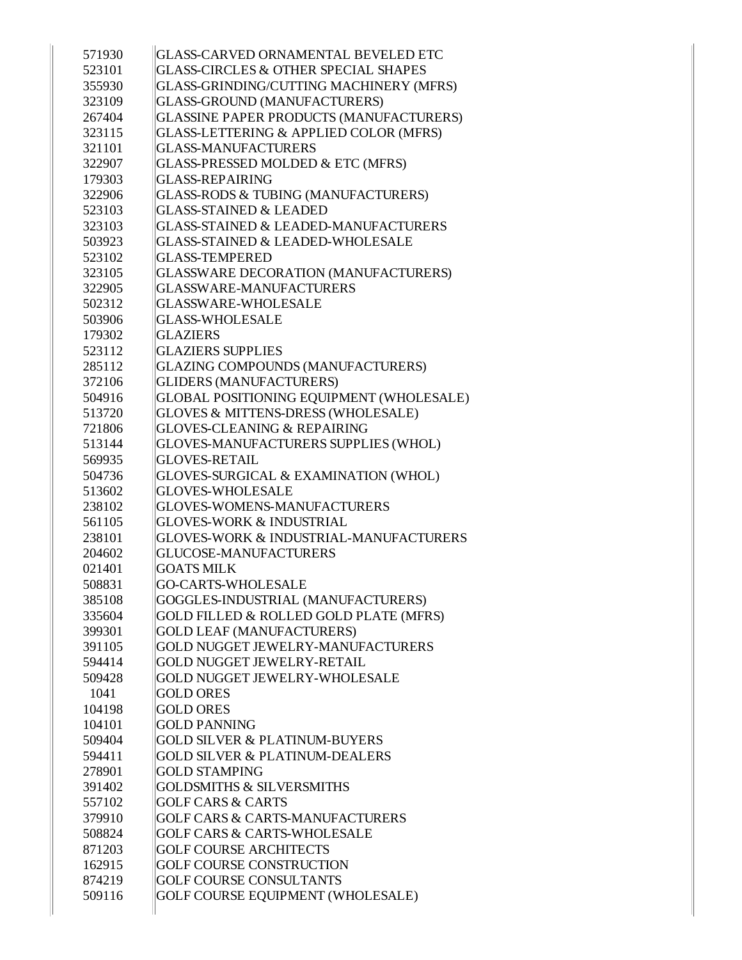| 571930 | GLASS-CARVED ORNAMENTAL BEVELED ETC               |
|--------|---------------------------------------------------|
| 523101 | GLASS-CIRCLES & OTHER SPECIAL SHAPES              |
| 355930 | GLASS-GRINDING/CUTTING MACHINERY (MFRS)           |
| 323109 | GLASS-GROUND (MANUFACTURERS)                      |
| 267404 | GLASSINE PAPER PRODUCTS (MANUFACTURERS)           |
| 323115 | <b>GLASS-LETTERING &amp; APPLIED COLOR (MFRS)</b> |
| 321101 | <b>GLASS-MANUFACTURERS</b>                        |
| 322907 | GLASS-PRESSED MOLDED & ETC (MFRS)                 |
| 179303 | <b>GLASS-REPAIRING</b>                            |
| 322906 | <b>GLASS-RODS &amp; TUBING (MANUFACTURERS)</b>    |
| 523103 | <b>GLASS-STAINED &amp; LEADED</b>                 |
| 323103 | <b>GLASS-STAINED &amp; LEADED-MANUFACTURERS</b>   |
| 503923 | <b>GLASS-STAINED &amp; LEADED-WHOLESALE</b>       |
| 523102 | <b>GLASS-TEMPERED</b>                             |
| 323105 | GLASSWARE DECORATION (MANUFACTURERS)              |
| 322905 | <b>GLASSWARE-MANUFACTURERS</b>                    |
| 502312 | <b>GLASSWARE-WHOLESALE</b>                        |
| 503906 | <b>GLASS-WHOLESALE</b>                            |
| 179302 | <b>GLAZIERS</b>                                   |
| 523112 | <b>GLAZIERS SUPPLIES</b>                          |
| 285112 | GLAZING COMPOUNDS (MANUFACTURERS)                 |
| 372106 | <b>GLIDERS (MANUFACTURERS)</b>                    |
| 504916 | <b>GLOBAL POSITIONING EQUIPMENT (WHOLESALE)</b>   |
| 513720 | GLOVES & MITTENS-DRESS (WHOLESALE)                |
| 721806 | <b>GLOVES-CLEANING &amp; REPAIRING</b>            |
| 513144 | GLOVES-MANUFACTURERS SUPPLIES (WHOL)              |
| 569935 | <b>GLOVES-RETAIL</b>                              |
| 504736 | GLOVES-SURGICAL & EXAMINATION (WHOL)              |
| 513602 | <b>GLOVES-WHOLESALE</b>                           |
| 238102 | <b>GLOVES-WOMENS-MANUFACTURERS</b>                |
| 561105 | <b>GLOVES-WORK &amp; INDUSTRIAL</b>               |
| 238101 | GLOVES-WORK & INDUSTRIAL-MANUFACTURERS            |
| 204602 | <b>GLUCOSE-MANUFACTURERS</b>                      |
| 021401 | <b>GOATS MILK</b>                                 |
| 508831 | GO-CARTS-WHOLESALE                                |
| 385108 | GOGGLES-INDUSTRIAL (MANUFACTURERS)                |
| 335604 | <b>GOLD FILLED &amp; ROLLED GOLD PLATE (MFRS)</b> |
| 399301 | <b>GOLD LEAF (MANUFACTURERS)</b>                  |
| 391105 | <b>GOLD NUGGET JEWELRY-MANUFACTURERS</b>          |
| 594414 | <b>GOLD NUGGET JEWELRY-RETAIL</b>                 |
| 509428 | GOLD NUGGET JEWELRY-WHOLESALE                     |
| 1041   | <b>GOLD ORES</b>                                  |
| 104198 | <b>GOLD ORES</b>                                  |
| 104101 | <b>GOLD PANNING</b>                               |
| 509404 | <b>GOLD SILVER &amp; PLATINUM-BUYERS</b>          |
| 594411 | <b>GOLD SILVER &amp; PLATINUM-DEALERS</b>         |
| 278901 | <b>GOLD STAMPING</b>                              |
| 391402 | <b>GOLDSMITHS &amp; SILVERSMITHS</b>              |
| 557102 | <b>GOLF CARS &amp; CARTS</b>                      |
| 379910 | <b>GOLF CARS &amp; CARTS-MANUFACTURERS</b>        |
| 508824 | <b>GOLF CARS &amp; CARTS-WHOLESALE</b>            |
| 871203 | <b>GOLF COURSE ARCHITECTS</b>                     |
| 162915 | <b>GOLF COURSE CONSTRUCTION</b>                   |
| 874219 | <b>GOLF COURSE CONSULTANTS</b>                    |
| 509116 | GOLF COURSE EQUIPMENT (WHOLESALE)                 |
|        |                                                   |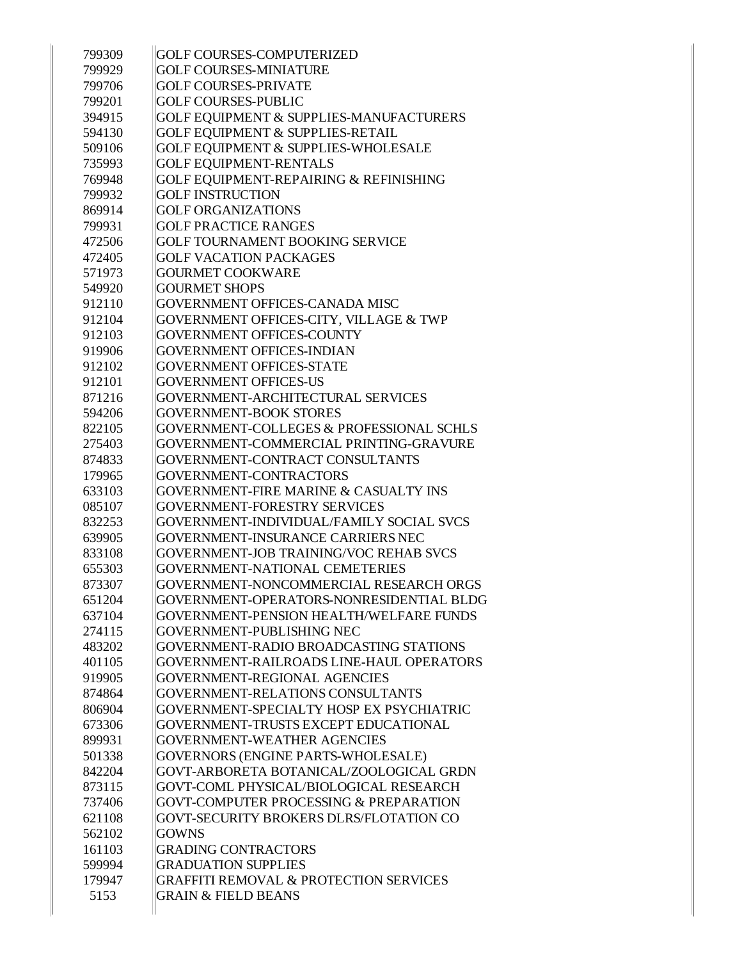| 799309 | <b>GOLF COURSES-COMPUTERIZED</b>                   |
|--------|----------------------------------------------------|
| 799929 | <b>GOLF COURSES-MINIATURE</b>                      |
| 799706 | <b>GOLF COURSES-PRIVATE</b>                        |
| 799201 | <b>GOLF COURSES-PUBLIC</b>                         |
| 394915 | <b>GOLF EQUIPMENT &amp; SUPPLIES-MANUFACTURERS</b> |
| 594130 | <b>GOLF EQUIPMENT &amp; SUPPLIES-RETAIL</b>        |
| 509106 | GOLF EQUIPMENT & SUPPLIES-WHOLESALE                |
| 735993 | <b>GOLF EQUIPMENT-RENTALS</b>                      |
| 769948 | GOLF EQUIPMENT-REPAIRING & REFINISHING             |
| 799932 | <b>GOLF INSTRUCTION</b>                            |
| 869914 | <b>GOLF ORGANIZATIONS</b>                          |
| 799931 | <b>GOLF PRACTICE RANGES</b>                        |
| 472506 | GOLF TOURNAMENT BOOKING SERVICE                    |
| 472405 | <b>GOLF VACATION PACKAGES</b>                      |
| 571973 | <b>GOURMET COOKWARE</b>                            |
| 549920 | <b>GOURMET SHOPS</b>                               |
| 912110 | <b>GOVERNMENT OFFICES-CANADA MISC</b>              |
| 912104 | GOVERNMENT OFFICES-CITY, VILLAGE & TWP             |
| 912103 | <b>GOVERNMENT OFFICES-COUNTY</b>                   |
| 919906 | <b>GOVERNMENT OFFICES-INDIAN</b>                   |
| 912102 | <b>GOVERNMENT OFFICES-STATE</b>                    |
| 912101 | <b>GOVERNMENT OFFICES-US</b>                       |
| 871216 | GOVERNMENT-ARCHITECTURAL SERVICES                  |
| 594206 | <b>GOVERNMENT-BOOK STORES</b>                      |
| 822105 | GOVERNMENT-COLLEGES & PROFESSIONAL SCHLS           |
| 275403 | GOVERNMENT-COMMERCIAL PRINTING-GRAVURE             |
| 874833 | GOVERNMENT-CONTRACT CONSULTANTS                    |
| 179965 | GOVERNMENT-CONTRACTORS                             |
| 633103 | <b>GOVERNMENT-FIRE MARINE &amp; CASUALTY INS</b>   |
| 085107 | <b>GOVERNMENT-FORESTRY SERVICES</b>                |
| 832253 | GOVERNMENT-INDIVIDUAL/FAMILY SOCIAL SVCS           |
| 639905 | GOVERNMENT-INSURANCE CARRIERS NEC                  |
| 833108 | <b>GOVERNMENT-JOB TRAINING/VOC REHAB SVCS</b>      |
| 655303 | <b>GOVERNMENT-NATIONAL CEMETERIES</b>              |
| 873307 | GOVERNMENT-NONCOMMERCIAL RESEARCH ORGS             |
| 651204 | GOVERNMENT-OPERATORS-NONRESIDENTIAL BLDG           |
| 637104 | GOVERNMENT-PENSION HEALTH/WELFARE FUNDS            |
| 274115 | <b>GOVERNMENT-PUBLISHING NEC</b>                   |
| 483202 | GOVERNMENT-RADIO BROADCASTING STATIONS             |
| 401105 | GOVERNMENT-RAILROADS LINE-HAUL OPERATORS           |
| 919905 | <b>GOVERNMENT-REGIONAL AGENCIES</b>                |
| 874864 | GOVERNMENT-RELATIONS CONSULTANTS                   |
| 806904 | GOVERNMENT-SPECIALTY HOSP EX PSYCHIATRIC           |
| 673306 | GOVERNMENT-TRUSTS EXCEPT EDUCATIONAL               |
| 899931 | <b>GOVERNMENT-WEATHER AGENCIES</b>                 |
| 501338 | <b>GOVERNORS (ENGINE PARTS-WHOLESALE)</b>          |
| 842204 | GOVT-ARBORETA BOTANICAL/ZOOLOGICAL GRDN            |
| 873115 | GOVT-COML PHYSICAL/BIOLOGICAL RESEARCH             |
| 737406 | GOVT-COMPUTER PROCESSING & PREPARATION             |
| 621108 | <b>GOVT-SECURITY BROKERS DLRS/FLOTATION CO</b>     |
| 562102 | <b>GOWNS</b>                                       |
| 161103 | <b>GRADING CONTRACTORS</b>                         |
| 599994 | <b>GRADUATION SUPPLIES</b>                         |
| 179947 | <b>GRAFFITI REMOVAL &amp; PROTECTION SERVICES</b>  |
| 5153   | <b>GRAIN &amp; FIELD BEANS</b>                     |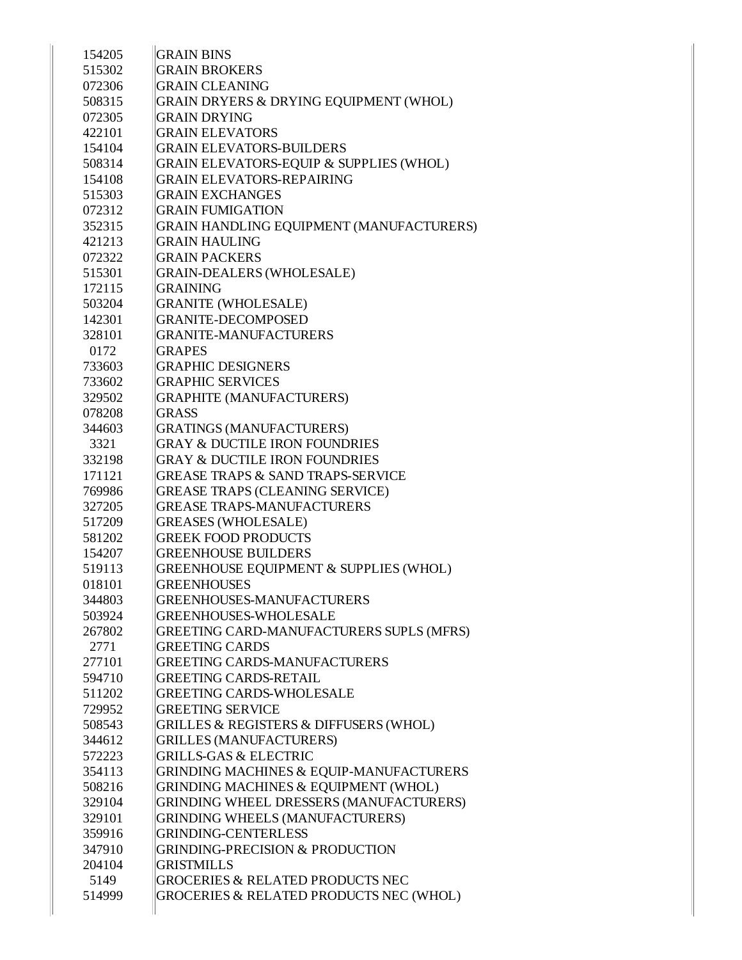| 154205           | <b>GRAIN BINS</b>                                                    |
|------------------|----------------------------------------------------------------------|
| 515302           | <b>GRAIN BROKERS</b>                                                 |
| 072306           | <b>GRAIN CLEANING</b>                                                |
| 508315           | GRAIN DRYERS & DRYING EQUIPMENT (WHOL)                               |
| 072305           | <b>GRAIN DRYING</b>                                                  |
| 422101           | <b>GRAIN ELEVATORS</b>                                               |
| 154104           | <b>GRAIN ELEVATORS-BUILDERS</b>                                      |
| 508314           | GRAIN ELEVATORS-EQUIP & SUPPLIES (WHOL)                              |
| 154108           | <b>GRAIN ELEVATORS-REPAIRING</b>                                     |
| 515303           | <b>GRAIN EXCHANGES</b>                                               |
| 072312           | <b>GRAIN FUMIGATION</b>                                              |
| 352315           | GRAIN HANDLING EQUIPMENT (MANUFACTURERS)                             |
| 421213           | <b>GRAIN HAULING</b>                                                 |
| 072322           | <b>GRAIN PACKERS</b>                                                 |
| 515301           | <b>GRAIN-DEALERS (WHOLESALE)</b>                                     |
| 172115           | <b>GRAINING</b>                                                      |
| 503204           | <b>GRANITE (WHOLESALE)</b>                                           |
| 142301           | <b>GRANITE-DECOMPOSED</b>                                            |
| 328101           | <b>GRANITE-MANUFACTURERS</b>                                         |
| 0172             | <b>GRAPES</b>                                                        |
| 733603           | <b>GRAPHIC DESIGNERS</b>                                             |
| 733602           | <b>GRAPHIC SERVICES</b>                                              |
| 329502           | <b>GRAPHITE (MANUFACTURERS)</b>                                      |
| 078208           | <b>GRASS</b>                                                         |
| 344603           | <b>GRATINGS (MANUFACTURERS)</b>                                      |
| 3321             | <b>GRAY &amp; DUCTILE IRON FOUNDRIES</b>                             |
| 332198           | <b>GRAY &amp; DUCTILE IRON FOUNDRIES</b>                             |
| 171121           | <b>GREASE TRAPS &amp; SAND TRAPS-SERVICE</b>                         |
| 769986           | <b>GREASE TRAPS (CLEANING SERVICE)</b>                               |
| 327205           | <b>GREASE TRAPS-MANUFACTURERS</b>                                    |
| 517209           | <b>GREASES (WHOLESALE)</b>                                           |
| 581202           | <b>GREEK FOOD PRODUCTS</b>                                           |
| 154207           | <b>GREENHOUSE BUILDERS</b>                                           |
| 519113           | GREENHOUSE EQUIPMENT & SUPPLIES (WHOL)                               |
| 018101           | <b>GREENHOUSES</b>                                                   |
| 344803           | <b>GREENHOUSES-MANUFACTURERS</b>                                     |
| 503924           | <b>GREENHOUSES-WHOLESALE</b>                                         |
| 267802           | GREETING CARD-MANUFACTURERS SUPLS (MFRS)                             |
| 2771             | <b>GREETING CARDS</b>                                                |
| 277101           | <b>GREETING CARDS-MANUFACTURERS</b>                                  |
| 594710           | <b>GREETING CARDS-RETAIL</b>                                         |
| 511202           | <b>GREETING CARDS-WHOLESALE</b>                                      |
| 729952           | <b>GREETING SERVICE</b>                                              |
| 508543           | GRILLES & REGISTERS & DIFFUSERS (WHOL)                               |
| 344612           | <b>GRILLES (MANUFACTURERS)</b>                                       |
| 572223           | <b>GRILLS-GAS &amp; ELECTRIC</b>                                     |
| 354113           | <b>GRINDING MACHINES &amp; EQUIP-MANUFACTURERS</b>                   |
| 508216           | GRINDING MACHINES & EQUIPMENT (WHOL)                                 |
| 329104           | GRINDING WHEEL DRESSERS (MANUFACTURERS)                              |
|                  |                                                                      |
| 329101<br>359916 | <b>GRINDING WHEELS (MANUFACTURERS)</b><br><b>GRINDING-CENTERLESS</b> |
|                  |                                                                      |
| 347910<br>204104 | <b>GRINDING-PRECISION &amp; PRODUCTION</b><br><b>GRISTMILLS</b>      |
|                  |                                                                      |
| 5149             | <b>GROCERIES &amp; RELATED PRODUCTS NEC</b>                          |
| 514999           | GROCERIES & RELATED PRODUCTS NEC (WHOL)                              |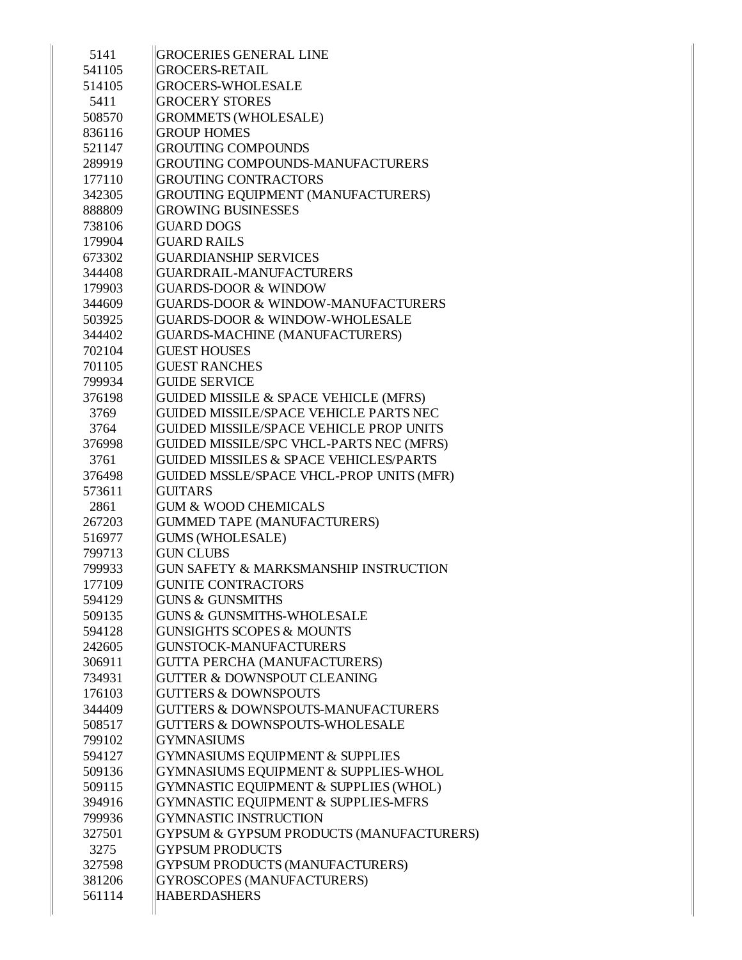| 5141   | <b>GROCERIES GENERAL LINE</b>                  |
|--------|------------------------------------------------|
| 541105 | <b>GROCERS-RETAIL</b>                          |
| 514105 | <b>GROCERS-WHOLESALE</b>                       |
| 5411   | <b>GROCERY STORES</b>                          |
| 508570 | <b>GROMMETS (WHOLESALE)</b>                    |
| 836116 | <b>GROUP HOMES</b>                             |
| 521147 | <b>GROUTING COMPOUNDS</b>                      |
| 289919 | GROUTING COMPOUNDS-MANUFACTURERS               |
| 177110 | <b>GROUTING CONTRACTORS</b>                    |
| 342305 | <b>GROUTING EQUIPMENT (MANUFACTURERS)</b>      |
|        | <b>GROWING BUSINESSES</b>                      |
| 888809 |                                                |
| 738106 | <b>GUARD DOGS</b>                              |
| 179904 | <b>GUARD RAILS</b>                             |
| 673302 | <b>GUARDIANSHIP SERVICES</b>                   |
| 344408 | GUARDRAIL-MANUFACTURERS                        |
| 179903 | <b>GUARDS-DOOR &amp; WINDOW</b>                |
| 344609 | <b>GUARDS-DOOR &amp; WINDOW-MANUFACTURERS</b>  |
| 503925 | <b>GUARDS-DOOR &amp; WINDOW-WHOLESALE</b>      |
| 344402 | GUARDS-MACHINE (MANUFACTURERS)                 |
| 702104 | <b>GUEST HOUSES</b>                            |
| 701105 | <b>GUEST RANCHES</b>                           |
| 799934 | <b>GUIDE SERVICE</b>                           |
| 376198 | GUIDED MISSILE & SPACE VEHICLE (MFRS)          |
| 3769   | <b>GUIDED MISSILE/SPACE VEHICLE PARTS NEC</b>  |
| 3764   | <b>GUIDED MISSILE/SPACE VEHICLE PROP UNITS</b> |
| 376998 | GUIDED MISSILE/SPC VHCL-PARTS NEC (MFRS)       |
| 3761   | GUIDED MISSILES & SPACE VEHICLES/PARTS         |
| 376498 | GUIDED MSSLE/SPACE VHCL-PROP UNITS (MFR)       |
| 573611 | <b>GUITARS</b>                                 |
| 2861   | <b>GUM &amp; WOOD CHEMICALS</b>                |
| 267203 | <b>GUMMED TAPE (MANUFACTURERS)</b>             |
| 516977 | <b>GUMS (WHOLESALE)</b>                        |
| 799713 | <b>GUN CLUBS</b>                               |
| 799933 | GUN SAFETY & MARKSMANSHIP INSTRUCTION          |
| 177109 | <b>GUNITE CONTRACTORS</b>                      |
| 594129 | <b>GUNS &amp; GUNSMITHS</b>                    |
| 509135 | <b>GUNS &amp; GUNSMITHS-WHOLESALE</b>          |
| 594128 | <b>GUNSIGHTS SCOPES &amp; MOUNTS</b>           |
| 242605 | <b>GUNSTOCK-MANUFACTURERS</b>                  |
| 306911 | <b>GUTTA PERCHA (MANUFACTURERS)</b>            |
| 734931 | <b>GUTTER &amp; DOWNSPOUT CLEANING</b>         |
| 176103 | <b>GUTTERS &amp; DOWNSPOUTS</b>                |
| 344409 | GUTTERS & DOWNSPOUTS-MANUFACTURERS             |
| 508517 | <b>GUTTERS &amp; DOWNSPOUTS-WHOLESALE</b>      |
| 799102 | <b>GYMNASIUMS</b>                              |
| 594127 | <b>GYMNASIUMS EQUIPMENT &amp; SUPPLIES</b>     |
| 509136 | GYMNASIUMS EQUIPMENT & SUPPLIES-WHOL           |
| 509115 | GYMNASTIC EQUIPMENT & SUPPLIES (WHOL)          |
| 394916 | GYMNASTIC EQUIPMENT & SUPPLIES-MFRS            |
| 799936 | <b>GYMNASTIC INSTRUCTION</b>                   |
| 327501 | GYPSUM & GYPSUM PRODUCTS (MANUFACTURERS)       |
| 3275   | <b>GYPSUM PRODUCTS</b>                         |
| 327598 | GYPSUM PRODUCTS (MANUFACTURERS)                |
| 381206 | GYROSCOPES (MANUFACTURERS)                     |
| 561114 | <b>HABERDASHERS</b>                            |
|        |                                                |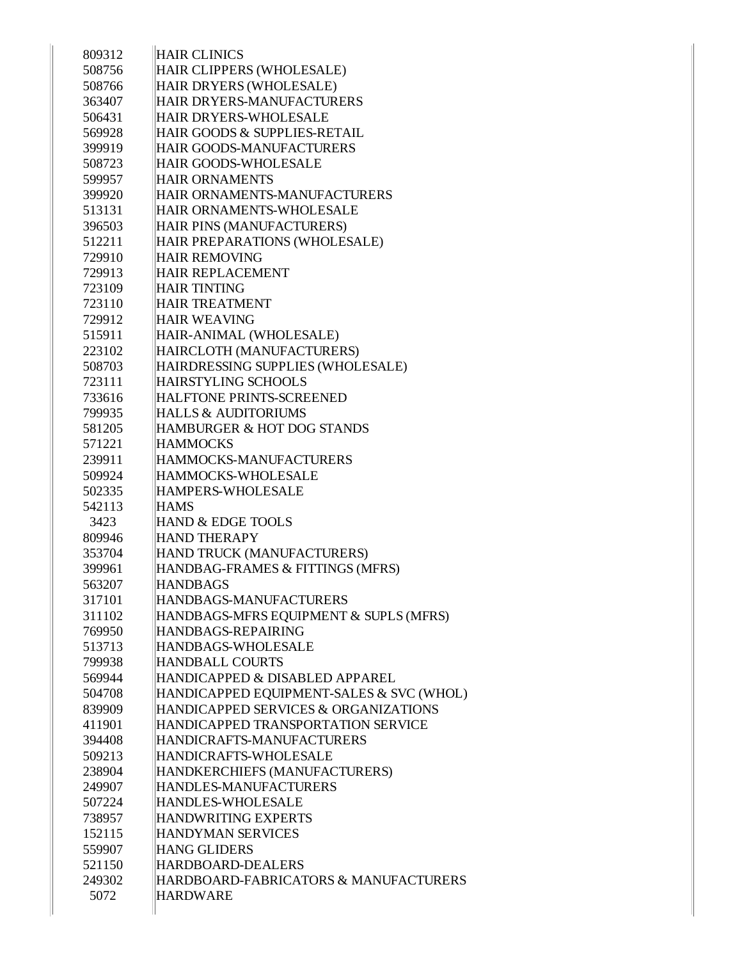| 809312           | <b>HAIR CLINICS</b>                                        |
|------------------|------------------------------------------------------------|
| 508756           | HAIR CLIPPERS (WHOLESALE)                                  |
| 508766           | HAIR DRYERS (WHOLESALE)                                    |
| 363407           | HAIR DRYERS-MANUFACTURERS                                  |
| 506431           | <b>HAIR DRYERS-WHOLESALE</b>                               |
| 569928           | HAIR GOODS & SUPPLIES-RETAIL                               |
|                  | HAIR GOODS-MANUFACTURERS                                   |
| 399919<br>508723 | <b>HAIR GOODS-WHOLESALE</b>                                |
| 599957           | <b>HAIR ORNAMENTS</b>                                      |
| 399920           | HAIR ORNAMENTS-MANUFACTURERS                               |
| 513131           | HAIR ORNAMENTS-WHOLESALE                                   |
| 396503           |                                                            |
| 512211           | HAIR PINS (MANUFACTURERS)<br>HAIR PREPARATIONS (WHOLESALE) |
|                  | <b>HAIR REMOVING</b>                                       |
| 729910<br>729913 | <b>HAIR REPLACEMENT</b>                                    |
|                  | <b>HAIR TINTING</b>                                        |
| 723109           | <b>HAIR TREATMENT</b>                                      |
| 723110           | <b>HAIR WEAVING</b>                                        |
| 729912           |                                                            |
| 515911           | HAIR-ANIMAL (WHOLESALE)                                    |
| 223102           | HAIRCLOTH (MANUFACTURERS)                                  |
| 508703           | HAIRDRESSING SUPPLIES (WHOLESALE)                          |
| 723111           | <b>HAIRSTYLING SCHOOLS</b>                                 |
| 733616           | <b>HALFTONE PRINTS-SCREENED</b>                            |
| 799935           | <b>HALLS &amp; AUDITORIUMS</b>                             |
| 581205           | HAMBURGER & HOT DOG STANDS                                 |
| 571221           | <b>HAMMOCKS</b>                                            |
| 239911           | HAMMOCKS-MANUFACTURERS                                     |
| 509924           | HAMMOCKS-WHOLESALE                                         |
| 502335           | <b>HAMPERS-WHOLESALE</b>                                   |
| 542113           | <b>HAMS</b>                                                |
| 3423             | HAND & EDGE TOOLS                                          |
| 809946           | <b>HAND THERAPY</b>                                        |
| 353704           | HAND TRUCK (MANUFACTURERS)                                 |
| 399961           | HANDBAG-FRAMES & FITTINGS (MFRS)                           |
| 563207           | <b>HANDBAGS</b>                                            |
| 317101           | HANDBAGS-MANUFACTURERS                                     |
| 311102           | HANDBAGS-MFRS EQUIPMENT & SUPLS (MFRS)                     |
| 769950           | HANDBAGS-REPAIRING                                         |
| 513713           | HANDBAGS-WHOLESALE                                         |
| 799938           | <b>HANDBALL COURTS</b>                                     |
| 569944           | HANDICAPPED & DISABLED APPAREL                             |
| 504708           | HANDICAPPED EQUIPMENT-SALES & SVC (WHOL)                   |
| 839909           | HANDICAPPED SERVICES & ORGANIZATIONS                       |
| 411901           | HANDICAPPED TRANSPORTATION SERVICE                         |
| 394408           | HANDICRAFTS-MANUFACTURERS                                  |
| 509213           | HANDICRAFTS-WHOLESALE                                      |
| 238904           | HANDKERCHIEFS (MANUFACTURERS)                              |
| 249907           | HANDLES-MANUFACTURERS                                      |
| 507224           | <b>HANDLES-WHOLESALE</b>                                   |
| 738957           | <b>HANDWRITING EXPERTS</b>                                 |
| 152115           | <b>HANDYMAN SERVICES</b>                                   |
| 559907           | <b>HANG GLIDERS</b>                                        |
| 521150           | HARDBOARD-DEALERS                                          |
| 249302           | HARDBOARD-FABRICATORS & MANUFACTURERS                      |
| 5072             | <b>HARDWARE</b>                                            |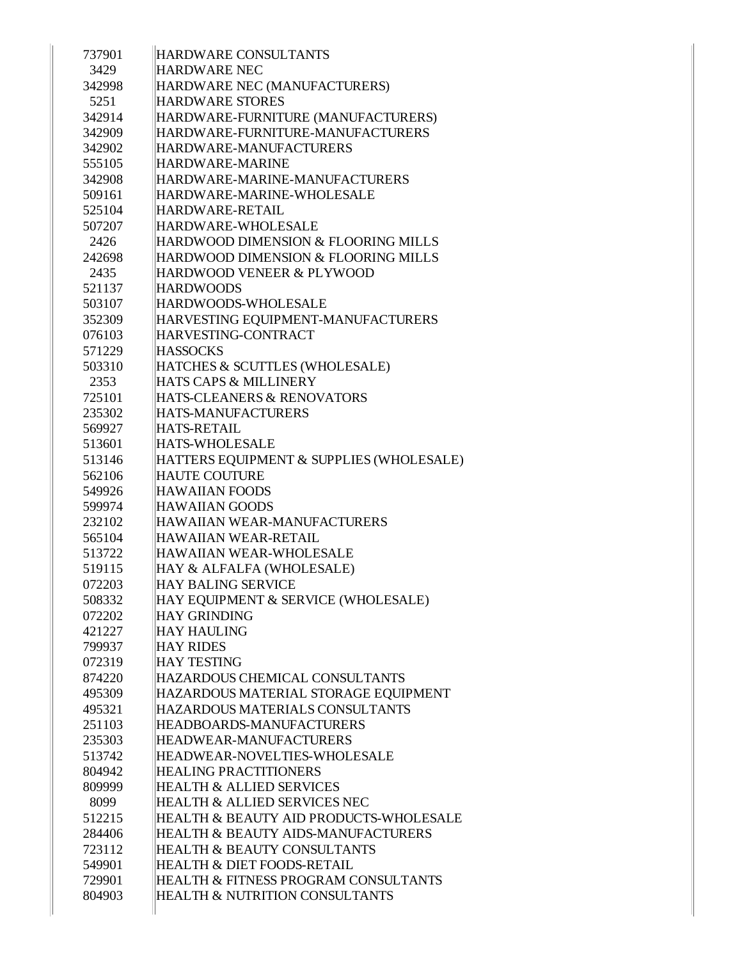| 737901           | HARDWARE CONSULTANTS                                                              |
|------------------|-----------------------------------------------------------------------------------|
| 3429             | <b>HARDWARE NEC</b>                                                               |
| 342998           | HARDWARE NEC (MANUFACTURERS)                                                      |
| 5251             | <b>HARDWARE STORES</b>                                                            |
| 342914           | HARDWARE-FURNITURE (MANUFACTURERS)                                                |
| 342909           | HARDWARE-FURNITURE-MANUFACTURERS                                                  |
| 342902           | HARDWARE-MANUFACTURERS                                                            |
| 555105           | <b>HARDWARE-MARINE</b>                                                            |
| 342908           | HARDWARE-MARINE-MANUFACTURERS                                                     |
| 509161           | HARDWARE-MARINE-WHOLESALE                                                         |
| 525104           | HARDWARE-RETAIL                                                                   |
| 507207           | HARDWARE-WHOLESALE                                                                |
| 2426             | HARDWOOD DIMENSION & FLOORING MILLS                                               |
| 242698           | HARDWOOD DIMENSION & FLOORING MILLS                                               |
| 2435             | <b>HARDWOOD VENEER &amp; PLYWOOD</b>                                              |
| 521137           | <b>HARDWOODS</b>                                                                  |
| 503107           | HARDWOODS-WHOLESALE                                                               |
| 352309           | HARVESTING EQUIPMENT-MANUFACTURERS                                                |
| 076103           | HARVESTING-CONTRACT                                                               |
| 571229           | <b>HASSOCKS</b>                                                                   |
| 503310           | HATCHES & SCUTTLES (WHOLESALE)                                                    |
| 2353             | HATS CAPS & MILLINERY                                                             |
| 725101           | HATS-CLEANERS & RENOVATORS                                                        |
| 235302           | HATS-MANUFACTURERS                                                                |
| 569927           | <b>HATS-RETAIL</b>                                                                |
| 513601           | <b>HATS-WHOLESALE</b>                                                             |
| 513146           | HATTERS EQUIPMENT & SUPPLIES (WHOLESALE)                                          |
| 562106           | <b>HAUTE COUTURE</b>                                                              |
| 549926           | <b>HAWAIIAN FOODS</b>                                                             |
| 599974           | <b>HAWAIIAN GOODS</b>                                                             |
| 232102           | HAWAIIAN WEAR-MANUFACTURERS                                                       |
| 565104           | HAWAIIAN WEAR-RETAIL                                                              |
| 513722           | <b>HAWAIIAN WEAR-WHOLESALE</b>                                                    |
| 519115           | HAY & ALFALFA (WHOLESALE)                                                         |
| 072203           | <b>HAY BALING SERVICE</b>                                                         |
| 508332           | HAY EQUIPMENT & SERVICE (WHOLESALE)                                               |
| 072202           | <b>HAY GRINDING</b>                                                               |
| 421227           | <b>HAY HAULING</b>                                                                |
| 799937           | <b>HAY RIDES</b>                                                                  |
| 072319           | <b>HAY TESTING</b>                                                                |
| 874220           | HAZARDOUS CHEMICAL CONSULTANTS                                                    |
| 495309           | HAZARDOUS MATERIAL STORAGE EQUIPMENT                                              |
| 495321           | HAZARDOUS MATERIALS CONSULTANTS                                                   |
| 251103           | HEADBOARDS-MANUFACTURERS                                                          |
| 235303           | HEADWEAR-MANUFACTURERS                                                            |
| 513742           | HEADWEAR-NOVELTIES-WHOLESALE                                                      |
| 804942           | <b>HEALING PRACTITIONERS</b>                                                      |
| 809999           | <b>HEALTH &amp; ALLIED SERVICES</b>                                               |
| 8099             | <b>HEALTH &amp; ALLIED SERVICES NEC</b>                                           |
| 512215           | HEALTH & BEAUTY AID PRODUCTS-WHOLESALE                                            |
| 284406           | <b>HEALTH &amp; BEAUTY AIDS-MANUFACTURERS</b>                                     |
| 723112           | <b>HEALTH &amp; BEAUTY CONSULTANTS</b>                                            |
| 549901           | <b>HEALTH &amp; DIET FOODS-RETAIL</b>                                             |
|                  |                                                                                   |
| 729901<br>804903 | HEALTH & FITNESS PROGRAM CONSULTANTS<br><b>HEALTH &amp; NUTRITION CONSULTANTS</b> |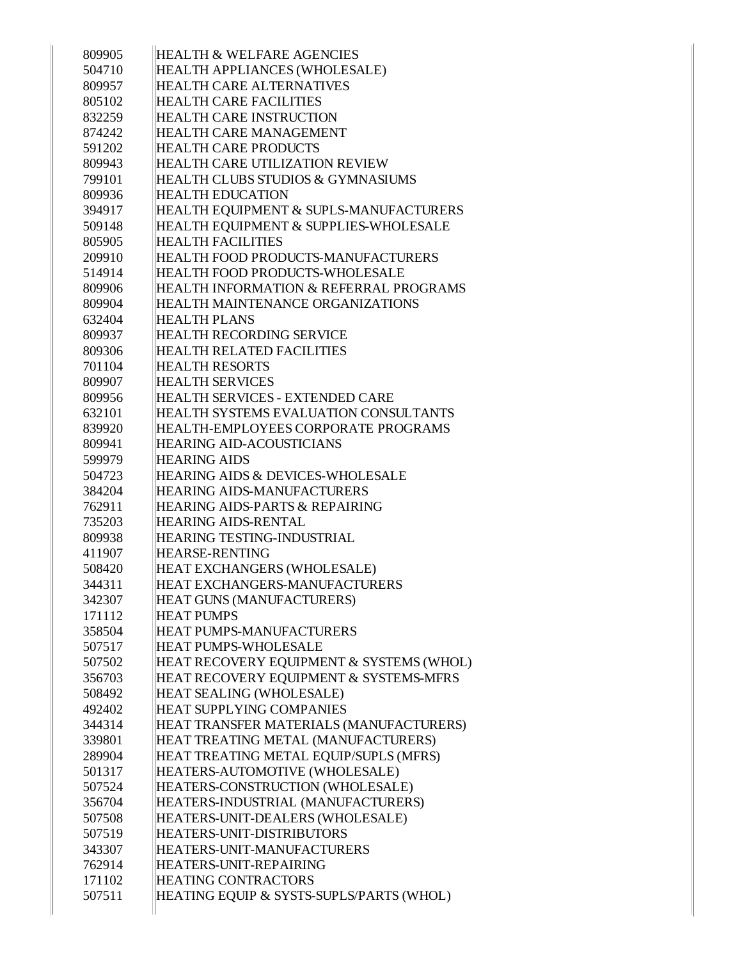| 809905 | <b>HEALTH &amp; WELFARE AGENCIES</b>     |
|--------|------------------------------------------|
| 504710 | HEALTH APPLIANCES (WHOLESALE)            |
| 809957 | <b>HEALTH CARE ALTERNATIVES</b>          |
| 805102 | <b>HEALTH CARE FACILITIES</b>            |
| 832259 | <b>HEALTH CARE INSTRUCTION</b>           |
| 874242 | <b>HEALTH CARE MANAGEMENT</b>            |
| 591202 | <b>HEALTH CARE PRODUCTS</b>              |
| 809943 | HEALTH CARE UTILIZATION REVIEW           |
| 799101 | HEALTH CLUBS STUDIOS & GYMNASIUMS        |
| 809936 | <b>HEALTH EDUCATION</b>                  |
| 394917 | HEALTH EQUIPMENT & SUPLS-MANUFACTURERS   |
| 509148 | HEALTH EQUIPMENT & SUPPLIES-WHOLESALE    |
| 805905 | <b>HEALTH FACILITIES</b>                 |
| 209910 | HEALTH FOOD PRODUCTS-MANUFACTURERS       |
| 514914 | HEALTH FOOD PRODUCTS-WHOLESALE           |
| 809906 | HEALTH INFORMATION & REFERRAL PROGRAMS   |
| 809904 | HEALTH MAINTENANCE ORGANIZATIONS         |
| 632404 | <b>HEALTH PLANS</b>                      |
| 809937 | <b>HEALTH RECORDING SERVICE</b>          |
| 809306 | <b>HEALTH RELATED FACILITIES</b>         |
| 701104 | <b>HEALTH RESORTS</b>                    |
| 809907 | <b>HEALTH SERVICES</b>                   |
| 809956 | HEALTH SERVICES - EXTENDED CARE          |
| 632101 | HEALTH SYSTEMS EVALUATION CONSULTANTS    |
| 839920 | HEALTH-EMPLOYEES CORPORATE PROGRAMS      |
| 809941 | <b>HEARING AID-ACOUSTICIANS</b>          |
| 599979 | <b>HEARING AIDS</b>                      |
| 504723 | HEARING AIDS & DEVICES-WHOLESALE         |
| 384204 | <b>HEARING AIDS-MANUFACTURERS</b>        |
| 762911 | HEARING AIDS-PARTS & REPAIRING           |
| 735203 | <b>HEARING AIDS-RENTAL</b>               |
| 809938 | <b>HEARING TESTING-INDUSTRIAL</b>        |
| 411907 | <b>HEARSE-RENTING</b>                    |
| 508420 | HEAT EXCHANGERS (WHOLESALE)              |
| 344311 | HEAT EXCHANGERS-MANUFACTURERS            |
| 342307 | <b>HEAT GUNS (MANUFACTURERS)</b>         |
| 171112 | <b>HEAT PUMPS</b>                        |
| 358504 | <b>HEAT PUMPS-MANUFACTURERS</b>          |
| 507517 | <b>HEAT PUMPS-WHOLESALE</b>              |
| 507502 | HEAT RECOVERY EQUIPMENT & SYSTEMS (WHOL) |
| 356703 | HEAT RECOVERY EQUIPMENT & SYSTEMS-MFRS   |
| 508492 | <b>HEAT SEALING (WHOLESALE)</b>          |
| 492402 | <b>HEAT SUPPLYING COMPANIES</b>          |
| 344314 | HEAT TRANSFER MATERIALS (MANUFACTURERS)  |
| 339801 | HEAT TREATING METAL (MANUFACTURERS)      |
| 289904 | HEAT TREATING METAL EQUIP/SUPLS (MFRS)   |
| 501317 | HEATERS-AUTOMOTIVE (WHOLESALE)           |
| 507524 | HEATERS-CONSTRUCTION (WHOLESALE)         |
| 356704 | HEATERS-INDUSTRIAL (MANUFACTURERS)       |
| 507508 | HEATERS-UNIT-DEALERS (WHOLESALE)         |
| 507519 | <b>HEATERS-UNIT-DISTRIBUTORS</b>         |
| 343307 | HEATERS-UNIT-MANUFACTURERS               |
| 762914 | HEATERS-UNIT-REPAIRING                   |
| 171102 | <b>HEATING CONTRACTORS</b>               |
| 507511 | HEATING EQUIP & SYSTS-SUPLS/PARTS (WHOL) |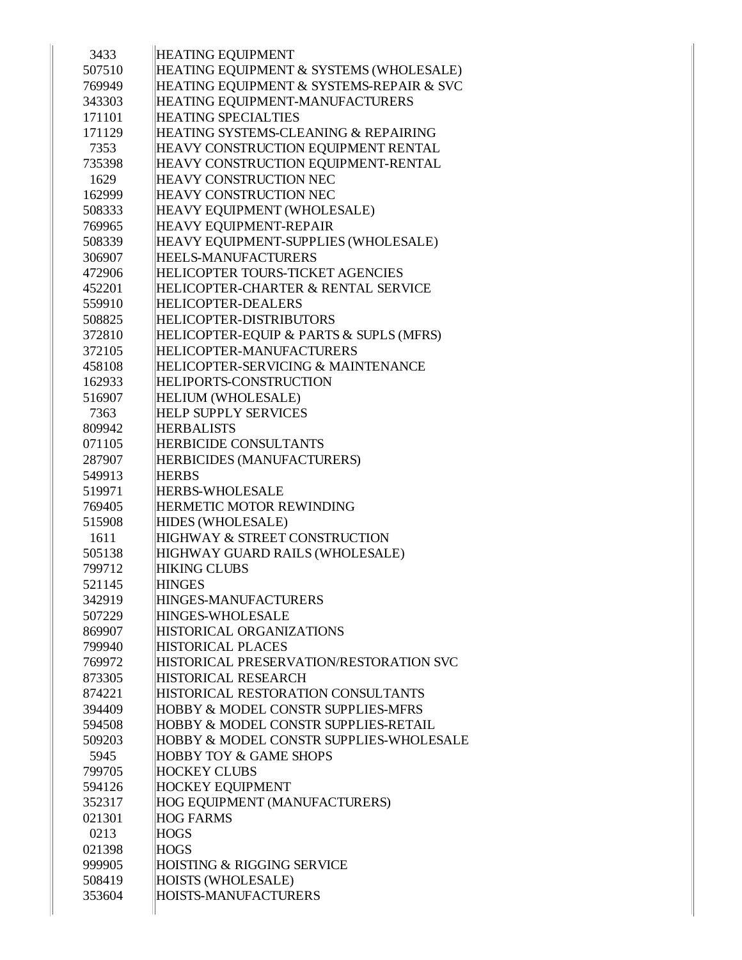| 3433   | <b>HEATING EQUIPMENT</b>                           |
|--------|----------------------------------------------------|
| 507510 | HEATING EQUIPMENT & SYSTEMS (WHOLESALE)            |
| 769949 | HEATING EQUIPMENT & SYSTEMS-REPAIR & SVC           |
| 343303 | HEATING EQUIPMENT-MANUFACTURERS                    |
| 171101 | <b>HEATING SPECIALTIES</b>                         |
| 171129 | HEATING SYSTEMS-CLEANING & REPAIRING               |
| 7353   | HEAVY CONSTRUCTION EQUIPMENT RENTAL                |
| 735398 | HEAVY CONSTRUCTION EQUIPMENT-RENTAL                |
| 1629   | <b>HEAVY CONSTRUCTION NEC</b>                      |
| 162999 | <b>HEAVY CONSTRUCTION NEC</b>                      |
| 508333 | HEAVY EQUIPMENT (WHOLESALE)                        |
| 769965 | <b>HEAVY EQUIPMENT-REPAIR</b>                      |
| 508339 | HEAVY EQUIPMENT-SUPPLIES (WHOLESALE)               |
| 306907 | <b>HEELS-MANUFACTURERS</b>                         |
| 472906 | <b>HELICOPTER TOURS-TICKET AGENCIES</b>            |
| 452201 | HELICOPTER-CHARTER & RENTAL SERVICE                |
| 559910 | <b>HELICOPTER-DEALERS</b>                          |
| 508825 | <b>HELICOPTER-DISTRIBUTORS</b>                     |
| 372810 | HELICOPTER-EQUIP & PARTS & SUPLS (MFRS)            |
| 372105 | HELICOPTER-MANUFACTURERS                           |
| 458108 | HELICOPTER-SERVICING & MAINTENANCE                 |
| 162933 | <b>HELIPORTS-CONSTRUCTION</b>                      |
| 516907 | <b>HELIUM (WHOLESALE)</b>                          |
| 7363   | <b>HELP SUPPLY SERVICES</b>                        |
| 809942 | <b>HERBALISTS</b>                                  |
| 071105 | <b>HERBICIDE CONSULTANTS</b>                       |
| 287907 | HERBICIDES (MANUFACTURERS)                         |
| 549913 | <b>HERBS</b>                                       |
| 519971 | <b>HERBS-WHOLESALE</b>                             |
| 769405 | HERMETIC MOTOR REWINDING                           |
| 515908 | HIDES (WHOLESALE)                                  |
| 1611   | <b>HIGHWAY &amp; STREET CONSTRUCTION</b>           |
| 505138 | HIGHWAY GUARD RAILS (WHOLESALE)                    |
| 799712 | <b>HIKING CLUBS</b>                                |
| 521145 | <b>HINGES</b>                                      |
| 342919 | HINGES-MANUFACTURERS                               |
| 507229 | <b>HINGES-WHOLESALE</b>                            |
| 869907 | HISTORICAL ORGANIZATIONS                           |
| 799940 | <b>HISTORICAL PLACES</b>                           |
| 769972 | HISTORICAL PRESERVATION/RESTORATION SVC            |
| 873305 | HISTORICAL RESEARCH                                |
| 874221 | HISTORICAL RESTORATION CONSULTANTS                 |
| 394409 | <b>HOBBY &amp; MODEL CONSTR SUPPLIES-MFRS</b>      |
| 594508 | <b>HOBBY &amp; MODEL CONSTR SUPPLIES-RETAIL</b>    |
| 509203 | <b>HOBBY &amp; MODEL CONSTR SUPPLIES-WHOLESALE</b> |
| 5945   | <b>HOBBY TOY &amp; GAME SHOPS</b>                  |
| 799705 | <b>HOCKEY CLUBS</b>                                |
| 594126 | <b>HOCKEY EQUIPMENT</b>                            |
| 352317 | HOG EQUIPMENT (MANUFACTURERS)                      |
| 021301 | <b>HOG FARMS</b>                                   |
| 0213   | <b>HOGS</b>                                        |
| 021398 | <b>HOGS</b>                                        |
| 999905 | <b>HOISTING &amp; RIGGING SERVICE</b>              |
| 508419 | <b>HOISTS (WHOLESALE)</b>                          |
| 353604 | <b>HOISTS-MANUFACTURERS</b>                        |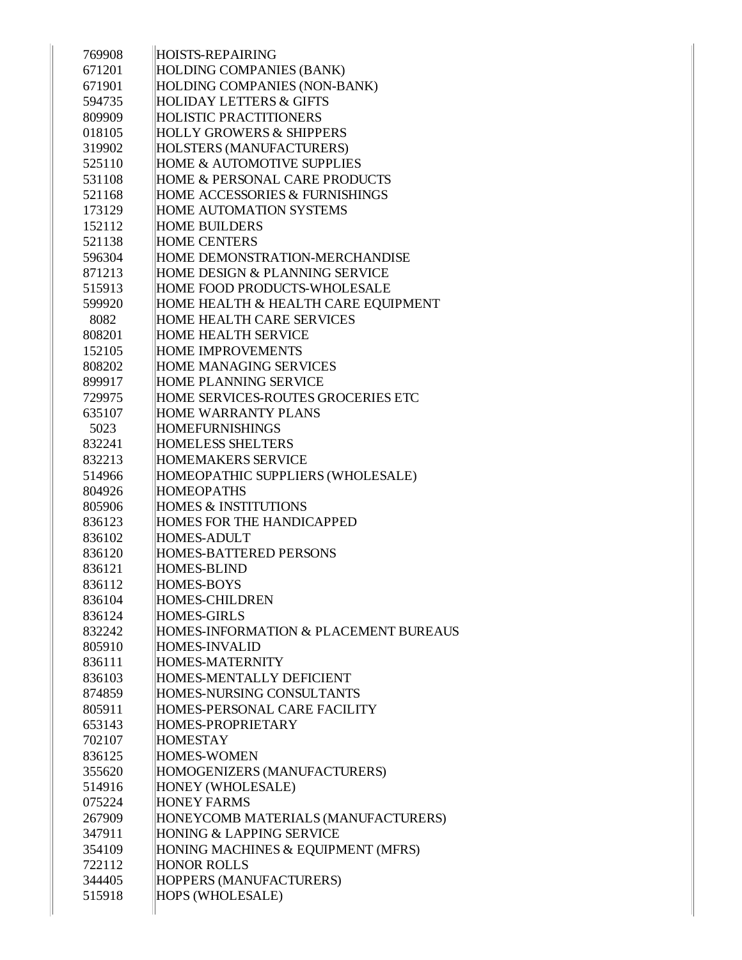| 769908 | <b>HOISTS-REPAIRING</b>                   |
|--------|-------------------------------------------|
| 671201 | HOLDING COMPANIES (BANK)                  |
| 671901 | HOLDING COMPANIES (NON-BANK)              |
| 594735 | <b>HOLIDAY LETTERS &amp; GIFTS</b>        |
| 809909 | <b>HOLISTIC PRACTITIONERS</b>             |
| 018105 | <b>HOLLY GROWERS &amp; SHIPPERS</b>       |
| 319902 | HOLSTERS (MANUFACTURERS)                  |
| 525110 | <b>HOME &amp; AUTOMOTIVE SUPPLIES</b>     |
| 531108 | HOME & PERSONAL CARE PRODUCTS             |
| 521168 | <b>HOME ACCESSORIES &amp; FURNISHINGS</b> |
| 173129 | <b>HOME AUTOMATION SYSTEMS</b>            |
| 152112 | <b>HOME BUILDERS</b>                      |
| 521138 | <b>HOME CENTERS</b>                       |
| 596304 | HOME DEMONSTRATION-MERCHANDISE            |
| 871213 | HOME DESIGN & PLANNING SERVICE            |
| 515913 | HOME FOOD PRODUCTS-WHOLESALE              |
| 599920 | HOME HEALTH & HEALTH CARE EQUIPMENT       |
| 8082   | HOME HEALTH CARE SERVICES                 |
| 808201 | <b>HOME HEALTH SERVICE</b>                |
| 152105 | <b>HOME IMPROVEMENTS</b>                  |
| 808202 | <b>HOME MANAGING SERVICES</b>             |
| 899917 | <b>HOME PLANNING SERVICE</b>              |
| 729975 | HOME SERVICES-ROUTES GROCERIES ETC        |
| 635107 | <b>HOME WARRANTY PLANS</b>                |
| 5023   | <b>HOMEFURNISHINGS</b>                    |
| 832241 | <b>HOMELESS SHELTERS</b>                  |
| 832213 | <b>HOMEMAKERS SERVICE</b>                 |
| 514966 | HOMEOPATHIC SUPPLIERS (WHOLESALE)         |
| 804926 | <b>HOMEOPATHS</b>                         |
| 805906 | <b>HOMES &amp; INSTITUTIONS</b>           |
| 836123 | <b>HOMES FOR THE HANDICAPPED</b>          |
| 836102 | <b>HOMES-ADULT</b>                        |
| 836120 | <b>HOMES-BATTERED PERSONS</b>             |
| 836121 | <b>HOMES-BLIND</b>                        |
| 836112 | <b>HOMES-BOYS</b>                         |
| 836104 | <b>HOMES-CHILDREN</b>                     |
| 836124 | <b>HOMES-GIRLS</b>                        |
| 832242 | HOMES-INFORMATION & PLACEMENT BUREAUS     |
| 805910 | <b>HOMES-INVALID</b>                      |
| 836111 | <b>HOMES-MATERNITY</b>                    |
| 836103 | <b>HOMES-MENTALLY DEFICIENT</b>           |
| 874859 | HOMES-NURSING CONSULTANTS                 |
| 805911 | HOMES-PERSONAL CARE FACILITY              |
| 653143 | HOMES-PROPRIETARY                         |
| 702107 | <b>HOMESTAY</b>                           |
| 836125 | <b>HOMES-WOMEN</b>                        |
| 355620 | HOMOGENIZERS (MANUFACTURERS)              |
| 514916 | HONEY (WHOLESALE)                         |
| 075224 | <b>HONEY FARMS</b>                        |
| 267909 | HONEYCOMB MATERIALS (MANUFACTURERS)       |
| 347911 | HONING & LAPPING SERVICE                  |
| 354109 | HONING MACHINES & EQUIPMENT (MFRS)        |
| 722112 | <b>HONOR ROLLS</b>                        |
| 344405 | HOPPERS (MANUFACTURERS)                   |
| 515918 | <b>HOPS (WHOLESALE)</b>                   |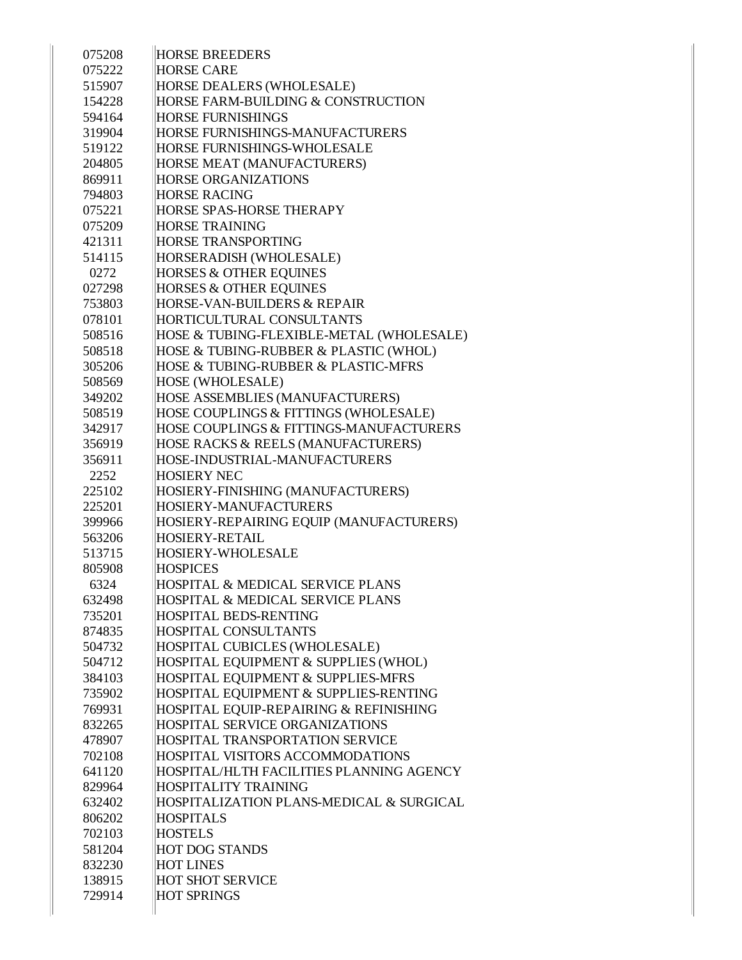| 075208 | <b>HORSE BREEDERS</b>                       |
|--------|---------------------------------------------|
| 075222 | <b>HORSE CARE</b>                           |
| 515907 | HORSE DEALERS (WHOLESALE)                   |
| 154228 | HORSE FARM-BUILDING & CONSTRUCTION          |
| 594164 | <b>HORSE FURNISHINGS</b>                    |
| 319904 | HORSE FURNISHINGS-MANUFACTURERS             |
| 519122 | <b>HORSE FURNISHINGS-WHOLESALE</b>          |
| 204805 | HORSE MEAT (MANUFACTURERS)                  |
| 869911 | <b>HORSE ORGANIZATIONS</b>                  |
| 794803 | <b>HORSE RACING</b>                         |
| 075221 | <b>HORSE SPAS-HORSE THERAPY</b>             |
| 075209 | <b>HORSE TRAINING</b>                       |
| 421311 | <b>HORSE TRANSPORTING</b>                   |
| 514115 | HORSERADISH (WHOLESALE)                     |
| 0272   | <b>HORSES &amp; OTHER EQUINES</b>           |
| 027298 | <b>HORSES &amp; OTHER EQUINES</b>           |
| 753803 | HORSE-VAN-BUILDERS & REPAIR                 |
| 078101 | HORTICULTURAL CONSULTANTS                   |
| 508516 | HOSE & TUBING-FLEXIBLE-METAL (WHOLESALE)    |
| 508518 | HOSE & TUBING-RUBBER & PLASTIC (WHOL)       |
| 305206 | HOSE & TUBING-RUBBER & PLASTIC-MFRS         |
| 508569 | <b>HOSE (WHOLESALE)</b>                     |
| 349202 | HOSE ASSEMBLIES (MANUFACTURERS)             |
| 508519 | HOSE COUPLINGS & FITTINGS (WHOLESALE)       |
| 342917 | HOSE COUPLINGS & FITTINGS-MANUFACTURERS     |
| 356919 | HOSE RACKS & REELS (MANUFACTURERS)          |
| 356911 | HOSE-INDUSTRIAL-MANUFACTURERS               |
| 2252   | <b>HOSIERY NEC</b>                          |
| 225102 | HOSIERY-FINISHING (MANUFACTURERS)           |
| 225201 | HOSIERY-MANUFACTURERS                       |
| 399966 | HOSIERY-REPAIRING EQUIP (MANUFACTURERS)     |
| 563206 | <b>HOSIERY-RETAIL</b>                       |
| 513715 | HOSIERY-WHOLESALE                           |
| 805908 | <b>HOSPICES</b>                             |
| 6324   | HOSPITAL & MEDICAL SERVICE PLANS            |
| 632498 | <b>HOSPITAL &amp; MEDICAL SERVICE PLANS</b> |
| 735201 | <b>HOSPITAL BEDS-RENTING</b>                |
| 874835 | <b>HOSPITAL CONSULTANTS</b>                 |
| 504732 | HOSPITAL CUBICLES (WHOLESALE)               |
| 504712 | HOSPITAL EQUIPMENT & SUPPLIES (WHOL)        |
| 384103 | HOSPITAL EQUIPMENT & SUPPLIES-MFRS          |
| 735902 | HOSPITAL EQUIPMENT & SUPPLIES-RENTING       |
| 769931 | HOSPITAL EQUIP-REPAIRING & REFINISHING      |
| 832265 | HOSPITAL SERVICE ORGANIZATIONS              |
| 478907 | HOSPITAL TRANSPORTATION SERVICE             |
| 702108 | HOSPITAL VISITORS ACCOMMODATIONS            |
| 641120 | HOSPITAL/HLTH FACILITIES PLANNING AGENCY    |
| 829964 | <b>HOSPITALITY TRAINING</b>                 |
| 632402 | HOSPITALIZATION PLANS-MEDICAL & SURGICAL    |
| 806202 | <b>HOSPITALS</b>                            |
| 702103 | <b>HOSTELS</b>                              |
| 581204 | <b>HOT DOG STANDS</b>                       |
| 832230 | <b>HOT LINES</b>                            |
| 138915 | <b>HOT SHOT SERVICE</b>                     |
| 729914 | <b>HOT SPRINGS</b>                          |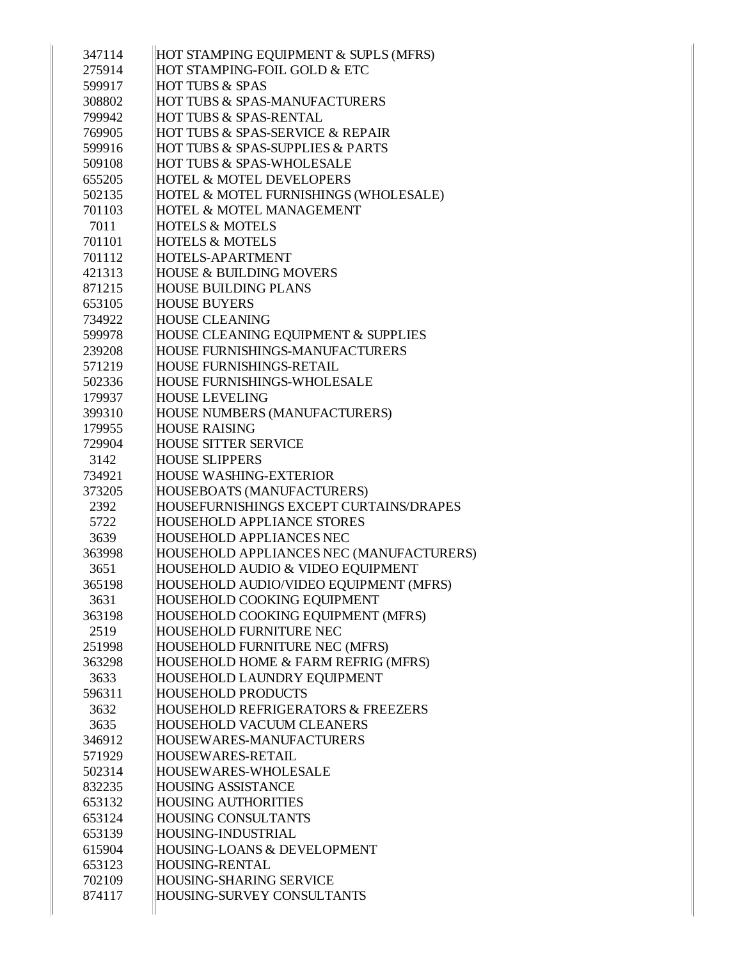| 347114 | HOT STAMPING EQUIPMENT & SUPLS (MFRS)           |
|--------|-------------------------------------------------|
| 275914 | HOT STAMPING-FOIL GOLD & ETC                    |
| 599917 | <b>HOT TUBS &amp; SPAS</b>                      |
| 308802 | HOT TUBS & SPAS-MANUFACTURERS                   |
| 799942 | HOT TUBS & SPAS-RENTAL                          |
| 769905 | HOT TUBS & SPAS-SERVICE & REPAIR                |
| 599916 | <b>HOT TUBS &amp; SPAS-SUPPLIES &amp; PARTS</b> |
| 509108 | <b>HOT TUBS &amp; SPAS-WHOLESALE</b>            |
| 655205 | <b>HOTEL &amp; MOTEL DEVELOPERS</b>             |
| 502135 | HOTEL & MOTEL FURNISHINGS (WHOLESALE)           |
| 701103 | HOTEL & MOTEL MANAGEMENT                        |
| 7011   | <b>HOTELS &amp; MOTELS</b>                      |
| 701101 | <b>HOTELS &amp; MOTELS</b>                      |
| 701112 | <b>HOTELS-APARTMENT</b>                         |
| 421313 | <b>HOUSE &amp; BUILDING MOVERS</b>              |
| 871215 | <b>HOUSE BUILDING PLANS</b>                     |
| 653105 | <b>HOUSE BUYERS</b>                             |
| 734922 | <b>HOUSE CLEANING</b>                           |
| 599978 | HOUSE CLEANING EQUIPMENT & SUPPLIES             |
| 239208 | <b>HOUSE FURNISHINGS-MANUFACTURERS</b>          |
| 571219 | <b>HOUSE FURNISHINGS-RETAIL</b>                 |
| 502336 | <b>HOUSE FURNISHINGS-WHOLESALE</b>              |
| 179937 | <b>HOUSE LEVELING</b>                           |
| 399310 | HOUSE NUMBERS (MANUFACTURERS)                   |
| 179955 | <b>HOUSE RAISING</b>                            |
| 729904 | <b>HOUSE SITTER SERVICE</b>                     |
| 3142   | <b>HOUSE SLIPPERS</b>                           |
| 734921 | <b>HOUSE WASHING-EXTERIOR</b>                   |
| 373205 | HOUSEBOATS (MANUFACTURERS)                      |
| 2392   | HOUSEFURNISHINGS EXCEPT CURTAINS/DRAPES         |
| 5722   | <b>HOUSEHOLD APPLIANCE STORES</b>               |
| 3639   | <b>HOUSEHOLD APPLIANCES NEC</b>                 |
| 363998 | HOUSEHOLD APPLIANCES NEC (MANUFACTURERS)        |
| 3651   | HOUSEHOLD AUDIO & VIDEO EQUIPMENT               |
| 365198 | HOUSEHOLD AUDIO/VIDEO EQUIPMENT (MFRS)          |
| 3631   | HOUSEHOLD COOKING EQUIPMENT                     |
| 363198 | HOUSEHOLD COOKING EQUIPMENT (MFRS)              |
| 2519   | <b>HOUSEHOLD FURNITURE NEC</b>                  |
| 251998 | HOUSEHOLD FURNITURE NEC (MFRS)                  |
| 363298 | HOUSEHOLD HOME & FARM REFRIG (MFRS)             |
| 3633   | HOUSEHOLD LAUNDRY EQUIPMENT                     |
| 596311 | <b>HOUSEHOLD PRODUCTS</b>                       |
| 3632   | HOUSEHOLD REFRIGERATORS & FREEZERS              |
| 3635   | <b>HOUSEHOLD VACUUM CLEANERS</b>                |
| 346912 | HOUSEWARES-MANUFACTURERS                        |
| 571929 | <b>HOUSEWARES-RETAIL</b>                        |
| 502314 | <b>HOUSEWARES-WHOLESALE</b>                     |
| 832235 | <b>HOUSING ASSISTANCE</b>                       |
| 653132 | <b>HOUSING AUTHORITIES</b>                      |
| 653124 | <b>HOUSING CONSULTANTS</b>                      |
| 653139 | HOUSING-INDUSTRIAL                              |
| 615904 | HOUSING-LOANS & DEVELOPMENT                     |
| 653123 | <b>HOUSING-RENTAL</b>                           |
| 702109 | <b>HOUSING-SHARING SERVICE</b>                  |
| 874117 | HOUSING-SURVEY CONSULTANTS                      |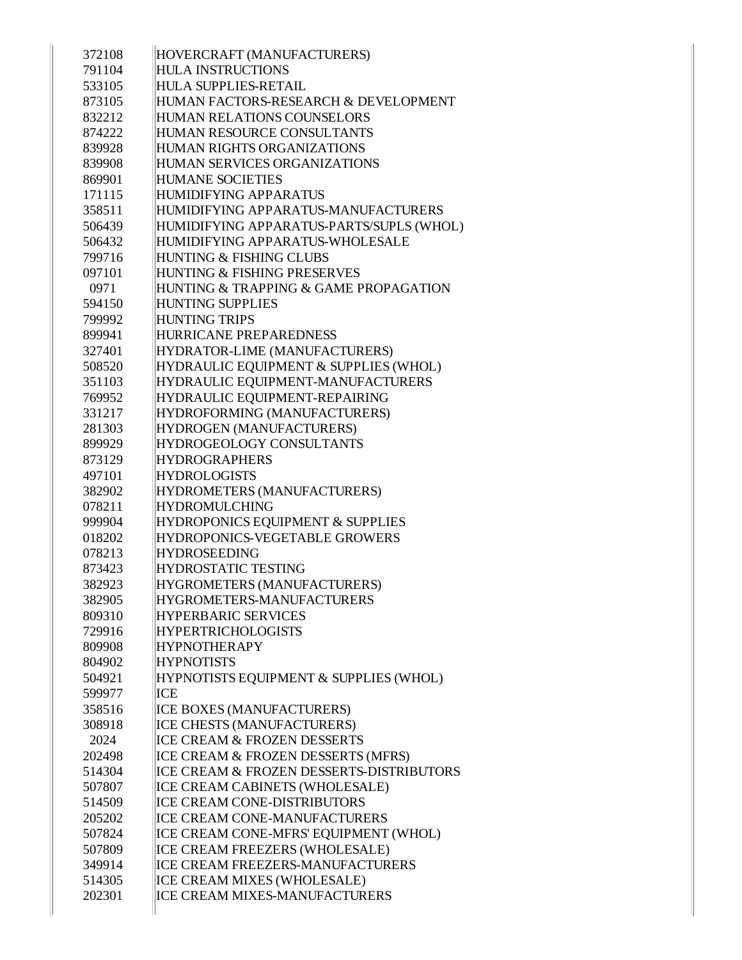| 372108 | HOVERCRAFT (MANUFACTURERS)               |
|--------|------------------------------------------|
| 791104 | <b>HULA INSTRUCTIONS</b>                 |
| 533105 | <b>HULA SUPPLIES-RETAIL</b>              |
| 873105 | HUMAN FACTORS-RESEARCH & DEVELOPMENT     |
| 832212 | <b>HUMAN RELATIONS COUNSELORS</b>        |
| 874222 | HUMAN RESOURCE CONSULTANTS               |
| 839928 | HUMAN RIGHTS ORGANIZATIONS               |
| 839908 | HUMAN SERVICES ORGANIZATIONS             |
| 869901 | <b>HUMANE SOCIETIES</b>                  |
| 171115 | <b>HUMIDIFYING APPARATUS</b>             |
| 358511 | HUMIDIFYING APPARATUS-MANUFACTURERS      |
| 506439 | HUMIDIFYING APPARATUS-PARTS/SUPLS (WHOL) |
| 506432 | HUMIDIFYING APPARATUS-WHOLESALE          |
| 799716 | HUNTING & FISHING CLUBS                  |
| 097101 | HUNTING & FISHING PRESERVES              |
| 0971   | HUNTING & TRAPPING & GAME PROPAGATION    |
| 594150 | <b>HUNTING SUPPLIES</b>                  |
| 799992 | <b>HUNTING TRIPS</b>                     |
| 899941 | <b>HURRICANE PREPAREDNESS</b>            |
| 327401 | HYDRATOR-LIME (MANUFACTURERS)            |
| 508520 | HYDRAULIC EQUIPMENT & SUPPLIES (WHOL)    |
| 351103 | HYDRAULIC EQUIPMENT-MANUFACTURERS        |
| 769952 | HYDRAULIC EQUIPMENT-REPAIRING            |
| 331217 | HYDROFORMING (MANUFACTURERS)             |
| 281303 | HYDROGEN (MANUFACTURERS)                 |
| 899929 | HYDROGEOLOGY CONSULTANTS                 |
| 873129 | <b>HYDROGRAPHERS</b>                     |
| 497101 | <b>HYDROLOGISTS</b>                      |
| 382902 | HYDROMETERS (MANUFACTURERS)              |
| 078211 | <b>HYDROMULCHING</b>                     |
| 999904 | HYDROPONICS EQUIPMENT & SUPPLIES         |
| 018202 | HYDROPONICS-VEGETABLE GROWERS            |
| 078213 | <b>HYDROSEEDING</b>                      |
| 873423 | <b>HYDROSTATIC TESTING</b>               |
| 382923 | HYGROMETERS (MANUFACTURERS)              |
| 382905 | HYGROMETERS-MANUFACTURERS                |
| 809310 | <b>HYPERBARIC SERVICES</b>               |
| 729916 | <b>HYPERTRICHOLOGISTS</b>                |
| 809908 | <b>HYPNOTHERAPY</b>                      |
| 804902 | <b>HYPNOTISTS</b>                        |
| 504921 | HYPNOTISTS EQUIPMENT & SUPPLIES (WHOL)   |
| 599977 | <b>ICE</b>                               |
| 358516 | ICE BOXES (MANUFACTURERS)                |
|        |                                          |
| 308918 | ICE CHESTS (MANUFACTURERS)               |
| 2024   | ICE CREAM & FROZEN DESSERTS              |
| 202498 | ICE CREAM & FROZEN DESSERTS (MFRS)       |
| 514304 | ICE CREAM & FROZEN DESSERTS-DISTRIBUTORS |
| 507807 | ICE CREAM CABINETS (WHOLESALE)           |
| 514509 | ICE CREAM CONE-DISTRIBUTORS              |
| 205202 | ICE CREAM CONE-MANUFACTURERS             |
| 507824 | ICE CREAM CONE-MFRS' EQUIPMENT (WHOL)    |
| 507809 | ICE CREAM FREEZERS (WHOLESALE)           |
| 349914 | ICE CREAM FREEZERS-MANUFACTURERS         |
| 514305 | ICE CREAM MIXES (WHOLESALE)              |
| 202301 | ICE CREAM MIXES-MANUFACTURERS            |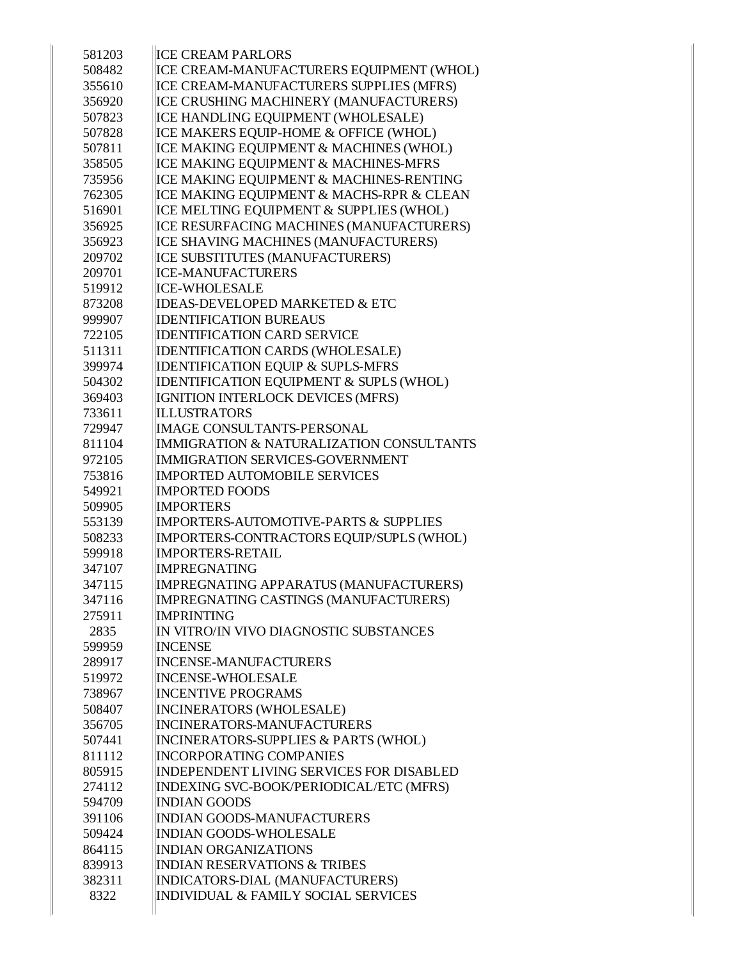| 581203 | <b>ICE CREAM PARLORS</b>                        |
|--------|-------------------------------------------------|
| 508482 | ICE CREAM-MANUFACTURERS EQUIPMENT (WHOL)        |
| 355610 | ICE CREAM-MANUFACTURERS SUPPLIES (MFRS)         |
| 356920 | ICE CRUSHING MACHINERY (MANUFACTURERS)          |
| 507823 | ICE HANDLING EQUIPMENT (WHOLESALE)              |
| 507828 | ICE MAKERS EQUIP-HOME & OFFICE (WHOL)           |
| 507811 | ICE MAKING EQUIPMENT & MACHINES (WHOL)          |
| 358505 | ICE MAKING EQUIPMENT & MACHINES-MFRS            |
| 735956 | ICE MAKING EQUIPMENT & MACHINES-RENTING         |
| 762305 | ICE MAKING EQUIPMENT & MACHS-RPR & CLEAN        |
| 516901 | ICE MELTING EQUIPMENT & SUPPLIES (WHOL)         |
| 356925 | ICE RESURFACING MACHINES (MANUFACTURERS)        |
| 356923 | ICE SHAVING MACHINES (MANUFACTURERS)            |
| 209702 | ICE SUBSTITUTES (MANUFACTURERS)                 |
| 209701 | <b>ICE-MANUFACTURERS</b>                        |
| 519912 | <b>ICE-WHOLESALE</b>                            |
| 873208 | <b>IDEAS-DEVELOPED MARKETED &amp; ETC</b>       |
| 999907 | <b>IDENTIFICATION BUREAUS</b>                   |
| 722105 | <b>IDENTIFICATION CARD SERVICE</b>              |
| 511311 | IDENTIFICATION CARDS (WHOLESALE)                |
| 399974 | <b>IDENTIFICATION EQUIP &amp; SUPLS-MFRS</b>    |
| 504302 | IDENTIFICATION EQUIPMENT & SUPLS (WHOL)         |
| 369403 | IGNITION INTERLOCK DEVICES (MFRS)               |
| 733611 | <b>ILLUSTRATORS</b>                             |
| 729947 | <b>IMAGE CONSULTANTS-PERSONAL</b>               |
| 811104 | IMMIGRATION & NATURALIZATION CONSULTANTS        |
| 972105 | <b>IMMIGRATION SERVICES-GOVERNMENT</b>          |
| 753816 | <b>IMPORTED AUTOMOBILE SERVICES</b>             |
| 549921 | <b>IMPORTED FOODS</b>                           |
| 509905 | <b>IMPORTERS</b>                                |
| 553139 | IMPORTERS-AUTOMOTIVE-PARTS & SUPPLIES           |
| 508233 | IMPORTERS-CONTRACTORS EQUIP/SUPLS (WHOL)        |
| 599918 | <b>IMPORTERS-RETAIL</b>                         |
| 347107 | <b>IMPREGNATING</b>                             |
| 347115 | IMPREGNATING APPARATUS (MANUFACTURERS)          |
| 347116 | IMPREGNATING CASTINGS (MANUFACTURERS)           |
| 275911 | <b>IMPRINTING</b>                               |
| 2835   | IN VITRO/IN VIVO DIAGNOSTIC SUBSTANCES          |
| 599959 | <b>INCENSE</b>                                  |
| 289917 | <b>INCENSE-MANUFACTURERS</b>                    |
| 519972 | <b>INCENSE-WHOLESALE</b>                        |
| 738967 | <b>INCENTIVE PROGRAMS</b>                       |
| 508407 | <b>INCINERATORS (WHOLESALE)</b>                 |
| 356705 | <b>INCINERATORS-MANUFACTURERS</b>               |
| 507441 | INCINERATORS-SUPPLIES & PARTS (WHOL)            |
| 811112 | <b>INCORPORATING COMPANIES</b>                  |
| 805915 | <b>INDEPENDENT LIVING SERVICES FOR DISABLED</b> |
| 274112 | INDEXING SVC-BOOK/PERIODICAL/ETC (MFRS)         |
| 594709 | <b>INDIAN GOODS</b>                             |
| 391106 | <b>INDIAN GOODS-MANUFACTURERS</b>               |
| 509424 | <b>INDIAN GOODS-WHOLESALE</b>                   |
| 864115 | <b>INDIAN ORGANIZATIONS</b>                     |
| 839913 | <b>INDIAN RESERVATIONS &amp; TRIBES</b>         |
| 382311 | INDICATORS-DIAL (MANUFACTURERS)                 |
| 8322   | INDIVIDUAL & FAMILY SOCIAL SERVICES             |
|        |                                                 |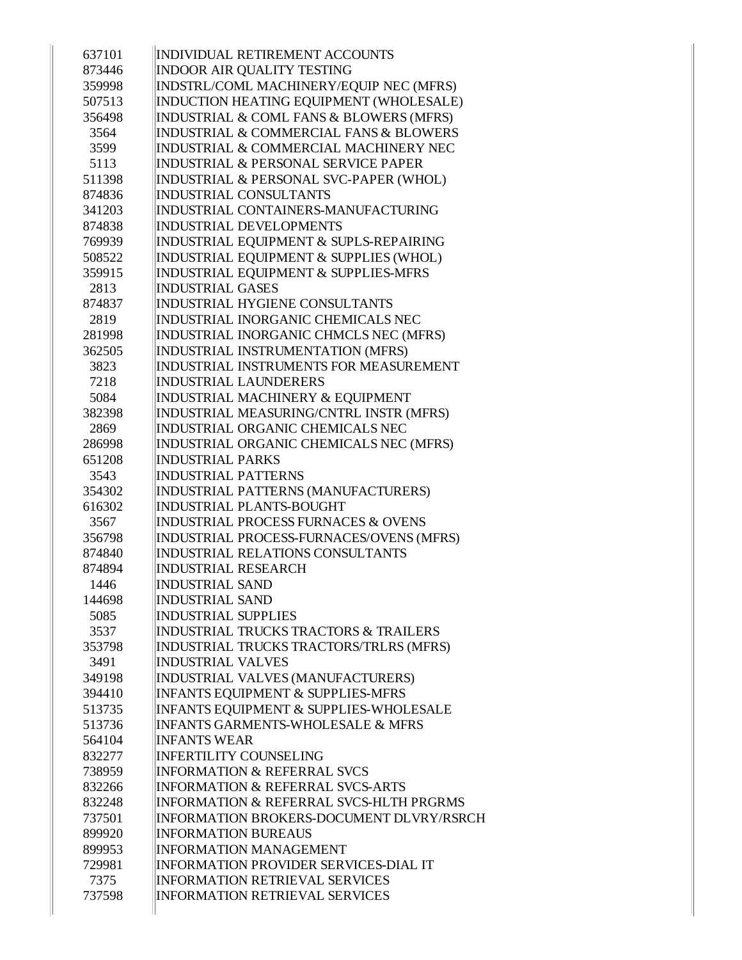| 637101         | INDIVIDUAL RETIREMENT ACCOUNTS                              |
|----------------|-------------------------------------------------------------|
| 873446         | <b>INDOOR AIR QUALITY TESTING</b>                           |
| 359998         | INDSTRL/COML MACHINERY/EQUIP NEC (MFRS)                     |
| 507513         | INDUCTION HEATING EQUIPMENT (WHOLESALE)                     |
| 356498         | INDUSTRIAL & COML FANS & BLOWERS (MFRS)                     |
| 3564           | INDUSTRIAL & COMMERCIAL FANS & BLOWERS                      |
| 3599           | INDUSTRIAL & COMMERCIAL MACHINERY NEC                       |
| 5113           | <b>INDUSTRIAL &amp; PERSONAL SERVICE PAPER</b>              |
| 511398         | INDUSTRIAL & PERSONAL SVC-PAPER (WHOL)                      |
| 874836         | <b>INDUSTRIAL CONSULTANTS</b>                               |
| 341203         | INDUSTRIAL CONTAINERS-MANUFACTURING                         |
| 874838         | <b>INDUSTRIAL DEVELOPMENTS</b>                              |
| 769939         | INDUSTRIAL EQUIPMENT & SUPLS-REPAIRING                      |
| 508522         | INDUSTRIAL EQUIPMENT & SUPPLIES (WHOL)                      |
| 359915         | INDUSTRIAL EQUIPMENT & SUPPLIES-MFRS                        |
| 2813           | <b>INDUSTRIAL GASES</b>                                     |
| 874837         | <b>INDUSTRIAL HYGIENE CONSULTANTS</b>                       |
| 2819           | INDUSTRIAL INORGANIC CHEMICALS NEC                          |
| 281998         | INDUSTRIAL INORGANIC CHMCLS NEC (MFRS)                      |
| 362505         | INDUSTRIAL INSTRUMENTATION (MFRS)                           |
| 3823           | INDUSTRIAL INSTRUMENTS FOR MEASUREMENT                      |
| 7218           | <b>INDUSTRIAL LAUNDERERS</b>                                |
| 5084           | INDUSTRIAL MACHINERY & EQUIPMENT                            |
| 382398         | INDUSTRIAL MEASURING/CNTRL INSTR (MFRS)                     |
| 2869           | INDUSTRIAL ORGANIC CHEMICALS NEC                            |
| 286998         | INDUSTRIAL ORGANIC CHEMICALS NEC (MFRS)                     |
| 651208         | <b>INDUSTRIAL PARKS</b>                                     |
| 3543           | <b>INDUSTRIAL PATTERNS</b>                                  |
| 354302         | INDUSTRIAL PATTERNS (MANUFACTURERS)                         |
| 616302         | <b>INDUSTRIAL PLANTS-BOUGHT</b>                             |
| 3567           | INDUSTRIAL PROCESS FURNACES & OVENS                         |
| 356798         | INDUSTRIAL PROCESS-FURNACES/OVENS (MFRS)                    |
| 874840         | <b>INDUSTRIAL RELATIONS CONSULTANTS</b>                     |
| 874894         | <b>INDUSTRIAL RESEARCH</b>                                  |
| 1446           | <b>INDUSTRIAL SAND</b>                                      |
| 144698         | <b>INDUSTRIAL SAND</b>                                      |
| 5085           | <b>INDUSTRIAL SUPPLIES</b>                                  |
| 3537           | <b>INDUSTRIAL TRUCKS TRACTORS &amp; TRAILERS</b>            |
| 353798         | INDUSTRIAL TRUCKS TRACTORS/TRLRS (MFRS)                     |
| 3491           | <b>INDUSTRIAL VALVES</b>                                    |
| 349198         | INDUSTRIAL VALVES (MANUFACTURERS)                           |
| 394410         | <b>INFANTS EQUIPMENT &amp; SUPPLIES-MFRS</b>                |
| 513735         | INFANTS EQUIPMENT & SUPPLIES-WHOLESALE                      |
| 513736         | <b>INFANTS GARMENTS-WHOLESALE &amp; MFRS</b>                |
| 564104         | <b>INFANTS WEAR</b>                                         |
| 832277         | <b>INFERTILITY COUNSELING</b>                               |
| 738959         | <b>INFORMATION &amp; REFERRAL SVCS</b>                      |
| 832266         | <b>INFORMATION &amp; REFERRAL SVCS-ARTS</b>                 |
| 832248         | <b>INFORMATION &amp; REFERRAL SVCS-HLTH PRGRMS</b>          |
| 737501         | <b>INFORMATION BROKERS-DOCUMENT DLVRY/RSRCH</b>             |
| 899920         | <b>INFORMATION BUREAUS</b><br><b>INFORMATION MANAGEMENT</b> |
| 899953         | <b>INFORMATION PROVIDER SERVICES-DIAL IT</b>                |
| 729981<br>7375 | <b>INFORMATION RETRIEVAL SERVICES</b>                       |
| 737598         | <b>INFORMATION RETRIEVAL SERVICES</b>                       |
|                |                                                             |
|                |                                                             |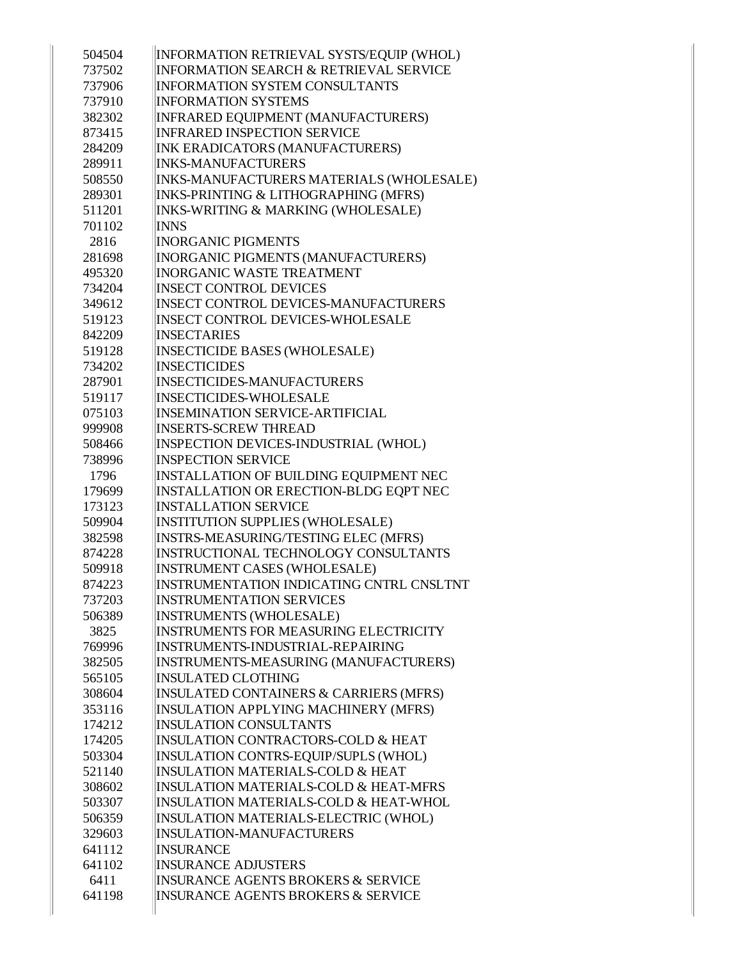| 504504 | INFORMATION RETRIEVAL SYSTS/EQUIP (WHOL)          |
|--------|---------------------------------------------------|
| 737502 | <b>INFORMATION SEARCH &amp; RETRIEVAL SERVICE</b> |
| 737906 | <b>INFORMATION SYSTEM CONSULTANTS</b>             |
| 737910 | <b>INFORMATION SYSTEMS</b>                        |
| 382302 | INFRARED EQUIPMENT (MANUFACTURERS)                |
| 873415 | <b>INFRARED INSPECTION SERVICE</b>                |
| 284209 | INK ERADICATORS (MANUFACTURERS)                   |
| 289911 | <b>INKS-MANUFACTURERS</b>                         |
| 508550 | INKS-MANUFACTURERS MATERIALS (WHOLESALE)          |
| 289301 | INKS-PRINTING & LITHOGRAPHING (MFRS)              |
| 511201 | INKS-WRITING & MARKING (WHOLESALE)                |
| 701102 | <b>INNS</b>                                       |
| 2816   | <b>INORGANIC PIGMENTS</b>                         |
| 281698 | INORGANIC PIGMENTS (MANUFACTURERS)                |
| 495320 | <b>INORGANIC WASTE TREATMENT</b>                  |
| 734204 | <b>INSECT CONTROL DEVICES</b>                     |
| 349612 | <b>INSECT CONTROL DEVICES-MANUFACTURERS</b>       |
| 519123 | <b>INSECT CONTROL DEVICES-WHOLESALE</b>           |
| 842209 | <b>INSECTARIES</b>                                |
| 519128 | INSECTICIDE BASES (WHOLESALE)                     |
| 734202 | <b>INSECTICIDES</b>                               |
| 287901 | <b>INSECTICIDES-MANUFACTURERS</b>                 |
| 519117 | <b>INSECTICIDES-WHOLESALE</b>                     |
| 075103 | <b>INSEMINATION SERVICE-ARTIFICIAL</b>            |
| 999908 | <b>INSERTS-SCREW THREAD</b>                       |
| 508466 | INSPECTION DEVICES-INDUSTRIAL (WHOL)              |
| 738996 | <b>INSPECTION SERVICE</b>                         |
| 1796   | INSTALLATION OF BUILDING EQUIPMENT NEC            |
| 179699 | INSTALLATION OR ERECTION-BLDG EQPT NEC            |
| 173123 | <b>INSTALLATION SERVICE</b>                       |
| 509904 | INSTITUTION SUPPLIES (WHOLESALE)                  |
| 382598 | INSTRS-MEASURING/TESTING ELEC (MFRS)              |
| 874228 | INSTRUCTIONAL TECHNOLOGY CONSULTANTS              |
| 509918 | <b>INSTRUMENT CASES (WHOLESALE)</b>               |
| 874223 | INSTRUMENTATION INDICATING CNTRL CNSLTNT          |
| 737203 | <b>INSTRUMENTATION SERVICES</b>                   |
| 506389 | <b>INSTRUMENTS (WHOLESALE)</b>                    |
| 3825   | INSTRUMENTS FOR MEASURING ELECTRICITY             |
| 769996 | INSTRUMENTS-INDUSTRIAL-REPAIRING                  |
| 382505 | INSTRUMENTS-MEASURING (MANUFACTURERS)             |
| 565105 | <b>INSULATED CLOTHING</b>                         |
| 308604 | INSULATED CONTAINERS & CARRIERS (MFRS)            |
| 353116 | INSULATION APPLYING MACHINERY (MFRS)              |
| 174212 | <b>INSULATION CONSULTANTS</b>                     |
| 174205 | INSULATION CONTRACTORS-COLD & HEAT                |
| 503304 | INSULATION CONTRS-EQUIP/SUPLS (WHOL)              |
| 521140 | <b>INSULATION MATERIALS-COLD &amp; HEAT</b>       |
| 308602 | <b>INSULATION MATERIALS-COLD &amp; HEAT-MFRS</b>  |
| 503307 | INSULATION MATERIALS-COLD & HEAT-WHOL             |
| 506359 | INSULATION MATERIALS-ELECTRIC (WHOL)              |
| 329603 | <b>INSULATION-MANUFACTURERS</b>                   |
| 641112 | <b>INSURANCE</b>                                  |
| 641102 | <b>INSURANCE ADJUSTERS</b>                        |
| 6411   | <b>INSURANCE AGENTS BROKERS &amp; SERVICE</b>     |
| 641198 | <b>INSURANCE AGENTS BROKERS &amp; SERVICE</b>     |
|        |                                                   |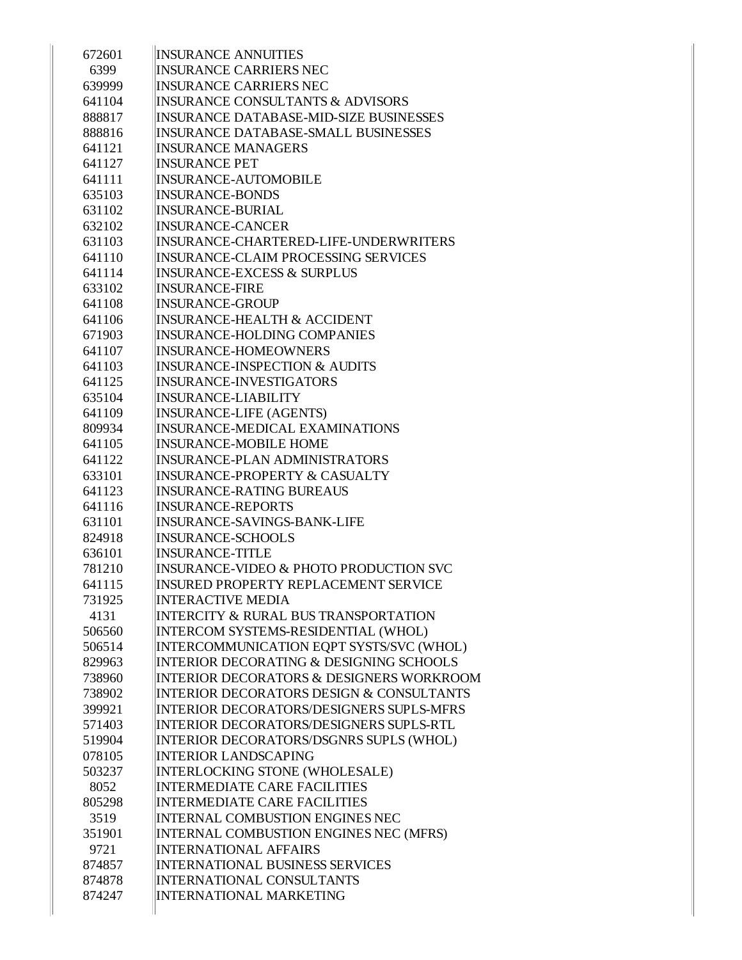| <b>INSURANCE ANNUITIES</b>                          |
|-----------------------------------------------------|
| <b>INSURANCE CARRIERS NEC</b>                       |
| <b>INSURANCE CARRIERS NEC</b>                       |
| <b>INSURANCE CONSULTANTS &amp; ADVISORS</b>         |
| <b>INSURANCE DATABASE-MID-SIZE BUSINESSES</b>       |
| <b>INSURANCE DATABASE-SMALL BUSINESSES</b>          |
| <b>INSURANCE MANAGERS</b>                           |
| <b>INSURANCE PET</b>                                |
| <b>INSURANCE-AUTOMOBILE</b>                         |
| <b>INSURANCE-BONDS</b>                              |
| <b>INSURANCE-BURIAL</b>                             |
| <b>INSURANCE-CANCER</b>                             |
| INSURANCE-CHARTERED-LIFE-UNDERWRITERS               |
| <b>INSURANCE-CLAIM PROCESSING SERVICES</b>          |
| <b>INSURANCE-EXCESS &amp; SURPLUS</b>               |
| <b>INSURANCE-FIRE</b>                               |
| <b>INSURANCE-GROUP</b>                              |
| <b>INSURANCE-HEALTH &amp; ACCIDENT</b>              |
| <b>INSURANCE-HOLDING COMPANIES</b>                  |
| <b>INSURANCE-HOMEOWNERS</b>                         |
| <b>INSURANCE-INSPECTION &amp; AUDITS</b>            |
| <b>INSURANCE-INVESTIGATORS</b>                      |
| <b>INSURANCE-LIABILITY</b>                          |
| <b>INSURANCE-LIFE (AGENTS)</b>                      |
| <b>INSURANCE-MEDICAL EXAMINATIONS</b>               |
| <b>INSURANCE-MOBILE HOME</b>                        |
| <b>INSURANCE-PLAN ADMINISTRATORS</b>                |
| <b>INSURANCE-PROPERTY &amp; CASUALTY</b>            |
| <b>INSURANCE-RATING BUREAUS</b>                     |
| <b>INSURANCE-REPORTS</b>                            |
| <b>INSURANCE-SAVINGS-BANK-LIFE</b>                  |
| <b>INSURANCE-SCHOOLS</b>                            |
| <b>INSURANCE-TITLE</b>                              |
| <b>INSURANCE-VIDEO &amp; PHOTO PRODUCTION SVC</b>   |
| <b>INSURED PROPERTY REPLACEMENT SERVICE</b>         |
| <b>INTERACTIVE MEDIA</b>                            |
| <b>INTERCITY &amp; RURAL BUS TRANSPORTATION</b>     |
| INTERCOM SYSTEMS-RESIDENTIAL (WHOL)                 |
| INTERCOMMUNICATION EQPT SYSTS/SVC (WHOL)            |
| <b>INTERIOR DECORATING &amp; DESIGNING SCHOOLS</b>  |
| <b>INTERIOR DECORATORS &amp; DESIGNERS WORKROOM</b> |
| <b>INTERIOR DECORATORS DESIGN &amp; CONSULTANTS</b> |
| INTERIOR DECORATORS/DESIGNERS SUPLS-MFRS            |
| <b>INTERIOR DECORATORS/DESIGNERS SUPLS-RTL</b>      |
| INTERIOR DECORATORS/DSGNRS SUPLS (WHOL)             |
| <b>INTERIOR LANDSCAPING</b>                         |
| INTERLOCKING STONE (WHOLESALE)                      |
| <b>INTERMEDIATE CARE FACILITIES</b>                 |
| <b>INTERMEDIATE CARE FACILITIES</b>                 |
| <b>INTERNAL COMBUSTION ENGINES NEC</b>              |
| INTERNAL COMBUSTION ENGINES NEC (MFRS)              |
| <b>INTERNATIONAL AFFAIRS</b>                        |
| <b>INTERNATIONAL BUSINESS SERVICES</b>              |
| <b>INTERNATIONAL CONSULTANTS</b>                    |
| <b>INTERNATIONAL MARKETING</b>                      |
|                                                     |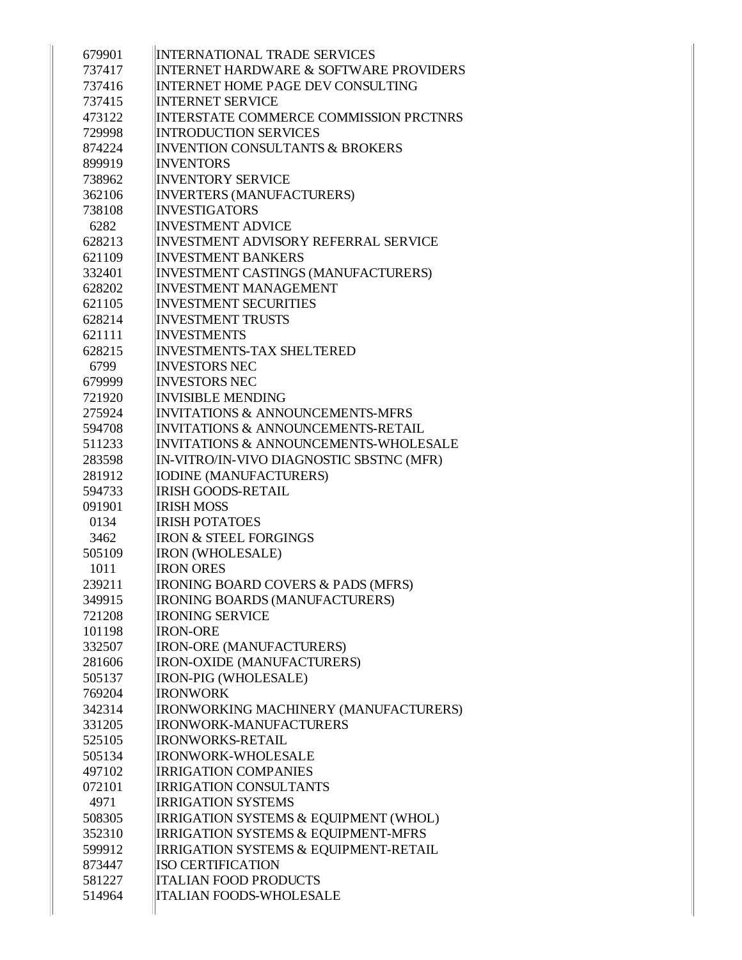| 679901 | <b>INTERNATIONAL TRADE SERVICES</b>               |
|--------|---------------------------------------------------|
| 737417 | <b>INTERNET HARDWARE &amp; SOFTWARE PROVIDERS</b> |
| 737416 | <b>INTERNET HOME PAGE DEV CONSULTING</b>          |
| 737415 | <b>INTERNET SERVICE</b>                           |
| 473122 | <b>INTERSTATE COMMERCE COMMISSION PRCTNRS</b>     |
| 729998 | <b>INTRODUCTION SERVICES</b>                      |
| 874224 | <b>INVENTION CONSULTANTS &amp; BROKERS</b>        |
| 899919 | <b>INVENTORS</b>                                  |
| 738962 | <b>INVENTORY SERVICE</b>                          |
| 362106 | <b>INVERTERS (MANUFACTURERS)</b>                  |
| 738108 | <b>INVESTIGATORS</b>                              |
| 6282   | <b>INVESTMENT ADVICE</b>                          |
| 628213 | INVESTMENT ADVISORY REFERRAL SERVICE              |
| 621109 | <b>INVESTMENT BANKERS</b>                         |
| 332401 | <b>INVESTMENT CASTINGS (MANUFACTURERS)</b>        |
| 628202 | <b>INVESTMENT MANAGEMENT</b>                      |
| 621105 | <b>INVESTMENT SECURITIES</b>                      |
| 628214 | <b>INVESTMENT TRUSTS</b>                          |
| 621111 | <b>INVESTMENTS</b>                                |
| 628215 | <b>INVESTMENTS-TAX SHELTERED</b>                  |
| 6799   | <b>INVESTORS NEC</b>                              |
| 679999 | <b>INVESTORS NEC</b>                              |
| 721920 | <b>INVISIBLE MENDING</b>                          |
| 275924 | <b>INVITATIONS &amp; ANNOUNCEMENTS-MFRS</b>       |
| 594708 | <b>INVITATIONS &amp; ANNOUNCEMENTS-RETAIL</b>     |
| 511233 | <b>INVITATIONS &amp; ANNOUNCEMENTS-WHOLESALE</b>  |
| 283598 | IN-VITRO/IN-VIVO DIAGNOSTIC SBSTNC (MFR)          |
| 281912 | <b>IODINE (MANUFACTURERS)</b>                     |
| 594733 | <b>IRISH GOODS-RETAIL</b>                         |
| 091901 | <b>IRISH MOSS</b>                                 |
| 0134   | <b>IRISH POTATOES</b>                             |
| 3462   | <b>IRON &amp; STEEL FORGINGS</b>                  |
| 505109 | <b>IRON (WHOLESALE)</b>                           |
| 1011   | <b>IRON ORES</b>                                  |
| 239211 | <b>IRONING BOARD COVERS &amp; PADS (MFRS)</b>     |
| 349915 | IRONING BOARDS (MANUFACTURERS)                    |
| 721208 | <b>IRONING SERVICE</b>                            |
| 101198 | <b>IRON-ORE</b>                                   |
| 332507 | <b>IRON-ORE (MANUFACTURERS)</b>                   |
| 281606 | <b>IRON-OXIDE (MANUFACTURERS)</b>                 |
| 505137 | IRON-PIG (WHOLESALE)                              |
| 769204 | <b>IRONWORK</b>                                   |
| 342314 | IRONWORKING MACHINERY (MANUFACTURERS)             |
| 331205 | <b>IRONWORK-MANUFACTURERS</b>                     |
| 525105 | <b>IRONWORKS-RETAIL</b>                           |
| 505134 | <b>IRONWORK-WHOLESALE</b>                         |
| 497102 | <b>IRRIGATION COMPANIES</b>                       |
| 072101 | <b>IRRIGATION CONSULTANTS</b>                     |
| 4971   | <b>IRRIGATION SYSTEMS</b>                         |
| 508305 | IRRIGATION SYSTEMS & EQUIPMENT (WHOL)             |
| 352310 | <b>IRRIGATION SYSTEMS &amp; EQUIPMENT-MFRS</b>    |
| 599912 | <b>IRRIGATION SYSTEMS &amp; EQUIPMENT-RETAIL</b>  |
| 873447 | <b>ISO CERTIFICATION</b>                          |
| 581227 | <b>ITALIAN FOOD PRODUCTS</b>                      |
| 514964 | <b>ITALIAN FOODS-WHOLESALE</b>                    |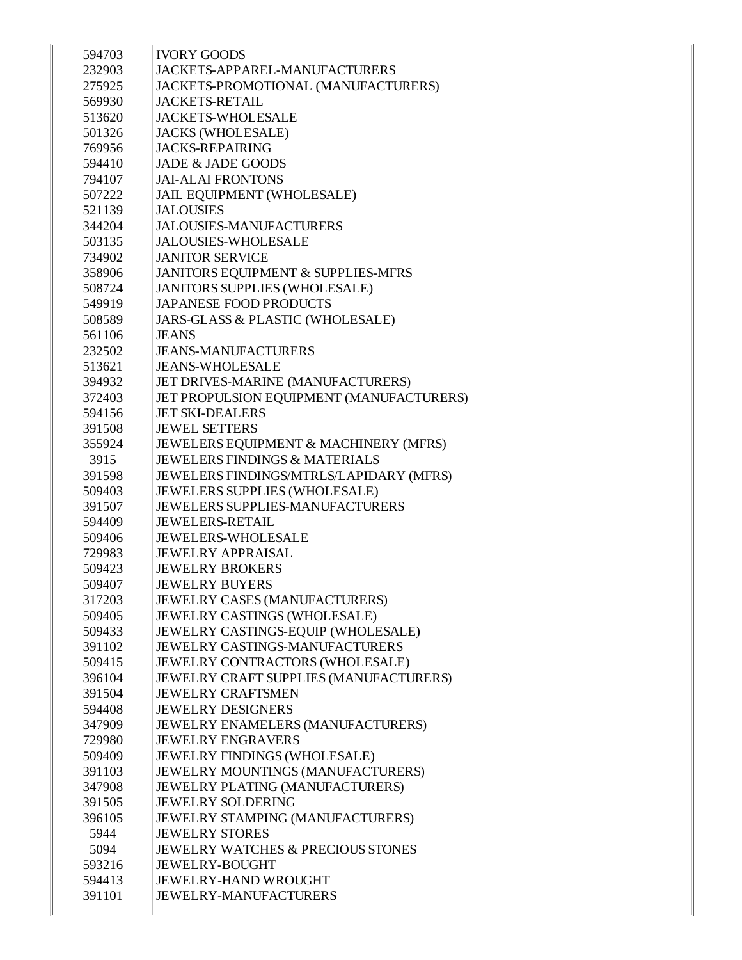| 594703 | <b>IVORY GOODS</b>                       |
|--------|------------------------------------------|
| 232903 | <b>JACKETS-APPAREL-MANUFACTURERS</b>     |
| 275925 | JACKETS-PROMOTIONAL (MANUFACTURERS)      |
| 569930 | <b>JACKETS-RETAIL</b>                    |
| 513620 | JACKETS-WHOLESALE                        |
| 501326 | <b>JACKS (WHOLESALE)</b>                 |
| 769956 | <b>JACKS-REPAIRING</b>                   |
| 594410 | JADE & JADE GOODS                        |
| 794107 | <b>JAI-ALAI FRONTONS</b>                 |
| 507222 | <b>JAIL EQUIPMENT (WHOLESALE)</b>        |
| 521139 | <b>JALOUSIES</b>                         |
| 344204 | <b>JALOUSIES-MANUFACTURERS</b>           |
| 503135 | <b>JALOUSIES-WHOLESALE</b>               |
| 734902 | <b>JANITOR SERVICE</b>                   |
| 358906 | JANITORS EQUIPMENT & SUPPLIES-MFRS       |
| 508724 | JANITORS SUPPLIES (WHOLESALE)            |
| 549919 | <b>JAPANESE FOOD PRODUCTS</b>            |
| 508589 | JARS-GLASS & PLASTIC (WHOLESALE)         |
| 561106 | <b>JEANS</b>                             |
| 232502 | <b>JEANS-MANUFACTURERS</b>               |
| 513621 | <b>JEANS-WHOLESALE</b>                   |
| 394932 | JET DRIVES-MARINE (MANUFACTURERS)        |
| 372403 | JET PROPULSION EQUIPMENT (MANUFACTURERS) |
| 594156 | <b>JET SKI-DEALERS</b>                   |
| 391508 | <b>JEWEL SETTERS</b>                     |
| 355924 | JEWELERS EQUIPMENT & MACHINERY (MFRS)    |
| 3915   | <b>JEWELERS FINDINGS &amp; MATERIALS</b> |
| 391598 | JEWELERS FINDINGS/MTRLS/LAPIDARY (MFRS)  |
| 509403 | JEWELERS SUPPLIES (WHOLESALE)            |
| 391507 | <b>JEWELERS SUPPLIES-MANUFACTURERS</b>   |
| 594409 | <b>JEWELERS-RETAIL</b>                   |
| 509406 | <b>JEWELERS-WHOLESALE</b>                |
| 729983 | <b>JEWELRY APPRAISAL</b>                 |
| 509423 | <b>JEWELRY BROKERS</b>                   |
| 509407 | <b>JEWELRY BUYERS</b>                    |
| 317203 | JEWELRY CASES (MANUFACTURERS)            |
| 509405 | JEWELRY CASTINGS (WHOLESALE)             |
| 509433 | JEWELRY CASTINGS-EQUIP (WHOLESALE)       |
| 391102 | <b>JEWELRY CASTINGS-MANUFACTURERS</b>    |
| 509415 | JEWELRY CONTRACTORS (WHOLESALE)          |
| 396104 | JEWELRY CRAFT SUPPLIES (MANUFACTURERS)   |
| 391504 | <b>JEWELRY CRAFTSMEN</b>                 |
| 594408 | <b>JEWELRY DESIGNERS</b>                 |
| 347909 | JEWELRY ENAMELERS (MANUFACTURERS)        |
| 729980 | <b>JEWELRY ENGRAVERS</b>                 |
| 509409 | JEWELRY FINDINGS (WHOLESALE)             |
| 391103 | JEWELRY MOUNTINGS (MANUFACTURERS)        |
| 347908 | JEWELRY PLATING (MANUFACTURERS)          |
| 391505 | <b>JEWELRY SOLDERING</b>                 |
| 396105 | JEWELRY STAMPING (MANUFACTURERS)         |
| 5944   | <b>JEWELRY STORES</b>                    |
| 5094   | JEWELRY WATCHES & PRECIOUS STONES        |
| 593216 | <b>JEWELRY-BOUGHT</b>                    |
| 594413 | <b>JEWELRY-HAND WROUGHT</b>              |
| 391101 | <b>JEWELRY-MANUFACTURERS</b>             |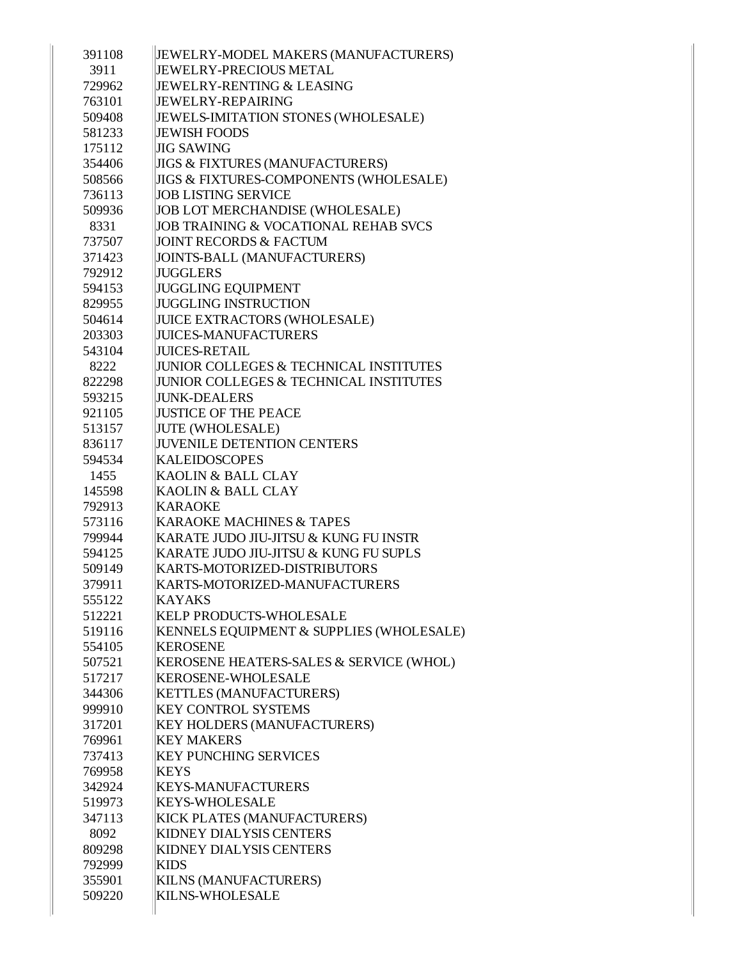| 391108           | JEWELRY-MODEL MAKERS (MANUFACTURERS)                    |
|------------------|---------------------------------------------------------|
| 3911             | <b>JEWELRY-PRECIOUS METAL</b>                           |
| 729962           | <b>JEWELRY-RENTING &amp; LEASING</b>                    |
| 763101           | <b>JEWELRY-REPAIRING</b>                                |
| 509408           | JEWELS-IMITATION STONES (WHOLESALE)                     |
| 581233           | <b>JEWISH FOODS</b>                                     |
| 175112           | <b>JIG SAWING</b>                                       |
| 354406           | <b>JIGS &amp; FIXTURES (MANUFACTURERS)</b>              |
| 508566           | <b>JIGS &amp; FIXTURES-COMPONENTS (WHOLESALE)</b>       |
| 736113           | <b>JOB LISTING SERVICE</b>                              |
| 509936           | JOB LOT MERCHANDISE (WHOLESALE)                         |
| 8331             | JOB TRAINING & VOCATIONAL REHAB SVCS                    |
| 737507           | <b>JOINT RECORDS &amp; FACTUM</b>                       |
| 371423           | JOINTS-BALL (MANUFACTURERS)                             |
| 792912           | <b>JUGGLERS</b>                                         |
| 594153           | <b>JUGGLING EQUIPMENT</b>                               |
| 829955           | <b>JUGGLING INSTRUCTION</b>                             |
| 504614           | <b>JUICE EXTRACTORS (WHOLESALE)</b>                     |
| 203303           | <b>JUICES-MANUFACTURERS</b>                             |
| 543104           | <b>JUICES-RETAIL</b>                                    |
| 8222             | <b>JUNIOR COLLEGES &amp; TECHNICAL INSTITUTES</b>       |
| 822298           | <b>JUNIOR COLLEGES &amp; TECHNICAL INSTITUTES</b>       |
| 593215           | <b>JUNK-DEALERS</b>                                     |
| 921105           | <b>JUSTICE OF THE PEACE</b>                             |
| 513157           | <b>JUTE (WHOLESALE)</b>                                 |
| 836117           | <b>JUVENILE DETENTION CENTERS</b>                       |
| 594534           | <b>KALEIDOSCOPES</b>                                    |
| 1455             | KAOLIN & BALL CLAY                                      |
| 145598           | KAOLIN & BALL CLAY                                      |
| 792913           | <b>KARAOKE</b>                                          |
| 573116           | <b>KARAOKE MACHINES &amp; TAPES</b>                     |
| 799944           | KARATE JUDO JIU-JITSU & KUNG FU INSTR                   |
| 594125           | KARATE JUDO JIU-JITSU & KUNG FU SUPLS                   |
| 509149           | KARTS-MOTORIZED-DISTRIBUTORS                            |
| 379911           | KARTS-MOTORIZED-MANUFACTURERS                           |
| 555122           | <b>KAYAKS</b>                                           |
| 512221           | KELP PRODUCTS-WHOLESALE                                 |
| 519116           | KENNELS EQUIPMENT & SUPPLIES (WHOLESALE)                |
| 554105           | <b>KEROSENE</b>                                         |
| 507521           | KEROSENE HEATERS-SALES & SERVICE (WHOL)                 |
| 517217           | <b>KEROSENE-WHOLESALE</b>                               |
| 344306           | <b>KETTLES (MANUFACTURERS)</b>                          |
| 999910           | <b>KEY CONTROL SYSTEMS</b>                              |
| 317201           | <b>KEY HOLDERS (MANUFACTURERS)</b><br><b>KEY MAKERS</b> |
| 769961           | <b>KEY PUNCHING SERVICES</b>                            |
| 737413<br>769958 | <b>KEYS</b>                                             |
| 342924           | <b>KEYS-MANUFACTURERS</b>                               |
| 519973           | <b>KEYS-WHOLESALE</b>                                   |
| 347113           |                                                         |
| 8092             | KICK PLATES (MANUFACTURERS)<br>KIDNEY DIALYSIS CENTERS  |
| 809298           | KIDNEY DIALYSIS CENTERS                                 |
| 792999           | <b>KIDS</b>                                             |
| 355901           | <b>KILNS (MANUFACTURERS)</b>                            |
| 509220           | KILNS-WHOLESALE                                         |
|                  |                                                         |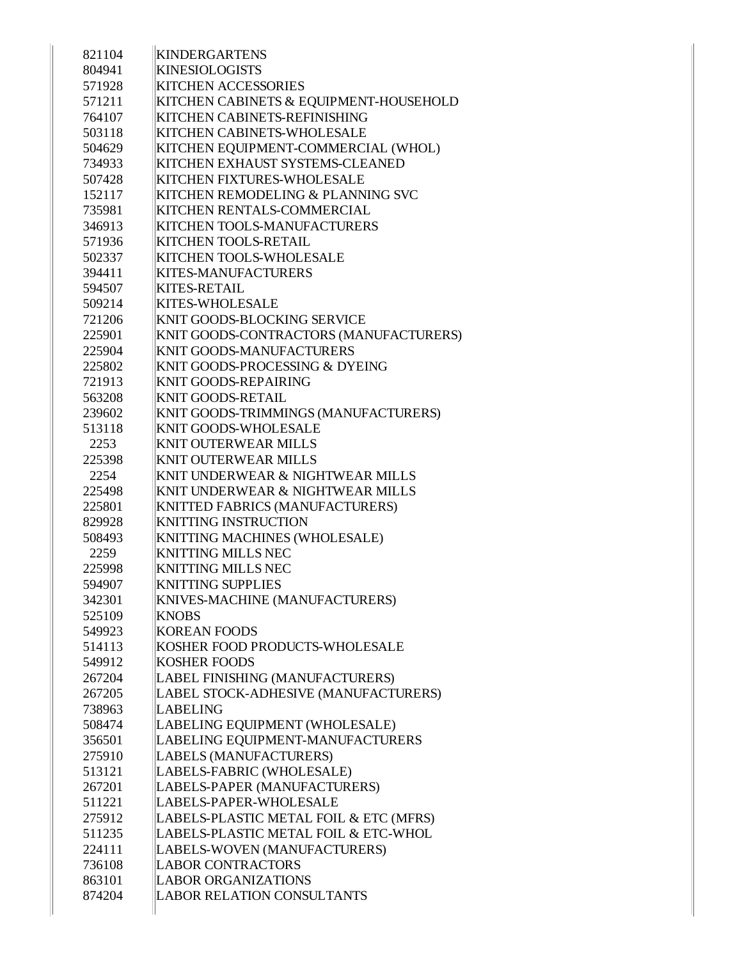| 821104 | <b>KINDERGARTENS</b>                   |
|--------|----------------------------------------|
| 804941 | <b>KINESIOLOGISTS</b>                  |
| 571928 | <b>KITCHEN ACCESSORIES</b>             |
| 571211 | KITCHEN CABINETS & EQUIPMENT-HOUSEHOLD |
| 764107 | KITCHEN CABINETS-REFINISHING           |
| 503118 | KITCHEN CABINETS-WHOLESALE             |
| 504629 | KITCHEN EQUIPMENT-COMMERCIAL (WHOL)    |
| 734933 | KITCHEN EXHAUST SYSTEMS-CLEANED        |
| 507428 | <b>KITCHEN FIXTURES-WHOLESALE</b>      |
| 152117 | KITCHEN REMODELING & PLANNING SVC      |
| 735981 | <b>KITCHEN RENTALS-COMMERCIAL</b>      |
| 346913 | <b>KITCHEN TOOLS-MANUFACTURERS</b>     |
| 571936 | <b>KITCHEN TOOLS-RETAIL</b>            |
| 502337 | KITCHEN TOOLS-WHOLESALE                |
| 394411 | <b>KITES-MANUFACTURERS</b>             |
| 594507 | <b>KITES-RETAIL</b>                    |
| 509214 | <b>KITES-WHOLESALE</b>                 |
| 721206 | <b>KNIT GOODS-BLOCKING SERVICE</b>     |
| 225901 | KNIT GOODS-CONTRACTORS (MANUFACTURERS) |
| 225904 | <b>KNIT GOODS-MANUFACTURERS</b>        |
| 225802 | KNIT GOODS-PROCESSING & DYEING         |
| 721913 | <b>KNIT GOODS-REPAIRING</b>            |
| 563208 | <b>KNIT GOODS-RETAIL</b>               |
| 239602 | KNIT GOODS-TRIMMINGS (MANUFACTURERS)   |
| 513118 | <b>KNIT GOODS-WHOLESALE</b>            |
| 2253   | <b>KNIT OUTERWEAR MILLS</b>            |
| 225398 | <b>KNIT OUTERWEAR MILLS</b>            |
| 2254   | KNIT UNDERWEAR & NIGHTWEAR MILLS       |
| 225498 | KNIT UNDERWEAR & NIGHTWEAR MILLS       |
| 225801 | KNITTED FABRICS (MANUFACTURERS)        |
| 829928 | <b>KNITTING INSTRUCTION</b>            |
| 508493 | KNITTING MACHINES (WHOLESALE)          |
| 2259   | <b>KNITTING MILLS NEC</b>              |
| 225998 | <b>KNITTING MILLS NEC</b>              |
| 594907 | <b>KNITTING SUPPLIES</b>               |
| 342301 | KNIVES-MACHINE (MANUFACTURERS)         |
| 525109 | <b>KNOBS</b>                           |
| 549923 | <b>KOREAN FOODS</b>                    |
| 514113 | KOSHER FOOD PRODUCTS-WHOLESALE         |
| 549912 | <b>KOSHER FOODS</b>                    |
| 267204 | LABEL FINISHING (MANUFACTURERS)        |
| 267205 | LABEL STOCK-ADHESIVE (MANUFACTURERS)   |
| 738963 | <b>LABELING</b>                        |
| 508474 | LABELING EQUIPMENT (WHOLESALE)         |
| 356501 | LABELING EQUIPMENT-MANUFACTURERS       |
| 275910 | LABELS (MANUFACTURERS)                 |
| 513121 | LABELS-FABRIC (WHOLESALE)              |
| 267201 | LABELS-PAPER (MANUFACTURERS)           |
| 511221 | LABELS-PAPER-WHOLESALE                 |
| 275912 | LABELS-PLASTIC METAL FOIL & ETC (MFRS) |
| 511235 | LABELS-PLASTIC METAL FOIL & ETC-WHOL   |
| 224111 | LABELS-WOVEN (MANUFACTURERS)           |
| 736108 | <b>LABOR CONTRACTORS</b>               |
| 863101 | <b>LABOR ORGANIZATIONS</b>             |
| 874204 | <b>LABOR RELATION CONSULTANTS</b>      |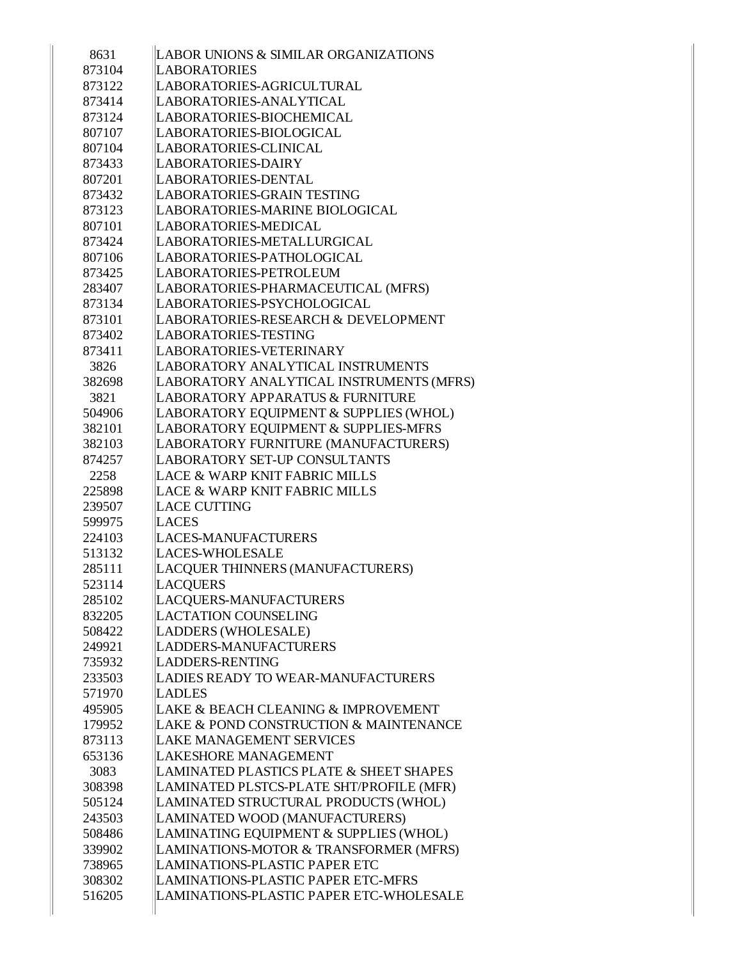| 8631   | LABOR UNIONS & SIMILAR ORGANIZATIONS               |
|--------|----------------------------------------------------|
| 873104 | <b>LABORATORIES</b>                                |
| 873122 | LABORATORIES-AGRICULTURAL                          |
| 873414 | LABORATORIES-ANALYTICAL                            |
| 873124 | LABORATORIES-BIOCHEMICAL                           |
| 807107 | LABORATORIES-BIOLOGICAL                            |
| 807104 | LABORATORIES-CLINICAL                              |
| 873433 | LABORATORIES-DAIRY                                 |
| 807201 | LABORATORIES-DENTAL                                |
| 873432 | <b>LABORATORIES-GRAIN TESTING</b>                  |
| 873123 | LABORATORIES-MARINE BIOLOGICAL                     |
| 807101 | LABORATORIES-MEDICAL                               |
| 873424 | LABORATORIES-METALLURGICAL                         |
| 807106 | LABORATORIES-PATHOLOGICAL                          |
| 873425 | LABORATORIES-PETROLEUM                             |
| 283407 | LABORATORIES-PHARMACEUTICAL (MFRS)                 |
| 873134 | LABORATORIES-PSYCHOLOGICAL                         |
| 873101 | LABORATORIES-RESEARCH & DEVELOPMENT                |
| 873402 | <b>LABORATORIES-TESTING</b>                        |
| 873411 | LABORATORIES-VETERINARY                            |
| 3826   | LABORATORY ANALYTICAL INSTRUMENTS                  |
| 382698 | LABORATORY ANALYTICAL INSTRUMENTS (MFRS)           |
| 3821   | LABORATORY APPARATUS & FURNITURE                   |
| 504906 | LABORATORY EQUIPMENT & SUPPLIES (WHOL)             |
| 382101 | LABORATORY EQUIPMENT & SUPPLIES-MFRS               |
| 382103 | LABORATORY FURNITURE (MANUFACTURERS)               |
| 874257 | LABORATORY SET-UP CONSULTANTS                      |
| 2258   | LACE & WARP KNIT FABRIC MILLS                      |
| 225898 | LACE & WARP KNIT FABRIC MILLS                      |
| 239507 | <b>LACE CUTTING</b>                                |
| 599975 | <b>LACES</b>                                       |
| 224103 | <b>LACES-MANUFACTURERS</b>                         |
| 513132 | <b>LACES-WHOLESALE</b>                             |
| 285111 | LACQUER THINNERS (MANUFACTURERS)                   |
| 523114 | <b>LACQUERS</b>                                    |
| 285102 | LACQUERS-MANUFACTURERS                             |
| 832205 | <b>LACTATION COUNSELING</b>                        |
| 508422 | LADDERS (WHOLESALE)                                |
| 249921 | <b>LADDERS-MANUFACTURERS</b>                       |
| 735932 | <b>LADDERS-RENTING</b>                             |
| 233503 | LADIES READY TO WEAR-MANUFACTURERS                 |
| 571970 | <b>LADLES</b>                                      |
| 495905 | LAKE & BEACH CLEANING & IMPROVEMENT                |
| 179952 | LAKE & POND CONSTRUCTION & MAINTENANCE             |
| 873113 | <b>LAKE MANAGEMENT SERVICES</b>                    |
| 653136 | <b>LAKESHORE MANAGEMENT</b>                        |
| 3083   | <b>LAMINATED PLASTICS PLATE &amp; SHEET SHAPES</b> |
| 308398 | LAMINATED PLSTCS-PLATE SHT/PROFILE (MFR)           |
| 505124 | LAMINATED STRUCTURAL PRODUCTS (WHOL)               |
| 243503 | LAMINATED WOOD (MANUFACTURERS)                     |
| 508486 | LAMINATING EQUIPMENT & SUPPLIES (WHOL)             |
| 339902 | LAMINATIONS-MOTOR & TRANSFORMER (MFRS)             |
| 738965 | <b>LAMINATIONS-PLASTIC PAPER ETC</b>               |
| 308302 | LAMINATIONS-PLASTIC PAPER ETC-MFRS                 |
| 516205 | LAMINATIONS-PLASTIC PAPER ETC-WHOLESALE            |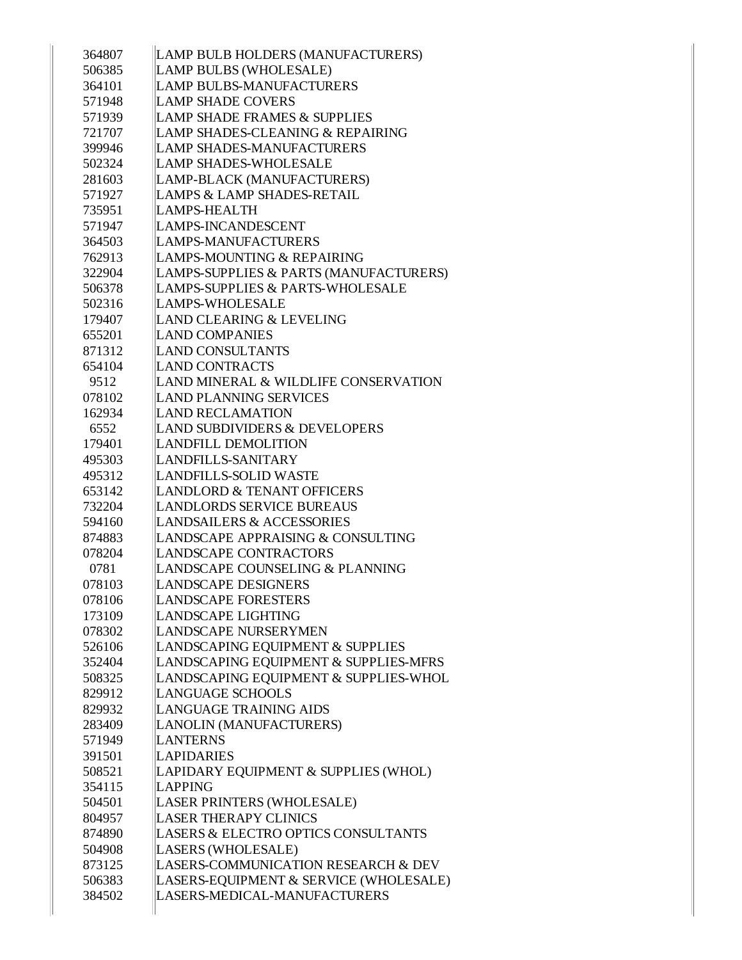| 364807 | LAMP BULB HOLDERS (MANUFACTURERS)       |
|--------|-----------------------------------------|
| 506385 | LAMP BULBS (WHOLESALE)                  |
| 364101 | <b>LAMP BULBS-MANUFACTURERS</b>         |
| 571948 | <b>LAMP SHADE COVERS</b>                |
| 571939 | <b>LAMP SHADE FRAMES &amp; SUPPLIES</b> |
| 721707 | LAMP SHADES-CLEANING & REPAIRING        |
| 399946 | <b>LAMP SHADES-MANUFACTURERS</b>        |
| 502324 | <b>LAMP SHADES-WHOLESALE</b>            |
| 281603 | LAMP-BLACK (MANUFACTURERS)              |
| 571927 | <b>LAMPS &amp; LAMP SHADES-RETAIL</b>   |
| 735951 | LAMPS-HEALTH                            |
| 571947 | LAMPS-INCANDESCENT                      |
| 364503 | LAMPS-MANUFACTURERS                     |
| 762913 | LAMPS-MOUNTING & REPAIRING              |
| 322904 | LAMPS-SUPPLIES & PARTS (MANUFACTURERS)  |
| 506378 | LAMPS-SUPPLIES & PARTS-WHOLESALE        |
| 502316 | <b>LAMPS-WHOLESALE</b>                  |
| 179407 | LAND CLEARING & LEVELING                |
| 655201 | <b>LAND COMPANIES</b>                   |
| 871312 | <b>LAND CONSULTANTS</b>                 |
| 654104 | <b>LAND CONTRACTS</b>                   |
| 9512   | LAND MINERAL & WILDLIFE CONSERVATION    |
| 078102 | <b>LAND PLANNING SERVICES</b>           |
| 162934 | <b>LAND RECLAMATION</b>                 |
| 6552   | LAND SUBDIVIDERS & DEVELOPERS           |
| 179401 | <b>LANDFILL DEMOLITION</b>              |
| 495303 | LANDFILLS-SANITARY                      |
| 495312 | LANDFILLS-SOLID WASTE                   |
| 653142 | LANDLORD & TENANT OFFICERS              |
| 732204 | LANDLORDS SERVICE BUREAUS               |
| 594160 | <b>LANDSAILERS &amp; ACCESSORIES</b>    |
| 874883 | LANDSCAPE APPRAISING & CONSULTING       |
| 078204 | LANDSCAPE CONTRACTORS                   |
| 0781   | LANDSCAPE COUNSELING & PLANNING         |
| 078103 | <b>LANDSCAPE DESIGNERS</b>              |
| 078106 | <b>LANDSCAPE FORESTERS</b>              |
| 173109 | <b>LANDSCAPE LIGHTING</b>               |
| 078302 | LANDSCAPE NURSERYMEN                    |
| 526106 | LANDSCAPING EQUIPMENT & SUPPLIES        |
| 352404 | LANDSCAPING EQUIPMENT & SUPPLIES-MFRS   |
| 508325 | LANDSCAPING EQUIPMENT & SUPPLIES-WHOL   |
| 829912 | <b>LANGUAGE SCHOOLS</b>                 |
| 829932 | LANGUAGE TRAINING AIDS                  |
| 283409 | LANOLIN (MANUFACTURERS)                 |
| 571949 | <b>LANTERNS</b>                         |
| 391501 | <b>LAPIDARIES</b>                       |
| 508521 | LAPIDARY EQUIPMENT & SUPPLIES (WHOL)    |
| 354115 | LAPPING                                 |
| 504501 | LASER PRINTERS (WHOLESALE)              |
| 804957 | <b>LASER THERAPY CLINICS</b>            |
| 874890 | LASERS & ELECTRO OPTICS CONSULTANTS     |
| 504908 | LASERS (WHOLESALE)                      |
| 873125 | LASERS-COMMUNICATION RESEARCH & DEV     |
| 506383 | LASERS-EQUIPMENT & SERVICE (WHOLESALE)  |
| 384502 | LASERS-MEDICAL-MANUFACTURERS            |
|        |                                         |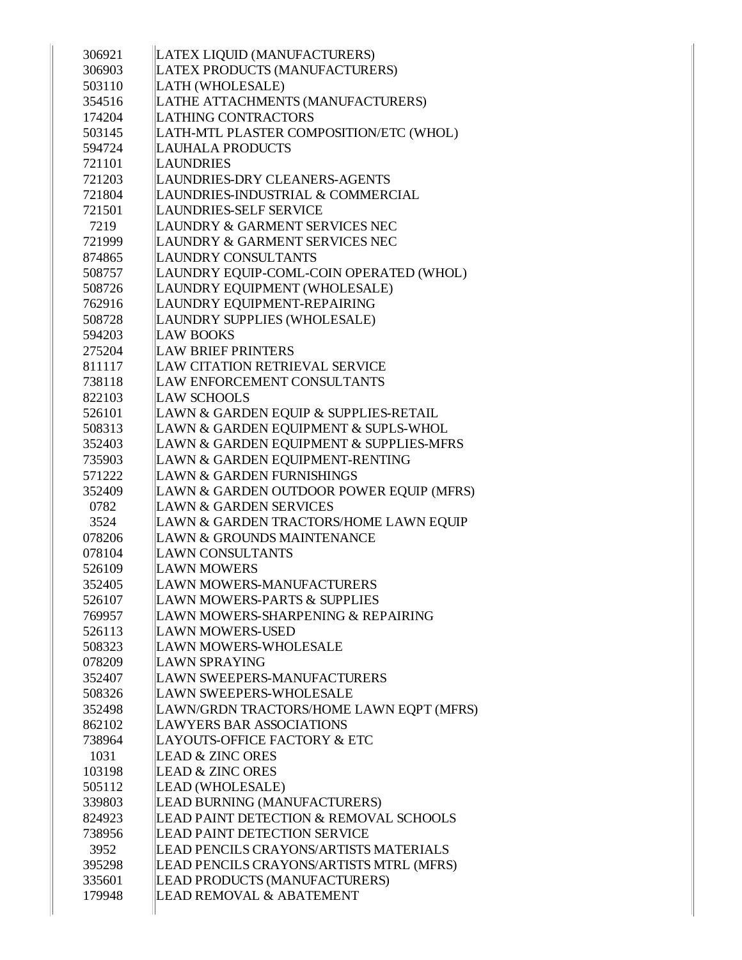| 306921           | LATEX LIQUID (MANUFACTURERS)                                                |
|------------------|-----------------------------------------------------------------------------|
| 306903           | LATEX PRODUCTS (MANUFACTURERS)                                              |
| 503110           | LATH (WHOLESALE)                                                            |
| 354516           | LATHE ATTACHMENTS (MANUFACTURERS)                                           |
| 174204           | <b>LATHING CONTRACTORS</b>                                                  |
| 503145           | LATH-MTL PLASTER COMPOSITION/ETC (WHOL)                                     |
| 594724           | <b>LAUHALA PRODUCTS</b>                                                     |
| 721101           | <b>LAUNDRIES</b>                                                            |
| 721203           | LAUNDRIES-DRY CLEANERS-AGENTS                                               |
| 721804           | LAUNDRIES-INDUSTRIAL & COMMERCIAL                                           |
| 721501           | LAUNDRIES-SELF SERVICE                                                      |
| 7219             | LAUNDRY & GARMENT SERVICES NEC                                              |
| 721999           | LAUNDRY & GARMENT SERVICES NEC                                              |
| 874865           | LAUNDRY CONSULTANTS                                                         |
| 508757           | LAUNDRY EQUIP-COML-COIN OPERATED (WHOL)                                     |
| 508726           | LAUNDRY EQUIPMENT (WHOLESALE)                                               |
| 762916           | LAUNDRY EQUIPMENT-REPAIRING                                                 |
| 508728           | LAUNDRY SUPPLIES (WHOLESALE)                                                |
| 594203           | <b>LAW BOOKS</b>                                                            |
| 275204           | <b>LAW BRIEF PRINTERS</b>                                                   |
| 811117           | LAW CITATION RETRIEVAL SERVICE                                              |
| 738118           | LAW ENFORCEMENT CONSULTANTS                                                 |
| 822103           | <b>LAW SCHOOLS</b>                                                          |
| 526101           | LAWN & GARDEN EQUIP & SUPPLIES-RETAIL                                       |
| 508313           | LAWN & GARDEN EQUIPMENT & SUPLS-WHOL                                        |
| 352403           | LAWN & GARDEN EQUIPMENT & SUPPLIES-MFRS                                     |
| 735903           | LAWN & GARDEN EQUIPMENT-RENTING                                             |
| 571222           | LAWN & GARDEN FURNISHINGS                                                   |
| 352409           | LAWN & GARDEN OUTDOOR POWER EQUIP (MFRS)                                    |
| 0782             | <b>LAWN &amp; GARDEN SERVICES</b>                                           |
| 3524             | LAWN & GARDEN TRACTORS/HOME LAWN EQUIP                                      |
| 078206           | LAWN & GROUNDS MAINTENANCE                                                  |
| 078104           | <b>LAWN CONSULTANTS</b>                                                     |
| 526109           | <b>LAWN MOWERS</b>                                                          |
| 352405           | LAWN MOWERS-MANUFACTURERS                                                   |
| 526107           | <b>LAWN MOWERS-PARTS &amp; SUPPLIES</b>                                     |
| 769957           | LAWN MOWERS-SHARPENING & REPAIRING                                          |
| 526113           | <b>LAWN MOWERS-USED</b>                                                     |
| 508323           | <b>LAWN MOWERS-WHOLESALE</b>                                                |
| 078209           | <b>LAWN SPRAYING</b>                                                        |
| 352407           | LAWN SWEEPERS-MANUFACTURERS                                                 |
| 508326           | <b>LAWN SWEEPERS-WHOLESALE</b>                                              |
| 352498           | LAWN/GRDN TRACTORS/HOME LAWN EQPT (MFRS)<br><b>LAWYERS BAR ASSOCIATIONS</b> |
| 862102<br>738964 | LAYOUTS-OFFICE FACTORY & ETC                                                |
| 1031             | <b>LEAD &amp; ZINC ORES</b>                                                 |
| 103198           | <b>LEAD &amp; ZINC ORES</b>                                                 |
| 505112           | LEAD (WHOLESALE)                                                            |
| 339803           | LEAD BURNING (MANUFACTURERS)                                                |
| 824923           | LEAD PAINT DETECTION & REMOVAL SCHOOLS                                      |
| 738956           | <b>LEAD PAINT DETECTION SERVICE</b>                                         |
| 3952             | LEAD PENCILS CRAYONS/ARTISTS MATERIALS                                      |
| 395298           | LEAD PENCILS CRAYONS/ARTISTS MTRL (MFRS)                                    |
| 335601           | LEAD PRODUCTS (MANUFACTURERS)                                               |
| 179948           | LEAD REMOVAL & ABATEMENT                                                    |
|                  |                                                                             |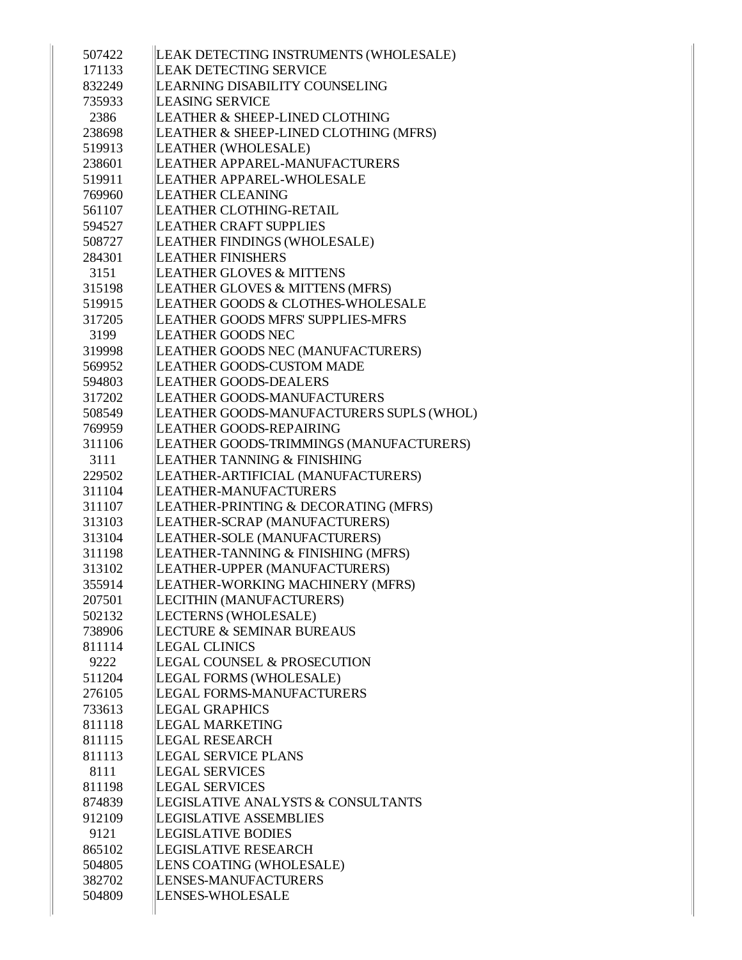| 507422 | LEAK DETECTING INSTRUMENTS (WHOLESALE)   |
|--------|------------------------------------------|
| 171133 | LEAK DETECTING SERVICE                   |
| 832249 | LEARNING DISABILITY COUNSELING           |
| 735933 | LEASING SERVICE                          |
| 2386   | LEATHER & SHEEP-LINED CLOTHING           |
| 238698 | LEATHER & SHEEP-LINED CLOTHING (MFRS)    |
| 519913 | LEATHER (WHOLESALE)                      |
| 238601 | LEATHER APPAREL-MANUFACTURERS            |
| 519911 | LEATHER APPAREL-WHOLESALE                |
| 769960 | <b>LEATHER CLEANING</b>                  |
| 561107 | LEATHER CLOTHING-RETAIL                  |
| 594527 | <b>LEATHER CRAFT SUPPLIES</b>            |
| 508727 | LEATHER FINDINGS (WHOLESALE)             |
| 284301 | <b>LEATHER FINISHERS</b>                 |
| 3151   | <b>LEATHER GLOVES &amp; MITTENS</b>      |
|        |                                          |
| 315198 | LEATHER GLOVES & MITTENS (MFRS)          |
| 519915 | LEATHER GOODS & CLOTHES-WHOLESALE        |
| 317205 | LEATHER GOODS MFRS' SUPPLIES-MFRS        |
| 3199   | <b>LEATHER GOODS NEC</b>                 |
| 319998 | LEATHER GOODS NEC (MANUFACTURERS)        |
| 569952 | <b>LEATHER GOODS-CUSTOM MADE</b>         |
| 594803 | <b>LEATHER GOODS-DEALERS</b>             |
| 317202 | LEATHER GOODS-MANUFACTURERS              |
| 508549 | LEATHER GOODS-MANUFACTURERS SUPLS (WHOL) |
| 769959 | LEATHER GOODS-REPAIRING                  |
| 311106 | LEATHER GOODS-TRIMMINGS (MANUFACTURERS)  |
| 3111   | LEATHER TANNING & FINISHING              |
| 229502 | LEATHER-ARTIFICIAL (MANUFACTURERS)       |
| 311104 | LEATHER-MANUFACTURERS                    |
| 311107 | LEATHER-PRINTING & DECORATING (MFRS)     |
| 313103 | LEATHER-SCRAP (MANUFACTURERS)            |
| 313104 | LEATHER-SOLE (MANUFACTURERS)             |
| 311198 | LEATHER-TANNING & FINISHING (MFRS)       |
| 313102 | LEATHER-UPPER (MANUFACTURERS)            |
| 355914 | LEATHER-WORKING MACHINERY (MFRS)         |
| 207501 | LECITHIN (MANUFACTURERS)                 |
| 502132 | LECTERNS (WHOLESALE)                     |
| 738906 | LECTURE & SEMINAR BUREAUS                |
| 811114 | <b>LEGAL CLINICS</b>                     |
| 9222   | <b>LEGAL COUNSEL &amp; PROSECUTION</b>   |
| 511204 | LEGAL FORMS (WHOLESALE)                  |
| 276105 | LEGAL FORMS-MANUFACTURERS                |
|        | <b>LEGAL GRAPHICS</b>                    |
| 733613 |                                          |
| 811118 | <b>LEGAL MARKETING</b>                   |
| 811115 | <b>LEGAL RESEARCH</b>                    |
| 811113 | <b>LEGAL SERVICE PLANS</b>               |
| 8111   | <b>LEGAL SERVICES</b>                    |
| 811198 | <b>LEGAL SERVICES</b>                    |
| 874839 | LEGISLATIVE ANALYSTS & CONSULTANTS       |
| 912109 | <b>LEGISLATIVE ASSEMBLIES</b>            |
| 9121   | <b>LEGISLATIVE BODIES</b>                |
| 865102 | <b>LEGISLATIVE RESEARCH</b>              |
| 504805 | LENS COATING (WHOLESALE)                 |
| 382702 | LENSES-MANUFACTURERS                     |
| 504809 | LENSES-WHOLESALE                         |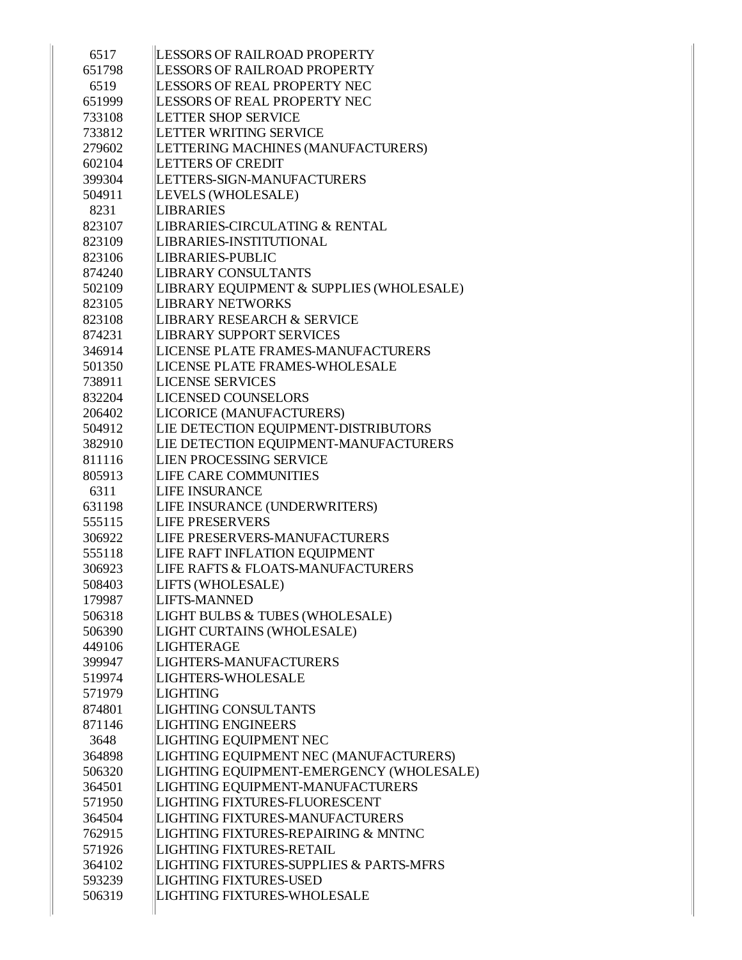| LESSORS OF RAILROAD PROPERTY<br>651798<br>LESSORS OF REAL PROPERTY NEC<br>6519<br>651999<br>LESSORS OF REAL PROPERTY NEC<br><b>LETTER SHOP SERVICE</b><br>733108<br>LETTER WRITING SERVICE<br>733812<br>LETTERING MACHINES (MANUFACTURERS)<br>279602<br><b>LETTERS OF CREDIT</b><br>602104<br>LETTERS-SIGN-MANUFACTURERS<br>399304<br>504911<br>LEVELS (WHOLESALE)<br>8231<br><b>LIBRARIES</b><br>LIBRARIES-CIRCULATING & RENTAL<br>823107<br>LIBRARIES-INSTITUTIONAL<br>823109<br><b>LIBRARIES-PUBLIC</b><br>823106<br><b>LIBRARY CONSULTANTS</b><br>874240<br>LIBRARY EQUIPMENT & SUPPLIES (WHOLESALE)<br>502109<br><b>LIBRARY NETWORKS</b><br>823105<br>LIBRARY RESEARCH & SERVICE<br>823108<br>LIBRARY SUPPORT SERVICES<br>874231<br>LICENSE PLATE FRAMES-MANUFACTURERS<br>346914 |  |
|---------------------------------------------------------------------------------------------------------------------------------------------------------------------------------------------------------------------------------------------------------------------------------------------------------------------------------------------------------------------------------------------------------------------------------------------------------------------------------------------------------------------------------------------------------------------------------------------------------------------------------------------------------------------------------------------------------------------------------------------------------------------------------------|--|
|                                                                                                                                                                                                                                                                                                                                                                                                                                                                                                                                                                                                                                                                                                                                                                                       |  |
|                                                                                                                                                                                                                                                                                                                                                                                                                                                                                                                                                                                                                                                                                                                                                                                       |  |
|                                                                                                                                                                                                                                                                                                                                                                                                                                                                                                                                                                                                                                                                                                                                                                                       |  |
|                                                                                                                                                                                                                                                                                                                                                                                                                                                                                                                                                                                                                                                                                                                                                                                       |  |
|                                                                                                                                                                                                                                                                                                                                                                                                                                                                                                                                                                                                                                                                                                                                                                                       |  |
|                                                                                                                                                                                                                                                                                                                                                                                                                                                                                                                                                                                                                                                                                                                                                                                       |  |
|                                                                                                                                                                                                                                                                                                                                                                                                                                                                                                                                                                                                                                                                                                                                                                                       |  |
|                                                                                                                                                                                                                                                                                                                                                                                                                                                                                                                                                                                                                                                                                                                                                                                       |  |
|                                                                                                                                                                                                                                                                                                                                                                                                                                                                                                                                                                                                                                                                                                                                                                                       |  |
|                                                                                                                                                                                                                                                                                                                                                                                                                                                                                                                                                                                                                                                                                                                                                                                       |  |
|                                                                                                                                                                                                                                                                                                                                                                                                                                                                                                                                                                                                                                                                                                                                                                                       |  |
|                                                                                                                                                                                                                                                                                                                                                                                                                                                                                                                                                                                                                                                                                                                                                                                       |  |
|                                                                                                                                                                                                                                                                                                                                                                                                                                                                                                                                                                                                                                                                                                                                                                                       |  |
|                                                                                                                                                                                                                                                                                                                                                                                                                                                                                                                                                                                                                                                                                                                                                                                       |  |
|                                                                                                                                                                                                                                                                                                                                                                                                                                                                                                                                                                                                                                                                                                                                                                                       |  |
|                                                                                                                                                                                                                                                                                                                                                                                                                                                                                                                                                                                                                                                                                                                                                                                       |  |
|                                                                                                                                                                                                                                                                                                                                                                                                                                                                                                                                                                                                                                                                                                                                                                                       |  |
|                                                                                                                                                                                                                                                                                                                                                                                                                                                                                                                                                                                                                                                                                                                                                                                       |  |
|                                                                                                                                                                                                                                                                                                                                                                                                                                                                                                                                                                                                                                                                                                                                                                                       |  |
| LICENSE PLATE FRAMES-WHOLESALE<br>501350                                                                                                                                                                                                                                                                                                                                                                                                                                                                                                                                                                                                                                                                                                                                              |  |
| <b>LICENSE SERVICES</b><br>738911                                                                                                                                                                                                                                                                                                                                                                                                                                                                                                                                                                                                                                                                                                                                                     |  |
| <b>LICENSED COUNSELORS</b><br>832204                                                                                                                                                                                                                                                                                                                                                                                                                                                                                                                                                                                                                                                                                                                                                  |  |
| LICORICE (MANUFACTURERS)<br>206402                                                                                                                                                                                                                                                                                                                                                                                                                                                                                                                                                                                                                                                                                                                                                    |  |
| LIE DETECTION EQUIPMENT-DISTRIBUTORS<br>504912                                                                                                                                                                                                                                                                                                                                                                                                                                                                                                                                                                                                                                                                                                                                        |  |
| LIE DETECTION EQUIPMENT-MANUFACTURERS<br>382910                                                                                                                                                                                                                                                                                                                                                                                                                                                                                                                                                                                                                                                                                                                                       |  |
| LIEN PROCESSING SERVICE<br>811116                                                                                                                                                                                                                                                                                                                                                                                                                                                                                                                                                                                                                                                                                                                                                     |  |
| <b>LIFE CARE COMMUNITIES</b><br>805913                                                                                                                                                                                                                                                                                                                                                                                                                                                                                                                                                                                                                                                                                                                                                |  |
| <b>LIFE INSURANCE</b><br>6311                                                                                                                                                                                                                                                                                                                                                                                                                                                                                                                                                                                                                                                                                                                                                         |  |
| LIFE INSURANCE (UNDERWRITERS)<br>631198                                                                                                                                                                                                                                                                                                                                                                                                                                                                                                                                                                                                                                                                                                                                               |  |
| 555115<br><b>LIFE PRESERVERS</b>                                                                                                                                                                                                                                                                                                                                                                                                                                                                                                                                                                                                                                                                                                                                                      |  |
| LIFE PRESERVERS-MANUFACTURERS<br>306922                                                                                                                                                                                                                                                                                                                                                                                                                                                                                                                                                                                                                                                                                                                                               |  |
| LIFE RAFT INFLATION EQUIPMENT<br>555118                                                                                                                                                                                                                                                                                                                                                                                                                                                                                                                                                                                                                                                                                                                                               |  |
| LIFE RAFTS & FLOATS-MANUFACTURERS<br>306923                                                                                                                                                                                                                                                                                                                                                                                                                                                                                                                                                                                                                                                                                                                                           |  |
| LIFTS (WHOLESALE)<br>508403                                                                                                                                                                                                                                                                                                                                                                                                                                                                                                                                                                                                                                                                                                                                                           |  |
| LIFTS-MANNED<br>179987                                                                                                                                                                                                                                                                                                                                                                                                                                                                                                                                                                                                                                                                                                                                                                |  |
| LIGHT BULBS & TUBES (WHOLESALE)<br>506318                                                                                                                                                                                                                                                                                                                                                                                                                                                                                                                                                                                                                                                                                                                                             |  |
| LIGHT CURTAINS (WHOLESALE)<br>506390                                                                                                                                                                                                                                                                                                                                                                                                                                                                                                                                                                                                                                                                                                                                                  |  |
| <b>LIGHTERAGE</b><br>449106                                                                                                                                                                                                                                                                                                                                                                                                                                                                                                                                                                                                                                                                                                                                                           |  |
| 399947<br>LIGHTERS-MANUFACTURERS                                                                                                                                                                                                                                                                                                                                                                                                                                                                                                                                                                                                                                                                                                                                                      |  |
| 519974<br><b>LIGHTERS-WHOLESALE</b>                                                                                                                                                                                                                                                                                                                                                                                                                                                                                                                                                                                                                                                                                                                                                   |  |
| 571979<br>LIGHTING                                                                                                                                                                                                                                                                                                                                                                                                                                                                                                                                                                                                                                                                                                                                                                    |  |
| LIGHTING CONSULTANTS<br>874801                                                                                                                                                                                                                                                                                                                                                                                                                                                                                                                                                                                                                                                                                                                                                        |  |
| <b>LIGHTING ENGINEERS</b><br>871146                                                                                                                                                                                                                                                                                                                                                                                                                                                                                                                                                                                                                                                                                                                                                   |  |
| LIGHTING EQUIPMENT NEC<br>3648                                                                                                                                                                                                                                                                                                                                                                                                                                                                                                                                                                                                                                                                                                                                                        |  |
| LIGHTING EQUIPMENT NEC (MANUFACTURERS)<br>364898                                                                                                                                                                                                                                                                                                                                                                                                                                                                                                                                                                                                                                                                                                                                      |  |
| LIGHTING EQUIPMENT-EMERGENCY (WHOLESALE)<br>506320                                                                                                                                                                                                                                                                                                                                                                                                                                                                                                                                                                                                                                                                                                                                    |  |
| LIGHTING EQUIPMENT-MANUFACTURERS<br>364501                                                                                                                                                                                                                                                                                                                                                                                                                                                                                                                                                                                                                                                                                                                                            |  |
| LIGHTING FIXTURES-FLUORESCENT<br>571950                                                                                                                                                                                                                                                                                                                                                                                                                                                                                                                                                                                                                                                                                                                                               |  |
| LIGHTING FIXTURES-MANUFACTURERS<br>364504                                                                                                                                                                                                                                                                                                                                                                                                                                                                                                                                                                                                                                                                                                                                             |  |
| LIGHTING FIXTURES-REPAIRING & MNTNC<br>762915                                                                                                                                                                                                                                                                                                                                                                                                                                                                                                                                                                                                                                                                                                                                         |  |
| 571926<br>LIGHTING FIXTURES-RETAIL                                                                                                                                                                                                                                                                                                                                                                                                                                                                                                                                                                                                                                                                                                                                                    |  |
| LIGHTING FIXTURES-SUPPLIES & PARTS-MFRS<br>364102                                                                                                                                                                                                                                                                                                                                                                                                                                                                                                                                                                                                                                                                                                                                     |  |
| <b>LIGHTING FIXTURES-USED</b><br>593239                                                                                                                                                                                                                                                                                                                                                                                                                                                                                                                                                                                                                                                                                                                                               |  |
| 506319<br><b>LIGHTING FIXTURES-WHOLESALE</b>                                                                                                                                                                                                                                                                                                                                                                                                                                                                                                                                                                                                                                                                                                                                          |  |
|                                                                                                                                                                                                                                                                                                                                                                                                                                                                                                                                                                                                                                                                                                                                                                                       |  |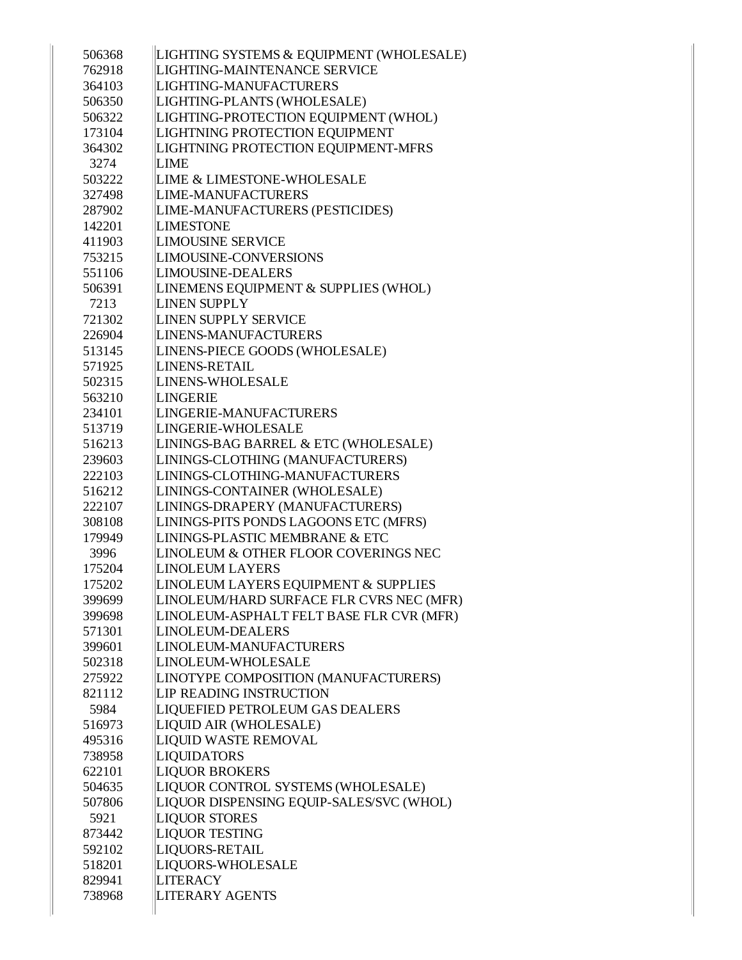| 506368 | LIGHTING SYSTEMS & EQUIPMENT (WHOLESALE)        |
|--------|-------------------------------------------------|
| 762918 | LIGHTING-MAINTENANCE SERVICE                    |
| 364103 | LIGHTING-MANUFACTURERS                          |
| 506350 | LIGHTING-PLANTS (WHOLESALE)                     |
| 506322 | LIGHTING-PROTECTION EQUIPMENT (WHOL)            |
| 173104 | LIGHTNING PROTECTION EQUIPMENT                  |
| 364302 | LIGHTNING PROTECTION EQUIPMENT-MFRS             |
| 3274   | <b>LIME</b>                                     |
| 503222 | <b>LIME &amp; LIMESTONE-WHOLESALE</b>           |
| 327498 | <b>LIME-MANUFACTURERS</b>                       |
| 287902 | LIME-MANUFACTURERS (PESTICIDES)                 |
| 142201 | <b>LIMESTONE</b>                                |
| 411903 | <b>LIMOUSINE SERVICE</b>                        |
| 753215 | LIMOUSINE-CONVERSIONS                           |
| 551106 | <b>LIMOUSINE-DEALERS</b>                        |
| 506391 | LINEMENS EQUIPMENT & SUPPLIES (WHOL)            |
| 7213   | <b>LINEN SUPPLY</b>                             |
| 721302 | <b>LINEN SUPPLY SERVICE</b>                     |
| 226904 | LINENS-MANUFACTURERS                            |
| 513145 | LINENS-PIECE GOODS (WHOLESALE)                  |
| 571925 | LINENS-RETAIL                                   |
| 502315 | LINENS-WHOLESALE                                |
| 563210 | LINGERIE                                        |
| 234101 | LINGERIE-MANUFACTURERS                          |
| 513719 | LINGERIE-WHOLESALE                              |
| 516213 | LININGS-BAG BARREL & ETC (WHOLESALE)            |
| 239603 | LININGS-CLOTHING (MANUFACTURERS)                |
| 222103 | LININGS-CLOTHING-MANUFACTURERS                  |
| 516212 | LININGS-CONTAINER (WHOLESALE)                   |
| 222107 | LININGS-DRAPERY (MANUFACTURERS)                 |
| 308108 | LININGS-PITS PONDS LAGOONS ETC (MFRS)           |
| 179949 | <b>LININGS-PLASTIC MEMBRANE &amp; ETC</b>       |
| 3996   | LINOLEUM & OTHER FLOOR COVERINGS NEC            |
| 175204 | <b>LINOLEUM LAYERS</b>                          |
| 175202 | <b>LINOLEUM LAYERS EQUIPMENT &amp; SUPPLIES</b> |
| 399699 | LINOLEUM/HARD SURFACE FLR CVRS NEC (MFR)        |
| 399698 | LINOLEUM-ASPHALT FELT BASE FLR CVR (MFR)        |
| 571301 | LINOLEUM-DEALERS                                |
| 399601 | LINOLEUM-MANUFACTURERS                          |
| 502318 | LINOLEUM-WHOLESALE                              |
| 275922 | LINOTYPE COMPOSITION (MANUFACTURERS)            |
| 821112 | LIP READING INSTRUCTION                         |
| 5984   | LIQUEFIED PETROLEUM GAS DEALERS                 |
| 516973 | LIQUID AIR (WHOLESALE)                          |
| 495316 | <b>LIQUID WASTE REMOVAL</b>                     |
| 738958 | <b>LIQUIDATORS</b>                              |
| 622101 | <b>LIQUOR BROKERS</b>                           |
| 504635 | LIQUOR CONTROL SYSTEMS (WHOLESALE)              |
| 507806 | LIQUOR DISPENSING EQUIP-SALES/SVC (WHOL)        |
| 5921   | <b>LIQUOR STORES</b>                            |
| 873442 | <b>LIQUOR TESTING</b>                           |
| 592102 | LIQUORS-RETAIL                                  |
| 518201 | LIQUORS-WHOLESALE                               |
| 829941 | <b>LITERACY</b>                                 |
| 738968 | <b>LITERARY AGENTS</b>                          |
|        |                                                 |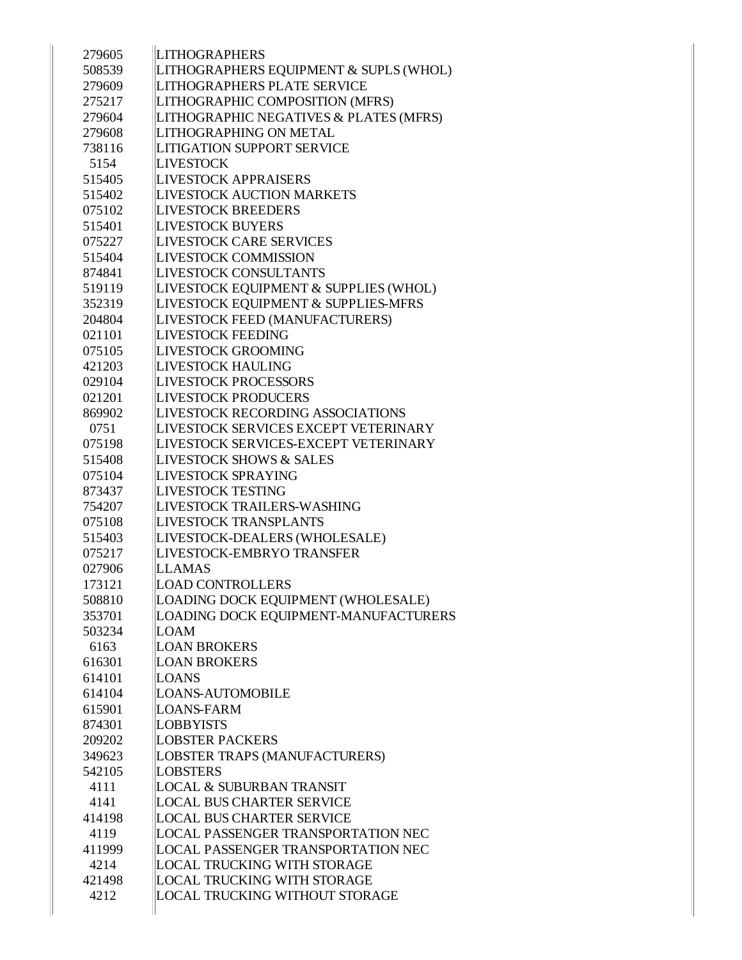| 279605 | <b>LITHOGRAPHERS</b>                      |
|--------|-------------------------------------------|
| 508539 | LITHOGRAPHERS EQUIPMENT & SUPLS (WHOL)    |
| 279609 | <b>LITHOGRAPHERS PLATE SERVICE</b>        |
| 275217 | LITHOGRAPHIC COMPOSITION (MFRS)           |
| 279604 | LITHOGRAPHIC NEGATIVES & PLATES (MFRS)    |
| 279608 | LITHOGRAPHING ON METAL                    |
| 738116 | <b>LITIGATION SUPPORT SERVICE</b>         |
| 5154   | <b>LIVESTOCK</b>                          |
| 515405 | LIVESTOCK APPRAISERS                      |
| 515402 | <b>LIVESTOCK AUCTION MARKETS</b>          |
| 075102 | <b>LIVESTOCK BREEDERS</b>                 |
| 515401 | <b>LIVESTOCK BUYERS</b>                   |
| 075227 | <b>LIVESTOCK CARE SERVICES</b>            |
| 515404 | <b>LIVESTOCK COMMISSION</b>               |
| 874841 | <b>LIVESTOCK CONSULTANTS</b>              |
| 519119 | LIVESTOCK EQUIPMENT & SUPPLIES (WHOL)     |
| 352319 | LIVESTOCK EQUIPMENT & SUPPLIES-MFRS       |
| 204804 | LIVESTOCK FEED (MANUFACTURERS)            |
| 021101 | <b>LIVESTOCK FEEDING</b>                  |
| 075105 | <b>LIVESTOCK GROOMING</b>                 |
| 421203 | <b>LIVESTOCK HAULING</b>                  |
| 029104 | <b>LIVESTOCK PROCESSORS</b>               |
| 021201 | <b>LIVESTOCK PRODUCERS</b>                |
| 869902 | <b>LIVESTOCK RECORDING ASSOCIATIONS</b>   |
| 0751   | LIVESTOCK SERVICES EXCEPT VETERINARY      |
| 075198 | LIVESTOCK SERVICES-EXCEPT VETERINARY      |
| 515408 | <b>LIVESTOCK SHOWS &amp; SALES</b>        |
| 075104 | <b>LIVESTOCK SPRAYING</b>                 |
| 873437 | <b>LIVESTOCK TESTING</b>                  |
| 754207 | LIVESTOCK TRAILERS-WASHING                |
| 075108 | <b>LIVESTOCK TRANSPLANTS</b>              |
| 515403 | LIVESTOCK-DEALERS (WHOLESALE)             |
| 075217 | LIVESTOCK-EMBRYO TRANSFER                 |
| 027906 | <b>LLAMAS</b>                             |
| 173121 | <b>LOAD CONTROLLERS</b>                   |
| 508810 | LOADING DOCK EQUIPMENT (WHOLESALE)        |
| 353701 | LOADING DOCK EQUIPMENT-MANUFACTURERS      |
| 503234 | <b>LOAM</b>                               |
| 6163   | <b>LOAN BROKERS</b>                       |
| 616301 | <b>LOAN BROKERS</b>                       |
| 614101 | LOANS                                     |
| 614104 | <b>LOANS-AUTOMOBILE</b>                   |
| 615901 | <b>LOANS-FARM</b>                         |
| 874301 | <b>LOBBYISTS</b>                          |
| 209202 | <b>LOBSTER PACKERS</b>                    |
| 349623 | LOBSTER TRAPS (MANUFACTURERS)             |
| 542105 | <b>LOBSTERS</b>                           |
| 4111   | <b>LOCAL &amp; SUBURBAN TRANSIT</b>       |
| 4141   | <b>LOCAL BUS CHARTER SERVICE</b>          |
| 414198 | <b>LOCAL BUS CHARTER SERVICE</b>          |
| 4119   | <b>LOCAL PASSENGER TRANSPORTATION NEC</b> |
| 411999 | LOCAL PASSENGER TRANSPORTATION NEC        |
| 4214   | LOCAL TRUCKING WITH STORAGE               |
| 421498 | LOCAL TRUCKING WITH STORAGE               |
| 4212   | LOCAL TRUCKING WITHOUT STORAGE            |
|        |                                           |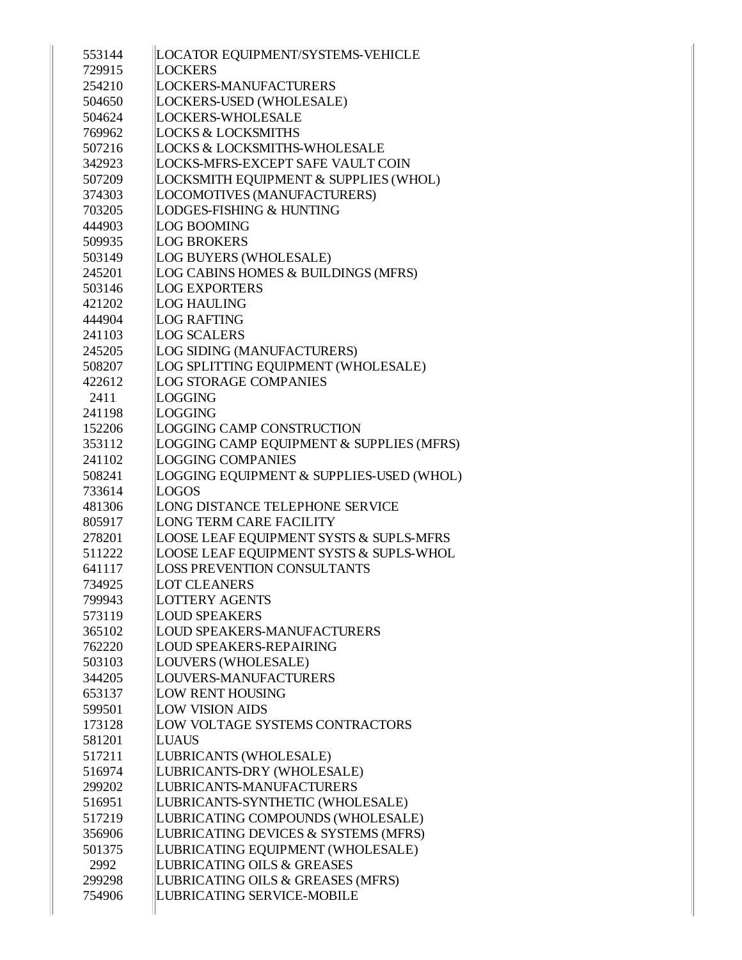| 553144 | LOCATOR EQUIPMENT/SYSTEMS-VEHICLE                  |
|--------|----------------------------------------------------|
| 729915 | <b>LOCKERS</b>                                     |
| 254210 | LOCKERS-MANUFACTURERS                              |
| 504650 | LOCKERS-USED (WHOLESALE)                           |
| 504624 | <b>LOCKERS-WHOLESALE</b>                           |
| 769962 | <b>LOCKS &amp; LOCKSMITHS</b>                      |
| 507216 | <b>LOCKS &amp; LOCKSMITHS-WHOLESALE</b>            |
| 342923 | LOCKS-MFRS-EXCEPT SAFE VAULT COIN                  |
| 507209 | <b>LOCKSMITH EQUIPMENT &amp; SUPPLIES (WHOL)</b>   |
| 374303 | LOCOMOTIVES (MANUFACTURERS)                        |
| 703205 | LODGES-FISHING & HUNTING                           |
| 444903 | <b>LOG BOOMING</b>                                 |
| 509935 | <b>LOG BROKERS</b>                                 |
| 503149 | LOG BUYERS (WHOLESALE)                             |
| 245201 | LOG CABINS HOMES & BUILDINGS (MFRS)                |
| 503146 | <b>LOG EXPORTERS</b>                               |
| 421202 | <b>LOG HAULING</b>                                 |
| 444904 | <b>LOG RAFTING</b>                                 |
| 241103 | <b>LOG SCALERS</b>                                 |
| 245205 | LOG SIDING (MANUFACTURERS)                         |
| 508207 | LOG SPLITTING EQUIPMENT (WHOLESALE)                |
| 422612 | <b>LOG STORAGE COMPANIES</b>                       |
| 2411   | LOGGING                                            |
| 241198 | LOGGING                                            |
| 152206 | LOGGING CAMP CONSTRUCTION                          |
| 353112 | LOGGING CAMP EQUIPMENT & SUPPLIES (MFRS)           |
| 241102 | <b>LOGGING COMPANIES</b>                           |
| 508241 | LOGGING EQUIPMENT & SUPPLIES-USED (WHOL)           |
| 733614 | LOGOS                                              |
| 481306 | LONG DISTANCE TELEPHONE SERVICE                    |
| 805917 | <b>LONG TERM CARE FACILITY</b>                     |
| 278201 | <b>LOOSE LEAF EQUIPMENT SYSTS &amp; SUPLS-MFRS</b> |
| 511222 | LOOSE LEAF EQUIPMENT SYSTS & SUPLS-WHOL            |
| 641117 | <b>LOSS PREVENTION CONSULTANTS</b>                 |
| 734925 | <b>LOT CLEANERS</b>                                |
| 799943 | <b>LOTTERY AGENTS</b>                              |
| 573119 | <b>LOUD SPEAKERS</b>                               |
| 365102 | <b>LOUD SPEAKERS-MANUFACTURERS</b>                 |
| 762220 | <b>LOUD SPEAKERS-REPAIRING</b>                     |
| 503103 | LOUVERS (WHOLESALE)                                |
| 344205 | LOUVERS-MANUFACTURERS                              |
| 653137 | <b>LOW RENT HOUSING</b>                            |
| 599501 | <b>LOW VISION AIDS</b>                             |
| 173128 | LOW VOLTAGE SYSTEMS CONTRACTORS                    |
| 581201 | LUAUS                                              |
| 517211 | LUBRICANTS (WHOLESALE)                             |
| 516974 | LUBRICANTS-DRY (WHOLESALE)                         |
| 299202 | LUBRICANTS-MANUFACTURERS                           |
| 516951 | LUBRICANTS-SYNTHETIC (WHOLESALE)                   |
| 517219 | LUBRICATING COMPOUNDS (WHOLESALE)                  |
| 356906 | LUBRICATING DEVICES & SYSTEMS (MFRS)               |
| 501375 | LUBRICATING EQUIPMENT (WHOLESALE)                  |
| 2992   | <b>LUBRICATING OILS &amp; GREASES</b>              |
| 299298 | LUBRICATING OILS & GREASES (MFRS)                  |
| 754906 | LUBRICATING SERVICE-MOBILE                         |
|        |                                                    |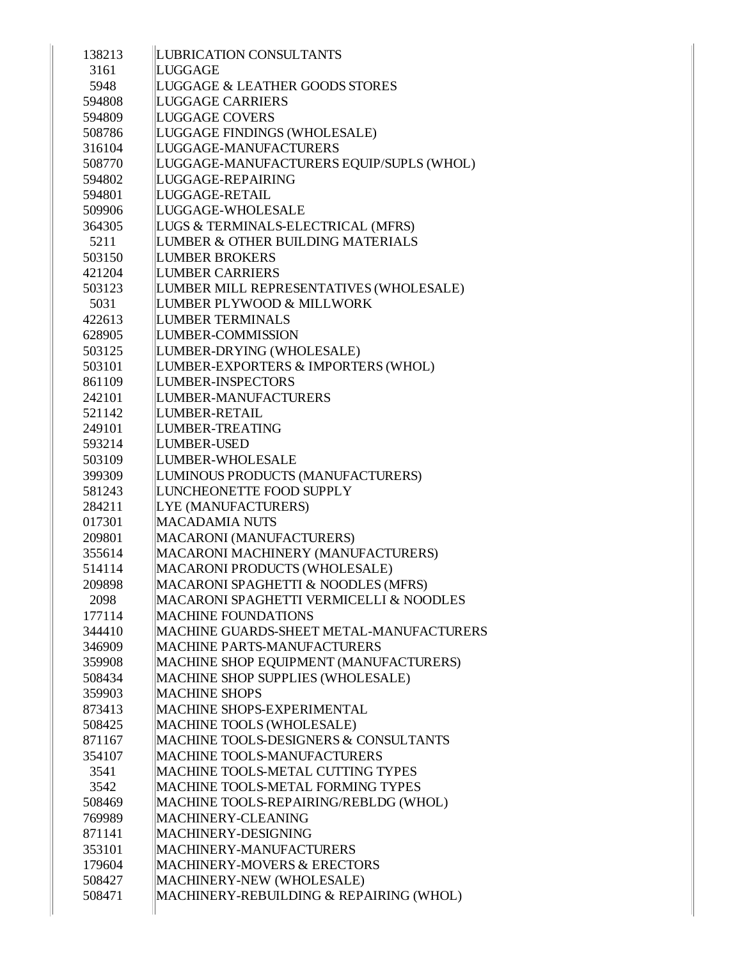| 138213 | LUBRICATION CONSULTANTS                  |
|--------|------------------------------------------|
| 3161   | LUGGAGE                                  |
| 5948   | LUGGAGE & LEATHER GOODS STORES           |
| 594808 | <b>LUGGAGE CARRIERS</b>                  |
| 594809 | <b>LUGGAGE COVERS</b>                    |
| 508786 | LUGGAGE FINDINGS (WHOLESALE)             |
| 316104 | LUGGAGE-MANUFACTURERS                    |
| 508770 | LUGGAGE-MANUFACTURERS EQUIP/SUPLS (WHOL) |
| 594802 | LUGGAGE-REPAIRING                        |
| 594801 | LUGGAGE-RETAIL                           |
| 509906 | LUGGAGE-WHOLESALE                        |
| 364305 | LUGS & TERMINALS-ELECTRICAL (MFRS)       |
| 5211   | LUMBER & OTHER BUILDING MATERIALS        |
| 503150 | <b>LUMBER BROKERS</b>                    |
| 421204 | <b>LUMBER CARRIERS</b>                   |
| 503123 | LUMBER MILL REPRESENTATIVES (WHOLESALE)  |
| 5031   | LUMBER PLYWOOD & MILLWORK                |
| 422613 | <b>LUMBER TERMINALS</b>                  |
| 628905 | LUMBER-COMMISSION                        |
| 503125 | LUMBER-DRYING (WHOLESALE)                |
| 503101 | LUMBER-EXPORTERS & IMPORTERS (WHOL)      |
| 861109 | LUMBER-INSPECTORS                        |
| 242101 | LUMBER-MANUFACTURERS                     |
| 521142 | LUMBER-RETAIL                            |
| 249101 | LUMBER-TREATING                          |
| 593214 | LUMBER-USED                              |
| 503109 | LUMBER-WHOLESALE                         |
| 399309 | LUMINOUS PRODUCTS (MANUFACTURERS)        |
| 581243 | LUNCHEONETTE FOOD SUPPLY                 |
| 284211 | LYE (MANUFACTURERS)                      |
| 017301 | <b>MACADAMIA NUTS</b>                    |
| 209801 | MACARONI (MANUFACTURERS)                 |
| 355614 | MACARONI MACHINERY (MANUFACTURERS)       |
| 514114 | MACARONI PRODUCTS (WHOLESALE)            |
| 209898 | MACARONI SPAGHETTI & NOODLES (MFRS)      |
| 2098   | MACARONI SPAGHETTI VERMICELLI & NOODLES  |
| 177114 | <b>MACHINE FOUNDATIONS</b>               |
| 344410 | MACHINE GUARDS-SHEET METAL-MANUFACTURERS |
| 346909 | <b>MACHINE PARTS-MANUFACTURERS</b>       |
| 359908 | MACHINE SHOP EQUIPMENT (MANUFACTURERS)   |
| 508434 | MACHINE SHOP SUPPLIES (WHOLESALE)        |
| 359903 | <b>MACHINE SHOPS</b>                     |
| 873413 | MACHINE SHOPS-EXPERIMENTAL               |
| 508425 | MACHINE TOOLS (WHOLESALE)                |
| 871167 | MACHINE TOOLS-DESIGNERS & CONSULTANTS    |
| 354107 | <b>MACHINE TOOLS-MANUFACTURERS</b>       |
| 3541   | MACHINE TOOLS-METAL CUTTING TYPES        |
| 3542   | MACHINE TOOLS-METAL FORMING TYPES        |
| 508469 | MACHINE TOOLS-REPAIRING/REBLDG (WHOL)    |
| 769989 | MACHINERY-CLEANING                       |
| 871141 | MACHINERY-DESIGNING                      |
| 353101 | MACHINERY-MANUFACTURERS                  |
| 179604 | <b>MACHINERY-MOVERS &amp; ERECTORS</b>   |
| 508427 | MACHINERY-NEW (WHOLESALE)                |
| 508471 | MACHINERY-REBUILDING & REPAIRING (WHOL)  |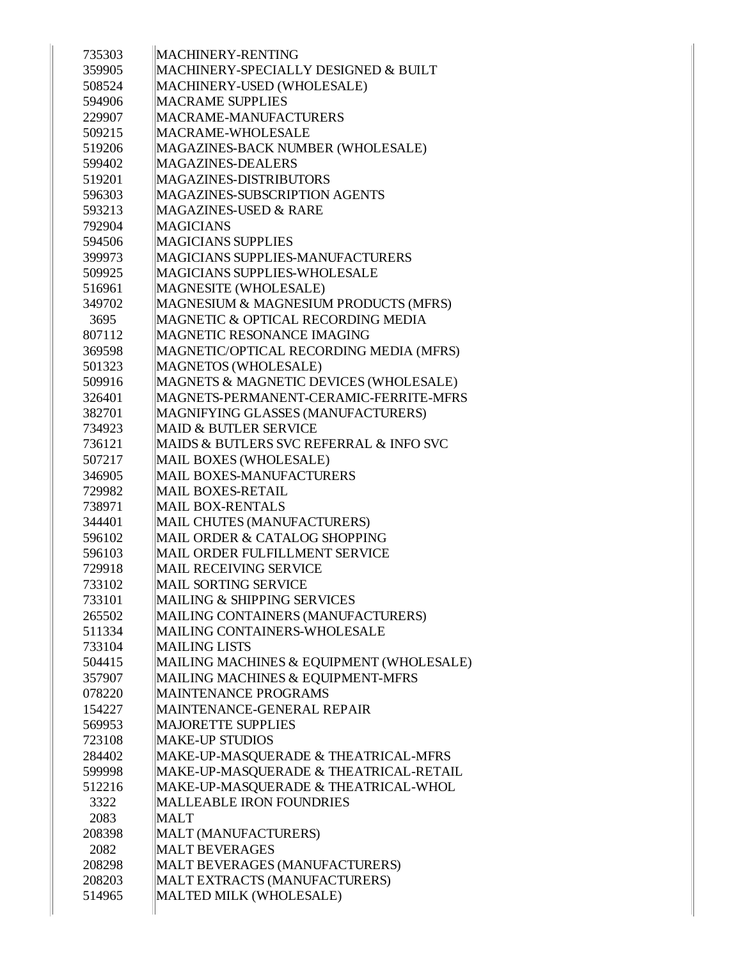| 735303 | <b>MACHINERY-RENTING</b>                 |
|--------|------------------------------------------|
| 359905 | MACHINERY-SPECIALLY DESIGNED & BUILT     |
|        |                                          |
| 508524 | MACHINERY-USED (WHOLESALE)               |
| 594906 | <b>MACRAME SUPPLIES</b>                  |
| 229907 | MACRAME-MANUFACTURERS                    |
| 509215 | <b>MACRAME-WHOLESALE</b>                 |
| 519206 | MAGAZINES-BACK NUMBER (WHOLESALE)        |
| 599402 | <b>MAGAZINES-DEALERS</b>                 |
| 519201 | <b>MAGAZINES-DISTRIBUTORS</b>            |
| 596303 | MAGAZINES-SUBSCRIPTION AGENTS            |
| 593213 | MAGAZINES-USED & RARE                    |
| 792904 | <b>MAGICIANS</b>                         |
| 594506 | <b>MAGICIANS SUPPLIES</b>                |
| 399973 | <b>MAGICIANS SUPPLIES-MANUFACTURERS</b>  |
| 509925 | MAGICIANS SUPPLIES-WHOLESALE             |
| 516961 | MAGNESITE (WHOLESALE)                    |
| 349702 | MAGNESIUM & MAGNESIUM PRODUCTS (MFRS)    |
| 3695   | MAGNETIC & OPTICAL RECORDING MEDIA       |
| 807112 | MAGNETIC RESONANCE IMAGING               |
| 369598 | MAGNETIC/OPTICAL RECORDING MEDIA (MFRS)  |
| 501323 | <b>MAGNETOS (WHOLESALE)</b>              |
| 509916 | MAGNETS & MAGNETIC DEVICES (WHOLESALE)   |
| 326401 | MAGNETS-PERMANENT-CERAMIC-FERRITE-MFRS   |
| 382701 | MAGNIFYING GLASSES (MANUFACTURERS)       |
| 734923 | <b>MAID &amp; BUTLER SERVICE</b>         |
| 736121 | MAIDS & BUTLERS SVC REFERRAL & INFO SVC  |
| 507217 | MAIL BOXES (WHOLESALE)                   |
| 346905 | <b>MAIL BOXES-MANUFACTURERS</b>          |
| 729982 | <b>MAIL BOXES-RETAIL</b>                 |
| 738971 | <b>MAIL BOX-RENTALS</b>                  |
| 344401 | MAIL CHUTES (MANUFACTURERS)              |
| 596102 | MAIL ORDER & CATALOG SHOPPING            |
| 596103 | MAIL ORDER FULFILLMENT SERVICE           |
| 729918 | <b>MAIL RECEIVING SERVICE</b>            |
| 733102 | <b>MAIL SORTING SERVICE</b>              |
| 733101 | <b>MAILING &amp; SHIPPING SERVICES</b>   |
| 265502 | MAILING CONTAINERS (MANUFACTURERS)       |
| 511334 | MAILING CONTAINERS-WHOLESALE             |
| 733104 | <b>MAILING LISTS</b>                     |
| 504415 | MAILING MACHINES & EQUIPMENT (WHOLESALE) |
| 357907 | MAILING MACHINES & EQUIPMENT-MFRS        |
| 078220 | <b>MAINTENANCE PROGRAMS</b>              |
| 154227 | MAINTENANCE-GENERAL REPAIR               |
| 569953 | <b>MAJORETTE SUPPLIES</b>                |
| 723108 | <b>MAKE-UP STUDIOS</b>                   |
| 284402 | MAKE-UP-MASQUERADE & THEATRICAL-MFRS     |
| 599998 | MAKE-UP-MASQUERADE & THEATRICAL-RETAIL   |
| 512216 | MAKE-UP-MASQUERADE & THEATRICAL-WHOL     |
| 3322   | <b>MALLEABLE IRON FOUNDRIES</b>          |
| 2083   | <b>MALT</b>                              |
| 208398 | MALT (MANUFACTURERS)                     |
| 2082   | <b>MALT BEVERAGES</b>                    |
| 208298 | MALT BEVERAGES (MANUFACTURERS)           |
| 208203 | MALT EXTRACTS (MANUFACTURERS)            |
| 514965 | MALTED MILK (WHOLESALE)                  |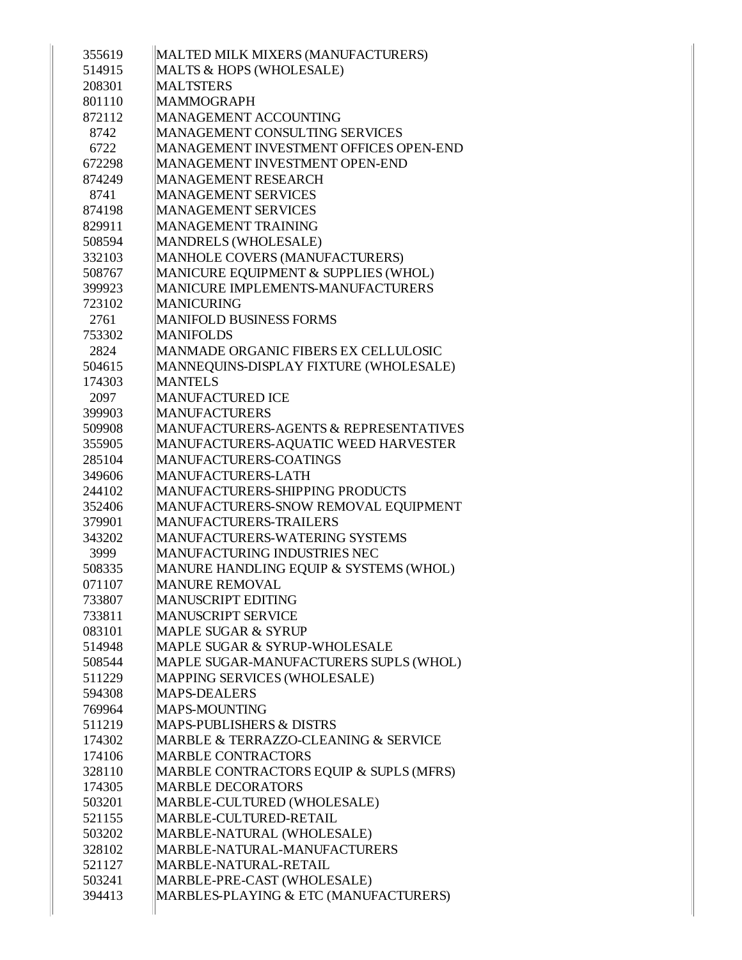| 355619<br>514915 | MALTED MILK MIXERS (MANUFACTURERS)<br>MALTS & HOPS (WHOLESALE)               |
|------------------|------------------------------------------------------------------------------|
|                  |                                                                              |
| 208301           | <b>MALTSTERS</b>                                                             |
| 801110<br>872112 | <b>MAMMOGRAPH</b><br><b>MANAGEMENT ACCOUNTING</b>                            |
|                  |                                                                              |
| 8742             | MANAGEMENT CONSULTING SERVICES                                               |
| 6722             | MANAGEMENT INVESTMENT OFFICES OPEN-END                                       |
| 672298           | <b>MANAGEMENT INVESTMENT OPEN-END</b>                                        |
| 874249           | <b>MANAGEMENT RESEARCH</b>                                                   |
| 8741             | <b>MANAGEMENT SERVICES</b>                                                   |
| 874198           | <b>MANAGEMENT SERVICES</b>                                                   |
| 829911           | <b>MANAGEMENT TRAINING</b>                                                   |
| 508594           | <b>MANDRELS (WHOLESALE)</b>                                                  |
| 332103           | MANHOLE COVERS (MANUFACTURERS)                                               |
| 508767           | MANICURE EQUIPMENT & SUPPLIES (WHOL)                                         |
| 399923           | <b>MANICURE IMPLEMENTS-MANUFACTURERS</b>                                     |
| 723102           | <b>MANICURING</b>                                                            |
| 2761             | <b>MANIFOLD BUSINESS FORMS</b>                                               |
| 753302           | <b>MANIFOLDS</b>                                                             |
| 2824             | MANMADE ORGANIC FIBERS EX CELLULOSIC                                         |
| 504615           | MANNEQUINS-DISPLAY FIXTURE (WHOLESALE)                                       |
| 174303           | <b>MANTELS</b>                                                               |
| 2097             | <b>MANUFACTURED ICE</b>                                                      |
| 399903           | <b>MANUFACTURERS</b>                                                         |
| 509908           | MANUFACTURERS-AGENTS & REPRESENTATIVES                                       |
| 355905           | MANUFACTURERS-AQUATIC WEED HARVESTER                                         |
| 285104           | MANUFACTURERS-COATINGS                                                       |
| 349606           | <b>MANUFACTURERS-LATH</b>                                                    |
| 244102           | MANUFACTURERS-SHIPPING PRODUCTS                                              |
| 352406           | MANUFACTURERS-SNOW REMOVAL EQUIPMENT                                         |
| 379901           | <b>MANUFACTURERS-TRAILERS</b>                                                |
| 343202           | <b>MANUFACTURERS-WATERING SYSTEMS</b><br><b>MANUFACTURING INDUSTRIES NEC</b> |
| 3999<br>508335   | MANURE HANDLING EQUIP & SYSTEMS (WHOL)                                       |
|                  |                                                                              |
| 071107           | <b>MANURE REMOVAL</b><br><b>MANUSCRIPT EDITING</b>                           |
| 733807           | <b>MANUSCRIPT SERVICE</b>                                                    |
| 733811           |                                                                              |
| 083101           | <b>MAPLE SUGAR &amp; SYRUP</b>                                               |
| 514948           | MAPLE SUGAR & SYRUP-WHOLESALE                                                |
| 508544           | MAPLE SUGAR-MANUFACTURERS SUPLS (WHOL)                                       |
| 511229           | MAPPING SERVICES (WHOLESALE)<br><b>MAPS-DEALERS</b>                          |
| 594308           | MAPS-MOUNTING                                                                |
| 769964           | MAPS-PUBLISHERS & DISTRS                                                     |
| 511219           | MARBLE & TERRAZZO-CLEANING & SERVICE                                         |
| 174302           | <b>MARBLE CONTRACTORS</b>                                                    |
| 174106<br>328110 | MARBLE CONTRACTORS EQUIP & SUPLS (MFRS)                                      |
| 174305           | <b>MARBLE DECORATORS</b>                                                     |
| 503201           |                                                                              |
| 521155           | MARBLE-CULTURED (WHOLESALE)<br>MARBLE-CULTURED-RETAIL                        |
| 503202           | MARBLE-NATURAL (WHOLESALE)                                                   |
| 328102           | MARBLE-NATURAL-MANUFACTURERS                                                 |
| 521127           | MARBLE-NATURAL-RETAIL                                                        |
| 503241           | MARBLE-PRE-CAST (WHOLESALE)                                                  |
| 394413           | MARBLES-PLAYING & ETC (MANUFACTURERS)                                        |
|                  |                                                                              |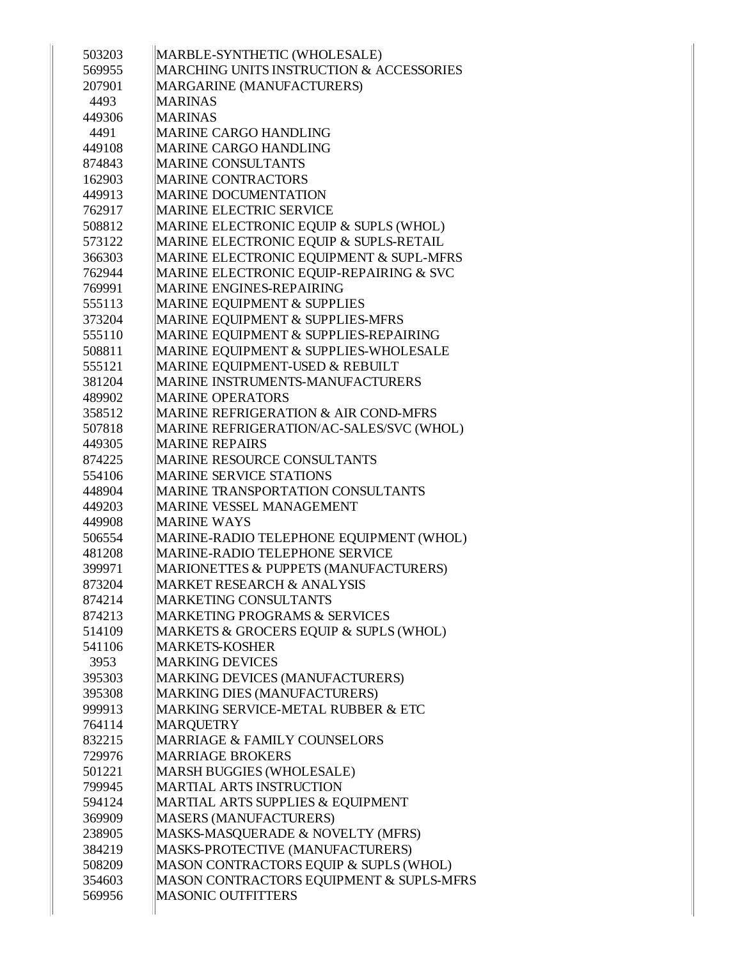| 503203           | MARBLE-SYNTHETIC (WHOLESALE)<br>MARCHING UNITS INSTRUCTION & ACCESSORIES   |
|------------------|----------------------------------------------------------------------------|
| 569955<br>207901 |                                                                            |
|                  | <b>MARGARINE (MANUFACTURERS)</b><br><b>MARINAS</b>                         |
| 4493             |                                                                            |
| 449306           | <b>MARINAS</b><br>MARINE CARGO HANDLING                                    |
| 4491             |                                                                            |
| 449108           | <b>MARINE CARGO HANDLING</b>                                               |
| 874843           | <b>MARINE CONSULTANTS</b>                                                  |
| 162903           | <b>MARINE CONTRACTORS</b>                                                  |
| 449913           | <b>MARINE DOCUMENTATION</b>                                                |
| 762917           | <b>MARINE ELECTRIC SERVICE</b>                                             |
| 508812           | MARINE ELECTRONIC EQUIP & SUPLS (WHOL)                                     |
| 573122           | MARINE ELECTRONIC EQUIP & SUPLS-RETAIL                                     |
| 366303           | MARINE ELECTRONIC EQUIPMENT & SUPL-MFRS                                    |
| 762944           | MARINE ELECTRONIC EQUIP-REPAIRING & SVC<br><b>MARINE ENGINES-REPAIRING</b> |
| 769991           |                                                                            |
| 555113           | MARINE EQUIPMENT & SUPPLIES                                                |
| 373204           | MARINE EQUIPMENT & SUPPLIES-MFRS                                           |
| 555110           | MARINE EQUIPMENT & SUPPLIES-REPAIRING                                      |
| 508811           | MARINE EQUIPMENT & SUPPLIES-WHOLESALE                                      |
| 555121           | MARINE EQUIPMENT-USED & REBUILT                                            |
| 381204           | MARINE INSTRUMENTS-MANUFACTURERS                                           |
| 489902           | <b>MARINE OPERATORS</b>                                                    |
| 358512           | <b>MARINE REFRIGERATION &amp; AIR COND-MFRS</b>                            |
| 507818           | MARINE REFRIGERATION/AC-SALES/SVC (WHOL)                                   |
| 449305           | <b>MARINE REPAIRS</b>                                                      |
| 874225           | <b>MARINE RESOURCE CONSULTANTS</b>                                         |
| 554106           | <b>MARINE SERVICE STATIONS</b>                                             |
| 448904           | <b>MARINE TRANSPORTATION CONSULTANTS</b>                                   |
| 449203           | <b>MARINE VESSEL MANAGEMENT</b>                                            |
| 449908           | <b>MARINE WAYS</b>                                                         |
| 506554           | MARINE-RADIO TELEPHONE EQUIPMENT (WHOL)                                    |
| 481208           | MARINE-RADIO TELEPHONE SERVICE                                             |
| 399971           | MARIONETTES & PUPPETS (MANUFACTURERS)                                      |
| 873204           | MARKET RESEARCH & ANALYSIS                                                 |
| 874214           | <b>MARKETING CONSULTANTS</b>                                               |
| 874213           | <b>MARKETING PROGRAMS &amp; SERVICES</b>                                   |
| 514109           | MARKETS & GROCERS EQUIP & SUPLS (WHOL)                                     |
| 541106           | <b>MARKETS-KOSHER</b>                                                      |
| 3953             | <b>MARKING DEVICES</b>                                                     |
| 395303           | MARKING DEVICES (MANUFACTURERS)                                            |
| 395308           | MARKING DIES (MANUFACTURERS)                                               |
| 999913           | MARKING SERVICE-METAL RUBBER & ETC                                         |
| 764114           | <b>MARQUETRY</b>                                                           |
| 832215           | MARRIAGE & FAMILY COUNSELORS                                               |
| 729976           | <b>MARRIAGE BROKERS</b>                                                    |
| 501221           | <b>MARSH BUGGIES (WHOLESALE)</b>                                           |
| 799945           | <b>MARTIAL ARTS INSTRUCTION</b>                                            |
| 594124           | MARTIAL ARTS SUPPLIES & EQUIPMENT                                          |
| 369909           | <b>MASERS (MANUFACTURERS)</b>                                              |
| 238905           | MASKS-MASQUERADE & NOVELTY (MFRS)                                          |
| 384219           | MASKS-PROTECTIVE (MANUFACTURERS)                                           |
| 508209           | MASON CONTRACTORS EQUIP & SUPLS (WHOL)                                     |
| 354603           | MASON CONTRACTORS EQUIPMENT & SUPLS-MFRS                                   |
| 569956           | <b>MASONIC OUTFITTERS</b>                                                  |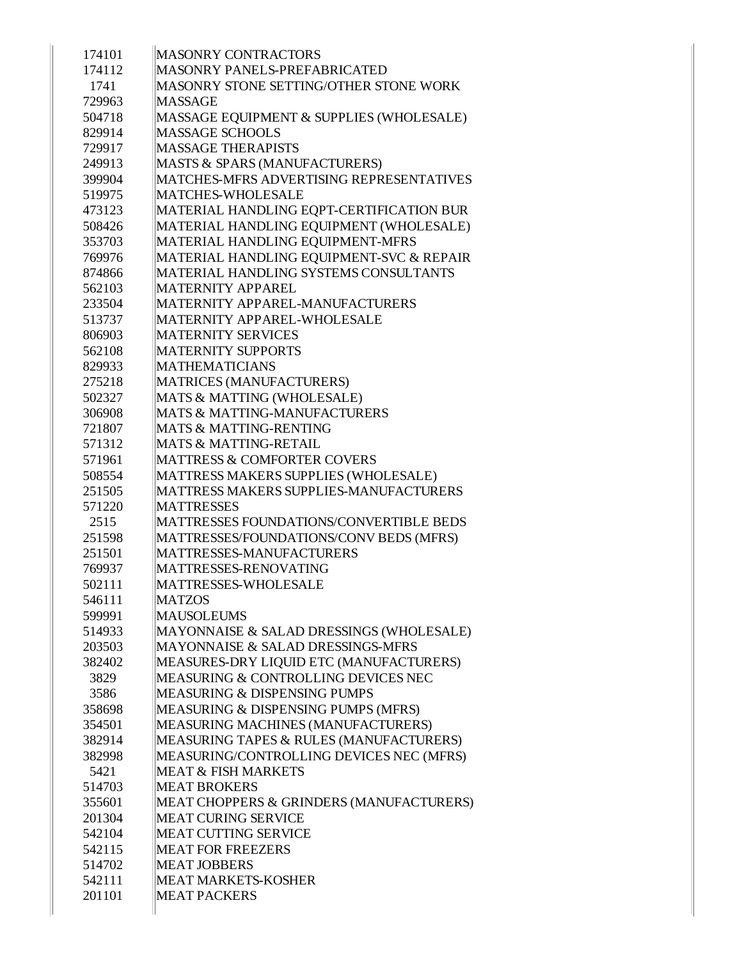| 174101 | <b>MASONRY CONTRACTORS</b>               |
|--------|------------------------------------------|
| 174112 | <b>MASONRY PANELS-PREFABRICATED</b>      |
| 1741   | MASONRY STONE SETTING/OTHER STONE WORK   |
| 729963 | <b>MASSAGE</b>                           |
| 504718 | MASSAGE EQUIPMENT & SUPPLIES (WHOLESALE) |
| 829914 | <b>MASSAGE SCHOOLS</b>                   |
| 729917 | <b>MASSAGE THERAPISTS</b>                |
| 249913 | MASTS & SPARS (MANUFACTURERS)            |
| 399904 | MATCHES-MFRS ADVERTISING REPRESENTATIVES |
| 519975 | MATCHES-WHOLESALE                        |
| 473123 | MATERIAL HANDLING EQPT-CERTIFICATION BUR |
| 508426 | MATERIAL HANDLING EQUIPMENT (WHOLESALE)  |
| 353703 | MATERIAL HANDLING EQUIPMENT-MFRS         |
| 769976 | MATERIAL HANDLING EQUIPMENT-SVC & REPAIR |
| 874866 | MATERIAL HANDLING SYSTEMS CONSULTANTS    |
| 562103 | <b>MATERNITY APPAREL</b>                 |
| 233504 | MATERNITY APPAREL-MANUFACTURERS          |
| 513737 | MATERNITY APPAREL-WHOLESALE              |
| 806903 | <b>MATERNITY SERVICES</b>                |
| 562108 | <b>MATERNITY SUPPORTS</b>                |
| 829933 | <b>MATHEMATICIANS</b>                    |
| 275218 | <b>MATRICES (MANUFACTURERS)</b>          |
| 502327 | MATS & MATTING (WHOLESALE)               |
| 306908 | <b>MATS &amp; MATTING-MANUFACTURERS</b>  |
| 721807 | <b>MATS &amp; MATTING-RENTING</b>        |
| 571312 | <b>MATS &amp; MATTING-RETAIL</b>         |
| 571961 | <b>MATTRESS &amp; COMFORTER COVERS</b>   |
| 508554 | MATTRESS MAKERS SUPPLIES (WHOLESALE)     |
| 251505 | MATTRESS MAKERS SUPPLIES-MANUFACTURERS   |
| 571220 | <b>MATTRESSES</b>                        |
| 2515   | MATTRESSES FOUNDATIONS/CONVERTIBLE BEDS  |
| 251598 | MATTRESSES/FOUNDATIONS/CONV BEDS (MFRS)  |
| 251501 | MATTRESSES-MANUFACTURERS                 |
| 769937 | MATTRESSES-RENOVATING                    |
| 502111 | MATTRESSES-WHOLESALE                     |
| 546111 | <b>MATZOS</b>                            |
| 599991 | <b>MAUSOLEUMS</b>                        |
| 514933 | MAYONNAISE & SALAD DRESSINGS (WHOLESALE) |
| 203503 | MAYONNAISE & SALAD DRESSINGS-MFRS        |
| 382402 | MEASURES-DRY LIQUID ETC (MANUFACTURERS)  |
| 3829   | MEASURING & CONTROLLING DEVICES NEC      |
| 3586   | <b>MEASURING &amp; DISPENSING PUMPS</b>  |
| 358698 | MEASURING & DISPENSING PUMPS (MFRS)      |
| 354501 | MEASURING MACHINES (MANUFACTURERS)       |
| 382914 | MEASURING TAPES & RULES (MANUFACTURERS)  |
| 382998 | MEASURING/CONTROLLING DEVICES NEC (MFRS) |
| 5421   | <b>MEAT &amp; FISH MARKETS</b>           |
| 514703 | <b>MEAT BROKERS</b>                      |
| 355601 | MEAT CHOPPERS & GRINDERS (MANUFACTURERS) |
| 201304 | <b>MEAT CURING SERVICE</b>               |
| 542104 | <b>MEAT CUTTING SERVICE</b>              |
| 542115 | <b>MEAT FOR FREEZERS</b>                 |
| 514702 | <b>MEAT JOBBERS</b>                      |
| 542111 | <b>MEAT MARKETS-KOSHER</b>               |
| 201101 | <b>MEAT PACKERS</b>                      |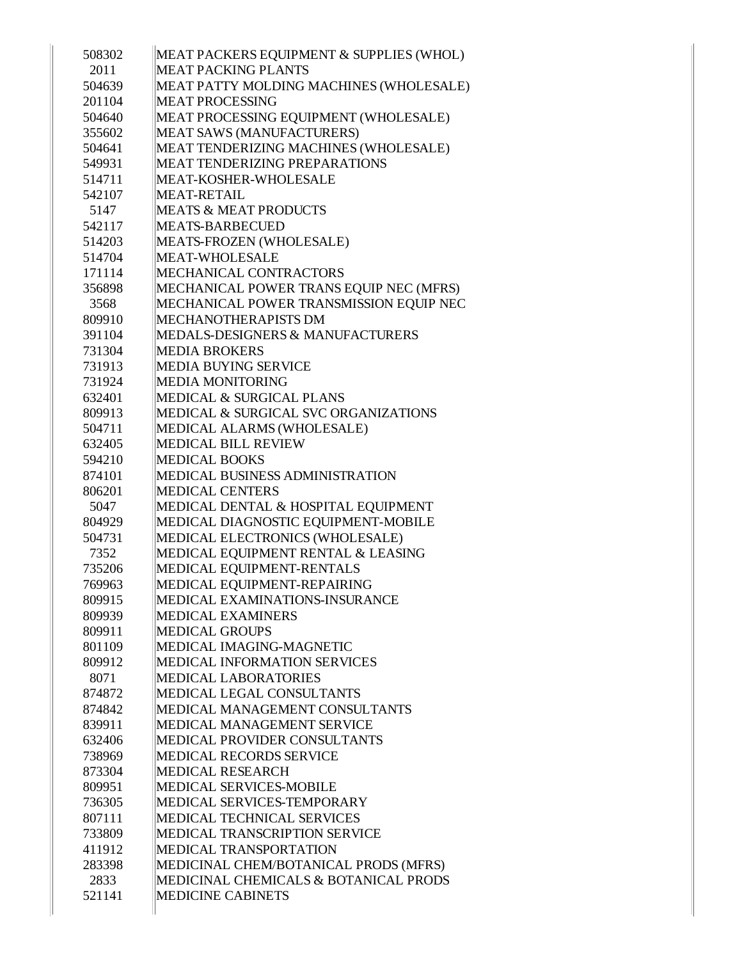| 508302 | MEAT PACKERS EQUIPMENT & SUPPLIES (WHOL)    |
|--------|---------------------------------------------|
| 2011   | <b>MEAT PACKING PLANTS</b>                  |
| 504639 | MEAT PATTY MOLDING MACHINES (WHOLESALE)     |
| 201104 | <b>MEAT PROCESSING</b>                      |
| 504640 | MEAT PROCESSING EQUIPMENT (WHOLESALE)       |
| 355602 | MEAT SAWS (MANUFACTURERS)                   |
| 504641 | MEAT TENDERIZING MACHINES (WHOLESALE)       |
| 549931 | <b>MEAT TENDERIZING PREPARATIONS</b>        |
| 514711 | MEAT-KOSHER-WHOLESALE                       |
| 542107 | <b>MEAT-RETAIL</b>                          |
| 5147   | <b>MEATS &amp; MEAT PRODUCTS</b>            |
| 542117 | <b>MEATS-BARBECUED</b>                      |
| 514203 | MEATS-FROZEN (WHOLESALE)                    |
| 514704 | MEAT-WHOLESALE                              |
| 171114 | MECHANICAL CONTRACTORS                      |
| 356898 | MECHANICAL POWER TRANS EQUIP NEC (MFRS)     |
| 3568   | MECHANICAL POWER TRANSMISSION EQUIP NEC     |
| 809910 | MECHANOTHERAPISTS DM                        |
| 391104 | <b>MEDALS-DESIGNERS &amp; MANUFACTURERS</b> |
| 731304 | <b>MEDIA BROKERS</b>                        |
| 731913 | <b>MEDIA BUYING SERVICE</b>                 |
| 731924 | <b>MEDIA MONITORING</b>                     |
| 632401 | <b>MEDICAL &amp; SURGICAL PLANS</b>         |
| 809913 | MEDICAL & SURGICAL SVC ORGANIZATIONS        |
| 504711 | MEDICAL ALARMS (WHOLESALE)                  |
| 632405 | MEDICAL BILL REVIEW                         |
| 594210 | <b>MEDICAL BOOKS</b>                        |
| 874101 | MEDICAL BUSINESS ADMINISTRATION             |
| 806201 | <b>MEDICAL CENTERS</b>                      |
| 5047   | MEDICAL DENTAL & HOSPITAL EQUIPMENT         |
| 804929 | MEDICAL DIAGNOSTIC EQUIPMENT-MOBILE         |
| 504731 | MEDICAL ELECTRONICS (WHOLESALE)             |
| 7352   | MEDICAL EQUIPMENT RENTAL & LEASING          |
| 735206 | MEDICAL EQUIPMENT-RENTALS                   |
| 769963 | MEDICAL EQUIPMENT-REPAIRING                 |
| 809915 | MEDICAL EXAMINATIONS-INSURANCE              |
| 809939 | <b>MEDICAL EXAMINERS</b>                    |
| 809911 | <b>MEDICAL GROUPS</b>                       |
| 801109 | MEDICAL IMAGING-MAGNETIC                    |
| 809912 | MEDICAL INFORMATION SERVICES                |
| 8071   | <b>MEDICAL LABORATORIES</b>                 |
| 874872 | MEDICAL LEGAL CONSULTANTS                   |
| 874842 | MEDICAL MANAGEMENT CONSULTANTS              |
| 839911 | MEDICAL MANAGEMENT SERVICE                  |
| 632406 | <b>MEDICAL PROVIDER CONSULTANTS</b>         |
| 738969 | MEDICAL RECORDS SERVICE                     |
| 873304 | <b>MEDICAL RESEARCH</b>                     |
| 809951 | MEDICAL SERVICES-MOBILE                     |
| 736305 | MEDICAL SERVICES-TEMPORARY                  |
| 807111 | MEDICAL TECHNICAL SERVICES                  |
| 733809 | MEDICAL TRANSCRIPTION SERVICE               |
| 411912 | MEDICAL TRANSPORTATION                      |
| 283398 | MEDICINAL CHEM/BOTANICAL PRODS (MFRS)       |
| 2833   | MEDICINAL CHEMICALS & BOTANICAL PRODS       |
| 521141 | <b>MEDICINE CABINETS</b>                    |
|        |                                             |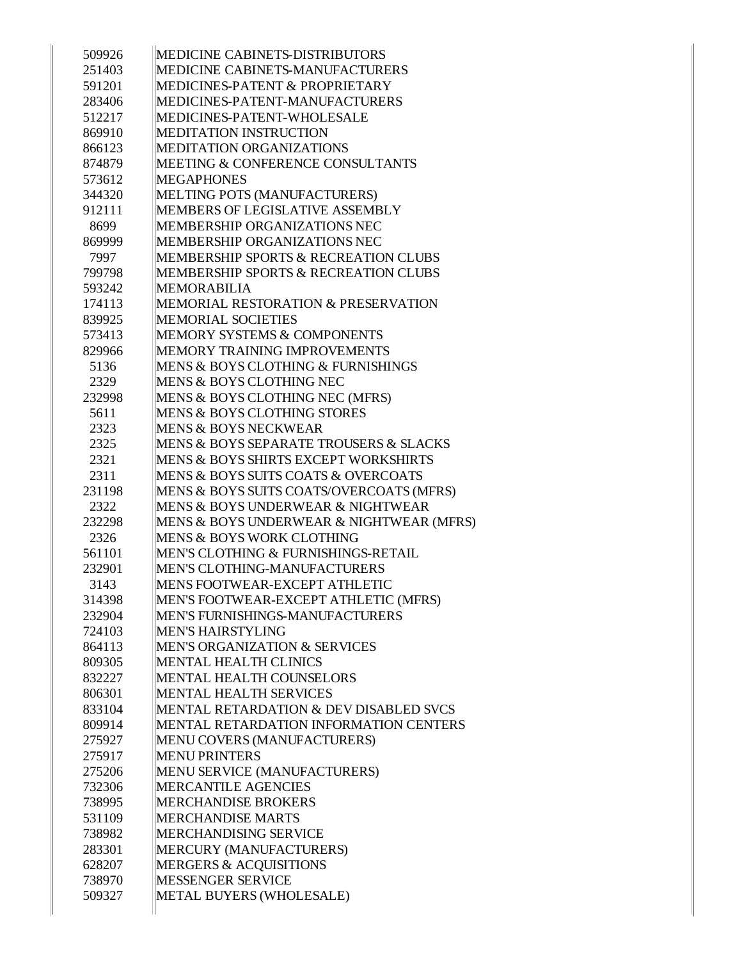| 509926 | MEDICINE CABINETS-DISTRIBUTORS                  |
|--------|-------------------------------------------------|
| 251403 | MEDICINE CABINETS-MANUFACTURERS                 |
| 591201 | MEDICINES-PATENT & PROPRIETARY                  |
| 283406 | MEDICINES-PATENT-MANUFACTURERS                  |
| 512217 | MEDICINES-PATENT-WHOLESALE                      |
| 869910 | <b>MEDITATION INSTRUCTION</b>                   |
| 866123 | MEDITATION ORGANIZATIONS                        |
| 874879 | <b>MEETING &amp; CONFERENCE CONSULTANTS</b>     |
| 573612 | <b>MEGAPHONES</b>                               |
| 344320 | MELTING POTS (MANUFACTURERS)                    |
| 912111 | MEMBERS OF LEGISLATIVE ASSEMBLY                 |
| 8699   | MEMBERSHIP ORGANIZATIONS NEC                    |
| 869999 | MEMBERSHIP ORGANIZATIONS NEC                    |
| 7997   | <b>MEMBERSHIP SPORTS &amp; RECREATION CLUBS</b> |
| 799798 | <b>MEMBERSHIP SPORTS &amp; RECREATION CLUBS</b> |
| 593242 | <b>MEMORABILIA</b>                              |
| 174113 | MEMORIAL RESTORATION & PRESERVATION             |
| 839925 | <b>MEMORIAL SOCIETIES</b>                       |
| 573413 | <b>MEMORY SYSTEMS &amp; COMPONENTS</b>          |
| 829966 | MEMORY TRAINING IMPROVEMENTS                    |
| 5136   | MENS & BOYS CLOTHING & FURNISHINGS              |
| 2329   | MENS & BOYS CLOTHING NEC                        |
| 232998 | MENS & BOYS CLOTHING NEC (MFRS)                 |
| 5611   | <b>MENS &amp; BOYS CLOTHING STORES</b>          |
| 2323   | <b>MENS &amp; BOYS NECKWEAR</b>                 |
| 2325   | MENS & BOYS SEPARATE TROUSERS & SLACKS          |
| 2321   | <b>MENS &amp; BOYS SHIRTS EXCEPT WORKSHIRTS</b> |
| 2311   | MENS & BOYS SUITS COATS & OVERCOATS             |
| 231198 | MENS & BOYS SUITS COATS/OVERCOATS (MFRS)        |
| 2322   | MENS & BOYS UNDERWEAR & NIGHTWEAR               |
| 232298 | MENS & BOYS UNDERWEAR & NIGHTWEAR (MFRS)        |
| 2326   | <b>MENS &amp; BOYS WORK CLOTHING</b>            |
| 561101 | MEN'S CLOTHING & FURNISHINGS-RETAIL             |
| 232901 | MEN'S CLOTHING-MANUFACTURERS                    |
| 3143   | MENS FOOTWEAR-EXCEPT ATHLETIC                   |
| 314398 | MEN'S FOOTWEAR-EXCEPT ATHLETIC (MFRS)           |
| 232904 | <b>MEN'S FURNISHINGS-MANUFACTURERS</b>          |
| 724103 | <b>MEN'S HAIRSTYLING</b>                        |
| 864113 | <b>MEN'S ORGANIZATION &amp; SERVICES</b>        |
| 809305 | <b>MENTAL HEALTH CLINICS</b>                    |
| 832227 | <b>MENTAL HEALTH COUNSELORS</b>                 |
| 806301 | <b>MENTAL HEALTH SERVICES</b>                   |
| 833104 | MENTAL RETARDATION & DEV DISABLED SVCS          |
| 809914 | MENTAL RETARDATION INFORMATION CENTERS          |
| 275927 | MENU COVERS (MANUFACTURERS)                     |
| 275917 | <b>MENU PRINTERS</b>                            |
| 275206 | MENU SERVICE (MANUFACTURERS)                    |
| 732306 | <b>MERCANTILE AGENCIES</b>                      |
| 738995 | <b>MERCHANDISE BROKERS</b>                      |
| 531109 | <b>MERCHANDISE MARTS</b>                        |
| 738982 | MERCHANDISING SERVICE                           |
| 283301 | MERCURY (MANUFACTURERS)                         |
| 628207 | <b>MERGERS &amp; ACQUISITIONS</b>               |
| 738970 | <b>MESSENGER SERVICE</b>                        |
| 509327 | METAL BUYERS (WHOLESALE)                        |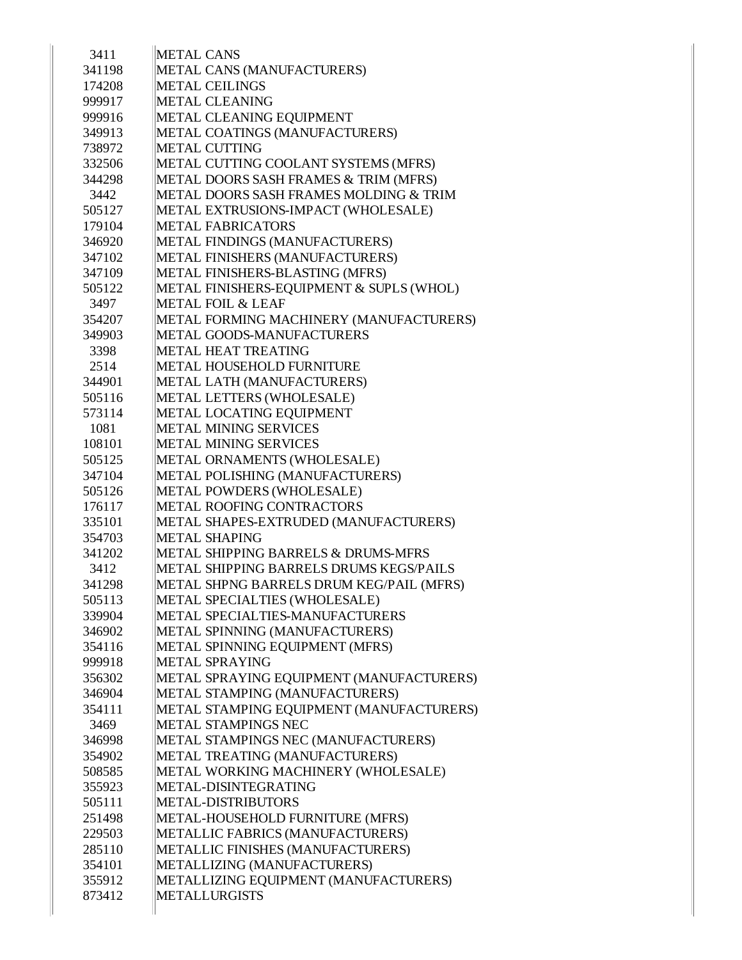| 3411           | <b>METAL CANS</b>                                                           |
|----------------|-----------------------------------------------------------------------------|
| 341198         | METAL CANS (MANUFACTURERS)                                                  |
| 174208         | <b>METAL CEILINGS</b>                                                       |
| 999917         | <b>METAL CLEANING</b>                                                       |
| 999916         | METAL CLEANING EQUIPMENT                                                    |
| 349913         | METAL COATINGS (MANUFACTURERS)                                              |
| 738972         | <b>METAL CUTTING</b>                                                        |
| 332506         | METAL CUTTING COOLANT SYSTEMS (MFRS)                                        |
| 344298         | METAL DOORS SASH FRAMES & TRIM (MFRS)                                       |
| 3442           | METAL DOORS SASH FRAMES MOLDING & TRIM                                      |
| 505127         | METAL EXTRUSIONS-IMPACT (WHOLESALE)                                         |
| 179104         | <b>METAL FABRICATORS</b>                                                    |
| 346920         | METAL FINDINGS (MANUFACTURERS)                                              |
|                | METAL FINISHERS (MANUFACTURERS)                                             |
| 347102         |                                                                             |
| 347109         | METAL FINISHERS-BLASTING (MFRS)<br>METAL FINISHERS-EQUIPMENT & SUPLS (WHOL) |
| 505122<br>3497 | <b>METAL FOIL &amp; LEAF</b>                                                |
|                |                                                                             |
| 354207         | METAL FORMING MACHINERY (MANUFACTURERS)                                     |
| 349903         | METAL GOODS-MANUFACTURERS                                                   |
| 3398           | <b>METAL HEAT TREATING</b>                                                  |
| 2514           | <b>METAL HOUSEHOLD FURNITURE</b>                                            |
| 344901         | METAL LATH (MANUFACTURERS)                                                  |
| 505116         | METAL LETTERS (WHOLESALE)                                                   |
| 573114         | METAL LOCATING EQUIPMENT                                                    |
| 1081           | <b>METAL MINING SERVICES</b>                                                |
| 108101         | <b>METAL MINING SERVICES</b>                                                |
| 505125         | METAL ORNAMENTS (WHOLESALE)                                                 |
| 347104         | METAL POLISHING (MANUFACTURERS)                                             |
| 505126         | METAL POWDERS (WHOLESALE)                                                   |
| 176117         | METAL ROOFING CONTRACTORS                                                   |
| 335101         | METAL SHAPES-EXTRUDED (MANUFACTURERS)                                       |
| 354703         | <b>METAL SHAPING</b>                                                        |
| 341202         | METAL SHIPPING BARRELS & DRUMS-MFRS                                         |
| 3412           | METAL SHIPPING BARRELS DRUMS KEGS/PAILS                                     |
| 341298         | METAL SHPNG BARRELS DRUM KEG/PAIL (MFRS)                                    |
| 505113         | METAL SPECIALTIES (WHOLESALE)                                               |
| 339904         | METAL SPECIALTIES-MANUFACTURERS                                             |
| 346902         | METAL SPINNING (MANUFACTURERS)                                              |
| 354116         | METAL SPINNING EQUIPMENT (MFRS)                                             |
| 999918         | <b>METAL SPRAYING</b>                                                       |
| 356302         | METAL SPRAYING EQUIPMENT (MANUFACTURERS)                                    |
| 346904         | METAL STAMPING (MANUFACTURERS)                                              |
| 354111         | METAL STAMPING EQUIPMENT (MANUFACTURERS)                                    |
| 3469           | METAL STAMPINGS NEC                                                         |
| 346998         | METAL STAMPINGS NEC (MANUFACTURERS)                                         |
| 354902         | METAL TREATING (MANUFACTURERS)                                              |
| 508585         | METAL WORKING MACHINERY (WHOLESALE)                                         |
| 355923         | METAL-DISINTEGRATING                                                        |
| 505111         | METAL-DISTRIBUTORS                                                          |
| 251498         | METAL-HOUSEHOLD FURNITURE (MFRS)                                            |
| 229503         | METALLIC FABRICS (MANUFACTURERS)                                            |
| 285110         | METALLIC FINISHES (MANUFACTURERS)                                           |
| 354101         | METALLIZING (MANUFACTURERS)                                                 |
| 355912         | METALLIZING EQUIPMENT (MANUFACTURERS)                                       |
| 873412         | <b>METALLURGISTS</b>                                                        |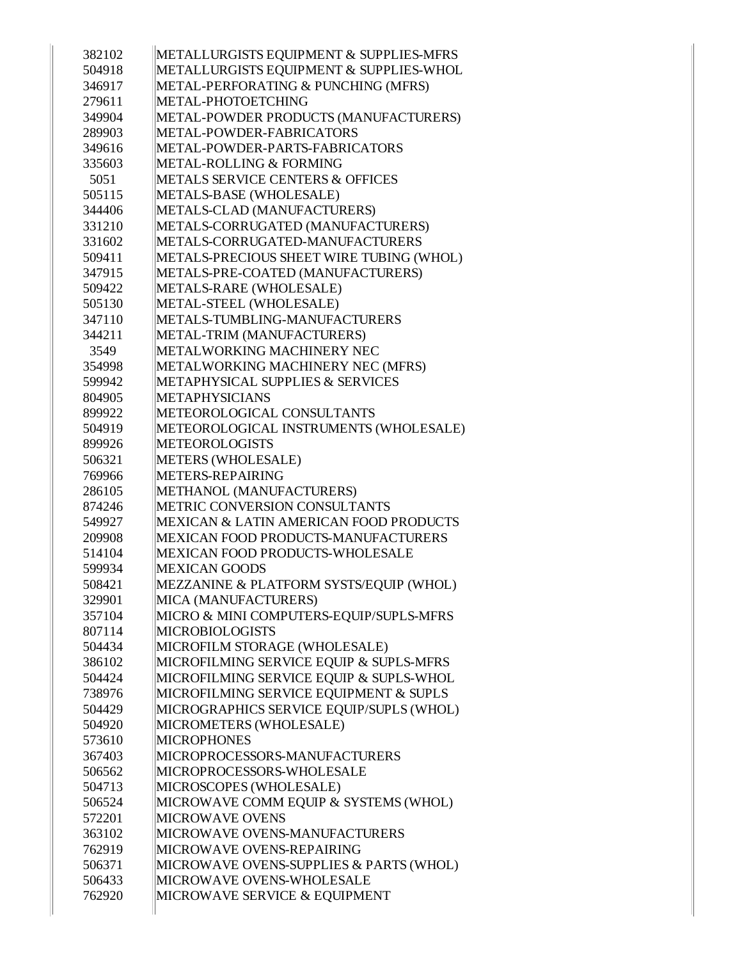| METALLURGISTS EQUIPMENT & SUPPLIES-WHOL<br>504918<br>METAL-PERFORATING & PUNCHING (MFRS)<br>346917<br>279611<br>METAL-PHOTOETCHING<br>METAL-POWDER PRODUCTS (MANUFACTURERS)<br>349904<br>METAL-POWDER-FABRICATORS<br>289903<br>349616<br>METAL-POWDER-PARTS-FABRICATORS<br><b>METAL-ROLLING &amp; FORMING</b><br>335603<br><b>METALS SERVICE CENTERS &amp; OFFICES</b><br>5051<br>METALS-BASE (WHOLESALE)<br>505115<br>METALS-CLAD (MANUFACTURERS)<br>344406<br>METALS-CORRUGATED (MANUFACTURERS)<br>331210<br>METALS-CORRUGATED-MANUFACTURERS<br>331602<br>METALS-PRECIOUS SHEET WIRE TUBING (WHOL)<br>509411<br>METALS-PRE-COATED (MANUFACTURERS)<br>347915<br>METALS-RARE (WHOLESALE)<br>509422<br>METAL-STEEL (WHOLESALE)<br>505130<br>METALS-TUMBLING-MANUFACTURERS<br>347110<br>METAL-TRIM (MANUFACTURERS)<br>344211<br>METALWORKING MACHINERY NEC<br>3549<br>METALWORKING MACHINERY NEC (MFRS)<br>354998<br>599942<br><b>METAPHYSICAL SUPPLIES &amp; SERVICES</b><br>804905<br><b>METAPHYSICIANS</b><br>899922<br>METEOROLOGICAL CONSULTANTS<br>504919<br>METEOROLOGICAL INSTRUMENTS (WHOLESALE)<br><b>METEOROLOGISTS</b><br>899926<br>METERS (WHOLESALE)<br>506321<br>METERS-REPAIRING<br>769966<br>METHANOL (MANUFACTURERS)<br>286105<br>METRIC CONVERSION CONSULTANTS<br>874246<br>MEXICAN & LATIN AMERICAN FOOD PRODUCTS<br>549927<br>209908<br>MEXICAN FOOD PRODUCTS-MANUFACTURERS<br>MEXICAN FOOD PRODUCTS-WHOLESALE<br>514104<br>599934<br><b>MEXICAN GOODS</b><br>MEZZANINE & PLATFORM SYSTS/EQUIP (WHOL)<br>508421<br>MICA (MANUFACTURERS)<br>329901<br>MICRO & MINI COMPUTERS-EQUIP/SUPLS-MFRS<br>357104<br>807114<br><b>MICROBIOLOGISTS</b><br>MICROFILM STORAGE (WHOLESALE)<br>504434<br>MICROFILMING SERVICE EQUIP & SUPLS-MFRS<br>386102<br>MICROFILMING SERVICE EQUIP & SUPLS-WHOL<br>504424<br>MICROFILMING SERVICE EQUIPMENT & SUPLS<br>738976<br>MICROGRAPHICS SERVICE EQUIP/SUPLS (WHOL)<br>504429<br>MICROMETERS (WHOLESALE)<br>504920<br><b>MICROPHONES</b><br>573610<br>MICROPROCESSORS-MANUFACTURERS<br>367403<br>MICROPROCESSORS-WHOLESALE<br>506562<br>MICROSCOPES (WHOLESALE)<br>504713<br>MICROWAVE COMM EQUIP & SYSTEMS (WHOL)<br>506524<br><b>MICROWAVE OVENS</b><br>572201<br>MICROWAVE OVENS-MANUFACTURERS<br>363102<br>MICROWAVE OVENS-REPAIRING<br>762919<br>MICROWAVE OVENS-SUPPLIES & PARTS (WHOL)<br>506371<br>MICROWAVE OVENS-WHOLESALE<br>506433<br>762920<br>MICROWAVE SERVICE & EQUIPMENT |        |                                         |
|------------------------------------------------------------------------------------------------------------------------------------------------------------------------------------------------------------------------------------------------------------------------------------------------------------------------------------------------------------------------------------------------------------------------------------------------------------------------------------------------------------------------------------------------------------------------------------------------------------------------------------------------------------------------------------------------------------------------------------------------------------------------------------------------------------------------------------------------------------------------------------------------------------------------------------------------------------------------------------------------------------------------------------------------------------------------------------------------------------------------------------------------------------------------------------------------------------------------------------------------------------------------------------------------------------------------------------------------------------------------------------------------------------------------------------------------------------------------------------------------------------------------------------------------------------------------------------------------------------------------------------------------------------------------------------------------------------------------------------------------------------------------------------------------------------------------------------------------------------------------------------------------------------------------------------------------------------------------------------------------------------------------------------------------------------------------------------------------------------------------------------------------------------------------------------------------------------------------------------------------------------------------------------------------------------------------------------------------------------------------------------------------------------------------------------------|--------|-----------------------------------------|
|                                                                                                                                                                                                                                                                                                                                                                                                                                                                                                                                                                                                                                                                                                                                                                                                                                                                                                                                                                                                                                                                                                                                                                                                                                                                                                                                                                                                                                                                                                                                                                                                                                                                                                                                                                                                                                                                                                                                                                                                                                                                                                                                                                                                                                                                                                                                                                                                                                          | 382102 | METALLURGISTS EQUIPMENT & SUPPLIES-MFRS |
|                                                                                                                                                                                                                                                                                                                                                                                                                                                                                                                                                                                                                                                                                                                                                                                                                                                                                                                                                                                                                                                                                                                                                                                                                                                                                                                                                                                                                                                                                                                                                                                                                                                                                                                                                                                                                                                                                                                                                                                                                                                                                                                                                                                                                                                                                                                                                                                                                                          |        |                                         |
|                                                                                                                                                                                                                                                                                                                                                                                                                                                                                                                                                                                                                                                                                                                                                                                                                                                                                                                                                                                                                                                                                                                                                                                                                                                                                                                                                                                                                                                                                                                                                                                                                                                                                                                                                                                                                                                                                                                                                                                                                                                                                                                                                                                                                                                                                                                                                                                                                                          |        |                                         |
|                                                                                                                                                                                                                                                                                                                                                                                                                                                                                                                                                                                                                                                                                                                                                                                                                                                                                                                                                                                                                                                                                                                                                                                                                                                                                                                                                                                                                                                                                                                                                                                                                                                                                                                                                                                                                                                                                                                                                                                                                                                                                                                                                                                                                                                                                                                                                                                                                                          |        |                                         |
|                                                                                                                                                                                                                                                                                                                                                                                                                                                                                                                                                                                                                                                                                                                                                                                                                                                                                                                                                                                                                                                                                                                                                                                                                                                                                                                                                                                                                                                                                                                                                                                                                                                                                                                                                                                                                                                                                                                                                                                                                                                                                                                                                                                                                                                                                                                                                                                                                                          |        |                                         |
|                                                                                                                                                                                                                                                                                                                                                                                                                                                                                                                                                                                                                                                                                                                                                                                                                                                                                                                                                                                                                                                                                                                                                                                                                                                                                                                                                                                                                                                                                                                                                                                                                                                                                                                                                                                                                                                                                                                                                                                                                                                                                                                                                                                                                                                                                                                                                                                                                                          |        |                                         |
|                                                                                                                                                                                                                                                                                                                                                                                                                                                                                                                                                                                                                                                                                                                                                                                                                                                                                                                                                                                                                                                                                                                                                                                                                                                                                                                                                                                                                                                                                                                                                                                                                                                                                                                                                                                                                                                                                                                                                                                                                                                                                                                                                                                                                                                                                                                                                                                                                                          |        |                                         |
|                                                                                                                                                                                                                                                                                                                                                                                                                                                                                                                                                                                                                                                                                                                                                                                                                                                                                                                                                                                                                                                                                                                                                                                                                                                                                                                                                                                                                                                                                                                                                                                                                                                                                                                                                                                                                                                                                                                                                                                                                                                                                                                                                                                                                                                                                                                                                                                                                                          |        |                                         |
|                                                                                                                                                                                                                                                                                                                                                                                                                                                                                                                                                                                                                                                                                                                                                                                                                                                                                                                                                                                                                                                                                                                                                                                                                                                                                                                                                                                                                                                                                                                                                                                                                                                                                                                                                                                                                                                                                                                                                                                                                                                                                                                                                                                                                                                                                                                                                                                                                                          |        |                                         |
|                                                                                                                                                                                                                                                                                                                                                                                                                                                                                                                                                                                                                                                                                                                                                                                                                                                                                                                                                                                                                                                                                                                                                                                                                                                                                                                                                                                                                                                                                                                                                                                                                                                                                                                                                                                                                                                                                                                                                                                                                                                                                                                                                                                                                                                                                                                                                                                                                                          |        |                                         |
|                                                                                                                                                                                                                                                                                                                                                                                                                                                                                                                                                                                                                                                                                                                                                                                                                                                                                                                                                                                                                                                                                                                                                                                                                                                                                                                                                                                                                                                                                                                                                                                                                                                                                                                                                                                                                                                                                                                                                                                                                                                                                                                                                                                                                                                                                                                                                                                                                                          |        |                                         |
|                                                                                                                                                                                                                                                                                                                                                                                                                                                                                                                                                                                                                                                                                                                                                                                                                                                                                                                                                                                                                                                                                                                                                                                                                                                                                                                                                                                                                                                                                                                                                                                                                                                                                                                                                                                                                                                                                                                                                                                                                                                                                                                                                                                                                                                                                                                                                                                                                                          |        |                                         |
|                                                                                                                                                                                                                                                                                                                                                                                                                                                                                                                                                                                                                                                                                                                                                                                                                                                                                                                                                                                                                                                                                                                                                                                                                                                                                                                                                                                                                                                                                                                                                                                                                                                                                                                                                                                                                                                                                                                                                                                                                                                                                                                                                                                                                                                                                                                                                                                                                                          |        |                                         |
|                                                                                                                                                                                                                                                                                                                                                                                                                                                                                                                                                                                                                                                                                                                                                                                                                                                                                                                                                                                                                                                                                                                                                                                                                                                                                                                                                                                                                                                                                                                                                                                                                                                                                                                                                                                                                                                                                                                                                                                                                                                                                                                                                                                                                                                                                                                                                                                                                                          |        |                                         |
|                                                                                                                                                                                                                                                                                                                                                                                                                                                                                                                                                                                                                                                                                                                                                                                                                                                                                                                                                                                                                                                                                                                                                                                                                                                                                                                                                                                                                                                                                                                                                                                                                                                                                                                                                                                                                                                                                                                                                                                                                                                                                                                                                                                                                                                                                                                                                                                                                                          |        |                                         |
|                                                                                                                                                                                                                                                                                                                                                                                                                                                                                                                                                                                                                                                                                                                                                                                                                                                                                                                                                                                                                                                                                                                                                                                                                                                                                                                                                                                                                                                                                                                                                                                                                                                                                                                                                                                                                                                                                                                                                                                                                                                                                                                                                                                                                                                                                                                                                                                                                                          |        |                                         |
|                                                                                                                                                                                                                                                                                                                                                                                                                                                                                                                                                                                                                                                                                                                                                                                                                                                                                                                                                                                                                                                                                                                                                                                                                                                                                                                                                                                                                                                                                                                                                                                                                                                                                                                                                                                                                                                                                                                                                                                                                                                                                                                                                                                                                                                                                                                                                                                                                                          |        |                                         |
|                                                                                                                                                                                                                                                                                                                                                                                                                                                                                                                                                                                                                                                                                                                                                                                                                                                                                                                                                                                                                                                                                                                                                                                                                                                                                                                                                                                                                                                                                                                                                                                                                                                                                                                                                                                                                                                                                                                                                                                                                                                                                                                                                                                                                                                                                                                                                                                                                                          |        |                                         |
|                                                                                                                                                                                                                                                                                                                                                                                                                                                                                                                                                                                                                                                                                                                                                                                                                                                                                                                                                                                                                                                                                                                                                                                                                                                                                                                                                                                                                                                                                                                                                                                                                                                                                                                                                                                                                                                                                                                                                                                                                                                                                                                                                                                                                                                                                                                                                                                                                                          |        |                                         |
|                                                                                                                                                                                                                                                                                                                                                                                                                                                                                                                                                                                                                                                                                                                                                                                                                                                                                                                                                                                                                                                                                                                                                                                                                                                                                                                                                                                                                                                                                                                                                                                                                                                                                                                                                                                                                                                                                                                                                                                                                                                                                                                                                                                                                                                                                                                                                                                                                                          |        |                                         |
|                                                                                                                                                                                                                                                                                                                                                                                                                                                                                                                                                                                                                                                                                                                                                                                                                                                                                                                                                                                                                                                                                                                                                                                                                                                                                                                                                                                                                                                                                                                                                                                                                                                                                                                                                                                                                                                                                                                                                                                                                                                                                                                                                                                                                                                                                                                                                                                                                                          |        |                                         |
|                                                                                                                                                                                                                                                                                                                                                                                                                                                                                                                                                                                                                                                                                                                                                                                                                                                                                                                                                                                                                                                                                                                                                                                                                                                                                                                                                                                                                                                                                                                                                                                                                                                                                                                                                                                                                                                                                                                                                                                                                                                                                                                                                                                                                                                                                                                                                                                                                                          |        |                                         |
|                                                                                                                                                                                                                                                                                                                                                                                                                                                                                                                                                                                                                                                                                                                                                                                                                                                                                                                                                                                                                                                                                                                                                                                                                                                                                                                                                                                                                                                                                                                                                                                                                                                                                                                                                                                                                                                                                                                                                                                                                                                                                                                                                                                                                                                                                                                                                                                                                                          |        |                                         |
|                                                                                                                                                                                                                                                                                                                                                                                                                                                                                                                                                                                                                                                                                                                                                                                                                                                                                                                                                                                                                                                                                                                                                                                                                                                                                                                                                                                                                                                                                                                                                                                                                                                                                                                                                                                                                                                                                                                                                                                                                                                                                                                                                                                                                                                                                                                                                                                                                                          |        |                                         |
|                                                                                                                                                                                                                                                                                                                                                                                                                                                                                                                                                                                                                                                                                                                                                                                                                                                                                                                                                                                                                                                                                                                                                                                                                                                                                                                                                                                                                                                                                                                                                                                                                                                                                                                                                                                                                                                                                                                                                                                                                                                                                                                                                                                                                                                                                                                                                                                                                                          |        |                                         |
|                                                                                                                                                                                                                                                                                                                                                                                                                                                                                                                                                                                                                                                                                                                                                                                                                                                                                                                                                                                                                                                                                                                                                                                                                                                                                                                                                                                                                                                                                                                                                                                                                                                                                                                                                                                                                                                                                                                                                                                                                                                                                                                                                                                                                                                                                                                                                                                                                                          |        |                                         |
|                                                                                                                                                                                                                                                                                                                                                                                                                                                                                                                                                                                                                                                                                                                                                                                                                                                                                                                                                                                                                                                                                                                                                                                                                                                                                                                                                                                                                                                                                                                                                                                                                                                                                                                                                                                                                                                                                                                                                                                                                                                                                                                                                                                                                                                                                                                                                                                                                                          |        |                                         |
|                                                                                                                                                                                                                                                                                                                                                                                                                                                                                                                                                                                                                                                                                                                                                                                                                                                                                                                                                                                                                                                                                                                                                                                                                                                                                                                                                                                                                                                                                                                                                                                                                                                                                                                                                                                                                                                                                                                                                                                                                                                                                                                                                                                                                                                                                                                                                                                                                                          |        |                                         |
|                                                                                                                                                                                                                                                                                                                                                                                                                                                                                                                                                                                                                                                                                                                                                                                                                                                                                                                                                                                                                                                                                                                                                                                                                                                                                                                                                                                                                                                                                                                                                                                                                                                                                                                                                                                                                                                                                                                                                                                                                                                                                                                                                                                                                                                                                                                                                                                                                                          |        |                                         |
|                                                                                                                                                                                                                                                                                                                                                                                                                                                                                                                                                                                                                                                                                                                                                                                                                                                                                                                                                                                                                                                                                                                                                                                                                                                                                                                                                                                                                                                                                                                                                                                                                                                                                                                                                                                                                                                                                                                                                                                                                                                                                                                                                                                                                                                                                                                                                                                                                                          |        |                                         |
|                                                                                                                                                                                                                                                                                                                                                                                                                                                                                                                                                                                                                                                                                                                                                                                                                                                                                                                                                                                                                                                                                                                                                                                                                                                                                                                                                                                                                                                                                                                                                                                                                                                                                                                                                                                                                                                                                                                                                                                                                                                                                                                                                                                                                                                                                                                                                                                                                                          |        |                                         |
|                                                                                                                                                                                                                                                                                                                                                                                                                                                                                                                                                                                                                                                                                                                                                                                                                                                                                                                                                                                                                                                                                                                                                                                                                                                                                                                                                                                                                                                                                                                                                                                                                                                                                                                                                                                                                                                                                                                                                                                                                                                                                                                                                                                                                                                                                                                                                                                                                                          |        |                                         |
|                                                                                                                                                                                                                                                                                                                                                                                                                                                                                                                                                                                                                                                                                                                                                                                                                                                                                                                                                                                                                                                                                                                                                                                                                                                                                                                                                                                                                                                                                                                                                                                                                                                                                                                                                                                                                                                                                                                                                                                                                                                                                                                                                                                                                                                                                                                                                                                                                                          |        |                                         |
|                                                                                                                                                                                                                                                                                                                                                                                                                                                                                                                                                                                                                                                                                                                                                                                                                                                                                                                                                                                                                                                                                                                                                                                                                                                                                                                                                                                                                                                                                                                                                                                                                                                                                                                                                                                                                                                                                                                                                                                                                                                                                                                                                                                                                                                                                                                                                                                                                                          |        |                                         |
|                                                                                                                                                                                                                                                                                                                                                                                                                                                                                                                                                                                                                                                                                                                                                                                                                                                                                                                                                                                                                                                                                                                                                                                                                                                                                                                                                                                                                                                                                                                                                                                                                                                                                                                                                                                                                                                                                                                                                                                                                                                                                                                                                                                                                                                                                                                                                                                                                                          |        |                                         |
|                                                                                                                                                                                                                                                                                                                                                                                                                                                                                                                                                                                                                                                                                                                                                                                                                                                                                                                                                                                                                                                                                                                                                                                                                                                                                                                                                                                                                                                                                                                                                                                                                                                                                                                                                                                                                                                                                                                                                                                                                                                                                                                                                                                                                                                                                                                                                                                                                                          |        |                                         |
|                                                                                                                                                                                                                                                                                                                                                                                                                                                                                                                                                                                                                                                                                                                                                                                                                                                                                                                                                                                                                                                                                                                                                                                                                                                                                                                                                                                                                                                                                                                                                                                                                                                                                                                                                                                                                                                                                                                                                                                                                                                                                                                                                                                                                                                                                                                                                                                                                                          |        |                                         |
|                                                                                                                                                                                                                                                                                                                                                                                                                                                                                                                                                                                                                                                                                                                                                                                                                                                                                                                                                                                                                                                                                                                                                                                                                                                                                                                                                                                                                                                                                                                                                                                                                                                                                                                                                                                                                                                                                                                                                                                                                                                                                                                                                                                                                                                                                                                                                                                                                                          |        |                                         |
|                                                                                                                                                                                                                                                                                                                                                                                                                                                                                                                                                                                                                                                                                                                                                                                                                                                                                                                                                                                                                                                                                                                                                                                                                                                                                                                                                                                                                                                                                                                                                                                                                                                                                                                                                                                                                                                                                                                                                                                                                                                                                                                                                                                                                                                                                                                                                                                                                                          |        |                                         |
|                                                                                                                                                                                                                                                                                                                                                                                                                                                                                                                                                                                                                                                                                                                                                                                                                                                                                                                                                                                                                                                                                                                                                                                                                                                                                                                                                                                                                                                                                                                                                                                                                                                                                                                                                                                                                                                                                                                                                                                                                                                                                                                                                                                                                                                                                                                                                                                                                                          |        |                                         |
|                                                                                                                                                                                                                                                                                                                                                                                                                                                                                                                                                                                                                                                                                                                                                                                                                                                                                                                                                                                                                                                                                                                                                                                                                                                                                                                                                                                                                                                                                                                                                                                                                                                                                                                                                                                                                                                                                                                                                                                                                                                                                                                                                                                                                                                                                                                                                                                                                                          |        |                                         |
|                                                                                                                                                                                                                                                                                                                                                                                                                                                                                                                                                                                                                                                                                                                                                                                                                                                                                                                                                                                                                                                                                                                                                                                                                                                                                                                                                                                                                                                                                                                                                                                                                                                                                                                                                                                                                                                                                                                                                                                                                                                                                                                                                                                                                                                                                                                                                                                                                                          |        |                                         |
|                                                                                                                                                                                                                                                                                                                                                                                                                                                                                                                                                                                                                                                                                                                                                                                                                                                                                                                                                                                                                                                                                                                                                                                                                                                                                                                                                                                                                                                                                                                                                                                                                                                                                                                                                                                                                                                                                                                                                                                                                                                                                                                                                                                                                                                                                                                                                                                                                                          |        |                                         |
|                                                                                                                                                                                                                                                                                                                                                                                                                                                                                                                                                                                                                                                                                                                                                                                                                                                                                                                                                                                                                                                                                                                                                                                                                                                                                                                                                                                                                                                                                                                                                                                                                                                                                                                                                                                                                                                                                                                                                                                                                                                                                                                                                                                                                                                                                                                                                                                                                                          |        |                                         |
|                                                                                                                                                                                                                                                                                                                                                                                                                                                                                                                                                                                                                                                                                                                                                                                                                                                                                                                                                                                                                                                                                                                                                                                                                                                                                                                                                                                                                                                                                                                                                                                                                                                                                                                                                                                                                                                                                                                                                                                                                                                                                                                                                                                                                                                                                                                                                                                                                                          |        |                                         |
|                                                                                                                                                                                                                                                                                                                                                                                                                                                                                                                                                                                                                                                                                                                                                                                                                                                                                                                                                                                                                                                                                                                                                                                                                                                                                                                                                                                                                                                                                                                                                                                                                                                                                                                                                                                                                                                                                                                                                                                                                                                                                                                                                                                                                                                                                                                                                                                                                                          |        |                                         |
|                                                                                                                                                                                                                                                                                                                                                                                                                                                                                                                                                                                                                                                                                                                                                                                                                                                                                                                                                                                                                                                                                                                                                                                                                                                                                                                                                                                                                                                                                                                                                                                                                                                                                                                                                                                                                                                                                                                                                                                                                                                                                                                                                                                                                                                                                                                                                                                                                                          |        |                                         |
|                                                                                                                                                                                                                                                                                                                                                                                                                                                                                                                                                                                                                                                                                                                                                                                                                                                                                                                                                                                                                                                                                                                                                                                                                                                                                                                                                                                                                                                                                                                                                                                                                                                                                                                                                                                                                                                                                                                                                                                                                                                                                                                                                                                                                                                                                                                                                                                                                                          |        |                                         |
|                                                                                                                                                                                                                                                                                                                                                                                                                                                                                                                                                                                                                                                                                                                                                                                                                                                                                                                                                                                                                                                                                                                                                                                                                                                                                                                                                                                                                                                                                                                                                                                                                                                                                                                                                                                                                                                                                                                                                                                                                                                                                                                                                                                                                                                                                                                                                                                                                                          |        |                                         |
|                                                                                                                                                                                                                                                                                                                                                                                                                                                                                                                                                                                                                                                                                                                                                                                                                                                                                                                                                                                                                                                                                                                                                                                                                                                                                                                                                                                                                                                                                                                                                                                                                                                                                                                                                                                                                                                                                                                                                                                                                                                                                                                                                                                                                                                                                                                                                                                                                                          |        |                                         |
|                                                                                                                                                                                                                                                                                                                                                                                                                                                                                                                                                                                                                                                                                                                                                                                                                                                                                                                                                                                                                                                                                                                                                                                                                                                                                                                                                                                                                                                                                                                                                                                                                                                                                                                                                                                                                                                                                                                                                                                                                                                                                                                                                                                                                                                                                                                                                                                                                                          |        |                                         |
|                                                                                                                                                                                                                                                                                                                                                                                                                                                                                                                                                                                                                                                                                                                                                                                                                                                                                                                                                                                                                                                                                                                                                                                                                                                                                                                                                                                                                                                                                                                                                                                                                                                                                                                                                                                                                                                                                                                                                                                                                                                                                                                                                                                                                                                                                                                                                                                                                                          |        |                                         |
|                                                                                                                                                                                                                                                                                                                                                                                                                                                                                                                                                                                                                                                                                                                                                                                                                                                                                                                                                                                                                                                                                                                                                                                                                                                                                                                                                                                                                                                                                                                                                                                                                                                                                                                                                                                                                                                                                                                                                                                                                                                                                                                                                                                                                                                                                                                                                                                                                                          |        |                                         |
|                                                                                                                                                                                                                                                                                                                                                                                                                                                                                                                                                                                                                                                                                                                                                                                                                                                                                                                                                                                                                                                                                                                                                                                                                                                                                                                                                                                                                                                                                                                                                                                                                                                                                                                                                                                                                                                                                                                                                                                                                                                                                                                                                                                                                                                                                                                                                                                                                                          |        |                                         |
|                                                                                                                                                                                                                                                                                                                                                                                                                                                                                                                                                                                                                                                                                                                                                                                                                                                                                                                                                                                                                                                                                                                                                                                                                                                                                                                                                                                                                                                                                                                                                                                                                                                                                                                                                                                                                                                                                                                                                                                                                                                                                                                                                                                                                                                                                                                                                                                                                                          |        |                                         |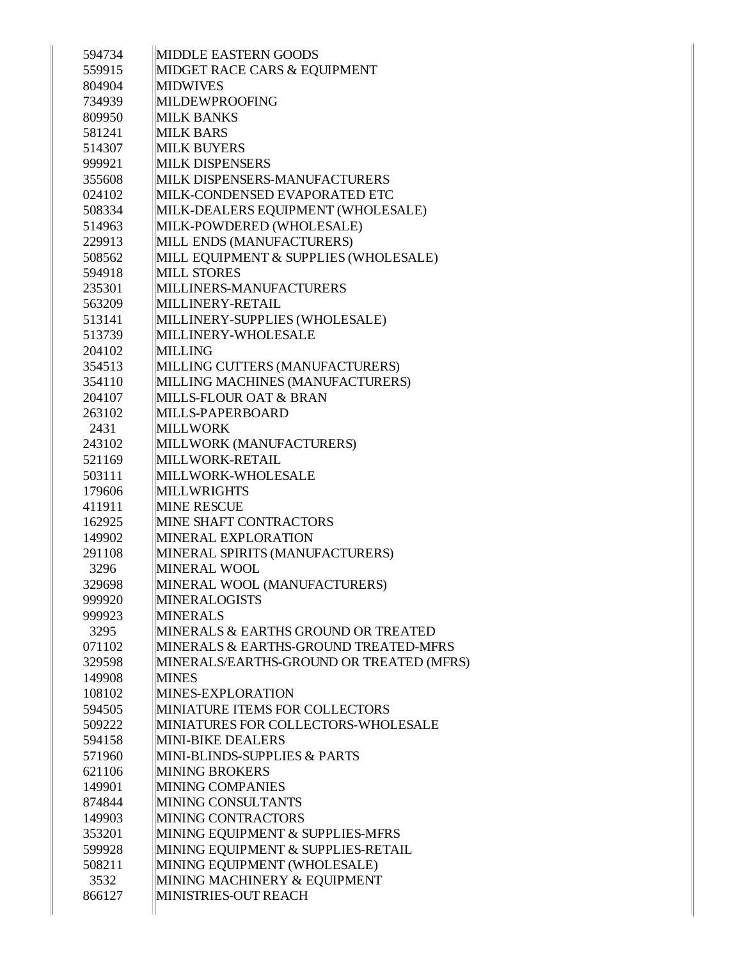| 594734 | <b>MIDDLE EASTERN GOODS</b>              |
|--------|------------------------------------------|
| 559915 | MIDGET RACE CARS & EQUIPMENT             |
| 804904 | <b>MIDWIVES</b>                          |
| 734939 | MILDEWPROOFING                           |
| 809950 | <b>MILK BANKS</b>                        |
| 581241 | <b>MILK BARS</b>                         |
| 514307 | <b>MILK BUYERS</b>                       |
| 999921 | <b>MILK DISPENSERS</b>                   |
| 355608 | MILK DISPENSERS-MANUFACTURERS            |
| 024102 | MILK-CONDENSED EVAPORATED ETC            |
| 508334 | MILK-DEALERS EQUIPMENT (WHOLESALE)       |
| 514963 | MILK-POWDERED (WHOLESALE)                |
| 229913 | MILL ENDS (MANUFACTURERS)                |
| 508562 | MILL EQUIPMENT & SUPPLIES (WHOLESALE)    |
| 594918 | <b>MILL STORES</b>                       |
| 235301 | MILLINERS-MANUFACTURERS                  |
| 563209 | MILLINERY-RETAIL                         |
| 513141 | MILLINERY-SUPPLIES (WHOLESALE)           |
| 513739 | MILLINERY-WHOLESALE                      |
| 204102 | MILLING                                  |
| 354513 | MILLING CUTTERS (MANUFACTURERS)          |
| 354110 | MILLING MACHINES (MANUFACTURERS)         |
| 204107 | MILLS-FLOUR OAT & BRAN                   |
| 263102 | MILLS-PAPERBOARD                         |
| 2431   | <b>MILLWORK</b>                          |
| 243102 | MILLWORK (MANUFACTURERS)                 |
| 521169 | MILLWORK-RETAIL                          |
| 503111 | MILLWORK-WHOLESALE                       |
| 179606 | <b>MILLWRIGHTS</b>                       |
| 411911 | <b>MINE RESCUE</b>                       |
| 162925 | <b>MINE SHAFT CONTRACTORS</b>            |
| 149902 | MINERAL EXPLORATION                      |
| 291108 | MINERAL SPIRITS (MANUFACTURERS)          |
| 3296   | MINERAL WOOL                             |
| 329698 | MINERAL WOOL (MANUFACTURERS)             |
| 999920 | <b>MINERALOGISTS</b>                     |
| 999923 | <b>MINERALS</b>                          |
| 3295   | MINERALS & EARTHS GROUND OR TREATED      |
| 071102 | MINERALS & EARTHS-GROUND TREATED-MFRS    |
| 329598 | MINERALS/EARTHS-GROUND OR TREATED (MFRS) |
| 149908 | <b>MINES</b>                             |
| 108102 | MINES-EXPLORATION                        |
| 594505 | MINIATURE ITEMS FOR COLLECTORS           |
| 509222 | MINIATURES FOR COLLECTORS-WHOLESALE      |
| 594158 | <b>MINI-BIKE DEALERS</b>                 |
| 571960 | MINI-BLINDS-SUPPLIES & PARTS             |
| 621106 | <b>MINING BROKERS</b>                    |
| 149901 | MINING COMPANIES                         |
| 874844 | MINING CONSULTANTS                       |
| 149903 | MINING CONTRACTORS                       |
| 353201 | MINING EQUIPMENT & SUPPLIES-MFRS         |
| 599928 | MINING EQUIPMENT & SUPPLIES-RETAIL       |
| 508211 | MINING EQUIPMENT (WHOLESALE)             |
| 3532   | MINING MACHINERY & EQUIPMENT             |
| 866127 | MINISTRIES-OUT REACH                     |
|        |                                          |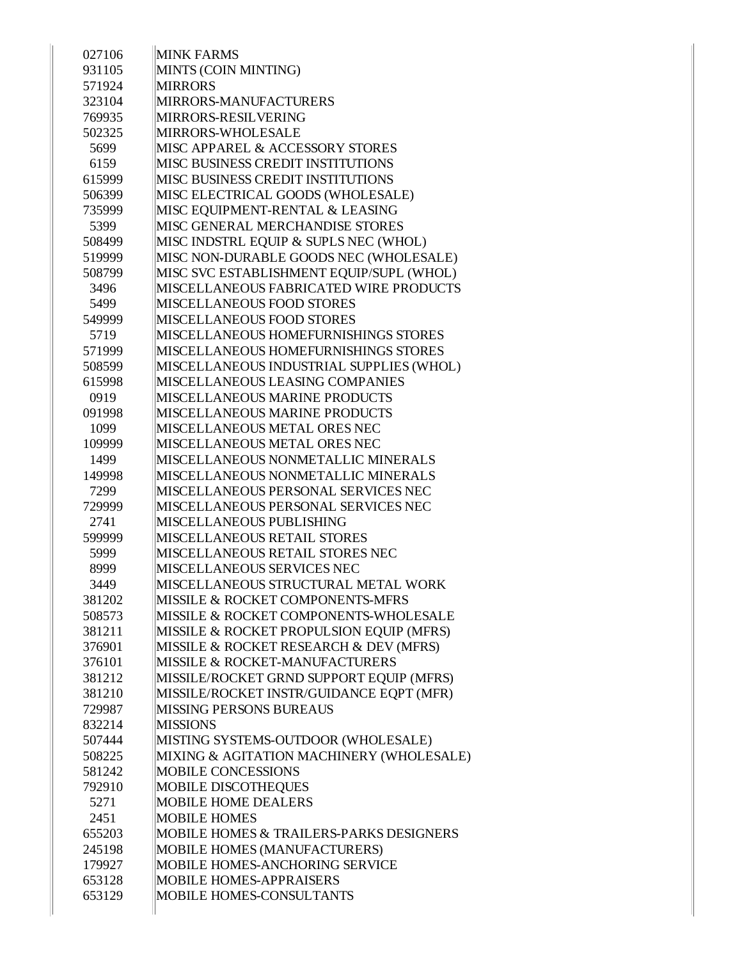| 027106 | <b>MINK FARMS</b>                         |
|--------|-------------------------------------------|
| 931105 | MINTS (COIN MINTING)                      |
| 571924 | <b>MIRRORS</b>                            |
| 323104 | MIRRORS-MANUFACTURERS                     |
| 769935 | MIRRORS-RESILVERING                       |
| 502325 | MIRRORS-WHOLESALE                         |
| 5699   | MISC APPAREL & ACCESSORY STORES           |
| 6159   | MISC BUSINESS CREDIT INSTITUTIONS         |
| 615999 | MISC BUSINESS CREDIT INSTITUTIONS         |
| 506399 | MISC ELECTRICAL GOODS (WHOLESALE)         |
| 735999 | MISC EQUIPMENT-RENTAL & LEASING           |
| 5399   | MISC GENERAL MERCHANDISE STORES           |
| 508499 | MISC INDSTRL EQUIP & SUPLS NEC (WHOL)     |
| 519999 | MISC NON-DURABLE GOODS NEC (WHOLESALE)    |
| 508799 | MISC SVC ESTABLISHMENT EQUIP/SUPL (WHOL)  |
| 3496   | MISCELLANEOUS FABRICATED WIRE PRODUCTS    |
| 5499   | <b>MISCELLANEOUS FOOD STORES</b>          |
| 549999 | <b>MISCELLANEOUS FOOD STORES</b>          |
| 5719   | MISCELLANEOUS HOMEFURNISHINGS STORES      |
| 571999 | MISCELLANEOUS HOMEFURNISHINGS STORES      |
| 508599 | MISCELLANEOUS INDUSTRIAL SUPPLIES (WHOL)  |
| 615998 | MISCELLANEOUS LEASING COMPANIES           |
| 0919   | MISCELLANEOUS MARINE PRODUCTS             |
| 091998 | MISCELLANEOUS MARINE PRODUCTS             |
| 1099   | MISCELLANEOUS METAL ORES NEC              |
| 109999 | MISCELLANEOUS METAL ORES NEC              |
| 1499   | MISCELLANEOUS NONMETALLIC MINERALS        |
| 149998 | MISCELLANEOUS NONMETALLIC MINERALS        |
| 7299   | MISCELLANEOUS PERSONAL SERVICES NEC       |
| 729999 | MISCELLANEOUS PERSONAL SERVICES NEC       |
| 2741   | MISCELLANEOUS PUBLISHING                  |
| 599999 | <b>MISCELLANEOUS RETAIL STORES</b>        |
| 5999   | MISCELLANEOUS RETAIL STORES NEC           |
| 8999   | MISCELLANEOUS SERVICES NEC                |
| 3449   | MISCELLANEOUS STRUCTURAL METAL WORK       |
| 381202 | MISSILE & ROCKET COMPONENTS-MFRS          |
| 508573 | MISSILE & ROCKET COMPONENTS-WHOLESALE     |
| 381211 | MISSILE & ROCKET PROPULSION EQUIP (MFRS)  |
| 376901 | MISSILE & ROCKET RESEARCH & DEV (MFRS)    |
| 376101 | <b>MISSILE &amp; ROCKET-MANUFACTURERS</b> |
| 381212 | MISSILE/ROCKET GRND SUPPORT EQUIP (MFRS)  |
| 381210 | MISSILE/ROCKET INSTR/GUIDANCE EQPT (MFR)  |
| 729987 | <b>MISSING PERSONS BUREAUS</b>            |
| 832214 | <b>MISSIONS</b>                           |
| 507444 | MISTING SYSTEMS-OUTDOOR (WHOLESALE)       |
| 508225 | MIXING & AGITATION MACHINERY (WHOLESALE)  |
| 581242 | <b>MOBILE CONCESSIONS</b>                 |
| 792910 | <b>MOBILE DISCOTHEQUES</b>                |
| 5271   | <b>MOBILE HOME DEALERS</b>                |
| 2451   | <b>MOBILE HOMES</b>                       |
| 655203 | MOBILE HOMES & TRAILERS-PARKS DESIGNERS   |
| 245198 | MOBILE HOMES (MANUFACTURERS)              |
| 179927 | MOBILE HOMES-ANCHORING SERVICE            |
| 653128 | <b>MOBILE HOMES-APPRAISERS</b>            |
| 653129 | MOBILE HOMES-CONSULTANTS                  |
|        |                                           |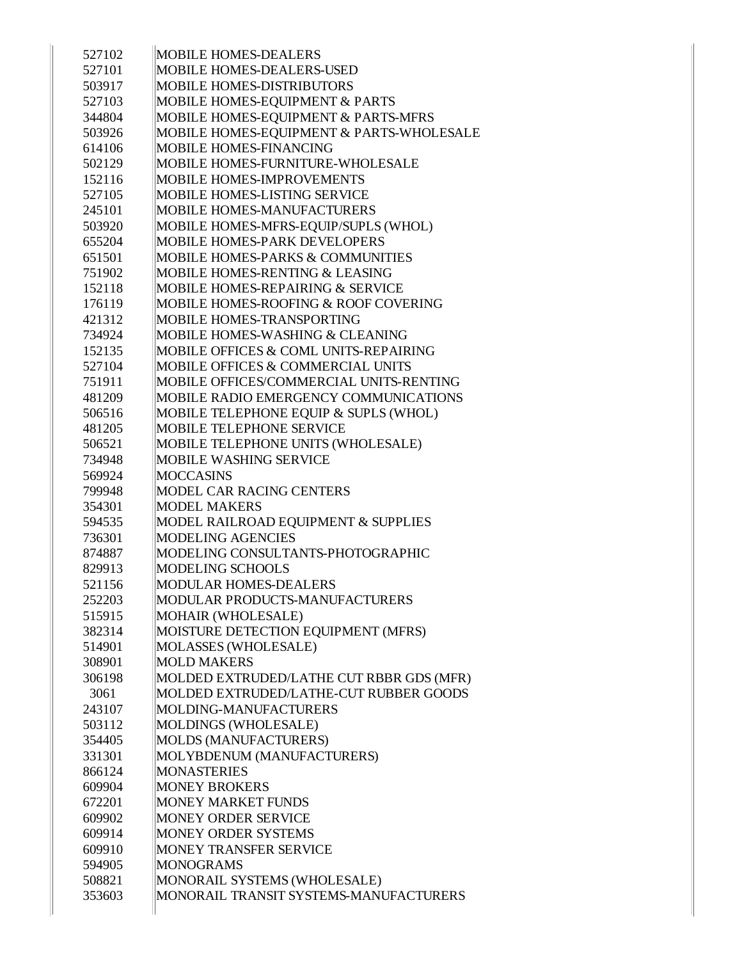| 527102 | MOBILE HOMES-DEALERS                      |
|--------|-------------------------------------------|
| 527101 | MOBILE HOMES-DEALERS-USED                 |
| 503917 | MOBILE HOMES-DISTRIBUTORS                 |
| 527103 | <b>MOBILE HOMES-EQUIPMENT &amp; PARTS</b> |
| 344804 | MOBILE HOMES-EQUIPMENT & PARTS-MFRS       |
| 503926 | MOBILE HOMES-EQUIPMENT & PARTS-WHOLESALE  |
| 614106 | <b>MOBILE HOMES-FINANCING</b>             |
| 502129 | MOBILE HOMES-FURNITURE-WHOLESALE          |
| 152116 | <b>MOBILE HOMES-IMPROVEMENTS</b>          |
| 527105 | MOBILE HOMES-LISTING SERVICE              |
| 245101 | <b>MOBILE HOMES-MANUFACTURERS</b>         |
| 503920 | MOBILE HOMES-MFRS-EQUIP/SUPLS (WHOL)      |
| 655204 | <b>MOBILE HOMES-PARK DEVELOPERS</b>       |
| 651501 | MOBILE HOMES-PARKS & COMMUNITIES          |
| 751902 | <b>MOBILE HOMES-RENTING &amp; LEASING</b> |
| 152118 | MOBILE HOMES-REPAIRING & SERVICE          |
| 176119 | MOBILE HOMES-ROOFING & ROOF COVERING      |
| 421312 | <b>MOBILE HOMES-TRANSPORTING</b>          |
| 734924 | MOBILE HOMES-WASHING & CLEANING           |
| 152135 | MOBILE OFFICES & COML UNITS-REPAIRING     |
| 527104 | MOBILE OFFICES & COMMERCIAL UNITS         |
| 751911 | MOBILE OFFICES/COMMERCIAL UNITS-RENTING   |
| 481209 | MOBILE RADIO EMERGENCY COMMUNICATIONS     |
| 506516 | MOBILE TELEPHONE EQUIP & SUPLS (WHOL)     |
| 481205 | <b>MOBILE TELEPHONE SERVICE</b>           |
| 506521 | MOBILE TELEPHONE UNITS (WHOLESALE)        |
| 734948 | MOBILE WASHING SERVICE                    |
| 569924 | <b>MOCCASINS</b>                          |
| 799948 | <b>MODEL CAR RACING CENTERS</b>           |
| 354301 | <b>MODEL MAKERS</b>                       |
| 594535 | MODEL RAILROAD EQUIPMENT & SUPPLIES       |
| 736301 | <b>MODELING AGENCIES</b>                  |
| 874887 | MODELING CONSULTANTS-PHOTOGRAPHIC         |
| 829913 | MODELING SCHOOLS                          |
| 521156 | MODULAR HOMES-DEALERS                     |
| 252203 | MODULAR PRODUCTS-MANUFACTURERS            |
| 515915 | MOHAIR (WHOLESALE)                        |
| 382314 | MOISTURE DETECTION EQUIPMENT (MFRS)       |
| 514901 | MOLASSES (WHOLESALE)                      |
| 308901 | <b>MOLD MAKERS</b>                        |
| 306198 | MOLDED EXTRUDED/LATHE CUT RBBR GDS (MFR)  |
| 3061   | MOLDED EXTRUDED/LATHE-CUT RUBBER GOODS    |
| 243107 | MOLDING-MANUFACTURERS                     |
| 503112 | MOLDINGS (WHOLESALE)                      |
| 354405 | MOLDS (MANUFACTURERS)                     |
| 331301 | MOLYBDENUM (MANUFACTURERS)                |
| 866124 | <b>MONASTERIES</b>                        |
| 609904 | <b>MONEY BROKERS</b>                      |
| 672201 | <b>MONEY MARKET FUNDS</b>                 |
| 609902 | MONEY ORDER SERVICE                       |
| 609914 | MONEY ORDER SYSTEMS                       |
| 609910 | MONEY TRANSFER SERVICE                    |
| 594905 | <b>MONOGRAMS</b>                          |
| 508821 | MONORAIL SYSTEMS (WHOLESALE)              |
| 353603 | MONORAIL TRANSIT SYSTEMS-MANUFACTURERS    |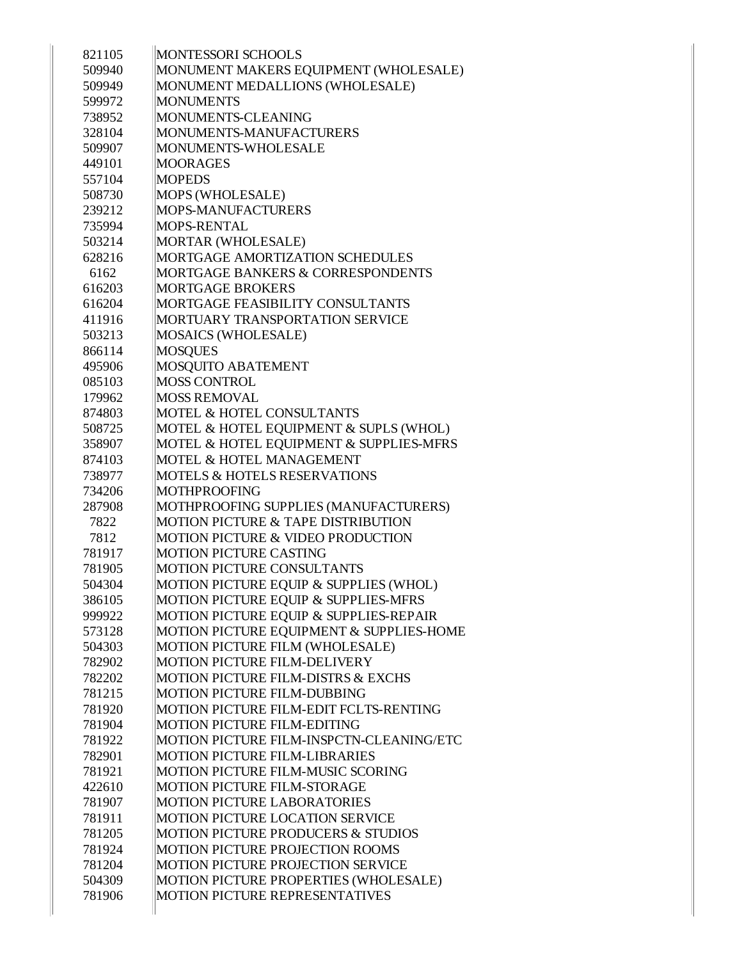| 821105 | MONTESSORI SCHOOLS                            |
|--------|-----------------------------------------------|
| 509940 | MONUMENT MAKERS EQUIPMENT (WHOLESALE)         |
| 509949 | MONUMENT MEDALLIONS (WHOLESALE)               |
| 599972 | <b>MONUMENTS</b>                              |
| 738952 | MONUMENTS-CLEANING                            |
| 328104 | MONUMENTS-MANUFACTURERS                       |
| 509907 | MONUMENTS-WHOLESALE                           |
| 449101 | <b>MOORAGES</b>                               |
| 557104 | <b>MOPEDS</b>                                 |
| 508730 | MOPS (WHOLESALE)                              |
| 239212 | MOPS-MANUFACTURERS                            |
| 735994 | MOPS-RENTAL                                   |
| 503214 | MORTAR (WHOLESALE)                            |
| 628216 | <b>MORTGAGE AMORTIZATION SCHEDULES</b>        |
| 6162   | MORTGAGE BANKERS & CORRESPONDENTS             |
| 616203 | <b>MORTGAGE BROKERS</b>                       |
| 616204 | MORTGAGE FEASIBILITY CONSULTANTS              |
| 411916 | MORTUARY TRANSPORTATION SERVICE               |
| 503213 | MOSAICS (WHOLESALE)                           |
| 866114 | <b>MOSQUES</b>                                |
| 495906 | MOSQUITO ABATEMENT                            |
| 085103 | <b>MOSS CONTROL</b>                           |
| 179962 | <b>MOSS REMOVAL</b>                           |
| 874803 | MOTEL & HOTEL CONSULTANTS                     |
| 508725 | MOTEL & HOTEL EQUIPMENT & SUPLS (WHOL)        |
| 358907 | MOTEL & HOTEL EQUIPMENT & SUPPLIES-MFRS       |
| 874103 | MOTEL & HOTEL MANAGEMENT                      |
| 738977 | <b>MOTELS &amp; HOTELS RESERVATIONS</b>       |
| 734206 | <b>MOTHPROOFING</b>                           |
| 287908 | MOTHPROOFING SUPPLIES (MANUFACTURERS)         |
| 7822   | MOTION PICTURE & TAPE DISTRIBUTION            |
| 7812   | MOTION PICTURE & VIDEO PRODUCTION             |
| 781917 | <b>MOTION PICTURE CASTING</b>                 |
| 781905 | <b>MOTION PICTURE CONSULTANTS</b>             |
| 504304 | MOTION PICTURE EQUIP & SUPPLIES (WHOL)        |
| 386105 | MOTION PICTURE EQUIP & SUPPLIES-MFRS          |
| 999922 | MOTION PICTURE EQUIP & SUPPLIES-REPAIR        |
| 573128 | MOTION PICTURE EQUIPMENT & SUPPLIES-HOME      |
| 504303 | MOTION PICTURE FILM (WHOLESALE)               |
| 782902 | <b>MOTION PICTURE FILM-DELIVERY</b>           |
| 782202 | MOTION PICTURE FILM-DISTRS & EXCHS            |
| 781215 | MOTION PICTURE FILM-DUBBING                   |
| 781920 | MOTION PICTURE FILM-EDIT FCLTS-RENTING        |
| 781904 | <b>MOTION PICTURE FILM-EDITING</b>            |
| 781922 | MOTION PICTURE FILM-INSPCTN-CLEANING/ETC      |
| 782901 | MOTION PICTURE FILM-LIBRARIES                 |
| 781921 | MOTION PICTURE FILM-MUSIC SCORING             |
| 422610 | MOTION PICTURE FILM-STORAGE                   |
| 781907 | <b>MOTION PICTURE LABORATORIES</b>            |
| 781911 | MOTION PICTURE LOCATION SERVICE               |
| 781205 | <b>MOTION PICTURE PRODUCERS &amp; STUDIOS</b> |
| 781924 | MOTION PICTURE PROJECTION ROOMS               |
| 781204 | MOTION PICTURE PROJECTION SERVICE             |
| 504309 | MOTION PICTURE PROPERTIES (WHOLESALE)         |
| 781906 | MOTION PICTURE REPRESENTATIVES                |
|        |                                               |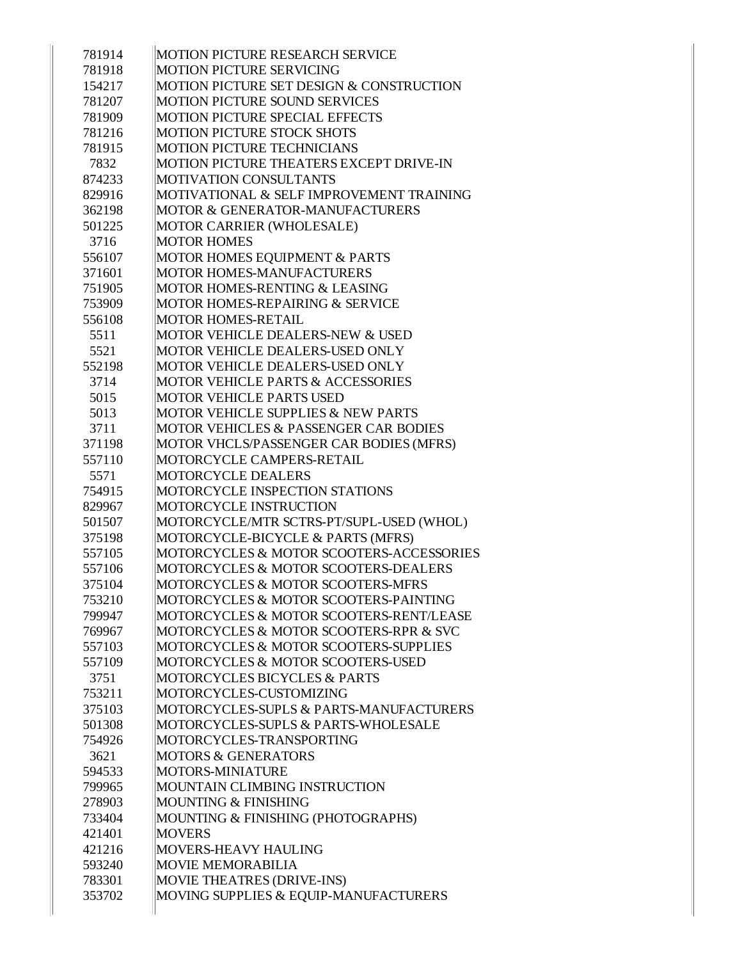| 781914           | MOTION PICTURE RESEARCH SERVICE                                            |
|------------------|----------------------------------------------------------------------------|
| 781918           | MOTION PICTURE SERVICING                                                   |
| 154217           | MOTION PICTURE SET DESIGN & CONSTRUCTION                                   |
| 781207           | <b>MOTION PICTURE SOUND SERVICES</b>                                       |
| 781909           | MOTION PICTURE SPECIAL EFFECTS                                             |
| 781216           | <b>MOTION PICTURE STOCK SHOTS</b>                                          |
| 781915           | <b>MOTION PICTURE TECHNICIANS</b>                                          |
| 7832             | MOTION PICTURE THEATERS EXCEPT DRIVE-IN                                    |
| 874233           | <b>MOTIVATION CONSULTANTS</b>                                              |
| 829916           | MOTIVATIONAL & SELF IMPROVEMENT TRAINING                                   |
| 362198           | MOTOR & GENERATOR-MANUFACTURERS                                            |
| 501225           | MOTOR CARRIER (WHOLESALE)                                                  |
| 3716             | <b>MOTOR HOMES</b>                                                         |
| 556107           | MOTOR HOMES EQUIPMENT & PARTS                                              |
| 371601           | <b>MOTOR HOMES-MANUFACTURERS</b>                                           |
| 751905           | <b>MOTOR HOMES-RENTING &amp; LEASING</b>                                   |
| 753909           | MOTOR HOMES-REPAIRING & SERVICE                                            |
| 556108           | <b>MOTOR HOMES-RETAIL</b>                                                  |
| 5511             | MOTOR VEHICLE DEALERS-NEW & USED                                           |
| 5521             | MOTOR VEHICLE DEALERS-USED ONLY                                            |
| 552198           | MOTOR VEHICLE DEALERS-USED ONLY                                            |
| 3714             | <b>MOTOR VEHICLE PARTS &amp; ACCESSORIES</b>                               |
| 5015             | <b>MOTOR VEHICLE PARTS USED</b>                                            |
| 5013             | MOTOR VEHICLE SUPPLIES & NEW PARTS                                         |
| 3711             | MOTOR VEHICLES & PASSENGER CAR BODIES                                      |
| 371198           | MOTOR VHCLS/PASSENGER CAR BODIES (MFRS)                                    |
| 557110           | MOTORCYCLE CAMPERS-RETAIL                                                  |
| 5571             | <b>MOTORCYCLE DEALERS</b>                                                  |
|                  |                                                                            |
| 754915           | MOTORCYCLE INSPECTION STATIONS                                             |
| 829967           | MOTORCYCLE INSTRUCTION                                                     |
| 501507           | MOTORCYCLE/MTR SCTRS-PT/SUPL-USED (WHOL)                                   |
| 375198           | MOTORCYCLE-BICYCLE & PARTS (MFRS)                                          |
| 557105           | MOTORCYCLES & MOTOR SCOOTERS-ACCESSORIES                                   |
| 557106           | MOTORCYCLES & MOTOR SCOOTERS-DEALERS                                       |
| 375104           | MOTORCYCLES & MOTOR SCOOTERS-MFRS                                          |
| 753210           | MOTORCYCLES & MOTOR SCOOTERS-PAINTING                                      |
| 799947           | MOTORCYCLES & MOTOR SCOOTERS-RENT/LEASE                                    |
| 769967           | MOTORCYCLES & MOTOR SCOOTERS-RPR & SVC                                     |
| 557103           | MOTORCYCLES & MOTOR SCOOTERS-SUPPLIES                                      |
| 557109           | MOTORCYCLES & MOTOR SCOOTERS-USED                                          |
| 3751             | MOTORCYCLES BICYCLES & PARTS                                               |
| 753211           | MOTORCYCLES-CUSTOMIZING                                                    |
| 375103           | MOTORCYCLES-SUPLS & PARTS-MANUFACTURERS                                    |
| 501308           | MOTORCYCLES-SUPLS & PARTS-WHOLESALE                                        |
| 754926           | MOTORCYCLES-TRANSPORTING                                                   |
| 3621             | <b>MOTORS &amp; GENERATORS</b>                                             |
| 594533           | MOTORS-MINIATURE                                                           |
| 799965           | MOUNTAIN CLIMBING INSTRUCTION                                              |
| 278903           | MOUNTING & FINISHING                                                       |
| 733404           | MOUNTING & FINISHING (PHOTOGRAPHS)                                         |
| 421401           | <b>MOVERS</b>                                                              |
| 421216           | MOVERS-HEAVY HAULING                                                       |
| 593240           | <b>MOVIE MEMORABILIA</b>                                                   |
| 783301<br>353702 | <b>MOVIE THEATRES (DRIVE-INS)</b><br>MOVING SUPPLIES & EQUIP-MANUFACTURERS |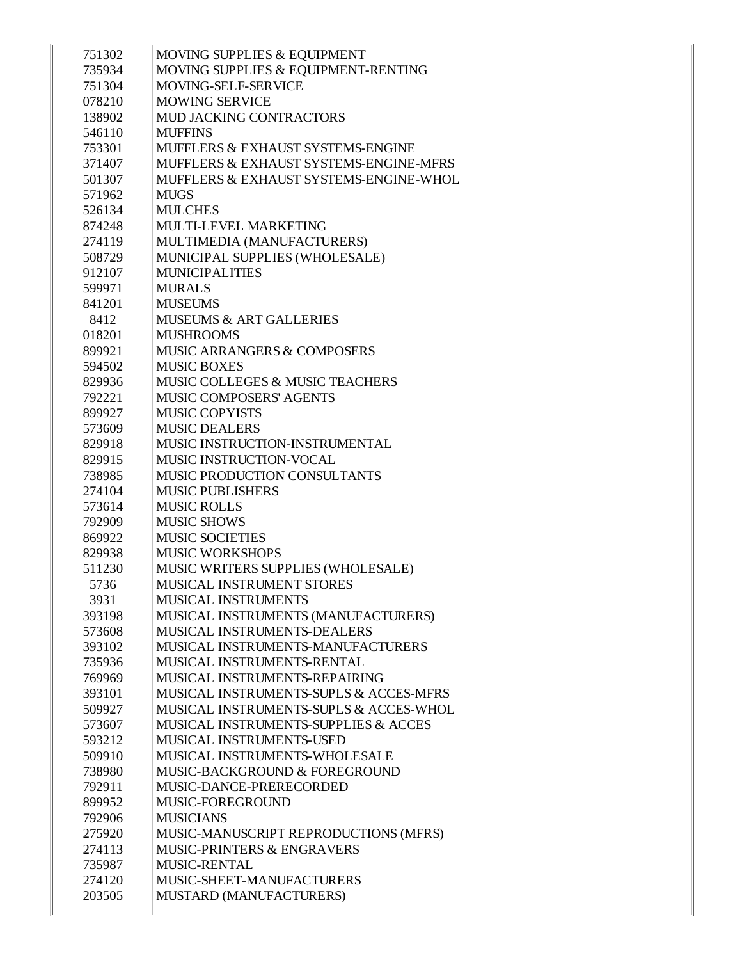| 751302 | MOVING SUPPLIES & EQUIPMENT                     |
|--------|-------------------------------------------------|
| 735934 | MOVING SUPPLIES & EQUIPMENT-RENTING             |
| 751304 | MOVING-SELF-SERVICE                             |
| 078210 | <b>MOWING SERVICE</b>                           |
| 138902 | MUD JACKING CONTRACTORS                         |
| 546110 | <b>MUFFINS</b>                                  |
| 753301 | MUFFLERS & EXHAUST SYSTEMS-ENGINE               |
| 371407 | MUFFLERS & EXHAUST SYSTEMS-ENGINE-MFRS          |
| 501307 | MUFFLERS & EXHAUST SYSTEMS-ENGINE-WHOL          |
| 571962 | <b>MUGS</b>                                     |
| 526134 | <b>MULCHES</b>                                  |
| 874248 | MULTI-LEVEL MARKETING                           |
| 274119 | MULTIMEDIA (MANUFACTURERS)                      |
| 508729 | MUNICIPAL SUPPLIES (WHOLESALE)                  |
| 912107 | <b>MUNICIPALITIES</b>                           |
| 599971 | <b>MURALS</b>                                   |
| 841201 | <b>MUSEUMS</b>                                  |
| 8412   | <b>MUSEUMS &amp; ART GALLERIES</b>              |
| 018201 | <b>MUSHROOMS</b>                                |
| 899921 | MUSIC ARRANGERS & COMPOSERS                     |
| 594502 | <b>MUSIC BOXES</b>                              |
| 829936 | MUSIC COLLEGES & MUSIC TEACHERS                 |
| 792221 | <b>MUSIC COMPOSERS' AGENTS</b>                  |
| 899927 | <b>MUSIC COPYISTS</b>                           |
| 573609 | <b>MUSIC DEALERS</b>                            |
| 829918 | MUSIC INSTRUCTION-INSTRUMENTAL                  |
| 829915 | MUSIC INSTRUCTION-VOCAL                         |
| 738985 | <b>MUSIC PRODUCTION CONSULTANTS</b>             |
| 274104 | <b>MUSIC PUBLISHERS</b>                         |
| 573614 | <b>MUSIC ROLLS</b>                              |
| 792909 | <b>MUSIC SHOWS</b>                              |
| 869922 | <b>MUSIC SOCIETIES</b>                          |
| 829938 | <b>MUSIC WORKSHOPS</b>                          |
| 511230 | MUSIC WRITERS SUPPLIES (WHOLESALE)              |
| 5736   | MUSICAL INSTRUMENT STORES                       |
| 3931   | <b>MUSICAL INSTRUMENTS</b>                      |
| 393198 | MUSICAL INSTRUMENTS (MANUFACTURERS)             |
| 573608 | MUSICAL INSTRUMENTS-DEALERS                     |
| 393102 | MUSICAL INSTRUMENTS-MANUFACTURERS               |
| 735936 | MUSICAL INSTRUMENTS-RENTAL                      |
| 769969 | MUSICAL INSTRUMENTS-REPAIRING                   |
| 393101 | MUSICAL INSTRUMENTS-SUPLS & ACCES-MFRS          |
| 509927 | MUSICAL INSTRUMENTS-SUPLS & ACCES-WHOL          |
| 573607 | <b>MUSICAL INSTRUMENTS-SUPPLIES &amp; ACCES</b> |
| 593212 | MUSICAL INSTRUMENTS-USED                        |
| 509910 | MUSICAL INSTRUMENTS-WHOLESALE                   |
| 738980 | MUSIC-BACKGROUND & FOREGROUND                   |
| 792911 | MUSIC-DANCE-PRERECORDED                         |
| 899952 | MUSIC-FOREGROUND                                |
| 792906 | <b>MUSICIANS</b>                                |
| 275920 | MUSIC-MANUSCRIPT REPRODUCTIONS (MFRS)           |
| 274113 | <b>MUSIC-PRINTERS &amp; ENGRAVERS</b>           |
| 735987 | MUSIC-RENTAL                                    |
| 274120 | MUSIC-SHEET-MANUFACTURERS                       |
| 203505 | MUSTARD (MANUFACTURERS)                         |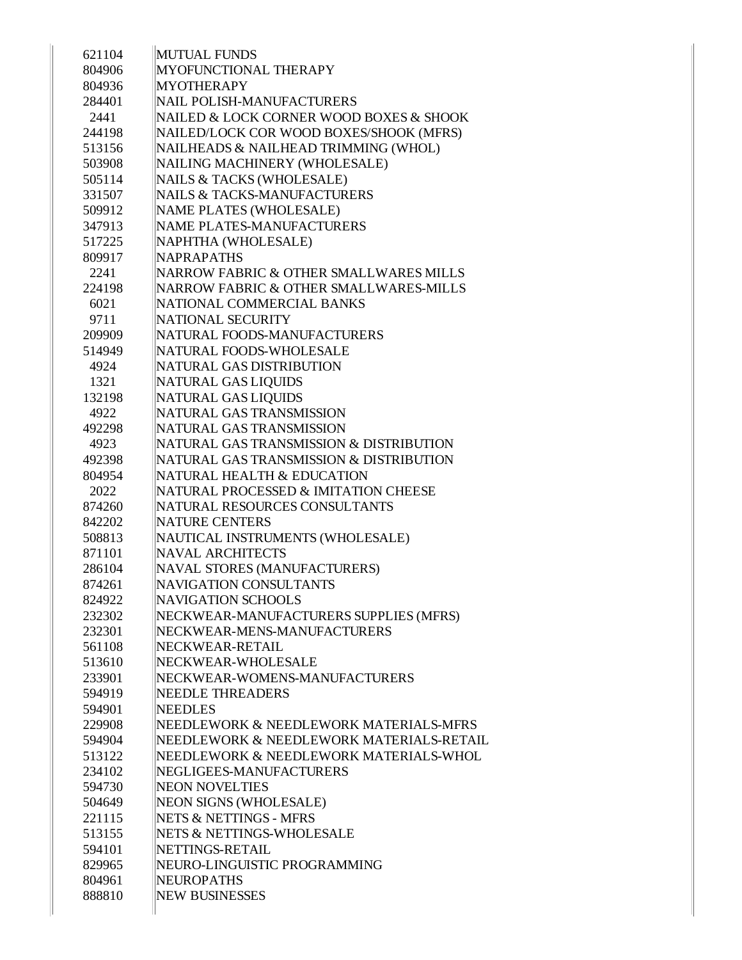| 621104 | <b>MUTUAL FUNDS</b>                      |
|--------|------------------------------------------|
| 804906 | <b>MYOFUNCTIONAL THERAPY</b>             |
| 804936 | <b>MYOTHERAPY</b>                        |
| 284401 | NAIL POLISH-MANUFACTURERS                |
| 2441   | NAILED & LOCK CORNER WOOD BOXES & SHOOK  |
| 244198 | NAILED/LOCK COR WOOD BOXES/SHOOK (MFRS)  |
| 513156 | NAILHEADS & NAILHEAD TRIMMING (WHOL)     |
| 503908 | NAILING MACHINERY (WHOLESALE)            |
| 505114 | NAILS & TACKS (WHOLESALE)                |
| 331507 | <b>NAILS &amp; TACKS-MANUFACTURERS</b>   |
| 509912 | NAME PLATES (WHOLESALE)                  |
| 347913 | NAME PLATES-MANUFACTURERS                |
| 517225 | NAPHTHA (WHOLESALE)                      |
| 809917 | <b>NAPRAPATHS</b>                        |
| 2241   | NARROW FABRIC & OTHER SMALLWARES MILLS   |
| 224198 | NARROW FABRIC & OTHER SMALLWARES-MILLS   |
| 6021   | NATIONAL COMMERCIAL BANKS                |
| 9711   | NATIONAL SECURITY                        |
| 209909 | NATURAL FOODS-MANUFACTURERS              |
| 514949 | NATURAL FOODS-WHOLESALE                  |
| 4924   | NATURAL GAS DISTRIBUTION                 |
| 1321   | <b>NATURAL GAS LIQUIDS</b>               |
| 132198 | <b>NATURAL GAS LIQUIDS</b>               |
| 4922   | NATURAL GAS TRANSMISSION                 |
| 492298 | NATURAL GAS TRANSMISSION                 |
| 4923   | NATURAL GAS TRANSMISSION & DISTRIBUTION  |
| 492398 | NATURAL GAS TRANSMISSION & DISTRIBUTION  |
| 804954 | NATURAL HEALTH & EDUCATION               |
| 2022   | NATURAL PROCESSED & IMITATION CHEESE     |
| 874260 | NATURAL RESOURCES CONSULTANTS            |
| 842202 | NATURE CENTERS                           |
| 508813 | NAUTICAL INSTRUMENTS (WHOLESALE)         |
| 871101 | <b>NAVAL ARCHITECTS</b>                  |
| 286104 | NAVAL STORES (MANUFACTURERS)             |
| 874261 | NAVIGATION CONSULTANTS                   |
| 824922 | <b>NAVIGATION SCHOOLS</b>                |
| 232302 | NECKWEAR-MANUFACTURERS SUPPLIES (MFRS)   |
| 232301 | NECKWEAR-MENS-MANUFACTURERS              |
| 561108 | NECKWEAR-RETAIL                          |
| 513610 | NECKWEAR-WHOLESALE                       |
| 233901 | NECKWEAR-WOMENS-MANUFACTURERS            |
| 594919 | <b>NEEDLE THREADERS</b>                  |
| 594901 | <b>NEEDLES</b>                           |
| 229908 | NEEDLEWORK & NEEDLEWORK MATERIALS-MFRS   |
| 594904 | NEEDLEWORK & NEEDLEWORK MATERIALS-RETAIL |
| 513122 | NEEDLEWORK & NEEDLEWORK MATERIALS-WHOL   |
| 234102 | NEGLIGEES-MANUFACTURERS                  |
| 594730 | <b>NEON NOVELTIES</b>                    |
| 504649 | NEON SIGNS (WHOLESALE)                   |
| 221115 | NETS & NETTINGS - MFRS                   |
| 513155 | NETS & NETTINGS-WHOLESALE                |
| 594101 | NETTINGS-RETAIL                          |
| 829965 | NEURO-LINGUISTIC PROGRAMMING             |
| 804961 | NEUROPATHS                               |
| 888810 | <b>NEW BUSINESSES</b>                    |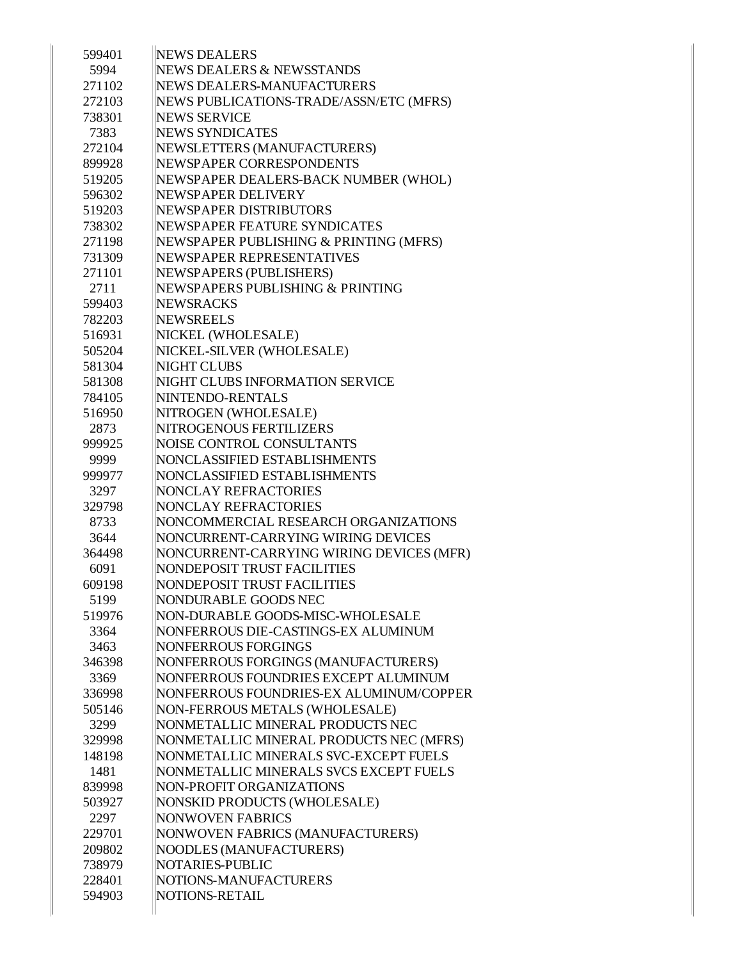| 599401 | <b>NEWS DEALERS</b>                      |
|--------|------------------------------------------|
| 5994   | NEWS DEALERS & NEWSSTANDS                |
| 271102 | NEWS DEALERS-MANUFACTURERS               |
| 272103 | NEWS PUBLICATIONS-TRADE/ASSN/ETC (MFRS)  |
| 738301 | <b>NEWS SERVICE</b>                      |
| 7383   | <b>NEWS SYNDICATES</b>                   |
| 272104 | NEWSLETTERS (MANUFACTURERS)              |
| 899928 | NEWSPAPER CORRESPONDENTS                 |
| 519205 | NEWSPAPER DEALERS-BACK NUMBER (WHOL)     |
| 596302 | NEWSPAPER DELIVERY                       |
| 519203 | NEWSPAPER DISTRIBUTORS                   |
| 738302 | NEWSPAPER FEATURE SYNDICATES             |
| 271198 | NEWSPAPER PUBLISHING & PRINTING (MFRS)   |
| 731309 | NEWSPAPER REPRESENTATIVES                |
| 271101 | NEWSPAPERS (PUBLISHERS)                  |
| 2711   | NEWSPAPERS PUBLISHING & PRINTING         |
| 599403 | <b>NEWSRACKS</b>                         |
| 782203 | <b>NEWSREELS</b>                         |
| 516931 | NICKEL (WHOLESALE)                       |
| 505204 | NICKEL-SILVER (WHOLESALE)                |
| 581304 | NIGHT CLUBS                              |
| 581308 | NIGHT CLUBS INFORMATION SERVICE          |
| 784105 | NINTENDO-RENTALS                         |
| 516950 | NITROGEN (WHOLESALE)                     |
| 2873   | NITROGENOUS FERTILIZERS                  |
| 999925 | NOISE CONTROL CONSULTANTS                |
| 9999   | NONCLASSIFIED ESTABLISHMENTS             |
| 999977 | NONCLASSIFIED ESTABLISHMENTS             |
| 3297   | <b>NONCLAY REFRACTORIES</b>              |
| 329798 | <b>NONCLAY REFRACTORIES</b>              |
| 8733   | NONCOMMERCIAL RESEARCH ORGANIZATIONS     |
| 3644   | NONCURRENT-CARRYING WIRING DEVICES       |
| 364498 | NONCURRENT-CARRYING WIRING DEVICES (MFR) |
| 6091   | NONDEPOSIT TRUST FACILITIES              |
| 609198 | NONDEPOSIT TRUST FACILITIES              |
| 5199   | NONDURABLE GOODS NEC                     |
| 519976 | NON-DURABLE GOODS-MISC-WHOLESALE         |
| 3364   | NONFERROUS DIE-CASTINGS-EX ALUMINUM      |
| 3463   | <b>NONFERROUS FORGINGS</b>               |
| 346398 | NONFERROUS FORGINGS (MANUFACTURERS)      |
| 3369   | NONFERROUS FOUNDRIES EXCEPT ALUMINUM     |
| 336998 | NONFERROUS FOUNDRIES-EX ALUMINUM/COPPER  |
| 505146 | NON-FERROUS METALS (WHOLESALE)           |
| 3299   | NONMETALLIC MINERAL PRODUCTS NEC         |
|        |                                          |
| 329998 | NONMETALLIC MINERAL PRODUCTS NEC (MFRS)  |
| 148198 | NONMETALLIC MINERALS SVC-EXCEPT FUELS    |
| 1481   | NONMETALLIC MINERALS SVCS EXCEPT FUELS   |
| 839998 | NON-PROFIT ORGANIZATIONS                 |
| 503927 | NONSKID PRODUCTS (WHOLESALE)             |
| 2297   | <b>NONWOVEN FABRICS</b>                  |
| 229701 | NONWOVEN FABRICS (MANUFACTURERS)         |
| 209802 | NOODLES (MANUFACTURERS)                  |
| 738979 | NOTARIES-PUBLIC                          |
| 228401 | NOTIONS-MANUFACTURERS                    |
| 594903 | NOTIONS-RETAIL                           |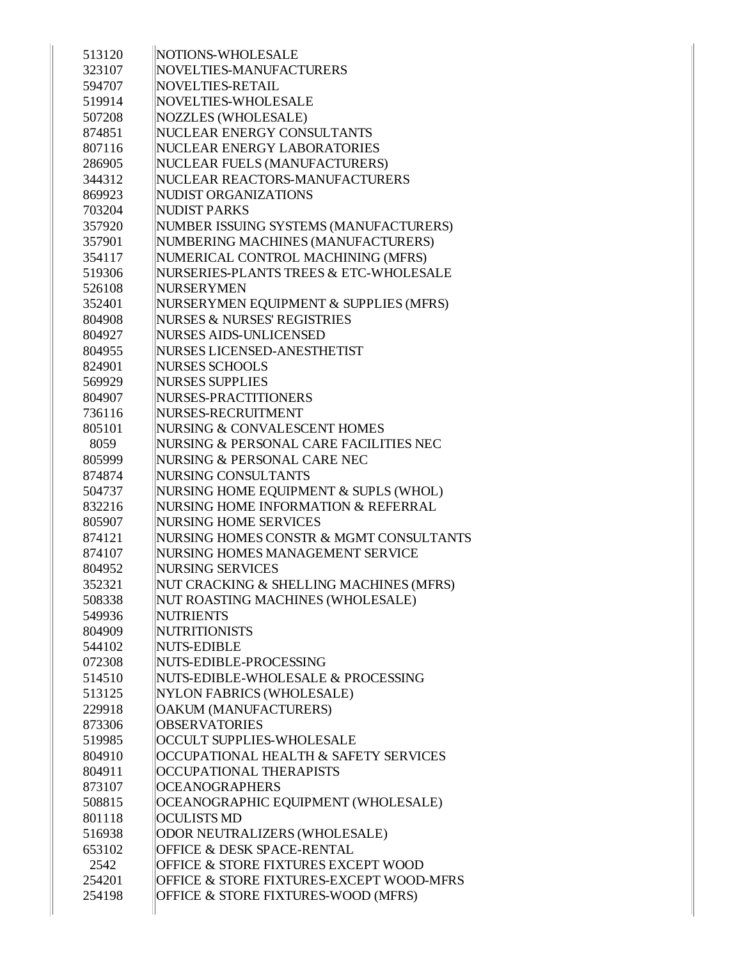| 513120 | NOTIONS-WHOLESALE                        |
|--------|------------------------------------------|
| 323107 | NOVELTIES-MANUFACTURERS                  |
| 594707 | NOVELTIES-RETAIL                         |
| 519914 | NOVELTIES-WHOLESALE                      |
| 507208 | <b>NOZZLES (WHOLESALE)</b>               |
| 874851 | NUCLEAR ENERGY CONSULTANTS               |
| 807116 | NUCLEAR ENERGY LABORATORIES              |
| 286905 | NUCLEAR FUELS (MANUFACTURERS)            |
| 344312 | NUCLEAR REACTORS-MANUFACTURERS           |
| 869923 | NUDIST ORGANIZATIONS                     |
| 703204 | <b>NUDIST PARKS</b>                      |
| 357920 | NUMBER ISSUING SYSTEMS (MANUFACTURERS)   |
| 357901 | NUMBERING MACHINES (MANUFACTURERS)       |
| 354117 | NUMERICAL CONTROL MACHINING (MFRS)       |
| 519306 | NURSERIES-PLANTS TREES & ETC-WHOLESALE   |
| 526108 | <b>NURSERYMEN</b>                        |
| 352401 | NURSERYMEN EQUIPMENT & SUPPLIES (MFRS)   |
| 804908 | <b>NURSES &amp; NURSES' REGISTRIES</b>   |
| 804927 | <b>NURSES AIDS-UNLICENSED</b>            |
| 804955 | NURSES LICENSED-ANESTHETIST              |
| 824901 | <b>NURSES SCHOOLS</b>                    |
| 569929 | <b>NURSES SUPPLIES</b>                   |
| 804907 | <b>NURSES-PRACTITIONERS</b>              |
| 736116 | NURSES-RECRUITMENT                       |
| 805101 | NURSING & CONVALESCENT HOMES             |
| 8059   | NURSING & PERSONAL CARE FACILITIES NEC   |
| 805999 | NURSING & PERSONAL CARE NEC              |
| 874874 | NURSING CONSULTANTS                      |
| 504737 | NURSING HOME EQUIPMENT & SUPLS (WHOL)    |
| 832216 | NURSING HOME INFORMATION & REFERRAL      |
| 805907 | <b>NURSING HOME SERVICES</b>             |
| 874121 | NURSING HOMES CONSTR & MGMT CONSULTANTS  |
| 874107 | NURSING HOMES MANAGEMENT SERVICE         |
| 804952 | <b>NURSING SERVICES</b>                  |
| 352321 | NUT CRACKING & SHELLING MACHINES (MFRS)  |
| 508338 | NUT ROASTING MACHINES (WHOLESALE)        |
| 549936 | <b>NUTRIENTS</b>                         |
| 804909 | <b>NUTRITIONISTS</b>                     |
| 544102 | <b>NUTS-EDIBLE</b>                       |
| 072308 | NUTS-EDIBLE-PROCESSING                   |
| 514510 | NUTS-EDIBLE-WHOLESALE & PROCESSING       |
| 513125 | NYLON FABRICS (WHOLESALE)                |
| 229918 | OAKUM (MANUFACTURERS)                    |
| 873306 | <b>OBSERVATORIES</b>                     |
| 519985 | OCCULT SUPPLIES-WHOLESALE                |
| 804910 | OCCUPATIONAL HEALTH & SAFETY SERVICES    |
| 804911 | OCCUPATIONAL THERAPISTS                  |
| 873107 | <b>OCEANOGRAPHERS</b>                    |
| 508815 | OCEANOGRAPHIC EQUIPMENT (WHOLESALE)      |
| 801118 | <b>OCULISTS MD</b>                       |
| 516938 | ODOR NEUTRALIZERS (WHOLESALE)            |
| 653102 | <b>OFFICE &amp; DESK SPACE-RENTAL</b>    |
| 2542   | OFFICE & STORE FIXTURES EXCEPT WOOD      |
| 254201 | OFFICE & STORE FIXTURES-EXCEPT WOOD-MFRS |
|        |                                          |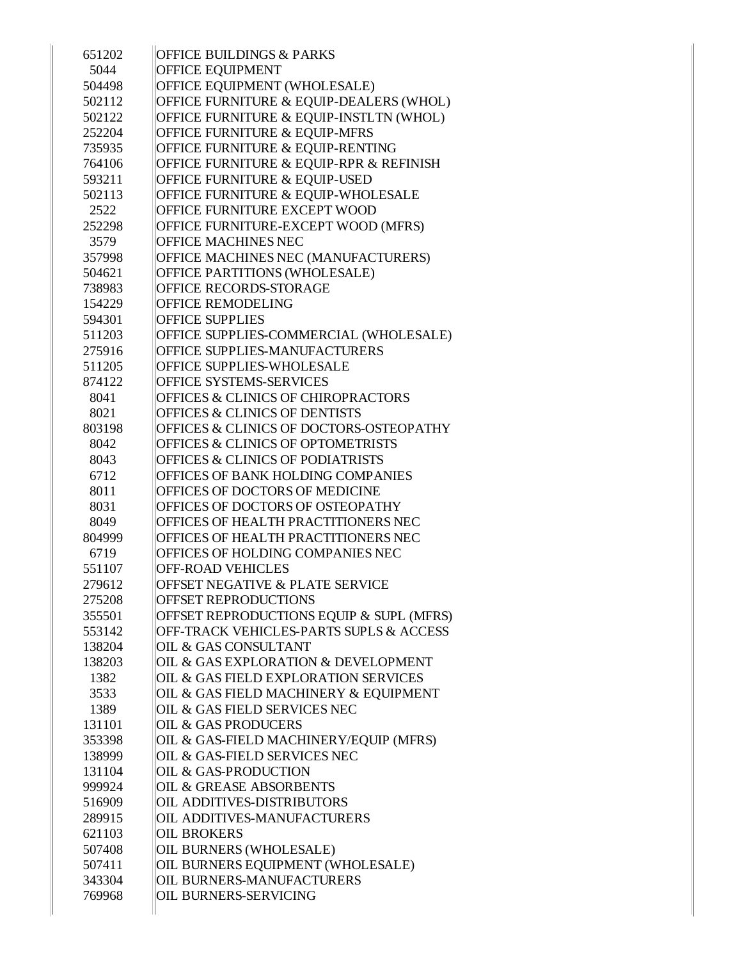| 651202         | <b>OFFICE BUILDINGS &amp; PARKS</b>                                   |
|----------------|-----------------------------------------------------------------------|
| 5044           | <b>OFFICE EQUIPMENT</b>                                               |
| 504498         | OFFICE EQUIPMENT (WHOLESALE)                                          |
| 502112         | OFFICE FURNITURE & EQUIP-DEALERS (WHOL)                               |
| 502122         | OFFICE FURNITURE & EQUIP-INSTLTN (WHOL)                               |
| 252204         | <b>OFFICE FURNITURE &amp; EQUIP-MFRS</b>                              |
| 735935         | OFFICE FURNITURE & EQUIP-RENTING                                      |
| 764106         | OFFICE FURNITURE & EQUIP-RPR & REFINISH                               |
| 593211         | OFFICE FURNITURE & EQUIP-USED                                         |
| 502113         | OFFICE FURNITURE & EQUIP-WHOLESALE                                    |
| 2522           | <b>OFFICE FURNITURE EXCEPT WOOD</b>                                   |
| 252298         | OFFICE FURNITURE-EXCEPT WOOD (MFRS)                                   |
| 3579           | <b>OFFICE MACHINES NEC</b>                                            |
| 357998         | OFFICE MACHINES NEC (MANUFACTURERS)                                   |
| 504621         | OFFICE PARTITIONS (WHOLESALE)                                         |
| 738983         | OFFICE RECORDS-STORAGE                                                |
| 154229         | <b>OFFICE REMODELING</b>                                              |
| 594301         | <b>OFFICE SUPPLIES</b>                                                |
| 511203         | OFFICE SUPPLIES-COMMERCIAL (WHOLESALE)                                |
| 275916         | OFFICE SUPPLIES-MANUFACTURERS                                         |
| 511205         | OFFICE SUPPLIES-WHOLESALE                                             |
| 874122         | <b>OFFICE SYSTEMS-SERVICES</b>                                        |
| 8041           | OFFICES & CLINICS OF CHIROPRACTORS                                    |
| 8021           | <b>OFFICES &amp; CLINICS OF DENTISTS</b>                              |
| 803198         | <b>OFFICES &amp; CLINICS OF DOCTORS-OSTEOPATHY</b>                    |
| 8042           | <b>OFFICES &amp; CLINICS OF OPTOMETRISTS</b>                          |
| 8043           | <b>OFFICES &amp; CLINICS OF PODIATRISTS</b>                           |
| 6712           | OFFICES OF BANK HOLDING COMPANIES                                     |
| 8011           | OFFICES OF DOCTORS OF MEDICINE                                        |
| 8031           | OFFICES OF DOCTORS OF OSTEOPATHY                                      |
| 8049           | OFFICES OF HEALTH PRACTITIONERS NEC                                   |
| 804999         | <b>OFFICES OF HEALTH PRACTITIONERS NEC</b>                            |
| 6719           | OFFICES OF HOLDING COMPANIES NEC                                      |
| 551107         | <b>OFF-ROAD VEHICLES</b>                                              |
| 279612         | <b>OFFSET NEGATIVE &amp; PLATE SERVICE</b>                            |
| 275208         | <b>OFFSET REPRODUCTIONS</b>                                           |
| 355501         | OFFSET REPRODUCTIONS EQUIP & SUPL (MFRS)                              |
| 553142         | OFF-TRACK VEHICLES-PARTS SUPLS & ACCESS                               |
| 138204         | <b>OIL &amp; GAS CONSULTANT</b>                                       |
| 138203         | OIL & GAS EXPLORATION & DEVELOPMENT                                   |
| 1382           | OIL & GAS FIELD EXPLORATION SERVICES                                  |
| 3533           | OIL & GAS FIELD MACHINERY & EQUIPMENT<br>OIL & GAS FIELD SERVICES NEC |
| 1389<br>131101 | <b>OIL &amp; GAS PRODUCERS</b>                                        |
| 353398         | OIL & GAS-FIELD MACHINERY/EQUIP (MFRS)                                |
| 138999         | OIL & GAS-FIELD SERVICES NEC                                          |
| 131104         | <b>OIL &amp; GAS-PRODUCTION</b>                                       |
| 999924         | <b>OIL &amp; GREASE ABSORBENTS</b>                                    |
| 516909         | <b>OIL ADDITIVES-DISTRIBUTORS</b>                                     |
| 289915         | <b>OIL ADDITIVES-MANUFACTURERS</b>                                    |
| 621103         | <b>OIL BROKERS</b>                                                    |
| 507408         | OIL BURNERS (WHOLESALE)                                               |
| 507411         | OIL BURNERS EQUIPMENT (WHOLESALE)                                     |
| 343304         | <b>OIL BURNERS-MANUFACTURERS</b>                                      |
| 769968         | <b>OIL BURNERS-SERVICING</b>                                          |
|                |                                                                       |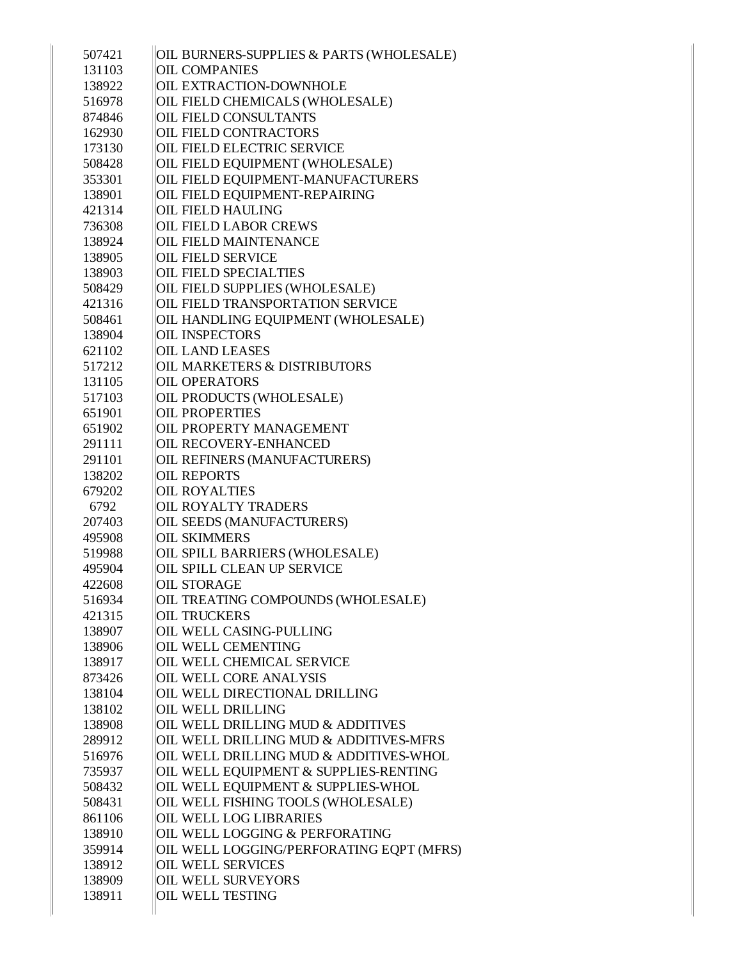| 507421 | OIL BURNERS-SUPPLIES & PARTS (WHOLESALE) |
|--------|------------------------------------------|
| 131103 | <b>OIL COMPANIES</b>                     |
| 138922 | <b>OIL EXTRACTION-DOWNHOLE</b>           |
| 516978 | OIL FIELD CHEMICALS (WHOLESALE)          |
| 874846 | <b>OIL FIELD CONSULTANTS</b>             |
| 162930 | <b>OIL FIELD CONTRACTORS</b>             |
| 173130 | <b>OIL FIELD ELECTRIC SERVICE</b>        |
| 508428 | OIL FIELD EQUIPMENT (WHOLESALE)          |
| 353301 | OIL FIELD EQUIPMENT-MANUFACTURERS        |
| 138901 | OIL FIELD EQUIPMENT-REPAIRING            |
| 421314 | <b>OIL FIELD HAULING</b>                 |
| 736308 | <b>OIL FIELD LABOR CREWS</b>             |
| 138924 | <b>OIL FIELD MAINTENANCE</b>             |
| 138905 | <b>OIL FIELD SERVICE</b>                 |
| 138903 | <b>OIL FIELD SPECIALTIES</b>             |
| 508429 | OIL FIELD SUPPLIES (WHOLESALE)           |
| 421316 | <b>OIL FIELD TRANSPORTATION SERVICE</b>  |
| 508461 | OIL HANDLING EQUIPMENT (WHOLESALE)       |
| 138904 | <b>OIL INSPECTORS</b>                    |
| 621102 | <b>OIL LAND LEASES</b>                   |
| 517212 | <b>OIL MARKETERS &amp; DISTRIBUTORS</b>  |
| 131105 | <b>OIL OPERATORS</b>                     |
| 517103 | OIL PRODUCTS (WHOLESALE)                 |
| 651901 | <b>OIL PROPERTIES</b>                    |
| 651902 | <b>OIL PROPERTY MANAGEMENT</b>           |
| 291111 | <b>OIL RECOVERY-ENHANCED</b>             |
| 291101 | OIL REFINERS (MANUFACTURERS)             |
| 138202 | <b>OIL REPORTS</b>                       |
| 679202 | <b>OIL ROYALTIES</b>                     |
| 6792   | <b>OIL ROYALTY TRADERS</b>               |
| 207403 | OIL SEEDS (MANUFACTURERS)                |
| 495908 | <b>OIL SKIMMERS</b>                      |
| 519988 | OIL SPILL BARRIERS (WHOLESALE)           |
| 495904 | <b>OIL SPILL CLEAN UP SERVICE</b>        |
| 422608 | <b>OIL STORAGE</b>                       |
| 516934 | OIL TREATING COMPOUNDS (WHOLESALE)       |
| 421315 | <b>OIL TRUCKERS</b>                      |
| 138907 | <b>OIL WELL CASING-PULLING</b>           |
| 138906 | <b>OIL WELL CEMENTING</b>                |
| 138917 | <b>OIL WELL CHEMICAL SERVICE</b>         |
| 873426 | <b>OIL WELL CORE ANALYSIS</b>            |
| 138104 | OIL WELL DIRECTIONAL DRILLING            |
| 138102 | <b>OIL WELL DRILLING</b>                 |
| 138908 | OIL WELL DRILLING MUD & ADDITIVES        |
| 289912 | OIL WELL DRILLING MUD & ADDITIVES-MFRS   |
| 516976 | OIL WELL DRILLING MUD & ADDITIVES-WHOL   |
| 735937 | OIL WELL EQUIPMENT & SUPPLIES-RENTING    |
| 508432 | OIL WELL EQUIPMENT & SUPPLIES-WHOL       |
| 508431 | OIL WELL FISHING TOOLS (WHOLESALE)       |
| 861106 | <b>OIL WELL LOG LIBRARIES</b>            |
| 138910 | OIL WELL LOGGING & PERFORATING           |
| 359914 | OIL WELL LOGGING/PERFORATING EQPT (MFRS) |
| 138912 | <b>OIL WELL SERVICES</b>                 |
| 138909 | <b>OIL WELL SURVEYORS</b>                |
| 138911 | <b>OIL WELL TESTING</b>                  |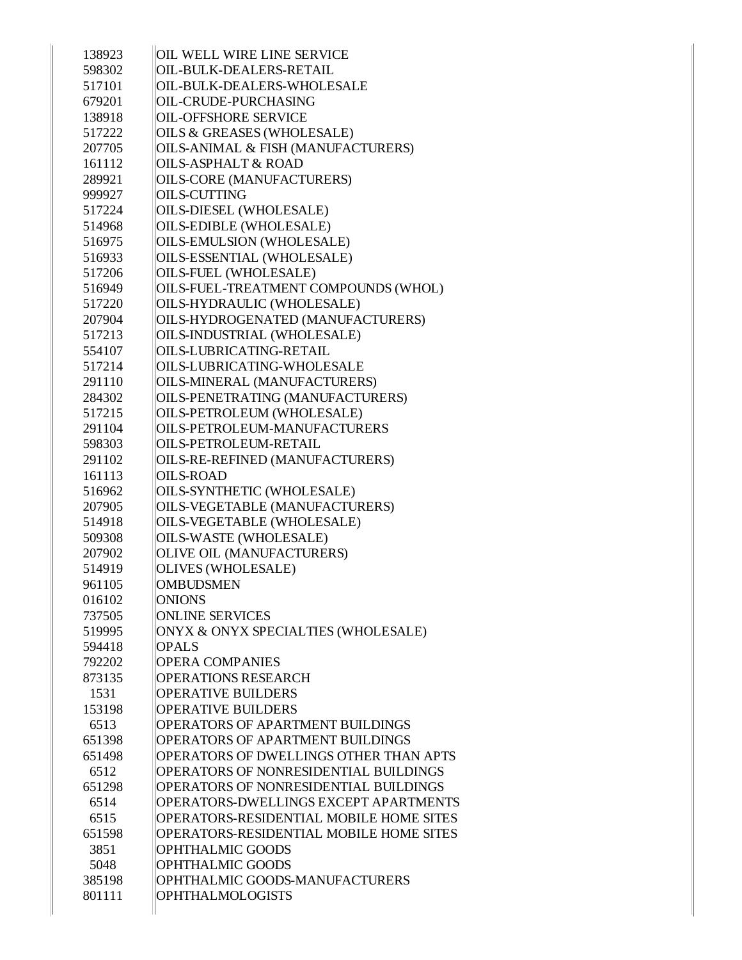| 138923 | <b>OIL WELL WIRE LINE SERVICE</b>       |
|--------|-----------------------------------------|
| 598302 | OIL-BULK-DEALERS-RETAIL                 |
| 517101 | OIL-BULK-DEALERS-WHOLESALE              |
| 679201 | <b>OIL-CRUDE-PURCHASING</b>             |
| 138918 | <b>OIL-OFFSHORE SERVICE</b>             |
| 517222 | <b>OILS &amp; GREASES (WHOLESALE)</b>   |
| 207705 | OILS-ANIMAL & FISH (MANUFACTURERS)      |
| 161112 | <b>OILS-ASPHALT &amp; ROAD</b>          |
| 289921 | <b>OILS-CORE (MANUFACTURERS)</b>        |
| 999927 | <b>OILS-CUTTING</b>                     |
| 517224 | OILS-DIESEL (WHOLESALE)                 |
|        | OILS-EDIBLE (WHOLESALE)                 |
| 514968 |                                         |
| 516975 | <b>OILS-EMULSION (WHOLESALE)</b>        |
| 516933 | OILS-ESSENTIAL (WHOLESALE)              |
| 517206 | OILS-FUEL (WHOLESALE)                   |
| 516949 | OILS-FUEL-TREATMENT COMPOUNDS (WHOL)    |
| 517220 | OILS-HYDRAULIC (WHOLESALE)              |
| 207904 | OILS-HYDROGENATED (MANUFACTURERS)       |
| 517213 | OILS-INDUSTRIAL (WHOLESALE)             |
| 554107 | <b>OILS-LUBRICATING-RETAIL</b>          |
| 517214 | OILS-LUBRICATING-WHOLESALE              |
| 291110 | OILS-MINERAL (MANUFACTURERS)            |
| 284302 | OILS-PENETRATING (MANUFACTURERS)        |
| 517215 | OILS-PETROLEUM (WHOLESALE)              |
| 291104 | OILS-PETROLEUM-MANUFACTURERS            |
| 598303 | <b>OILS-PETROLEUM-RETAIL</b>            |
| 291102 | OILS-RE-REFINED (MANUFACTURERS)         |
| 161113 | <b>OILS-ROAD</b>                        |
| 516962 | OILS-SYNTHETIC (WHOLESALE)              |
| 207905 | OILS-VEGETABLE (MANUFACTURERS)          |
| 514918 | OILS-VEGETABLE (WHOLESALE)              |
| 509308 | OILS-WASTE (WHOLESALE)                  |
| 207902 | OLIVE OIL (MANUFACTURERS)               |
| 514919 | OLIVES (WHOLESALE)                      |
| 961105 | <b>OMBUDSMEN</b>                        |
| 016102 | <b>ONIONS</b>                           |
| 737505 | <b>ONLINE SERVICES</b>                  |
| 519995 | ONYX & ONYX SPECIALTIES (WHOLESALE)     |
| 594418 | <b>OPALS</b>                            |
| 792202 | <b>OPERA COMPANIES</b>                  |
| 873135 | <b>OPERATIONS RESEARCH</b>              |
| 1531   | <b>OPERATIVE BUILDERS</b>               |
| 153198 | <b>OPERATIVE BUILDERS</b>               |
| 6513   | OPERATORS OF APARTMENT BUILDINGS        |
| 651398 | OPERATORS OF APARTMENT BUILDINGS        |
| 651498 | OPERATORS OF DWELLINGS OTHER THAN APTS  |
| 6512   | OPERATORS OF NONRESIDENTIAL BUILDINGS   |
| 651298 | OPERATORS OF NONRESIDENTIAL BUILDINGS   |
| 6514   | OPERATORS-DWELLINGS EXCEPT APARTMENTS   |
| 6515   | OPERATORS-RESIDENTIAL MOBILE HOME SITES |
| 651598 | OPERATORS-RESIDENTIAL MOBILE HOME SITES |
| 3851   | OPHTHALMIC GOODS                        |
| 5048   | OPHTHALMIC GOODS                        |
| 385198 | OPHTHALMIC GOODS-MANUFACTURERS          |
| 801111 | <b>OPHTHALMOLOGISTS</b>                 |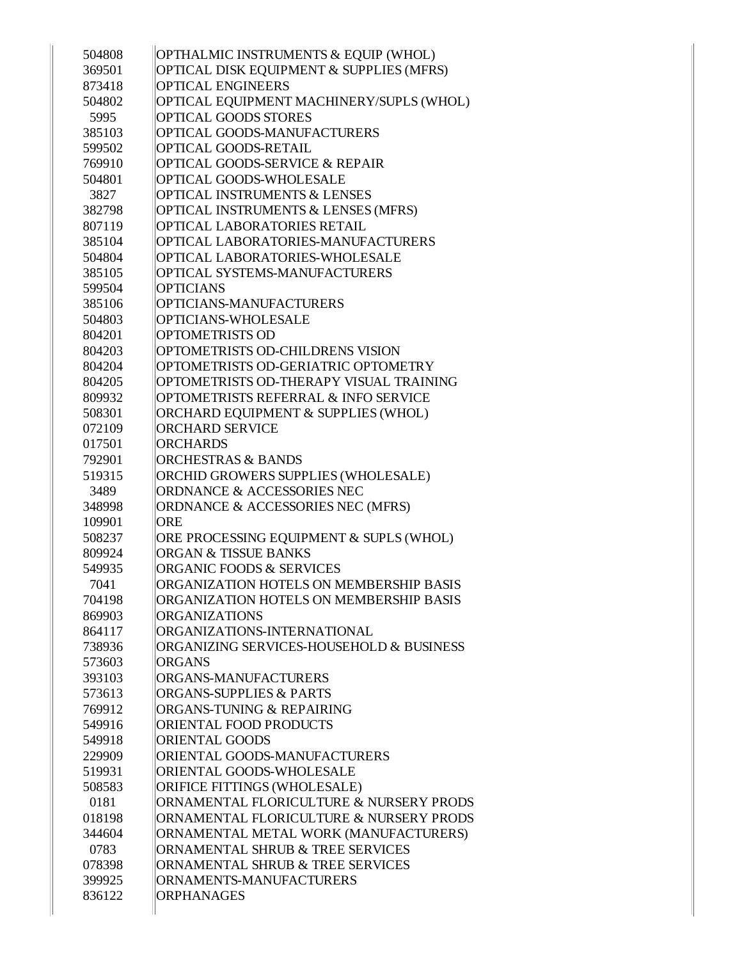| 504808 | OPTHALMIC INSTRUMENTS & EQUIP (WHOL)      |
|--------|-------------------------------------------|
| 369501 | OPTICAL DISK EQUIPMENT & SUPPLIES (MFRS)  |
| 873418 | <b>OPTICAL ENGINEERS</b>                  |
| 504802 | OPTICAL EQUIPMENT MACHINERY/SUPLS (WHOL)  |
| 5995   | OPTICAL GOODS STORES                      |
| 385103 | OPTICAL GOODS-MANUFACTURERS               |
| 599502 | OPTICAL GOODS-RETAIL                      |
| 769910 | <b>OPTICAL GOODS-SERVICE &amp; REPAIR</b> |
| 504801 | OPTICAL GOODS-WHOLESALE                   |
| 3827   | <b>OPTICAL INSTRUMENTS &amp; LENSES</b>   |
| 382798 | OPTICAL INSTRUMENTS & LENSES (MFRS)       |
| 807119 | OPTICAL LABORATORIES RETAIL               |
| 385104 | OPTICAL LABORATORIES-MANUFACTURERS        |
| 504804 | OPTICAL LABORATORIES-WHOLESALE            |
| 385105 | OPTICAL SYSTEMS-MANUFACTURERS             |
| 599504 | <b>OPTICIANS</b>                          |
| 385106 | OPTICIANS-MANUFACTURERS                   |
| 504803 | OPTICIANS-WHOLESALE                       |
| 804201 | <b>OPTOMETRISTS OD</b>                    |
| 804203 | OPTOMETRISTS OD-CHILDRENS VISION          |
| 804204 | OPTOMETRISTS OD-GERIATRIC OPTOMETRY       |
| 804205 | OPTOMETRISTS OD-THERAPY VISUAL TRAINING   |
| 809932 | OPTOMETRISTS REFERRAL & INFO SERVICE      |
| 508301 | ORCHARD EQUIPMENT & SUPPLIES (WHOL)       |
| 072109 | <b>ORCHARD SERVICE</b>                    |
| 017501 | <b>ORCHARDS</b>                           |
| 792901 | <b>ORCHESTRAS &amp; BANDS</b>             |
| 519315 | ORCHID GROWERS SUPPLIES (WHOLESALE)       |
| 3489   | ORDNANCE & ACCESSORIES NEC                |
| 348998 | ORDNANCE & ACCESSORIES NEC (MFRS)         |
| 109901 | <b>ORE</b>                                |
| 508237 | ORE PROCESSING EQUIPMENT & SUPLS (WHOL)   |
| 809924 | <b>ORGAN &amp; TISSUE BANKS</b>           |
| 549935 | <b>ORGANIC FOODS &amp; SERVICES</b>       |
| 7041   | ORGANIZATION HOTELS ON MEMBERSHIP BASIS   |
| 704198 | ORGANIZATION HOTELS ON MEMBERSHIP BASIS   |
| 869903 | <b>ORGANIZATIONS</b>                      |
| 864117 | ORGANIZATIONS-INTERNATIONAL               |
| 738936 | ORGANIZING SERVICES-HOUSEHOLD & BUSINESS  |
| 573603 | <b>ORGANS</b>                             |
| 393103 | ORGANS-MANUFACTURERS                      |
| 573613 | <b>ORGANS-SUPPLIES &amp; PARTS</b>        |
| 769912 | ORGANS-TUNING & REPAIRING                 |
| 549916 | <b>ORIENTAL FOOD PRODUCTS</b>             |
| 549918 | <b>ORIENTAL GOODS</b>                     |
| 229909 | ORIENTAL GOODS-MANUFACTURERS              |
| 519931 | ORIENTAL GOODS-WHOLESALE                  |
| 508583 | ORIFICE FITTINGS (WHOLESALE)              |
| 0181   | ORNAMENTAL FLORICULTURE & NURSERY PRODS   |
| 018198 | ORNAMENTAL FLORICULTURE & NURSERY PRODS   |
| 344604 | ORNAMENTAL METAL WORK (MANUFACTURERS)     |
| 0783   | ORNAMENTAL SHRUB & TREE SERVICES          |
| 078398 | ORNAMENTAL SHRUB & TREE SERVICES          |
| 399925 | ORNAMENTS-MANUFACTURERS                   |
| 836122 | <b>ORPHANAGES</b>                         |
|        |                                           |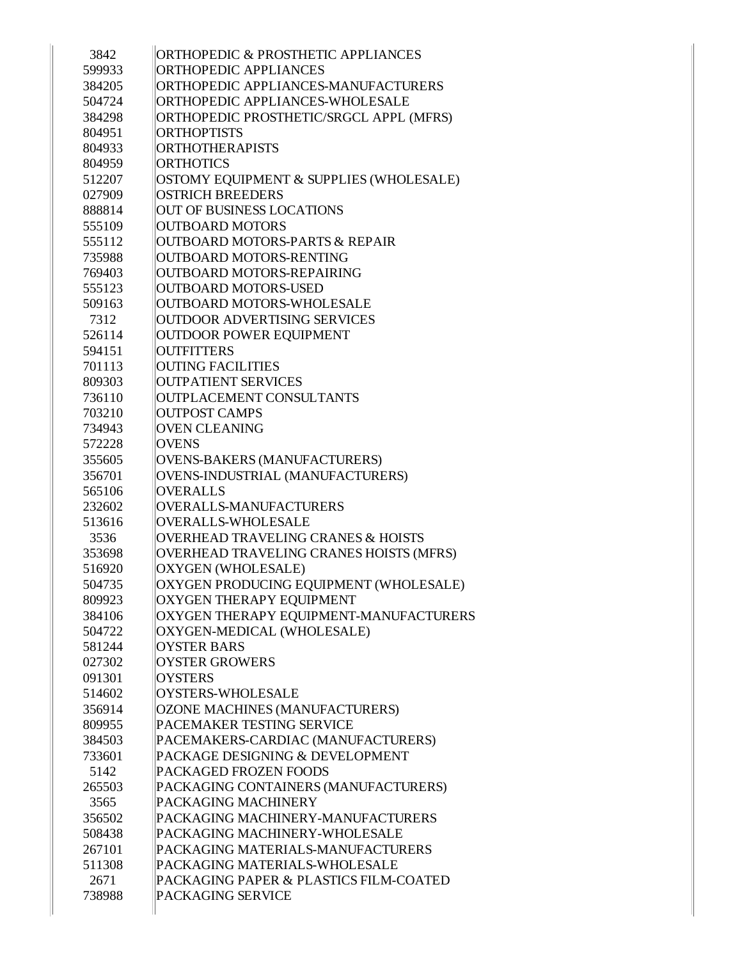| 3842   | ORTHOPEDIC & PROSTHETIC APPLIANCES            |
|--------|-----------------------------------------------|
| 599933 | ORTHOPEDIC APPLIANCES                         |
| 384205 | ORTHOPEDIC APPLIANCES-MANUFACTURERS           |
| 504724 | ORTHOPEDIC APPLIANCES-WHOLESALE               |
| 384298 | ORTHOPEDIC PROSTHETIC/SRGCL APPL (MFRS)       |
| 804951 | <b>ORTHOPTISTS</b>                            |
| 804933 | <b>ORTHOTHERAPISTS</b>                        |
| 804959 | <b>ORTHOTICS</b>                              |
| 512207 | OSTOMY EQUIPMENT & SUPPLIES (WHOLESALE)       |
| 027909 | <b>OSTRICH BREEDERS</b>                       |
| 888814 | <b>OUT OF BUSINESS LOCATIONS</b>              |
| 555109 | <b>OUTBOARD MOTORS</b>                        |
| 555112 | <b>OUTBOARD MOTORS-PARTS &amp; REPAIR</b>     |
| 735988 | OUTBOARD MOTORS-RENTING                       |
| 769403 | OUTBOARD MOTORS-REPAIRING                     |
| 555123 | <b>OUTBOARD MOTORS-USED</b>                   |
| 509163 | <b>OUTBOARD MOTORS-WHOLESALE</b>              |
| 7312   | <b>OUTDOOR ADVERTISING SERVICES</b>           |
| 526114 | <b>OUTDOOR POWER EQUIPMENT</b>                |
| 594151 | <b>OUTFITTERS</b>                             |
| 701113 | <b>OUTING FACILITIES</b>                      |
| 809303 | <b>OUTPATIENT SERVICES</b>                    |
| 736110 | OUTPLACEMENT CONSULTANTS                      |
| 703210 | <b>OUTPOST CAMPS</b>                          |
| 734943 | <b>OVEN CLEANING</b>                          |
| 572228 | <b>OVENS</b>                                  |
| 355605 | OVENS-BAKERS (MANUFACTURERS)                  |
| 356701 | OVENS-INDUSTRIAL (MANUFACTURERS)              |
| 565106 | <b>OVERALLS</b>                               |
| 232602 | OVERALLS-MANUFACTURERS                        |
| 513616 | <b>OVERALLS-WHOLESALE</b>                     |
| 3536   | <b>OVERHEAD TRAVELING CRANES &amp; HOISTS</b> |
| 353698 | OVERHEAD TRAVELING CRANES HOISTS (MFRS)       |
| 516920 | <b>OXYGEN (WHOLESALE)</b>                     |
| 504735 | OXYGEN PRODUCING EQUIPMENT (WHOLESALE)        |
| 809923 | OXYGEN THERAPY EQUIPMENT                      |
| 384106 | OXYGEN THERAPY EQUIPMENT-MANUFACTURERS        |
| 504722 | OXYGEN-MEDICAL (WHOLESALE)                    |
| 581244 | <b>OYSTER BARS</b>                            |
| 027302 | <b>OYSTER GROWERS</b>                         |
| 091301 | <b>OYSTERS</b>                                |
| 514602 | OYSTERS-WHOLESALE                             |
| 356914 | OZONE MACHINES (MANUFACTURERS)                |
| 809955 | <b>PACEMAKER TESTING SERVICE</b>              |
| 384503 | PACEMAKERS-CARDIAC (MANUFACTURERS)            |
| 733601 | PACKAGE DESIGNING & DEVELOPMENT               |
| 5142   | PACKAGED FROZEN FOODS                         |
| 265503 | PACKAGING CONTAINERS (MANUFACTURERS)          |
| 3565   | <b>PACKAGING MACHINERY</b>                    |
| 356502 | PACKAGING MACHINERY-MANUFACTURERS             |
| 508438 | PACKAGING MACHINERY-WHOLESALE                 |
| 267101 | PACKAGING MATERIALS-MANUFACTURERS             |
| 511308 | PACKAGING MATERIALS-WHOLESALE                 |
| 2671   | PACKAGING PAPER & PLASTICS FILM-COATED        |
| 738988 | PACKAGING SERVICE                             |
|        |                                               |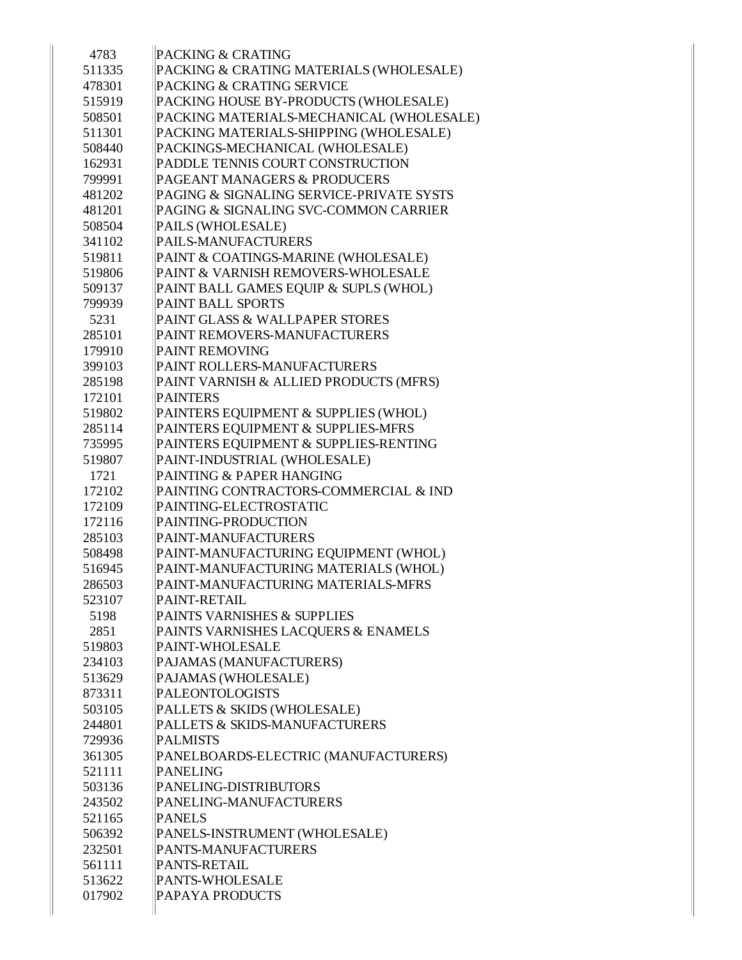| 4783   | <b>PACKING &amp; CRATING</b>             |
|--------|------------------------------------------|
| 511335 | PACKING & CRATING MATERIALS (WHOLESALE)  |
| 478301 | PACKING & CRATING SERVICE                |
| 515919 | PACKING HOUSE BY-PRODUCTS (WHOLESALE)    |
| 508501 | PACKING MATERIALS-MECHANICAL (WHOLESALE) |
| 511301 | PACKING MATERIALS-SHIPPING (WHOLESALE)   |
| 508440 | PACKINGS-MECHANICAL (WHOLESALE)          |
| 162931 | PADDLE TENNIS COURT CONSTRUCTION         |
| 799991 | PAGEANT MANAGERS & PRODUCERS             |
| 481202 | PAGING & SIGNALING SERVICE-PRIVATE SYSTS |
| 481201 | PAGING & SIGNALING SVC-COMMON CARRIER    |
| 508504 | PAILS (WHOLESALE)                        |
| 341102 | PAILS-MANUFACTURERS                      |
| 519811 | PAINT & COATINGS-MARINE (WHOLESALE)      |
| 519806 | PAINT & VARNISH REMOVERS-WHOLESALE       |
| 509137 | PAINT BALL GAMES EQUIP & SUPLS (WHOL)    |
| 799939 | PAINT BALL SPORTS                        |
| 5231   | PAINT GLASS & WALLPAPER STORES           |
| 285101 | PAINT REMOVERS-MANUFACTURERS             |
| 179910 | <b>PAINT REMOVING</b>                    |
| 399103 | PAINT ROLLERS-MANUFACTURERS              |
| 285198 | PAINT VARNISH & ALLIED PRODUCTS (MFRS)   |
| 172101 | <b>PAINTERS</b>                          |
| 519802 | PAINTERS EQUIPMENT & SUPPLIES (WHOL)     |
| 285114 | PAINTERS EQUIPMENT & SUPPLIES-MFRS       |
| 735995 | PAINTERS EQUIPMENT & SUPPLIES-RENTING    |
| 519807 | PAINT-INDUSTRIAL (WHOLESALE)             |
| 1721   | PAINTING & PAPER HANGING                 |
| 172102 | PAINTING CONTRACTORS-COMMERCIAL & IND    |
| 172109 | PAINTING-ELECTROSTATIC                   |
| 172116 | PAINTING-PRODUCTION                      |
| 285103 | PAINT-MANUFACTURERS                      |
| 508498 | PAINT-MANUFACTURING EQUIPMENT (WHOL)     |
| 516945 | PAINT-MANUFACTURING MATERIALS (WHOL)     |
| 286503 | PAINT-MANUFACTURING MATERIALS-MFRS       |
| 523107 | <b>PAINT-RETAIL</b>                      |
| 5198   | PAINTS VARNISHES & SUPPLIES              |
| 2851   | PAINTS VARNISHES LACQUERS & ENAMELS      |
| 519803 | PAINT-WHOLESALE                          |
| 234103 | PAJAMAS (MANUFACTURERS)                  |
| 513629 | PAJAMAS (WHOLESALE)                      |
| 873311 | <b>PALEONTOLOGISTS</b>                   |
| 503105 | PALLETS & SKIDS (WHOLESALE)              |
| 244801 | PALLETS & SKIDS-MANUFACTURERS            |
| 729936 | <b>PALMISTS</b>                          |
| 361305 | PANELBOARDS-ELECTRIC (MANUFACTURERS)     |
| 521111 | <b>PANELING</b>                          |
| 503136 | PANELING-DISTRIBUTORS                    |
| 243502 | PANELING-MANUFACTURERS                   |
| 521165 | <b>PANELS</b>                            |
| 506392 | PANELS-INSTRUMENT (WHOLESALE)            |
| 232501 | PANTS-MANUFACTURERS                      |
| 561111 | PANTS-RETAIL                             |
| 513622 | PANTS-WHOLESALE                          |
| 017902 | PAPAYA PRODUCTS                          |
|        |                                          |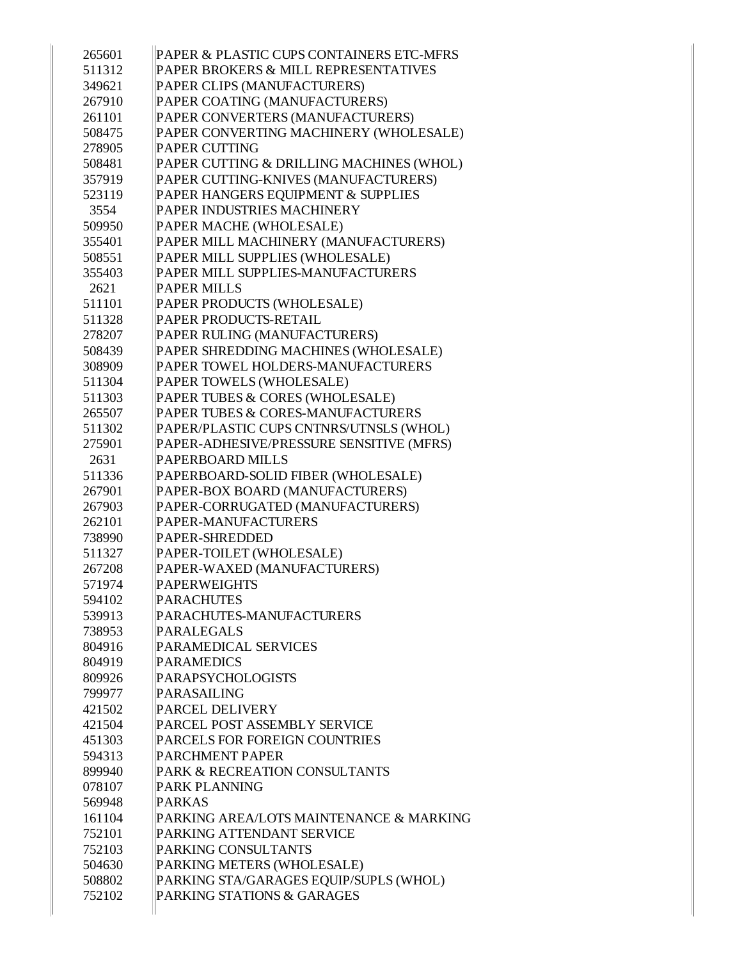| 265601 | PAPER & PLASTIC CUPS CONTAINERS ETC-MFRS |
|--------|------------------------------------------|
| 511312 | PAPER BROKERS & MILL REPRESENTATIVES     |
| 349621 | PAPER CLIPS (MANUFACTURERS)              |
| 267910 | PAPER COATING (MANUFACTURERS)            |
| 261101 | PAPER CONVERTERS (MANUFACTURERS)         |
| 508475 | PAPER CONVERTING MACHINERY (WHOLESALE)   |
| 278905 | <b>PAPER CUTTING</b>                     |
| 508481 | PAPER CUTTING & DRILLING MACHINES (WHOL) |
| 357919 | PAPER CUTTING-KNIVES (MANUFACTURERS)     |
| 523119 | PAPER HANGERS EQUIPMENT & SUPPLIES       |
| 3554   | PAPER INDUSTRIES MACHINERY               |
| 509950 | PAPER MACHE (WHOLESALE)                  |
| 355401 | PAPER MILL MACHINERY (MANUFACTURERS)     |
| 508551 | PAPER MILL SUPPLIES (WHOLESALE)          |
| 355403 | PAPER MILL SUPPLIES-MANUFACTURERS        |
| 2621   | <b>PAPER MILLS</b>                       |
| 511101 | PAPER PRODUCTS (WHOLESALE)               |
| 511328 | <b>PAPER PRODUCTS-RETAIL</b>             |
| 278207 | PAPER RULING (MANUFACTURERS)             |
| 508439 | PAPER SHREDDING MACHINES (WHOLESALE)     |
| 308909 | PAPER TOWEL HOLDERS-MANUFACTURERS        |
| 511304 | PAPER TOWELS (WHOLESALE)                 |
| 511303 | PAPER TUBES & CORES (WHOLESALE)          |
| 265507 | PAPER TUBES & CORES-MANUFACTURERS        |
| 511302 | PAPER/PLASTIC CUPS CNTNRS/UTNSLS (WHOL)  |
| 275901 | PAPER-ADHESIVE/PRESSURE SENSITIVE (MFRS) |
| 2631   | <b>PAPERBOARD MILLS</b>                  |
| 511336 | PAPERBOARD-SOLID FIBER (WHOLESALE)       |
| 267901 | PAPER-BOX BOARD (MANUFACTURERS)          |
| 267903 | PAPER-CORRUGATED (MANUFACTURERS)         |
| 262101 | PAPER-MANUFACTURERS                      |
| 738990 | <b>PAPER-SHREDDED</b>                    |
| 511327 | PAPER-TOILET (WHOLESALE)                 |
| 267208 | PAPER-WAXED (MANUFACTURERS)              |
| 571974 | <b>PAPERWEIGHTS</b>                      |
| 594102 | <b>PARACHUTES</b>                        |
| 539913 | PARACHUTES-MANUFACTURERS                 |
| 738953 | PARALEGALS                               |
| 804916 | PARAMEDICAL SERVICES                     |
| 804919 | <b>PARAMEDICS</b>                        |
| 809926 | <b>PARAPSYCHOLOGISTS</b>                 |
| 799977 | PARASAILING                              |
| 421502 | <b>PARCEL DELIVERY</b>                   |
| 421504 | PARCEL POST ASSEMBLY SERVICE             |
| 451303 | PARCELS FOR FOREIGN COUNTRIES            |
| 594313 | <b>PARCHMENT PAPER</b>                   |
| 899940 | PARK & RECREATION CONSULTANTS            |
| 078107 | PARK PLANNING                            |
| 569948 | <b>PARKAS</b>                            |
| 161104 | PARKING AREA/LOTS MAINTENANCE & MARKING  |
| 752101 | PARKING ATTENDANT SERVICE                |
| 752103 | PARKING CONSULTANTS                      |
| 504630 | PARKING METERS (WHOLESALE)               |
| 508802 | PARKING STA/GARAGES EQUIP/SUPLS (WHOL)   |
| 752102 | PARKING STATIONS & GARAGES               |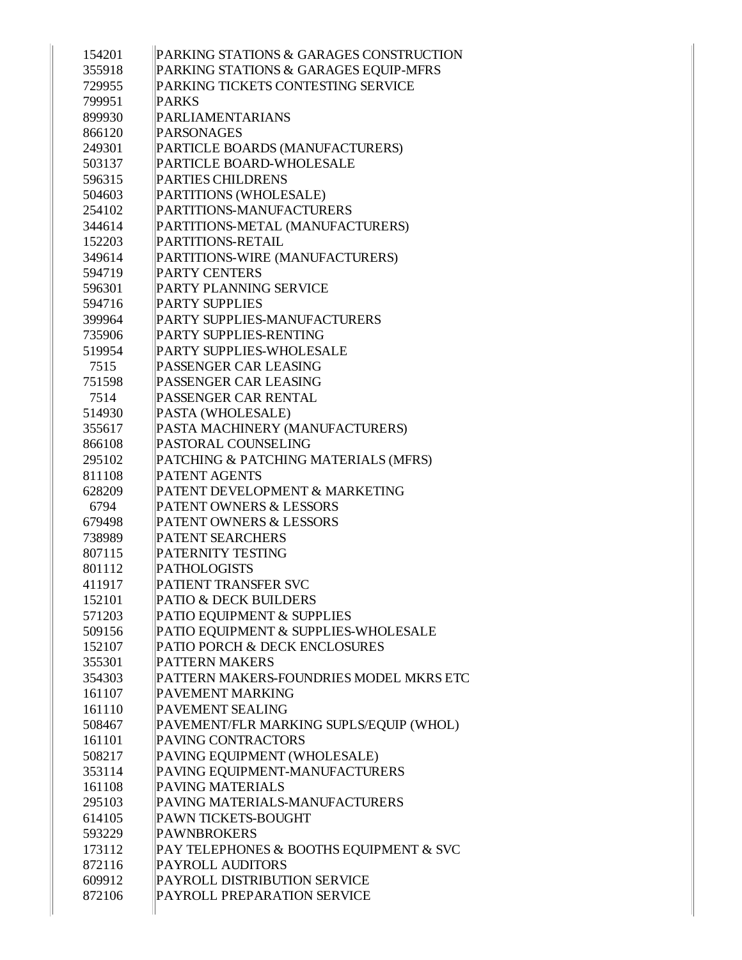| 154201 | PARKING STATIONS & GARAGES CONSTRUCTION |
|--------|-----------------------------------------|
| 355918 | PARKING STATIONS & GARAGES EQUIP-MFRS   |
| 729955 | PARKING TICKETS CONTESTING SERVICE      |
| 799951 | <b>PARKS</b>                            |
| 899930 | PARLIAMENTARIANS                        |
| 866120 | PARSONAGES                              |
| 249301 | PARTICLE BOARDS (MANUFACTURERS)         |
| 503137 | PARTICLE BOARD-WHOLESALE                |
| 596315 | <b>PARTIES CHILDRENS</b>                |
| 504603 | PARTITIONS (WHOLESALE)                  |
| 254102 | PARTITIONS-MANUFACTURERS                |
| 344614 | PARTITIONS-METAL (MANUFACTURERS)        |
| 152203 | PARTITIONS-RETAIL                       |
| 349614 | PARTITIONS-WIRE (MANUFACTURERS)         |
| 594719 | <b>PARTY CENTERS</b>                    |
| 596301 | PARTY PLANNING SERVICE                  |
| 594716 | <b>PARTY SUPPLIES</b>                   |
| 399964 | PARTY SUPPLIES-MANUFACTURERS            |
| 735906 | PARTY SUPPLIES-RENTING                  |
| 519954 | <b>PARTY SUPPLIES-WHOLESALE</b>         |
| 7515   | PASSENGER CAR LEASING                   |
| 751598 | PASSENGER CAR LEASING                   |
| 7514   | PASSENGER CAR RENTAL                    |
| 514930 | PASTA (WHOLESALE)                       |
| 355617 | PASTA MACHINERY (MANUFACTURERS)         |
| 866108 | <b>PASTORAL COUNSELING</b>              |
| 295102 | PATCHING & PATCHING MATERIALS (MFRS)    |
| 811108 | <b>PATENT AGENTS</b>                    |
| 628209 | PATENT DEVELOPMENT & MARKETING          |
| 6794   | <b>PATENT OWNERS &amp; LESSORS</b>      |
| 679498 | <b>PATENT OWNERS &amp; LESSORS</b>      |
| 738989 | <b>PATENT SEARCHERS</b>                 |
| 807115 | <b>PATERNITY TESTING</b>                |
| 801112 | <b>PATHOLOGISTS</b>                     |
| 411917 | PATIENT TRANSFER SVC                    |
| 152101 | <b>PATIO &amp; DECK BUILDERS</b>        |
| 571203 | PATIO EQUIPMENT & SUPPLIES              |
| 509156 | PATIO EQUIPMENT & SUPPLIES-WHOLESALE    |
| 152107 | PATIO PORCH & DECK ENCLOSURES           |
| 355301 | <b>PATTERN MAKERS</b>                   |
| 354303 | PATTERN MAKERS-FOUNDRIES MODEL MKRS ETC |
| 161107 | PAVEMENT MARKING                        |
| 161110 | <b>PAVEMENT SEALING</b>                 |
| 508467 | PAVEMENT/FLR MARKING SUPLS/EQUIP (WHOL) |
| 161101 | PAVING CONTRACTORS                      |
| 508217 | PAVING EQUIPMENT (WHOLESALE)            |
| 353114 | PAVING EQUIPMENT-MANUFACTURERS          |
| 161108 | <b>PAVING MATERIALS</b>                 |
| 295103 | PAVING MATERIALS-MANUFACTURERS          |
| 614105 | PAWN TICKETS-BOUGHT                     |
| 593229 | <b>PAWNBROKERS</b>                      |
| 173112 | PAY TELEPHONES & BOOTHS EQUIPMENT & SVC |
| 872116 | <b>PAYROLL AUDITORS</b>                 |
| 609912 | PAYROLL DISTRIBUTION SERVICE            |
| 872106 | PAYROLL PREPARATION SERVICE             |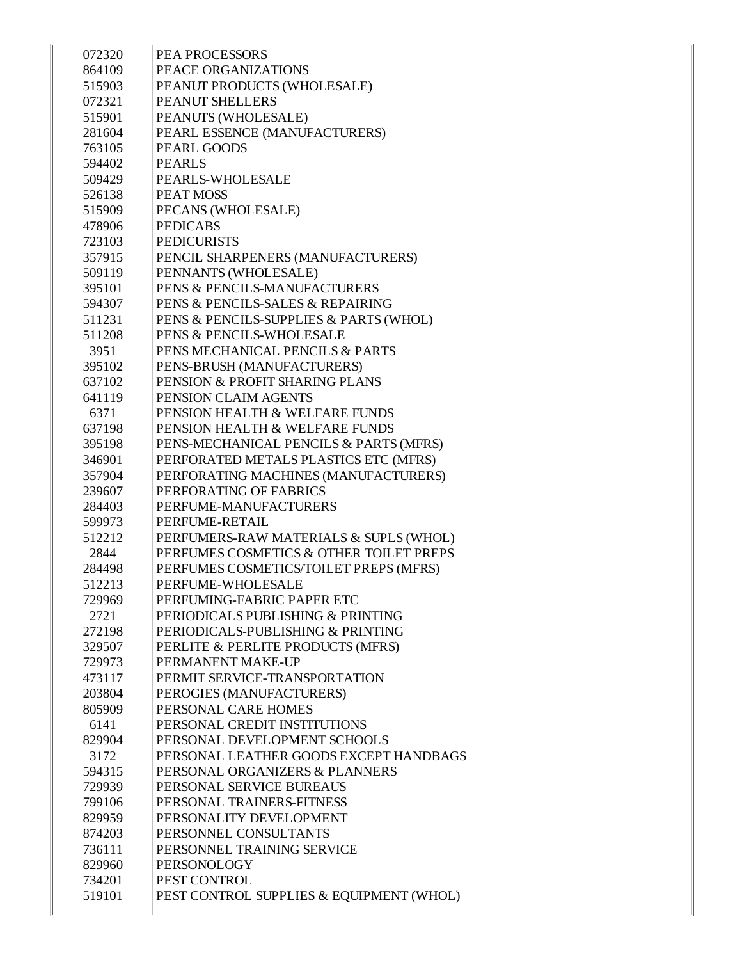| 072320 | <b>PEA PROCESSORS</b>                    |
|--------|------------------------------------------|
| 864109 | <b>PEACE ORGANIZATIONS</b>               |
| 515903 | PEANUT PRODUCTS (WHOLESALE)              |
| 072321 | <b>PEANUT SHELLERS</b>                   |
| 515901 | PEANUTS (WHOLESALE)                      |
| 281604 | PEARL ESSENCE (MANUFACTURERS)            |
| 763105 | <b>PEARL GOODS</b>                       |
| 594402 | <b>PEARLS</b>                            |
| 509429 | <b>PEARLS-WHOLESALE</b>                  |
| 526138 | <b>PEAT MOSS</b>                         |
| 515909 | PECANS (WHOLESALE)                       |
| 478906 | <b>PEDICABS</b>                          |
| 723103 | <b>PEDICURISTS</b>                       |
| 357915 | PENCIL SHARPENERS (MANUFACTURERS)        |
| 509119 | PENNANTS (WHOLESALE)                     |
| 395101 | PENS & PENCILS-MANUFACTURERS             |
| 594307 | PENS & PENCILS-SALES & REPAIRING         |
| 511231 | PENS & PENCILS-SUPPLIES & PARTS (WHOL)   |
| 511208 | <b>PENS &amp; PENCILS-WHOLESALE</b>      |
| 3951   | PENS MECHANICAL PENCILS & PARTS          |
| 395102 | PENS-BRUSH (MANUFACTURERS)               |
| 637102 | PENSION & PROFIT SHARING PLANS           |
| 641119 | <b>PENSION CLAIM AGENTS</b>              |
| 6371   | PENSION HEALTH & WELFARE FUNDS           |
| 637198 | PENSION HEALTH & WELFARE FUNDS           |
| 395198 | PENS-MECHANICAL PENCILS & PARTS (MFRS)   |
| 346901 | PERFORATED METALS PLASTICS ETC (MFRS)    |
| 357904 | PERFORATING MACHINES (MANUFACTURERS)     |
| 239607 | PERFORATING OF FABRICS                   |
| 284403 | PERFUME-MANUFACTURERS                    |
| 599973 | PERFUME-RETAIL                           |
| 512212 | PERFUMERS-RAW MATERIALS & SUPLS (WHOL)   |
| 2844   | PERFUMES COSMETICS & OTHER TOILET PREPS  |
| 284498 | PERFUMES COSMETICS/TOILET PREPS (MFRS)   |
| 512213 | PERFUME-WHOLESALE                        |
| 729969 | PERFUMING-FABRIC PAPER ETC               |
| 2721   | PERIODICALS PUBLISHING & PRINTING        |
| 272198 | PERIODICALS-PUBLISHING & PRINTING        |
| 329507 | PERLITE & PERLITE PRODUCTS (MFRS)        |
| 729973 | PERMANENT MAKE-UP                        |
| 473117 | PERMIT SERVICE-TRANSPORTATION            |
| 203804 | PEROGIES (MANUFACTURERS)                 |
| 805909 | <b>PERSONAL CARE HOMES</b>               |
| 6141   | PERSONAL CREDIT INSTITUTIONS             |
| 829904 | PERSONAL DEVELOPMENT SCHOOLS             |
| 3172   | PERSONAL LEATHER GOODS EXCEPT HANDBAGS   |
| 594315 | PERSONAL ORGANIZERS & PLANNERS           |
| 729939 | PERSONAL SERVICE BUREAUS                 |
| 799106 | PERSONAL TRAINERS-FITNESS                |
| 829959 | PERSONALITY DEVELOPMENT                  |
| 874203 | PERSONNEL CONSULTANTS                    |
| 736111 | PERSONNEL TRAINING SERVICE               |
| 829960 | PERSONOLOGY                              |
| 734201 | <b>PEST CONTROL</b>                      |
| 519101 | PEST CONTROL SUPPLIES & EQUIPMENT (WHOL) |
|        |                                          |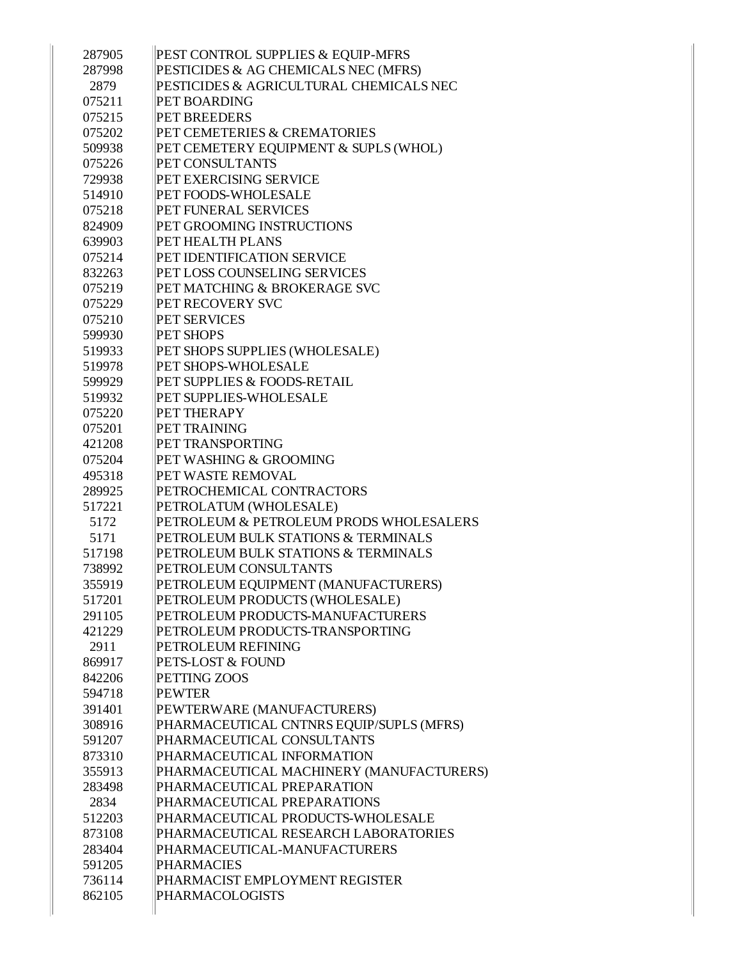| 287905 | PEST CONTROL SUPPLIES & EQUIP-MFRS       |
|--------|------------------------------------------|
| 287998 | PESTICIDES & AG CHEMICALS NEC (MFRS)     |
| 2879   | PESTICIDES & AGRICULTURAL CHEMICALS NEC  |
| 075211 | PET BOARDING                             |
| 075215 | <b>PET BREEDERS</b>                      |
| 075202 | PET CEMETERIES & CREMATORIES             |
| 509938 | PET CEMETERY EQUIPMENT & SUPLS (WHOL)    |
| 075226 | PET CONSULTANTS                          |
| 729938 | PET EXERCISING SERVICE                   |
| 514910 | PET FOODS-WHOLESALE                      |
| 075218 | PET FUNERAL SERVICES                     |
| 824909 | PET GROOMING INSTRUCTIONS                |
| 639903 | PET HEALTH PLANS                         |
| 075214 | PET IDENTIFICATION SERVICE               |
|        | PET LOSS COUNSELING SERVICES             |
| 832263 |                                          |
| 075219 | PET MATCHING & BROKERAGE SVC             |
| 075229 | <b>PET RECOVERY SVC</b>                  |
| 075210 | <b>PET SERVICES</b>                      |
| 599930 | <b>PET SHOPS</b>                         |
| 519933 | PET SHOPS SUPPLIES (WHOLESALE)           |
| 519978 | <b>PET SHOPS-WHOLESALE</b>               |
| 599929 | <b>PET SUPPLIES &amp; FOODS-RETAIL</b>   |
| 519932 | PET SUPPLIES-WHOLESALE                   |
| 075220 | PET THERAPY                              |
| 075201 | PET TRAINING                             |
| 421208 | PET TRANSPORTING                         |
| 075204 | PET WASHING & GROOMING                   |
| 495318 | <b>PET WASTE REMOVAL</b>                 |
| 289925 | PETROCHEMICAL CONTRACTORS                |
| 517221 | PETROLATUM (WHOLESALE)                   |
| 5172   | PETROLEUM & PETROLEUM PRODS WHOLESALERS  |
| 5171   | PETROLEUM BULK STATIONS & TERMINALS      |
| 517198 | PETROLEUM BULK STATIONS & TERMINALS      |
| 738992 | PETROLEUM CONSULTANTS                    |
| 355919 | PETROLEUM EQUIPMENT (MANUFACTURERS)      |
| 517201 | PETROLEUM PRODUCTS (WHOLESALE)           |
| 291105 | PETROLEUM PRODUCTS-MANUFACTURERS         |
| 421229 | PETROLEUM PRODUCTS-TRANSPORTING          |
| 2911   | PETROLEUM REFINING                       |
| 869917 | PETS-LOST & FOUND                        |
| 842206 | PETTING ZOOS                             |
| 594718 | <b>PEWTER</b>                            |
| 391401 | PEWTERWARE (MANUFACTURERS)               |
| 308916 | PHARMACEUTICAL CNTNRS EQUIP/SUPLS (MFRS) |
| 591207 | PHARMACEUTICAL CONSULTANTS               |
| 873310 | PHARMACEUTICAL INFORMATION               |
| 355913 | PHARMACEUTICAL MACHINERY (MANUFACTURERS) |
| 283498 | PHARMACEUTICAL PREPARATION               |
| 2834   | PHARMACEUTICAL PREPARATIONS              |
| 512203 | PHARMACEUTICAL PRODUCTS-WHOLESALE        |
| 873108 | PHARMACEUTICAL RESEARCH LABORATORIES     |
| 283404 | PHARMACEUTICAL-MANUFACTURERS             |
| 591205 | PHARMACIES                               |
| 736114 | PHARMACIST EMPLOYMENT REGISTER           |
| 862105 | <b>PHARMACOLOGISTS</b>                   |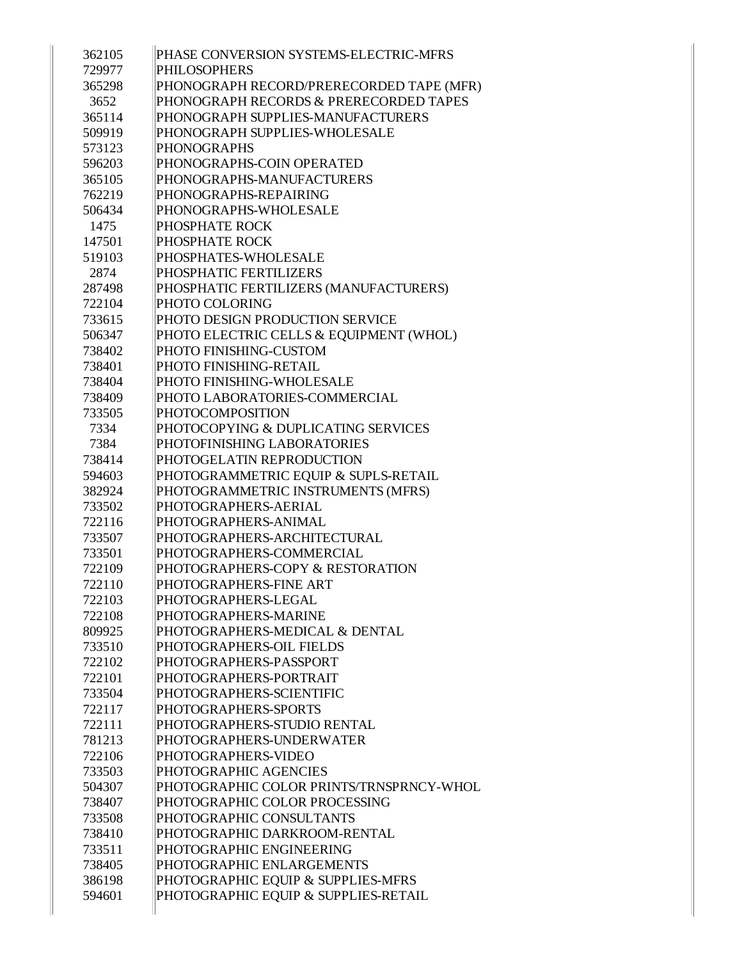| 362105 | PHASE CONVERSION SYSTEMS-ELECTRIC-MFRS   |
|--------|------------------------------------------|
| 729977 | <b>PHILOSOPHERS</b>                      |
| 365298 | PHONOGRAPH RECORD/PRERECORDED TAPE (MFR) |
| 3652   | PHONOGRAPH RECORDS & PRERECORDED TAPES   |
| 365114 | PHONOGRAPH SUPPLIES-MANUFACTURERS        |
| 509919 | PHONOGRAPH SUPPLIES-WHOLESALE            |
| 573123 | <b>PHONOGRAPHS</b>                       |
| 596203 | PHONOGRAPHS-COIN OPERATED                |
| 365105 | PHONOGRAPHS-MANUFACTURERS                |
| 762219 | PHONOGRAPHS-REPAIRING                    |
| 506434 | PHONOGRAPHS-WHOLESALE                    |
| 1475   | PHOSPHATE ROCK                           |
| 147501 | PHOSPHATE ROCK                           |
| 519103 | PHOSPHATES-WHOLESALE                     |
| 2874   | PHOSPHATIC FERTILIZERS                   |
| 287498 | PHOSPHATIC FERTILIZERS (MANUFACTURERS)   |
| 722104 | PHOTO COLORING                           |
| 733615 | PHOTO DESIGN PRODUCTION SERVICE          |
| 506347 | PHOTO ELECTRIC CELLS & EQUIPMENT (WHOL)  |
| 738402 | PHOTO FINISHING-CUSTOM                   |
| 738401 | PHOTO FINISHING-RETAIL                   |
| 738404 | PHOTO FINISHING-WHOLESALE                |
| 738409 | PHOTO LABORATORIES-COMMERCIAL            |
| 733505 | PHOTOCOMPOSITION                         |
| 7334   | PHOTOCOPYING & DUPLICATING SERVICES      |
| 7384   | PHOTOFINISHING LABORATORIES              |
| 738414 | PHOTOGELATIN REPRODUCTION                |
| 594603 | PHOTOGRAMMETRIC EQUIP & SUPLS-RETAIL     |
| 382924 | PHOTOGRAMMETRIC INSTRUMENTS (MFRS)       |
| 733502 | PHOTOGRAPHERS-AERIAL                     |
| 722116 | PHOTOGRAPHERS-ANIMAL                     |
| 733507 | PHOTOGRAPHERS-ARCHITECTURAL              |
| 733501 | PHOTOGRAPHERS-COMMERCIAL                 |
| 722109 | PHOTOGRAPHERS-COPY & RESTORATION         |
| 722110 | PHOTOGRAPHERS-FINE ART                   |
| 722103 | PHOTOGRAPHERS-LEGAL                      |
| 722108 | PHOTOGRAPHERS-MARINE                     |
| 809925 | PHOTOGRAPHERS-MEDICAL & DENTAL           |
| 733510 | PHOTOGRAPHERS-OIL FIELDS                 |
| 722102 | PHOTOGRAPHERS-PASSPORT                   |
| 722101 | PHOTOGRAPHERS-PORTRAIT                   |
| 733504 | PHOTOGRAPHERS-SCIENTIFIC                 |
| 722117 | PHOTOGRAPHERS-SPORTS                     |
| 722111 | PHOTOGRAPHERS-STUDIO RENTAL              |
| 781213 | PHOTOGRAPHERS-UNDERWATER                 |
| 722106 | PHOTOGRAPHERS-VIDEO                      |
| 733503 | PHOTOGRAPHIC AGENCIES                    |
| 504307 | PHOTOGRAPHIC COLOR PRINTS/TRNSPRNCY-WHOL |
| 738407 | PHOTOGRAPHIC COLOR PROCESSING            |
| 733508 | PHOTOGRAPHIC CONSULTANTS                 |
| 738410 | PHOTOGRAPHIC DARKROOM-RENTAL             |
| 733511 | PHOTOGRAPHIC ENGINEERING                 |
| 738405 | PHOTOGRAPHIC ENLARGEMENTS                |
| 386198 | PHOTOGRAPHIC EQUIP & SUPPLIES-MFRS       |
| 594601 | PHOTOGRAPHIC EQUIP & SUPPLIES-RETAIL     |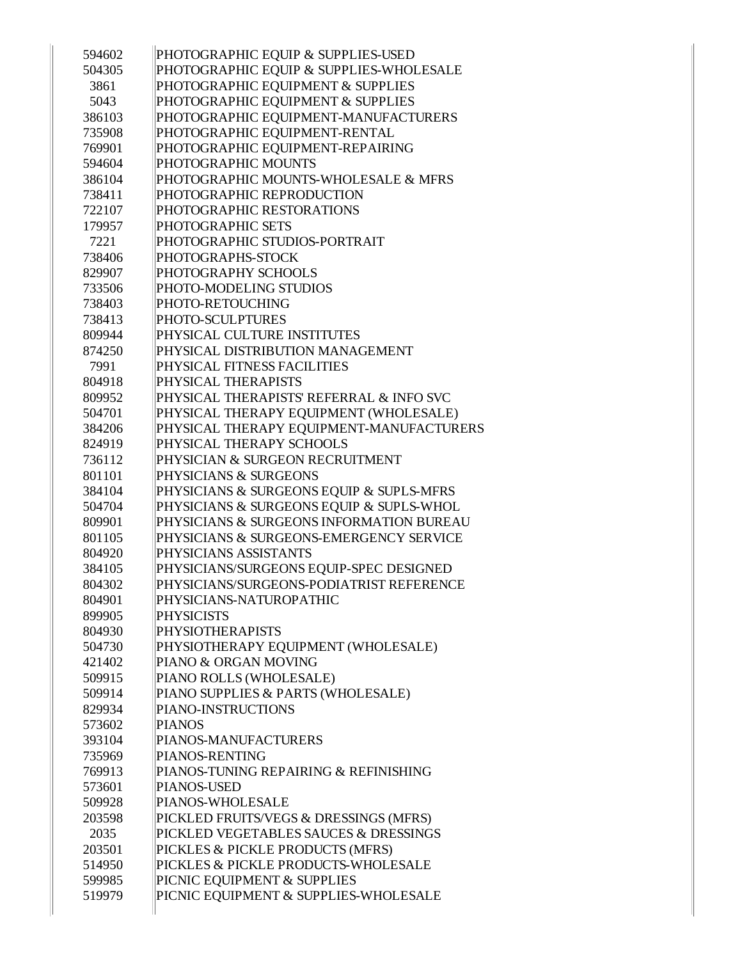| 594602 | PHOTOGRAPHIC EQUIP & SUPPLIES-USED       |
|--------|------------------------------------------|
| 504305 | PHOTOGRAPHIC EQUIP & SUPPLIES-WHOLESALE  |
| 3861   | PHOTOGRAPHIC EQUIPMENT & SUPPLIES        |
| 5043   | PHOTOGRAPHIC EQUIPMENT & SUPPLIES        |
| 386103 | PHOTOGRAPHIC EQUIPMENT-MANUFACTURERS     |
| 735908 | PHOTOGRAPHIC EQUIPMENT-RENTAL            |
| 769901 | PHOTOGRAPHIC EQUIPMENT-REPAIRING         |
| 594604 | PHOTOGRAPHIC MOUNTS                      |
| 386104 | PHOTOGRAPHIC MOUNTS-WHOLESALE & MFRS     |
| 738411 | PHOTOGRAPHIC REPRODUCTION                |
| 722107 | PHOTOGRAPHIC RESTORATIONS                |
| 179957 | PHOTOGRAPHIC SETS                        |
| 7221   | PHOTOGRAPHIC STUDIOS-PORTRAIT            |
| 738406 | PHOTOGRAPHS-STOCK                        |
| 829907 | PHOTOGRAPHY SCHOOLS                      |
| 733506 | PHOTO-MODELING STUDIOS                   |
| 738403 | PHOTO-RETOUCHING                         |
| 738413 | PHOTO-SCULPTURES                         |
| 809944 | PHYSICAL CULTURE INSTITUTES              |
| 874250 | PHYSICAL DISTRIBUTION MANAGEMENT         |
| 7991   | PHYSICAL FITNESS FACILITIES              |
| 804918 | PHYSICAL THERAPISTS                      |
| 809952 | PHYSICAL THERAPISTS' REFERRAL & INFO SVC |
| 504701 | PHYSICAL THERAPY EQUIPMENT (WHOLESALE)   |
| 384206 | PHYSICAL THERAPY EQUIPMENT-MANUFACTURERS |
| 824919 | PHYSICAL THERAPY SCHOOLS                 |
| 736112 | PHYSICIAN & SURGEON RECRUITMENT          |
| 801101 | PHYSICIANS & SURGEONS                    |
| 384104 | PHYSICIANS & SURGEONS EQUIP & SUPLS-MFRS |
| 504704 | PHYSICIANS & SURGEONS EQUIP & SUPLS-WHOL |
| 809901 | PHYSICIANS & SURGEONS INFORMATION BUREAU |
| 801105 | PHYSICIANS & SURGEONS-EMERGENCY SERVICE  |
| 804920 | PHYSICIANS ASSISTANTS                    |
| 384105 | PHYSICIANS/SURGEONS EQUIP-SPEC DESIGNED  |
| 804302 | PHYSICIANS/SURGEONS-PODIATRIST REFERENCE |
| 804901 | PHYSICIANS-NATUROPATHIC                  |
| 899905 | <b>PHYSICISTS</b>                        |
| 804930 | <b>PHYSIOTHERAPISTS</b>                  |
| 504730 | PHYSIOTHERAPY EQUIPMENT (WHOLESALE)      |
| 421402 | PIANO & ORGAN MOVING                     |
| 509915 | PIANO ROLLS (WHOLESALE)                  |
| 509914 | PIANO SUPPLIES & PARTS (WHOLESALE)       |
| 829934 | PIANO-INSTRUCTIONS                       |
| 573602 | <b>PIANOS</b>                            |
| 393104 | PIANOS-MANUFACTURERS                     |
| 735969 | PIANOS-RENTING                           |
| 769913 | PIANOS-TUNING REPAIRING & REFINISHING    |
| 573601 | PIANOS-USED                              |
| 509928 | PIANOS-WHOLESALE                         |
| 203598 | PICKLED FRUITS/VEGS & DRESSINGS (MFRS)   |
| 2035   | PICKLED VEGETABLES SAUCES & DRESSINGS    |
| 203501 | PICKLES & PICKLE PRODUCTS (MFRS)         |
| 514950 | PICKLES & PICKLE PRODUCTS-WHOLESALE      |
| 599985 | PICNIC EQUIPMENT & SUPPLIES              |
| 519979 | PICNIC EQUIPMENT & SUPPLIES-WHOLESALE    |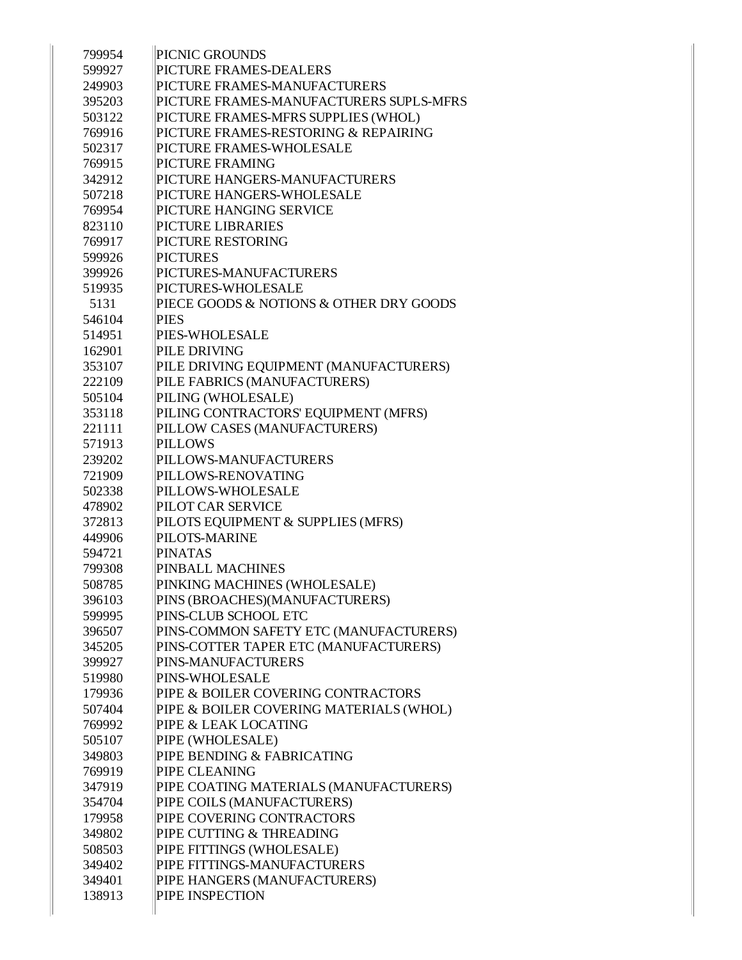| 799954 | PICNIC GROUNDS                          |
|--------|-----------------------------------------|
| 599927 | PICTURE FRAMES-DEALERS                  |
| 249903 | PICTURE FRAMES-MANUFACTURERS            |
| 395203 | PICTURE FRAMES-MANUFACTURERS SUPLS-MFRS |
| 503122 | PICTURE FRAMES-MFRS SUPPLIES (WHOL)     |
| 769916 | PICTURE FRAMES-RESTORING & REPAIRING    |
| 502317 | PICTURE FRAMES-WHOLESALE                |
| 769915 | PICTURE FRAMING                         |
| 342912 | PICTURE HANGERS-MANUFACTURERS           |
| 507218 | PICTURE HANGERS-WHOLESALE               |
| 769954 | PICTURE HANGING SERVICE                 |
| 823110 | <b>PICTURE LIBRARIES</b>                |
| 769917 | PICTURE RESTORING                       |
| 599926 | <b>PICTURES</b>                         |
| 399926 | PICTURES-MANUFACTURERS                  |
| 519935 | PICTURES-WHOLESALE                      |
| 5131   | PIECE GOODS & NOTIONS & OTHER DRY GOODS |
| 546104 | <b>PIES</b>                             |
| 514951 | PIES-WHOLESALE                          |
| 162901 | PILE DRIVING                            |
| 353107 | PILE DRIVING EQUIPMENT (MANUFACTURERS)  |
| 222109 | PILE FABRICS (MANUFACTURERS)            |
| 505104 | PILING (WHOLESALE)                      |
| 353118 | PILING CONTRACTORS' EQUIPMENT (MFRS)    |
| 221111 | PILLOW CASES (MANUFACTURERS)            |
| 571913 | <b>PILLOWS</b>                          |
| 239202 | PILLOWS-MANUFACTURERS                   |
| 721909 | PILLOWS-RENOVATING                      |
| 502338 | PILLOWS-WHOLESALE                       |
| 478902 | PILOT CAR SERVICE                       |
| 372813 | PILOTS EQUIPMENT & SUPPLIES (MFRS)      |
| 449906 | PILOTS-MARINE                           |
| 594721 | <b>PINATAS</b>                          |
| 799308 | PINBALL MACHINES                        |
| 508785 | PINKING MACHINES (WHOLESALE)            |
| 396103 | PINS (BROACHES)(MANUFACTURERS)          |
| 599995 | PINS-CLUB SCHOOL ETC                    |
| 396507 | PINS-COMMON SAFETY ETC (MANUFACTURERS)  |
| 345205 | PINS-COTTER TAPER ETC (MANUFACTURERS)   |
| 399927 | PINS-MANUFACTURERS                      |
| 519980 | <b>PINS-WHOLESALE</b>                   |
| 179936 | PIPE & BOILER COVERING CONTRACTORS      |
| 507404 | PIPE & BOILER COVERING MATERIALS (WHOL) |
| 769992 | PIPE & LEAK LOCATING                    |
| 505107 | PIPE (WHOLESALE)                        |
| 349803 | PIPE BENDING & FABRICATING              |
| 769919 | <b>PIPE CLEANING</b>                    |
| 347919 | PIPE COATING MATERIALS (MANUFACTURERS)  |
| 354704 | PIPE COILS (MANUFACTURERS)              |
| 179958 | PIPE COVERING CONTRACTORS               |
| 349802 | PIPE CUTTING & THREADING                |
| 508503 | PIPE FITTINGS (WHOLESALE)               |
| 349402 | PIPE FITTINGS-MANUFACTURERS             |
| 349401 | PIPE HANGERS (MANUFACTURERS)            |
| 138913 | PIPE INSPECTION                         |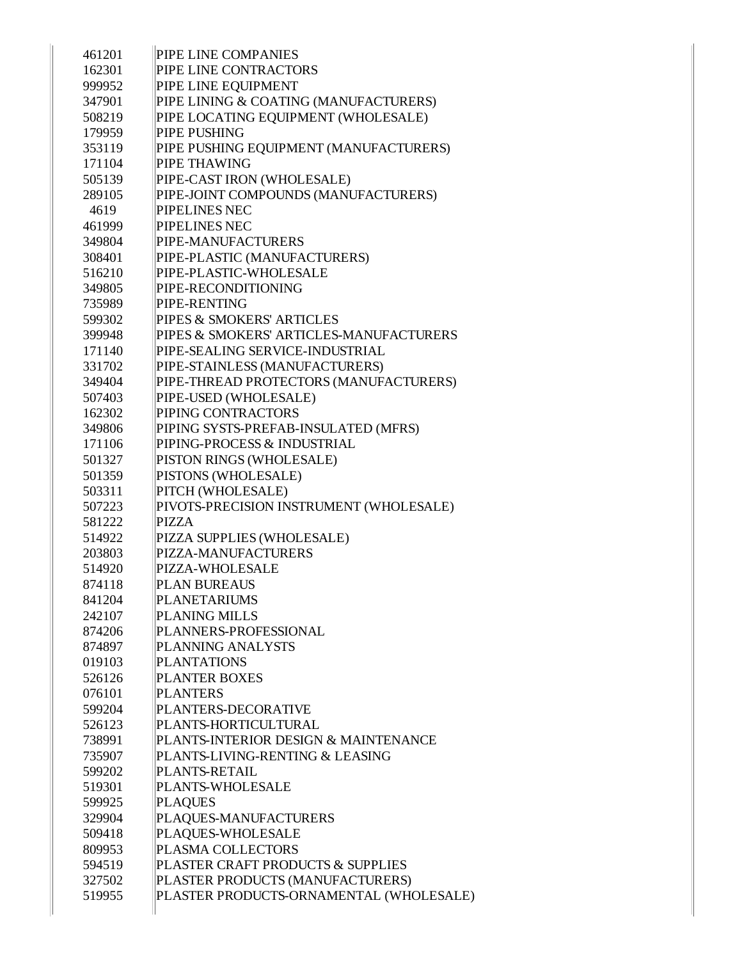| 461201 | PIPE LINE COMPANIES                     |
|--------|-----------------------------------------|
| 162301 | PIPE LINE CONTRACTORS                   |
| 999952 | PIPE LINE EQUIPMENT                     |
| 347901 | PIPE LINING & COATING (MANUFACTURERS)   |
| 508219 | PIPE LOCATING EQUIPMENT (WHOLESALE)     |
| 179959 | PIPE PUSHING                            |
| 353119 | PIPE PUSHING EQUIPMENT (MANUFACTURERS)  |
| 171104 | PIPE THAWING                            |
| 505139 | PIPE-CAST IRON (WHOLESALE)              |
| 289105 | PIPE-JOINT COMPOUNDS (MANUFACTURERS)    |
| 4619   | PIPELINES NEC                           |
| 461999 | PIPELINES NEC                           |
| 349804 | PIPE-MANUFACTURERS                      |
| 308401 | PIPE-PLASTIC (MANUFACTURERS)            |
| 516210 | PIPE-PLASTIC-WHOLESALE                  |
| 349805 | PIPE-RECONDITIONING                     |
| 735989 | PIPE-RENTING                            |
| 599302 | PIPES & SMOKERS' ARTICLES               |
| 399948 | PIPES & SMOKERS' ARTICLES-MANUFACTURERS |
| 171140 | PIPE-SEALING SERVICE-INDUSTRIAL         |
| 331702 | PIPE-STAINLESS (MANUFACTURERS)          |
| 349404 | PIPE-THREAD PROTECTORS (MANUFACTURERS)  |
| 507403 | PIPE-USED (WHOLESALE)                   |
| 162302 | PIPING CONTRACTORS                      |
| 349806 | PIPING SYSTS-PREFAB-INSULATED (MFRS)    |
| 171106 | PIPING-PROCESS & INDUSTRIAL             |
| 501327 | PISTON RINGS (WHOLESALE)                |
| 501359 | PISTONS (WHOLESALE)                     |
| 503311 | PITCH (WHOLESALE)                       |
| 507223 | PIVOTS-PRECISION INSTRUMENT (WHOLESALE) |
| 581222 | <b>PIZZA</b>                            |
| 514922 | PIZZA SUPPLIES (WHOLESALE)              |
| 203803 | PIZZA-MANUFACTURERS                     |
| 514920 | PIZZA-WHOLESALE                         |
| 874118 | PLAN BUREAUS                            |
| 841204 | PLANETARIUMS                            |
| 242107 | <b>PLANING MILLS</b>                    |
| 874206 | PLANNERS-PROFESSIONAL                   |
| 874897 | PLANNING ANALYSTS                       |
| 019103 | <b>PLANTATIONS</b>                      |
| 526126 | PLANTER BOXES                           |
| 076101 | <b>PLANTERS</b>                         |
| 599204 | PLANTERS-DECORATIVE                     |
| 526123 | PLANTS-HORTICULTURAL                    |
| 738991 | PLANTS-INTERIOR DESIGN & MAINTENANCE    |
| 735907 | PLANTS-LIVING-RENTING & LEASING         |
| 599202 | PLANTS-RETAIL                           |
| 519301 | PLANTS-WHOLESALE                        |
| 599925 | <b>PLAQUES</b>                          |
| 329904 | PLAQUES-MANUFACTURERS                   |
| 509418 | PLAQUES-WHOLESALE                       |
| 809953 | PLASMA COLLECTORS                       |
| 594519 | PLASTER CRAFT PRODUCTS & SUPPLIES       |
| 327502 | PLASTER PRODUCTS (MANUFACTURERS)        |
| 519955 | PLASTER PRODUCTS-ORNAMENTAL (WHOLESALE) |
|        |                                         |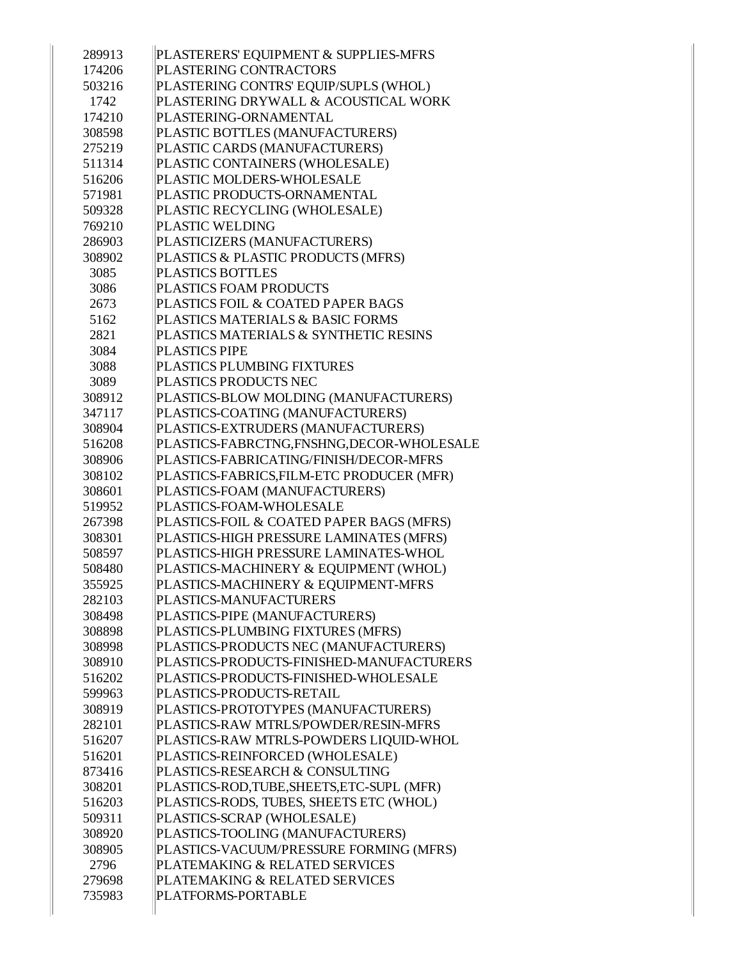| 289913 | PLASTERERS' EQUIPMENT & SUPPLIES-MFRS     |
|--------|-------------------------------------------|
| 174206 | PLASTERING CONTRACTORS                    |
| 503216 | PLASTERING CONTRS' EQUIP/SUPLS (WHOL)     |
| 1742   | PLASTERING DRYWALL & ACOUSTICAL WORK      |
| 174210 | PLASTERING-ORNAMENTAL                     |
| 308598 | PLASTIC BOTTLES (MANUFACTURERS)           |
| 275219 | PLASTIC CARDS (MANUFACTURERS)             |
| 511314 | PLASTIC CONTAINERS (WHOLESALE)            |
| 516206 | PLASTIC MOLDERS-WHOLESALE                 |
| 571981 | PLASTIC PRODUCTS-ORNAMENTAL               |
| 509328 | PLASTIC RECYCLING (WHOLESALE)             |
| 769210 | <b>PLASTIC WELDING</b>                    |
| 286903 | PLASTICIZERS (MANUFACTURERS)              |
| 308902 | PLASTICS & PLASTIC PRODUCTS (MFRS)        |
| 3085   | <b>PLASTICS BOTTLES</b>                   |
| 3086   | <b>PLASTICS FOAM PRODUCTS</b>             |
| 2673   | PLASTICS FOIL & COATED PAPER BAGS         |
| 5162   | PLASTICS MATERIALS & BASIC FORMS          |
| 2821   | PLASTICS MATERIALS & SYNTHETIC RESINS     |
| 3084   | <b>PLASTICS PIPE</b>                      |
| 3088   | PLASTICS PLUMBING FIXTURES                |
| 3089   | PLASTICS PRODUCTS NEC                     |
| 308912 | PLASTICS-BLOW MOLDING (MANUFACTURERS)     |
| 347117 | PLASTICS-COATING (MANUFACTURERS)          |
| 308904 | PLASTICS-EXTRUDERS (MANUFACTURERS)        |
| 516208 | PLASTICS-FABRCTNG,FNSHNG,DECOR-WHOLESALE  |
| 308906 | PLASTICS-FABRICATING/FINISH/DECOR-MFRS    |
| 308102 | PLASTICS-FABRICS, FILM-ETC PRODUCER (MFR) |
| 308601 | PLASTICS-FOAM (MANUFACTURERS)             |
| 519952 | PLASTICS-FOAM-WHOLESALE                   |
| 267398 | PLASTICS-FOIL & COATED PAPER BAGS (MFRS)  |
| 308301 | PLASTICS-HIGH PRESSURE LAMINATES (MFRS)   |
| 508597 | PLASTICS-HIGH PRESSURE LAMINATES-WHOL     |
| 508480 | PLASTICS-MACHINERY & EQUIPMENT (WHOL)     |
| 355925 | PLASTICS-MACHINERY & EQUIPMENT-MFRS       |
| 282103 | PLASTICS-MANUFACTURERS                    |
| 308498 | PLASTICS-PIPE (MANUFACTURERS)             |
| 308898 | PLASTICS-PLUMBING FIXTURES (MFRS)         |
| 308998 | PLASTICS-PRODUCTS NEC (MANUFACTURERS)     |
| 308910 | PLASTICS-PRODUCTS-FINISHED-MANUFACTURERS  |
| 516202 | PLASTICS-PRODUCTS-FINISHED-WHOLESALE      |
| 599963 | PLASTICS-PRODUCTS-RETAIL                  |
| 308919 | PLASTICS-PROTOTYPES (MANUFACTURERS)       |
| 282101 | PLASTICS-RAW MTRLS/POWDER/RESIN-MFRS      |
| 516207 | PLASTICS-RAW MTRLS-POWDERS LIQUID-WHOL    |
| 516201 | PLASTICS-REINFORCED (WHOLESALE)           |
| 873416 | PLASTICS-RESEARCH & CONSULTING            |
| 308201 | PLASTICS-ROD,TUBE,SHEETS,ETC-SUPL (MFR)   |
| 516203 | PLASTICS-RODS, TUBES, SHEETS ETC (WHOL)   |
| 509311 | PLASTICS-SCRAP (WHOLESALE)                |
| 308920 | PLASTICS-TOOLING (MANUFACTURERS)          |
| 308905 | PLASTICS-VACUUM/PRESSURE FORMING (MFRS)   |
| 2796   | PLATEMAKING & RELATED SERVICES            |
| 279698 | PLATEMAKING & RELATED SERVICES            |
| 735983 | PLATFORMS-PORTABLE                        |
|        |                                           |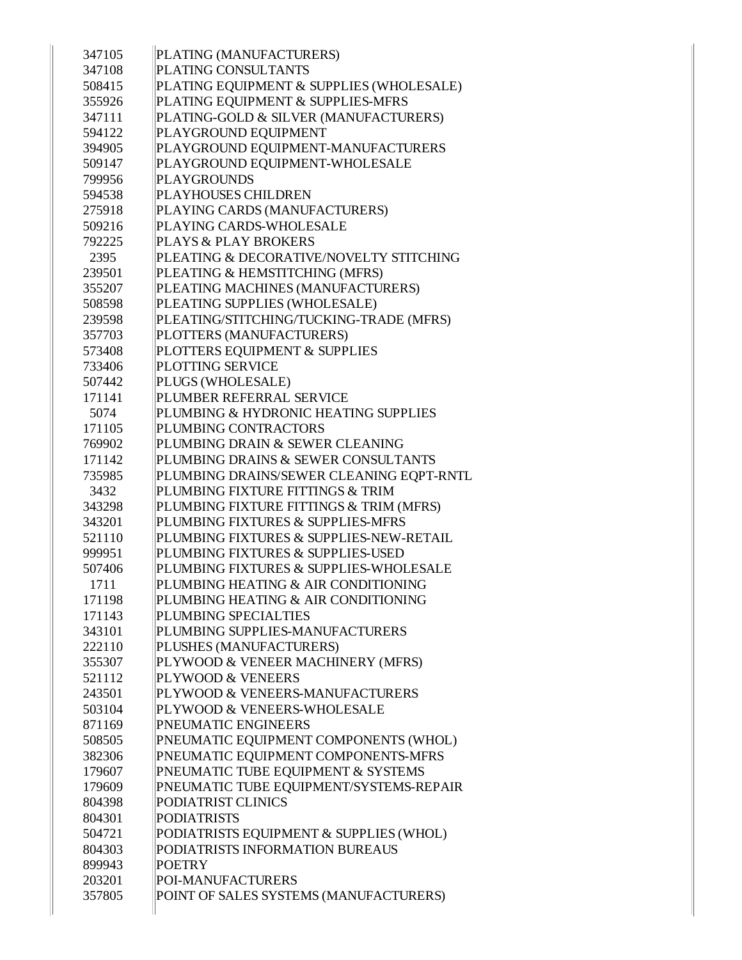| 347105 | PLATING (MANUFACTURERS)                  |
|--------|------------------------------------------|
| 347108 | PLATING CONSULTANTS                      |
| 508415 | PLATING EQUIPMENT & SUPPLIES (WHOLESALE) |
| 355926 | PLATING EQUIPMENT & SUPPLIES-MFRS        |
| 347111 | PLATING-GOLD & SILVER (MANUFACTURERS)    |
| 594122 | PLAYGROUND EQUIPMENT                     |
| 394905 | PLAYGROUND EQUIPMENT-MANUFACTURERS       |
| 509147 | PLAYGROUND EQUIPMENT-WHOLESALE           |
| 799956 | <b>PLAYGROUNDS</b>                       |
| 594538 | <b>PLAYHOUSES CHILDREN</b>               |
| 275918 | PLAYING CARDS (MANUFACTURERS)            |
| 509216 | PLAYING CARDS-WHOLESALE                  |
| 792225 | <b>PLAYS &amp; PLAY BROKERS</b>          |
| 2395   | PLEATING & DECORATIVE/NOVELTY STITCHING  |
| 239501 | PLEATING & HEMSTITCHING (MFRS)           |
| 355207 | PLEATING MACHINES (MANUFACTURERS)        |
| 508598 | PLEATING SUPPLIES (WHOLESALE)            |
| 239598 | PLEATING/STITCHING/TUCKING-TRADE (MFRS)  |
| 357703 | PLOTTERS (MANUFACTURERS)                 |
| 573408 | PLOTTERS EQUIPMENT & SUPPLIES            |
| 733406 | PLOTTING SERVICE                         |
| 507442 | PLUGS (WHOLESALE)                        |
| 171141 | PLUMBER REFERRAL SERVICE                 |
| 5074   | PLUMBING & HYDRONIC HEATING SUPPLIES     |
| 171105 | PLUMBING CONTRACTORS                     |
| 769902 | PLUMBING DRAIN & SEWER CLEANING          |
| 171142 | PLUMBING DRAINS & SEWER CONSULTANTS      |
| 735985 | PLUMBING DRAINS/SEWER CLEANING EQPT-RNTL |
| 3432   | PLUMBING FIXTURE FITTINGS & TRIM         |
| 343298 | PLUMBING FIXTURE FITTINGS & TRIM (MFRS)  |
| 343201 | PLUMBING FIXTURES & SUPPLIES-MFRS        |
| 521110 | PLUMBING FIXTURES & SUPPLIES-NEW-RETAIL  |
| 999951 | PLUMBING FIXTURES & SUPPLIES-USED        |
| 507406 | PLUMBING FIXTURES & SUPPLIES-WHOLESALE   |
| 1711   | PLUMBING HEATING & AIR CONDITIONING      |
| 171198 | PLUMBING HEATING & AIR CONDITIONING      |
| 171143 | PLUMBING SPECIALTIES                     |
| 343101 | PLUMBING SUPPLIES-MANUFACTURERS          |
| 222110 | PLUSHES (MANUFACTURERS)                  |
| 355307 | PLYWOOD & VENEER MACHINERY (MFRS)        |
| 521112 | <b>PLYWOOD &amp; VENEERS</b>             |
| 243501 | PLYWOOD & VENEERS-MANUFACTURERS          |
| 503104 | PLYWOOD & VENEERS-WHOLESALE              |
| 871169 | PNEUMATIC ENGINEERS                      |
| 508505 | PNEUMATIC EQUIPMENT COMPONENTS (WHOL)    |
| 382306 | PNEUMATIC EQUIPMENT COMPONENTS-MFRS      |
| 179607 | PNEUMATIC TUBE EQUIPMENT & SYSTEMS       |
| 179609 | PNEUMATIC TUBE EQUIPMENT/SYSTEMS-REPAIR  |
| 804398 | PODIATRIST CLINICS                       |
| 804301 | <b>PODIATRISTS</b>                       |
| 504721 | PODIATRISTS EQUIPMENT & SUPPLIES (WHOL)  |
| 804303 | PODIATRISTS INFORMATION BUREAUS          |
| 899943 | <b>POETRY</b>                            |
| 203201 | POI-MANUFACTURERS                        |
| 357805 | POINT OF SALES SYSTEMS (MANUFACTURERS)   |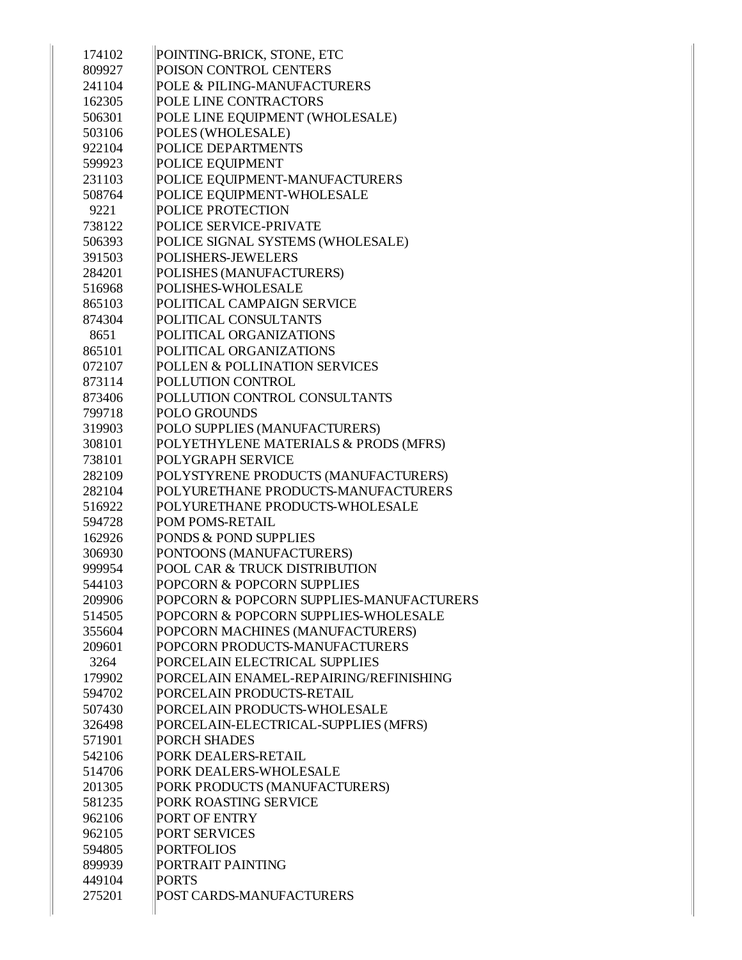| 174102 | POINTING-BRICK, STONE, ETC               |
|--------|------------------------------------------|
| 809927 | POISON CONTROL CENTERS                   |
| 241104 | POLE & PILING-MANUFACTURERS              |
| 162305 | POLE LINE CONTRACTORS                    |
| 506301 | POLE LINE EQUIPMENT (WHOLESALE)          |
| 503106 | POLES (WHOLESALE)                        |
| 922104 | POLICE DEPARTMENTS                       |
| 599923 | POLICE EQUIPMENT                         |
| 231103 | POLICE EQUIPMENT-MANUFACTURERS           |
| 508764 | POLICE EQUIPMENT-WHOLESALE               |
| 9221   | <b>POLICE PROTECTION</b>                 |
| 738122 | POLICE SERVICE-PRIVATE                   |
| 506393 | POLICE SIGNAL SYSTEMS (WHOLESALE)        |
| 391503 | <b>POLISHERS-JEWELERS</b>                |
| 284201 | POLISHES (MANUFACTURERS)                 |
| 516968 | POLISHES-WHOLESALE                       |
| 865103 | POLITICAL CAMPAIGN SERVICE               |
| 874304 | POLITICAL CONSULTANTS                    |
| 8651   | POLITICAL ORGANIZATIONS                  |
| 865101 | POLITICAL ORGANIZATIONS                  |
| 072107 | POLLEN & POLLINATION SERVICES            |
| 873114 | POLLUTION CONTROL                        |
| 873406 | POLLUTION CONTROL CONSULTANTS            |
| 799718 | <b>POLO GROUNDS</b>                      |
| 319903 | POLO SUPPLIES (MANUFACTURERS)            |
| 308101 | POLYETHYLENE MATERIALS & PRODS (MFRS)    |
| 738101 | <b>POLYGRAPH SERVICE</b>                 |
| 282109 | POLYSTYRENE PRODUCTS (MANUFACTURERS)     |
| 282104 | POLYURETHANE PRODUCTS-MANUFACTURERS      |
| 516922 | POLYURETHANE PRODUCTS-WHOLESALE          |
| 594728 | <b>POM POMS-RETAIL</b>                   |
| 162926 | <b>PONDS &amp; POND SUPPLIES</b>         |
| 306930 | PONTOONS (MANUFACTURERS)                 |
| 999954 | POOL CAR & TRUCK DISTRIBUTION            |
| 544103 | POPCORN & POPCORN SUPPLIES               |
| 209906 | POPCORN & POPCORN SUPPLIES-MANUFACTURERS |
| 514505 | POPCORN & POPCORN SUPPLIES-WHOLESALE     |
| 355604 | POPCORN MACHINES (MANUFACTURERS)         |
| 209601 | POPCORN PRODUCTS-MANUFACTURERS           |
| 3264   | PORCELAIN ELECTRICAL SUPPLIES            |
| 179902 | PORCELAIN ENAMEL-REPAIRING/REFINISHING   |
| 594702 | PORCELAIN PRODUCTS-RETAIL                |
| 507430 | PORCELAIN PRODUCTS-WHOLESALE             |
| 326498 | PORCELAIN-ELECTRICAL-SUPPLIES (MFRS)     |
| 571901 | <b>PORCH SHADES</b>                      |
| 542106 | PORK DEALERS-RETAIL                      |
| 514706 | PORK DEALERS-WHOLESALE                   |
| 201305 | PORK PRODUCTS (MANUFACTURERS)            |
| 581235 | PORK ROASTING SERVICE                    |
| 962106 | <b>PORT OF ENTRY</b>                     |
| 962105 | <b>PORT SERVICES</b>                     |
| 594805 | <b>PORTFOLIOS</b>                        |
| 899939 | PORTRAIT PAINTING                        |
| 449104 | <b>PORTS</b>                             |
| 275201 | POST CARDS-MANUFACTURERS                 |
|        |                                          |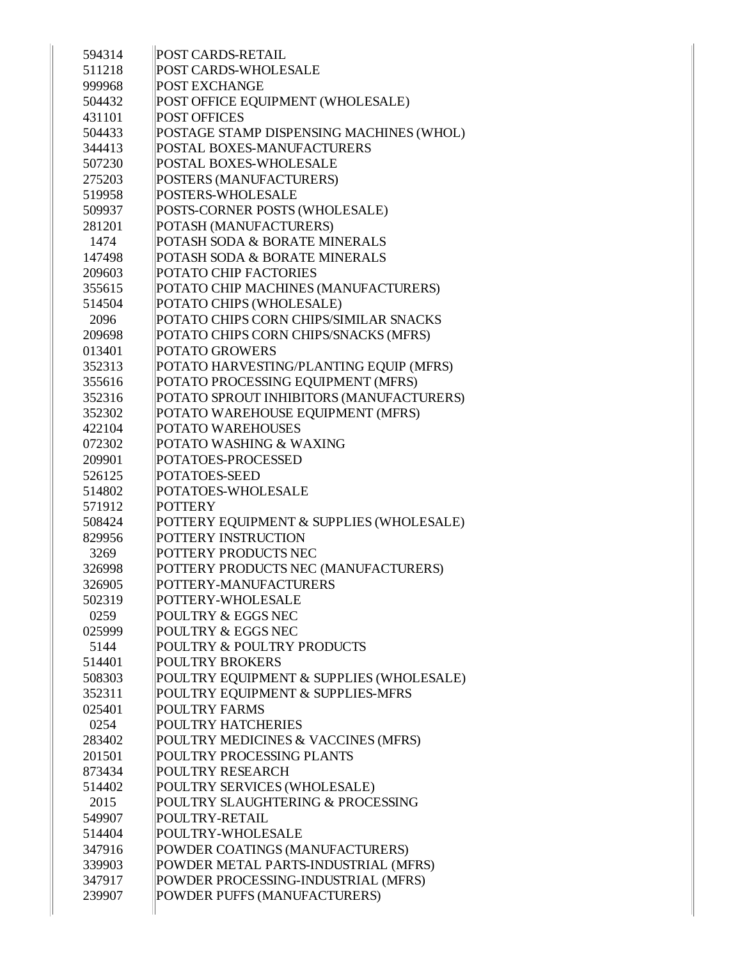| 594314           | POST CARDS-RETAIL                                                   |
|------------------|---------------------------------------------------------------------|
| 511218           | POST CARDS-WHOLESALE                                                |
| 999968           | POST EXCHANGE                                                       |
| 504432           | POST OFFICE EQUIPMENT (WHOLESALE)                                   |
| 431101           | <b>POST OFFICES</b>                                                 |
| 504433           | POSTAGE STAMP DISPENSING MACHINES (WHOL)                            |
| 344413           | POSTAL BOXES-MANUFACTURERS                                          |
| 507230           | POSTAL BOXES-WHOLESALE                                              |
| 275203           | POSTERS (MANUFACTURERS)                                             |
| 519958           | POSTERS-WHOLESALE                                                   |
| 509937           | POSTS-CORNER POSTS (WHOLESALE)                                      |
| 281201           | POTASH (MANUFACTURERS)                                              |
| 1474             | POTASH SODA & BORATE MINERALS                                       |
| 147498           | POTASH SODA & BORATE MINERALS                                       |
| 209603           | POTATO CHIP FACTORIES                                               |
| 355615           | POTATO CHIP MACHINES (MANUFACTURERS)                                |
| 514504           | POTATO CHIPS (WHOLESALE)                                            |
| 2096             | POTATO CHIPS CORN CHIPS/SIMILAR SNACKS                              |
| 209698           | POTATO CHIPS CORN CHIPS/SNACKS (MFRS)                               |
| 013401           | POTATO GROWERS                                                      |
| 352313           | POTATO HARVESTING/PLANTING EQUIP (MFRS)                             |
| 355616           | POTATO PROCESSING EQUIPMENT (MFRS)                                  |
| 352316           | POTATO SPROUT INHIBITORS (MANUFACTURERS)                            |
| 352302           | POTATO WAREHOUSE EQUIPMENT (MFRS)                                   |
| 422104           | POTATO WAREHOUSES                                                   |
| 072302           | POTATO WASHING & WAXING                                             |
| 209901           | POTATOES-PROCESSED                                                  |
| 526125           | POTATOES-SEED                                                       |
| 514802           | POTATOES-WHOLESALE                                                  |
| 571912           | <b>POTTERY</b>                                                      |
| 508424           | POTTERY EQUIPMENT & SUPPLIES (WHOLESALE)                            |
| 829956           | POTTERY INSTRUCTION                                                 |
| 3269             | POTTERY PRODUCTS NEC                                                |
| 326998           | POTTERY PRODUCTS NEC (MANUFACTURERS)                                |
| 326905           | POTTERY-MANUFACTURERS                                               |
| 502319           | POTTERY-WHOLESALE                                                   |
| 0259             | POULTRY & EGGS NEC                                                  |
| 025999           | POULTRY & EGGS NEC                                                  |
| 5144             | POULTRY & POULTRY PRODUCTS                                          |
| 514401           | <b>POULTRY BROKERS</b>                                              |
| 508303           | POULTRY EQUIPMENT & SUPPLIES (WHOLESALE)                            |
| 352311           | POULTRY EQUIPMENT & SUPPLIES-MFRS                                   |
| 025401           |                                                                     |
| 0254             |                                                                     |
|                  | <b>POULTRY FARMS</b>                                                |
|                  | <b>POULTRY HATCHERIES</b>                                           |
| 283402           | POULTRY MEDICINES & VACCINES (MFRS)                                 |
| 201501           | POULTRY PROCESSING PLANTS                                           |
| 873434           | POULTRY RESEARCH                                                    |
| 514402           | POULTRY SERVICES (WHOLESALE)                                        |
| 2015             | POULTRY SLAUGHTERING & PROCESSING                                   |
| 549907           | POULTRY-RETAIL                                                      |
| 514404           | POULTRY-WHOLESALE                                                   |
| 347916           | POWDER COATINGS (MANUFACTURERS)                                     |
| 339903           | POWDER METAL PARTS-INDUSTRIAL (MFRS)                                |
| 347917<br>239907 | POWDER PROCESSING-INDUSTRIAL (MFRS)<br>POWDER PUFFS (MANUFACTURERS) |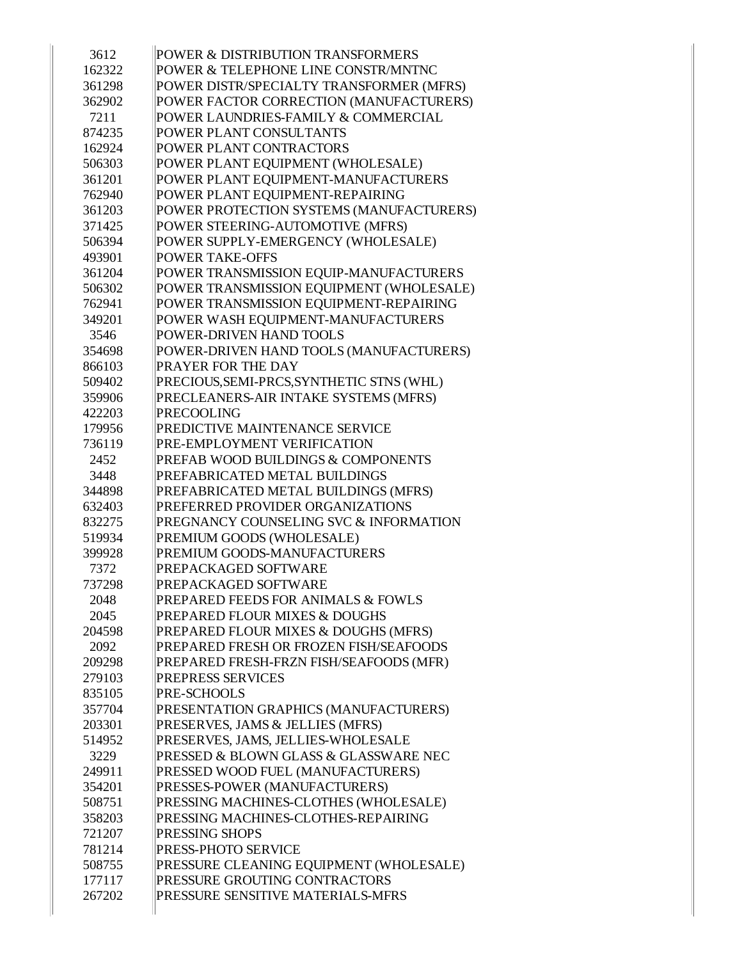| 3612   | POWER & DISTRIBUTION TRANSFORMERS         |
|--------|-------------------------------------------|
| 162322 | POWER & TELEPHONE LINE CONSTR/MNTNC       |
| 361298 | POWER DISTR/SPECIALTY TRANSFORMER (MFRS)  |
| 362902 | POWER FACTOR CORRECTION (MANUFACTURERS)   |
| 7211   | POWER LAUNDRIES-FAMILY & COMMERCIAL       |
| 874235 | POWER PLANT CONSULTANTS                   |
| 162924 | POWER PLANT CONTRACTORS                   |
| 506303 | POWER PLANT EQUIPMENT (WHOLESALE)         |
| 361201 | POWER PLANT EQUIPMENT-MANUFACTURERS       |
| 762940 | POWER PLANT EQUIPMENT-REPAIRING           |
| 361203 | POWER PROTECTION SYSTEMS (MANUFACTURERS)  |
| 371425 | POWER STEERING-AUTOMOTIVE (MFRS)          |
| 506394 | POWER SUPPLY-EMERGENCY (WHOLESALE)        |
| 493901 | <b>POWER TAKE-OFFS</b>                    |
| 361204 | POWER TRANSMISSION EQUIP-MANUFACTURERS    |
| 506302 | POWER TRANSMISSION EQUIPMENT (WHOLESALE)  |
| 762941 | POWER TRANSMISSION EQUIPMENT-REPAIRING    |
| 349201 | POWER WASH EQUIPMENT-MANUFACTURERS        |
| 3546   | POWER-DRIVEN HAND TOOLS                   |
| 354698 | POWER-DRIVEN HAND TOOLS (MANUFACTURERS)   |
| 866103 | PRAYER FOR THE DAY                        |
| 509402 | PRECIOUS, SEMI-PRCS, SYNTHETIC STNS (WHL) |
| 359906 | PRECLEANERS-AIR INTAKE SYSTEMS (MFRS)     |
| 422203 | <b>PRECOOLING</b>                         |
| 179956 | PREDICTIVE MAINTENANCE SERVICE            |
| 736119 | PRE-EMPLOYMENT VERIFICATION               |
| 2452   | PREFAB WOOD BUILDINGS & COMPONENTS        |
| 3448   | PREFABRICATED METAL BUILDINGS             |
| 344898 | PREFABRICATED METAL BUILDINGS (MFRS)      |
| 632403 | PREFERRED PROVIDER ORGANIZATIONS          |
| 832275 | PREGNANCY COUNSELING SVC & INFORMATION    |
| 519934 | PREMIUM GOODS (WHOLESALE)                 |
| 399928 | PREMIUM GOODS-MANUFACTURERS               |
| 7372   | PREPACKAGED SOFTWARE                      |
| 737298 | PREPACKAGED SOFTWARE                      |
| 2048   | PREPARED FEEDS FOR ANIMALS & FOWLS        |
| 2045   | PREPARED FLOUR MIXES & DOUGHS             |
| 204598 | PREPARED FLOUR MIXES & DOUGHS (MFRS)      |
| 2092   | PREPARED FRESH OR FROZEN FISH/SEAFOODS    |
| 209298 | PREPARED FRESH-FRZN FISH/SEAFOODS (MFR)   |
| 279103 | PREPRESS SERVICES                         |
| 835105 | PRE-SCHOOLS                               |
| 357704 | PRESENTATION GRAPHICS (MANUFACTURERS)     |
| 203301 | PRESERVES, JAMS & JELLIES (MFRS)          |
| 514952 | PRESERVES, JAMS, JELLIES-WHOLESALE        |
| 3229   | PRESSED & BLOWN GLASS & GLASSWARE NEC     |
| 249911 | PRESSED WOOD FUEL (MANUFACTURERS)         |
| 354201 | PRESSES-POWER (MANUFACTURERS)             |
| 508751 | PRESSING MACHINES-CLOTHES (WHOLESALE)     |
| 358203 | PRESSING MACHINES-CLOTHES-REPAIRING       |
| 721207 | PRESSING SHOPS                            |
| 781214 | PRESS-PHOTO SERVICE                       |
| 508755 | PRESSURE CLEANING EQUIPMENT (WHOLESALE)   |
| 177117 | PRESSURE GROUTING CONTRACTORS             |
| 267202 | PRESSURE SENSITIVE MATERIALS-MFRS         |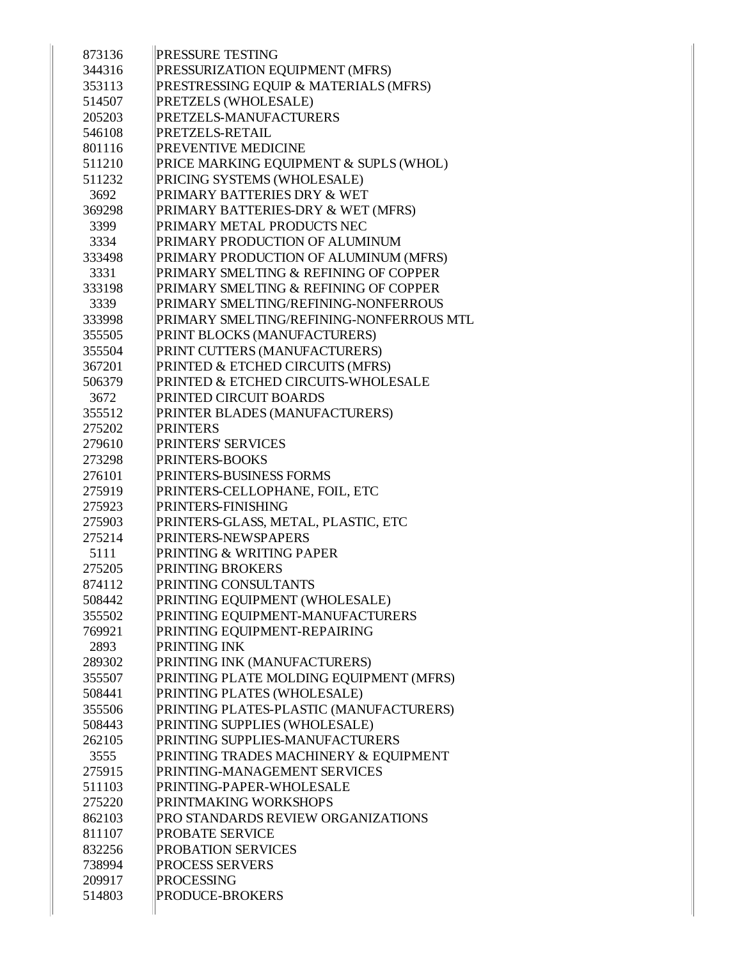| 873136 | <b>PRESSURE TESTING</b>                        |
|--------|------------------------------------------------|
| 344316 | PRESSURIZATION EQUIPMENT (MFRS)                |
| 353113 | PRESTRESSING EQUIP & MATERIALS (MFRS)          |
| 514507 | PRETZELS (WHOLESALE)                           |
| 205203 | PRETZELS-MANUFACTURERS                         |
| 546108 | <b>PRETZELS-RETAIL</b>                         |
| 801116 | <b>PREVENTIVE MEDICINE</b>                     |
| 511210 | PRICE MARKING EQUIPMENT & SUPLS (WHOL)         |
| 511232 | PRICING SYSTEMS (WHOLESALE)                    |
| 3692   | <b>PRIMARY BATTERIES DRY &amp; WET</b>         |
| 369298 | PRIMARY BATTERIES-DRY & WET (MFRS)             |
| 3399   | PRIMARY METAL PRODUCTS NEC                     |
| 3334   | PRIMARY PRODUCTION OF ALUMINUM                 |
| 333498 | PRIMARY PRODUCTION OF ALUMINUM (MFRS)          |
| 3331   | PRIMARY SMELTING & REFINING OF COPPER          |
| 333198 | PRIMARY SMELTING & REFINING OF COPPER          |
| 3339   | PRIMARY SMELTING/REFINING-NONFERROUS           |
| 333998 | PRIMARY SMELTING/REFINING-NONFERROUS MTL       |
| 355505 | PRINT BLOCKS (MANUFACTURERS)                   |
| 355504 | PRINT CUTTERS (MANUFACTURERS)                  |
| 367201 | PRINTED & ETCHED CIRCUITS (MFRS)               |
| 506379 | <b>PRINTED &amp; ETCHED CIRCUITS-WHOLESALE</b> |
| 3672   | <b>PRINTED CIRCUIT BOARDS</b>                  |
| 355512 | PRINTER BLADES (MANUFACTURERS)                 |
| 275202 | PRINTERS                                       |
| 279610 | <b>PRINTERS' SERVICES</b>                      |
| 273298 | <b>PRINTERS-BOOKS</b>                          |
| 276101 | <b>PRINTERS-BUSINESS FORMS</b>                 |
| 275919 | PRINTERS-CELLOPHANE, FOIL, ETC                 |
| 275923 | <b>PRINTERS-FINISHING</b>                      |
| 275903 | PRINTERS-GLASS, METAL, PLASTIC, ETC            |
| 275214 | <b>PRINTERS-NEWSPAPERS</b>                     |
| 5111   | <b>PRINTING &amp; WRITING PAPER</b>            |
| 275205 | <b>PRINTING BROKERS</b>                        |
| 874112 | <b>PRINTING CONSULTANTS</b>                    |
| 508442 | PRINTING EQUIPMENT (WHOLESALE)                 |
| 355502 | PRINTING EQUIPMENT-MANUFACTURERS               |
| 769921 | PRINTING EQUIPMENT-REPAIRING                   |
| 2893   | <b>PRINTING INK</b>                            |
| 289302 | PRINTING INK (MANUFACTURERS)                   |
| 355507 | PRINTING PLATE MOLDING EQUIPMENT (MFRS)        |
| 508441 | PRINTING PLATES (WHOLESALE)                    |
| 355506 | PRINTING PLATES-PLASTIC (MANUFACTURERS)        |
| 508443 | PRINTING SUPPLIES (WHOLESALE)                  |
| 262105 | PRINTING SUPPLIES-MANUFACTURERS                |
| 3555   | PRINTING TRADES MACHINERY & EQUIPMENT          |
| 275915 | PRINTING-MANAGEMENT SERVICES                   |
| 511103 | PRINTING-PAPER-WHOLESALE                       |
| 275220 | PRINTMAKING WORKSHOPS                          |
| 862103 | PRO STANDARDS REVIEW ORGANIZATIONS             |
| 811107 | <b>PROBATE SERVICE</b>                         |
| 832256 | <b>PROBATION SERVICES</b>                      |
| 738994 | <b>PROCESS SERVERS</b>                         |
| 209917 | <b>PROCESSING</b>                              |
| 514803 | <b>PRODUCE-BROKERS</b>                         |
|        |                                                |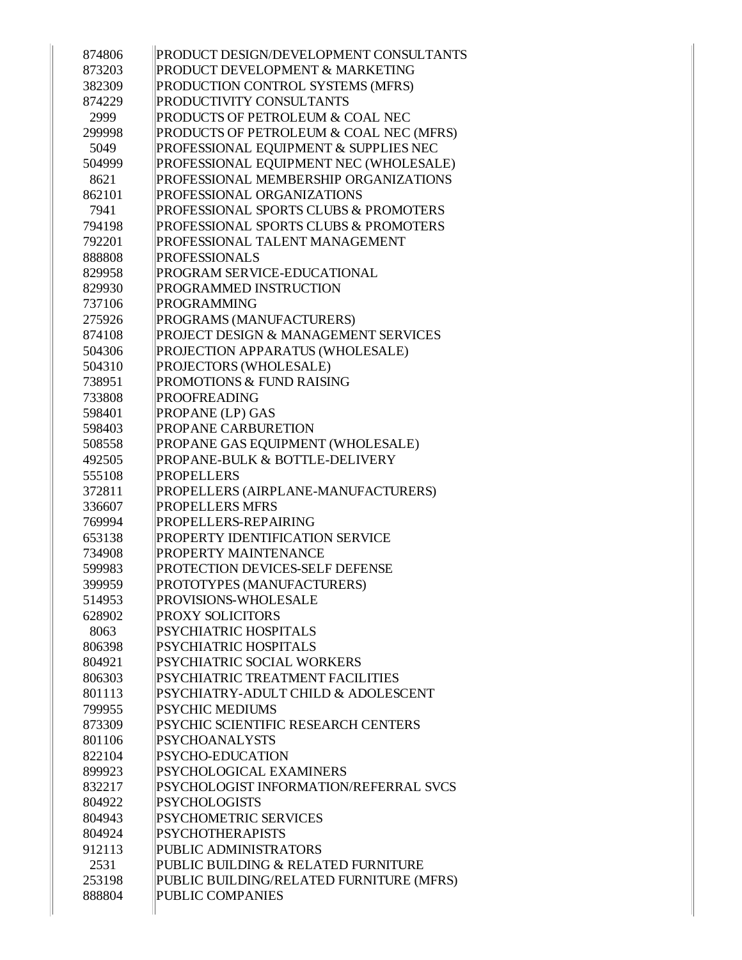| 874806           | PRODUCT DESIGN/DEVELOPMENT CONSULTANTS                         |
|------------------|----------------------------------------------------------------|
| 873203           | PRODUCT DEVELOPMENT & MARKETING                                |
| 382309           | PRODUCTION CONTROL SYSTEMS (MFRS)                              |
| 874229           | PRODUCTIVITY CONSULTANTS                                       |
| 2999             | PRODUCTS OF PETROLEUM & COAL NEC                               |
| 299998           | PRODUCTS OF PETROLEUM & COAL NEC (MFRS)                        |
| 5049             | PROFESSIONAL EQUIPMENT & SUPPLIES NEC                          |
| 504999           | PROFESSIONAL EQUIPMENT NEC (WHOLESALE)                         |
| 8621             | PROFESSIONAL MEMBERSHIP ORGANIZATIONS                          |
| 862101           | PROFESSIONAL ORGANIZATIONS                                     |
| 7941             | PROFESSIONAL SPORTS CLUBS & PROMOTERS                          |
| 794198           | PROFESSIONAL SPORTS CLUBS & PROMOTERS                          |
| 792201           | PROFESSIONAL TALENT MANAGEMENT                                 |
| 888808           | <b>PROFESSIONALS</b>                                           |
| 829958           | PROGRAM SERVICE-EDUCATIONAL                                    |
| 829930           | PROGRAMMED INSTRUCTION                                         |
| 737106           | <b>PROGRAMMING</b>                                             |
| 275926           | PROGRAMS (MANUFACTURERS)                                       |
| 874108           | PROJECT DESIGN & MANAGEMENT SERVICES                           |
| 504306           | PROJECTION APPARATUS (WHOLESALE)                               |
| 504310           | PROJECTORS (WHOLESALE)                                         |
| 738951           | PROMOTIONS & FUND RAISING                                      |
| 733808           | <b>PROOFREADING</b>                                            |
| 598401           | PROPANE (LP) GAS                                               |
| 598403           | PROPANE CARBURETION                                            |
| 508558           | PROPANE GAS EQUIPMENT (WHOLESALE)                              |
| 492505           | PROPANE-BULK & BOTTLE-DELIVERY                                 |
| 555108           | <b>PROPELLERS</b>                                              |
| 372811           |                                                                |
|                  | PROPELLERS (AIRPLANE-MANUFACTURERS)<br><b>PROPELLERS MFRS</b>  |
| 336607<br>769994 | PROPELLERS-REPAIRING                                           |
| 653138           | PROPERTY IDENTIFICATION SERVICE                                |
| 734908           | <b>PROPERTY MAINTENANCE</b>                                    |
| 599983           | PROTECTION DEVICES-SELF DEFENSE                                |
| 399959           | PROTOTYPES (MANUFACTURERS)                                     |
| 514953           | PROVISIONS-WHOLESALE                                           |
| 628902           | <b>PROXY SOLICITORS</b>                                        |
| 8063             | PSYCHIATRIC HOSPITALS                                          |
| 806398           | PSYCHIATRIC HOSPITALS                                          |
| 804921           | PSYCHIATRIC SOCIAL WORKERS                                     |
|                  | PSYCHIATRIC TREATMENT FACILITIES                               |
| 806303<br>801113 | PSYCHIATRY-ADULT CHILD & ADOLESCENT                            |
|                  | <b>PSYCHIC MEDIUMS</b>                                         |
| 799955<br>873309 | PSYCHIC SCIENTIFIC RESEARCH CENTERS                            |
|                  | <b>PSYCHOANALYSTS</b>                                          |
| 801106           | PSYCHO-EDUCATION                                               |
| 822104           |                                                                |
| 899923           | PSYCHOLOGICAL EXAMINERS                                        |
| 832217           | PSYCHOLOGIST INFORMATION/REFERRAL SVCS<br><b>PSYCHOLOGISTS</b> |
| 804922           |                                                                |
| 804943           | <b>PSYCHOMETRIC SERVICES</b>                                   |
| 804924           | <b>PSYCHOTHERAPISTS</b><br>PUBLIC ADMINISTRATORS               |
| 912113<br>2531   |                                                                |
|                  | PUBLIC BUILDING & RELATED FURNITURE                            |
| 253198           | PUBLIC BUILDING/RELATED FURNITURE (MFRS)                       |
| 888804           | PUBLIC COMPANIES                                               |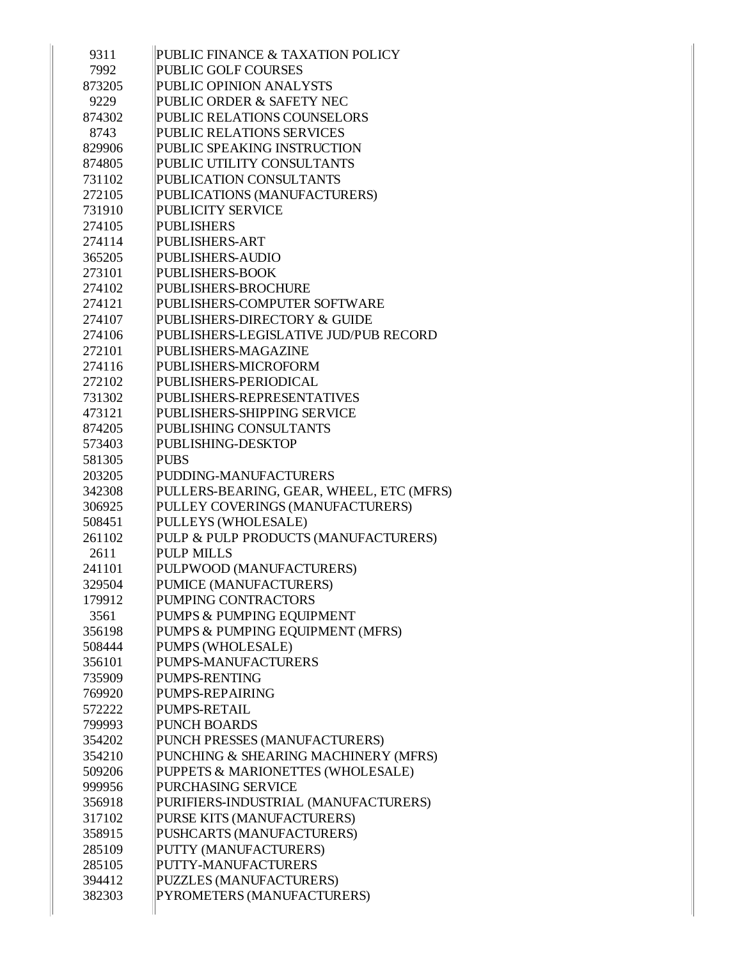| 9311   | PUBLIC FINANCE & TAXATION POLICY         |
|--------|------------------------------------------|
| 7992   | PUBLIC GOLF COURSES                      |
| 873205 | PUBLIC OPINION ANALYSTS                  |
| 9229   | PUBLIC ORDER & SAFETY NEC                |
| 874302 | PUBLIC RELATIONS COUNSELORS              |
| 8743   | PUBLIC RELATIONS SERVICES                |
| 829906 | PUBLIC SPEAKING INSTRUCTION              |
| 874805 | PUBLIC UTILITY CONSULTANTS               |
| 731102 | PUBLICATION CONSULTANTS                  |
| 272105 | PUBLICATIONS (MANUFACTURERS)             |
| 731910 | <b>PUBLICITY SERVICE</b>                 |
| 274105 | <b>PUBLISHERS</b>                        |
| 274114 | PUBLISHERS-ART                           |
| 365205 | <b>PUBLISHERS-AUDIO</b>                  |
| 273101 | <b>PUBLISHERS-BOOK</b>                   |
| 274102 | PUBLISHERS-BROCHURE                      |
| 274121 | PUBLISHERS-COMPUTER SOFTWARE             |
| 274107 | PUBLISHERS-DIRECTORY & GUIDE             |
| 274106 | PUBLISHERS-LEGISLATIVE JUD/PUB RECORD    |
| 272101 | PUBLISHERS-MAGAZINE                      |
| 274116 | PUBLISHERS-MICROFORM                     |
| 272102 | PUBLISHERS-PERIODICAL                    |
| 731302 | PUBLISHERS-REPRESENTATIVES               |
| 473121 | PUBLISHERS-SHIPPING SERVICE              |
| 874205 | PUBLISHING CONSULTANTS                   |
| 573403 | PUBLISHING-DESKTOP                       |
| 581305 | <b>PUBS</b>                              |
| 203205 | PUDDING-MANUFACTURERS                    |
| 342308 | PULLERS-BEARING, GEAR, WHEEL, ETC (MFRS) |
| 306925 | PULLEY COVERINGS (MANUFACTURERS)         |
| 508451 | PULLEYS (WHOLESALE)                      |
| 261102 | PULP & PULP PRODUCTS (MANUFACTURERS)     |
| 2611   | <b>PULP MILLS</b>                        |
| 241101 | PULPWOOD (MANUFACTURERS)                 |
| 329504 | PUMICE (MANUFACTURERS)                   |
| 179912 | PUMPING CONTRACTORS                      |
| 3561   | PUMPS & PUMPING EQUIPMENT                |
| 356198 | PUMPS & PUMPING EQUIPMENT (MFRS)         |
| 508444 | PUMPS (WHOLESALE)                        |
| 356101 | PUMPS-MANUFACTURERS                      |
| 735909 | PUMPS-RENTING                            |
| 769920 | PUMPS-REPAIRING                          |
| 572222 | PUMPS-RETAIL                             |
| 799993 | <b>PUNCH BOARDS</b>                      |
| 354202 | PUNCH PRESSES (MANUFACTURERS)            |
| 354210 | PUNCHING & SHEARING MACHINERY (MFRS)     |
| 509206 | PUPPETS & MARIONETTES (WHOLESALE)        |
| 999956 | PURCHASING SERVICE                       |
| 356918 | PURIFIERS-INDUSTRIAL (MANUFACTURERS)     |
| 317102 | PURSE KITS (MANUFACTURERS)               |
| 358915 | PUSHCARTS (MANUFACTURERS)                |
| 285109 | PUTTY (MANUFACTURERS)                    |
| 285105 | PUTTY-MANUFACTURERS                      |
| 394412 | PUZZLES (MANUFACTURERS)                  |
| 382303 | PYROMETERS (MANUFACTURERS)               |
|        |                                          |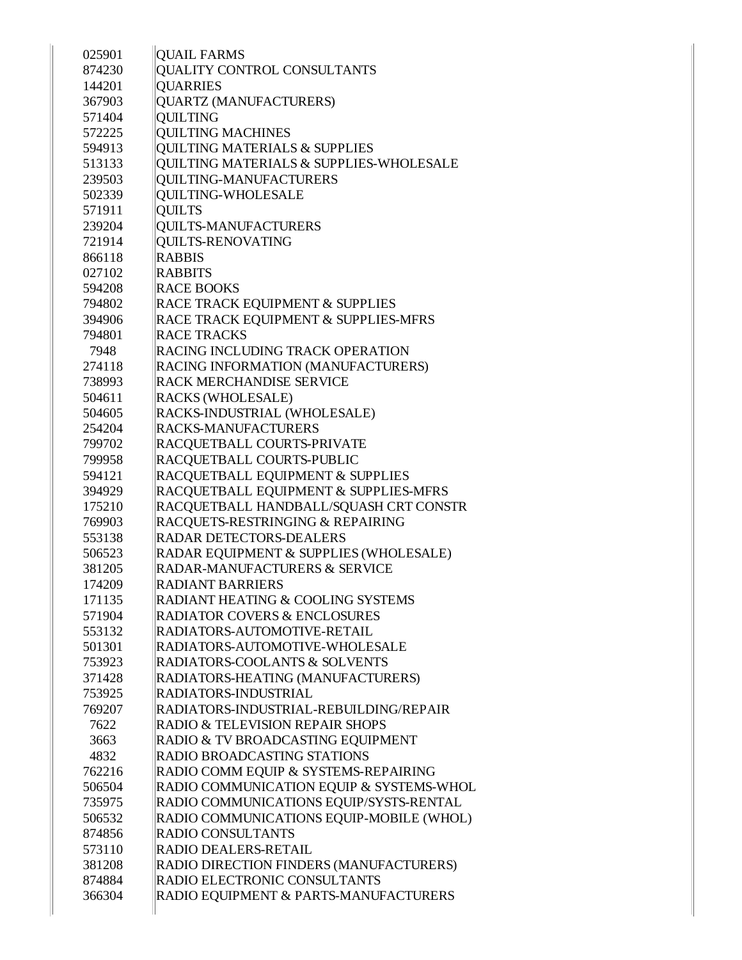| 025901 | <b>QUAIL FARMS</b>                         |
|--------|--------------------------------------------|
| 874230 | QUALITY CONTROL CONSULTANTS                |
| 144201 | <b>OUARRIES</b>                            |
| 367903 | QUARTZ (MANUFACTURERS)                     |
| 571404 | <b>OUILTING</b>                            |
| 572225 | <b>QUILTING MACHINES</b>                   |
| 594913 | <b>QUILTING MATERIALS &amp; SUPPLIES</b>   |
| 513133 | QUILTING MATERIALS & SUPPLIES-WHOLESALE    |
| 239503 | <b>QUILTING-MANUFACTURERS</b>              |
| 502339 | <b>QUILTING-WHOLESALE</b>                  |
| 571911 | <b>QUILTS</b>                              |
| 239204 | <b>QUILTS-MANUFACTURERS</b>                |
| 721914 | QUILTS-RENOVATING                          |
| 866118 | <b>RABBIS</b>                              |
| 027102 | <b>RABBITS</b>                             |
| 594208 | <b>RACE BOOKS</b>                          |
| 794802 | RACE TRACK EQUIPMENT & SUPPLIES            |
| 394906 | RACE TRACK EQUIPMENT & SUPPLIES-MFRS       |
| 794801 | <b>RACE TRACKS</b>                         |
| 7948   | <b>RACING INCLUDING TRACK OPERATION</b>    |
| 274118 | RACING INFORMATION (MANUFACTURERS)         |
| 738993 | <b>RACK MERCHANDISE SERVICE</b>            |
| 504611 | <b>RACKS (WHOLESALE)</b>                   |
| 504605 | RACKS-INDUSTRIAL (WHOLESALE)               |
| 254204 | <b>RACKS-MANUFACTURERS</b>                 |
| 799702 | RACQUETBALL COURTS-PRIVATE                 |
| 799958 | <b>RACQUETBALL COURTS-PUBLIC</b>           |
| 594121 | RACQUETBALL EQUIPMENT & SUPPLIES           |
| 394929 | RACQUETBALL EQUIPMENT & SUPPLIES-MFRS      |
| 175210 | RACQUETBALL HANDBALL/SQUASH CRT CONSTR     |
| 769903 | RACQUETS-RESTRINGING & REPAIRING           |
| 553138 | <b>RADAR DETECTORS-DEALERS</b>             |
| 506523 | RADAR EQUIPMENT & SUPPLIES (WHOLESALE)     |
| 381205 | <b>RADAR-MANUFACTURERS &amp; SERVICE</b>   |
|        |                                            |
| 174209 | <b>RADIANT BARRIERS</b>                    |
| 171135 | RADIANT HEATING & COOLING SYSTEMS          |
| 571904 | <b>RADIATOR COVERS &amp; ENCLOSURES</b>    |
| 553132 | RADIATORS-AUTOMOTIVE-RETAIL                |
| 501301 | RADIATORS-AUTOMOTIVE-WHOLESALE             |
| 753923 | <b>RADIATORS-COOLANTS &amp; SOLVENTS</b>   |
| 371428 | RADIATORS-HEATING (MANUFACTURERS)          |
| 753925 | <b>RADIATORS-INDUSTRIAL</b>                |
| 769207 | RADIATORS-INDUSTRIAL-REBUILDING/REPAIR     |
| 7622   | <b>RADIO &amp; TELEVISION REPAIR SHOPS</b> |
| 3663   | RADIO & TV BROADCASTING EQUIPMENT          |
| 4832   | <b>RADIO BROADCASTING STATIONS</b>         |
| 762216 | RADIO COMM EQUIP & SYSTEMS-REPAIRING       |
| 506504 | RADIO COMMUNICATION EQUIP & SYSTEMS-WHOL   |
| 735975 | RADIO COMMUNICATIONS EQUIP/SYSTS-RENTAL    |
| 506532 | RADIO COMMUNICATIONS EQUIP-MOBILE (WHOL)   |
| 874856 | <b>RADIO CONSULTANTS</b>                   |
| 573110 | <b>RADIO DEALERS-RETAIL</b>                |
| 381208 | RADIO DIRECTION FINDERS (MANUFACTURERS)    |
| 874884 | RADIO ELECTRONIC CONSULTANTS               |
| 366304 | RADIO EQUIPMENT & PARTS-MANUFACTURERS      |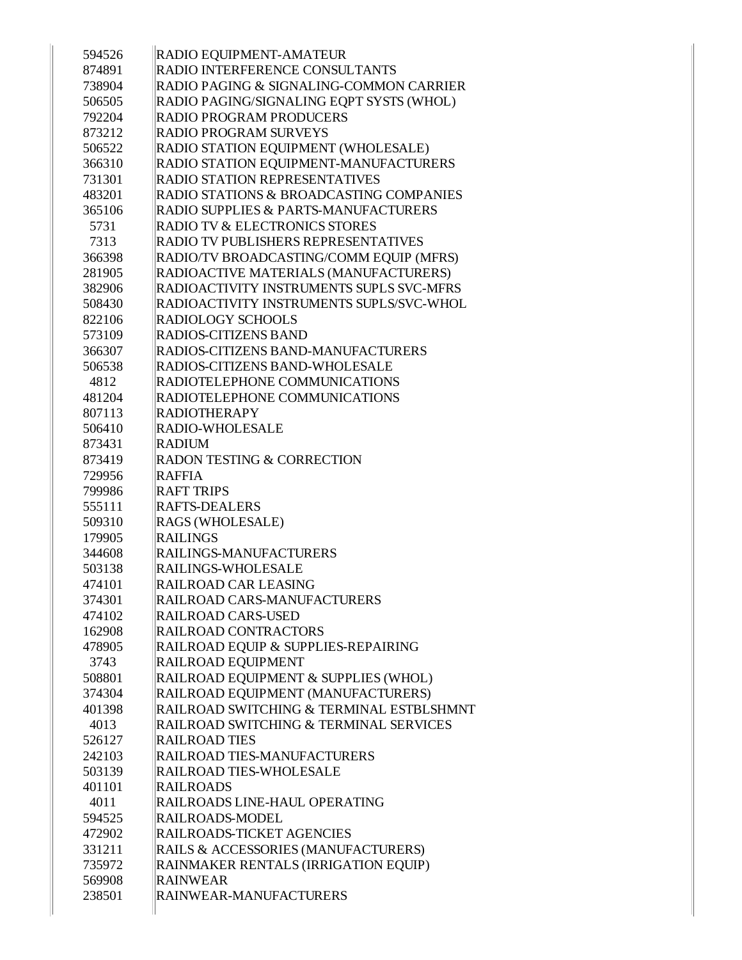| 594526 | RADIO EQUIPMENT-AMATEUR                  |
|--------|------------------------------------------|
| 874891 | RADIO INTERFERENCE CONSULTANTS           |
| 738904 | RADIO PAGING & SIGNALING-COMMON CARRIER  |
| 506505 | RADIO PAGING/SIGNALING EQPT SYSTS (WHOL) |
| 792204 | <b>RADIO PROGRAM PRODUCERS</b>           |
| 873212 | RADIO PROGRAM SURVEYS                    |
| 506522 | RADIO STATION EQUIPMENT (WHOLESALE)      |
| 366310 | RADIO STATION EQUIPMENT-MANUFACTURERS    |
| 731301 | RADIO STATION REPRESENTATIVES            |
| 483201 | RADIO STATIONS & BROADCASTING COMPANIES  |
| 365106 | RADIO SUPPLIES & PARTS-MANUFACTURERS     |
| 5731   | <b>RADIO TV &amp; ELECTRONICS STORES</b> |
| 7313   | RADIO TV PUBLISHERS REPRESENTATIVES      |
| 366398 | RADIO/TV BROADCASTING/COMM EQUIP (MFRS)  |
| 281905 | RADIOACTIVE MATERIALS (MANUFACTURERS)    |
| 382906 | RADIOACTIVITY INSTRUMENTS SUPLS SVC-MFRS |
| 508430 | RADIOACTIVITY INSTRUMENTS SUPLS/SVC-WHOL |
| 822106 | <b>RADIOLOGY SCHOOLS</b>                 |
| 573109 | <b>RADIOS-CITIZENS BAND</b>              |
| 366307 | RADIOS-CITIZENS BAND-MANUFACTURERS       |
| 506538 | RADIOS-CITIZENS BAND-WHOLESALE           |
| 4812   | RADIOTELEPHONE COMMUNICATIONS            |
| 481204 | RADIOTELEPHONE COMMUNICATIONS            |
| 807113 | <b>RADIOTHERAPY</b>                      |
| 506410 | <b>RADIO-WHOLESALE</b>                   |
| 873431 | <b>RADIUM</b>                            |
| 873419 | RADON TESTING & CORRECTION               |
| 729956 | <b>RAFFIA</b>                            |
| 799986 | <b>RAFT TRIPS</b>                        |
| 555111 | <b>RAFTS-DEALERS</b>                     |
| 509310 | RAGS (WHOLESALE)                         |
| 179905 | <b>RAILINGS</b>                          |
| 344608 | RAILINGS-MANUFACTURERS                   |
| 503138 | RAILINGS-WHOLESALE                       |
| 474101 | RAILROAD CAR LEASING                     |
| 374301 | RAILROAD CARS-MANUFACTURERS              |
| 474102 | <b>RAILROAD CARS-USED</b>                |
| 162908 | <b>RAILROAD CONTRACTORS</b>              |
| 478905 | RAILROAD EQUIP & SUPPLIES-REPAIRING      |
| 3743   | RAILROAD EQUIPMENT                       |
| 508801 | RAILROAD EQUIPMENT & SUPPLIES (WHOL)     |
| 374304 | RAILROAD EQUIPMENT (MANUFACTURERS)       |
| 401398 | RAILROAD SWITCHING & TERMINAL ESTBLSHMNT |
| 4013   | RAILROAD SWITCHING & TERMINAL SERVICES   |
| 526127 | <b>RAILROAD TIES</b>                     |
| 242103 | RAILROAD TIES-MANUFACTURERS              |
| 503139 | RAILROAD TIES-WHOLESALE                  |
| 401101 | <b>RAILROADS</b>                         |
| 4011   | RAILROADS LINE-HAUL OPERATING            |
| 594525 | RAILROADS-MODEL                          |
| 472902 | <b>RAILROADS-TICKET AGENCIES</b>         |
| 331211 | RAILS & ACCESSORIES (MANUFACTURERS)      |
| 735972 | RAINMAKER RENTALS (IRRIGATION EQUIP)     |
| 569908 | <b>RAINWEAR</b>                          |
| 238501 | RAINWEAR-MANUFACTURERS                   |
|        |                                          |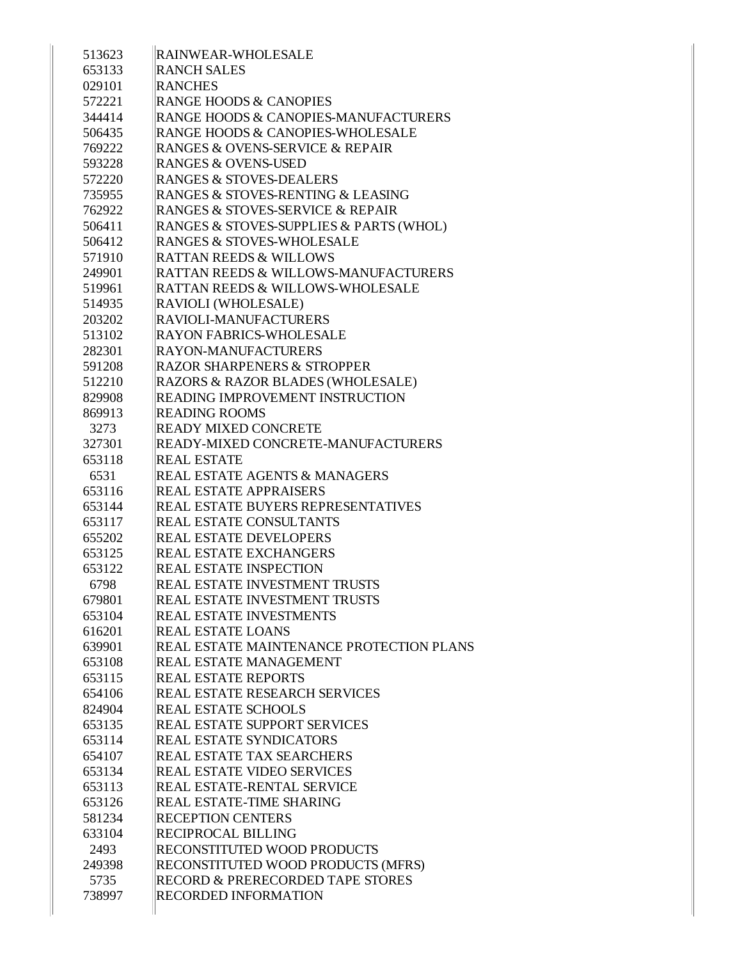| 513623 | <b>RAINWEAR-WHOLESALE</b>                   |
|--------|---------------------------------------------|
| 653133 | <b>RANCH SALES</b>                          |
| 029101 | <b>RANCHES</b>                              |
| 572221 | <b>RANGE HOODS &amp; CANOPIES</b>           |
| 344414 | RANGE HOODS & CANOPIES-MANUFACTURERS        |
| 506435 | <b>RANGE HOODS &amp; CANOPIES-WHOLESALE</b> |
| 769222 | RANGES & OVENS-SERVICE & REPAIR             |
| 593228 | <b>RANGES &amp; OVENS-USED</b>              |
| 572220 | <b>RANGES &amp; STOVES-DEALERS</b>          |
| 735955 | RANGES & STOVES-RENTING & LEASING           |
| 762922 | RANGES & STOVES-SERVICE & REPAIR            |
| 506411 | RANGES & STOVES-SUPPLIES & PARTS (WHOL)     |
| 506412 | <b>RANGES &amp; STOVES-WHOLESALE</b>        |
| 571910 | <b>RATTAN REEDS &amp; WILLOWS</b>           |
| 249901 | RATTAN REEDS & WILLOWS-MANUFACTURERS        |
| 519961 | RATTAN REEDS & WILLOWS-WHOLESALE            |
| 514935 | RAVIOLI (WHOLESALE)                         |
| 203202 | RAVIOLI-MANUFACTURERS                       |
| 513102 | <b>RAYON FABRICS-WHOLESALE</b>              |
| 282301 | <b>RAYON-MANUFACTURERS</b>                  |
| 591208 | <b>RAZOR SHARPENERS &amp; STROPPER</b>      |
| 512210 | RAZORS & RAZOR BLADES (WHOLESALE)           |
| 829908 | READING IMPROVEMENT INSTRUCTION             |
| 869913 | <b>READING ROOMS</b>                        |
| 3273   | <b>READY MIXED CONCRETE</b>                 |
| 327301 | READY-MIXED CONCRETE-MANUFACTURERS          |
| 653118 | <b>REAL ESTATE</b>                          |
| 6531   | <b>REAL ESTATE AGENTS &amp; MANAGERS</b>    |
| 653116 | <b>REAL ESTATE APPRAISERS</b>               |
| 653144 | REAL ESTATE BUYERS REPRESENTATIVES          |
| 653117 | <b>REAL ESTATE CONSULTANTS</b>              |
| 655202 | <b>REAL ESTATE DEVELOPERS</b>               |
| 653125 | <b>REAL ESTATE EXCHANGERS</b>               |
| 653122 | <b>REAL ESTATE INSPECTION</b>               |
| 6798   | <b>REAL ESTATE INVESTMENT TRUSTS</b>        |
| 679801 | <b>REAL ESTATE INVESTMENT TRUSTS</b>        |
| 653104 | <b>REAL ESTATE INVESTMENTS</b>              |
| 616201 | <b>REAL ESTATE LOANS</b>                    |
| 639901 | REAL ESTATE MAINTENANCE PROTECTION PLANS    |
| 653108 | <b>REAL ESTATE MANAGEMENT</b>               |
| 653115 | <b>REAL ESTATE REPORTS</b>                  |
| 654106 | <b>REAL ESTATE RESEARCH SERVICES</b>        |
| 824904 | <b>REAL ESTATE SCHOOLS</b>                  |
| 653135 | <b>REAL ESTATE SUPPORT SERVICES</b>         |
| 653114 | <b>REAL ESTATE SYNDICATORS</b>              |
| 654107 | <b>REAL ESTATE TAX SEARCHERS</b>            |
| 653134 | <b>REAL ESTATE VIDEO SERVICES</b>           |
| 653113 | <b>REAL ESTATE-RENTAL SERVICE</b>           |
| 653126 | <b>REAL ESTATE-TIME SHARING</b>             |
| 581234 | <b>RECEPTION CENTERS</b>                    |
| 633104 | <b>RECIPROCAL BILLING</b>                   |
| 2493   | RECONSTITUTED WOOD PRODUCTS                 |
| 249398 | RECONSTITUTED WOOD PRODUCTS (MFRS)          |
| 5735   | RECORD & PRERECORDED TAPE STORES            |
| 738997 | <b>RECORDED INFORMATION</b>                 |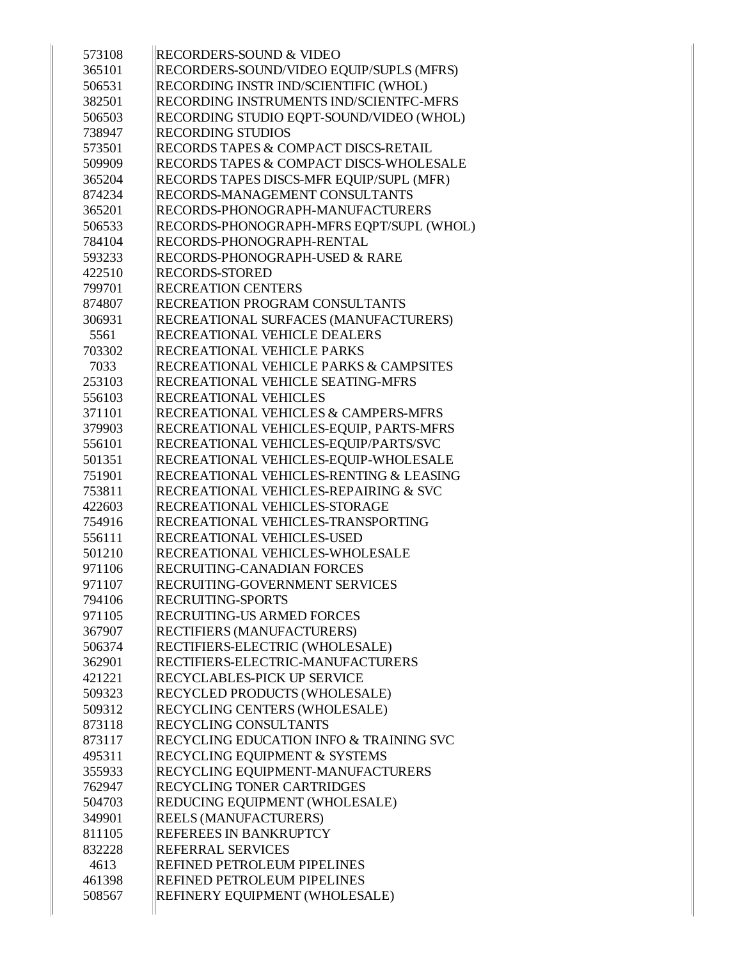| 573108 | <b>RECORDERS-SOUND &amp; VIDEO</b>                 |
|--------|----------------------------------------------------|
| 365101 | RECORDERS-SOUND/VIDEO EQUIP/SUPLS (MFRS)           |
| 506531 | RECORDING INSTR IND/SCIENTIFIC (WHOL)              |
| 382501 | RECORDING INSTRUMENTS IND/SCIENTFC-MFRS            |
| 506503 | RECORDING STUDIO EQPT-SOUND/VIDEO (WHOL)           |
| 738947 | <b>RECORDING STUDIOS</b>                           |
| 573501 | RECORDS TAPES & COMPACT DISCS-RETAIL               |
| 509909 | RECORDS TAPES & COMPACT DISCS-WHOLESALE            |
| 365204 | RECORDS TAPES DISCS-MFR EQUIP/SUPL (MFR)           |
| 874234 | RECORDS-MANAGEMENT CONSULTANTS                     |
| 365201 | RECORDS-PHONOGRAPH-MANUFACTURERS                   |
| 506533 | RECORDS-PHONOGRAPH-MFRS EQPT/SUPL (WHOL)           |
| 784104 | RECORDS-PHONOGRAPH-RENTAL                          |
| 593233 | <b>RECORDS-PHONOGRAPH-USED &amp; RARE</b>          |
| 422510 | <b>RECORDS-STORED</b>                              |
| 799701 | <b>RECREATION CENTERS</b>                          |
| 874807 | <b>RECREATION PROGRAM CONSULTANTS</b>              |
| 306931 | RECREATIONAL SURFACES (MANUFACTURERS)              |
| 5561   | <b>RECREATIONAL VEHICLE DEALERS</b>                |
| 703302 | <b>RECREATIONAL VEHICLE PARKS</b>                  |
| 7033   | <b>RECREATIONAL VEHICLE PARKS &amp; CAMPSITES</b>  |
| 253103 | RECREATIONAL VEHICLE SEATING-MFRS                  |
| 556103 | <b>RECREATIONAL VEHICLES</b>                       |
| 371101 | RECREATIONAL VEHICLES & CAMPERS-MFRS               |
| 379903 | RECREATIONAL VEHICLES-EQUIP, PARTS-MFRS            |
| 556101 | RECREATIONAL VEHICLES-EQUIP/PARTS/SVC              |
| 501351 | RECREATIONAL VEHICLES-EQUIP-WHOLESALE              |
| 751901 | RECREATIONAL VEHICLES-RENTING & LEASING            |
| 753811 | RECREATIONAL VEHICLES-REPAIRING & SVC              |
| 422603 | RECREATIONAL VEHICLES-STORAGE                      |
| 754916 | RECREATIONAL VEHICLES-TRANSPORTING                 |
| 556111 | <b>RECREATIONAL VEHICLES-USED</b>                  |
| 501210 | RECREATIONAL VEHICLES-WHOLESALE                    |
| 971106 | <b>RECRUITING-CANADIAN FORCES</b>                  |
| 971107 | RECRUITING-GOVERNMENT SERVICES                     |
| 794106 | <b>RECRUITING-SPORTS</b>                           |
| 971105 | <b>RECRUITING-US ARMED FORCES</b>                  |
| 367907 | <b>RECTIFIERS (MANUFACTURERS)</b>                  |
| 506374 | RECTIFIERS-ELECTRIC (WHOLESALE)                    |
| 362901 | RECTIFIERS-ELECTRIC-MANUFACTURERS                  |
| 421221 | <b>RECYCLABLES-PICK UP SERVICE</b>                 |
| 509323 | RECYCLED PRODUCTS (WHOLESALE)                      |
| 509312 | <b>RECYCLING CENTERS (WHOLESALE)</b>               |
| 873118 | <b>RECYCLING CONSULTANTS</b>                       |
| 873117 | <b>RECYCLING EDUCATION INFO &amp; TRAINING SVC</b> |
| 495311 | <b>RECYCLING EQUIPMENT &amp; SYSTEMS</b>           |
| 355933 | RECYCLING EQUIPMENT-MANUFACTURERS                  |
| 762947 | <b>RECYCLING TONER CARTRIDGES</b>                  |
| 504703 | REDUCING EQUIPMENT (WHOLESALE)                     |
| 349901 | <b>REELS (MANUFACTURERS)</b>                       |
| 811105 | <b>REFEREES IN BANKRUPTCY</b>                      |
| 832228 | <b>REFERRAL SERVICES</b>                           |
| 4613   | <b>REFINED PETROLEUM PIPELINES</b>                 |
| 461398 | <b>REFINED PETROLEUM PIPELINES</b>                 |
| 508567 | REFINERY EQUIPMENT (WHOLESALE)                     |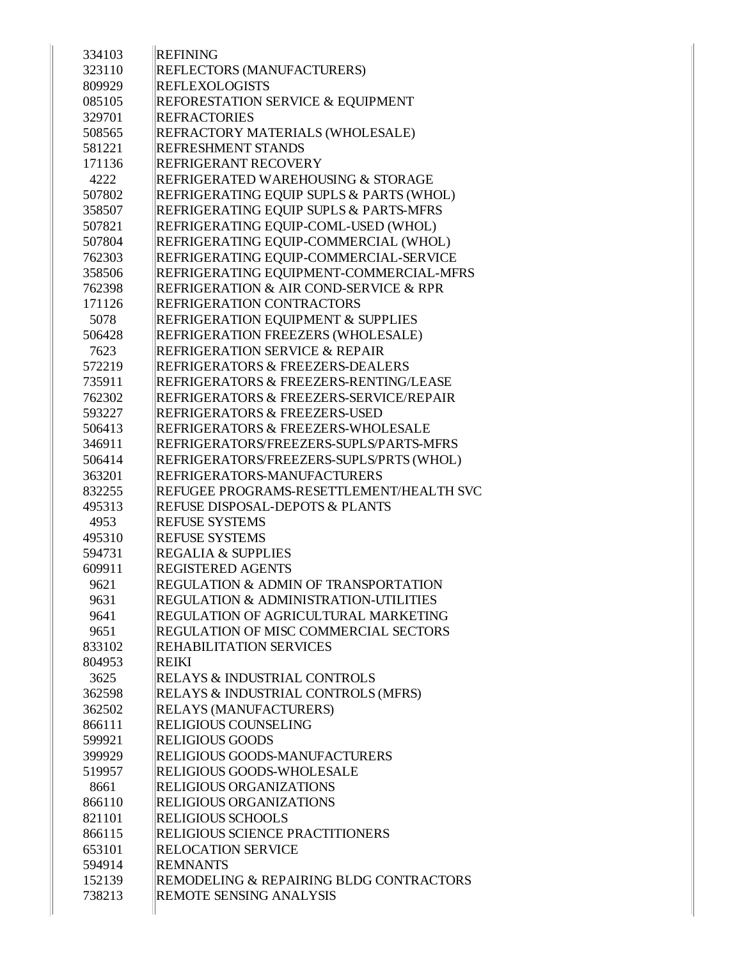| 334103 | <b>REFINING</b>                                  |
|--------|--------------------------------------------------|
| 323110 | REFLECTORS (MANUFACTURERS)                       |
| 809929 | <b>REFLEXOLOGISTS</b>                            |
| 085105 | REFORESTATION SERVICE & EQUIPMENT                |
| 329701 | <b>REFRACTORIES</b>                              |
| 508565 | REFRACTORY MATERIALS (WHOLESALE)                 |
| 581221 | <b>REFRESHMENT STANDS</b>                        |
| 171136 | REFRIGERANT RECOVERY                             |
| 4222   | REFRIGERATED WAREHOUSING & STORAGE               |
| 507802 | REFRIGERATING EQUIP SUPLS & PARTS (WHOL)         |
| 358507 | REFRIGERATING EQUIP SUPLS & PARTS-MFRS           |
| 507821 | REFRIGERATING EQUIP-COML-USED (WHOL)             |
| 507804 | REFRIGERATING EQUIP-COMMERCIAL (WHOL)            |
| 762303 | REFRIGERATING EQUIP-COMMERCIAL-SERVICE           |
| 358506 | REFRIGERATING EQUIPMENT-COMMERCIAL-MFRS          |
| 762398 | REFRIGERATION & AIR COND-SERVICE & RPR           |
| 171126 | REFRIGERATION CONTRACTORS                        |
| 5078   | REFRIGERATION EQUIPMENT & SUPPLIES               |
| 506428 | REFRIGERATION FREEZERS (WHOLESALE)               |
| 7623   | <b>REFRIGERATION SERVICE &amp; REPAIR</b>        |
| 572219 | REFRIGERATORS & FREEZERS-DEALERS                 |
| 735911 | REFRIGERATORS & FREEZERS-RENTING/LEASE           |
| 762302 | REFRIGERATORS & FREEZERS-SERVICE/REPAIR          |
| 593227 | REFRIGERATORS & FREEZERS-USED                    |
| 506413 | REFRIGERATORS & FREEZERS-WHOLESALE               |
| 346911 | REFRIGERATORS/FREEZERS-SUPLS/PARTS-MFRS          |
| 506414 | REFRIGERATORS/FREEZERS-SUPLS/PRTS (WHOL)         |
| 363201 | REFRIGERATORS-MANUFACTURERS                      |
| 832255 | REFUGEE PROGRAMS-RESETTLEMENT/HEALTH SVC         |
| 495313 | <b>REFUSE DISPOSAL-DEPOTS &amp; PLANTS</b>       |
| 4953   | <b>REFUSE SYSTEMS</b>                            |
| 495310 | <b>REFUSE SYSTEMS</b>                            |
| 594731 | <b>REGALIA &amp; SUPPLIES</b>                    |
| 609911 | <b>REGISTERED AGENTS</b>                         |
| 9621   | REGULATION & ADMIN OF TRANSPORTATION             |
| 9631   | <b>REGULATION &amp; ADMINISTRATION-UTILITIES</b> |
| 9641   | REGULATION OF AGRICULTURAL MARKETING             |
| 9651   | REGULATION OF MISC COMMERCIAL SECTORS            |
| 833102 | REHABILITATION SERVICES                          |
| 804953 | <b>REIKI</b>                                     |
| 3625   | <b>RELAYS &amp; INDUSTRIAL CONTROLS</b>          |
| 362598 | RELAYS & INDUSTRIAL CONTROLS (MFRS)              |
| 362502 | <b>RELAYS (MANUFACTURERS)</b>                    |
| 866111 | RELIGIOUS COUNSELING                             |
| 599921 | <b>RELIGIOUS GOODS</b>                           |
| 399929 | RELIGIOUS GOODS-MANUFACTURERS                    |
| 519957 | RELIGIOUS GOODS-WHOLESALE                        |
| 8661   | <b>RELIGIOUS ORGANIZATIONS</b>                   |
| 866110 | <b>RELIGIOUS ORGANIZATIONS</b>                   |
| 821101 | <b>RELIGIOUS SCHOOLS</b>                         |
| 866115 | RELIGIOUS SCIENCE PRACTITIONERS                  |
| 653101 | <b>RELOCATION SERVICE</b>                        |
| 594914 | <b>REMNANTS</b>                                  |
| 152139 | REMODELING & REPAIRING BLDG CONTRACTORS          |
| 738213 | REMOTE SENSING ANALYSIS                          |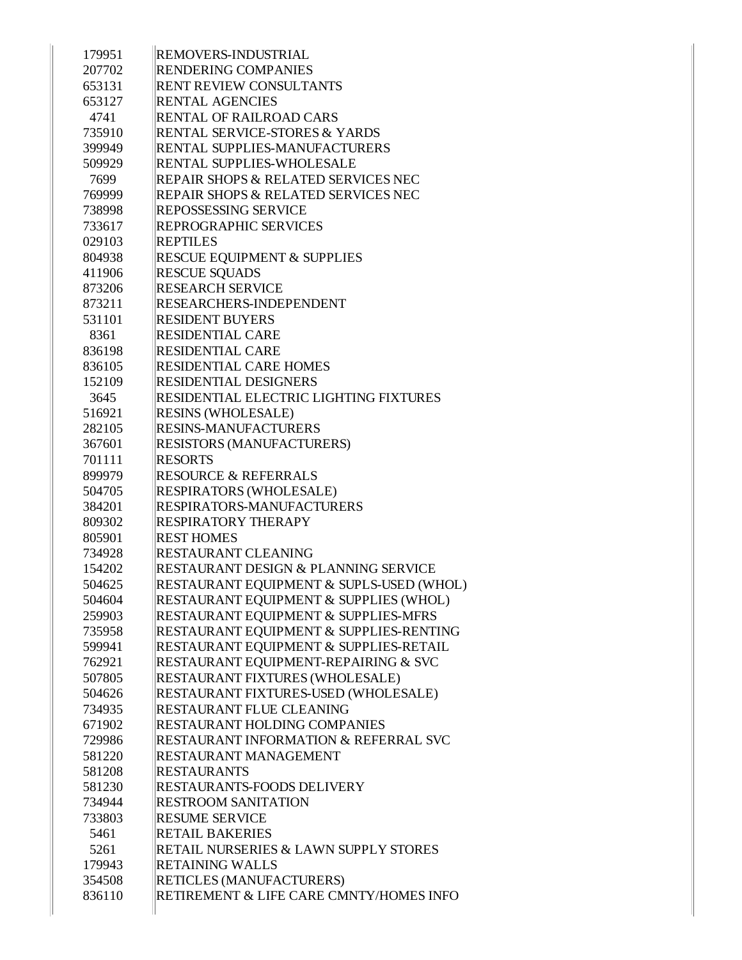| 179951 | <b>REMOVERS-INDUSTRIAL</b>                       |
|--------|--------------------------------------------------|
| 207702 | <b>RENDERING COMPANIES</b>                       |
| 653131 | <b>RENT REVIEW CONSULTANTS</b>                   |
| 653127 | <b>RENTAL AGENCIES</b>                           |
| 4741   | <b>RENTAL OF RAILROAD CARS</b>                   |
| 735910 | <b>RENTAL SERVICE-STORES &amp; YARDS</b>         |
| 399949 | RENTAL SUPPLIES-MANUFACTURERS                    |
| 509929 | <b>RENTAL SUPPLIES-WHOLESALE</b>                 |
| 7699   | <b>REPAIR SHOPS &amp; RELATED SERVICES NEC</b>   |
| 769999 | REPAIR SHOPS & RELATED SERVICES NEC              |
| 738998 | <b>REPOSSESSING SERVICE</b>                      |
| 733617 | <b>REPROGRAPHIC SERVICES</b>                     |
| 029103 | <b>REPTILES</b>                                  |
| 804938 | <b>RESCUE EQUIPMENT &amp; SUPPLIES</b>           |
| 411906 | <b>RESCUE SQUADS</b>                             |
| 873206 | <b>RESEARCH SERVICE</b>                          |
| 873211 | <b>RESEARCHERS-INDEPENDENT</b>                   |
| 531101 | <b>RESIDENT BUYERS</b>                           |
| 8361   | <b>RESIDENTIAL CARE</b>                          |
| 836198 | <b>RESIDENTIAL CARE</b>                          |
| 836105 | <b>RESIDENTIAL CARE HOMES</b>                    |
| 152109 | <b>RESIDENTIAL DESIGNERS</b>                     |
| 3645   | RESIDENTIAL ELECTRIC LIGHTING FIXTURES           |
| 516921 | <b>RESINS (WHOLESALE)</b>                        |
| 282105 | <b>RESINS-MANUFACTURERS</b>                      |
| 367601 | <b>RESISTORS (MANUFACTURERS)</b>                 |
| 701111 | <b>RESORTS</b>                                   |
| 899979 | <b>RESOURCE &amp; REFERRALS</b>                  |
| 504705 | <b>RESPIRATORS (WHOLESALE)</b>                   |
| 384201 | <b>RESPIRATORS-MANUFACTURERS</b>                 |
| 809302 | <b>RESPIRATORY THERAPY</b>                       |
| 805901 | <b>REST HOMES</b>                                |
| 734928 | <b>RESTAURANT CLEANING</b>                       |
| 154202 | RESTAURANT DESIGN & PLANNING SERVICE             |
| 504625 | RESTAURANT EQUIPMENT & SUPLS-USED (WHOL)         |
| 504604 | RESTAURANT EQUIPMENT & SUPPLIES (WHOL)           |
| 259903 | RESTAURANT EQUIPMENT & SUPPLIES-MFRS             |
| 735958 | RESTAURANT EQUIPMENT & SUPPLIES-RENTING          |
| 599941 | RESTAURANT EQUIPMENT & SUPPLIES-RETAIL           |
| 762921 | RESTAURANT EQUIPMENT-REPAIRING & SVC             |
| 507805 | <b>RESTAURANT FIXTURES (WHOLESALE)</b>           |
| 504626 | RESTAURANT FIXTURES-USED (WHOLESALE)             |
| 734935 | <b>RESTAURANT FLUE CLEANING</b>                  |
| 671902 | <b>RESTAURANT HOLDING COMPANIES</b>              |
| 729986 | <b>RESTAURANT INFORMATION &amp; REFERRAL SVC</b> |
| 581220 | <b>RESTAURANT MANAGEMENT</b>                     |
| 581208 | <b>RESTAURANTS</b>                               |
| 581230 | <b>RESTAURANTS-FOODS DELIVERY</b>                |
| 734944 | <b>RESTROOM SANITATION</b>                       |
| 733803 | <b>RESUME SERVICE</b>                            |
| 5461   | <b>RETAIL BAKERIES</b>                           |
| 5261   | RETAIL NURSERIES & LAWN SUPPLY STORES            |
| 179943 | <b>RETAINING WALLS</b>                           |
| 354508 | <b>RETICLES (MANUFACTURERS)</b>                  |
| 836110 | RETIREMENT & LIFE CARE CMNTY/HOMES INFO          |
|        |                                                  |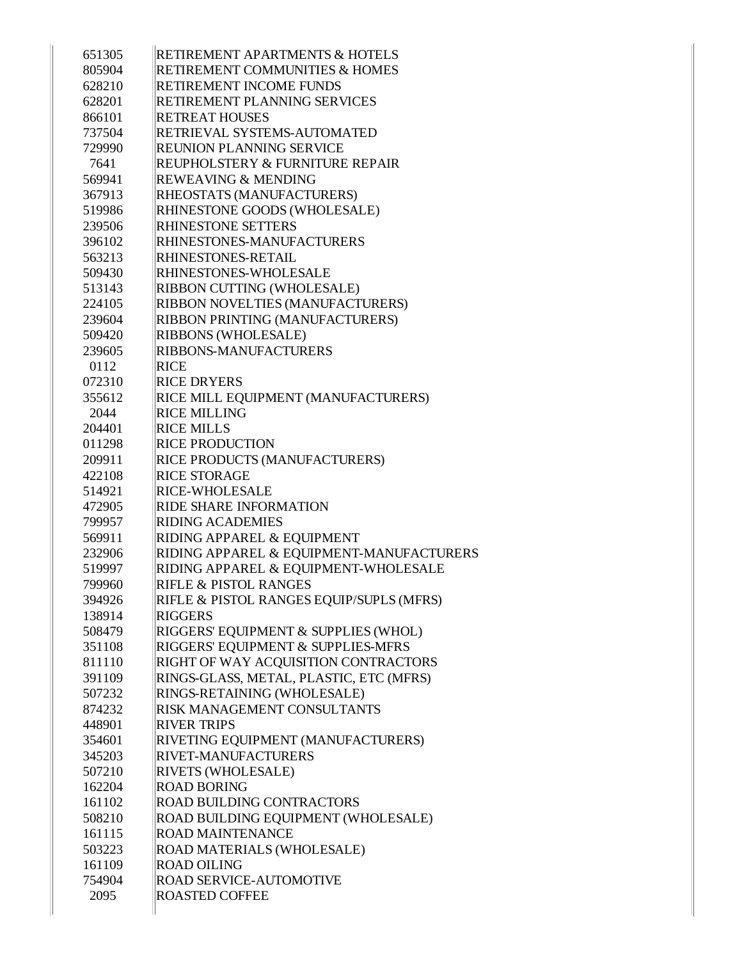| 651305 | <b>RETIREMENT APARTMENTS &amp; HOTELS</b> |
|--------|-------------------------------------------|
| 805904 | <b>RETIREMENT COMMUNITIES &amp; HOMES</b> |
| 628210 | <b>RETIREMENT INCOME FUNDS</b>            |
| 628201 | RETIREMENT PLANNING SERVICES              |
| 866101 | <b>RETREAT HOUSES</b>                     |
| 737504 | <b>RETRIEVAL SYSTEMS-AUTOMATED</b>        |
| 729990 | <b>REUNION PLANNING SERVICE</b>           |
| 7641   | REUPHOLSTERY & FURNITURE REPAIR           |
| 569941 | <b>REWEAVING &amp; MENDING</b>            |
| 367913 | RHEOSTATS (MANUFACTURERS)                 |
| 519986 | RHINESTONE GOODS (WHOLESALE)              |
| 239506 | <b>RHINESTONE SETTERS</b>                 |
| 396102 | <b>RHINESTONES-MANUFACTURERS</b>          |
| 563213 | <b>RHINESTONES-RETAIL</b>                 |
| 509430 | <b>RHINESTONES-WHOLESALE</b>              |
| 513143 | RIBBON CUTTING (WHOLESALE)                |
| 224105 | RIBBON NOVELTIES (MANUFACTURERS)          |
| 239604 | RIBBON PRINTING (MANUFACTURERS)           |
| 509420 | <b>RIBBONS (WHOLESALE)</b>                |
| 239605 | <b>RIBBONS-MANUFACTURERS</b>              |
| 0112   | <b>RICE</b>                               |
| 072310 | <b>RICE DRYERS</b>                        |
| 355612 | RICE MILL EQUIPMENT (MANUFACTURERS)       |
| 2044   | <b>RICE MILLING</b>                       |
| 204401 | <b>RICE MILLS</b>                         |
| 011298 | <b>RICE PRODUCTION</b>                    |
| 209911 | <b>RICE PRODUCTS (MANUFACTURERS)</b>      |
| 422108 | <b>RICE STORAGE</b>                       |
| 514921 | <b>RICE-WHOLESALE</b>                     |
| 472905 | <b>RIDE SHARE INFORMATION</b>             |
| 799957 | <b>RIDING ACADEMIES</b>                   |
| 569911 | RIDING APPAREL & EQUIPMENT                |
| 232906 | RIDING APPAREL & EQUIPMENT-MANUFACTURERS  |
| 519997 | RIDING APPAREL & EQUIPMENT-WHOLESALE      |
| 799960 | <b>RIFLE &amp; PISTOL RANGES</b>          |
| 394926 | RIFLE & PISTOL RANGES EQUIP/SUPLS (MFRS)  |
| 138914 | <b>RIGGERS</b>                            |
| 508479 | RIGGERS' EQUIPMENT & SUPPLIES (WHOL)      |
| 351108 | RIGGERS' EQUIPMENT & SUPPLIES-MFRS        |
| 811110 | RIGHT OF WAY ACQUISITION CONTRACTORS      |
| 391109 | RINGS-GLASS, METAL, PLASTIC, ETC (MFRS)   |
| 507232 | RINGS-RETAINING (WHOLESALE)               |
| 874232 | <b>RISK MANAGEMENT CONSULTANTS</b>        |
| 448901 | <b>RIVER TRIPS</b>                        |
| 354601 | RIVETING EQUIPMENT (MANUFACTURERS)        |
| 345203 | <b>RIVET-MANUFACTURERS</b>                |
| 507210 | <b>RIVETS (WHOLESALE)</b>                 |
| 162204 | <b>ROAD BORING</b>                        |
| 161102 | <b>ROAD BUILDING CONTRACTORS</b>          |
| 508210 | ROAD BUILDING EQUIPMENT (WHOLESALE)       |
| 161115 | <b>ROAD MAINTENANCE</b>                   |
| 503223 | ROAD MATERIALS (WHOLESALE)                |
| 161109 | <b>ROAD OILING</b>                        |
| 754904 |                                           |
|        | <b>ROAD SERVICE-AUTOMOTIVE</b>            |
| 2095   | <b>ROASTED COFFEE</b>                     |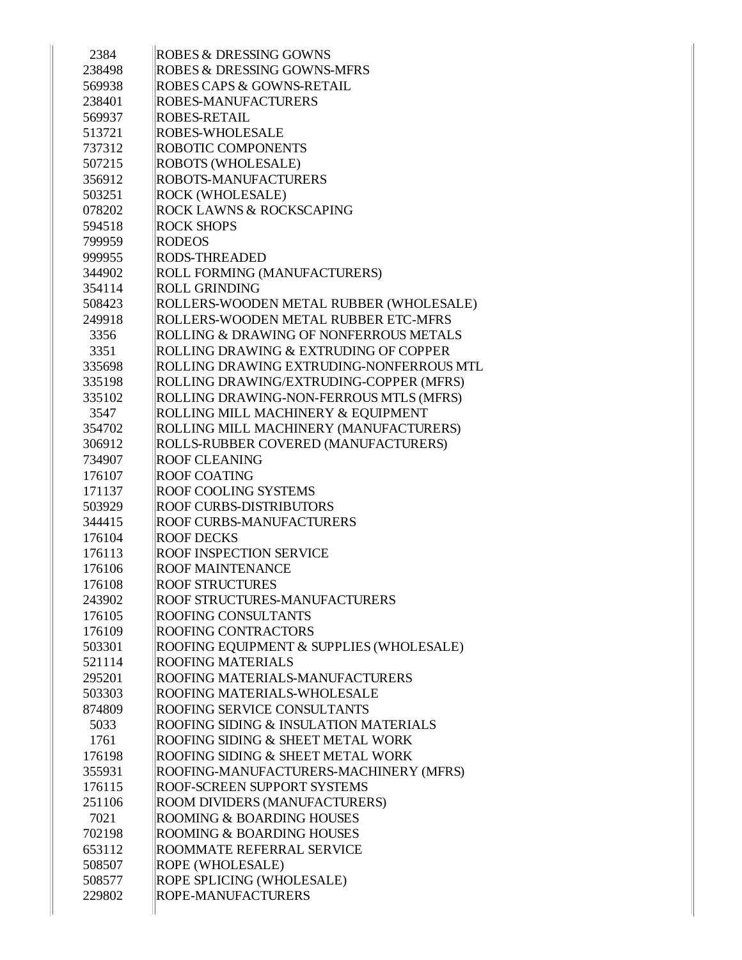| <b>ROBES &amp; DRESSING GOWNS</b>                 |
|---------------------------------------------------|
| <b>ROBES &amp; DRESSING GOWNS-MFRS</b>            |
| <b>ROBES CAPS &amp; GOWNS-RETAIL</b>              |
| <b>ROBES-MANUFACTURERS</b>                        |
| <b>ROBES-RETAIL</b>                               |
| <b>ROBES-WHOLESALE</b>                            |
| <b>ROBOTIC COMPONENTS</b>                         |
| <b>ROBOTS (WHOLESALE)</b>                         |
| <b>ROBOTS-MANUFACTURERS</b>                       |
| ROCK (WHOLESALE)                                  |
| ROCK LAWNS & ROCKSCAPING                          |
| <b>ROCK SHOPS</b>                                 |
| <b>RODEOS</b>                                     |
| <b>RODS-THREADED</b>                              |
| ROLL FORMING (MANUFACTURERS)                      |
| <b>ROLL GRINDING</b>                              |
|                                                   |
| ROLLERS-WOODEN METAL RUBBER (WHOLESALE)           |
| ROLLERS-WOODEN METAL RUBBER ETC-MFRS              |
| <b>ROLLING &amp; DRAWING OF NONFERROUS METALS</b> |
| ROLLING DRAWING & EXTRUDING OF COPPER             |
| ROLLING DRAWING EXTRUDING-NONFERROUS MTL          |
| ROLLING DRAWING/EXTRUDING-COPPER (MFRS)           |
| ROLLING DRAWING-NON-FERROUS MTLS (MFRS)           |
| ROLLING MILL MACHINERY & EQUIPMENT                |
| ROLLING MILL MACHINERY (MANUFACTURERS)            |
| ROLLS-RUBBER COVERED (MANUFACTURERS)              |
| <b>ROOF CLEANING</b>                              |
| <b>ROOF COATING</b>                               |
| <b>ROOF COOLING SYSTEMS</b>                       |
| <b>ROOF CURBS-DISTRIBUTORS</b>                    |
| <b>ROOF CURBS-MANUFACTURERS</b>                   |
| <b>ROOF DECKS</b>                                 |
| <b>ROOF INSPECTION SERVICE</b>                    |
| <b>ROOF MAINTENANCE</b>                           |
| <b>ROOF STRUCTURES</b>                            |
| ROOF STRUCTURES-MANUFACTURERS                     |
| <b>ROOFING CONSULTANTS</b>                        |
| <b>ROOFING CONTRACTORS</b>                        |
| ROOFING EQUIPMENT & SUPPLIES (WHOLESALE)          |
| <b>ROOFING MATERIALS</b>                          |
| ROOFING MATERIALS-MANUFACTURERS                   |
| ROOFING MATERIALS-WHOLESALE                       |
| <b>ROOFING SERVICE CONSULTANTS</b>                |
| ROOFING SIDING & INSULATION MATERIALS             |
| ROOFING SIDING & SHEET METAL WORK                 |
| ROOFING SIDING & SHEET METAL WORK                 |
| ROOFING-MANUFACTURERS-MACHINERY (MFRS)            |
| ROOF-SCREEN SUPPORT SYSTEMS                       |
|                                                   |
| ROOM DIVIDERS (MANUFACTURERS)                     |
| <b>ROOMING &amp; BOARDING HOUSES</b>              |
| <b>ROOMING &amp; BOARDING HOUSES</b>              |
| ROOMMATE REFERRAL SERVICE                         |
| ROPE (WHOLESALE)                                  |
| ROPE SPLICING (WHOLESALE)                         |
|                                                   |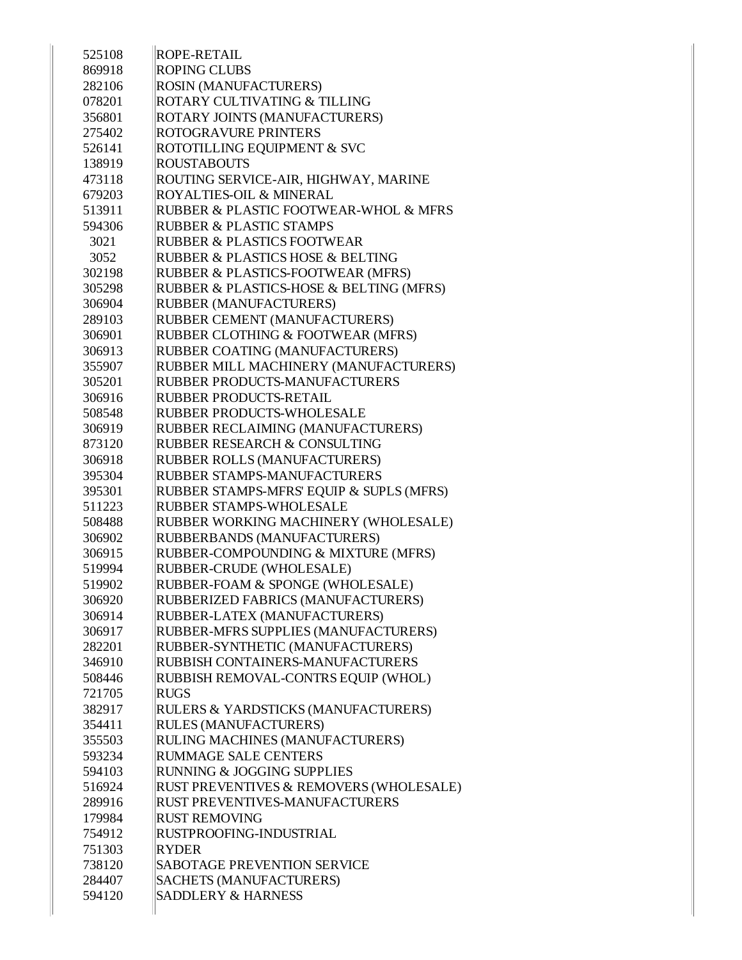| 525108 | <b>ROPE-RETAIL</b>                       |
|--------|------------------------------------------|
| 869918 | <b>ROPING CLUBS</b>                      |
| 282106 | ROSIN (MANUFACTURERS)                    |
| 078201 | ROTARY CULTIVATING & TILLING             |
| 356801 | ROTARY JOINTS (MANUFACTURERS)            |
| 275402 | <b>ROTOGRAVURE PRINTERS</b>              |
| 526141 | ROTOTILLING EQUIPMENT & SVC              |
| 138919 | <b>ROUSTABOUTS</b>                       |
| 473118 | ROUTING SERVICE-AIR, HIGHWAY, MARINE     |
| 679203 | ROYALTIES-OIL & MINERAL                  |
| 513911 | RUBBER & PLASTIC FOOTWEAR-WHOL & MFRS    |
| 594306 | <b>RUBBER &amp; PLASTIC STAMPS</b>       |
| 3021   | <b>RUBBER &amp; PLASTICS FOOTWEAR</b>    |
| 3052   | RUBBER & PLASTICS HOSE & BELTING         |
| 302198 | RUBBER & PLASTICS-FOOTWEAR (MFRS)        |
| 305298 | RUBBER & PLASTICS-HOSE & BELTING (MFRS)  |
| 306904 | RUBBER (MANUFACTURERS)                   |
| 289103 | RUBBER CEMENT (MANUFACTURERS)            |
| 306901 | RUBBER CLOTHING & FOOTWEAR (MFRS)        |
| 306913 | RUBBER COATING (MANUFACTURERS)           |
| 355907 | RUBBER MILL MACHINERY (MANUFACTURERS)    |
| 305201 | RUBBER PRODUCTS-MANUFACTURERS            |
| 306916 | <b>RUBBER PRODUCTS-RETAIL</b>            |
| 508548 | <b>RUBBER PRODUCTS-WHOLESALE</b>         |
| 306919 | RUBBER RECLAIMING (MANUFACTURERS)        |
| 873120 | RUBBER RESEARCH & CONSULTING             |
| 306918 | RUBBER ROLLS (MANUFACTURERS)             |
| 395304 | RUBBER STAMPS-MANUFACTURERS              |
| 395301 | RUBBER STAMPS-MFRS' EQUIP & SUPLS (MFRS) |
| 511223 | <b>RUBBER STAMPS-WHOLESALE</b>           |
| 508488 | RUBBER WORKING MACHINERY (WHOLESALE)     |
| 306902 | RUBBERBANDS (MANUFACTURERS)              |
| 306915 | RUBBER-COMPOUNDING & MIXTURE (MFRS)      |
| 519994 | RUBBER-CRUDE (WHOLESALE)                 |
| 519902 | RUBBER-FOAM & SPONGE (WHOLESALE)         |
| 306920 | RUBBERIZED FABRICS (MANUFACTURERS)       |
| 306914 | RUBBER-LATEX (MANUFACTURERS)             |
| 306917 | RUBBER-MFRS SUPPLIES (MANUFACTURERS)     |
| 282201 | RUBBER-SYNTHETIC (MANUFACTURERS)         |
| 346910 | RUBBISH CONTAINERS-MANUFACTURERS         |
| 508446 | RUBBISH REMOVAL-CONTRS EQUIP (WHOL)      |
| 721705 | <b>RUGS</b>                              |
| 382917 | RULERS & YARDSTICKS (MANUFACTURERS)      |
| 354411 | RULES (MANUFACTURERS)                    |
| 355503 | RULING MACHINES (MANUFACTURERS)          |
| 593234 | <b>RUMMAGE SALE CENTERS</b>              |
| 594103 | RUNNING & JOGGING SUPPLIES               |
| 516924 | RUST PREVENTIVES & REMOVERS (WHOLESALE)  |
| 289916 | <b>RUST PREVENTIVES-MANUFACTURERS</b>    |
| 179984 | <b>RUST REMOVING</b>                     |
| 754912 | RUSTPROOFING-INDUSTRIAL                  |
| 751303 | RYDER                                    |
| 738120 | <b>SABOTAGE PREVENTION SERVICE</b>       |
| 284407 | <b>SACHETS (MANUFACTURERS)</b>           |
| 594120 | SADDLERY & HARNESS                       |
|        |                                          |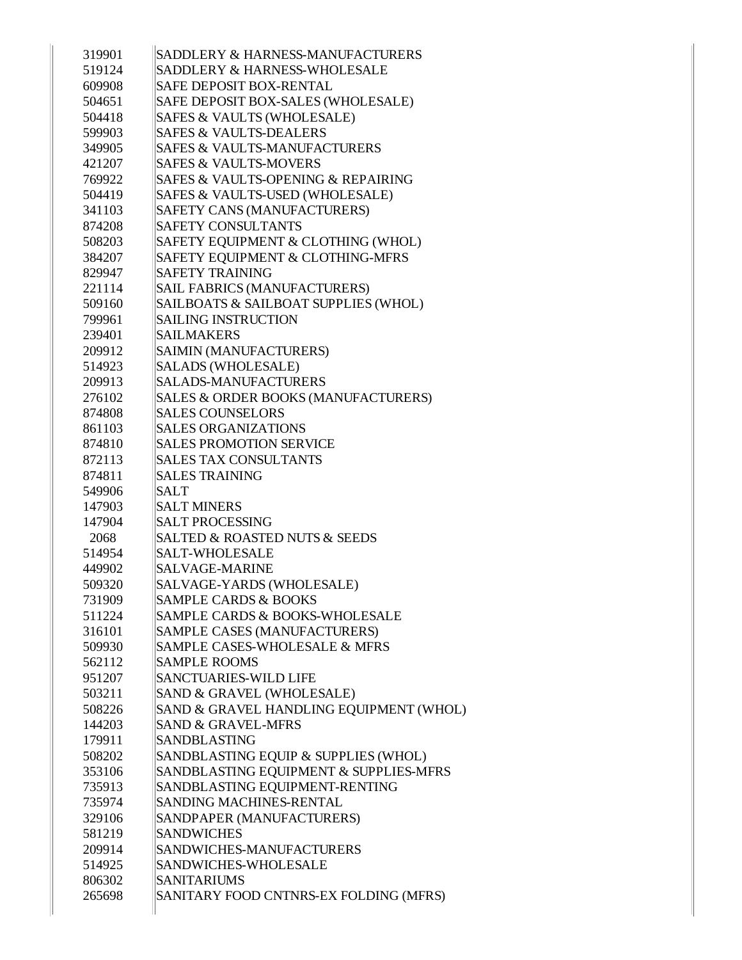| 319901 | SADDLERY & HARNESS-MANUFACTURERS             |
|--------|----------------------------------------------|
| 519124 | SADDLERY & HARNESS-WHOLESALE                 |
| 609908 | <b>SAFE DEPOSIT BOX-RENTAL</b>               |
| 504651 | SAFE DEPOSIT BOX-SALES (WHOLESALE)           |
| 504418 | SAFES & VAULTS (WHOLESALE)                   |
| 599903 | <b>SAFES &amp; VAULTS-DEALERS</b>            |
| 349905 | <b>SAFES &amp; VAULTS-MANUFACTURERS</b>      |
| 421207 | <b>SAFES &amp; VAULTS-MOVERS</b>             |
| 769922 | SAFES & VAULTS-OPENING & REPAIRING           |
| 504419 | SAFES & VAULTS-USED (WHOLESALE)              |
| 341103 | SAFETY CANS (MANUFACTURERS)                  |
| 874208 | <b>SAFETY CONSULTANTS</b>                    |
| 508203 | SAFETY EQUIPMENT & CLOTHING (WHOL)           |
| 384207 | SAFETY EQUIPMENT & CLOTHING-MFRS             |
| 829947 | <b>SAFETY TRAINING</b>                       |
| 221114 | <b>SAIL FABRICS (MANUFACTURERS)</b>          |
| 509160 | SAILBOATS & SAILBOAT SUPPLIES (WHOL)         |
| 799961 | <b>SAILING INSTRUCTION</b>                   |
| 239401 | <b>SAILMAKERS</b>                            |
| 209912 | SAIMIN (MANUFACTURERS)                       |
| 514923 | SALADS (WHOLESALE)                           |
| 209913 | <b>SALADS-MANUFACTURERS</b>                  |
| 276102 | SALES & ORDER BOOKS (MANUFACTURERS)          |
| 874808 | <b>SALES COUNSELORS</b>                      |
| 861103 | <b>SALES ORGANIZATIONS</b>                   |
| 874810 | <b>SALES PROMOTION SERVICE</b>               |
| 872113 | <b>SALES TAX CONSULTANTS</b>                 |
| 874811 | <b>SALES TRAINING</b>                        |
| 549906 | <b>SALT</b>                                  |
| 147903 | <b>SALT MINERS</b>                           |
| 147904 | <b>SALT PROCESSING</b>                       |
| 2068   | <b>SALTED &amp; ROASTED NUTS &amp; SEEDS</b> |
| 514954 | SALT-WHOLESALE                               |
| 449902 | SALVAGE-MARINE                               |
| 509320 | SALVAGE-YARDS (WHOLESALE)                    |
| 731909 | <b>SAMPLE CARDS &amp; BOOKS</b>              |
| 511224 | SAMPLE CARDS & BOOKS-WHOLESALE               |
| 316101 | SAMPLE CASES (MANUFACTURERS)                 |
| 509930 | SAMPLE CASES-WHOLESALE & MFRS                |
| 562112 | <b>SAMPLE ROOMS</b>                          |
| 951207 | SANCTUARIES-WILD LIFE                        |
| 503211 | SAND & GRAVEL (WHOLESALE)                    |
| 508226 | SAND & GRAVEL HANDLING EQUIPMENT (WHOL)      |
| 144203 | <b>SAND &amp; GRAVEL-MFRS</b>                |
| 179911 | SANDBLASTING                                 |
| 508202 | SANDBLASTING EQUIP & SUPPLIES (WHOL)         |
| 353106 | SANDBLASTING EQUIPMENT & SUPPLIES-MFRS       |
| 735913 | SANDBLASTING EQUIPMENT-RENTING               |
| 735974 | <b>SANDING MACHINES-RENTAL</b>               |
| 329106 | SANDPAPER (MANUFACTURERS)                    |
| 581219 | <b>SANDWICHES</b>                            |
| 209914 | SANDWICHES-MANUFACTURERS                     |
| 514925 | SANDWICHES-WHOLESALE                         |
| 806302 | <b>SANITARIUMS</b>                           |
| 265698 | SANITARY FOOD CNTNRS-EX FOLDING (MFRS)       |
|        |                                              |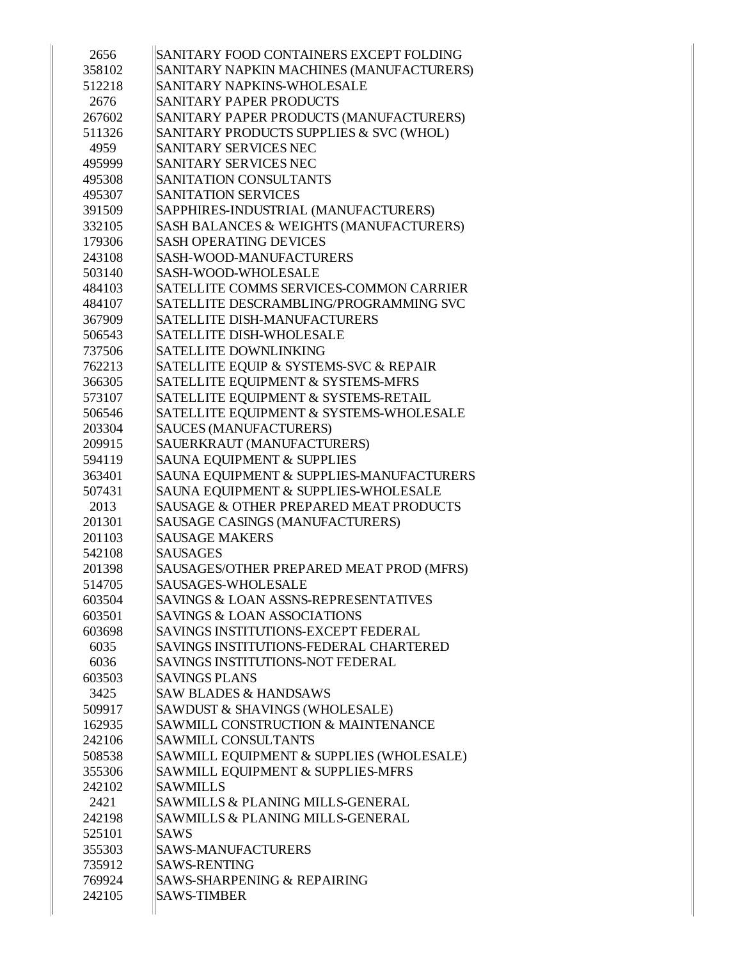| 2656   | SANITARY FOOD CONTAINERS EXCEPT FOLDING  |
|--------|------------------------------------------|
| 358102 | SANITARY NAPKIN MACHINES (MANUFACTURERS) |
| 512218 | SANITARY NAPKINS-WHOLESALE               |
| 2676   | SANITARY PAPER PRODUCTS                  |
| 267602 | SANITARY PAPER PRODUCTS (MANUFACTURERS)  |
| 511326 | SANITARY PRODUCTS SUPPLIES & SVC (WHOL)  |
| 4959   | SANITARY SERVICES NEC                    |
| 495999 | SANITARY SERVICES NEC                    |
| 495308 | SANITATION CONSULTANTS                   |
| 495307 | <b>SANITATION SERVICES</b>               |
| 391509 | SAPPHIRES-INDUSTRIAL (MANUFACTURERS)     |
| 332105 | SASH BALANCES & WEIGHTS (MANUFACTURERS)  |
| 179306 | <b>SASH OPERATING DEVICES</b>            |
| 243108 | SASH-WOOD-MANUFACTURERS                  |
| 503140 | SASH-WOOD-WHOLESALE                      |
| 484103 | SATELLITE COMMS SERVICES-COMMON CARRIER  |
| 484107 | SATELLITE DESCRAMBLING/PROGRAMMING SVC   |
| 367909 | SATELLITE DISH-MANUFACTURERS             |
| 506543 | <b>SATELLITE DISH-WHOLESALE</b>          |
| 737506 | <b>SATELLITE DOWNLINKING</b>             |
| 762213 | SATELLITE EQUIP & SYSTEMS-SVC & REPAIR   |
| 366305 | SATELLITE EQUIPMENT & SYSTEMS-MFRS       |
| 573107 | SATELLITE EQUIPMENT & SYSTEMS-RETAIL     |
| 506546 | SATELLITE EQUIPMENT & SYSTEMS-WHOLESALE  |
| 203304 | <b>SAUCES (MANUFACTURERS)</b>            |
| 209915 | SAUERKRAUT (MANUFACTURERS)               |
| 594119 | SAUNA EQUIPMENT & SUPPLIES               |
| 363401 | SAUNA EQUIPMENT & SUPPLIES-MANUFACTURERS |
| 507431 | SAUNA EQUIPMENT & SUPPLIES-WHOLESALE     |
| 2013   | SAUSAGE & OTHER PREPARED MEAT PRODUCTS   |
| 201301 | SAUSAGE CASINGS (MANUFACTURERS)          |
| 201103 | <b>SAUSAGE MAKERS</b>                    |
| 542108 | <b>SAUSAGES</b>                          |
| 201398 | SAUSAGES/OTHER PREPARED MEAT PROD (MFRS) |
| 514705 | <b>SAUSAGES-WHOLESALE</b>                |
| 603504 | SAVINGS & LOAN ASSNS-REPRESENTATIVES     |
| 603501 | <b>SAVINGS &amp; LOAN ASSOCIATIONS</b>   |
| 603698 | SAVINGS INSTITUTIONS-EXCEPT FEDERAL      |
| 6035   | SAVINGS INSTITUTIONS-FEDERAL CHARTERED   |
| 6036   | <b>SAVINGS INSTITUTIONS-NOT FEDERAL</b>  |
| 603503 | <b>SAVINGS PLANS</b>                     |
| 3425   | <b>SAW BLADES &amp; HANDSAWS</b>         |
| 509917 | SAWDUST & SHAVINGS (WHOLESALE)           |
| 162935 | SAWMILL CONSTRUCTION & MAINTENANCE       |
| 242106 | <b>SAWMILL CONSULTANTS</b>               |
| 508538 | SAWMILL EQUIPMENT & SUPPLIES (WHOLESALE) |
| 355306 | SAWMILL EQUIPMENT & SUPPLIES-MFRS        |
| 242102 | <b>SAWMILLS</b>                          |
| 2421   | SAWMILLS & PLANING MILLS-GENERAL         |
| 242198 | SAWMILLS & PLANING MILLS-GENERAL         |
| 525101 | <b>SAWS</b>                              |
| 355303 | <b>SAWS-MANUFACTURERS</b>                |
| 735912 | <b>SAWS-RENTING</b>                      |
| 769924 | SAWS-SHARPENING & REPAIRING              |
| 242105 | <b>SAWS-TIMBER</b>                       |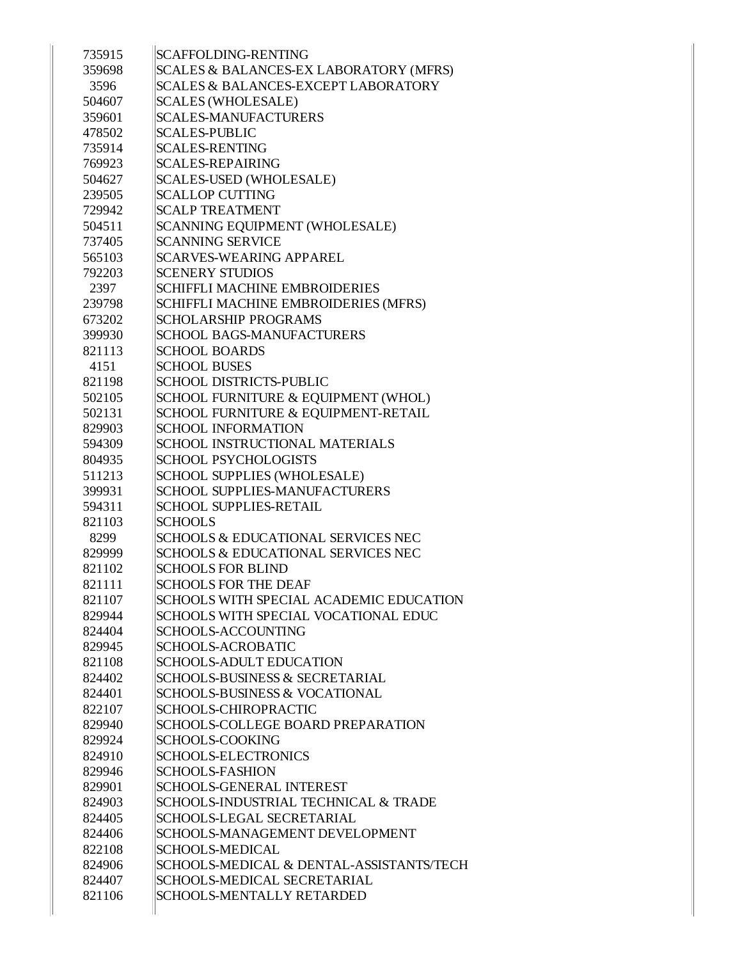| 735915 | <b>SCAFFOLDING-RENTING</b>                    |
|--------|-----------------------------------------------|
| 359698 | SCALES & BALANCES-EX LABORATORY (MFRS)        |
| 3596   | SCALES & BALANCES-EXCEPT LABORATORY           |
| 504607 | <b>SCALES (WHOLESALE)</b>                     |
| 359601 | <b>SCALES-MANUFACTURERS</b>                   |
| 478502 | <b>SCALES-PUBLIC</b>                          |
| 735914 | <b>SCALES-RENTING</b>                         |
| 769923 | <b>SCALES-REPAIRING</b>                       |
| 504627 | <b>SCALES-USED (WHOLESALE)</b>                |
| 239505 | <b>SCALLOP CUTTING</b>                        |
| 729942 | <b>SCALP TREATMENT</b>                        |
| 504511 | SCANNING EQUIPMENT (WHOLESALE)                |
| 737405 | <b>SCANNING SERVICE</b>                       |
| 565103 | <b>SCARVES-WEARING APPAREL</b>                |
| 792203 | <b>SCENERY STUDIOS</b>                        |
| 2397   | SCHIFFLI MACHINE EMBROIDERIES                 |
| 239798 | SCHIFFLI MACHINE EMBROIDERIES (MFRS)          |
| 673202 | <b>SCHOLARSHIP PROGRAMS</b>                   |
| 399930 | <b>SCHOOL BAGS-MANUFACTURERS</b>              |
| 821113 | <b>SCHOOL BOARDS</b>                          |
| 4151   | <b>SCHOOL BUSES</b>                           |
| 821198 | <b>SCHOOL DISTRICTS-PUBLIC</b>                |
| 502105 | SCHOOL FURNITURE & EQUIPMENT (WHOL)           |
| 502131 | SCHOOL FURNITURE & EQUIPMENT-RETAIL           |
| 829903 | <b>SCHOOL INFORMATION</b>                     |
| 594309 | SCHOOL INSTRUCTIONAL MATERIALS                |
| 804935 | <b>SCHOOL PSYCHOLOGISTS</b>                   |
| 511213 | SCHOOL SUPPLIES (WHOLESALE)                   |
| 399931 | <b>SCHOOL SUPPLIES-MANUFACTURERS</b>          |
| 594311 | <b>SCHOOL SUPPLIES-RETAIL</b>                 |
| 821103 | <b>SCHOOLS</b>                                |
| 8299   | <b>SCHOOLS &amp; EDUCATIONAL SERVICES NEC</b> |
| 829999 | <b>SCHOOLS &amp; EDUCATIONAL SERVICES NEC</b> |
| 821102 | <b>SCHOOLS FOR BLIND</b>                      |
| 821111 | <b>SCHOOLS FOR THE DEAF</b>                   |
| 821107 | SCHOOLS WITH SPECIAL ACADEMIC EDUCATION       |
| 829944 | SCHOOLS WITH SPECIAL VOCATIONAL EDUC          |
| 824404 | <b>SCHOOLS-ACCOUNTING</b>                     |
| 829945 | <b>SCHOOLS-ACROBATIC</b>                      |
| 821108 | <b>SCHOOLS-ADULT EDUCATION</b>                |
| 824402 | SCHOOLS-BUSINESS & SECRETARIAL                |
| 824401 | <b>SCHOOLS-BUSINESS &amp; VOCATIONAL</b>      |
| 822107 | SCHOOLS-CHIROPRACTIC                          |
| 829940 | SCHOOLS-COLLEGE BOARD PREPARATION             |
| 829924 | <b>SCHOOLS-COOKING</b>                        |
| 824910 | <b>SCHOOLS-ELECTRONICS</b>                    |
| 829946 | <b>SCHOOLS-FASHION</b>                        |
| 829901 | <b>SCHOOLS-GENERAL INTEREST</b>               |
| 824903 | SCHOOLS-INDUSTRIAL TECHNICAL & TRADE          |
| 824405 | SCHOOLS-LEGAL SECRETARIAL                     |
| 824406 | SCHOOLS-MANAGEMENT DEVELOPMENT                |
| 822108 | <b>SCHOOLS-MEDICAL</b>                        |
| 824906 | SCHOOLS-MEDICAL & DENTAL-ASSISTANTS/TECH      |
| 824407 | <b>SCHOOLS-MEDICAL SECRETARIAL</b>            |
| 821106 | SCHOOLS-MENTALLY RETARDED                     |
|        |                                               |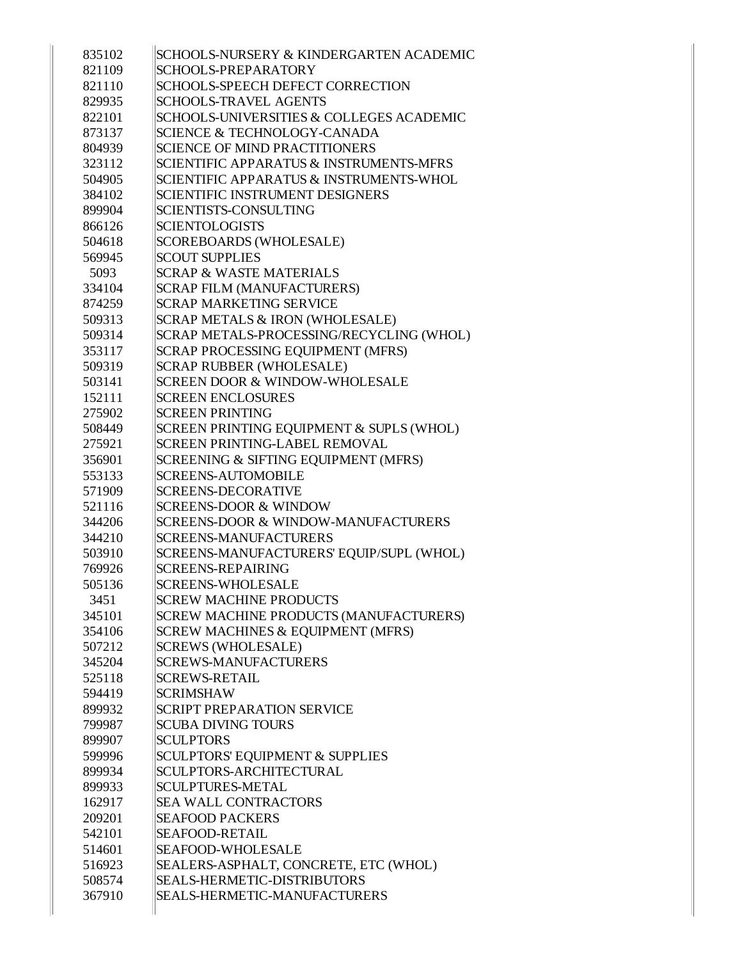| 835102 | SCHOOLS-NURSERY & KINDERGARTEN ACADEMIC            |
|--------|----------------------------------------------------|
| 821109 | SCHOOLS-PREPARATORY                                |
| 821110 | <b>SCHOOLS-SPEECH DEFECT CORRECTION</b>            |
| 829935 | <b>SCHOOLS-TRAVEL AGENTS</b>                       |
| 822101 | SCHOOLS-UNIVERSITIES & COLLEGES ACADEMIC           |
| 873137 | SCIENCE & TECHNOLOGY-CANADA                        |
| 804939 | <b>SCIENCE OF MIND PRACTITIONERS</b>               |
| 323112 | <b>SCIENTIFIC APPARATUS &amp; INSTRUMENTS-MFRS</b> |
| 504905 | SCIENTIFIC APPARATUS & INSTRUMENTS-WHOL            |
| 384102 | <b>SCIENTIFIC INSTRUMENT DESIGNERS</b>             |
| 899904 | SCIENTISTS-CONSULTING                              |
| 866126 | <b>SCIENTOLOGISTS</b>                              |
| 504618 | SCOREBOARDS (WHOLESALE)                            |
| 569945 | <b>SCOUT SUPPLIES</b>                              |
| 5093   | <b>SCRAP &amp; WASTE MATERIALS</b>                 |
| 334104 | <b>SCRAP FILM (MANUFACTURERS)</b>                  |
| 874259 | <b>SCRAP MARKETING SERVICE</b>                     |
| 509313 | SCRAP METALS & IRON (WHOLESALE)                    |
| 509314 | SCRAP METALS-PROCESSING/RECYCLING (WHOL)           |
| 353117 | SCRAP PROCESSING EQUIPMENT (MFRS)                  |
| 509319 | <b>SCRAP RUBBER (WHOLESALE)</b>                    |
| 503141 | SCREEN DOOR & WINDOW-WHOLESALE                     |
| 152111 | <b>SCREEN ENCLOSURES</b>                           |
| 275902 | <b>SCREEN PRINTING</b>                             |
| 508449 | SCREEN PRINTING EQUIPMENT & SUPLS (WHOL)           |
| 275921 | <b>SCREEN PRINTING-LABEL REMOVAL</b>               |
| 356901 | SCREENING & SIFTING EQUIPMENT (MFRS)               |
| 553133 | <b>SCREENS-AUTOMOBILE</b>                          |
| 571909 | <b>SCREENS-DECORATIVE</b>                          |
| 521116 | <b>SCREENS-DOOR &amp; WINDOW</b>                   |
| 344206 | SCREENS-DOOR & WINDOW-MANUFACTURERS                |
| 344210 | <b>SCREENS-MANUFACTURERS</b>                       |
| 503910 | SCREENS-MANUFACTURERS' EQUIP/SUPL (WHOL)           |
| 769926 | <b>SCREENS-REPAIRING</b>                           |
| 505136 | <b>SCREENS-WHOLESALE</b>                           |
| 3451   | <b>SCREW MACHINE PRODUCTS</b>                      |
| 345101 | SCREW MACHINE PRODUCTS (MANUFACTURERS)             |
| 354106 | SCREW MACHINES & EQUIPMENT (MFRS)                  |
| 507212 | <b>SCREWS (WHOLESALE)</b>                          |
| 345204 | <b>SCREWS-MANUFACTURERS</b>                        |
| 525118 | <b>SCREWS-RETAIL</b>                               |
| 594419 | <b>SCRIMSHAW</b>                                   |
| 899932 | <b>SCRIPT PREPARATION SERVICE</b>                  |
| 799987 | <b>SCUBA DIVING TOURS</b>                          |
| 899907 | <b>SCULPTORS</b>                                   |
| 599996 | <b>SCULPTORS' EQUIPMENT &amp; SUPPLIES</b>         |
| 899934 | <b>SCULPTORS-ARCHITECTURAL</b>                     |
| 899933 | <b>SCULPTURES-METAL</b>                            |
| 162917 | <b>SEA WALL CONTRACTORS</b>                        |
| 209201 | <b>SEAFOOD PACKERS</b>                             |
| 542101 | <b>SEAFOOD-RETAIL</b>                              |
| 514601 | <b>SEAFOOD-WHOLESALE</b>                           |
| 516923 | SEALERS-ASPHALT, CONCRETE, ETC (WHOL)              |
| 508574 | <b>SEALS-HERMETIC-DISTRIBUTORS</b>                 |
| 367910 | SEALS-HERMETIC-MANUFACTURERS                       |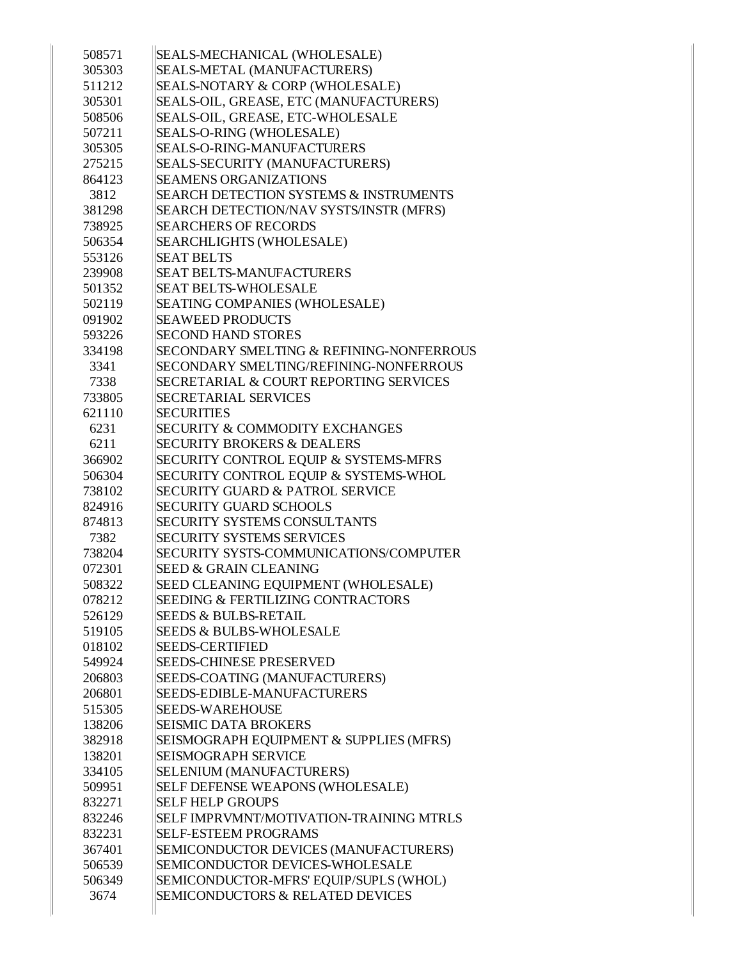| 508571 | SEALS-MECHANICAL (WHOLESALE)                        |
|--------|-----------------------------------------------------|
| 305303 | SEALS-METAL (MANUFACTURERS)                         |
| 511212 | SEALS-NOTARY & CORP (WHOLESALE)                     |
| 305301 | SEALS-OIL, GREASE, ETC (MANUFACTURERS)              |
| 508506 | SEALS-OIL, GREASE, ETC-WHOLESALE                    |
| 507211 | SEALS-O-RING (WHOLESALE)                            |
| 305305 | <b>SEALS-O-RING-MANUFACTURERS</b>                   |
| 275215 | SEALS-SECURITY (MANUFACTURERS)                      |
| 864123 | <b>SEAMENS ORGANIZATIONS</b>                        |
| 3812   | <b>SEARCH DETECTION SYSTEMS &amp; INSTRUMENTS</b>   |
| 381298 | SEARCH DETECTION/NAV SYSTS/INSTR (MFRS)             |
| 738925 | <b>SEARCHERS OF RECORDS</b>                         |
| 506354 | <b>SEARCHLIGHTS (WHOLESALE)</b>                     |
| 553126 | <b>SEAT BELTS</b>                                   |
| 239908 | <b>SEAT BELTS-MANUFACTURERS</b>                     |
| 501352 | <b>SEAT BELTS-WHOLESALE</b>                         |
| 502119 | <b>SEATING COMPANIES (WHOLESALE)</b>                |
| 091902 | <b>SEAWEED PRODUCTS</b>                             |
| 593226 | <b>SECOND HAND STORES</b>                           |
| 334198 | <b>SECONDARY SMELTING &amp; REFINING-NONFERROUS</b> |
| 3341   | SECONDARY SMELTING/REFINING-NONFERROUS              |
| 7338   | SECRETARIAL & COURT REPORTING SERVICES              |
| 733805 | <b>SECRETARIAL SERVICES</b>                         |
| 621110 | <b>SECURITIES</b>                                   |
| 6231   | <b>SECURITY &amp; COMMODITY EXCHANGES</b>           |
| 6211   | <b>SECURITY BROKERS &amp; DEALERS</b>               |
| 366902 | <b>SECURITY CONTROL EQUIP &amp; SYSTEMS-MFRS</b>    |
| 506304 | SECURITY CONTROL EQUIP & SYSTEMS-WHOL               |
| 738102 | <b>SECURITY GUARD &amp; PATROL SERVICE</b>          |
| 824916 | <b>SECURITY GUARD SCHOOLS</b>                       |
| 874813 | <b>SECURITY SYSTEMS CONSULTANTS</b>                 |
| 7382   | <b>SECURITY SYSTEMS SERVICES</b>                    |
| 738204 | SECURITY SYSTS-COMMUNICATIONS/COMPUTER              |
| 072301 | <b>SEED &amp; GRAIN CLEANING</b>                    |
| 508322 | SEED CLEANING EQUIPMENT (WHOLESALE)                 |
| 078212 | <b>SEEDING &amp; FERTILIZING CONTRACTORS</b>        |
| 526129 | <b>SEEDS &amp; BULBS-RETAIL</b>                     |
| 519105 | <b>SEEDS &amp; BULBS-WHOLESALE</b>                  |
| 018102 | <b>SEEDS-CERTIFIED</b>                              |
| 549924 | <b>SEEDS-CHINESE PRESERVED</b>                      |
| 206803 | SEEDS-COATING (MANUFACTURERS)                       |
| 206801 | SEEDS-EDIBLE-MANUFACTURERS                          |
| 515305 | <b>SEEDS-WAREHOUSE</b>                              |
| 138206 | <b>SEISMIC DATA BROKERS</b>                         |
| 382918 | SEISMOGRAPH EQUIPMENT & SUPPLIES (MFRS)             |
| 138201 | <b>SEISMOGRAPH SERVICE</b>                          |
| 334105 | SELENIUM (MANUFACTURERS)                            |
| 509951 | <b>SELF DEFENSE WEAPONS (WHOLESALE)</b>             |
| 832271 | <b>SELF HELP GROUPS</b>                             |
| 832246 | <b>SELF IMPRVMNT/MOTIVATION-TRAINING MTRLS</b>      |
| 832231 | <b>SELF-ESTEEM PROGRAMS</b>                         |
| 367401 | SEMICONDUCTOR DEVICES (MANUFACTURERS)               |
| 506539 | SEMICONDUCTOR DEVICES-WHOLESALE                     |
| 506349 | SEMICONDUCTOR-MFRS' EQUIP/SUPLS (WHOL)              |
| 3674   | <b>SEMICONDUCTORS &amp; RELATED DEVICES</b>         |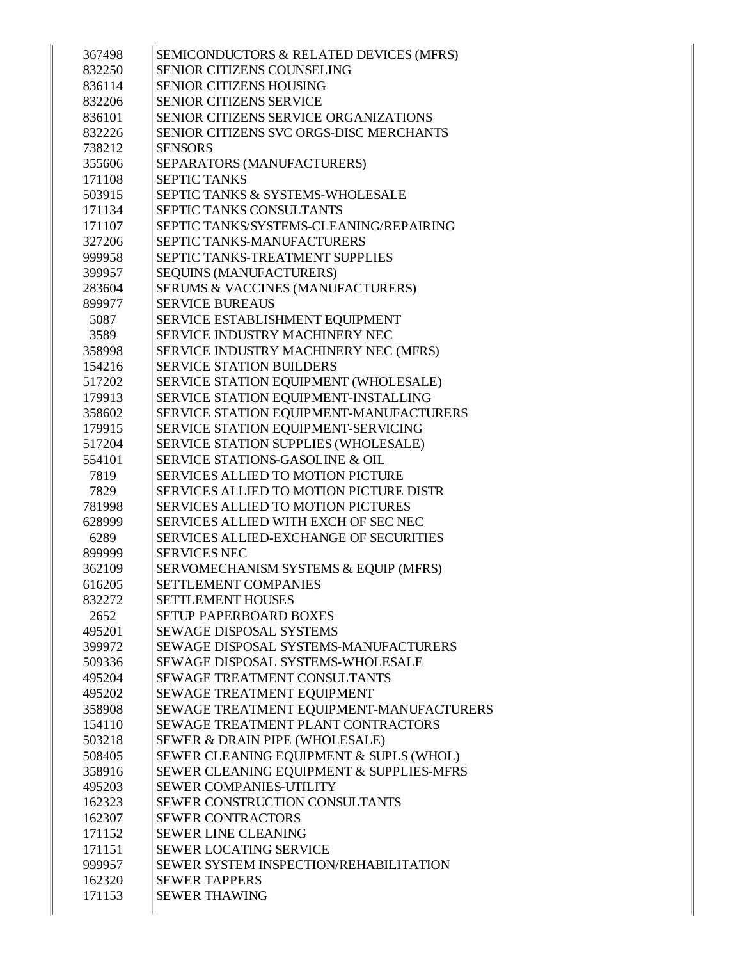| 367498           | SEMICONDUCTORS & RELATED DEVICES (MFRS)<br><b>SENIOR CITIZENS COUNSELING</b>             |
|------------------|------------------------------------------------------------------------------------------|
| 832250           |                                                                                          |
| 836114           | <b>SENIOR CITIZENS HOUSING</b>                                                           |
| 832206           | <b>SENIOR CITIZENS SERVICE</b>                                                           |
| 836101           | SENIOR CITIZENS SERVICE ORGANIZATIONS                                                    |
| 832226           | SENIOR CITIZENS SVC ORGS-DISC MERCHANTS                                                  |
| 738212           | <b>SENSORS</b>                                                                           |
| 355606           | SEPARATORS (MANUFACTURERS)                                                               |
| 171108           | <b>SEPTIC TANKS</b>                                                                      |
| 503915           | <b>SEPTIC TANKS &amp; SYSTEMS-WHOLESALE</b>                                              |
| 171134           | SEPTIC TANKS CONSULTANTS                                                                 |
| 171107           | SEPTIC TANKS/SYSTEMS-CLEANING/REPAIRING                                                  |
| 327206           | SEPTIC TANKS-MANUFACTURERS                                                               |
| 999958           | SEPTIC TANKS-TREATMENT SUPPLIES                                                          |
| 399957           | <b>SEQUINS (MANUFACTURERS)</b>                                                           |
| 283604           | <b>SERUMS &amp; VACCINES (MANUFACTURERS)</b>                                             |
| 899977           | <b>SERVICE BUREAUS</b>                                                                   |
| 5087             | <b>SERVICE ESTABLISHMENT EQUIPMENT</b>                                                   |
| 3589             | SERVICE INDUSTRY MACHINERY NEC                                                           |
| 358998           | SERVICE INDUSTRY MACHINERY NEC (MFRS)                                                    |
| 154216           | <b>SERVICE STATION BUILDERS</b>                                                          |
| 517202           | SERVICE STATION EQUIPMENT (WHOLESALE)                                                    |
| 179913           | SERVICE STATION EQUIPMENT-INSTALLING                                                     |
| 358602           | SERVICE STATION EQUIPMENT-MANUFACTURERS                                                  |
| 179915           | SERVICE STATION EQUIPMENT-SERVICING                                                      |
| 517204           | SERVICE STATION SUPPLIES (WHOLESALE)                                                     |
| 554101           | <b>SERVICE STATIONS-GASOLINE &amp; OIL</b>                                               |
| 7819             | <b>SERVICES ALLIED TO MOTION PICTURE</b>                                                 |
| 7829             | <b>SERVICES ALLIED TO MOTION PICTURE DISTR</b>                                           |
| 781998           | <b>SERVICES ALLIED TO MOTION PICTURES</b>                                                |
| 628999           | <b>SERVICES ALLIED WITH EXCH OF SEC NEC</b>                                              |
| 6289             | <b>SERVICES ALLIED-EXCHANGE OF SECURITIES</b>                                            |
| 899999           | <b>SERVICES NEC</b>                                                                      |
| 362109           | SERVOMECHANISM SYSTEMS & EQUIP (MFRS)                                                    |
| 616205           | <b>SETTLEMENT COMPANIES</b>                                                              |
| 832272           | <b>SETTLEMENT HOUSES</b>                                                                 |
| 2652             | <b>SETUP PAPERBOARD BOXES</b>                                                            |
| 495201           | <b>SEWAGE DISPOSAL SYSTEMS</b>                                                           |
| 399972           | <b>SEWAGE DISPOSAL SYSTEMS-MANUFACTURERS</b><br><b>SEWAGE DISPOSAL SYSTEMS-WHOLESALE</b> |
| 509336           |                                                                                          |
| 495204           | <b>SEWAGE TREATMENT CONSULTANTS</b>                                                      |
| 495202           | <b>SEWAGE TREATMENT EQUIPMENT</b>                                                        |
| 358908           | SEWAGE TREATMENT EQUIPMENT-MANUFACTURERS                                                 |
| 154110<br>503218 | <b>SEWAGE TREATMENT PLANT CONTRACTORS</b>                                                |
|                  | <b>SEWER &amp; DRAIN PIPE (WHOLESALE)</b>                                                |
| 508405<br>358916 | SEWER CLEANING EQUIPMENT & SUPLS (WHOL)<br>SEWER CLEANING EQUIPMENT & SUPPLIES-MFRS      |
|                  | <b>SEWER COMPANIES-UTILITY</b>                                                           |
| 495203           | <b>SEWER CONSTRUCTION CONSULTANTS</b>                                                    |
| 162323           |                                                                                          |
| 162307           | <b>SEWER CONTRACTORS</b>                                                                 |
| 171152           | <b>SEWER LINE CLEANING</b>                                                               |
| 171151           | <b>SEWER LOCATING SERVICE</b><br>SEWER SYSTEM INSPECTION/REHABILITATION                  |
| 999957           |                                                                                          |
| 162320           | <b>SEWER TAPPERS</b>                                                                     |
| 171153           | <b>SEWER THAWING</b>                                                                     |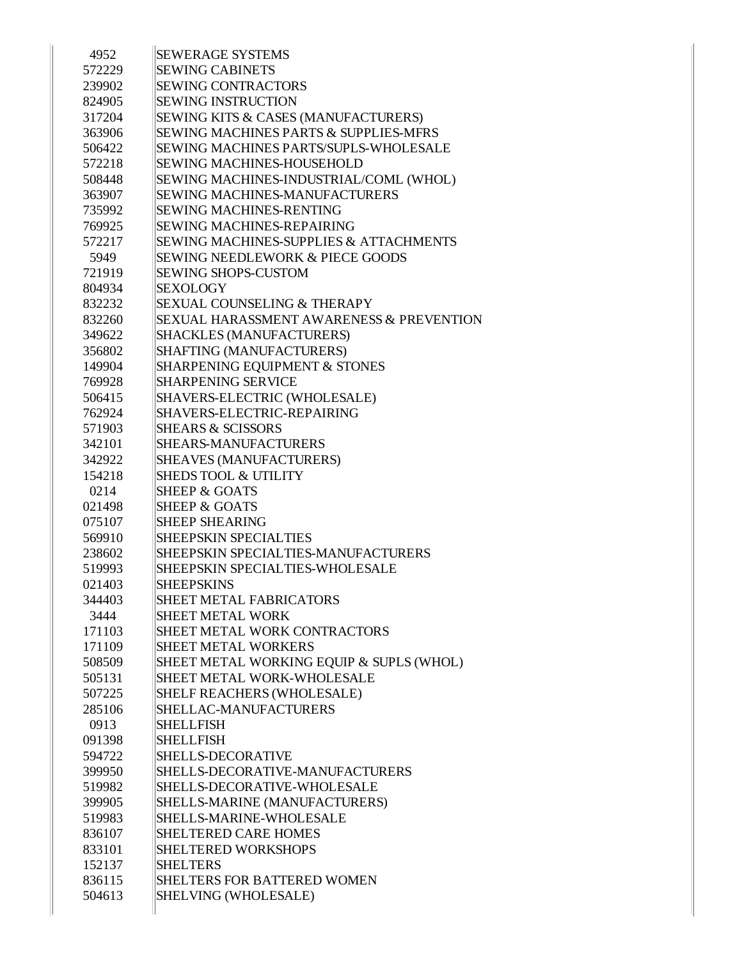| 4952   | <b>SEWERAGE SYSTEMS</b>                           |
|--------|---------------------------------------------------|
| 572229 | <b>SEWING CABINETS</b>                            |
| 239902 | <b>SEWING CONTRACTORS</b>                         |
| 824905 | <b>SEWING INSTRUCTION</b>                         |
| 317204 | <b>SEWING KITS &amp; CASES (MANUFACTURERS)</b>    |
| 363906 | <b>SEWING MACHINES PARTS &amp; SUPPLIES-MFRS</b>  |
| 506422 | <b>SEWING MACHINES PARTS/SUPLS-WHOLESALE</b>      |
| 572218 | <b>SEWING MACHINES-HOUSEHOLD</b>                  |
| 508448 | SEWING MACHINES-INDUSTRIAL/COML (WHOL)            |
| 363907 | <b>SEWING MACHINES-MANUFACTURERS</b>              |
| 735992 | <b>SEWING MACHINES-RENTING</b>                    |
| 769925 | <b>SEWING MACHINES-REPAIRING</b>                  |
| 572217 | <b>SEWING MACHINES-SUPPLIES &amp; ATTACHMENTS</b> |
| 5949   | <b>SEWING NEEDLEWORK &amp; PIECE GOODS</b>        |
| 721919 | <b>SEWING SHOPS-CUSTOM</b>                        |
| 804934 | <b>SEXOLOGY</b>                                   |
| 832232 | <b>SEXUAL COUNSELING &amp; THERAPY</b>            |
| 832260 | SEXUAL HARASSMENT AWARENESS & PREVENTION          |
| 349622 | <b>SHACKLES (MANUFACTURERS)</b>                   |
| 356802 | SHAFTING (MANUFACTURERS)                          |
| 149904 | SHARPENING EQUIPMENT & STONES                     |
| 769928 | <b>SHARPENING SERVICE</b>                         |
| 506415 | SHAVERS-ELECTRIC (WHOLESALE)                      |
| 762924 | SHAVERS-ELECTRIC-REPAIRING                        |
| 571903 | <b>SHEARS &amp; SCISSORS</b>                      |
| 342101 | <b>SHEARS-MANUFACTURERS</b>                       |
| 342922 | SHEAVES (MANUFACTURERS)                           |
| 154218 | <b>SHEDS TOOL &amp; UTILITY</b>                   |
| 0214   | <b>SHEEP &amp; GOATS</b>                          |
| 021498 | <b>SHEEP &amp; GOATS</b>                          |
| 075107 | <b>SHEEP SHEARING</b>                             |
| 569910 | <b>SHEEPSKIN SPECIALTIES</b>                      |
| 238602 | SHEEPSKIN SPECIALTIES-MANUFACTURERS               |
| 519993 | SHEEPSKIN SPECIALTIES-WHOLESALE                   |
| 021403 | <b>SHEEPSKINS</b>                                 |
| 344403 | <b>SHEET METAL FABRICATORS</b>                    |
| 3444   | <b>SHEET METAL WORK</b>                           |
| 171103 | SHEET METAL WORK CONTRACTORS                      |
| 171109 | <b>SHEET METAL WORKERS</b>                        |
| 508509 | SHEET METAL WORKING EQUIP & SUPLS (WHOL)          |
| 505131 | <b>SHEET METAL WORK-WHOLESALE</b>                 |
| 507225 | SHELF REACHERS (WHOLESALE)                        |
| 285106 | SHELLAC-MANUFACTURERS                             |
| 0913   | <b>SHELLFISH</b>                                  |
| 091398 | <b>SHELLFISH</b>                                  |
| 594722 | SHELLS-DECORATIVE                                 |
| 399950 | SHELLS-DECORATIVE-MANUFACTURERS                   |
| 519982 | SHELLS-DECORATIVE-WHOLESALE                       |
| 399905 | SHELLS-MARINE (MANUFACTURERS)                     |
| 519983 | SHELLS-MARINE-WHOLESALE                           |
| 836107 | <b>SHELTERED CARE HOMES</b>                       |
| 833101 | <b>SHELTERED WORKSHOPS</b>                        |
| 152137 | <b>SHELTERS</b>                                   |
| 836115 | <b>SHELTERS FOR BATTERED WOMEN</b>                |
| 504613 | SHELVING (WHOLESALE)                              |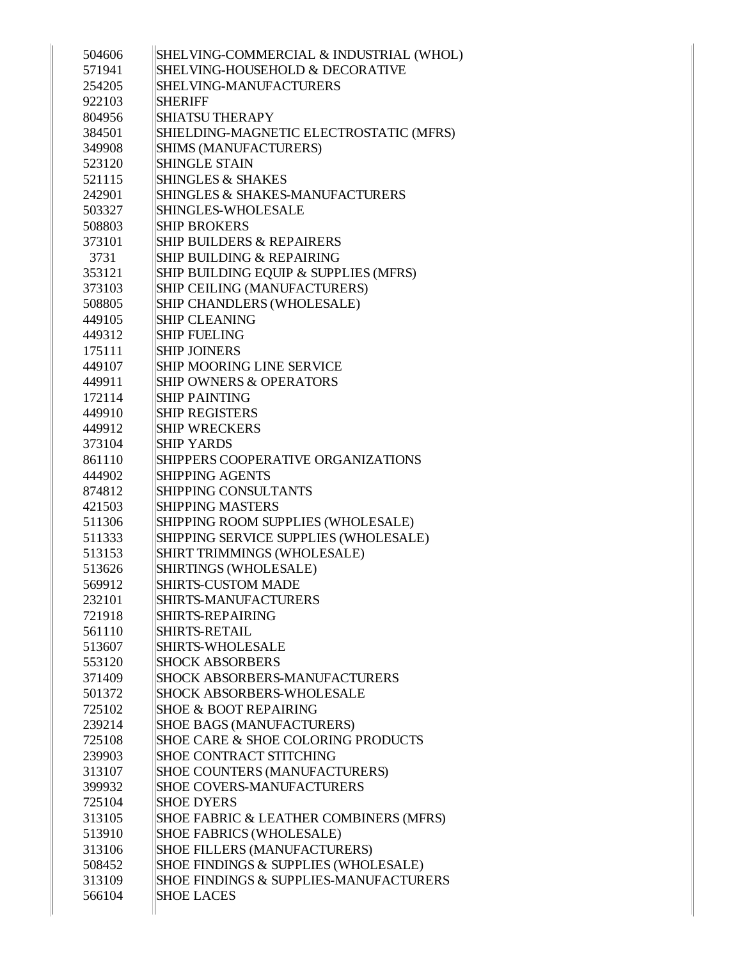| 504606 | SHELVING-COMMERCIAL & INDUSTRIAL (WHOL) |
|--------|-----------------------------------------|
| 571941 | SHELVING-HOUSEHOLD & DECORATIVE         |
| 254205 | SHELVING-MANUFACTURERS                  |
| 922103 | <b>SHERIFF</b>                          |
| 804956 | <b>SHIATSU THERAPY</b>                  |
| 384501 | SHIELDING-MAGNETIC ELECTROSTATIC (MFRS) |
| 349908 | SHIMS (MANUFACTURERS)                   |
| 523120 | <b>SHINGLE STAIN</b>                    |
| 521115 | <b>SHINGLES &amp; SHAKES</b>            |
| 242901 | SHINGLES & SHAKES-MANUFACTURERS         |
| 503327 | SHINGLES-WHOLESALE                      |
| 508803 | <b>SHIP BROKERS</b>                     |
| 373101 | <b>SHIP BUILDERS &amp; REPAIRERS</b>    |
| 3731   | <b>SHIP BUILDING &amp; REPAIRING</b>    |
| 353121 | SHIP BUILDING EQUIP & SUPPLIES (MFRS)   |
| 373103 | SHIP CEILING (MANUFACTURERS)            |
| 508805 | SHIP CHANDLERS (WHOLESALE)              |
| 449105 | <b>SHIP CLEANING</b>                    |
| 449312 | <b>SHIP FUELING</b>                     |
| 175111 | <b>SHIP JOINERS</b>                     |
| 449107 | <b>SHIP MOORING LINE SERVICE</b>        |
| 449911 | <b>SHIP OWNERS &amp; OPERATORS</b>      |
| 172114 | <b>SHIP PAINTING</b>                    |
| 449910 | <b>SHIP REGISTERS</b>                   |
| 449912 | <b>SHIP WRECKERS</b>                    |
| 373104 | <b>SHIP YARDS</b>                       |
| 861110 | SHIPPERS COOPERATIVE ORGANIZATIONS      |
| 444902 | <b>SHIPPING AGENTS</b>                  |
| 874812 | <b>SHIPPING CONSULTANTS</b>             |
| 421503 | <b>SHIPPING MASTERS</b>                 |
| 511306 | SHIPPING ROOM SUPPLIES (WHOLESALE)      |
| 511333 | SHIPPING SERVICE SUPPLIES (WHOLESALE)   |
| 513153 | SHIRT TRIMMINGS (WHOLESALE)             |
| 513626 | SHIRTINGS (WHOLESALE)                   |
| 569912 | <b>SHIRTS-CUSTOM MADE</b>               |
| 232101 | SHIRTS-MANUFACTURERS                    |
| 721918 | <b>SHIRTS-REPAIRING</b>                 |
| 561110 | <b>SHIRTS-RETAIL</b>                    |
| 513607 | <b>SHIRTS-WHOLESALE</b>                 |
| 553120 | <b>SHOCK ABSORBERS</b>                  |
| 371409 | SHOCK ABSORBERS-MANUFACTURERS           |
| 501372 | <b>SHOCK ABSORBERS-WHOLESALE</b>        |
| 725102 | <b>SHOE &amp; BOOT REPAIRING</b>        |
| 239214 | <b>SHOE BAGS (MANUFACTURERS)</b>        |
| 725108 | SHOE CARE & SHOE COLORING PRODUCTS      |
| 239903 | <b>SHOE CONTRACT STITCHING</b>          |
| 313107 | SHOE COUNTERS (MANUFACTURERS)           |
| 399932 | <b>SHOE COVERS-MANUFACTURERS</b>        |
| 725104 | <b>SHOE DYERS</b>                       |
| 313105 | SHOE FABRIC & LEATHER COMBINERS (MFRS)  |
| 513910 | <b>SHOE FABRICS (WHOLESALE)</b>         |
| 313106 | <b>SHOE FILLERS (MANUFACTURERS)</b>     |
| 508452 | SHOE FINDINGS & SUPPLIES (WHOLESALE)    |
| 313109 | SHOE FINDINGS & SUPPLIES-MANUFACTURERS  |
| 566104 | <b>SHOE LACES</b>                       |
|        |                                         |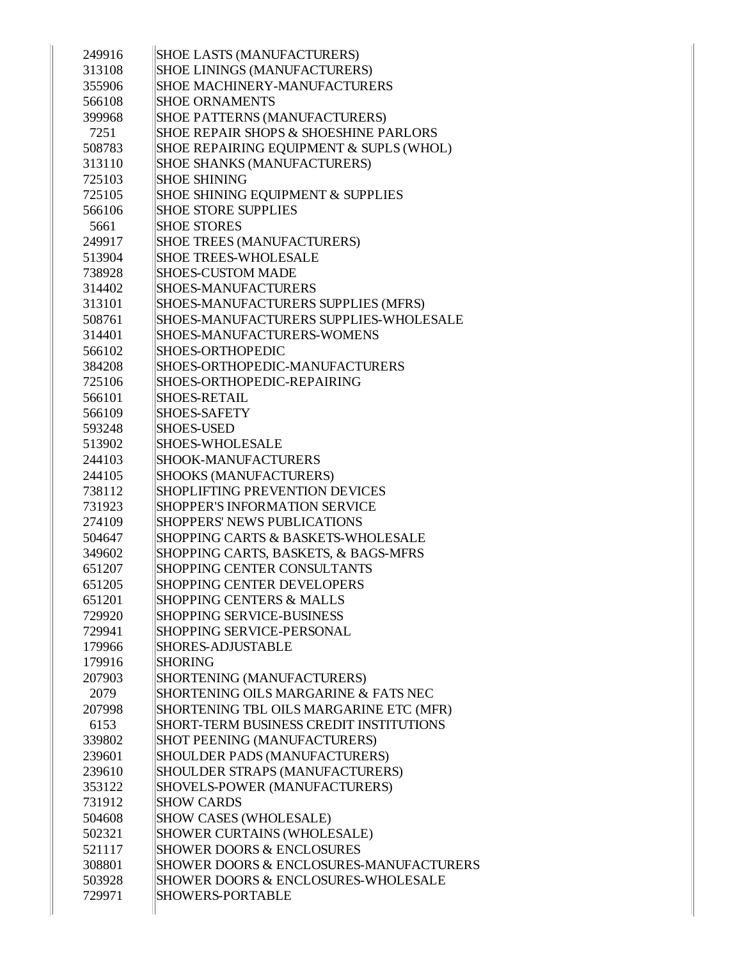| 249916 | <b>SHOE LASTS (MANUFACTURERS)</b>       |
|--------|-----------------------------------------|
| 313108 | <b>SHOE LININGS (MANUFACTURERS)</b>     |
| 355906 | <b>SHOE MACHINERY-MANUFACTURERS</b>     |
| 566108 | <b>SHOE ORNAMENTS</b>                   |
| 399968 | SHOE PATTERNS (MANUFACTURERS)           |
| 7251   | SHOE REPAIR SHOPS & SHOESHINE PARLORS   |
| 508783 | SHOE REPAIRING EQUIPMENT & SUPLS (WHOL) |
| 313110 | SHOE SHANKS (MANUFACTURERS)             |
| 725103 | <b>SHOE SHINING</b>                     |
| 725105 | SHOE SHINING EQUIPMENT & SUPPLIES       |
| 566106 | <b>SHOE STORE SUPPLIES</b>              |
| 5661   | <b>SHOE STORES</b>                      |
| 249917 | <b>SHOE TREES (MANUFACTURERS)</b>       |
| 513904 | <b>SHOE TREES-WHOLESALE</b>             |
| 738928 | <b>SHOES-CUSTOM MADE</b>                |
| 314402 | <b>SHOES-MANUFACTURERS</b>              |
| 313101 | SHOES-MANUFACTURERS SUPPLIES (MFRS)     |
| 508761 | SHOES-MANUFACTURERS SUPPLIES-WHOLESALE  |
| 314401 | SHOES-MANUFACTURERS-WOMENS              |
| 566102 | <b>SHOES-ORTHOPEDIC</b>                 |
| 384208 | SHOES-ORTHOPEDIC-MANUFACTURERS          |
| 725106 | SHOES-ORTHOPEDIC-REPAIRING              |
| 566101 | <b>SHOES-RETAIL</b>                     |
| 566109 | <b>SHOES-SAFETY</b>                     |
| 593248 | <b>SHOES-USED</b>                       |
| 513902 | <b>SHOES-WHOLESALE</b>                  |
| 244103 | SHOOK-MANUFACTURERS                     |
| 244105 | SHOOKS (MANUFACTURERS)                  |
| 738112 | <b>SHOPLIFTING PREVENTION DEVICES</b>   |
| 731923 | <b>SHOPPER'S INFORMATION SERVICE</b>    |
| 274109 | <b>SHOPPERS' NEWS PUBLICATIONS</b>      |
| 504647 | SHOPPING CARTS & BASKETS-WHOLESALE      |
| 349602 | SHOPPING CARTS, BASKETS, & BAGS-MFRS    |
| 651207 | SHOPPING CENTER CONSULTANTS             |
| 651205 | <b>SHOPPING CENTER DEVELOPERS</b>       |
| 651201 | <b>SHOPPING CENTERS &amp; MALLS</b>     |
| 729920 | <b>SHOPPING SERVICE-BUSINESS</b>        |
| 729941 | SHOPPING SERVICE-PERSONAL               |
| 179966 | <b>SHORES-ADJUSTABLE</b>                |
| 179916 | <b>SHORING</b>                          |
| 207903 | SHORTENING (MANUFACTURERS)              |
| 2079   | SHORTENING OILS MARGARINE & FATS NEC    |
| 207998 | SHORTENING TBL OILS MARGARINE ETC (MFR) |
| 6153   | SHORT-TERM BUSINESS CREDIT INSTITUTIONS |
| 339802 | SHOT PEENING (MANUFACTURERS)            |
| 239601 | SHOULDER PADS (MANUFACTURERS)           |
| 239610 | SHOULDER STRAPS (MANUFACTURERS)         |
| 353122 | SHOVELS-POWER (MANUFACTURERS)           |
| 731912 | <b>SHOW CARDS</b>                       |
| 504608 | SHOW CASES (WHOLESALE)                  |
| 502321 | SHOWER CURTAINS (WHOLESALE)             |
| 521117 | <b>SHOWER DOORS &amp; ENCLOSURES</b>    |
| 308801 | SHOWER DOORS & ENCLOSURES-MANUFACTURERS |
| 503928 | SHOWER DOORS & ENCLOSURES-WHOLESALE     |
| 729971 | SHOWERS-PORTABLE                        |
|        |                                         |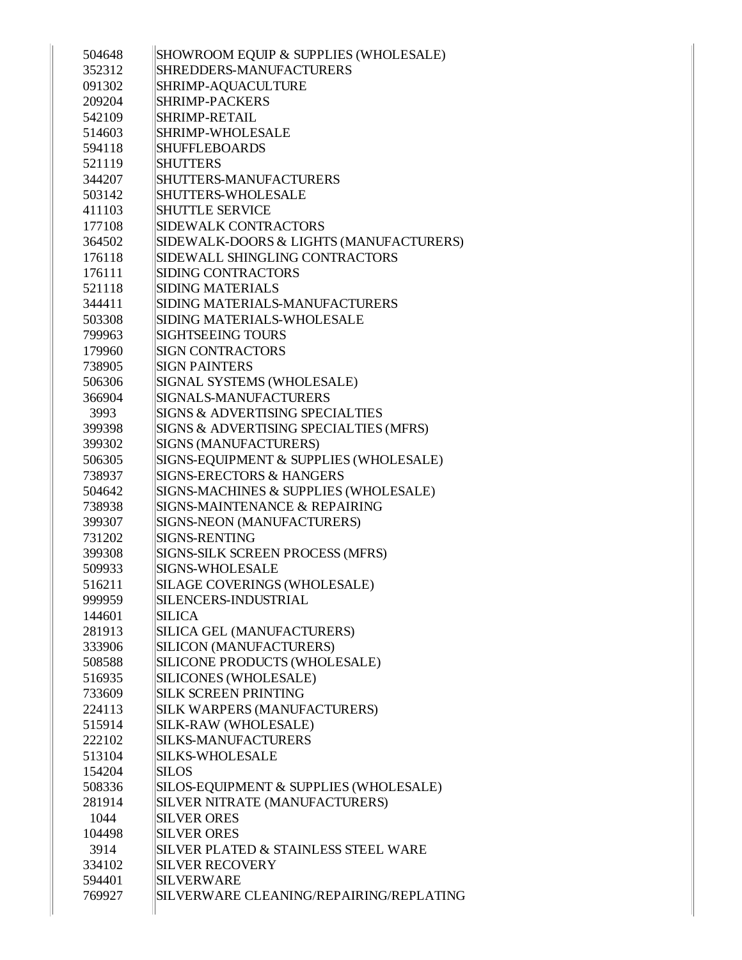| 504648 | SHOWROOM EQUIP & SUPPLIES (WHOLESALE)      |
|--------|--------------------------------------------|
| 352312 | SHREDDERS-MANUFACTURERS                    |
| 091302 | SHRIMP-AQUACULTURE                         |
| 209204 | <b>SHRIMP-PACKERS</b>                      |
| 542109 | SHRIMP-RETAIL                              |
| 514603 | <b>SHRIMP-WHOLESALE</b>                    |
| 594118 | <b>SHUFFLEBOARDS</b>                       |
| 521119 | <b>SHUTTERS</b>                            |
| 344207 | SHUTTERS-MANUFACTURERS                     |
| 503142 | <b>SHUTTERS-WHOLESALE</b>                  |
| 411103 | <b>SHUTTLE SERVICE</b>                     |
| 177108 | <b>SIDEWALK CONTRACTORS</b>                |
| 364502 | SIDEWALK-DOORS & LIGHTS (MANUFACTURERS)    |
| 176118 | SIDEWALL SHINGLING CONTRACTORS             |
| 176111 | <b>SIDING CONTRACTORS</b>                  |
| 521118 | <b>SIDING MATERIALS</b>                    |
| 344411 | SIDING MATERIALS-MANUFACTURERS             |
| 503308 | SIDING MATERIALS-WHOLESALE                 |
| 799963 | <b>SIGHTSEEING TOURS</b>                   |
| 179960 | <b>SIGN CONTRACTORS</b>                    |
| 738905 | <b>SIGN PAINTERS</b>                       |
| 506306 | SIGNAL SYSTEMS (WHOLESALE)                 |
| 366904 | SIGNALS-MANUFACTURERS                      |
| 3993   | <b>SIGNS &amp; ADVERTISING SPECIALTIES</b> |
| 399398 | SIGNS & ADVERTISING SPECIALTIES (MFRS)     |
| 399302 | SIGNS (MANUFACTURERS)                      |
| 506305 | SIGNS-EQUIPMENT & SUPPLIES (WHOLESALE)     |
| 738937 | <b>SIGNS-ERECTORS &amp; HANGERS</b>        |
| 504642 | SIGNS-MACHINES & SUPPLIES (WHOLESALE)      |
| 738938 | <b>SIGNS-MAINTENANCE &amp; REPAIRING</b>   |
| 399307 | SIGNS-NEON (MANUFACTURERS)                 |
| 731202 | <b>SIGNS-RENTING</b>                       |
| 399308 | SIGNS-SILK SCREEN PROCESS (MFRS)           |
| 509933 | <b>SIGNS-WHOLESALE</b>                     |
| 516211 | SILAGE COVERINGS (WHOLESALE)               |
| 999959 | SILENCERS-INDUSTRIAL                       |
| 144601 | <b>SILICA</b>                              |
| 281913 | SILICA GEL (MANUFACTURERS)                 |
| 333906 | SILICON (MANUFACTURERS)                    |
| 508588 | SILICONE PRODUCTS (WHOLESALE)              |
| 516935 | SILICONES (WHOLESALE)                      |
| 733609 | <b>SILK SCREEN PRINTING</b>                |
| 224113 | <b>SILK WARPERS (MANUFACTURERS)</b>        |
| 515914 | SILK-RAW (WHOLESALE)                       |
| 222102 | <b>SILKS-MANUFACTURERS</b>                 |
| 513104 | <b>SILKS-WHOLESALE</b>                     |
| 154204 | <b>SILOS</b>                               |
| 508336 | SILOS-EQUIPMENT & SUPPLIES (WHOLESALE)     |
| 281914 | <b>SILVER NITRATE (MANUFACTURERS)</b>      |
| 1044   | <b>SILVER ORES</b>                         |
| 104498 | <b>SILVER ORES</b>                         |
| 3914   | SILVER PLATED & STAINLESS STEEL WARE       |
| 334102 | <b>SILVER RECOVERY</b>                     |
| 594401 | <b>SILVERWARE</b>                          |
| 769927 | SILVERWARE CLEANING/REPAIRING/REPLATING    |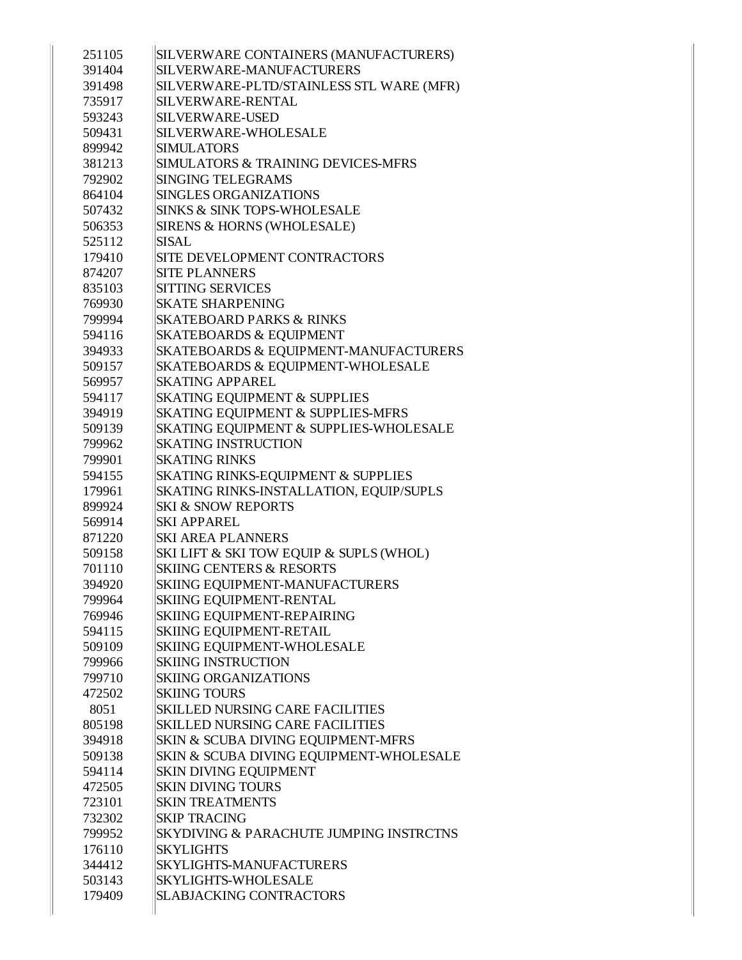| 251105 | SILVERWARE CONTAINERS (MANUFACTURERS)    |
|--------|------------------------------------------|
| 391404 | SILVERWARE-MANUFACTURERS                 |
| 391498 | SILVERWARE-PLTD/STAINLESS STL WARE (MFR) |
| 735917 | SILVERWARE-RENTAL                        |
| 593243 | SILVERWARE-USED                          |
| 509431 | SILVERWARE-WHOLESALE                     |
| 899942 | <b>SIMULATORS</b>                        |
| 381213 | SIMULATORS & TRAINING DEVICES-MFRS       |
| 792902 | <b>SINGING TELEGRAMS</b>                 |
| 864104 | <b>SINGLES ORGANIZATIONS</b>             |
| 507432 | SINKS & SINK TOPS-WHOLESALE              |
| 506353 | SIRENS & HORNS (WHOLESALE)               |
| 525112 | <b>SISAL</b>                             |
| 179410 | SITE DEVELOPMENT CONTRACTORS             |
| 874207 | <b>SITE PLANNERS</b>                     |
| 835103 | <b>SITTING SERVICES</b>                  |
| 769930 | <b>SKATE SHARPENING</b>                  |
| 799994 | <b>SKATEBOARD PARKS &amp; RINKS</b>      |
| 594116 | <b>SKATEBOARDS &amp; EQUIPMENT</b>       |
| 394933 | SKATEBOARDS & EQUIPMENT-MANUFACTURERS    |
| 509157 | SKATEBOARDS & EQUIPMENT-WHOLESALE        |
| 569957 | <b>SKATING APPAREL</b>                   |
| 594117 | <b>SKATING EQUIPMENT &amp; SUPPLIES</b>  |
| 394919 | SKATING EQUIPMENT & SUPPLIES-MFRS        |
| 509139 | SKATING EQUIPMENT & SUPPLIES-WHOLESALE   |
| 799962 | <b>SKATING INSTRUCTION</b>               |
| 799901 | <b>SKATING RINKS</b>                     |
| 594155 | SKATING RINKS-EQUIPMENT & SUPPLIES       |
| 179961 | SKATING RINKS-INSTALLATION, EQUIP/SUPLS  |
| 899924 | <b>SKI &amp; SNOW REPORTS</b>            |
| 569914 | <b>SKI APPAREL</b>                       |
| 871220 | <b>SKI AREA PLANNERS</b>                 |
| 509158 | SKI LIFT & SKI TOW EQUIP & SUPLS (WHOL)  |
| 701110 | <b>SKIING CENTERS &amp; RESORTS</b>      |
| 394920 | SKIING EQUIPMENT-MANUFACTURERS           |
| 799964 | SKIING EQUIPMENT-RENTAL                  |
| 769946 | SKIING EQUIPMENT-REPAIRING               |
| 594115 | <b>SKIING EQUIPMENT-RETAIL</b>           |
| 509109 | SKIING EQUIPMENT-WHOLESALE               |
| 799966 | <b>SKIING INSTRUCTION</b>                |
| 799710 | <b>SKIING ORGANIZATIONS</b>              |
| 472502 | <b>SKIING TOURS</b>                      |
| 8051   | <b>SKILLED NURSING CARE FACILITIES</b>   |
| 805198 | <b>SKILLED NURSING CARE FACILITIES</b>   |
| 394918 | SKIN & SCUBA DIVING EQUIPMENT-MFRS       |
| 509138 | SKIN & SCUBA DIVING EQUIPMENT-WHOLESALE  |
| 594114 | <b>SKIN DIVING EQUIPMENT</b>             |
| 472505 | <b>SKIN DIVING TOURS</b>                 |
| 723101 | <b>SKIN TREATMENTS</b>                   |
| 732302 | <b>SKIP TRACING</b>                      |
| 799952 | SKYDIVING & PARACHUTE JUMPING INSTRCTNS  |
| 176110 | <b>SKYLIGHTS</b>                         |
| 344412 | <b>SKYLIGHTS-MANUFACTURERS</b>           |
| 503143 | <b>SKYLIGHTS-WHOLESALE</b>               |
| 179409 | <b>SLABJACKING CONTRACTORS</b>           |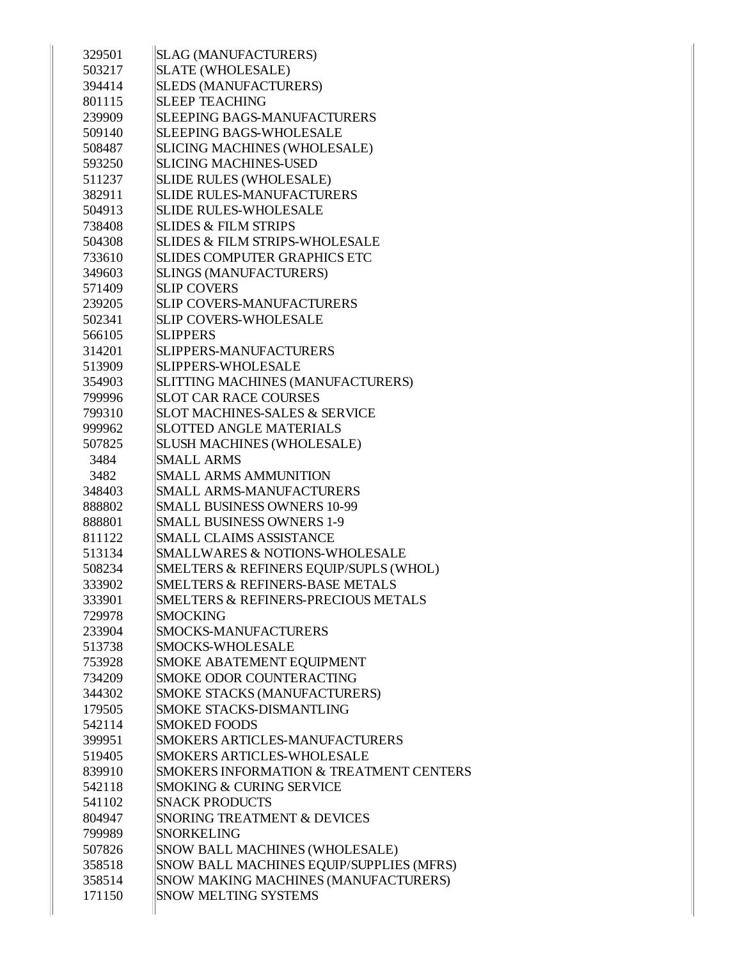| 329501 | <b>SLAG (MANUFACTURERS)</b>                    |
|--------|------------------------------------------------|
| 503217 | <b>SLATE (WHOLESALE)</b>                       |
| 394414 | <b>SLEDS (MANUFACTURERS)</b>                   |
| 801115 | <b>SLEEP TEACHING</b>                          |
| 239909 | <b>SLEEPING BAGS-MANUFACTURERS</b>             |
| 509140 | <b>SLEEPING BAGS-WHOLESALE</b>                 |
| 508487 | <b>SLICING MACHINES (WHOLESALE)</b>            |
| 593250 | <b>SLICING MACHINES-USED</b>                   |
| 511237 | <b>SLIDE RULES (WHOLESALE)</b>                 |
| 382911 | <b>SLIDE RULES-MANUFACTURERS</b>               |
| 504913 | <b>SLIDE RULES-WHOLESALE</b>                   |
| 738408 | <b>SLIDES &amp; FILM STRIPS</b>                |
| 504308 | <b>SLIDES &amp; FILM STRIPS-WHOLESALE</b>      |
| 733610 | <b>SLIDES COMPUTER GRAPHICS ETC</b>            |
| 349603 | <b>SLINGS (MANUFACTURERS)</b>                  |
| 571409 | <b>SLIP COVERS</b>                             |
| 239205 | SLIP COVERS-MANUFACTURERS                      |
| 502341 | SLIP COVERS-WHOLESALE                          |
| 566105 | <b>SLIPPERS</b>                                |
| 314201 | <b>SLIPPERS-MANUFACTURERS</b>                  |
| 513909 | <b>SLIPPERS-WHOLESALE</b>                      |
| 354903 | SLITTING MACHINES (MANUFACTURERS)              |
| 799996 | <b>SLOT CAR RACE COURSES</b>                   |
| 799310 | <b>SLOT MACHINES-SALES &amp; SERVICE</b>       |
| 999962 | <b>SLOTTED ANGLE MATERIALS</b>                 |
| 507825 | <b>SLUSH MACHINES (WHOLESALE)</b>              |
| 3484   | <b>SMALL ARMS</b>                              |
| 3482   | <b>SMALL ARMS AMMUNITION</b>                   |
| 348403 | SMALL ARMS-MANUFACTURERS                       |
| 888802 | <b>SMALL BUSINESS OWNERS 10-99</b>             |
| 888801 | <b>SMALL BUSINESS OWNERS 1-9</b>               |
| 811122 | <b>SMALL CLAIMS ASSISTANCE</b>                 |
| 513134 | <b>SMALLWARES &amp; NOTIONS-WHOLESALE</b>      |
| 508234 | SMELTERS & REFINERS EQUIP/SUPLS (WHOL)         |
| 333902 | SMELTERS & REFINERS-BASE METALS                |
| 333901 | <b>SMELTERS &amp; REFINERS-PRECIOUS METALS</b> |
| 729978 | <b>SMOCKING</b>                                |
| 233904 | <b>SMOCKS-MANUFACTURERS</b>                    |
| 513738 | <b>SMOCKS-WHOLESALE</b>                        |
| 753928 | SMOKE ABATEMENT EQUIPMENT                      |
| 734209 | SMOKE ODOR COUNTERACTING                       |
| 344302 | SMOKE STACKS (MANUFACTURERS)                   |
| 179505 | SMOKE STACKS-DISMANTLING                       |
| 542114 | <b>SMOKED FOODS</b>                            |
| 399951 | SMOKERS ARTICLES-MANUFACTURERS                 |
| 519405 | <b>SMOKERS ARTICLES-WHOLESALE</b>              |
| 839910 | SMOKERS INFORMATION & TREATMENT CENTERS        |
| 542118 | SMOKING & CURING SERVICE                       |
| 541102 | <b>SNACK PRODUCTS</b>                          |
| 804947 | SNORING TREATMENT & DEVICES                    |
| 799989 | <b>SNORKELING</b>                              |
| 507826 | SNOW BALL MACHINES (WHOLESALE)                 |
| 358518 | SNOW BALL MACHINES EQUIP/SUPPLIES (MFRS)       |
| 358514 | SNOW MAKING MACHINES (MANUFACTURERS)           |
| 171150 | SNOW MELTING SYSTEMS                           |
|        |                                                |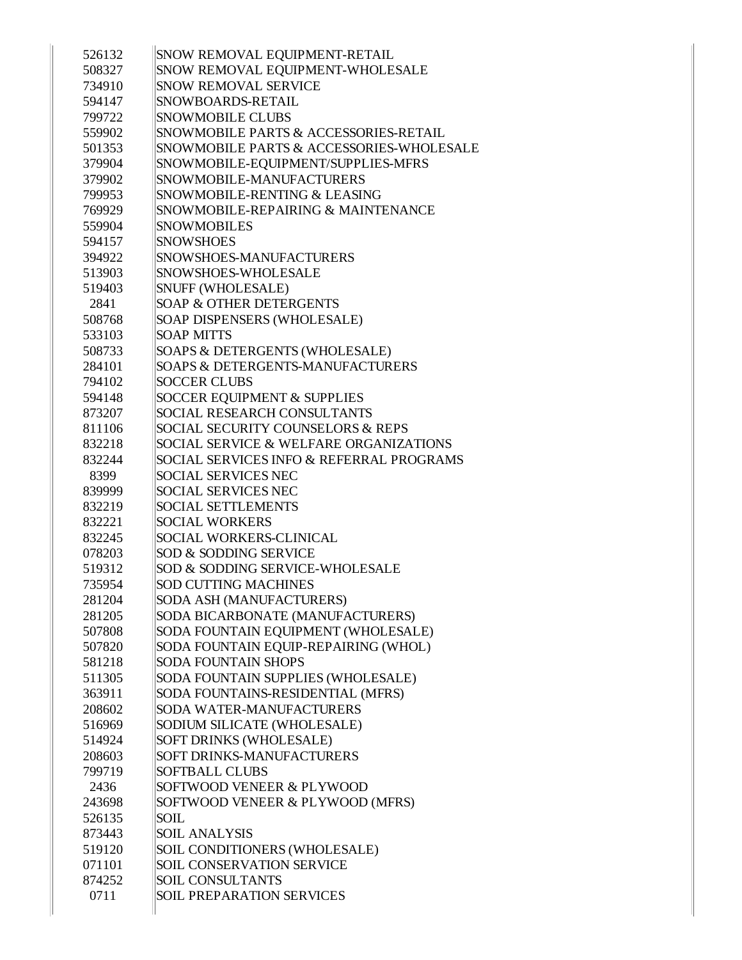| 526132 | SNOW REMOVAL EQUIPMENT-RETAIL               |
|--------|---------------------------------------------|
| 508327 | SNOW REMOVAL EQUIPMENT-WHOLESALE            |
| 734910 | <b>SNOW REMOVAL SERVICE</b>                 |
| 594147 | <b>SNOWBOARDS-RETAIL</b>                    |
| 799722 | <b>SNOWMOBILE CLUBS</b>                     |
| 559902 | SNOWMOBILE PARTS & ACCESSORIES-RETAIL       |
| 501353 | SNOWMOBILE PARTS & ACCESSORIES-WHOLESALE    |
| 379904 | SNOWMOBILE-EQUIPMENT/SUPPLIES-MFRS          |
| 379902 | SNOWMOBILE-MANUFACTURERS                    |
| 799953 | SNOWMOBILE-RENTING & LEASING                |
| 769929 | SNOWMOBILE-REPAIRING & MAINTENANCE          |
| 559904 | <b>SNOWMOBILES</b>                          |
| 594157 | <b>SNOWSHOES</b>                            |
| 394922 | SNOWSHOES-MANUFACTURERS                     |
| 513903 | SNOWSHOES-WHOLESALE                         |
| 519403 | <b>SNUFF (WHOLESALE)</b>                    |
| 2841   | <b>SOAP &amp; OTHER DETERGENTS</b>          |
| 508768 | SOAP DISPENSERS (WHOLESALE)                 |
| 533103 | <b>SOAP MITTS</b>                           |
| 508733 | SOAPS & DETERGENTS (WHOLESALE)              |
| 284101 | <b>SOAPS &amp; DETERGENTS-MANUFACTURERS</b> |
| 794102 | <b>SOCCER CLUBS</b>                         |
| 594148 | <b>SOCCER EQUIPMENT &amp; SUPPLIES</b>      |
| 873207 | <b>SOCIAL RESEARCH CONSULTANTS</b>          |
| 811106 | SOCIAL SECURITY COUNSELORS & REPS           |
| 832218 | SOCIAL SERVICE & WELFARE ORGANIZATIONS      |
| 832244 | SOCIAL SERVICES INFO & REFERRAL PROGRAMS    |
| 8399   | <b>SOCIAL SERVICES NEC</b>                  |
| 839999 | <b>SOCIAL SERVICES NEC</b>                  |
| 832219 | <b>SOCIAL SETTLEMENTS</b>                   |
| 832221 | <b>SOCIAL WORKERS</b>                       |
| 832245 | <b>SOCIAL WORKERS-CLINICAL</b>              |
| 078203 | <b>SOD &amp; SODDING SERVICE</b>            |
| 519312 | SOD & SODDING SERVICE-WHOLESALE             |
| 735954 | <b>SOD CUTTING MACHINES</b>                 |
| 281204 | SODA ASH (MANUFACTURERS)                    |
| 281205 | SODA BICARBONATE (MANUFACTURERS)            |
| 507808 | SODA FOUNTAIN EQUIPMENT (WHOLESALE)         |
| 507820 | SODA FOUNTAIN EQUIP-REPAIRING (WHOL)        |
| 581218 | <b>SODA FOUNTAIN SHOPS</b>                  |
| 511305 | SODA FOUNTAIN SUPPLIES (WHOLESALE)          |
| 363911 | SODA FOUNTAINS-RESIDENTIAL (MFRS)           |
| 208602 | <b>SODA WATER-MANUFACTURERS</b>             |
| 516969 | SODIUM SILICATE (WHOLESALE)                 |
| 514924 | SOFT DRINKS (WHOLESALE)                     |
| 208603 | SOFT DRINKS-MANUFACTURERS                   |
| 799719 | <b>SOFTBALL CLUBS</b>                       |
| 2436   | SOFTWOOD VENEER & PLYWOOD                   |
| 243698 | SOFTWOOD VENEER & PLYWOOD (MFRS)            |
| 526135 | SOIL                                        |
| 873443 | <b>SOIL ANALYSIS</b>                        |
| 519120 | SOIL CONDITIONERS (WHOLESALE)               |
| 071101 | <b>SOIL CONSERVATION SERVICE</b>            |
| 874252 | <b>SOIL CONSULTANTS</b>                     |
| 0711   | <b>SOIL PREPARATION SERVICES</b>            |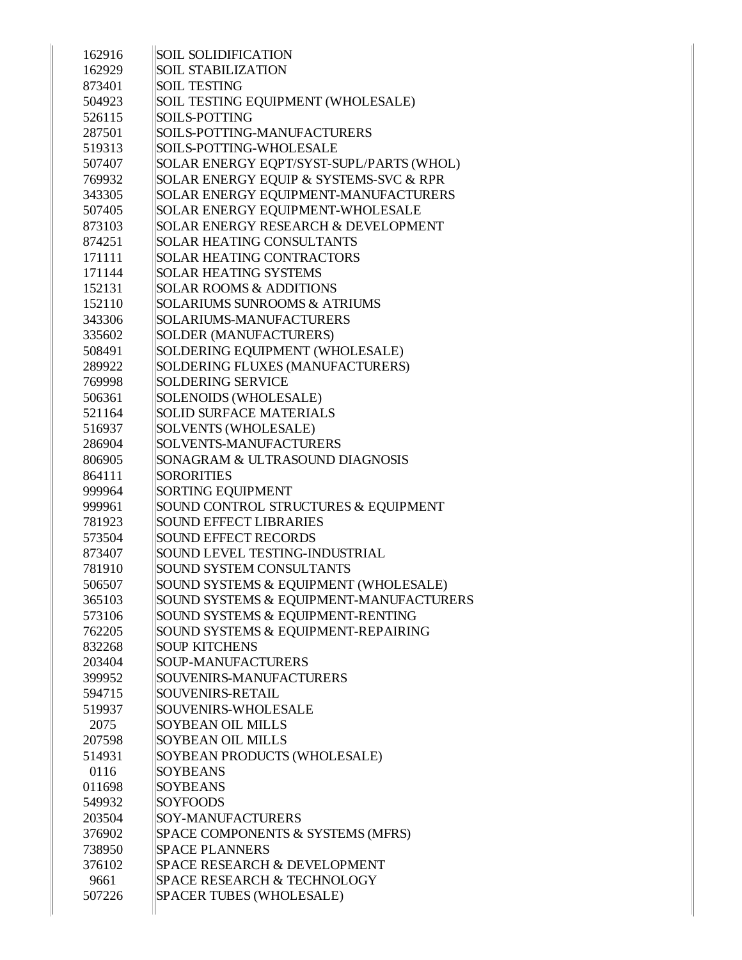| 162916 | <b>SOIL SOLIDIFICATION</b>                     |
|--------|------------------------------------------------|
| 162929 | <b>SOIL STABILIZATION</b>                      |
| 873401 | <b>SOIL TESTING</b>                            |
| 504923 | SOIL TESTING EQUIPMENT (WHOLESALE)             |
| 526115 | <b>SOILS-POTTING</b>                           |
| 287501 | SOILS-POTTING-MANUFACTURERS                    |
| 519313 | SOILS-POTTING-WHOLESALE                        |
| 507407 | SOLAR ENERGY EQPT/SYST-SUPL/PARTS (WHOL)       |
| 769932 | SOLAR ENERGY EQUIP & SYSTEMS-SVC & RPR         |
| 343305 | SOLAR ENERGY EQUIPMENT-MANUFACTURERS           |
| 507405 | SOLAR ENERGY EQUIPMENT-WHOLESALE               |
| 873103 | <b>SOLAR ENERGY RESEARCH &amp; DEVELOPMENT</b> |
| 874251 | <b>SOLAR HEATING CONSULTANTS</b>               |
| 171111 | <b>SOLAR HEATING CONTRACTORS</b>               |
| 171144 | <b>SOLAR HEATING SYSTEMS</b>                   |
| 152131 | <b>SOLAR ROOMS &amp; ADDITIONS</b>             |
| 152110 | <b>SOLARIUMS SUNROOMS &amp; ATRIUMS</b>        |
| 343306 | <b>SOLARIUMS-MANUFACTURERS</b>                 |
| 335602 | <b>SOLDER (MANUFACTURERS)</b>                  |
| 508491 | SOLDERING EQUIPMENT (WHOLESALE)                |
| 289922 | SOLDERING FLUXES (MANUFACTURERS)               |
| 769998 | <b>SOLDERING SERVICE</b>                       |
| 506361 | SOLENOIDS (WHOLESALE)                          |
| 521164 | <b>SOLID SURFACE MATERIALS</b>                 |
| 516937 | SOLVENTS (WHOLESALE)                           |
| 286904 | SOLVENTS-MANUFACTURERS                         |
| 806905 | SONAGRAM & ULTRASOUND DIAGNOSIS                |
| 864111 | <b>SORORITIES</b>                              |
| 999964 | <b>SORTING EQUIPMENT</b>                       |
| 999961 | SOUND CONTROL STRUCTURES & EQUIPMENT           |
| 781923 | <b>SOUND EFFECT LIBRARIES</b>                  |
| 573504 | <b>SOUND EFFECT RECORDS</b>                    |
| 873407 | SOUND LEVEL TESTING-INDUSTRIAL                 |
| 781910 | <b>SOUND SYSTEM CONSULTANTS</b>                |
| 506507 | SOUND SYSTEMS & EQUIPMENT (WHOLESALE)          |
| 365103 | SOUND SYSTEMS & EQUIPMENT-MANUFACTURERS        |
| 573106 | SOUND SYSTEMS & EQUIPMENT-RENTING              |
| 762205 | SOUND SYSTEMS & EQUIPMENT-REPAIRING            |
| 832268 | <b>SOUP KITCHENS</b>                           |
| 203404 | <b>SOUP-MANUFACTURERS</b>                      |
| 399952 | SOUVENIRS-MANUFACTURERS                        |
| 594715 | SOUVENIRS-RETAIL                               |
| 519937 | SOUVENIRS-WHOLESALE                            |
| 2075   | <b>SOYBEAN OIL MILLS</b>                       |
| 207598 | <b>SOYBEAN OIL MILLS</b>                       |
| 514931 | SOYBEAN PRODUCTS (WHOLESALE)                   |
| 0116   | <b>SOYBEANS</b>                                |
| 011698 | <b>SOYBEANS</b>                                |
| 549932 | <b>SOYFOODS</b>                                |
| 203504 | SOY-MANUFACTURERS                              |
| 376902 | SPACE COMPONENTS & SYSTEMS (MFRS)              |
| 738950 | <b>SPACE PLANNERS</b>                          |
| 376102 | <b>SPACE RESEARCH &amp; DEVELOPMENT</b>        |
| 9661   | <b>SPACE RESEARCH &amp; TECHNOLOGY</b>         |
| 507226 | SPACER TUBES (WHOLESALE)                       |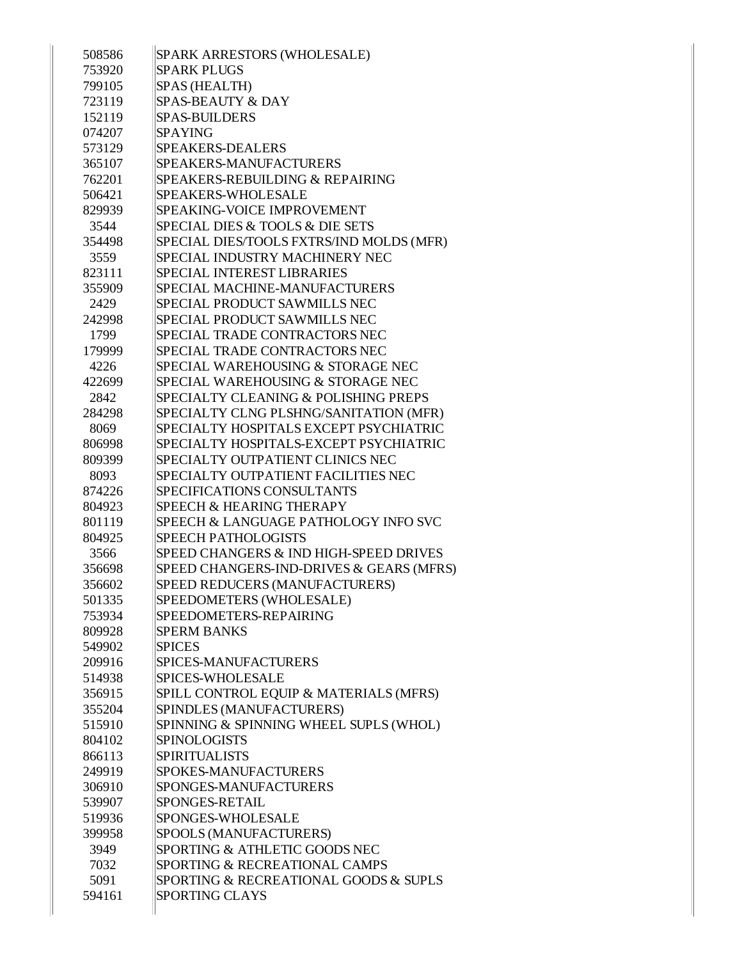| 508586 | SPARK ARRESTORS (WHOLESALE)              |
|--------|------------------------------------------|
| 753920 | <b>SPARK PLUGS</b>                       |
| 799105 | SPAS (HEALTH)                            |
| 723119 | <b>SPAS-BEAUTY &amp; DAY</b>             |
| 152119 | <b>SPAS-BUILDERS</b>                     |
| 074207 | <b>SPAYING</b>                           |
| 573129 | <b>SPEAKERS-DEALERS</b>                  |
| 365107 | SPEAKERS-MANUFACTURERS                   |
| 762201 | SPEAKERS-REBUILDING & REPAIRING          |
| 506421 | <b>SPEAKERS-WHOLESALE</b>                |
| 829939 | SPEAKING-VOICE IMPROVEMENT               |
| 3544   | SPECIAL DIES & TOOLS & DIE SETS          |
| 354498 | SPECIAL DIES/TOOLS FXTRS/IND MOLDS (MFR) |
| 3559   | SPECIAL INDUSTRY MACHINERY NEC           |
| 823111 | SPECIAL INTEREST LIBRARIES               |
| 355909 | SPECIAL MACHINE-MANUFACTURERS            |
| 2429   | SPECIAL PRODUCT SAWMILLS NEC             |
| 242998 | SPECIAL PRODUCT SAWMILLS NEC             |
| 1799   | <b>SPECIAL TRADE CONTRACTORS NEC</b>     |
| 179999 | SPECIAL TRADE CONTRACTORS NEC            |
| 4226   | SPECIAL WAREHOUSING & STORAGE NEC        |
| 422699 | SPECIAL WAREHOUSING & STORAGE NEC        |
| 2842   | SPECIALTY CLEANING & POLISHING PREPS     |
| 284298 | SPECIALTY CLNG PLSHNG/SANITATION (MFR)   |
| 8069   | SPECIALTY HOSPITALS EXCEPT PSYCHIATRIC   |
| 806998 | SPECIALTY HOSPITALS-EXCEPT PSYCHIATRIC   |
| 809399 | SPECIALTY OUTPATIENT CLINICS NEC         |
| 8093   | SPECIALTY OUTPATIENT FACILITIES NEC      |
| 874226 | SPECIFICATIONS CONSULTANTS               |
| 804923 | SPEECH & HEARING THERAPY                 |
| 801119 | SPEECH & LANGUAGE PATHOLOGY INFO SVC     |
| 804925 | <b>SPEECH PATHOLOGISTS</b>               |
| 3566   | SPEED CHANGERS & IND HIGH-SPEED DRIVES   |
| 356698 | SPEED CHANGERS-IND-DRIVES & GEARS (MFRS) |
| 356602 | SPEED REDUCERS (MANUFACTURERS)           |
| 501335 | SPEEDOMETERS (WHOLESALE)                 |
| 753934 | SPEEDOMETERS-REPAIRING                   |
| 809928 | <b>SPERM BANKS</b>                       |
| 549902 | <b>SPICES</b>                            |
| 209916 | <b>SPICES-MANUFACTURERS</b>              |
| 514938 | <b>SPICES-WHOLESALE</b>                  |
| 356915 | SPILL CONTROL EQUIP & MATERIALS (MFRS)   |
| 355204 | SPINDLES (MANUFACTURERS)                 |
| 515910 | SPINNING & SPINNING WHEEL SUPLS (WHOL)   |
| 804102 | <b>SPINOLOGISTS</b>                      |
|        | <b>SPIRITUALISTS</b>                     |
| 866113 |                                          |
| 249919 | <b>SPOKES-MANUFACTURERS</b>              |
| 306910 | SPONGES-MANUFACTURERS                    |
| 539907 | SPONGES-RETAIL                           |
| 519936 | SPONGES-WHOLESALE                        |
| 399958 | SPOOLS (MANUFACTURERS)                   |
| 3949   | SPORTING & ATHLETIC GOODS NEC            |
| 7032   | SPORTING & RECREATIONAL CAMPS            |
| 5091   | SPORTING & RECREATIONAL GOODS & SUPLS    |
| 594161 | <b>SPORTING CLAYS</b>                    |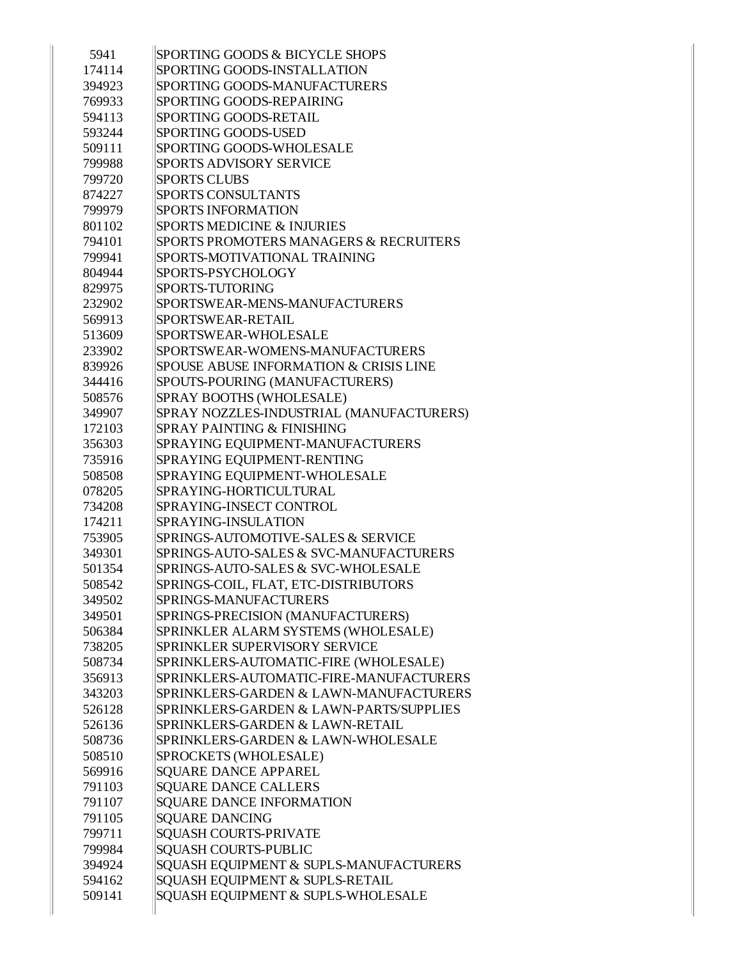| 5941   | SPORTING GOODS & BICYCLE SHOPS           |
|--------|------------------------------------------|
| 174114 | SPORTING GOODS-INSTALLATION              |
| 394923 | SPORTING GOODS-MANUFACTURERS             |
| 769933 | SPORTING GOODS-REPAIRING                 |
| 594113 | SPORTING GOODS-RETAIL                    |
| 593244 | <b>SPORTING GOODS-USED</b>               |
| 509111 | SPORTING GOODS-WHOLESALE                 |
| 799988 | SPORTS ADVISORY SERVICE                  |
| 799720 | <b>SPORTS CLUBS</b>                      |
| 874227 | <b>SPORTS CONSULTANTS</b>                |
| 799979 | <b>SPORTS INFORMATION</b>                |
| 801102 | <b>SPORTS MEDICINE &amp; INJURIES</b>    |
| 794101 | SPORTS PROMOTERS MANAGERS & RECRUITERS   |
| 799941 | SPORTS-MOTIVATIONAL TRAINING             |
| 804944 | SPORTS-PSYCHOLOGY                        |
| 829975 | SPORTS-TUTORING                          |
| 232902 | SPORTSWEAR-MENS-MANUFACTURERS            |
| 569913 | SPORTSWEAR-RETAIL                        |
| 513609 | SPORTSWEAR-WHOLESALE                     |
| 233902 | SPORTSWEAR-WOMENS-MANUFACTURERS          |
| 839926 | SPOUSE ABUSE INFORMATION & CRISIS LINE   |
| 344416 | SPOUTS-POURING (MANUFACTURERS)           |
| 508576 | SPRAY BOOTHS (WHOLESALE)                 |
| 349907 | SPRAY NOZZLES-INDUSTRIAL (MANUFACTURERS) |
| 172103 | SPRAY PAINTING & FINISHING               |
| 356303 | SPRAYING EQUIPMENT-MANUFACTURERS         |
| 735916 | SPRAYING EQUIPMENT-RENTING               |
| 508508 | SPRAYING EQUIPMENT-WHOLESALE             |
| 078205 | SPRAYING-HORTICULTURAL                   |
| 734208 | SPRAYING-INSECT CONTROL                  |
| 174211 | SPRAYING-INSULATION                      |
| 753905 | SPRINGS-AUTOMOTIVE-SALES & SERVICE       |
| 349301 | SPRINGS-AUTO-SALES & SVC-MANUFACTURERS   |
| 501354 | SPRINGS-AUTO-SALES & SVC-WHOLESALE       |
| 508542 | SPRINGS-COIL, FLAT, ETC-DISTRIBUTORS     |
| 349502 | SPRINGS-MANUFACTURERS                    |
| 349501 | SPRINGS-PRECISION (MANUFACTURERS)        |
| 506384 | SPRINKLER ALARM SYSTEMS (WHOLESALE)      |
| 738205 | SPRINKLER SUPERVISORY SERVICE            |
| 508734 | SPRINKLERS-AUTOMATIC-FIRE (WHOLESALE)    |
| 356913 | SPRINKLERS-AUTOMATIC-FIRE-MANUFACTURERS  |
| 343203 | SPRINKLERS-GARDEN & LAWN-MANUFACTURERS   |
| 526128 | SPRINKLERS-GARDEN & LAWN-PARTS/SUPPLIES  |
| 526136 | SPRINKLERS-GARDEN & LAWN-RETAIL          |
| 508736 | SPRINKLERS-GARDEN & LAWN-WHOLESALE       |
| 508510 | SPROCKETS (WHOLESALE)                    |
| 569916 | <b>SQUARE DANCE APPAREL</b>              |
| 791103 | <b>SQUARE DANCE CALLERS</b>              |
| 791107 | SQUARE DANCE INFORMATION                 |
| 791105 | <b>SQUARE DANCING</b>                    |
| 799711 | <b>SQUASH COURTS-PRIVATE</b>             |
| 799984 | <b>SQUASH COURTS-PUBLIC</b>              |
| 394924 | SQUASH EQUIPMENT & SUPLS-MANUFACTURERS   |
| 594162 | SQUASH EQUIPMENT & SUPLS-RETAIL          |
| 509141 | SQUASH EQUIPMENT & SUPLS-WHOLESALE       |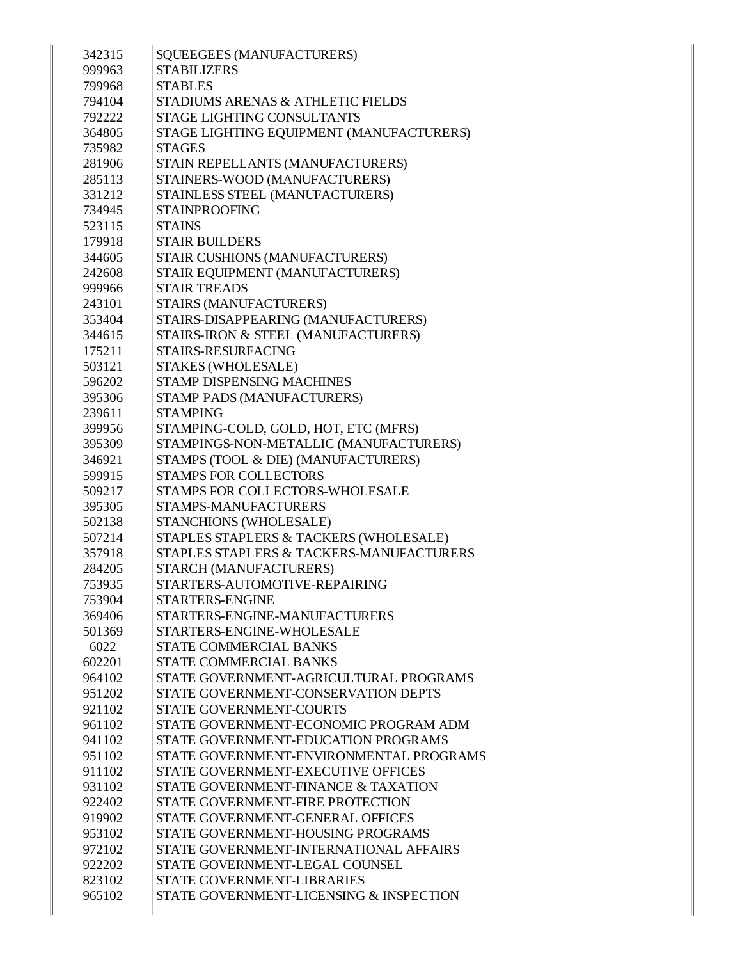| 342315 | <b>SQUEEGEES (MANUFACTURERS)</b>                    |
|--------|-----------------------------------------------------|
| 999963 | <b>STABILIZERS</b>                                  |
| 799968 | <b>STABLES</b>                                      |
| 794104 | STADIUMS ARENAS & ATHLETIC FIELDS                   |
| 792222 | <b>STAGE LIGHTING CONSULTANTS</b>                   |
| 364805 | STAGE LIGHTING EQUIPMENT (MANUFACTURERS)            |
| 735982 | <b>STAGES</b>                                       |
| 281906 | STAIN REPELLANTS (MANUFACTURERS)                    |
| 285113 | STAINERS-WOOD (MANUFACTURERS)                       |
| 331212 | STAINLESS STEEL (MANUFACTURERS)                     |
| 734945 | <b>STAINPROOFING</b>                                |
| 523115 | <b>STAINS</b>                                       |
| 179918 | <b>STAIR BUILDERS</b>                               |
| 344605 | STAIR CUSHIONS (MANUFACTURERS)                      |
| 242608 | STAIR EQUIPMENT (MANUFACTURERS)                     |
| 999966 | <b>STAIR TREADS</b>                                 |
| 243101 | STAIRS (MANUFACTURERS)                              |
| 353404 | STAIRS-DISAPPEARING (MANUFACTURERS)                 |
| 344615 | STAIRS-IRON & STEEL (MANUFACTURERS)                 |
| 175211 | <b>STAIRS-RESURFACING</b>                           |
| 503121 | <b>STAKES (WHOLESALE)</b>                           |
| 596202 | <b>STAMP DISPENSING MACHINES</b>                    |
| 395306 | STAMP PADS (MANUFACTURERS)                          |
| 239611 | <b>STAMPING</b>                                     |
| 399956 | STAMPING-COLD, GOLD, HOT, ETC (MFRS)                |
| 395309 | STAMPINGS-NON-METALLIC (MANUFACTURERS)              |
| 346921 | STAMPS (TOOL & DIE) (MANUFACTURERS)                 |
| 599915 | <b>STAMPS FOR COLLECTORS</b>                        |
| 509217 | STAMPS FOR COLLECTORS-WHOLESALE                     |
| 395305 | STAMPS-MANUFACTURERS                                |
| 502138 | STANCHIONS (WHOLESALE)                              |
| 507214 | STAPLES STAPLERS & TACKERS (WHOLESALE)              |
| 357918 | <b>STAPLES STAPLERS &amp; TACKERS-MANUFACTURERS</b> |
| 284205 | STARCH (MANUFACTURERS)                              |
| 753935 | STARTERS-AUTOMOTIVE-REPAIRING                       |
| 753904 | <b>STARTERS-ENGINE</b>                              |
| 369406 | STARTERS-ENGINE-MANUFACTURERS                       |
| 501369 | STARTERS-ENGINE-WHOLESALE                           |
| 6022   | <b>STATE COMMERCIAL BANKS</b>                       |
| 602201 | <b>STATE COMMERCIAL BANKS</b>                       |
| 964102 | STATE GOVERNMENT-AGRICULTURAL PROGRAMS              |
| 951202 | STATE GOVERNMENT-CONSERVATION DEPTS                 |
| 921102 | <b>STATE GOVERNMENT-COURTS</b>                      |
| 961102 | STATE GOVERNMENT-ECONOMIC PROGRAM ADM               |
| 941102 | STATE GOVERNMENT-EDUCATION PROGRAMS                 |
| 951102 | STATE GOVERNMENT-ENVIRONMENTAL PROGRAMS             |
| 911102 | STATE GOVERNMENT-EXECUTIVE OFFICES                  |
| 931102 | STATE GOVERNMENT-FINANCE & TAXATION                 |
| 922402 | STATE GOVERNMENT-FIRE PROTECTION                    |
| 919902 | <b>STATE GOVERNMENT-GENERAL OFFICES</b>             |
| 953102 | STATE GOVERNMENT-HOUSING PROGRAMS                   |
| 972102 | STATE GOVERNMENT-INTERNATIONAL AFFAIRS              |
| 922202 | STATE GOVERNMENT-LEGAL COUNSEL                      |
| 823102 | STATE GOVERNMENT-LIBRARIES                          |
| 965102 | STATE GOVERNMENT-LICENSING & INSPECTION             |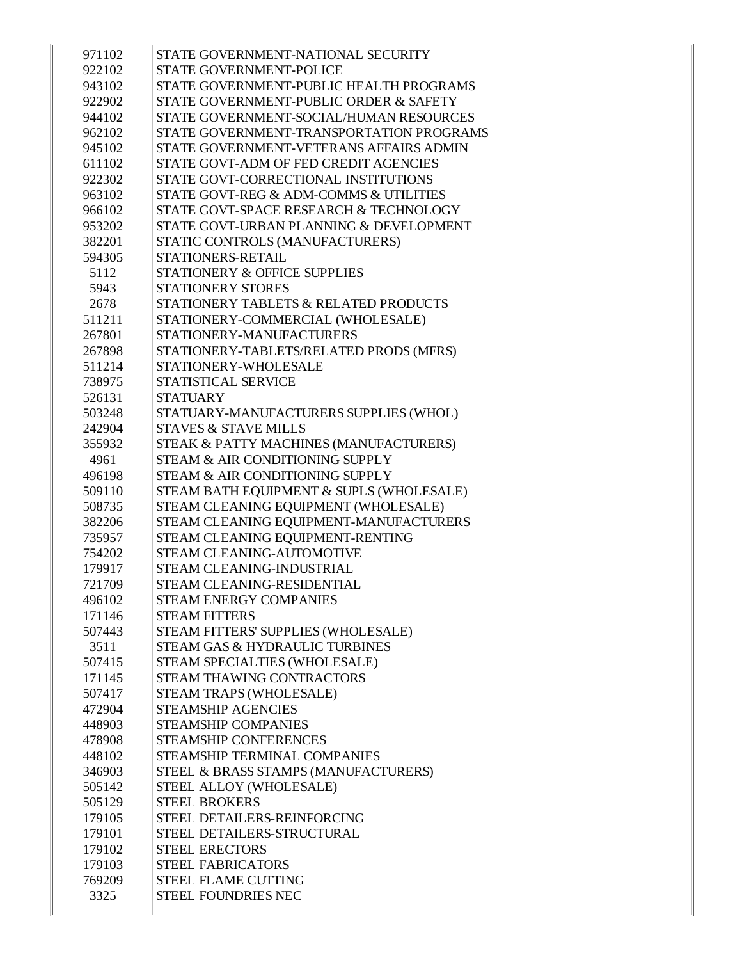| 971102 | STATE GOVERNMENT-NATIONAL SECURITY       |
|--------|------------------------------------------|
| 922102 | STATE GOVERNMENT-POLICE                  |
| 943102 | STATE GOVERNMENT-PUBLIC HEALTH PROGRAMS  |
| 922902 | STATE GOVERNMENT-PUBLIC ORDER & SAFETY   |
| 944102 | STATE GOVERNMENT-SOCIAL/HUMAN RESOURCES  |
| 962102 | STATE GOVERNMENT-TRANSPORTATION PROGRAMS |
| 945102 | STATE GOVERNMENT-VETERANS AFFAIRS ADMIN  |
| 611102 | STATE GOVT-ADM OF FED CREDIT AGENCIES    |
| 922302 | STATE GOVT-CORRECTIONAL INSTITUTIONS     |
| 963102 | STATE GOVT-REG & ADM-COMMS & UTILITIES   |
| 966102 | STATE GOVT-SPACE RESEARCH & TECHNOLOGY   |
| 953202 | STATE GOVT-URBAN PLANNING & DEVELOPMENT  |
| 382201 | STATIC CONTROLS (MANUFACTURERS)          |
| 594305 | STATIONERS-RETAIL                        |
| 5112   | <b>STATIONERY &amp; OFFICE SUPPLIES</b>  |
| 5943   | <b>STATIONERY STORES</b>                 |
| 2678   | STATIONERY TABLETS & RELATED PRODUCTS    |
| 511211 | STATIONERY-COMMERCIAL (WHOLESALE)        |
| 267801 | STATIONERY-MANUFACTURERS                 |
| 267898 | STATIONERY-TABLETS/RELATED PRODS (MFRS)  |
| 511214 | STATIONERY-WHOLESALE                     |
| 738975 | STATISTICAL SERVICE                      |
| 526131 | <b>STATUARY</b>                          |
| 503248 | STATUARY-MANUFACTURERS SUPPLIES (WHOL)   |
| 242904 | <b>STAVES &amp; STAVE MILLS</b>          |
| 355932 | STEAK & PATTY MACHINES (MANUFACTURERS)   |
| 4961   | STEAM & AIR CONDITIONING SUPPLY          |
| 496198 | STEAM & AIR CONDITIONING SUPPLY          |
| 509110 | STEAM BATH EQUIPMENT & SUPLS (WHOLESALE) |
| 508735 | STEAM CLEANING EQUIPMENT (WHOLESALE)     |
| 382206 | STEAM CLEANING EQUIPMENT-MANUFACTURERS   |
| 735957 | STEAM CLEANING EQUIPMENT-RENTING         |
| 754202 | STEAM CLEANING-AUTOMOTIVE                |
| 179917 | <b>STEAM CLEANING-INDUSTRIAL</b>         |
| 721709 | STEAM CLEANING-RESIDENTIAL               |
| 496102 | <b>STEAM ENERGY COMPANIES</b>            |
| 171146 | <b>STEAM FITTERS</b>                     |
| 507443 | STEAM FITTERS' SUPPLIES (WHOLESALE)      |
| 3511   | STEAM GAS & HYDRAULIC TURBINES           |
| 507415 | STEAM SPECIALTIES (WHOLESALE)            |
| 171145 | <b>STEAM THAWING CONTRACTORS</b>         |
| 507417 | STEAM TRAPS (WHOLESALE)                  |
| 472904 | <b>STEAMSHIP AGENCIES</b>                |
| 448903 | <b>STEAMSHIP COMPANIES</b>               |
| 478908 | STEAMSHIP CONFERENCES                    |
| 448102 | STEAMSHIP TERMINAL COMPANIES             |
| 346903 | STEEL & BRASS STAMPS (MANUFACTURERS)     |
| 505142 | STEEL ALLOY (WHOLESALE)                  |
| 505129 | <b>STEEL BROKERS</b>                     |
| 179105 | STEEL DETAILERS-REINFORCING              |
| 179101 | STEEL DETAILERS-STRUCTURAL               |
| 179102 | <b>STEEL ERECTORS</b>                    |
| 179103 | <b>STEEL FABRICATORS</b>                 |
| 769209 | <b>STEEL FLAME CUTTING</b>               |
| 3325   | <b>STEEL FOUNDRIES NEC</b>               |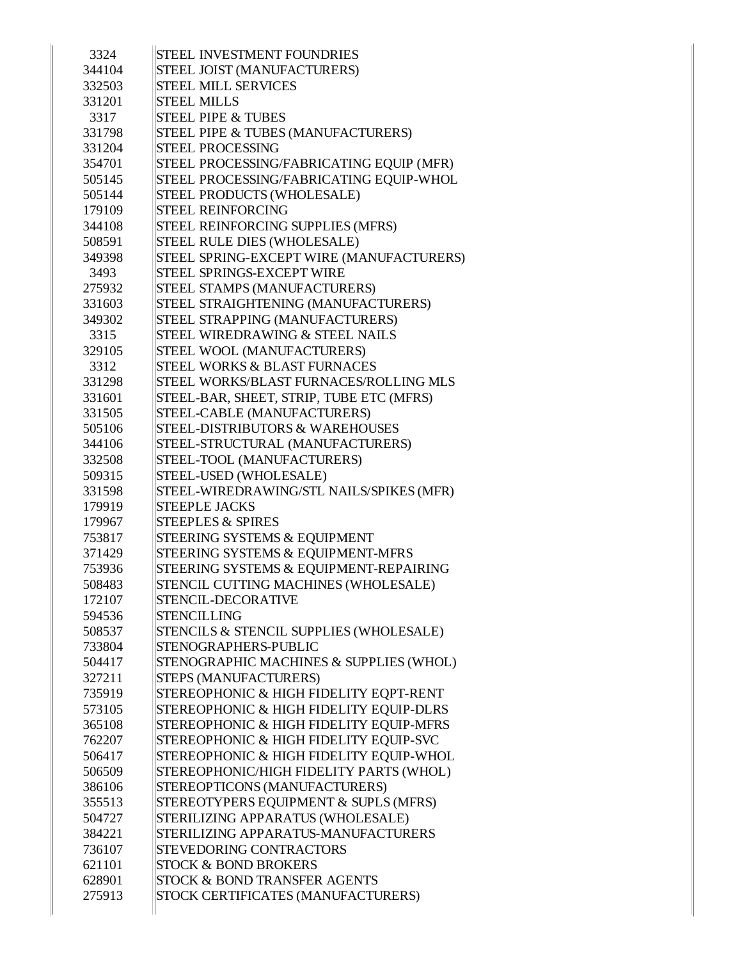| 3324   | <b>STEEL INVESTMENT FOUNDRIES</b>          |
|--------|--------------------------------------------|
| 344104 | STEEL JOIST (MANUFACTURERS)                |
| 332503 | <b>STEEL MILL SERVICES</b>                 |
| 331201 | <b>STEEL MILLS</b>                         |
| 3317   | <b>STEEL PIPE &amp; TUBES</b>              |
| 331798 | STEEL PIPE & TUBES (MANUFACTURERS)         |
| 331204 | <b>STEEL PROCESSING</b>                    |
| 354701 | STEEL PROCESSING/FABRICATING EQUIP (MFR)   |
| 505145 | STEEL PROCESSING/FABRICATING EQUIP-WHOL    |
| 505144 | STEEL PRODUCTS (WHOLESALE)                 |
| 179109 | <b>STEEL REINFORCING</b>                   |
| 344108 | STEEL REINFORCING SUPPLIES (MFRS)          |
| 508591 | STEEL RULE DIES (WHOLESALE)                |
| 349398 | STEEL SPRING-EXCEPT WIRE (MANUFACTURERS)   |
| 3493   | STEEL SPRINGS-EXCEPT WIRE                  |
| 275932 | STEEL STAMPS (MANUFACTURERS)               |
| 331603 | STEEL STRAIGHTENING (MANUFACTURERS)        |
| 349302 | STEEL STRAPPING (MANUFACTURERS)            |
| 3315   | STEEL WIREDRAWING & STEEL NAILS            |
| 329105 | STEEL WOOL (MANUFACTURERS)                 |
| 3312   | STEEL WORKS & BLAST FURNACES               |
| 331298 | STEEL WORKS/BLAST FURNACES/ROLLING MLS     |
| 331601 | STEEL-BAR, SHEET, STRIP, TUBE ETC (MFRS)   |
| 331505 | STEEL-CABLE (MANUFACTURERS)                |
| 505106 | <b>STEEL-DISTRIBUTORS &amp; WAREHOUSES</b> |
| 344106 | STEEL-STRUCTURAL (MANUFACTURERS)           |
| 332508 | STEEL-TOOL (MANUFACTURERS)                 |
| 509315 | STEEL-USED (WHOLESALE)                     |
| 331598 | STEEL-WIREDRAWING/STL NAILS/SPIKES (MFR)   |
| 179919 | <b>STEEPLE JACKS</b>                       |
| 179967 | <b>STEEPLES &amp; SPIRES</b>               |
| 753817 | STEERING SYSTEMS & EQUIPMENT               |
| 371429 | STEERING SYSTEMS & EQUIPMENT-MFRS          |
| 753936 | STEERING SYSTEMS & EQUIPMENT-REPAIRING     |
| 508483 | STENCIL CUTTING MACHINES (WHOLESALE)       |
| 172107 | STENCIL-DECORATIVE                         |
| 594536 | <b>STENCILLING</b>                         |
| 508537 | STENCILS & STENCIL SUPPLIES (WHOLESALE)    |
| 733804 | STENOGRAPHERS-PUBLIC                       |
| 504417 | STENOGRAPHIC MACHINES & SUPPLIES (WHOL)    |
| 327211 | STEPS (MANUFACTURERS)                      |
| 735919 | STEREOPHONIC & HIGH FIDELITY EQPT-RENT     |
| 573105 | STEREOPHONIC & HIGH FIDELITY EQUIP-DLRS    |
| 365108 | STEREOPHONIC & HIGH FIDELITY EQUIP-MFRS    |
| 762207 | STEREOPHONIC & HIGH FIDELITY EQUIP-SVC     |
| 506417 | STEREOPHONIC & HIGH FIDELITY EQUIP-WHOL    |
| 506509 | STEREOPHONIC/HIGH FIDELITY PARTS (WHOL)    |
| 386106 | STEREOPTICONS (MANUFACTURERS)              |
| 355513 | STEREOTYPERS EQUIPMENT & SUPLS (MFRS)      |
| 504727 | STERILIZING APPARATUS (WHOLESALE)          |
| 384221 | STERILIZING APPARATUS-MANUFACTURERS        |
| 736107 | <b>STEVEDORING CONTRACTORS</b>             |
| 621101 | <b>STOCK &amp; BOND BROKERS</b>            |
| 628901 | <b>STOCK &amp; BOND TRANSFER AGENTS</b>    |
| 275913 | STOCK CERTIFICATES (MANUFACTURERS)         |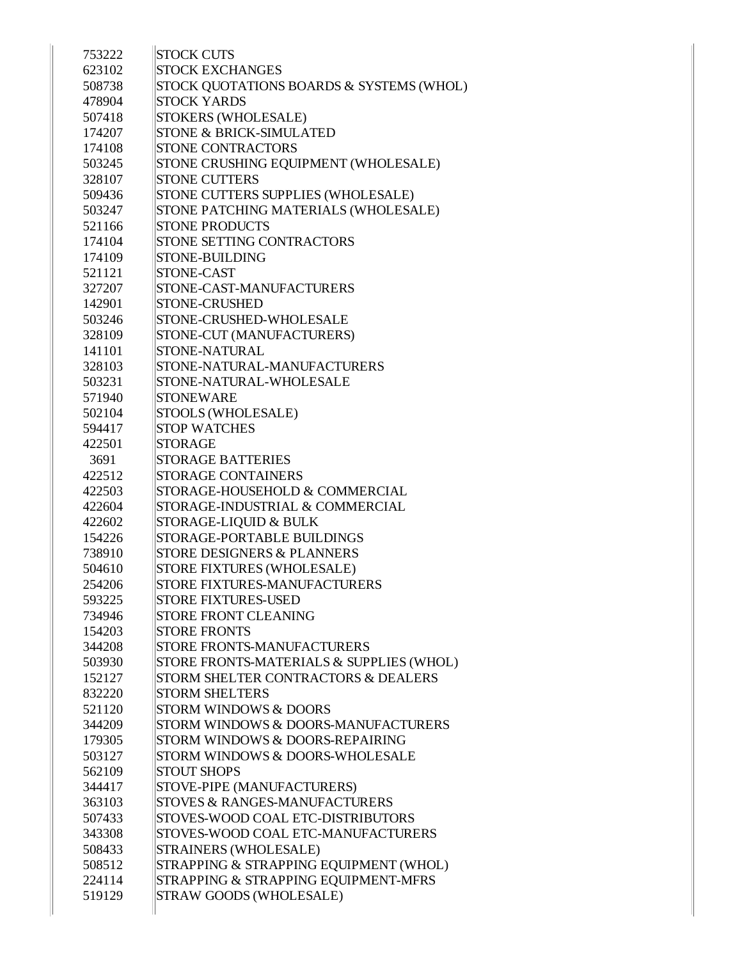|        | <b>STOCK CUTS</b>                                              |
|--------|----------------------------------------------------------------|
| 753222 | <b>STOCK EXCHANGES</b>                                         |
| 623102 |                                                                |
| 508738 | STOCK QUOTATIONS BOARDS & SYSTEMS (WHOL)<br><b>STOCK YARDS</b> |
| 478904 |                                                                |
| 507418 | STOKERS (WHOLESALE)                                            |
| 174207 | <b>STONE &amp; BRICK-SIMULATED</b>                             |
| 174108 | <b>STONE CONTRACTORS</b>                                       |
| 503245 | STONE CRUSHING EQUIPMENT (WHOLESALE)                           |
| 328107 | <b>STONE CUTTERS</b>                                           |
| 509436 | STONE CUTTERS SUPPLIES (WHOLESALE)                             |
| 503247 | STONE PATCHING MATERIALS (WHOLESALE)                           |
| 521166 | <b>STONE PRODUCTS</b>                                          |
| 174104 | STONE SETTING CONTRACTORS                                      |
| 174109 | STONE-BUILDING                                                 |
| 521121 | STONE-CAST                                                     |
| 327207 | STONE-CAST-MANUFACTURERS                                       |
| 142901 | <b>STONE-CRUSHED</b>                                           |
| 503246 | STONE-CRUSHED-WHOLESALE                                        |
| 328109 | STONE-CUT (MANUFACTURERS)                                      |
| 141101 | <b>STONE-NATURAL</b>                                           |
| 328103 | STONE-NATURAL-MANUFACTURERS                                    |
| 503231 | STONE-NATURAL-WHOLESALE                                        |
| 571940 | <b>STONEWARE</b>                                               |
| 502104 | STOOLS (WHOLESALE)                                             |
| 594417 | <b>STOP WATCHES</b>                                            |
| 422501 | <b>STORAGE</b>                                                 |
| 3691   | <b>STORAGE BATTERIES</b>                                       |
| 422512 | <b>STORAGE CONTAINERS</b>                                      |
| 422503 | STORAGE-HOUSEHOLD & COMMERCIAL                                 |
| 422604 | STORAGE-INDUSTRIAL & COMMERCIAL                                |
| 422602 | STORAGE-LIQUID & BULK                                          |
| 154226 | STORAGE-PORTABLE BUILDINGS                                     |
| 738910 | <b>STORE DESIGNERS &amp; PLANNERS</b>                          |
| 504610 | STORE FIXTURES (WHOLESALE)                                     |
| 254206 | STORE FIXTURES-MANUFACTURERS                                   |
| 593225 | <b>STORE FIXTURES-USED</b>                                     |
| 734946 | STORE FRONT CLEANING                                           |
| 154203 | <b>STORE FRONTS</b>                                            |
| 344208 | <b>STORE FRONTS-MANUFACTURERS</b>                              |
| 503930 | STORE FRONTS-MATERIALS & SUPPLIES (WHOL)                       |
| 152127 | STORM SHELTER CONTRACTORS & DEALERS<br><b>STORM SHELTERS</b>   |
| 832220 |                                                                |
| 521120 | <b>STORM WINDOWS &amp; DOORS</b>                               |
| 344209 | STORM WINDOWS & DOORS-MANUFACTURERS                            |
| 179305 | STORM WINDOWS & DOORS-REPAIRING                                |
| 503127 | STORM WINDOWS & DOORS-WHOLESALE                                |
| 562109 | <b>STOUT SHOPS</b>                                             |
| 344417 | STOVE-PIPE (MANUFACTURERS)                                     |
| 363103 | STOVES & RANGES-MANUFACTURERS                                  |
| 507433 | STOVES-WOOD COAL ETC-DISTRIBUTORS                              |
| 343308 | STOVES-WOOD COAL ETC-MANUFACTURERS                             |
| 508433 | STRAINERS (WHOLESALE)                                          |
| 508512 | STRAPPING & STRAPPING EQUIPMENT (WHOL)                         |
| 224114 | STRAPPING & STRAPPING EQUIPMENT-MFRS                           |
| 519129 | STRAW GOODS (WHOLESALE)                                        |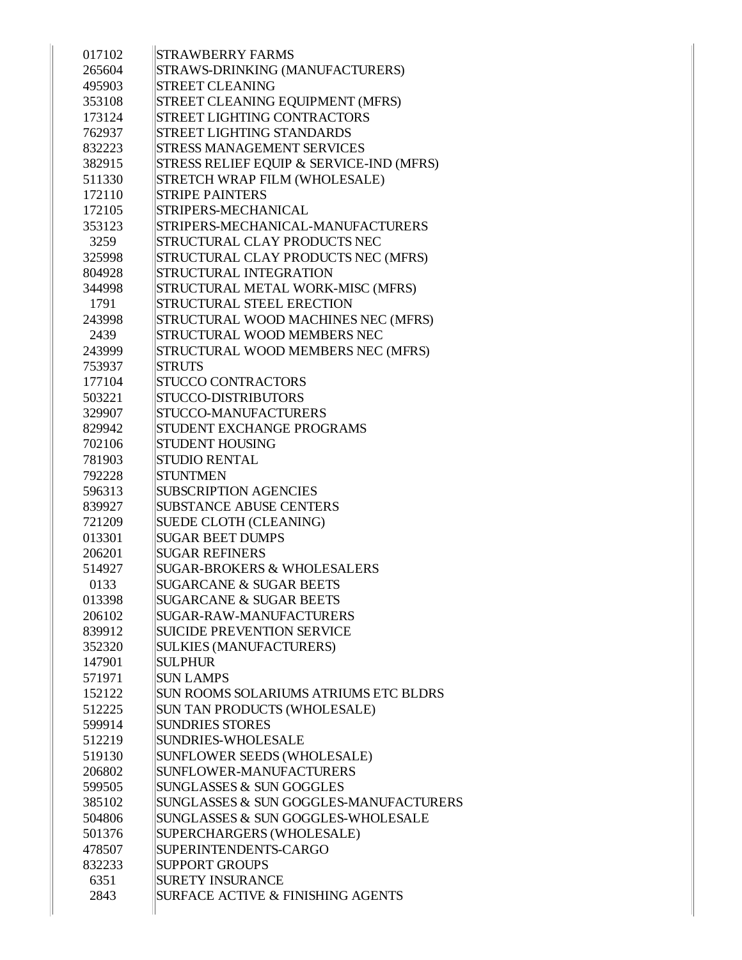| 017102           | <b>STRAWBERRY FARMS</b>                                   |
|------------------|-----------------------------------------------------------|
| 265604           | STRAWS-DRINKING (MANUFACTURERS)                           |
| 495903           | <b>STREET CLEANING</b>                                    |
| 353108           | STREET CLEANING EQUIPMENT (MFRS)                          |
| 173124           | <b>STREET LIGHTING CONTRACTORS</b>                        |
| 762937           | <b>STREET LIGHTING STANDARDS</b>                          |
| 832223           | <b>STRESS MANAGEMENT SERVICES</b>                         |
| 382915           | STRESS RELIEF EQUIP & SERVICE-IND (MFRS)                  |
| 511330           | STRETCH WRAP FILM (WHOLESALE)                             |
| 172110           | <b>STRIPE PAINTERS</b>                                    |
| 172105           | STRIPERS-MECHANICAL                                       |
| 353123           | STRIPERS-MECHANICAL-MANUFACTURERS                         |
| 3259             | STRUCTURAL CLAY PRODUCTS NEC                              |
| 325998           | STRUCTURAL CLAY PRODUCTS NEC (MFRS)                       |
| 804928           | STRUCTURAL INTEGRATION                                    |
| 344998           | STRUCTURAL METAL WORK-MISC (MFRS)                         |
| 1791             | STRUCTURAL STEEL ERECTION                                 |
| 243998           | STRUCTURAL WOOD MACHINES NEC (MFRS)                       |
| 2439             | STRUCTURAL WOOD MEMBERS NEC                               |
| 243999           |                                                           |
|                  | STRUCTURAL WOOD MEMBERS NEC (MFRS)                        |
| 753937<br>177104 | <b>STRUTS</b><br><b>STUCCO CONTRACTORS</b>                |
|                  |                                                           |
| 503221           | STUCCO-DISTRIBUTORS<br>STUCCO-MANUFACTURERS               |
| 329907           |                                                           |
| 829942           | STUDENT EXCHANGE PROGRAMS<br><b>STUDENT HOUSING</b>       |
| 702106           | <b>STUDIO RENTAL</b>                                      |
| 781903<br>792228 | <b>STUNTMEN</b>                                           |
| 596313           | <b>SUBSCRIPTION AGENCIES</b>                              |
| 839927           | <b>SUBSTANCE ABUSE CENTERS</b>                            |
| 721209           | SUEDE CLOTH (CLEANING)                                    |
| 013301           | <b>SUGAR BEET DUMPS</b>                                   |
| 206201           | <b>SUGAR REFINERS</b>                                     |
| 514927           | <b>SUGAR-BROKERS &amp; WHOLESALERS</b>                    |
| 0133             | <b>SUGARCANE &amp; SUGAR BEETS</b>                        |
|                  | <b>SUGARCANE &amp; SUGAR BEETS</b>                        |
| 013398           | <b>SUGAR-RAW-MANUFACTURERS</b>                            |
| 206102           | <b>SUICIDE PREVENTION SERVICE</b>                         |
| 839912           |                                                           |
| 352320           | <b>SULKIES (MANUFACTURERS)</b>                            |
| 147901           | <b>SULPHUR</b>                                            |
| 571971           | <b>SUN LAMPS</b><br>SUN ROOMS SOLARIUMS ATRIUMS ETC BLDRS |
| 152122           |                                                           |
| 512225           | SUN TAN PRODUCTS (WHOLESALE)                              |
| 599914           | <b>SUNDRIES STORES</b>                                    |
| 512219           | SUNDRIES-WHOLESALE                                        |
| 519130           | SUNFLOWER SEEDS (WHOLESALE)                               |
| 206802           | SUNFLOWER-MANUFACTURERS                                   |
| 599505           | SUNGLASSES & SUN GOGGLES                                  |
| 385102           | SUNGLASSES & SUN GOGGLES-MANUFACTURERS                    |
| 504806           | SUNGLASSES & SUN GOGGLES-WHOLESALE                        |
| 501376           | SUPERCHARGERS (WHOLESALE)                                 |
| 478507           | SUPERINTENDENTS-CARGO                                     |
| 832233           | <b>SUPPORT GROUPS</b>                                     |
| 6351             | <b>SURETY INSURANCE</b>                                   |
| 2843             | <b>SURFACE ACTIVE &amp; FINISHING AGENTS</b>              |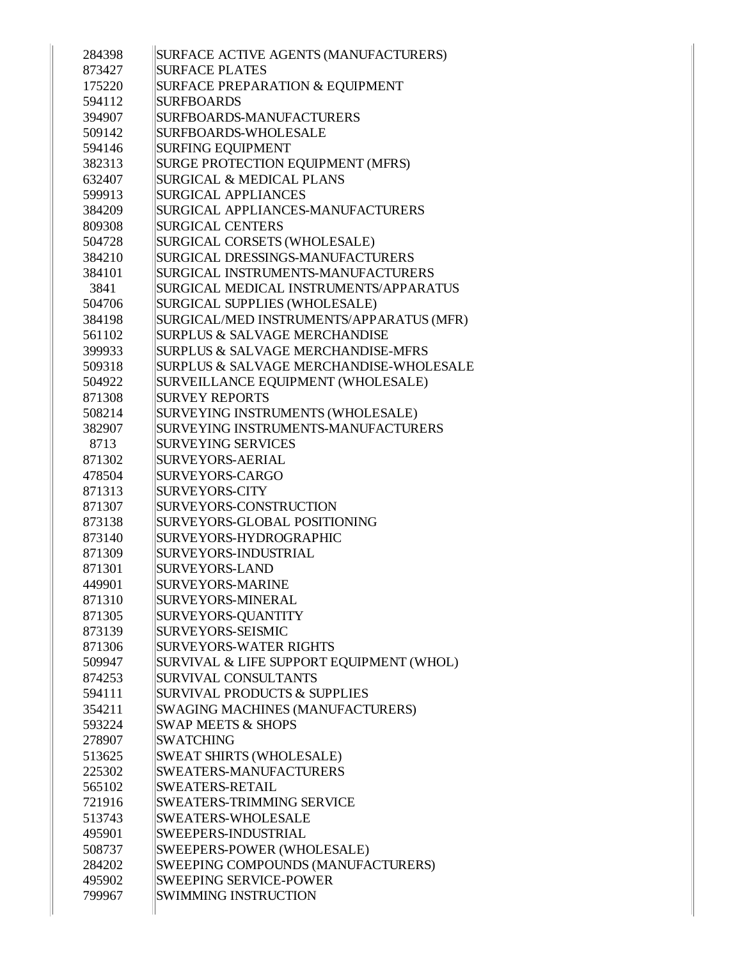| 284398 | SURFACE ACTIVE AGENTS (MANUFACTURERS)    |
|--------|------------------------------------------|
| 873427 | <b>SURFACE PLATES</b>                    |
| 175220 | SURFACE PREPARATION & EQUIPMENT          |
| 594112 | <b>SURFBOARDS</b>                        |
| 394907 | SURFBOARDS-MANUFACTURERS                 |
| 509142 | <b>SURFBOARDS-WHOLESALE</b>              |
| 594146 | <b>SURFING EQUIPMENT</b>                 |
| 382313 | SURGE PROTECTION EQUIPMENT (MFRS)        |
| 632407 | <b>SURGICAL &amp; MEDICAL PLANS</b>      |
| 599913 | <b>SURGICAL APPLIANCES</b>               |
| 384209 | SURGICAL APPLIANCES-MANUFACTURERS        |
| 809308 | <b>SURGICAL CENTERS</b>                  |
| 504728 | SURGICAL CORSETS (WHOLESALE)             |
| 384210 | SURGICAL DRESSINGS-MANUFACTURERS         |
| 384101 | SURGICAL INSTRUMENTS-MANUFACTURERS       |
| 3841   | SURGICAL MEDICAL INSTRUMENTS/APPARATUS   |
| 504706 | <b>SURGICAL SUPPLIES (WHOLESALE)</b>     |
| 384198 | SURGICAL/MED INSTRUMENTS/APPARATUS (MFR) |
| 561102 | <b>SURPLUS &amp; SALVAGE MERCHANDISE</b> |
| 399933 | SURPLUS & SALVAGE MERCHANDISE-MFRS       |
| 509318 | SURPLUS & SALVAGE MERCHANDISE-WHOLESALE  |
| 504922 | SURVEILLANCE EQUIPMENT (WHOLESALE)       |
| 871308 | <b>SURVEY REPORTS</b>                    |
| 508214 | SURVEYING INSTRUMENTS (WHOLESALE)        |
| 382907 | SURVEYING INSTRUMENTS-MANUFACTURERS      |
| 8713   | <b>SURVEYING SERVICES</b>                |
| 871302 | <b>SURVEYORS-AERIAL</b>                  |
| 478504 | <b>SURVEYORS-CARGO</b>                   |
| 871313 | <b>SURVEYORS-CITY</b>                    |
| 871307 | SURVEYORS-CONSTRUCTION                   |
| 873138 | SURVEYORS-GLOBAL POSITIONING             |
| 873140 | SURVEYORS-HYDROGRAPHIC                   |
| 871309 | SURVEYORS-INDUSTRIAL                     |
| 871301 | <b>SURVEYORS-LAND</b>                    |
| 449901 | SURVEYORS-MARINE                         |
| 871310 | SURVEYORS-MINERAL                        |
| 871305 | SURVEYORS-QUANTITY                       |
| 873139 | <b>SURVEYORS-SEISMIC</b>                 |
| 871306 | <b>SURVEYORS-WATER RIGHTS</b>            |
| 509947 | SURVIVAL & LIFE SUPPORT EQUIPMENT (WHOL) |
| 874253 | SURVIVAL CONSULTANTS                     |
| 594111 | <b>SURVIVAL PRODUCTS &amp; SUPPLIES</b>  |
| 354211 | <b>SWAGING MACHINES (MANUFACTURERS)</b>  |
| 593224 | <b>SWAP MEETS &amp; SHOPS</b>            |
| 278907 | <b>SWATCHING</b>                         |
|        |                                          |
| 513625 | <b>SWEAT SHIRTS (WHOLESALE)</b>          |
| 225302 | SWEATERS-MANUFACTURERS                   |
| 565102 | SWEATERS-RETAIL                          |
| 721916 | <b>SWEATERS-TRIMMING SERVICE</b>         |
| 513743 | <b>SWEATERS-WHOLESALE</b>                |
| 495901 | SWEEPERS-INDUSTRIAL                      |
| 508737 | SWEEPERS-POWER (WHOLESALE)               |
| 284202 | SWEEPING COMPOUNDS (MANUFACTURERS)       |
| 495902 | <b>SWEEPING SERVICE-POWER</b>            |
| 799967 | SWIMMING INSTRUCTION                     |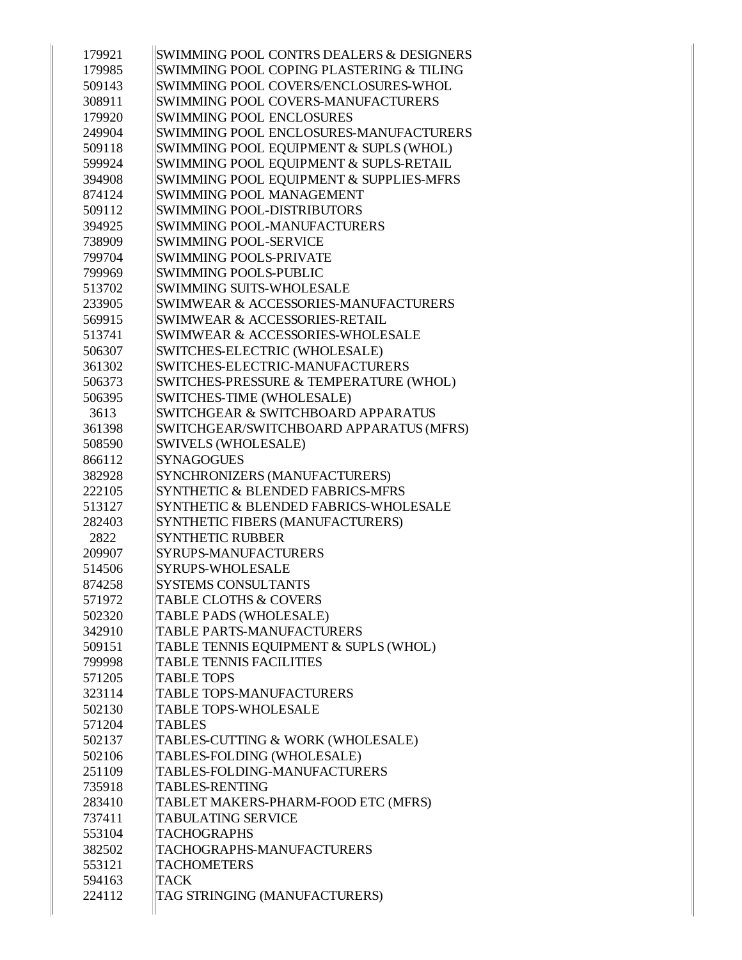| 179921 | SWIMMING POOL CONTRS DEALERS & DESIGNERS        |
|--------|-------------------------------------------------|
| 179985 | SWIMMING POOL COPING PLASTERING & TILING        |
| 509143 | SWIMMING POOL COVERS/ENCLOSURES-WHOL            |
| 308911 | SWIMMING POOL COVERS-MANUFACTURERS              |
| 179920 | <b>SWIMMING POOL ENCLOSURES</b>                 |
| 249904 | SWIMMING POOL ENCLOSURES-MANUFACTURERS          |
| 509118 | SWIMMING POOL EQUIPMENT & SUPLS (WHOL)          |
| 599924 | SWIMMING POOL EQUIPMENT & SUPLS-RETAIL          |
| 394908 | SWIMMING POOL EQUIPMENT & SUPPLIES-MFRS         |
| 874124 | <b>SWIMMING POOL MANAGEMENT</b>                 |
| 509112 | SWIMMING POOL-DISTRIBUTORS                      |
| 394925 | <b>SWIMMING POOL-MANUFACTURERS</b>              |
| 738909 | <b>SWIMMING POOL-SERVICE</b>                    |
| 799704 | <b>SWIMMING POOLS-PRIVATE</b>                   |
| 799969 | <b>SWIMMING POOLS-PUBLIC</b>                    |
| 513702 | <b>SWIMMING SUITS-WHOLESALE</b>                 |
| 233905 | <b>SWIMWEAR &amp; ACCESSORIES-MANUFACTURERS</b> |
| 569915 | SWIMWEAR & ACCESSORIES-RETAIL                   |
| 513741 | SWIMWEAR & ACCESSORIES-WHOLESALE                |
| 506307 | SWITCHES-ELECTRIC (WHOLESALE)                   |
| 361302 | SWITCHES-ELECTRIC-MANUFACTURERS                 |
| 506373 | SWITCHES-PRESSURE & TEMPERATURE (WHOL)          |
| 506395 | SWITCHES-TIME (WHOLESALE)                       |
| 3613   | SWITCHGEAR & SWITCHBOARD APPARATUS              |
| 361398 | SWITCHGEAR/SWITCHBOARD APPARATUS (MFRS)         |
| 508590 | <b>SWIVELS (WHOLESALE)</b>                      |
| 866112 | <b>SYNAGOGUES</b>                               |
| 382928 | SYNCHRONIZERS (MANUFACTURERS)                   |
| 222105 | SYNTHETIC & BLENDED FABRICS-MFRS                |
| 513127 | SYNTHETIC & BLENDED FABRICS-WHOLESALE           |
| 282403 | SYNTHETIC FIBERS (MANUFACTURERS)                |
| 2822   | <b>SYNTHETIC RUBBER</b>                         |
| 209907 | SYRUPS-MANUFACTURERS                            |
| 514506 | SYRUPS-WHOLESALE                                |
| 874258 | <b>SYSTEMS CONSULTANTS</b>                      |
| 571972 | <b>TABLE CLOTHS &amp; COVERS</b>                |
| 502320 | TABLE PADS (WHOLESALE)                          |
| 342910 | TABLE PARTS-MANUFACTURERS                       |
| 509151 | TABLE TENNIS EQUIPMENT & SUPLS (WHOL)           |
| 799998 | <b>TABLE TENNIS FACILITIES</b>                  |
| 571205 | <b>TABLE TOPS</b>                               |
| 323114 | TABLE TOPS-MANUFACTURERS                        |
| 502130 | <b>TABLE TOPS-WHOLESALE</b>                     |
| 571204 | <b>TABLES</b>                                   |
| 502137 | TABLES-CUTTING & WORK (WHOLESALE)               |
| 502106 | TABLES-FOLDING (WHOLESALE)                      |
| 251109 | TABLES-FOLDING-MANUFACTURERS                    |
| 735918 | <b>TABLES-RENTING</b>                           |
| 283410 | TABLET MAKERS-PHARM-FOOD ETC (MFRS)             |
| 737411 | <b>TABULATING SERVICE</b>                       |
| 553104 | <b>TACHOGRAPHS</b>                              |
| 382502 | TACHOGRAPHS-MANUFACTURERS                       |
| 553121 | <b>TACHOMETERS</b>                              |
| 594163 | <b>TACK</b>                                     |
| 224112 | TAG STRINGING (MANUFACTURERS)                   |
|        |                                                 |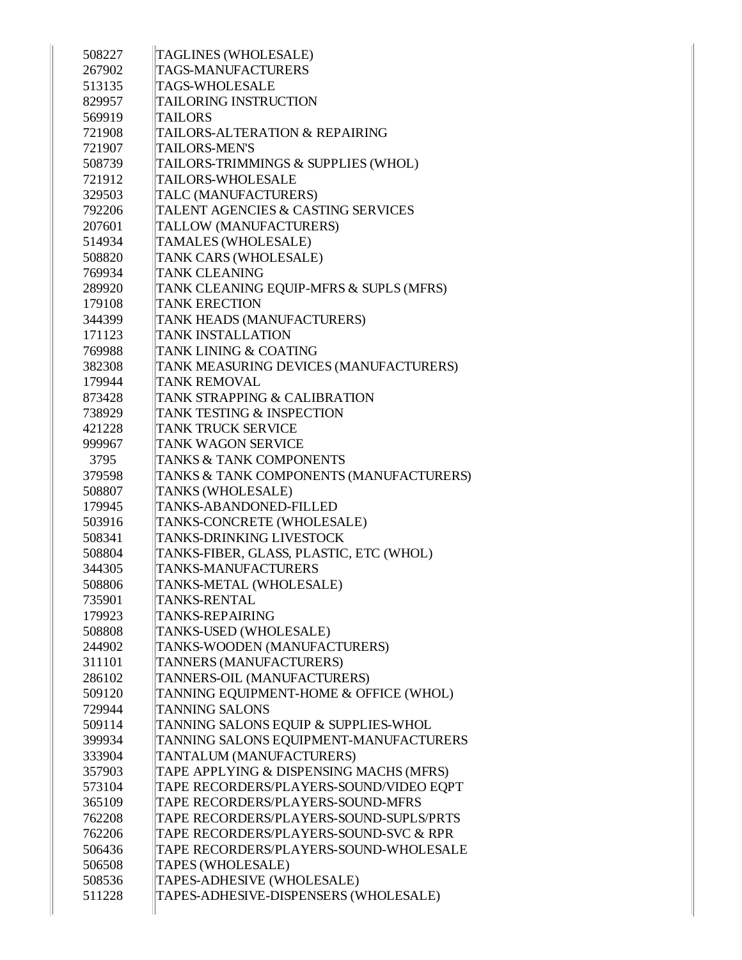| 508227 | <b>TAGLINES (WHOLESALE)</b>             |
|--------|-----------------------------------------|
| 267902 | TAGS-MANUFACTURERS                      |
| 513135 | <b>TAGS-WHOLESALE</b>                   |
| 829957 | <b>TAILORING INSTRUCTION</b>            |
| 569919 | <b>TAILORS</b>                          |
| 721908 | TAILORS-ALTERATION & REPAIRING          |
| 721907 | <b>TAILORS-MEN'S</b>                    |
| 508739 | TAILORS-TRIMMINGS & SUPPLIES (WHOL)     |
| 721912 | <b>TAILORS-WHOLESALE</b>                |
| 329503 | TALC (MANUFACTURERS)                    |
| 792206 | TALENT AGENCIES & CASTING SERVICES      |
| 207601 | TALLOW (MANUFACTURERS)                  |
| 514934 | TAMALES (WHOLESALE)                     |
| 508820 | TANK CARS (WHOLESALE)                   |
| 769934 | <b>TANK CLEANING</b>                    |
| 289920 | TANK CLEANING EQUIP-MFRS & SUPLS (MFRS) |
| 179108 | <b>TANK ERECTION</b>                    |
| 344399 | TANK HEADS (MANUFACTURERS)              |
| 171123 | <b>TANK INSTALLATION</b>                |
| 769988 | TANK LINING & COATING                   |
| 382308 | TANK MEASURING DEVICES (MANUFACTURERS)  |
| 179944 | <b>TANK REMOVAL</b>                     |
| 873428 | TANK STRAPPING & CALIBRATION            |
| 738929 | TANK TESTING & INSPECTION               |
| 421228 | TANK TRUCK SERVICE                      |
| 999967 | <b>TANK WAGON SERVICE</b>               |
| 3795   | <b>TANKS &amp; TANK COMPONENTS</b>      |
| 379598 | TANKS & TANK COMPONENTS (MANUFACTURERS) |
| 508807 | TANKS (WHOLESALE)                       |
| 179945 | TANKS-ABANDONED-FILLED                  |
| 503916 | TANKS-CONCRETE (WHOLESALE)              |
| 508341 | <b>TANKS-DRINKING LIVESTOCK</b>         |
| 508804 | TANKS-FIBER, GLASS, PLASTIC, ETC (WHOL) |
| 344305 | <b>TANKS-MANUFACTURERS</b>              |
| 508806 | TANKS-METAL (WHOLESALE)                 |
| 735901 | <b>TANKS-RENTAL</b>                     |
| 179923 | <b>TANKS-REPAIRING</b>                  |
| 508808 | TANKS-USED (WHOLESALE)                  |
| 244902 | TANKS-WOODEN (MANUFACTURERS)            |
| 311101 | TANNERS (MANUFACTURERS)                 |
| 286102 | TANNERS-OIL (MANUFACTURERS)             |
| 509120 | TANNING EQUIPMENT-HOME & OFFICE (WHOL)  |
|        | <b>TANNING SALONS</b>                   |
| 729944 |                                         |
| 509114 | TANNING SALONS EQUIP & SUPPLIES-WHOL    |
| 399934 | TANNING SALONS EQUIPMENT-MANUFACTURERS  |
| 333904 | TANTALUM (MANUFACTURERS)                |
| 357903 | TAPE APPLYING & DISPENSING MACHS (MFRS) |
| 573104 | TAPE RECORDERS/PLAYERS-SOUND/VIDEO EQPT |
| 365109 | TAPE RECORDERS/PLAYERS-SOUND-MFRS       |
| 762208 | TAPE RECORDERS/PLAYERS-SOUND-SUPLS/PRTS |
| 762206 | TAPE RECORDERS/PLAYERS-SOUND-SVC & RPR  |
| 506436 | TAPE RECORDERS/PLAYERS-SOUND-WHOLESALE  |
| 506508 | TAPES (WHOLESALE)                       |
| 508536 | TAPES-ADHESIVE (WHOLESALE)              |
| 511228 | TAPES-ADHESIVE-DISPENSERS (WHOLESALE)   |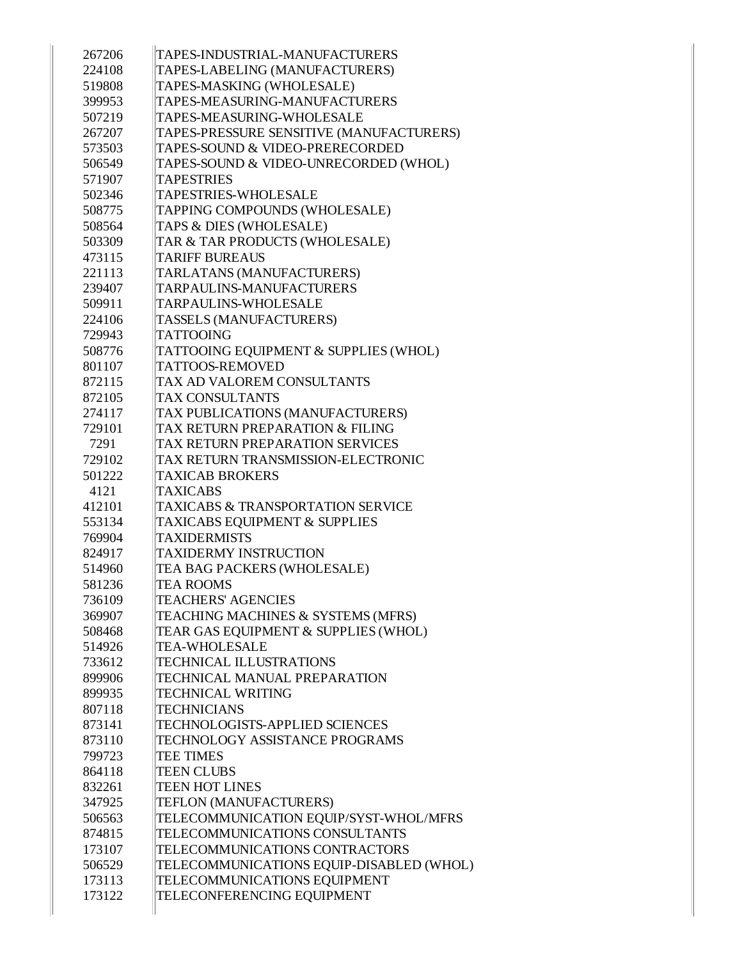| 267206 | TAPES-INDUSTRIAL-MANUFACTURERS               |
|--------|----------------------------------------------|
| 224108 | TAPES-LABELING (MANUFACTURERS)               |
| 519808 | TAPES-MASKING (WHOLESALE)                    |
| 399953 | TAPES-MEASURING-MANUFACTURERS                |
| 507219 | TAPES-MEASURING-WHOLESALE                    |
| 267207 | TAPES-PRESSURE SENSITIVE (MANUFACTURERS)     |
| 573503 | TAPES-SOUND & VIDEO-PRERECORDED              |
| 506549 | TAPES-SOUND & VIDEO-UNRECORDED (WHOL)        |
| 571907 | <b>TAPESTRIES</b>                            |
| 502346 | <b>TAPESTRIES-WHOLESALE</b>                  |
| 508775 | TAPPING COMPOUNDS (WHOLESALE)                |
| 508564 | TAPS & DIES (WHOLESALE)                      |
| 503309 | TAR & TAR PRODUCTS (WHOLESALE)               |
| 473115 | <b>TARIFF BUREAUS</b>                        |
| 221113 | TARLATANS (MANUFACTURERS)                    |
| 239407 | TARPAULINS-MANUFACTURERS                     |
| 509911 | TARPAULINS-WHOLESALE                         |
| 224106 | TASSELS (MANUFACTURERS)                      |
| 729943 | <b>TATTOOING</b>                             |
| 508776 | TATTOOING EQUIPMENT & SUPPLIES (WHOL)        |
| 801107 | TATTOOS-REMOVED                              |
| 872115 | TAX AD VALOREM CONSULTANTS                   |
| 872105 | <b>TAX CONSULTANTS</b>                       |
| 274117 | TAX PUBLICATIONS (MANUFACTURERS)             |
| 729101 | TAX RETURN PREPARATION & FILING              |
| 7291   | TAX RETURN PREPARATION SERVICES              |
| 729102 | TAX RETURN TRANSMISSION-ELECTRONIC           |
| 501222 | <b>TAXICAB BROKERS</b>                       |
| 4121   | <b>TAXICABS</b>                              |
| 412101 | <b>TAXICABS &amp; TRANSPORTATION SERVICE</b> |
| 553134 | <b>TAXICABS EQUIPMENT &amp; SUPPLIES</b>     |
| 769904 | <b>TAXIDERMISTS</b>                          |
| 824917 | <b>TAXIDERMY INSTRUCTION</b>                 |
| 514960 | TEA BAG PACKERS (WHOLESALE)                  |
| 581236 | <b>TEA ROOMS</b>                             |
| 736109 | <b>TEACHERS' AGENCIES</b>                    |
| 369907 | TEACHING MACHINES & SYSTEMS (MFRS)           |
| 508468 | TEAR GAS EQUIPMENT & SUPPLIES (WHOL)         |
| 514926 | <b>TEA-WHOLESALE</b>                         |
| 733612 | <b>TECHNICAL ILLUSTRATIONS</b>               |
| 899906 | TECHNICAL MANUAL PREPARATION                 |
| 899935 | <b>TECHNICAL WRITING</b>                     |
| 807118 | <b>TECHNICIANS</b>                           |
| 873141 | <b>TECHNOLOGISTS-APPLIED SCIENCES</b>        |
| 873110 | TECHNOLOGY ASSISTANCE PROGRAMS               |
| 799723 | <b>TEE TIMES</b>                             |
| 864118 | <b>TEEN CLUBS</b>                            |
| 832261 | <b>TEEN HOT LINES</b>                        |
| 347925 | TEFLON (MANUFACTURERS)                       |
| 506563 | TELECOMMUNICATION EQUIP/SYST-WHOL/MFRS       |
| 874815 | TELECOMMUNICATIONS CONSULTANTS               |
| 173107 | TELECOMMUNICATIONS CONTRACTORS               |
| 506529 | TELECOMMUNICATIONS EQUIP-DISABLED (WHOL)     |
|        |                                              |
| 173113 | TELECOMMUNICATIONS EQUIPMENT                 |
| 173122 | TELECONFERENCING EQUIPMENT                   |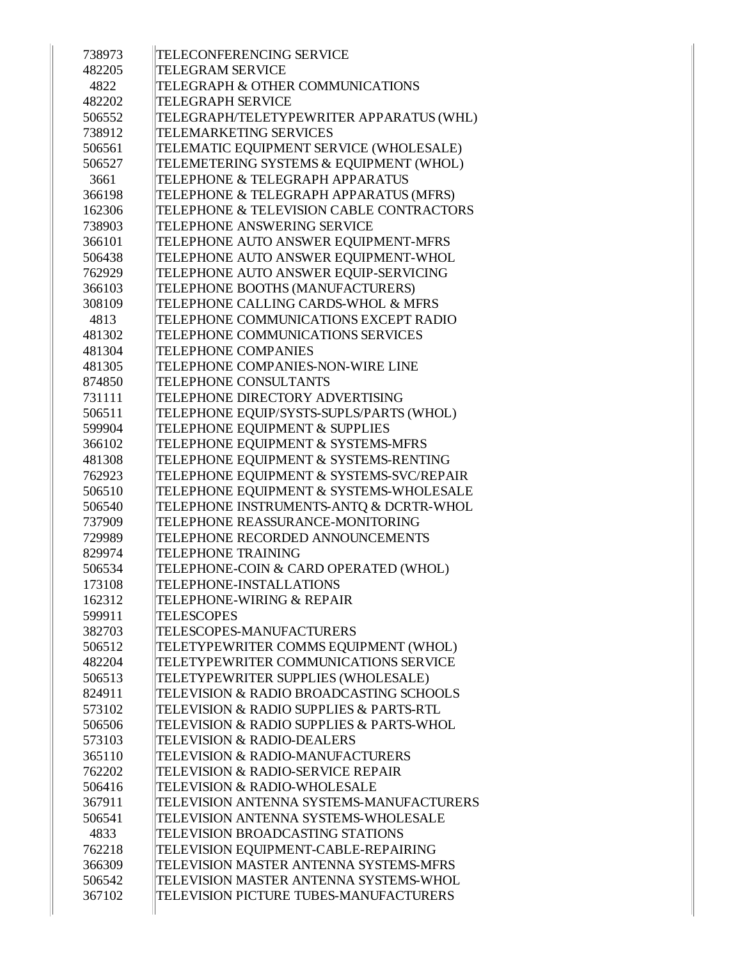| 738973 | TELECONFERENCING SERVICE                     |
|--------|----------------------------------------------|
| 482205 | <b>TELEGRAM SERVICE</b>                      |
| 4822   | TELEGRAPH & OTHER COMMUNICATIONS             |
| 482202 | <b>TELEGRAPH SERVICE</b>                     |
| 506552 | TELEGRAPH/TELETYPEWRITER APPARATUS (WHL)     |
| 738912 | <b>TELEMARKETING SERVICES</b>                |
| 506561 | TELEMATIC EQUIPMENT SERVICE (WHOLESALE)      |
| 506527 | TELEMETERING SYSTEMS & EQUIPMENT (WHOL)      |
| 3661   | TELEPHONE & TELEGRAPH APPARATUS              |
| 366198 | TELEPHONE & TELEGRAPH APPARATUS (MFRS)       |
| 162306 | TELEPHONE & TELEVISION CABLE CONTRACTORS     |
| 738903 | TELEPHONE ANSWERING SERVICE                  |
| 366101 | TELEPHONE AUTO ANSWER EQUIPMENT-MFRS         |
| 506438 | TELEPHONE AUTO ANSWER EQUIPMENT-WHOL         |
| 762929 | TELEPHONE AUTO ANSWER EQUIP-SERVICING        |
| 366103 | TELEPHONE BOOTHS (MANUFACTURERS)             |
| 308109 | TELEPHONE CALLING CARDS-WHOL & MFRS          |
| 4813   | TELEPHONE COMMUNICATIONS EXCEPT RADIO        |
| 481302 | TELEPHONE COMMUNICATIONS SERVICES            |
| 481304 | <b>TELEPHONE COMPANIES</b>                   |
| 481305 | TELEPHONE COMPANIES-NON-WIRE LINE            |
| 874850 | TELEPHONE CONSULTANTS                        |
| 731111 | TELEPHONE DIRECTORY ADVERTISING              |
| 506511 | TELEPHONE EQUIP/SYSTS-SUPLS/PARTS (WHOL)     |
| 599904 | TELEPHONE EQUIPMENT & SUPPLIES               |
| 366102 | TELEPHONE EQUIPMENT & SYSTEMS-MFRS           |
| 481308 | TELEPHONE EQUIPMENT & SYSTEMS-RENTING        |
| 762923 | TELEPHONE EQUIPMENT & SYSTEMS-SVC/REPAIR     |
| 506510 | TELEPHONE EQUIPMENT & SYSTEMS-WHOLESALE      |
| 506540 | TELEPHONE INSTRUMENTS-ANTQ & DCRTR-WHOL      |
| 737909 | TELEPHONE REASSURANCE-MONITORING             |
| 729989 | TELEPHONE RECORDED ANNOUNCEMENTS             |
| 829974 | <b>TELEPHONE TRAINING</b>                    |
| 506534 | TELEPHONE-COIN & CARD OPERATED (WHOL)        |
| 173108 | TELEPHONE-INSTALLATIONS                      |
| 162312 | <b>TELEPHONE-WIRING &amp; REPAIR</b>         |
| 599911 | <b>TELESCOPES</b>                            |
| 382703 | TELESCOPES-MANUFACTURERS                     |
| 506512 | TELETYPEWRITER COMMS EQUIPMENT (WHOL)        |
| 482204 | TELETYPEWRITER COMMUNICATIONS SERVICE        |
| 506513 | TELETYPEWRITER SUPPLIES (WHOLESALE)          |
| 824911 | TELEVISION & RADIO BROADCASTING SCHOOLS      |
| 573102 | TELEVISION & RADIO SUPPLIES & PARTS-RTL      |
| 506506 | TELEVISION & RADIO SUPPLIES & PARTS-WHOL     |
| 573103 | <b>TELEVISION &amp; RADIO-DEALERS</b>        |
| 365110 | TELEVISION & RADIO-MANUFACTURERS             |
| 762202 | <b>TELEVISION &amp; RADIO-SERVICE REPAIR</b> |
| 506416 | TELEVISION & RADIO-WHOLESALE                 |
| 367911 | TELEVISION ANTENNA SYSTEMS-MANUFACTURERS     |
| 506541 | TELEVISION ANTENNA SYSTEMS-WHOLESALE         |
| 4833   | TELEVISION BROADCASTING STATIONS             |
| 762218 | TELEVISION EQUIPMENT-CABLE-REPAIRING         |
| 366309 | TELEVISION MASTER ANTENNA SYSTEMS-MFRS       |
| 506542 | TELEVISION MASTER ANTENNA SYSTEMS-WHOL       |
| 367102 | TELEVISION PICTURE TUBES-MANUFACTURERS       |
|        |                                              |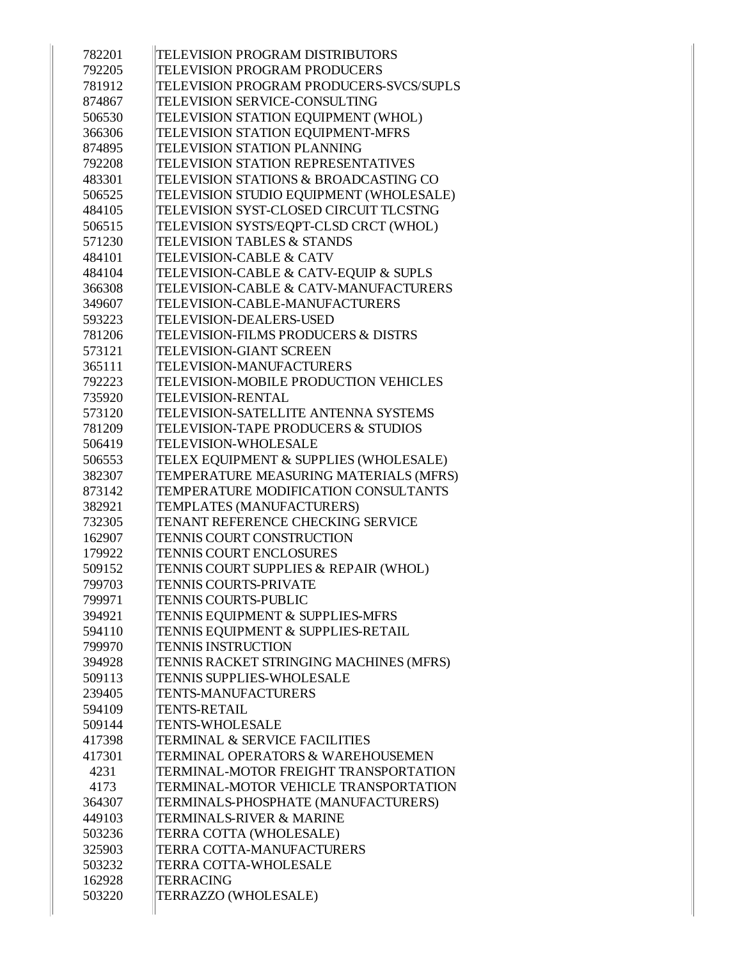| 782201 | <b>TELEVISION PROGRAM DISTRIBUTORS</b>   |
|--------|------------------------------------------|
| 792205 | <b>TELEVISION PROGRAM PRODUCERS</b>      |
| 781912 | TELEVISION PROGRAM PRODUCERS-SVCS/SUPLS  |
| 874867 | <b>TELEVISION SERVICE-CONSULTING</b>     |
| 506530 | TELEVISION STATION EQUIPMENT (WHOL)      |
| 366306 | TELEVISION STATION EQUIPMENT-MFRS        |
| 874895 | <b>TELEVISION STATION PLANNING</b>       |
| 792208 | TELEVISION STATION REPRESENTATIVES       |
| 483301 | TELEVISION STATIONS & BROADCASTING CO    |
| 506525 | TELEVISION STUDIO EQUIPMENT (WHOLESALE)  |
| 484105 | TELEVISION SYST-CLOSED CIRCUIT TLCSTNG   |
| 506515 | TELEVISION SYSTS/EQPT-CLSD CRCT (WHOL)   |
| 571230 | <b>TELEVISION TABLES &amp; STANDS</b>    |
| 484101 | <b>TELEVISION-CABLE &amp; CATV</b>       |
| 484104 | TELEVISION-CABLE & CATV-EQUIP & SUPLS    |
| 366308 | TELEVISION-CABLE & CATV-MANUFACTURERS    |
| 349607 | TELEVISION-CABLE-MANUFACTURERS           |
| 593223 | <b>TELEVISION-DEALERS-USED</b>           |
| 781206 | TELEVISION-FILMS PRODUCERS & DISTRS      |
| 573121 | <b>TELEVISION-GIANT SCREEN</b>           |
| 365111 | <b>TELEVISION-MANUFACTURERS</b>          |
| 792223 | TELEVISION-MOBILE PRODUCTION VEHICLES    |
| 735920 | <b>TELEVISION-RENTAL</b>                 |
| 573120 | TELEVISION-SATELLITE ANTENNA SYSTEMS     |
| 781209 | TELEVISION-TAPE PRODUCERS & STUDIOS      |
| 506419 | <b>TELEVISION-WHOLESALE</b>              |
| 506553 | TELEX EQUIPMENT & SUPPLIES (WHOLESALE)   |
| 382307 | TEMPERATURE MEASURING MATERIALS (MFRS)   |
| 873142 | TEMPERATURE MODIFICATION CONSULTANTS     |
| 382921 | TEMPLATES (MANUFACTURERS)                |
| 732305 | TENANT REFERENCE CHECKING SERVICE        |
| 162907 | <b>TENNIS COURT CONSTRUCTION</b>         |
| 179922 | <b>TENNIS COURT ENCLOSURES</b>           |
| 509152 | TENNIS COURT SUPPLIES & REPAIR (WHOL)    |
| 799703 | <b>TENNIS COURTS-PRIVATE</b>             |
| 799971 | <b>TENNIS COURTS-PUBLIC</b>              |
| 394921 | TENNIS EQUIPMENT & SUPPLIES-MFRS         |
| 594110 | TENNIS EQUIPMENT & SUPPLIES-RETAIL       |
| 799970 | <b>TENNIS INSTRUCTION</b>                |
| 394928 | TENNIS RACKET STRINGING MACHINES (MFRS)  |
| 509113 | <b>TENNIS SUPPLIES-WHOLESALE</b>         |
| 239405 | <b>TENTS-MANUFACTURERS</b>               |
| 594109 | <b>TENTS-RETAIL</b>                      |
| 509144 | <b>TENTS-WHOLESALE</b>                   |
| 417398 | <b>TERMINAL &amp; SERVICE FACILITIES</b> |
| 417301 | TERMINAL OPERATORS & WAREHOUSEMEN        |
| 4231   | TERMINAL-MOTOR FREIGHT TRANSPORTATION    |
| 4173   | TERMINAL-MOTOR VEHICLE TRANSPORTATION    |
| 364307 | TERMINALS-PHOSPHATE (MANUFACTURERS)      |
| 449103 | <b>TERMINALS-RIVER &amp; MARINE</b>      |
| 503236 | TERRA COTTA (WHOLESALE)                  |
| 325903 | TERRA COTTA-MANUFACTURERS                |
| 503232 | TERRA COTTA-WHOLESALE                    |
| 162928 | <b>TERRACING</b>                         |
| 503220 | TERRAZZO (WHOLESALE)                     |
|        |                                          |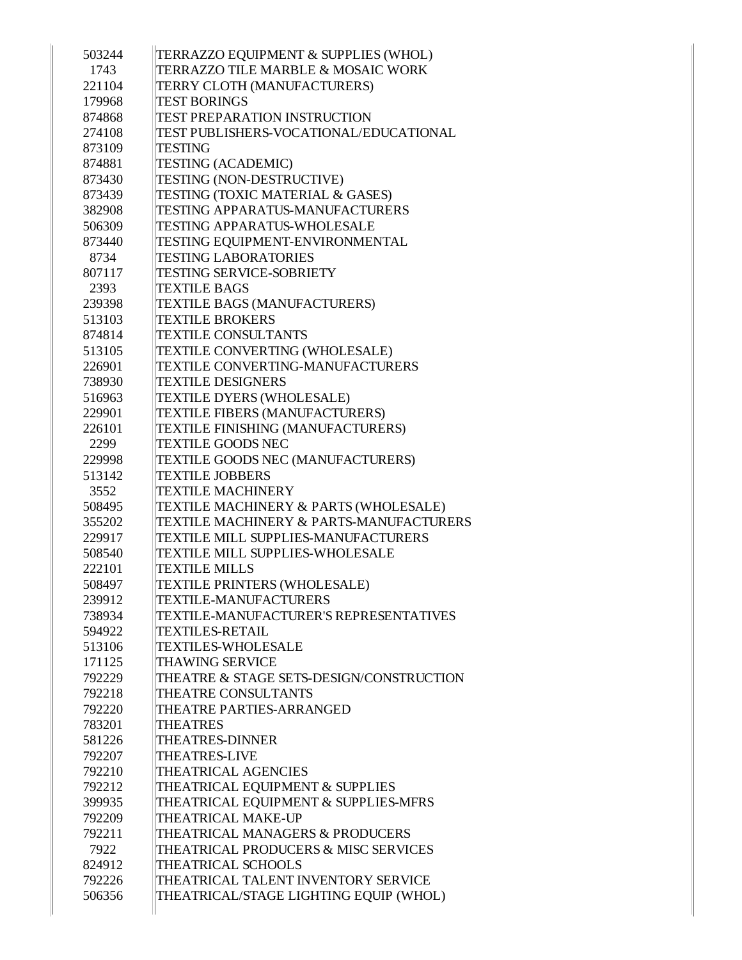| 503244 | TERRAZZO EQUIPMENT & SUPPLIES (WHOL)     |
|--------|------------------------------------------|
| 1743   | TERRAZZO TILE MARBLE & MOSAIC WORK       |
| 221104 | TERRY CLOTH (MANUFACTURERS)              |
| 179968 | <b>TEST BORINGS</b>                      |
| 874868 | <b>TEST PREPARATION INSTRUCTION</b>      |
| 274108 | TEST PUBLISHERS-VOCATIONAL/EDUCATIONAL   |
| 873109 | TESTING                                  |
| 874881 | <b>TESTING (ACADEMIC)</b>                |
| 873430 | <b>TESTING (NON-DESTRUCTIVE)</b>         |
| 873439 | TESTING (TOXIC MATERIAL & GASES)         |
| 382908 | <b>TESTING APPARATUS-MANUFACTURERS</b>   |
| 506309 | <b>TESTING APPARATUS-WHOLESALE</b>       |
| 873440 | TESTING EQUIPMENT-ENVIRONMENTAL          |
| 8734   | <b>TESTING LABORATORIES</b>              |
| 807117 | <b>TESTING SERVICE-SOBRIETY</b>          |
| 2393   | <b>TEXTILE BAGS</b>                      |
| 239398 | TEXTILE BAGS (MANUFACTURERS)             |
| 513103 | <b>TEXTILE BROKERS</b>                   |
| 874814 | <b>TEXTILE CONSULTANTS</b>               |
| 513105 | TEXTILE CONVERTING (WHOLESALE)           |
| 226901 | <b>TEXTILE CONVERTING-MANUFACTURERS</b>  |
| 738930 | <b>TEXTILE DESIGNERS</b>                 |
| 516963 | <b>TEXTILE DYERS (WHOLESALE)</b>         |
| 229901 | TEXTILE FIBERS (MANUFACTURERS)           |
| 226101 | TEXTILE FINISHING (MANUFACTURERS)        |
| 2299   | <b>TEXTILE GOODS NEC</b>                 |
| 229998 | TEXTILE GOODS NEC (MANUFACTURERS)        |
| 513142 | <b>TEXTILE JOBBERS</b>                   |
| 3552   | <b>TEXTILE MACHINERY</b>                 |
| 508495 | TEXTILE MACHINERY & PARTS (WHOLESALE)    |
| 355202 | TEXTILE MACHINERY & PARTS-MANUFACTURERS  |
| 229917 | TEXTILE MILL SUPPLIES-MANUFACTURERS      |
| 508540 | <b>TEXTILE MILL SUPPLIES-WHOLESALE</b>   |
| 222101 | <b>TEXTILE MILLS</b>                     |
| 508497 | TEXTILE PRINTERS (WHOLESALE)             |
| 239912 | <b>TEXTILE-MANUFACTURERS</b>             |
| 738934 | TEXTILE-MANUFACTURER'S REPRESENTATIVES   |
| 594922 | <b>TEXTILES-RETAIL</b>                   |
| 513106 | <b>TEXTILES-WHOLESALE</b>                |
| 171125 | <b>THAWING SERVICE</b>                   |
| 792229 | THEATRE & STAGE SETS-DESIGN/CONSTRUCTION |
| 792218 | THEATRE CONSULTANTS                      |
| 792220 | THEATRE PARTIES-ARRANGED                 |
| 783201 | <b>THEATRES</b>                          |
| 581226 | <b>THEATRES-DINNER</b>                   |
| 792207 | <b>THEATRES-LIVE</b>                     |
| 792210 | <b>THEATRICAL AGENCIES</b>               |
| 792212 | THEATRICAL EQUIPMENT & SUPPLIES          |
| 399935 | THEATRICAL EQUIPMENT & SUPPLIES-MFRS     |
| 792209 | THEATRICAL MAKE-UP                       |
| 792211 | THEATRICAL MANAGERS & PRODUCERS          |
| 7922   | THEATRICAL PRODUCERS & MISC SERVICES     |
| 824912 | THEATRICAL SCHOOLS                       |
| 792226 | THEATRICAL TALENT INVENTORY SERVICE      |
| 506356 | THEATRICAL/STAGE LIGHTING EQUIP (WHOL)   |
|        |                                          |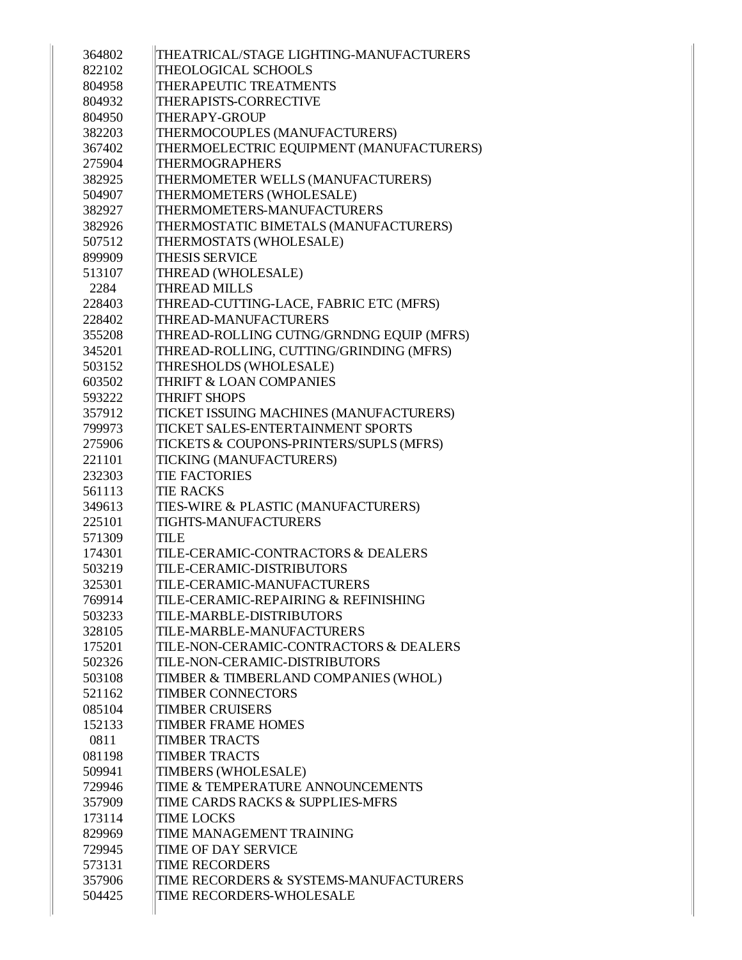| 364802 | THEATRICAL/STAGE LIGHTING-MANUFACTURERS  |
|--------|------------------------------------------|
| 822102 | <b>THEOLOGICAL SCHOOLS</b>               |
| 804958 | THERAPEUTIC TREATMENTS                   |
| 804932 | THERAPISTS-CORRECTIVE                    |
| 804950 | <b>THERAPY-GROUP</b>                     |
| 382203 | THERMOCOUPLES (MANUFACTURERS)            |
| 367402 | THERMOELECTRIC EQUIPMENT (MANUFACTURERS) |
| 275904 | <b>THERMOGRAPHERS</b>                    |
| 382925 | THERMOMETER WELLS (MANUFACTURERS)        |
| 504907 | THERMOMETERS (WHOLESALE)                 |
| 382927 | THERMOMETERS-MANUFACTURERS               |
| 382926 | THERMOSTATIC BIMETALS (MANUFACTURERS)    |
| 507512 | THERMOSTATS (WHOLESALE)                  |
| 899909 | <b>THESIS SERVICE</b>                    |
| 513107 | THREAD (WHOLESALE)                       |
| 2284   | <b>THREAD MILLS</b>                      |
| 228403 | THREAD-CUTTING-LACE, FABRIC ETC (MFRS)   |
| 228402 | THREAD-MANUFACTURERS                     |
| 355208 | THREAD-ROLLING CUTNG/GRNDNG EQUIP (MFRS) |
| 345201 | THREAD-ROLLING, CUTTING/GRINDING (MFRS)  |
| 503152 | THRESHOLDS (WHOLESALE)                   |
| 603502 | <b>THRIFT &amp; LOAN COMPANIES</b>       |
| 593222 | <b>THRIFT SHOPS</b>                      |
| 357912 | TICKET ISSUING MACHINES (MANUFACTURERS)  |
| 799973 | TICKET SALES-ENTERTAINMENT SPORTS        |
| 275906 | TICKETS & COUPONS-PRINTERS/SUPLS (MFRS)  |
| 221101 | TICKING (MANUFACTURERS)                  |
| 232303 | <b>TIE FACTORIES</b>                     |
| 561113 | <b>TIE RACKS</b>                         |
| 349613 | TIES-WIRE & PLASTIC (MANUFACTURERS)      |
| 225101 | <b>TIGHTS-MANUFACTURERS</b>              |
| 571309 | <b>TILE</b>                              |
| 174301 | TILE-CERAMIC-CONTRACTORS & DEALERS       |
| 503219 | <b>TILE-CERAMIC-DISTRIBUTORS</b>         |
| 325301 | TILE-CERAMIC-MANUFACTURERS               |
| 769914 | TILE-CERAMIC-REPAIRING & REFINISHING     |
| 503233 | TILE-MARBLE-DISTRIBUTORS                 |
| 328105 | TILE-MARBLE-MANUFACTURERS                |
| 175201 | TILE-NON-CERAMIC-CONTRACTORS & DEALERS   |
| 502326 | TILE-NON-CERAMIC-DISTRIBUTORS            |
| 503108 | TIMBER & TIMBERLAND COMPANIES (WHOL)     |
| 521162 | <b>TIMBER CONNECTORS</b>                 |
| 085104 | <b>TIMBER CRUISERS</b>                   |
| 152133 | <b>TIMBER FRAME HOMES</b>                |
| 0811   | <b>TIMBER TRACTS</b>                     |
| 081198 | <b>TIMBER TRACTS</b>                     |
| 509941 | TIMBERS (WHOLESALE)                      |
| 729946 | TIME & TEMPERATURE ANNOUNCEMENTS         |
| 357909 | TIME CARDS RACKS & SUPPLIES-MFRS         |
| 173114 | <b>TIME LOCKS</b>                        |
|        | TIME MANAGEMENT TRAINING                 |
| 829969 |                                          |
| 729945 | TIME OF DAY SERVICE                      |
| 573131 | <b>TIME RECORDERS</b>                    |
| 357906 | TIME RECORDERS & SYSTEMS-MANUFACTURERS   |
| 504425 | TIME RECORDERS-WHOLESALE                 |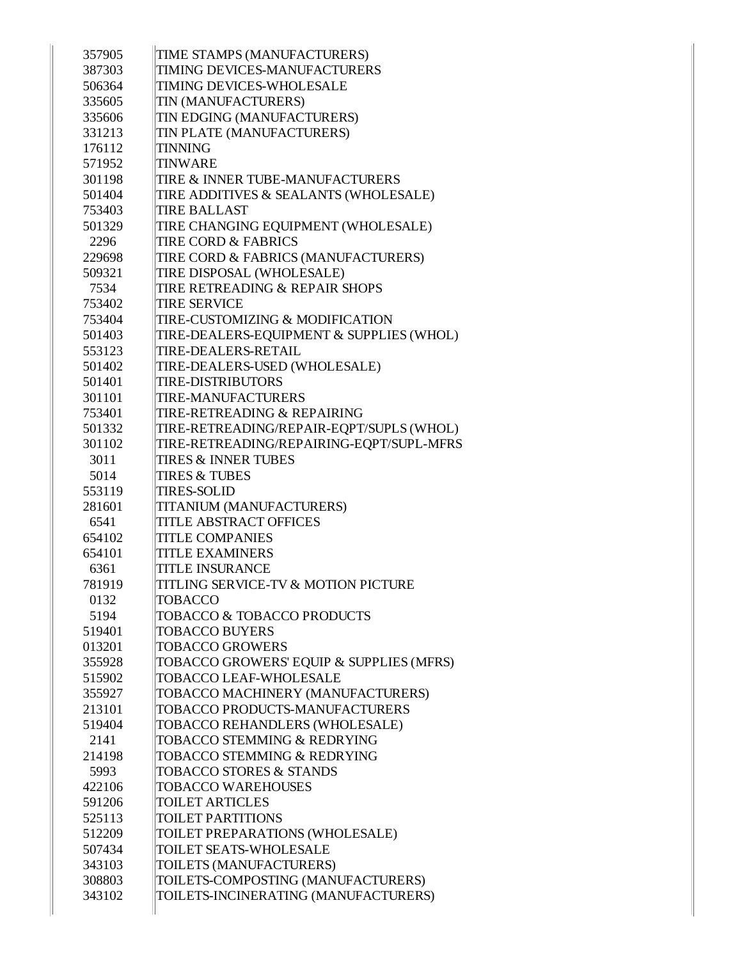| 357905           | TIME STAMPS (MANUFACTURERS)                                                |
|------------------|----------------------------------------------------------------------------|
| 387303           | <b>TIMING DEVICES-MANUFACTURERS</b>                                        |
| 506364           | <b>TIMING DEVICES-WHOLESALE</b>                                            |
| 335605           | TIN (MANUFACTURERS)                                                        |
| 335606           | TIN EDGING (MANUFACTURERS)                                                 |
| 331213           | TIN PLATE (MANUFACTURERS)                                                  |
| 176112           | TINNING                                                                    |
| 571952           | <b>TINWARE</b>                                                             |
| 301198           | TIRE & INNER TUBE-MANUFACTURERS                                            |
| 501404           | TIRE ADDITIVES & SEALANTS (WHOLESALE)                                      |
| 753403           | <b>TIRE BALLAST</b>                                                        |
| 501329           | TIRE CHANGING EQUIPMENT (WHOLESALE)                                        |
| 2296             | <b>TIRE CORD &amp; FABRICS</b>                                             |
| 229698           | TIRE CORD & FABRICS (MANUFACTURERS)                                        |
| 509321           | TIRE DISPOSAL (WHOLESALE)                                                  |
| 7534             | TIRE RETREADING & REPAIR SHOPS                                             |
| 753402           | <b>TIRE SERVICE</b>                                                        |
| 753404           | <b>TIRE-CUSTOMIZING &amp; MODIFICATION</b>                                 |
| 501403           | TIRE-DEALERS-EQUIPMENT & SUPPLIES (WHOL)                                   |
| 553123           | TIRE-DEALERS-RETAIL                                                        |
| 501402           | TIRE-DEALERS-USED (WHOLESALE)                                              |
| 501401           | <b>TIRE-DISTRIBUTORS</b>                                                   |
| 301101           | <b>TIRE-MANUFACTURERS</b>                                                  |
| 753401           | TIRE-RETREADING & REPAIRING                                                |
| 501332           | TIRE-RETREADING/REPAIR-EQPT/SUPLS (WHOL)                                   |
| 301102           | TIRE-RETREADING/REPAIRING-EQPT/SUPL-MFRS                                   |
| 3011             | <b>TIRES &amp; INNER TUBES</b>                                             |
| 5014             | <b>TIRES &amp; TUBES</b>                                                   |
| 553119           | <b>TIRES-SOLID</b>                                                         |
| 281601           | TITANIUM (MANUFACTURERS)                                                   |
| 6541             | <b>TITLE ABSTRACT OFFICES</b>                                              |
| 654102           | <b>TITLE COMPANIES</b>                                                     |
|                  |                                                                            |
| 654101           | <b>TITLE EXAMINERS</b>                                                     |
| 6361             | <b>TITLE INSURANCE</b>                                                     |
| 781919           | TITLING SERVICE-TV & MOTION PICTURE                                        |
| 0132             | <b>TOBACCO</b>                                                             |
| 5194             | TOBACCO & TOBACCO PRODUCTS                                                 |
| 519401           | <b>TOBACCO BUYERS</b>                                                      |
| 013201           | <b>TOBACCO GROWERS</b>                                                     |
| 355928           | TOBACCO GROWERS' EQUIP & SUPPLIES (MFRS)                                   |
| 515902           | TOBACCO LEAF-WHOLESALE                                                     |
| 355927           | TOBACCO MACHINERY (MANUFACTURERS)                                          |
| 213101           | TOBACCO PRODUCTS-MANUFACTURERS                                             |
| 519404           | TOBACCO REHANDLERS (WHOLESALE)                                             |
| 2141             | TOBACCO STEMMING & REDRYING                                                |
| 214198           | TOBACCO STEMMING & REDRYING                                                |
| 5993             | TOBACCO STORES & STANDS                                                    |
| 422106           | <b>TOBACCO WAREHOUSES</b>                                                  |
| 591206           | <b>TOILET ARTICLES</b>                                                     |
| 525113           | <b>TOILET PARTITIONS</b>                                                   |
| 512209           | TOILET PREPARATIONS (WHOLESALE)                                            |
| 507434           | TOILET SEATS-WHOLESALE                                                     |
| 343103           | TOILETS (MANUFACTURERS)                                                    |
| 308803<br>343102 | TOILETS-COMPOSTING (MANUFACTURERS)<br>TOILETS-INCINERATING (MANUFACTURERS) |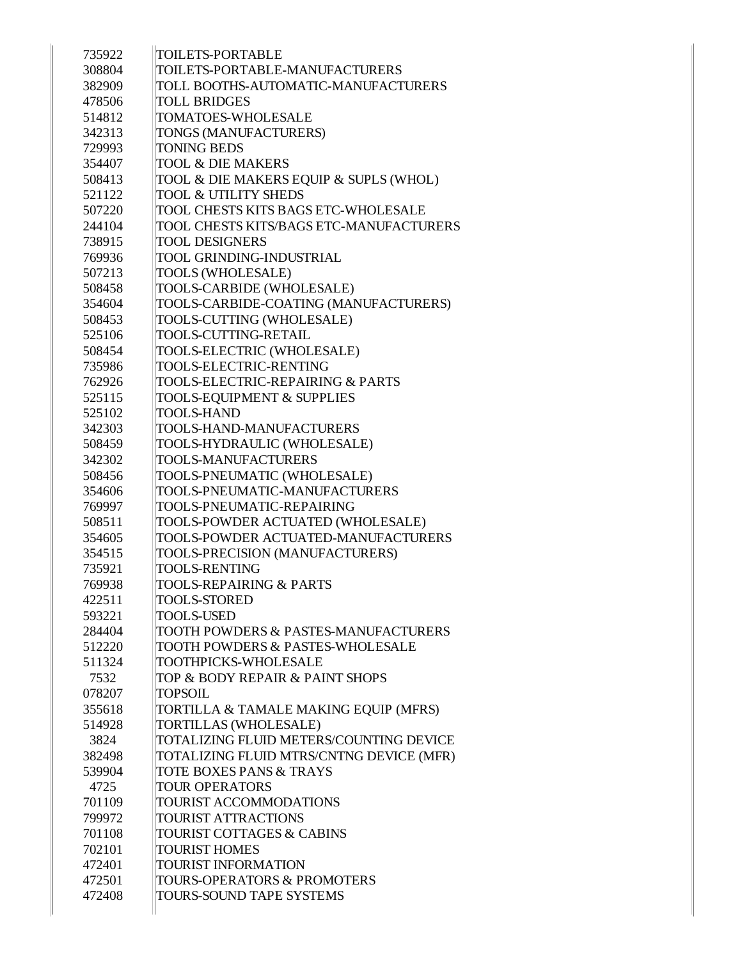| 735922 | <b>TOILETS-PORTABLE</b>                         |
|--------|-------------------------------------------------|
| 308804 | TOILETS-PORTABLE-MANUFACTURERS                  |
| 382909 | TOLL BOOTHS-AUTOMATIC-MANUFACTURERS             |
| 478506 | <b>TOLL BRIDGES</b>                             |
| 514812 | <b>TOMATOES-WHOLESALE</b>                       |
| 342313 | TONGS (MANUFACTURERS)                           |
| 729993 | <b>TONING BEDS</b>                              |
| 354407 | <b>TOOL &amp; DIE MAKERS</b>                    |
| 508413 | TOOL & DIE MAKERS EQUIP & SUPLS (WHOL)          |
| 521122 | <b>TOOL &amp; UTILITY SHEDS</b>                 |
| 507220 | TOOL CHESTS KITS BAGS ETC-WHOLESALE             |
| 244104 | TOOL CHESTS KITS/BAGS ETC-MANUFACTURERS         |
| 738915 | <b>TOOL DESIGNERS</b>                           |
| 769936 | TOOL GRINDING-INDUSTRIAL                        |
| 507213 | TOOLS (WHOLESALE)                               |
| 508458 | TOOLS-CARBIDE (WHOLESALE)                       |
| 354604 | TOOLS-CARBIDE-COATING (MANUFACTURERS)           |
| 508453 | TOOLS-CUTTING (WHOLESALE)                       |
| 525106 | TOOLS-CUTTING-RETAIL                            |
| 508454 | TOOLS-ELECTRIC (WHOLESALE)                      |
| 735986 | TOOLS-ELECTRIC-RENTING                          |
| 762926 | TOOLS-ELECTRIC-REPAIRING & PARTS                |
| 525115 | TOOLS-EQUIPMENT & SUPPLIES                      |
| 525102 | <b>TOOLS-HAND</b>                               |
| 342303 | TOOLS-HAND-MANUFACTURERS                        |
| 508459 | TOOLS-HYDRAULIC (WHOLESALE)                     |
| 342302 | TOOLS-MANUFACTURERS                             |
| 508456 | TOOLS-PNEUMATIC (WHOLESALE)                     |
| 354606 | TOOLS-PNEUMATIC-MANUFACTURERS                   |
| 769997 | TOOLS-PNEUMATIC-REPAIRING                       |
| 508511 | TOOLS-POWDER ACTUATED (WHOLESALE)               |
| 354605 | TOOLS-POWDER ACTUATED-MANUFACTURERS             |
| 354515 | TOOLS-PRECISION (MANUFACTURERS)                 |
| 735921 | <b>TOOLS-RENTING</b>                            |
| 769938 | TOOLS-REPAIRING & PARTS                         |
| 422511 | TOOLS-STORED                                    |
| 593221 | <b>TOOLS-USED</b>                               |
| 284404 | <b>TOOTH POWDERS &amp; PASTES-MANUFACTURERS</b> |
| 512220 | <b>TOOTH POWDERS &amp; PASTES-WHOLESALE</b>     |
| 511324 | <b>TOOTHPICKS-WHOLESALE</b>                     |
| 7532   | TOP & BODY REPAIR & PAINT SHOPS                 |
| 078207 | <b>TOPSOIL</b>                                  |
| 355618 | TORTILLA & TAMALE MAKING EQUIP (MFRS)           |
| 514928 | TORTILLAS (WHOLESALE)                           |
| 3824   | TOTALIZING FLUID METERS/COUNTING DEVICE         |
| 382498 | TOTALIZING FLUID MTRS/CNTNG DEVICE (MFR)        |
| 539904 | TOTE BOXES PANS & TRAYS                         |
| 4725   | <b>TOUR OPERATORS</b>                           |
| 701109 | TOURIST ACCOMMODATIONS                          |
| 799972 | <b>TOURIST ATTRACTIONS</b>                      |
| 701108 | <b>TOURIST COTTAGES &amp; CABINS</b>            |
| 702101 | <b>TOURIST HOMES</b>                            |
| 472401 | <b>TOURIST INFORMATION</b>                      |
|        | TOURS-OPERATORS & PROMOTERS                     |
| 472501 |                                                 |
| 472408 | TOURS-SOUND TAPE SYSTEMS                        |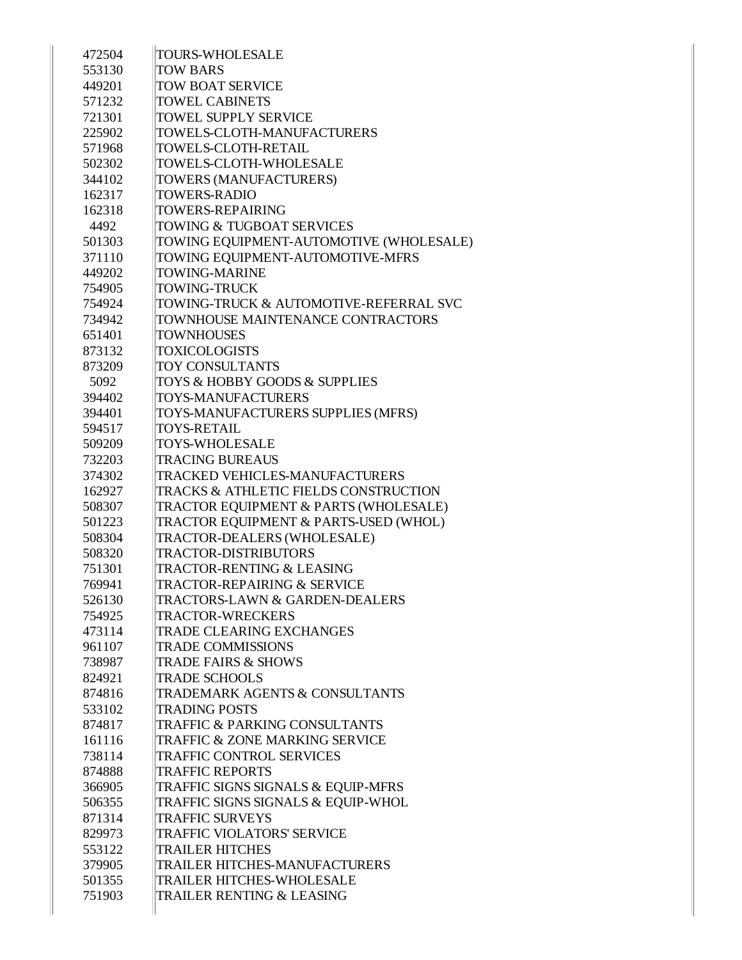| 472504 | <b>TOURS-WHOLESALE</b>                       |
|--------|----------------------------------------------|
| 553130 | <b>TOW BARS</b>                              |
| 449201 | <b>TOW BOAT SERVICE</b>                      |
| 571232 | <b>TOWEL CABINETS</b>                        |
| 721301 | <b>TOWEL SUPPLY SERVICE</b>                  |
| 225902 | TOWELS-CLOTH-MANUFACTURERS                   |
| 571968 | TOWELS-CLOTH-RETAIL                          |
| 502302 | TOWELS-CLOTH-WHOLESALE                       |
| 344102 | TOWERS (MANUFACTURERS)                       |
| 162317 | <b>TOWERS-RADIO</b>                          |
| 162318 | <b>TOWERS-REPAIRING</b>                      |
| 4492   | <b>TOWING &amp; TUGBOAT SERVICES</b>         |
| 501303 | TOWING EQUIPMENT-AUTOMOTIVE (WHOLESALE)      |
| 371110 | TOWING EQUIPMENT-AUTOMOTIVE-MFRS             |
| 449202 | <b>TOWING-MARINE</b>                         |
| 754905 | <b>TOWING-TRUCK</b>                          |
| 754924 | TOWING-TRUCK & AUTOMOTIVE-REFERRAL SVC       |
| 734942 | TOWNHOUSE MAINTENANCE CONTRACTORS            |
| 651401 | <b>TOWNHOUSES</b>                            |
| 873132 | <b>TOXICOLOGISTS</b>                         |
| 873209 | <b>TOY CONSULTANTS</b>                       |
| 5092   | <b>TOYS &amp; HOBBY GOODS &amp; SUPPLIES</b> |
| 394402 | <b>TOYS-MANUFACTURERS</b>                    |
| 394401 | TOYS-MANUFACTURERS SUPPLIES (MFRS)           |
| 594517 | TOYS-RETAIL                                  |
| 509209 | <b>TOYS-WHOLESALE</b>                        |
| 732203 | <b>TRACING BUREAUS</b>                       |
| 374302 | <b>TRACKED VEHICLES-MANUFACTURERS</b>        |
| 162927 | TRACKS & ATHLETIC FIELDS CONSTRUCTION        |
| 508307 | TRACTOR EQUIPMENT & PARTS (WHOLESALE)        |
| 501223 | TRACTOR EQUIPMENT & PARTS-USED (WHOL)        |
| 508304 | TRACTOR-DEALERS (WHOLESALE)                  |
| 508320 | <b>TRACTOR-DISTRIBUTORS</b>                  |
| 751301 | <b>TRACTOR-RENTING &amp; LEASING</b>         |
| 769941 | TRACTOR-REPAIRING & SERVICE                  |
| 526130 | TRACTORS-LAWN & GARDEN-DEALERS               |
| 754925 | <b>TRACTOR-WRECKERS</b>                      |
| 473114 | <b>TRADE CLEARING EXCHANGES</b>              |
| 961107 | <b>TRADE COMMISSIONS</b>                     |
| 738987 | <b>TRADE FAIRS &amp; SHOWS</b>               |
| 824921 | <b>TRADE SCHOOLS</b>                         |
| 874816 | TRADEMARK AGENTS & CONSULTANTS               |
| 533102 | <b>TRADING POSTS</b>                         |
| 874817 | <b>TRAFFIC &amp; PARKING CONSULTANTS</b>     |
| 161116 | TRAFFIC & ZONE MARKING SERVICE               |
| 738114 | <b>TRAFFIC CONTROL SERVICES</b>              |
| 874888 | <b>TRAFFIC REPORTS</b>                       |
| 366905 | TRAFFIC SIGNS SIGNALS & EQUIP-MFRS           |
| 506355 | TRAFFIC SIGNS SIGNALS & EQUIP-WHOL           |
| 871314 | <b>TRAFFIC SURVEYS</b>                       |
| 829973 | <b>TRAFFIC VIOLATORS' SERVICE</b>            |
| 553122 | <b>TRAILER HITCHES</b>                       |
| 379905 | TRAILER HITCHES-MANUFACTURERS                |
| 501355 | TRAILER HITCHES-WHOLESALE                    |
| 751903 | TRAILER RENTING & LEASING                    |
|        |                                              |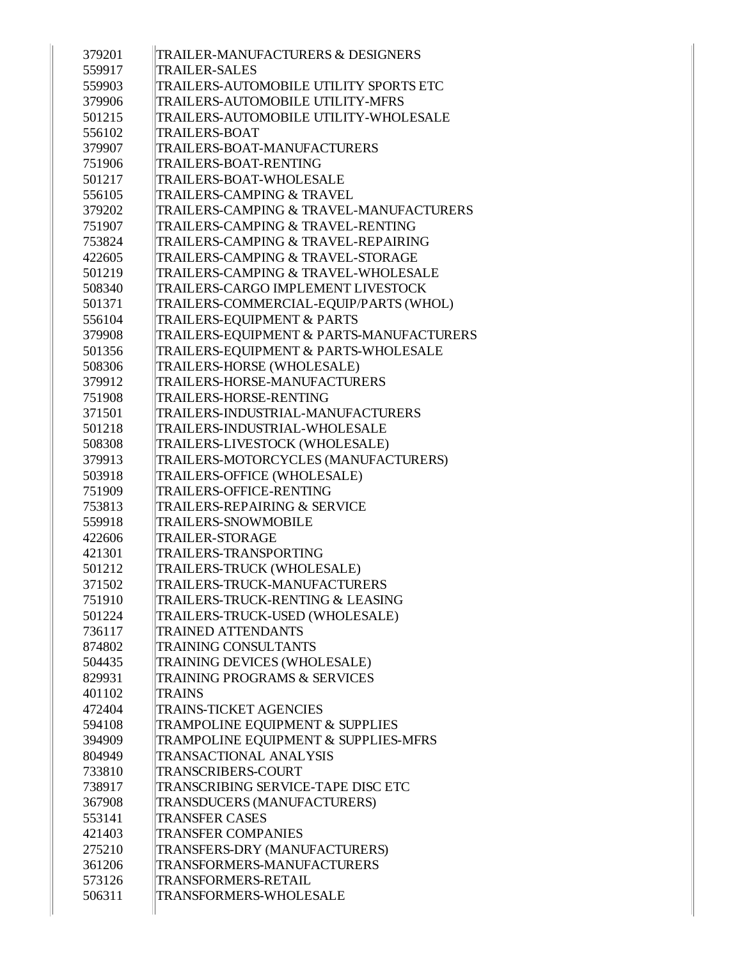| 379201 | TRAILER-MANUFACTURERS & DESIGNERS            |
|--------|----------------------------------------------|
| 559917 | <b>TRAILER-SALES</b>                         |
| 559903 | TRAILERS-AUTOMOBILE UTILITY SPORTS ETC       |
| 379906 | TRAILERS-AUTOMOBILE UTILITY-MFRS             |
| 501215 | <b>TRAILERS-AUTOMOBILE UTILITY-WHOLESALE</b> |
| 556102 | <b>TRAILERS-BOAT</b>                         |
| 379907 | TRAILERS-BOAT-MANUFACTURERS                  |
| 751906 | <b>TRAILERS-BOAT-RENTING</b>                 |
| 501217 | <b>TRAILERS-BOAT-WHOLESALE</b>               |
| 556105 | <b>TRAILERS-CAMPING &amp; TRAVEL</b>         |
| 379202 | TRAILERS-CAMPING & TRAVEL-MANUFACTURERS      |
| 751907 | <b>TRAILERS-CAMPING &amp; TRAVEL-RENTING</b> |
| 753824 | TRAILERS-CAMPING & TRAVEL-REPAIRING          |
| 422605 | TRAILERS-CAMPING & TRAVEL-STORAGE            |
| 501219 | TRAILERS-CAMPING & TRAVEL-WHOLESALE          |
| 508340 | TRAILERS-CARGO IMPLEMENT LIVESTOCK           |
| 501371 | TRAILERS-COMMERCIAL-EQUIP/PARTS (WHOL)       |
| 556104 | TRAILERS-EQUIPMENT & PARTS                   |
| 379908 | TRAILERS-EQUIPMENT & PARTS-MANUFACTURERS     |
| 501356 | TRAILERS-EQUIPMENT & PARTS-WHOLESALE         |
| 508306 | TRAILERS-HORSE (WHOLESALE)                   |
| 379912 | TRAILERS-HORSE-MANUFACTURERS                 |
| 751908 | <b>TRAILERS-HORSE-RENTING</b>                |
| 371501 | TRAILERS-INDUSTRIAL-MANUFACTURERS            |
| 501218 | TRAILERS-INDUSTRIAL-WHOLESALE                |
| 508308 | TRAILERS-LIVESTOCK (WHOLESALE)               |
| 379913 | TRAILERS-MOTORCYCLES (MANUFACTURERS)         |
| 503918 | TRAILERS-OFFICE (WHOLESALE)                  |
| 751909 | <b>TRAILERS-OFFICE-RENTING</b>               |
| 753813 | <b>TRAILERS-REPAIRING &amp; SERVICE</b>      |
| 559918 | <b>TRAILERS-SNOWMOBILE</b>                   |
| 422606 | <b>TRAILER-STORAGE</b>                       |
| 421301 | <b>TRAILERS-TRANSPORTING</b>                 |
| 501212 | TRAILERS-TRUCK (WHOLESALE)                   |
| 371502 | TRAILERS-TRUCK-MANUFACTURERS                 |
| 751910 | TRAILERS-TRUCK-RENTING & LEASING             |
| 501224 | TRAILERS-TRUCK-USED (WHOLESALE)              |
| 736117 | <b>TRAINED ATTENDANTS</b>                    |
| 874802 | <b>TRAINING CONSULTANTS</b>                  |
| 504435 | TRAINING DEVICES (WHOLESALE)                 |
| 829931 | <b>TRAINING PROGRAMS &amp; SERVICES</b>      |
| 401102 | <b>TRAINS</b>                                |
| 472404 | <b>TRAINS-TICKET AGENCIES</b>                |
| 594108 | TRAMPOLINE EQUIPMENT & SUPPLIES              |
| 394909 | TRAMPOLINE EQUIPMENT & SUPPLIES-MFRS         |
| 804949 | <b>TRANSACTIONAL ANALYSIS</b>                |
| 733810 | <b>TRANSCRIBERS-COURT</b>                    |
| 738917 | <b>TRANSCRIBING SERVICE-TAPE DISC ETC</b>    |
| 367908 | TRANSDUCERS (MANUFACTURERS)                  |
| 553141 | <b>TRANSFER CASES</b>                        |
| 421403 | <b>TRANSFER COMPANIES</b>                    |
| 275210 | TRANSFERS-DRY (MANUFACTURERS)                |
| 361206 | TRANSFORMERS-MANUFACTURERS                   |
| 573126 | <b>TRANSFORMERS-RETAIL</b>                   |
| 506311 | TRANSFORMERS-WHOLESALE                       |
|        |                                              |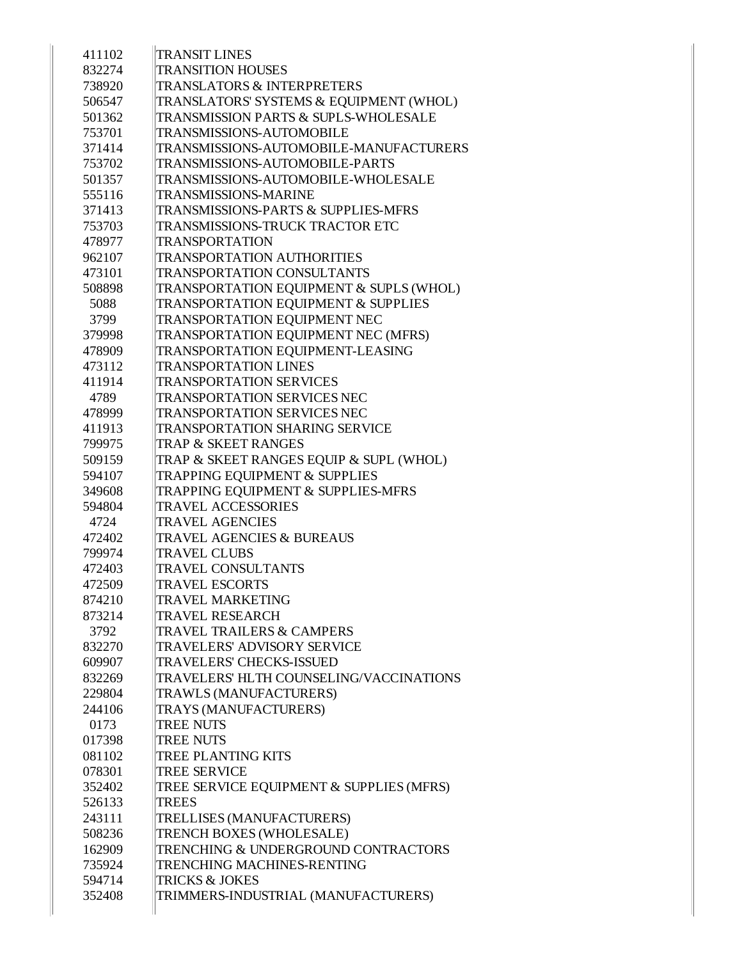| 411102 | <b>TRANSIT LINES</b>                       |
|--------|--------------------------------------------|
| 832274 | <b>TRANSITION HOUSES</b>                   |
| 738920 | <b>TRANSLATORS &amp; INTERPRETERS</b>      |
| 506547 | TRANSLATORS' SYSTEMS & EQUIPMENT (WHOL)    |
| 501362 | TRANSMISSION PARTS & SUPLS-WHOLESALE       |
| 753701 | <b>TRANSMISSIONS-AUTOMOBILE</b>            |
| 371414 | TRANSMISSIONS-AUTOMOBILE-MANUFACTURERS     |
| 753702 | <b>TRANSMISSIONS-AUTOMOBILE-PARTS</b>      |
| 501357 | TRANSMISSIONS-AUTOMOBILE-WHOLESALE         |
| 555116 | <b>TRANSMISSIONS-MARINE</b>                |
| 371413 | TRANSMISSIONS-PARTS & SUPPLIES-MFRS        |
| 753703 | TRANSMISSIONS-TRUCK TRACTOR ETC            |
| 478977 | <b>TRANSPORTATION</b>                      |
| 962107 | <b>TRANSPORTATION AUTHORITIES</b>          |
| 473101 | <b>TRANSPORTATION CONSULTANTS</b>          |
| 508898 | TRANSPORTATION EQUIPMENT & SUPLS (WHOL)    |
| 5088   | TRANSPORTATION EQUIPMENT & SUPPLIES        |
| 3799   | TRANSPORTATION EQUIPMENT NEC               |
| 379998 | <b>TRANSPORTATION EQUIPMENT NEC (MFRS)</b> |
| 478909 | TRANSPORTATION EQUIPMENT-LEASING           |
| 473112 | <b>TRANSPORTATION LINES</b>                |
| 411914 | <b>TRANSPORTATION SERVICES</b>             |
| 4789   | <b>TRANSPORTATION SERVICES NEC</b>         |
| 478999 | <b>TRANSPORTATION SERVICES NEC</b>         |
| 411913 | <b>TRANSPORTATION SHARING SERVICE</b>      |
| 799975 | TRAP & SKEET RANGES                        |
| 509159 | TRAP & SKEET RANGES EQUIP & SUPL (WHOL)    |
| 594107 | TRAPPING EQUIPMENT & SUPPLIES              |
| 349608 | TRAPPING EQUIPMENT & SUPPLIES-MFRS         |
| 594804 | <b>TRAVEL ACCESSORIES</b>                  |
| 4724   | <b>TRAVEL AGENCIES</b>                     |
| 472402 | TRAVEL AGENCIES & BUREAUS                  |
| 799974 | <b>TRAVEL CLUBS</b>                        |
| 472403 | <b>TRAVEL CONSULTANTS</b>                  |
| 472509 | <b>TRAVEL ESCORTS</b>                      |
| 874210 | <b>TRAVEL MARKETING</b>                    |
| 873214 | <b>TRAVEL RESEARCH</b>                     |
| 3792   | <b>TRAVEL TRAILERS &amp; CAMPERS</b>       |
| 832270 | TRAVELERS' ADVISORY SERVICE                |
| 609907 | TRAVELERS' CHECKS-ISSUED                   |
| 832269 | TRAVELERS' HLTH COUNSELING/VACCINATIONS    |
| 229804 | TRAWLS (MANUFACTURERS)                     |
| 244106 | TRAYS (MANUFACTURERS)                      |
| 0173   | <b>TREE NUTS</b>                           |
| 017398 | <b>TREE NUTS</b>                           |
| 081102 | <b>TREE PLANTING KITS</b>                  |
| 078301 | <b>TREE SERVICE</b>                        |
| 352402 | TREE SERVICE EQUIPMENT & SUPPLIES (MFRS)   |
| 526133 | <b>TREES</b>                               |
| 243111 | TRELLISES (MANUFACTURERS)                  |
| 508236 | TRENCH BOXES (WHOLESALE)                   |
| 162909 | TRENCHING & UNDERGROUND CONTRACTORS        |
| 735924 | TRENCHING MACHINES-RENTING                 |
| 594714 | <b>TRICKS &amp; JOKES</b>                  |
| 352408 | TRIMMERS-INDUSTRIAL (MANUFACTURERS)        |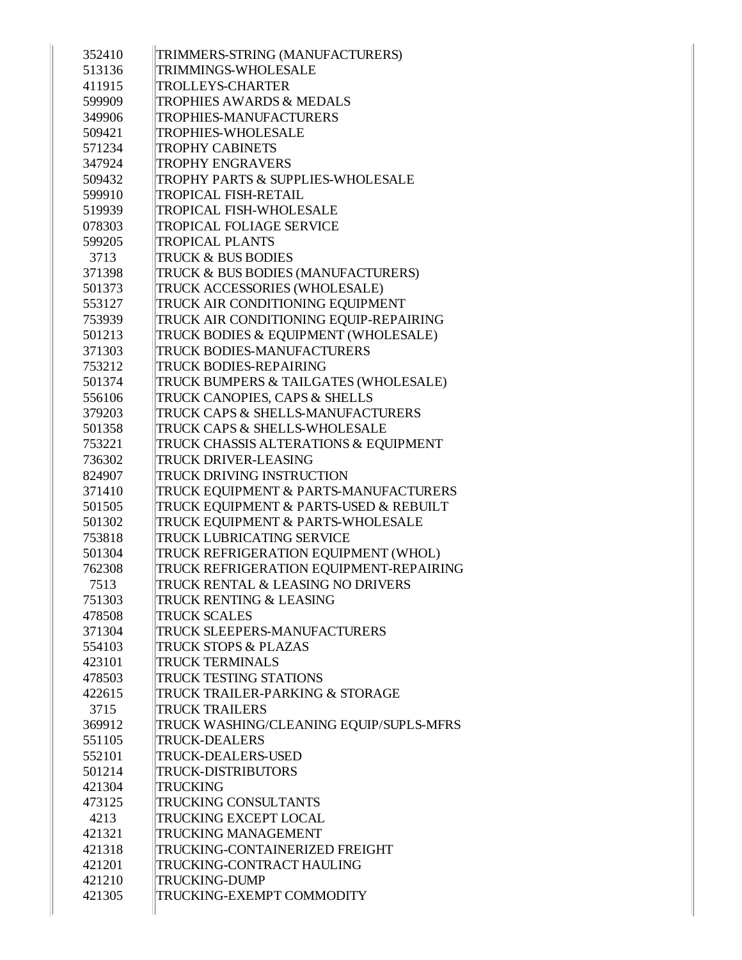| 352410           | TRIMMERS-STRING (MANUFACTURERS)                                 |
|------------------|-----------------------------------------------------------------|
| 513136           | <b>TRIMMINGS-WHOLESALE</b>                                      |
| 411915           | <b>TROLLEYS-CHARTER</b>                                         |
| 599909           | <b>TROPHIES AWARDS &amp; MEDALS</b>                             |
| 349906           | <b>TROPHIES-MANUFACTURERS</b>                                   |
| 509421           | <b>TROPHIES-WHOLESALE</b>                                       |
| 571234           | <b>TROPHY CABINETS</b>                                          |
| 347924           | <b>TROPHY ENGRAVERS</b>                                         |
| 509432           | TROPHY PARTS & SUPPLIES-WHOLESALE                               |
| 599910           | <b>TROPICAL FISH-RETAIL</b>                                     |
| 519939           | TROPICAL FISH-WHOLESALE                                         |
| 078303           | <b>TROPICAL FOLIAGE SERVICE</b>                                 |
| 599205           | <b>TROPICAL PLANTS</b>                                          |
| 3713             | <b>TRUCK &amp; BUS BODIES</b>                                   |
| 371398           | TRUCK & BUS BODIES (MANUFACTURERS)                              |
| 501373           | TRUCK ACCESSORIES (WHOLESALE)                                   |
| 553127           | TRUCK AIR CONDITIONING EQUIPMENT                                |
| 753939           | TRUCK AIR CONDITIONING EQUIP-REPAIRING                          |
| 501213           | TRUCK BODIES & EQUIPMENT (WHOLESALE)                            |
| 371303           | TRUCK BODIES-MANUFACTURERS                                      |
| 753212           | <b>TRUCK BODIES-REPAIRING</b>                                   |
| 501374           | TRUCK BUMPERS & TAILGATES (WHOLESALE)                           |
| 556106           | TRUCK CANOPIES, CAPS & SHELLS                                   |
| 379203           | TRUCK CAPS & SHELLS-MANUFACTURERS                               |
| 501358           | TRUCK CAPS & SHELLS-WHOLESALE                                   |
| 753221           | TRUCK CHASSIS ALTERATIONS & EQUIPMENT                           |
| 736302           | <b>TRUCK DRIVER-LEASING</b>                                     |
| 824907           | <b>TRUCK DRIVING INSTRUCTION</b>                                |
| 371410           | TRUCK EQUIPMENT & PARTS-MANUFACTURERS                           |
| 501505           | TRUCK EQUIPMENT & PARTS-USED & REBUILT                          |
| 501302           | TRUCK EQUIPMENT & PARTS-WHOLESALE                               |
| 753818           | <b>TRUCK LUBRICATING SERVICE</b>                                |
| 501304           | TRUCK REFRIGERATION EQUIPMENT (WHOL)                            |
| 762308           | TRUCK REFRIGERATION EQUIPMENT-REPAIRING                         |
| 7513             | TRUCK RENTAL & LEASING NO DRIVERS                               |
| 751303           | TRUCK RENTING & LEASING                                         |
| 478508           | <b>TRUCK SCALES</b>                                             |
| 371304           | TRUCK SLEEPERS-MANUFACTURERS                                    |
| 554103           | TRUCK STOPS & PLAZAS<br><b>TRUCK TERMINALS</b>                  |
| 423101<br>478503 | TRUCK TESTING STATIONS                                          |
| 422615           | TRUCK TRAILER-PARKING & STORAGE                                 |
|                  | <b>TRUCK TRAILERS</b>                                           |
| 3715             |                                                                 |
| 369912           | TRUCK WASHING/CLEANING EQUIP/SUPLS-MFRS<br><b>TRUCK-DEALERS</b> |
| 551105<br>552101 | <b>TRUCK-DEALERS-USED</b>                                       |
| 501214           | <b>TRUCK-DISTRIBUTORS</b>                                       |
| 421304           | <b>TRUCKING</b>                                                 |
| 473125           | TRUCKING CONSULTANTS                                            |
| 4213             | <b>TRUCKING EXCEPT LOCAL</b>                                    |
| 421321           | <b>TRUCKING MANAGEMENT</b>                                      |
| 421318           | TRUCKING-CONTAINERIZED FREIGHT                                  |
| 421201           | TRUCKING-CONTRACT HAULING                                       |
| 421210           | <b>TRUCKING-DUMP</b>                                            |
| 421305           | TRUCKING-EXEMPT COMMODITY                                       |
|                  |                                                                 |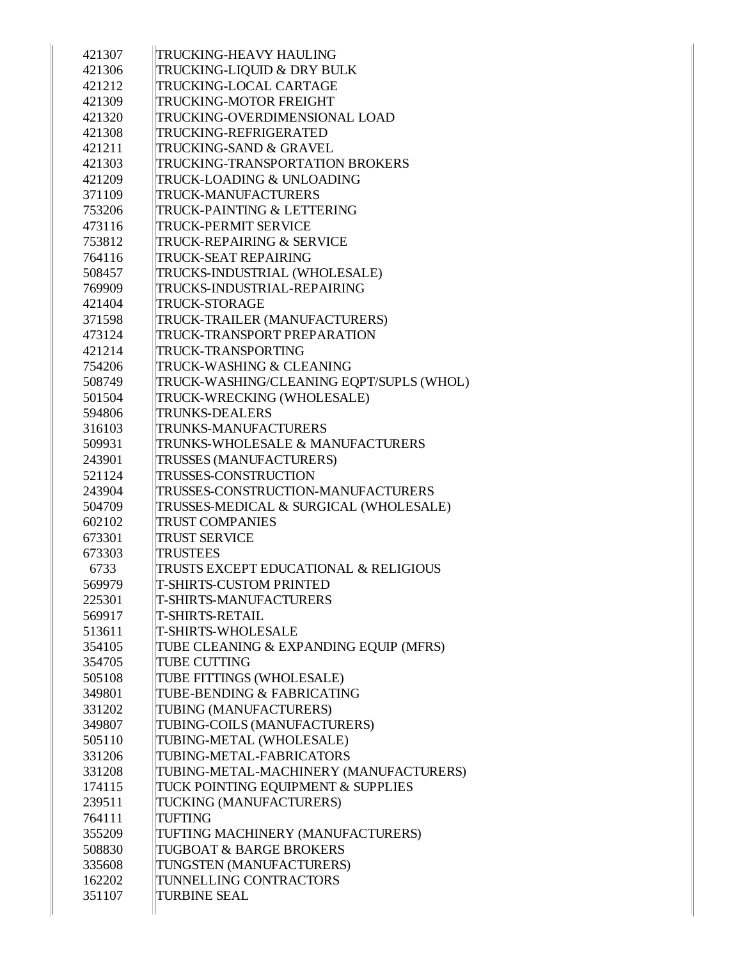| 421307 | <b>TRUCKING-HEAVY HAULING</b>            |
|--------|------------------------------------------|
| 421306 | TRUCKING-LIQUID & DRY BULK               |
| 421212 | TRUCKING-LOCAL CARTAGE                   |
| 421309 | TRUCKING-MOTOR FREIGHT                   |
| 421320 | TRUCKING-OVERDIMENSIONAL LOAD            |
| 421308 | TRUCKING-REFRIGERATED                    |
| 421211 | TRUCKING-SAND & GRAVEL                   |
| 421303 | TRUCKING-TRANSPORTATION BROKERS          |
| 421209 | TRUCK-LOADING & UNLOADING                |
| 371109 | TRUCK-MANUFACTURERS                      |
| 753206 | <b>TRUCK-PAINTING &amp; LETTERING</b>    |
| 473116 | <b>TRUCK-PERMIT SERVICE</b>              |
| 753812 | TRUCK-REPAIRING & SERVICE                |
| 764116 | TRUCK-SEAT REPAIRING                     |
| 508457 | TRUCKS-INDUSTRIAL (WHOLESALE)            |
| 769909 | TRUCKS-INDUSTRIAL-REPAIRING              |
| 421404 | <b>TRUCK-STORAGE</b>                     |
| 371598 | TRUCK-TRAILER (MANUFACTURERS)            |
| 473124 | TRUCK-TRANSPORT PREPARATION              |
| 421214 | TRUCK-TRANSPORTING                       |
| 754206 | TRUCK-WASHING & CLEANING                 |
| 508749 | TRUCK-WASHING/CLEANING EQPT/SUPLS (WHOL) |
| 501504 | TRUCK-WRECKING (WHOLESALE)               |
| 594806 | <b>TRUNKS-DEALERS</b>                    |
| 316103 | TRUNKS-MANUFACTURERS                     |
| 509931 | TRUNKS-WHOLESALE & MANUFACTURERS         |
| 243901 | TRUSSES (MANUFACTURERS)                  |
| 521124 | <b>TRUSSES-CONSTRUCTION</b>              |
| 243904 | TRUSSES-CONSTRUCTION-MANUFACTURERS       |
| 504709 | TRUSSES-MEDICAL & SURGICAL (WHOLESALE)   |
| 602102 | <b>TRUST COMPANIES</b>                   |
| 673301 | <b>TRUST SERVICE</b>                     |
| 673303 | <b>TRUSTEES</b>                          |
| 6733   | TRUSTS EXCEPT EDUCATIONAL & RELIGIOUS    |
| 569979 | <b>T-SHIRTS-CUSTOM PRINTED</b>           |
| 225301 | <b>T-SHIRTS-MANUFACTURERS</b>            |
| 569917 | <b>T-SHIRTS-RETAIL</b>                   |
| 513611 | <b>T-SHIRTS-WHOLESALE</b>                |
| 354105 | TUBE CLEANING & EXPANDING EQUIP (MFRS)   |
| 354705 | <b>TUBE CUTTING</b>                      |
| 505108 | TUBE FITTINGS (WHOLESALE)                |
| 349801 | TUBE-BENDING & FABRICATING               |
| 331202 | TUBING (MANUFACTURERS)                   |
| 349807 | TUBING-COILS (MANUFACTURERS)             |
| 505110 | TUBING-METAL (WHOLESALE)                 |
| 331206 | TUBING-METAL-FABRICATORS                 |
| 331208 | TUBING-METAL-MACHINERY (MANUFACTURERS)   |
| 174115 | TUCK POINTING EQUIPMENT & SUPPLIES       |
| 239511 | TUCKING (MANUFACTURERS)                  |
| 764111 | <b>TUFTING</b>                           |
| 355209 | TUFTING MACHINERY (MANUFACTURERS)        |
| 508830 | TUGBOAT & BARGE BROKERS                  |
| 335608 | TUNGSTEN (MANUFACTURERS)                 |
| 162202 | TUNNELLING CONTRACTORS                   |
| 351107 | <b>TURBINE SEAL</b>                      |
|        |                                          |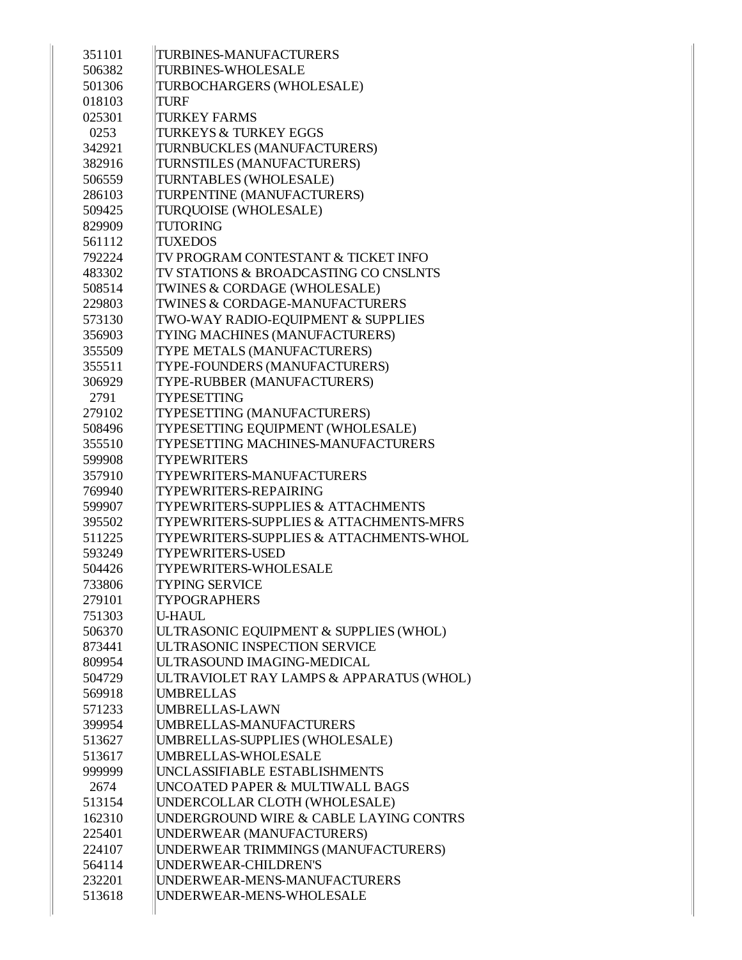| 351101 | <b>TURBINES-MANUFACTURERS</b>                 |
|--------|-----------------------------------------------|
| 506382 | <b>TURBINES-WHOLESALE</b>                     |
| 501306 | TURBOCHARGERS (WHOLESALE)                     |
| 018103 | <b>TURF</b>                                   |
| 025301 | <b>TURKEY FARMS</b>                           |
| 0253   | <b>TURKEYS &amp; TURKEY EGGS</b>              |
| 342921 | TURNBUCKLES (MANUFACTURERS)                   |
| 382916 | TURNSTILES (MANUFACTURERS)                    |
| 506559 | TURNTABLES (WHOLESALE)                        |
| 286103 | TURPENTINE (MANUFACTURERS)                    |
| 509425 | TURQUOISE (WHOLESALE)                         |
| 829909 | <b>TUTORING</b>                               |
| 561112 | <b>TUXEDOS</b>                                |
| 792224 | TV PROGRAM CONTESTANT & TICKET INFO           |
| 483302 | TV STATIONS & BROADCASTING CO CNSLNTS         |
| 508514 | TWINES & CORDAGE (WHOLESALE)                  |
| 229803 | TWINES & CORDAGE-MANUFACTURERS                |
| 573130 | TWO-WAY RADIO-EQUIPMENT & SUPPLIES            |
| 356903 | TYING MACHINES (MANUFACTURERS)                |
| 355509 | TYPE METALS (MANUFACTURERS)                   |
| 355511 | TYPE-FOUNDERS (MANUFACTURERS)                 |
| 306929 | TYPE-RUBBER (MANUFACTURERS)                   |
| 2791   | <b>TYPESETTING</b>                            |
| 279102 | TYPESETTING (MANUFACTURERS)                   |
| 508496 | TYPESETTING EQUIPMENT (WHOLESALE)             |
| 355510 | TYPESETTING MACHINES-MANUFACTURERS            |
| 599908 | <b>TYPEWRITERS</b>                            |
| 357910 | TYPEWRITERS-MANUFACTURERS                     |
| 769940 | TYPEWRITERS-REPAIRING                         |
| 599907 | <b>TYPEWRITERS-SUPPLIES &amp; ATTACHMENTS</b> |
| 395502 | TYPEWRITERS-SUPPLIES & ATTACHMENTS-MFRS       |
| 511225 | TYPEWRITERS-SUPPLIES & ATTACHMENTS-WHOL       |
| 593249 | <b>TYPEWRITERS-USED</b>                       |
| 504426 | TYPEWRITERS-WHOLESALE                         |
| 733806 | <b>TYPING SERVICE</b>                         |
| 279101 | <b>TYPOGRAPHERS</b>                           |
| 751303 | <b>U-HAUL</b>                                 |
| 506370 | ULTRASONIC EQUIPMENT & SUPPLIES (WHOL)        |
| 873441 | ULTRASONIC INSPECTION SERVICE                 |
| 809954 | ULTRASOUND IMAGING-MEDICAL                    |
| 504729 | ULTRAVIOLET RAY LAMPS & APPARATUS (WHOL)      |
| 569918 | <b>UMBRELLAS</b>                              |
| 571233 | UMBRELLAS-LAWN                                |
| 399954 | UMBRELLAS-MANUFACTURERS                       |
| 513627 | UMBRELLAS-SUPPLIES (WHOLESALE)                |
| 513617 | UMBRELLAS-WHOLESALE                           |
| 999999 | UNCLASSIFIABLE ESTABLISHMENTS                 |
| 2674   | UNCOATED PAPER & MULTIWALL BAGS               |
| 513154 | UNDERCOLLAR CLOTH (WHOLESALE)                 |
| 162310 | UNDERGROUND WIRE & CABLE LAYING CONTRS        |
| 225401 | UNDERWEAR (MANUFACTURERS)                     |
| 224107 | UNDERWEAR TRIMMINGS (MANUFACTURERS)           |
| 564114 | UNDERWEAR-CHILDREN'S                          |
| 232201 | UNDERWEAR-MENS-MANUFACTURERS                  |
| 513618 | UNDERWEAR-MENS-WHOLESALE                      |
|        |                                               |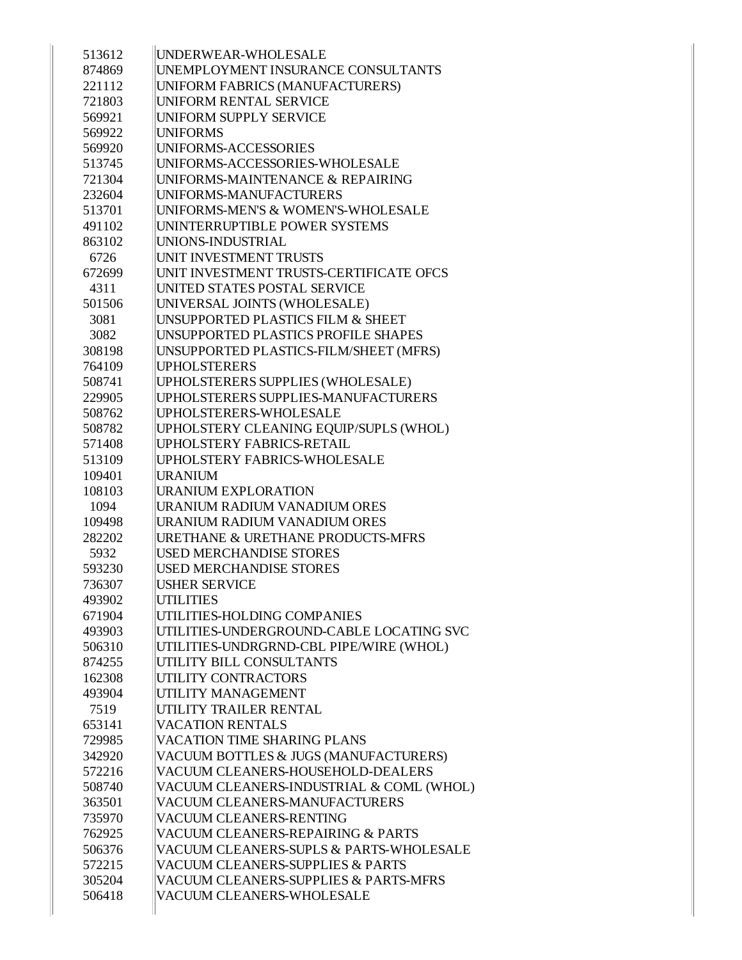| 513612 | UNDERWEAR-WHOLESALE                          |
|--------|----------------------------------------------|
| 874869 | UNEMPLOYMENT INSURANCE CONSULTANTS           |
| 221112 | UNIFORM FABRICS (MANUFACTURERS)              |
| 721803 | UNIFORM RENTAL SERVICE                       |
| 569921 | <b>UNIFORM SUPPLY SERVICE</b>                |
| 569922 | <b>UNIFORMS</b>                              |
| 569920 | UNIFORMS-ACCESSORIES                         |
| 513745 | UNIFORMS-ACCESSORIES-WHOLESALE               |
| 721304 | UNIFORMS-MAINTENANCE & REPAIRING             |
| 232604 | UNIFORMS-MANUFACTURERS                       |
| 513701 | UNIFORMS-MEN'S & WOMEN'S-WHOLESALE           |
| 491102 | UNINTERRUPTIBLE POWER SYSTEMS                |
| 863102 | UNIONS-INDUSTRIAL                            |
| 6726   | UNIT INVESTMENT TRUSTS                       |
| 672699 | UNIT INVESTMENT TRUSTS-CERTIFICATE OFCS      |
| 4311   | UNITED STATES POSTAL SERVICE                 |
| 501506 | UNIVERSAL JOINTS (WHOLESALE)                 |
| 3081   | UNSUPPORTED PLASTICS FILM & SHEET            |
| 3082   | UNSUPPORTED PLASTICS PROFILE SHAPES          |
| 308198 | UNSUPPORTED PLASTICS-FILM/SHEET (MFRS)       |
| 764109 | <b>UPHOLSTERERS</b>                          |
| 508741 | UPHOLSTERERS SUPPLIES (WHOLESALE)            |
| 229905 | UPHOLSTERERS SUPPLIES-MANUFACTURERS          |
| 508762 | UPHOLSTERERS-WHOLESALE                       |
| 508782 | UPHOLSTERY CLEANING EQUIP/SUPLS (WHOL)       |
| 571408 | <b>UPHOLSTERY FABRICS-RETAIL</b>             |
| 513109 | UPHOLSTERY FABRICS-WHOLESALE                 |
| 109401 | <b>URANIUM</b>                               |
| 108103 | <b>URANIUM EXPLORATION</b>                   |
| 1094   | URANIUM RADIUM VANADIUM ORES                 |
| 109498 | URANIUM RADIUM VANADIUM ORES                 |
| 282202 | <b>URETHANE &amp; URETHANE PRODUCTS-MFRS</b> |
| 5932   | <b>USED MERCHANDISE STORES</b>               |
| 593230 | <b>USED MERCHANDISE STORES</b>               |
| 736307 | <b>USHER SERVICE</b>                         |
| 493902 | <b>UTILITIES</b>                             |
| 671904 | UTILITIES-HOLDING COMPANIES                  |
| 493903 | UTILITIES-UNDERGROUND-CABLE LOCATING SVC     |
| 506310 | UTILITIES-UNDRGRND-CBL PIPE/WIRE (WHOL)      |
| 874255 | UTILITY BILL CONSULTANTS                     |
| 162308 | UTILITY CONTRACTORS                          |
| 493904 | UTILITY MANAGEMENT                           |
| 7519   | UTILITY TRAILER RENTAL                       |
| 653141 | <b>VACATION RENTALS</b>                      |
| 729985 | <b>VACATION TIME SHARING PLANS</b>           |
| 342920 | VACUUM BOTTLES & JUGS (MANUFACTURERS)        |
| 572216 | VACUUM CLEANERS-HOUSEHOLD-DEALERS            |
| 508740 | VACUUM CLEANERS-INDUSTRIAL & COML (WHOL)     |
| 363501 | VACUUM CLEANERS-MANUFACTURERS                |
| 735970 | VACUUM CLEANERS-RENTING                      |
| 762925 | VACUUM CLEANERS-REPAIRING & PARTS            |
| 506376 | VACUUM CLEANERS-SUPLS & PARTS-WHOLESALE      |
| 572215 | <b>VACUUM CLEANERS-SUPPLIES &amp; PARTS</b>  |
| 305204 | VACUUM CLEANERS-SUPPLIES & PARTS-MFRS        |
| 506418 | VACUUM CLEANERS-WHOLESALE                    |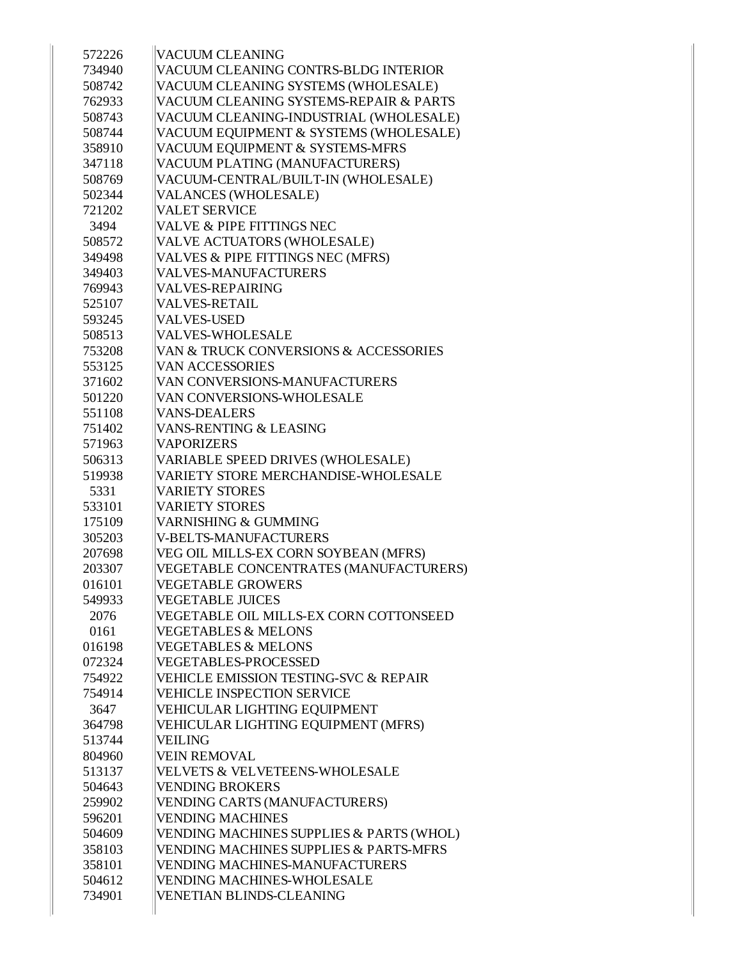| 572226 | <b>VACUUM CLEANING</b>                            |
|--------|---------------------------------------------------|
| 734940 | VACUUM CLEANING CONTRS-BLDG INTERIOR              |
| 508742 | VACUUM CLEANING SYSTEMS (WHOLESALE)               |
| 762933 | VACUUM CLEANING SYSTEMS-REPAIR & PARTS            |
| 508743 | VACUUM CLEANING-INDUSTRIAL (WHOLESALE)            |
| 508744 | VACUUM EQUIPMENT & SYSTEMS (WHOLESALE)            |
| 358910 | VACUUM EQUIPMENT & SYSTEMS-MFRS                   |
| 347118 | VACUUM PLATING (MANUFACTURERS)                    |
| 508769 | VACUUM-CENTRAL/BUILT-IN (WHOLESALE)               |
| 502344 | <b>VALANCES (WHOLESALE)</b>                       |
| 721202 | <b>VALET SERVICE</b>                              |
| 3494   | VALVE & PIPE FITTINGS NEC                         |
| 508572 | VALVE ACTUATORS (WHOLESALE)                       |
| 349498 | VALVES & PIPE FITTINGS NEC (MFRS)                 |
| 349403 | <b>VALVES-MANUFACTURERS</b>                       |
| 769943 | <b>VALVES-REPAIRING</b>                           |
| 525107 | <b>VALVES-RETAIL</b>                              |
| 593245 | <b>VALVES-USED</b>                                |
| 508513 | <b>VALVES-WHOLESALE</b>                           |
| 753208 | VAN & TRUCK CONVERSIONS & ACCESSORIES             |
| 553125 | <b>VAN ACCESSORIES</b>                            |
| 371602 | VAN CONVERSIONS-MANUFACTURERS                     |
| 501220 | VAN CONVERSIONS-WHOLESALE                         |
| 551108 | <b>VANS-DEALERS</b>                               |
| 751402 | <b>VANS-RENTING &amp; LEASING</b>                 |
| 571963 | <b>VAPORIZERS</b>                                 |
| 506313 | VARIABLE SPEED DRIVES (WHOLESALE)                 |
| 519938 | VARIETY STORE MERCHANDISE-WHOLESALE               |
| 5331   | <b>VARIETY STORES</b>                             |
| 533101 | <b>VARIETY STORES</b>                             |
| 175109 | <b>VARNISHING &amp; GUMMING</b>                   |
| 305203 | <b>V-BELTS-MANUFACTURERS</b>                      |
| 207698 | VEG OIL MILLS-EX CORN SOYBEAN (MFRS)              |
| 203307 | VEGETABLE CONCENTRATES (MANUFACTURERS)            |
| 016101 | <b>VEGETABLE GROWERS</b>                          |
| 549933 | <b>VEGETABLE JUICES</b>                           |
| 2076   | VEGETABLE OIL MILLS-EX CORN COTTONSEED            |
| 0161   | <b>VEGETABLES &amp; MELONS</b>                    |
| 016198 | <b>VEGETABLES &amp; MELONS</b>                    |
| 072324 | <b>VEGETABLES-PROCESSED</b>                       |
| 754922 | <b>VEHICLE EMISSION TESTING-SVC &amp; REPAIR</b>  |
| 754914 | <b>VEHICLE INSPECTION SERVICE</b>                 |
| 3647   | VEHICULAR LIGHTING EQUIPMENT                      |
| 364798 | VEHICULAR LIGHTING EQUIPMENT (MFRS)               |
| 513744 | <b>VEILING</b>                                    |
| 804960 | <b>VEIN REMOVAL</b>                               |
| 513137 | VELVETS & VELVETEENS-WHOLESALE                    |
| 504643 | <b>VENDING BROKERS</b>                            |
| 259902 | VENDING CARTS (MANUFACTURERS)                     |
| 596201 | <b>VENDING MACHINES</b>                           |
| 504609 | VENDING MACHINES SUPPLIES & PARTS (WHOL)          |
| 358103 | <b>VENDING MACHINES SUPPLIES &amp; PARTS-MFRS</b> |
| 358101 | <b>VENDING MACHINES-MANUFACTURERS</b>             |
| 504612 | <b>VENDING MACHINES-WHOLESALE</b>                 |
| 734901 | VENETIAN BLINDS-CLEANING                          |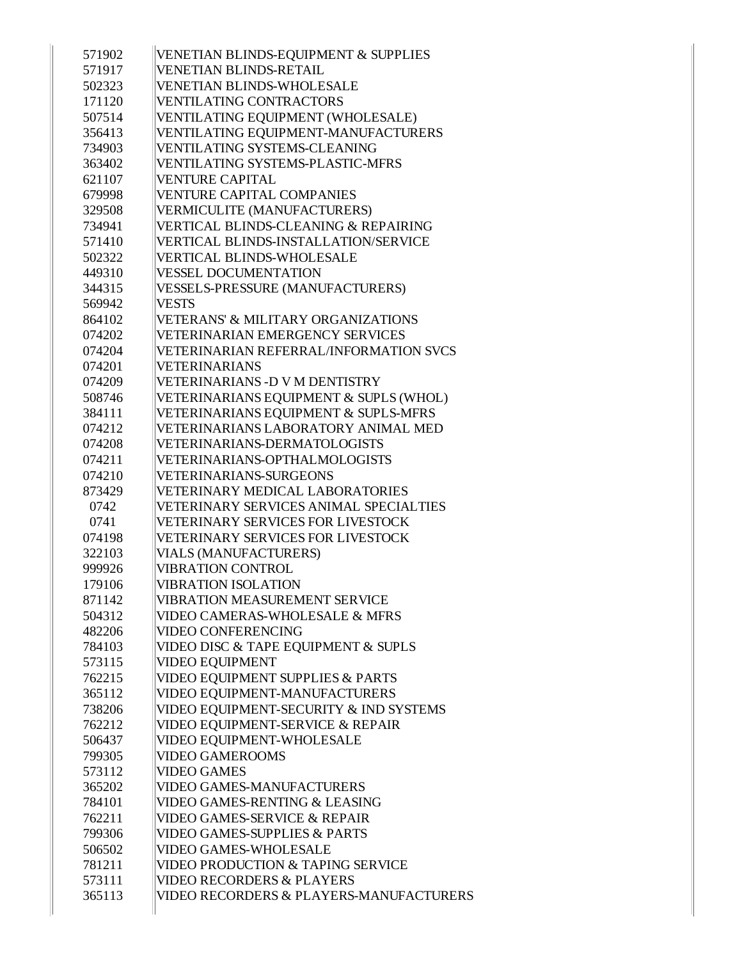| 571902 | VENETIAN BLINDS-EQUIPMENT & SUPPLIES          |
|--------|-----------------------------------------------|
| 571917 | <b>VENETIAN BLINDS-RETAIL</b>                 |
| 502323 | <b>VENETIAN BLINDS-WHOLESALE</b>              |
| 171120 | <b>VENTILATING CONTRACTORS</b>                |
| 507514 | VENTILATING EQUIPMENT (WHOLESALE)             |
| 356413 | VENTILATING EQUIPMENT-MANUFACTURERS           |
| 734903 | VENTILATING SYSTEMS-CLEANING                  |
| 363402 | <b>VENTILATING SYSTEMS-PLASTIC-MFRS</b>       |
| 621107 | <b>VENTURE CAPITAL</b>                        |
| 679998 | <b>VENTURE CAPITAL COMPANIES</b>              |
| 329508 | <b>VERMICULITE (MANUFACTURERS)</b>            |
| 734941 | VERTICAL BLINDS-CLEANING & REPAIRING          |
| 571410 | VERTICAL BLINDS-INSTALLATION/SERVICE          |
| 502322 | <b>VERTICAL BLINDS-WHOLESALE</b>              |
| 449310 | <b>VESSEL DOCUMENTATION</b>                   |
| 344315 | <b>VESSELS-PRESSURE (MANUFACTURERS)</b>       |
| 569942 | <b>VESTS</b>                                  |
| 864102 | <b>VETERANS' &amp; MILITARY ORGANIZATIONS</b> |
| 074202 | <b>VETERINARIAN EMERGENCY SERVICES</b>        |
| 074204 | <b>VETERINARIAN REFERRAL/INFORMATION SVCS</b> |
| 074201 | <b>VETERINARIANS</b>                          |
| 074209 | VETERINARIANS - D V M DENTISTRY               |
| 508746 | VETERINARIANS EQUIPMENT & SUPLS (WHOL)        |
| 384111 | VETERINARIANS EQUIPMENT & SUPLS-MFRS          |
| 074212 | VETERINARIANS LABORATORY ANIMAL MED           |
| 074208 | VETERINARIANS-DERMATOLOGISTS                  |
| 074211 | VETERINARIANS-OPTHALMOLOGISTS                 |
| 074210 | VETERINARIANS-SURGEONS                        |
| 873429 | <b>VETERINARY MEDICAL LABORATORIES</b>        |
| 0742   | VETERINARY SERVICES ANIMAL SPECIALTIES        |
| 0741   | <b>VETERINARY SERVICES FOR LIVESTOCK</b>      |
| 074198 | <b>VETERINARY SERVICES FOR LIVESTOCK</b>      |
| 322103 | <b>VIALS (MANUFACTURERS)</b>                  |
| 999926 | <b>VIBRATION CONTROL</b>                      |
| 179106 | <b>VIBRATION ISOLATION</b>                    |
| 871142 | <b>VIBRATION MEASUREMENT SERVICE</b>          |
| 504312 | <b>VIDEO CAMERAS-WHOLESALE &amp; MFRS</b>     |
| 482206 | <b>VIDEO CONFERENCING</b>                     |
| 784103 | VIDEO DISC & TAPE EQUIPMENT & SUPLS           |
| 573115 | <b>VIDEO EQUIPMENT</b>                        |
| 762215 | VIDEO EQUIPMENT SUPPLIES & PARTS              |
| 365112 | VIDEO EQUIPMENT-MANUFACTURERS                 |
| 738206 | VIDEO EQUIPMENT-SECURITY & IND SYSTEMS        |
| 762212 | VIDEO EQUIPMENT-SERVICE & REPAIR              |
| 506437 | VIDEO EQUIPMENT-WHOLESALE                     |
| 799305 | <b>VIDEO GAMEROOMS</b>                        |
| 573112 | <b>VIDEO GAMES</b>                            |
| 365202 | <b>VIDEO GAMES-MANUFACTURERS</b>              |
| 784101 | VIDEO GAMES-RENTING & LEASING                 |
| 762211 | <b>VIDEO GAMES-SERVICE &amp; REPAIR</b>       |
| 799306 | <b>VIDEO GAMES-SUPPLIES &amp; PARTS</b>       |
| 506502 | <b>VIDEO GAMES-WHOLESALE</b>                  |
| 781211 | VIDEO PRODUCTION & TAPING SERVICE             |
| 573111 | <b>VIDEO RECORDERS &amp; PLAYERS</b>          |
| 365113 | VIDEO RECORDERS & PLAYERS-MANUFACTURERS       |
|        |                                               |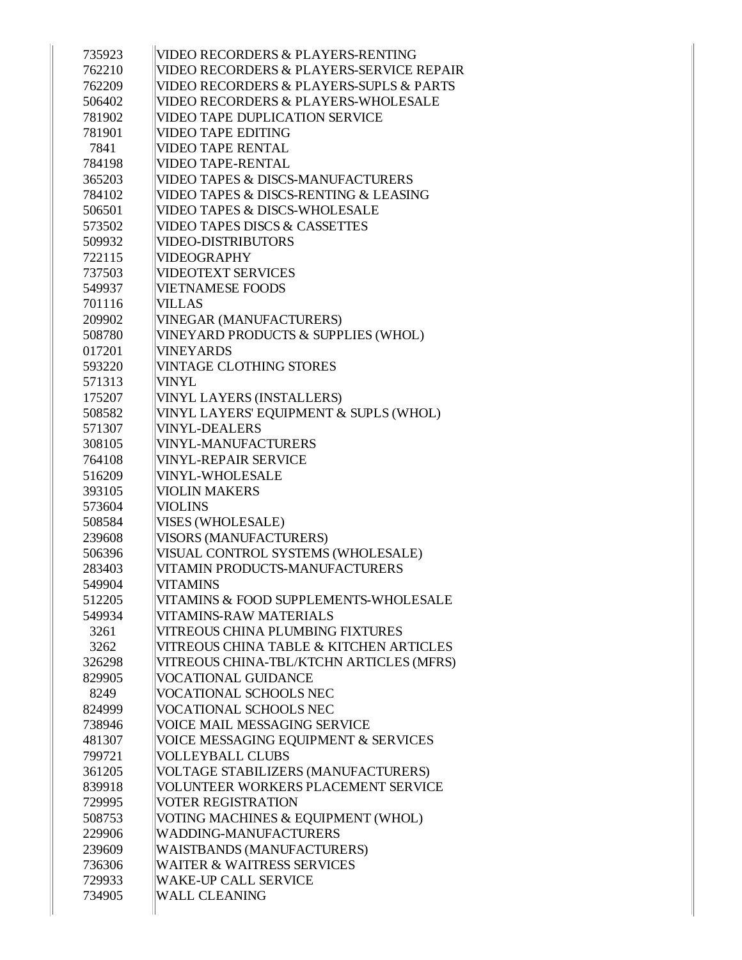| 735923 | VIDEO RECORDERS & PLAYERS-RENTING                   |
|--------|-----------------------------------------------------|
| 762210 | <b>VIDEO RECORDERS &amp; PLAYERS-SERVICE REPAIR</b> |
| 762209 | VIDEO RECORDERS & PLAYERS-SUPLS & PARTS             |
| 506402 | VIDEO RECORDERS & PLAYERS-WHOLESALE                 |
| 781902 | <b>VIDEO TAPE DUPLICATION SERVICE</b>               |
| 781901 | <b>VIDEO TAPE EDITING</b>                           |
| 7841   | <b>VIDEO TAPE RENTAL</b>                            |
| 784198 | <b>VIDEO TAPE-RENTAL</b>                            |
| 365203 | <b>VIDEO TAPES &amp; DISCS-MANUFACTURERS</b>        |
| 784102 | VIDEO TAPES & DISCS-RENTING & LEASING               |
| 506501 | <b>VIDEO TAPES &amp; DISCS-WHOLESALE</b>            |
| 573502 | <b>VIDEO TAPES DISCS &amp; CASSETTES</b>            |
| 509932 | <b>VIDEO-DISTRIBUTORS</b>                           |
| 722115 | <b>VIDEOGRAPHY</b>                                  |
| 737503 | <b>VIDEOTEXT SERVICES</b>                           |
| 549937 | <b>VIETNAMESE FOODS</b>                             |
| 701116 | <b>VILLAS</b>                                       |
|        |                                                     |
| 209902 | <b>VINEGAR (MANUFACTURERS)</b>                      |
| 508780 | VINEYARD PRODUCTS & SUPPLIES (WHOL)                 |
| 017201 | <b>VINEYARDS</b>                                    |
| 593220 | <b>VINTAGE CLOTHING STORES</b>                      |
| 571313 | VINYL                                               |
| 175207 | <b>VINYL LAYERS (INSTALLERS)</b>                    |
| 508582 | VINYL LAYERS' EQUIPMENT & SUPLS (WHOL)              |
| 571307 | <b>VINYL-DEALERS</b>                                |
| 308105 | <b>VINYL-MANUFACTURERS</b>                          |
| 764108 | <b>VINYL-REPAIR SERVICE</b>                         |
| 516209 | VINYL-WHOLESALE                                     |
| 393105 | <b>VIOLIN MAKERS</b>                                |
| 573604 | <b>VIOLINS</b>                                      |
| 508584 | VISES (WHOLESALE)                                   |
| 239608 | <b>VISORS (MANUFACTURERS)</b>                       |
| 506396 | VISUAL CONTROL SYSTEMS (WHOLESALE)                  |
| 283403 | VITAMIN PRODUCTS-MANUFACTURERS                      |
| 549904 | <b>VITAMINS</b>                                     |
| 512205 | VITAMINS & FOOD SUPPLEMENTS-WHOLESALE               |
| 549934 | <b>VITAMINS-RAW MATERIALS</b>                       |
| 3261   | VITREOUS CHINA PLUMBING FIXTURES                    |
| 3262   | VITREOUS CHINA TABLE & KITCHEN ARTICLES             |
| 326298 | VITREOUS CHINA-TBL/KTCHN ARTICLES (MFRS)            |
| 829905 | <b>VOCATIONAL GUIDANCE</b>                          |
| 8249   | VOCATIONAL SCHOOLS NEC                              |
| 824999 | VOCATIONAL SCHOOLS NEC                              |
| 738946 | VOICE MAIL MESSAGING SERVICE                        |
| 481307 | VOICE MESSAGING EQUIPMENT & SERVICES                |
| 799721 | <b>VOLLEYBALL CLUBS</b>                             |
| 361205 | VOLTAGE STABILIZERS (MANUFACTURERS)                 |
| 839918 | VOLUNTEER WORKERS PLACEMENT SERVICE                 |
| 729995 | <b>VOTER REGISTRATION</b>                           |
| 508753 | VOTING MACHINES & EQUIPMENT (WHOL)                  |
| 229906 | WADDING-MANUFACTURERS                               |
| 239609 | <b>WAISTBANDS (MANUFACTURERS)</b>                   |
| 736306 | <b>WAITER &amp; WAITRESS SERVICES</b>               |
| 729933 | <b>WAKE-UP CALL SERVICE</b>                         |
| 734905 | <b>WALL CLEANING</b>                                |
|        |                                                     |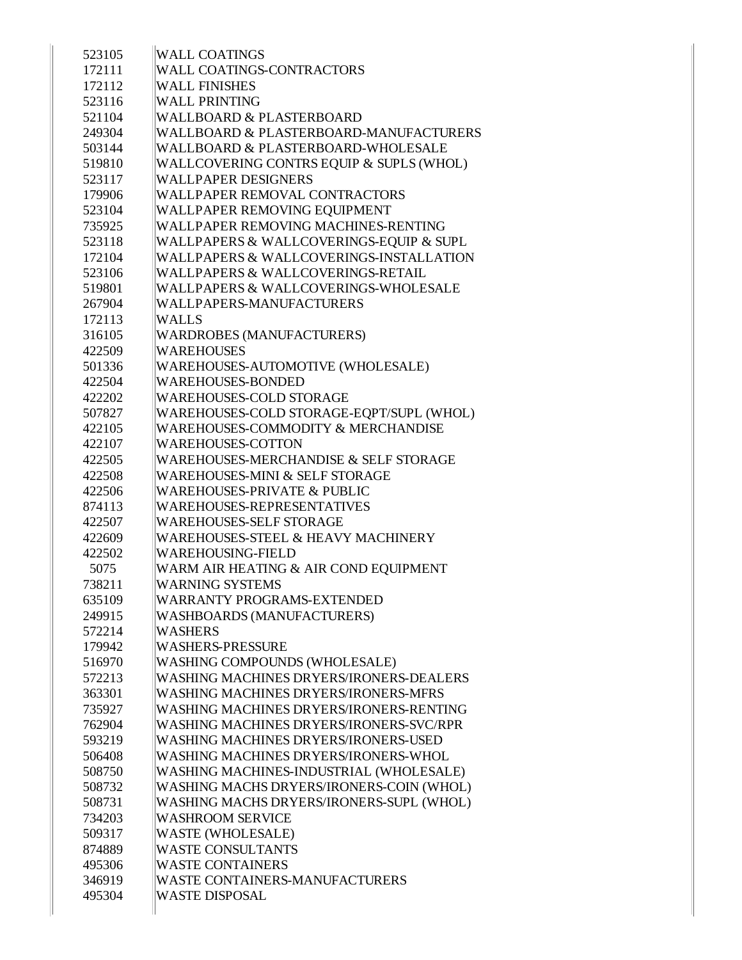| 523105 | <b>WALL COATINGS</b>                          |
|--------|-----------------------------------------------|
| 172111 | WALL COATINGS-CONTRACTORS                     |
| 172112 | <b>WALL FINISHES</b>                          |
| 523116 | <b>WALL PRINTING</b>                          |
| 521104 | <b>WALLBOARD &amp; PLASTERBOARD</b>           |
| 249304 | WALLBOARD & PLASTERBOARD-MANUFACTURERS        |
| 503144 | WALLBOARD & PLASTERBOARD-WHOLESALE            |
| 519810 | WALLCOVERING CONTRS EQUIP & SUPLS (WHOL)      |
| 523117 | WALLPAPER DESIGNERS                           |
| 179906 | <b>WALLPAPER REMOVAL CONTRACTORS</b>          |
| 523104 | WALLPAPER REMOVING EQUIPMENT                  |
| 735925 | WALLPAPER REMOVING MACHINES-RENTING           |
| 523118 | WALLPAPERS & WALLCOVERINGS-EQUIP & SUPL       |
| 172104 | WALLPAPERS & WALLCOVERINGS-INSTALLATION       |
| 523106 | WALLPAPERS & WALLCOVERINGS-RETAIL             |
| 519801 | WALLPAPERS & WALLCOVERINGS-WHOLESALE          |
| 267904 | WALLPAPERS-MANUFACTURERS                      |
| 172113 | <b>WALLS</b>                                  |
| 316105 | <b>WARDROBES (MANUFACTURERS)</b>              |
| 422509 | <b>WAREHOUSES</b>                             |
| 501336 | WAREHOUSES-AUTOMOTIVE (WHOLESALE)             |
| 422504 | <b>WAREHOUSES-BONDED</b>                      |
| 422202 | WAREHOUSES-COLD STORAGE                       |
| 507827 | WAREHOUSES-COLD STORAGE-EQPT/SUPL (WHOL)      |
| 422105 | <b>WAREHOUSES-COMMODITY &amp; MERCHANDISE</b> |
| 422107 | <b>WAREHOUSES-COTTON</b>                      |
| 422505 | WAREHOUSES-MERCHANDISE & SELF STORAGE         |
| 422508 | <b>WAREHOUSES-MINI &amp; SELF STORAGE</b>     |
| 422506 | <b>WAREHOUSES-PRIVATE &amp; PUBLIC</b>        |
| 874113 | WAREHOUSES-REPRESENTATIVES                    |
| 422507 | <b>WAREHOUSES-SELF STORAGE</b>                |
| 422609 | <b>WAREHOUSES-STEEL &amp; HEAVY MACHINERY</b> |
| 422502 | <b>WAREHOUSING-FIELD</b>                      |
| 5075   | WARM AIR HEATING & AIR COND EQUIPMENT         |
| 738211 | <b>WARNING SYSTEMS</b>                        |
| 635109 | <b>WARRANTY PROGRAMS-EXTENDED</b>             |
| 249915 | <b>WASHBOARDS (MANUFACTURERS)</b>             |
| 572214 | <b>WASHERS</b>                                |
| 179942 | <b>WASHERS-PRESSURE</b>                       |
| 516970 | WASHING COMPOUNDS (WHOLESALE)                 |
| 572213 | WASHING MACHINES DRYERS/IRONERS-DEALERS       |
| 363301 | <b>WASHING MACHINES DRYERS/IRONERS-MFRS</b>   |
| 735927 | WASHING MACHINES DRYERS/IRONERS-RENTING       |
| 762904 | WASHING MACHINES DRYERS/IRONERS-SVC/RPR       |
| 593219 | <b>WASHING MACHINES DRYERS/IRONERS-USED</b>   |
| 506408 | WASHING MACHINES DRYERS/IRONERS-WHOL          |
| 508750 | WASHING MACHINES-INDUSTRIAL (WHOLESALE)       |
| 508732 | WASHING MACHS DRYERS/IRONERS-COIN (WHOL)      |
| 508731 | WASHING MACHS DRYERS/IRONERS-SUPL (WHOL)      |
| 734203 | <b>WASHROOM SERVICE</b>                       |
| 509317 | <b>WASTE (WHOLESALE)</b>                      |
| 874889 | <b>WASTE CONSULTANTS</b>                      |
| 495306 | <b>WASTE CONTAINERS</b>                       |
| 346919 | <b>WASTE CONTAINERS-MANUFACTURERS</b>         |
| 495304 | <b>WASTE DISPOSAL</b>                         |
|        |                                               |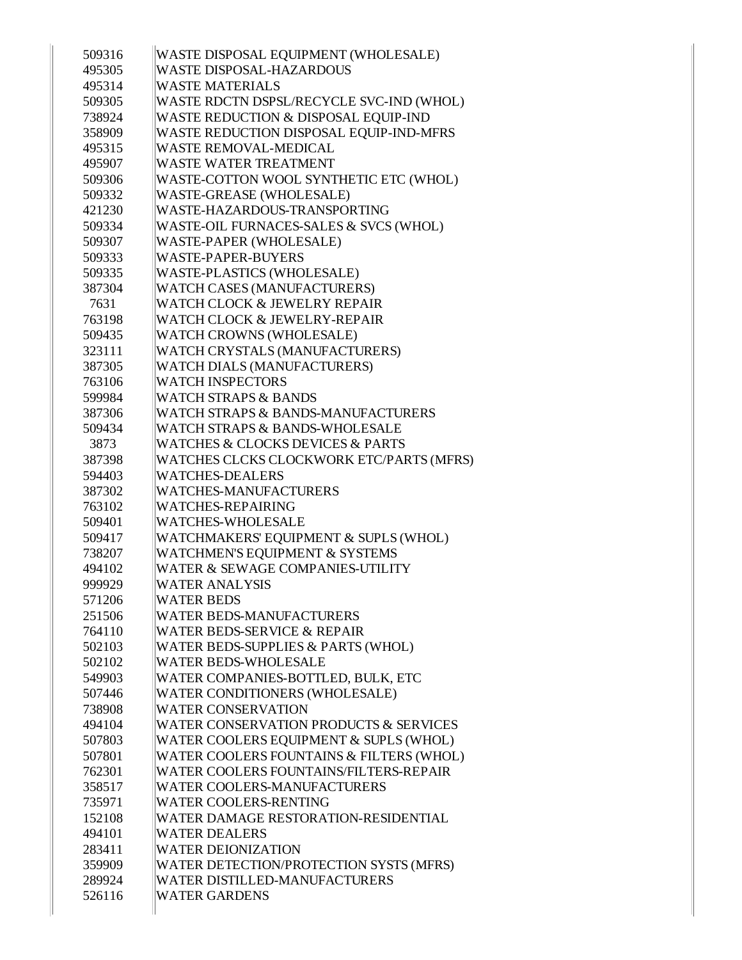| 509316           | WASTE DISPOSAL EQUIPMENT (WHOLESALE)                         |
|------------------|--------------------------------------------------------------|
| 495305           | <b>WASTE DISPOSAL-HAZARDOUS</b>                              |
| 495314           | <b>WASTE MATERIALS</b>                                       |
| 509305           | WASTE RDCTN DSPSL/RECYCLE SVC-IND (WHOL)                     |
| 738924           | <b>WASTE REDUCTION &amp; DISPOSAL EQUIP-IND</b>              |
| 358909           | WASTE REDUCTION DISPOSAL EQUIP-IND-MFRS                      |
| 495315           | <b>WASTE REMOVAL-MEDICAL</b>                                 |
| 495907           | <b>WASTE WATER TREATMENT</b>                                 |
| 509306           | WASTE-COTTON WOOL SYNTHETIC ETC (WHOL)                       |
| 509332           | WASTE-GREASE (WHOLESALE)                                     |
| 421230           | WASTE-HAZARDOUS-TRANSPORTING                                 |
| 509334           | WASTE-OIL FURNACES-SALES & SVCS (WHOL)                       |
| 509307           | WASTE-PAPER (WHOLESALE)                                      |
| 509333           | <b>WASTE-PAPER-BUYERS</b>                                    |
| 509335           | WASTE-PLASTICS (WHOLESALE)                                   |
| 387304           | <b>WATCH CASES (MANUFACTURERS)</b>                           |
| 7631             | WATCH CLOCK & JEWELRY REPAIR                                 |
| 763198           | WATCH CLOCK & JEWELRY-REPAIR                                 |
| 509435           | <b>WATCH CROWNS (WHOLESALE)</b>                              |
| 323111           | WATCH CRYSTALS (MANUFACTURERS)                               |
| 387305           | <b>WATCH DIALS (MANUFACTURERS)</b>                           |
| 763106           | <b>WATCH INSPECTORS</b>                                      |
| 599984           | <b>WATCH STRAPS &amp; BANDS</b>                              |
| 387306           | <b>WATCH STRAPS &amp; BANDS-MANUFACTURERS</b>                |
| 509434           | <b>WATCH STRAPS &amp; BANDS-WHOLESALE</b>                    |
| 3873             | <b>WATCHES &amp; CLOCKS DEVICES &amp; PARTS</b>              |
| 387398           | WATCHES CLCKS CLOCKWORK ETC/PARTS (MFRS)                     |
|                  |                                                              |
| 594403           | <b>WATCHES-DEALERS</b>                                       |
| 387302           | <b>WATCHES-MANUFACTURERS</b>                                 |
| 763102           | <b>WATCHES-REPAIRING</b>                                     |
| 509401           | <b>WATCHES-WHOLESALE</b>                                     |
| 509417           | WATCHMAKERS' EQUIPMENT & SUPLS (WHOL)                        |
| 738207           | <b>WATCHMEN'S EQUIPMENT &amp; SYSTEMS</b>                    |
| 494102           | <b>WATER &amp; SEWAGE COMPANIES-UTILITY</b>                  |
| 999929           | <b>WATER ANALYSIS</b>                                        |
| 571206           | <b>WATER BEDS</b>                                            |
| 251506           | <b>WATER BEDS-MANUFACTURERS</b>                              |
| 764110           | <b>WATER BEDS-SERVICE &amp; REPAIR</b>                       |
| 502103           | <b>WATER BEDS-SUPPLIES &amp; PARTS (WHOL)</b>                |
| 502102           | <b>WATER BEDS-WHOLESALE</b>                                  |
| 549903           | WATER COMPANIES-BOTTLED, BULK, ETC                           |
| 507446           | <b>WATER CONDITIONERS (WHOLESALE)</b>                        |
| 738908           | <b>WATER CONSERVATION</b>                                    |
| 494104           | WATER CONSERVATION PRODUCTS & SERVICES                       |
| 507803           | WATER COOLERS EQUIPMENT & SUPLS (WHOL)                       |
| 507801           | WATER COOLERS FOUNTAINS & FILTERS (WHOL)                     |
| 762301           | <b>WATER COOLERS FOUNTAINS/FILTERS-REPAIR</b>                |
| 358517           | <b>WATER COOLERS-MANUFACTURERS</b>                           |
| 735971           | <b>WATER COOLERS-RENTING</b>                                 |
| 152108           | <b>WATER DAMAGE RESTORATION-RESIDENTIAL</b>                  |
| 494101           | <b>WATER DEALERS</b>                                         |
| 283411           | <b>WATER DEIONIZATION</b>                                    |
| 359909           | <b>WATER DETECTION/PROTECTION SYSTS (MFRS)</b>               |
| 289924<br>526116 | <b>WATER DISTILLED-MANUFACTURERS</b><br><b>WATER GARDENS</b> |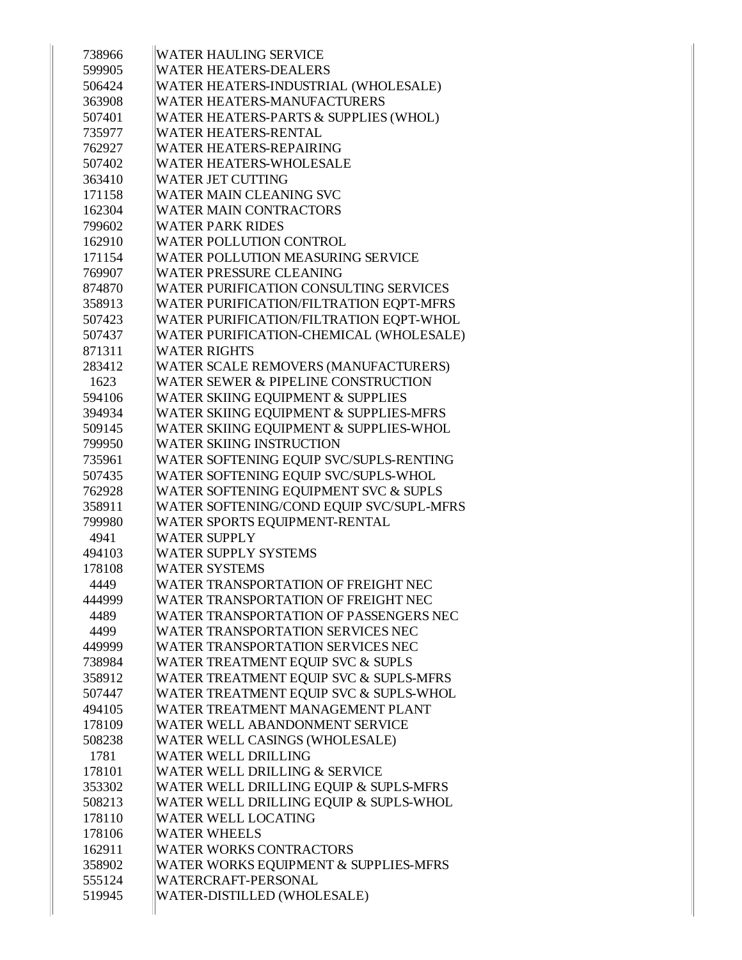| 738966 | <b>WATER HAULING SERVICE</b>                  |
|--------|-----------------------------------------------|
| 599905 | <b>WATER HEATERS-DEALERS</b>                  |
| 506424 | WATER HEATERS-INDUSTRIAL (WHOLESALE)          |
| 363908 | WATER HEATERS-MANUFACTURERS                   |
| 507401 | WATER HEATERS-PARTS & SUPPLIES (WHOL)         |
| 735977 | <b>WATER HEATERS-RENTAL</b>                   |
| 762927 | <b>WATER HEATERS-REPAIRING</b>                |
| 507402 | WATER HEATERS-WHOLESALE                       |
| 363410 | <b>WATER JET CUTTING</b>                      |
| 171158 | <b>WATER MAIN CLEANING SVC</b>                |
| 162304 | <b>WATER MAIN CONTRACTORS</b>                 |
| 799602 | <b>WATER PARK RIDES</b>                       |
| 162910 | <b>WATER POLLUTION CONTROL</b>                |
| 171154 | <b>WATER POLLUTION MEASURING SERVICE</b>      |
| 769907 | <b>WATER PRESSURE CLEANING</b>                |
| 874870 | WATER PURIFICATION CONSULTING SERVICES        |
| 358913 | WATER PURIFICATION/FILTRATION EQPT-MFRS       |
| 507423 | WATER PURIFICATION/FILTRATION EQPT-WHOL       |
| 507437 | WATER PURIFICATION-CHEMICAL (WHOLESALE)       |
| 871311 | <b>WATER RIGHTS</b>                           |
| 283412 | WATER SCALE REMOVERS (MANUFACTURERS)          |
| 1623   | WATER SEWER & PIPELINE CONSTRUCTION           |
| 594106 | WATER SKIING EQUIPMENT & SUPPLIES             |
| 394934 | WATER SKIING EQUIPMENT & SUPPLIES-MFRS        |
| 509145 | WATER SKIING EQUIPMENT & SUPPLIES-WHOL        |
| 799950 | <b>WATER SKIING INSTRUCTION</b>               |
| 735961 | WATER SOFTENING EQUIP SVC/SUPLS-RENTING       |
| 507435 | WATER SOFTENING EQUIP SVC/SUPLS-WHOL          |
| 762928 | WATER SOFTENING EQUIPMENT SVC & SUPLS         |
| 358911 | WATER SOFTENING/COND EQUIP SVC/SUPL-MFRS      |
| 799980 | WATER SPORTS EQUIPMENT-RENTAL                 |
| 4941   | <b>WATER SUPPLY</b>                           |
| 494103 | <b>WATER SUPPLY SYSTEMS</b>                   |
| 178108 | <b>WATER SYSTEMS</b>                          |
| 4449   | WATER TRANSPORTATION OF FREIGHT NEC           |
| 444999 | <b>WATER TRANSPORTATION OF FREIGHT NEC</b>    |
| 4489   | <b>WATER TRANSPORTATION OF PASSENGERS NEC</b> |
| 4499   | WATER TRANSPORTATION SERVICES NEC             |
| 449999 | <b>WATER TRANSPORTATION SERVICES NEC</b>      |
| 738984 | <b>WATER TREATMENT EQUIP SVC &amp; SUPLS</b>  |
| 358912 | WATER TREATMENT EQUIP SVC & SUPLS-MFRS        |
| 507447 | WATER TREATMENT EQUIP SVC & SUPLS-WHOL        |
| 494105 | WATER TREATMENT MANAGEMENT PLANT              |
| 178109 | WATER WELL ABANDONMENT SERVICE                |
| 508238 | WATER WELL CASINGS (WHOLESALE)                |
| 1781   | <b>WATER WELL DRILLING</b>                    |
| 178101 | <b>WATER WELL DRILLING &amp; SERVICE</b>      |
| 353302 | WATER WELL DRILLING EQUIP & SUPLS-MFRS        |
| 508213 | WATER WELL DRILLING EQUIP & SUPLS-WHOL        |
| 178110 | <b>WATER WELL LOCATING</b>                    |
| 178106 | <b>WATER WHEELS</b>                           |
| 162911 | <b>WATER WORKS CONTRACTORS</b>                |
| 358902 | WATER WORKS EQUIPMENT & SUPPLIES-MFRS         |
| 555124 | WATERCRAFT-PERSONAL                           |
| 519945 | WATER-DISTILLED (WHOLESALE)                   |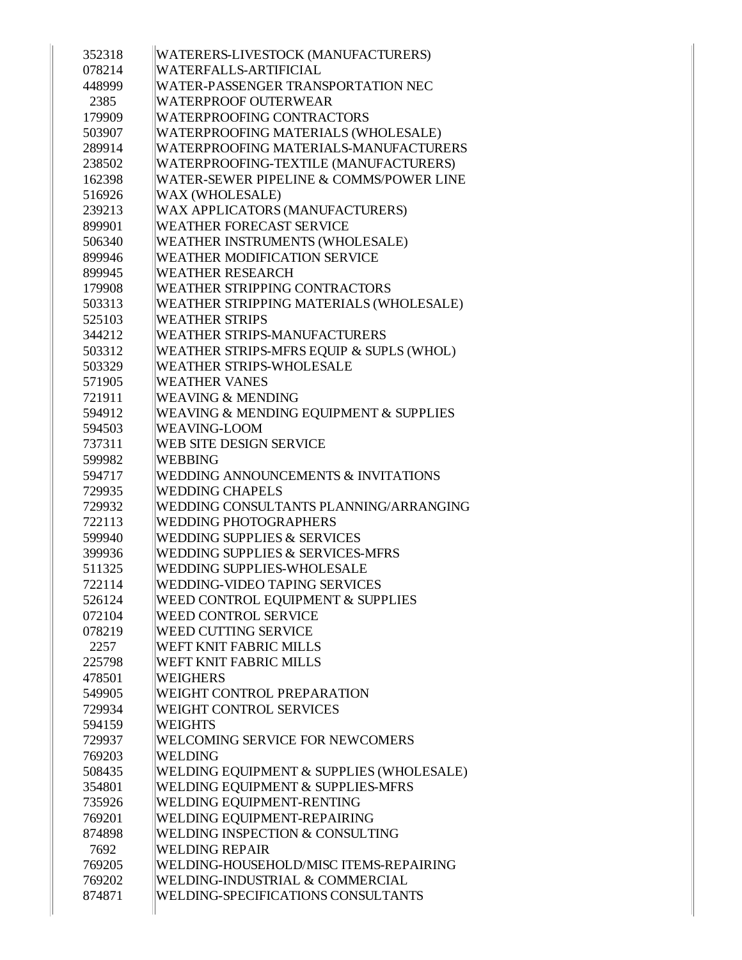| 352318 | WATERERS-LIVESTOCK (MANUFACTURERS)       |
|--------|------------------------------------------|
| 078214 | WATERFALLS-ARTIFICIAL                    |
| 448999 | WATER-PASSENGER TRANSPORTATION NEC       |
| 2385   | WATERPROOF OUTERWEAR                     |
| 179909 | <b>WATERPROOFING CONTRACTORS</b>         |
| 503907 | WATERPROOFING MATERIALS (WHOLESALE)      |
| 289914 | WATERPROOFING MATERIALS-MANUFACTURERS    |
| 238502 | WATERPROOFING-TEXTILE (MANUFACTURERS)    |
| 162398 | WATER-SEWER PIPELINE & COMMS/POWER LINE  |
| 516926 | WAX (WHOLESALE)                          |
| 239213 | WAX APPLICATORS (MANUFACTURERS)          |
| 899901 | <b>WEATHER FORECAST SERVICE</b>          |
| 506340 | WEATHER INSTRUMENTS (WHOLESALE)          |
| 899946 | <b>WEATHER MODIFICATION SERVICE</b>      |
| 899945 | <b>WEATHER RESEARCH</b>                  |
| 179908 | <b>WEATHER STRIPPING CONTRACTORS</b>     |
| 503313 | WEATHER STRIPPING MATERIALS (WHOLESALE)  |
| 525103 | <b>WEATHER STRIPS</b>                    |
| 344212 | WEATHER STRIPS-MANUFACTURERS             |
| 503312 | WEATHER STRIPS-MFRS EQUIP & SUPLS (WHOL) |
| 503329 | <b>WEATHER STRIPS-WHOLESALE</b>          |
| 571905 | <b>WEATHER VANES</b>                     |
| 721911 | <b>WEAVING &amp; MENDING</b>             |
| 594912 | WEAVING & MENDING EQUIPMENT & SUPPLIES   |
| 594503 | <b>WEAVING-LOOM</b>                      |
| 737311 | WEB SITE DESIGN SERVICE                  |
| 599982 | <b>WEBBING</b>                           |
| 594717 | WEDDING ANNOUNCEMENTS & INVITATIONS      |
| 729935 | <b>WEDDING CHAPELS</b>                   |
| 729932 | WEDDING CONSULTANTS PLANNING/ARRANGING   |
| 722113 | <b>WEDDING PHOTOGRAPHERS</b>             |
| 599940 | <b>WEDDING SUPPLIES &amp; SERVICES</b>   |
| 399936 | WEDDING SUPPLIES & SERVICES-MFRS         |
| 511325 | <b>WEDDING SUPPLIES-WHOLESALE</b>        |
| 722114 | WEDDING-VIDEO TAPING SERVICES            |
| 526124 | WEED CONTROL EQUIPMENT & SUPPLIES        |
| 072104 | <b>WEED CONTROL SERVICE</b>              |
| 078219 | WEED CUTTING SERVICE                     |
| 2257   | WEFT KNIT FABRIC MILLS                   |
| 225798 | WEFT KNIT FABRIC MILLS                   |
| 478501 | <b>WEIGHERS</b>                          |
| 549905 | WEIGHT CONTROL PREPARATION               |
| 729934 | <b>WEIGHT CONTROL SERVICES</b>           |
| 594159 | <b>WEIGHTS</b>                           |
| 729937 | <b>WELCOMING SERVICE FOR NEWCOMERS</b>   |
| 769203 | WELDING                                  |
| 508435 | WELDING EQUIPMENT & SUPPLIES (WHOLESALE) |
| 354801 | WELDING EQUIPMENT & SUPPLIES-MFRS        |
| 735926 | WELDING EQUIPMENT-RENTING                |
| 769201 | WELDING EQUIPMENT-REPAIRING              |
| 874898 | WELDING INSPECTION & CONSULTING          |
| 7692   | <b>WELDING REPAIR</b>                    |
| 769205 | WELDING-HOUSEHOLD/MISC ITEMS-REPAIRING   |
| 769202 | WELDING-INDUSTRIAL & COMMERCIAL          |
| 874871 | WELDING-SPECIFICATIONS CONSULTANTS       |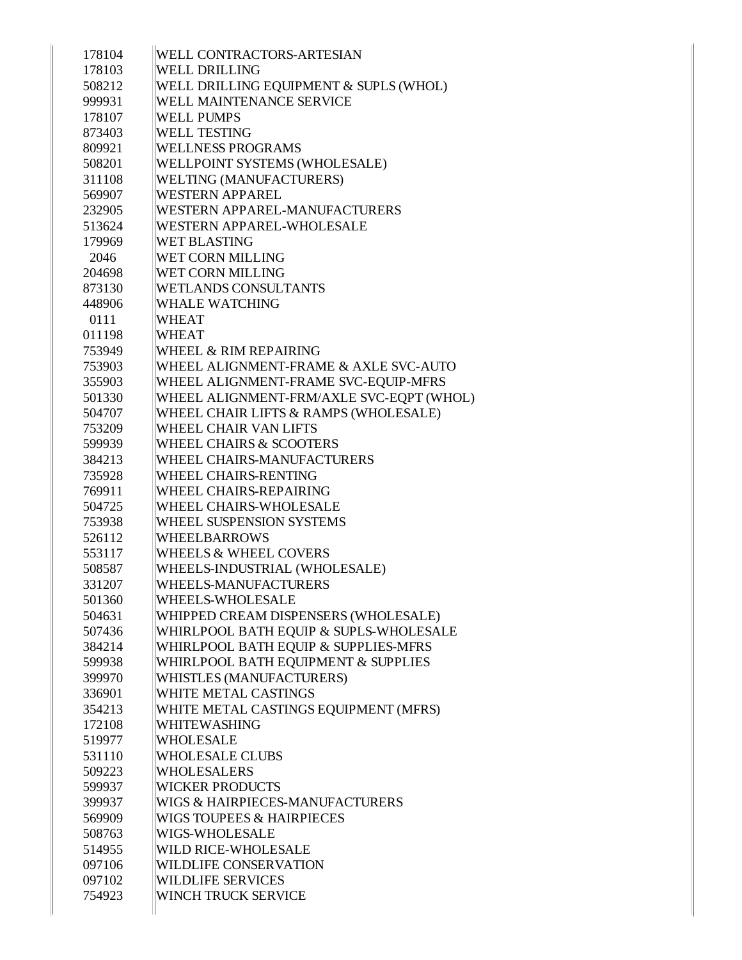| 178104 | WELL CONTRACTORS-ARTESIAN                |
|--------|------------------------------------------|
| 178103 | <b>WELL DRILLING</b>                     |
| 508212 | WELL DRILLING EQUIPMENT & SUPLS (WHOL)   |
| 999931 | WELL MAINTENANCE SERVICE                 |
| 178107 | <b>WELL PUMPS</b>                        |
| 873403 | <b>WELL TESTING</b>                      |
| 809921 | <b>WELLNESS PROGRAMS</b>                 |
| 508201 | WELLPOINT SYSTEMS (WHOLESALE)            |
| 311108 | <b>WELTING (MANUFACTURERS)</b>           |
| 569907 | <b>WESTERN APPAREL</b>                   |
| 232905 | WESTERN APPAREL-MANUFACTURERS            |
|        | WESTERN APPAREL-WHOLESALE                |
| 513624 |                                          |
| 179969 | <b>WET BLASTING</b>                      |
| 2046   | <b>WET CORN MILLING</b>                  |
| 204698 | <b>WET CORN MILLING</b>                  |
| 873130 | <b>WETLANDS CONSULTANTS</b>              |
| 448906 | <b>WHALE WATCHING</b>                    |
| 0111   | <b>WHEAT</b>                             |
| 011198 | <b>WHEAT</b>                             |
| 753949 | WHEEL & RIM REPAIRING                    |
| 753903 | WHEEL ALIGNMENT-FRAME & AXLE SVC-AUTO    |
| 355903 | WHEEL ALIGNMENT-FRAME SVC-EQUIP-MFRS     |
| 501330 | WHEEL ALIGNMENT-FRM/AXLE SVC-EQPT (WHOL) |
| 504707 | WHEEL CHAIR LIFTS & RAMPS (WHOLESALE)    |
| 753209 | <b>WHEEL CHAIR VAN LIFTS</b>             |
| 599939 | <b>WHEEL CHAIRS &amp; SCOOTERS</b>       |
| 384213 | WHEEL CHAIRS-MANUFACTURERS               |
| 735928 | WHEEL CHAIRS-RENTING                     |
| 769911 | WHEEL CHAIRS-REPAIRING                   |
| 504725 | WHEEL CHAIRS-WHOLESALE                   |
| 753938 | WHEEL SUSPENSION SYSTEMS                 |
| 526112 | <b>WHEELBARROWS</b>                      |
| 553117 | <b>WHEELS &amp; WHEEL COVERS</b>         |
| 508587 | WHEELS-INDUSTRIAL (WHOLESALE)            |
| 331207 | WHEELS-MANUFACTURERS                     |
| 501360 | WHEELS-WHOLESALE                         |
| 504631 | WHIPPED CREAM DISPENSERS (WHOLESALE)     |
| 507436 | WHIRLPOOL BATH EQUIP & SUPLS-WHOLESALE   |
| 384214 | WHIRLPOOL BATH EOUIP & SUPPLIES-MFRS     |
| 599938 | WHIRLPOOL BATH EQUIPMENT & SUPPLIES      |
| 399970 | <b>WHISTLES (MANUFACTURERS)</b>          |
| 336901 | WHITE METAL CASTINGS                     |
| 354213 | WHITE METAL CASTINGS EQUIPMENT (MFRS)    |
| 172108 | <b>WHITEWASHING</b>                      |
| 519977 | <b>WHOLESALE</b>                         |
| 531110 | <b>WHOLESALE CLUBS</b>                   |
| 509223 | <b>WHOLESALERS</b>                       |
| 599937 | <b>WICKER PRODUCTS</b>                   |
| 399937 | WIGS & HAIRPIECES-MANUFACTURERS          |
| 569909 | <b>WIGS TOUPEES &amp; HAIRPIECES</b>     |
| 508763 | WIGS-WHOLESALE                           |
| 514955 | WILD RICE-WHOLESALE                      |
| 097106 | <b>WILDLIFE CONSERVATION</b>             |
| 097102 | <b>WILDLIFE SERVICES</b>                 |
| 754923 | WINCH TRUCK SERVICE                      |
|        |                                          |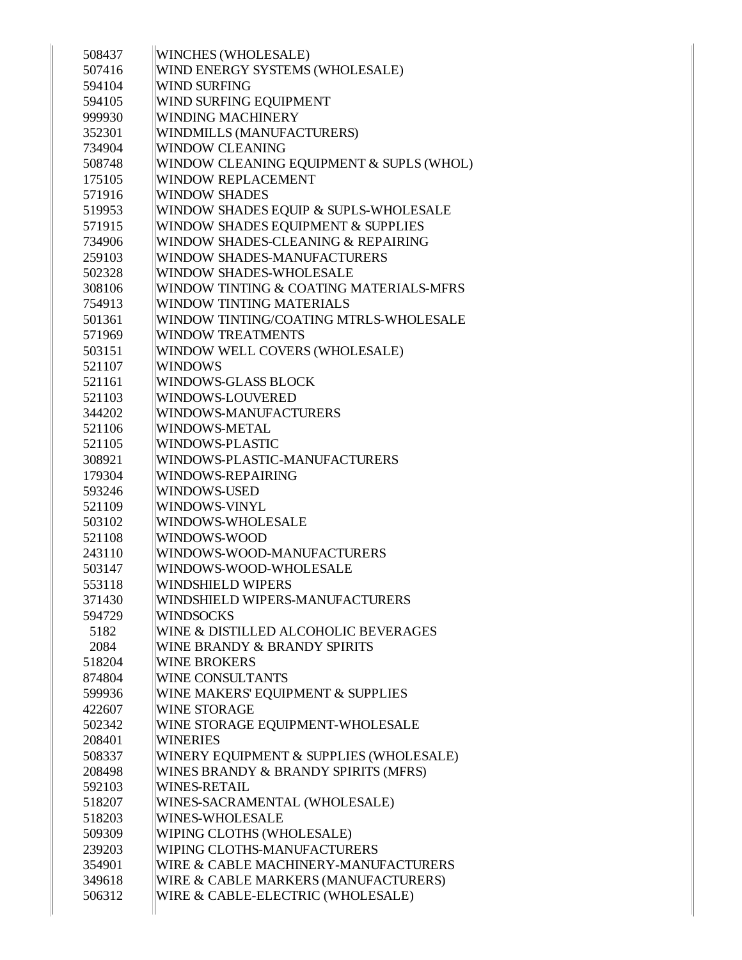| 508437 | WINCHES (WHOLESALE)                      |
|--------|------------------------------------------|
| 507416 | WIND ENERGY SYSTEMS (WHOLESALE)          |
| 594104 | <b>WIND SURFING</b>                      |
| 594105 | WIND SURFING EQUIPMENT                   |
| 999930 | <b>WINDING MACHINERY</b>                 |
| 352301 | <b>WINDMILLS (MANUFACTURERS)</b>         |
| 734904 | <b>WINDOW CLEANING</b>                   |
| 508748 | WINDOW CLEANING EQUIPMENT & SUPLS (WHOL) |
| 175105 | <b>WINDOW REPLACEMENT</b>                |
| 571916 | <b>WINDOW SHADES</b>                     |
| 519953 | WINDOW SHADES EQUIP & SUPLS-WHOLESALE    |
| 571915 | WINDOW SHADES EQUIPMENT & SUPPLIES       |
| 734906 | WINDOW SHADES-CLEANING & REPAIRING       |
| 259103 | WINDOW SHADES-MANUFACTURERS              |
| 502328 | WINDOW SHADES-WHOLESALE                  |
| 308106 | WINDOW TINTING & COATING MATERIALS-MFRS  |
| 754913 | WINDOW TINTING MATERIALS                 |
| 501361 | WINDOW TINTING/COATING MTRLS-WHOLESALE   |
| 571969 | <b>WINDOW TREATMENTS</b>                 |
| 503151 | WINDOW WELL COVERS (WHOLESALE)           |
| 521107 | <b>WINDOWS</b>                           |
| 521161 | <b>WINDOWS-GLASS BLOCK</b>               |
| 521103 | WINDOWS-LOUVERED                         |
| 344202 | WINDOWS-MANUFACTURERS                    |
| 521106 | WINDOWS-METAL                            |
| 521105 | WINDOWS-PLASTIC                          |
| 308921 | WINDOWS-PLASTIC-MANUFACTURERS            |
| 179304 | WINDOWS-REPAIRING                        |
| 593246 | <b>WINDOWS-USED</b>                      |
| 521109 | WINDOWS-VINYL                            |
| 503102 | WINDOWS-WHOLESALE                        |
| 521108 | WINDOWS-WOOD                             |
| 243110 | WINDOWS-WOOD-MANUFACTURERS               |
| 503147 | WINDOWS-WOOD-WHOLESALE                   |
| 553118 | WINDSHIELD WIPERS                        |
| 371430 | WINDSHIELD WIPERS-MANUFACTURERS          |
| 594729 | <b>WINDSOCKS</b>                         |
| 5182   | WINE & DISTILLED ALCOHOLIC BEVERAGES     |
| 2084   | WINE BRANDY & BRANDY SPIRITS             |
| 518204 | <b>WINE BROKERS</b>                      |
| 874804 | <b>WINE CONSULTANTS</b>                  |
| 599936 | WINE MAKERS' EQUIPMENT & SUPPLIES        |
| 422607 | <b>WINE STORAGE</b>                      |
| 502342 | WINE STORAGE EQUIPMENT-WHOLESALE         |
| 208401 | <b>WINERIES</b>                          |
| 508337 | WINERY EQUIPMENT & SUPPLIES (WHOLESALE)  |
| 208498 | WINES BRANDY & BRANDY SPIRITS (MFRS)     |
| 592103 | <b>WINES-RETAIL</b>                      |
| 518207 | WINES-SACRAMENTAL (WHOLESALE)            |
| 518203 | <b>WINES-WHOLESALE</b>                   |
| 509309 | WIPING CLOTHS (WHOLESALE)                |
| 239203 | WIPING CLOTHS-MANUFACTURERS              |
| 354901 | WIRE & CABLE MACHINERY-MANUFACTURERS     |
| 349618 | WIRE & CABLE MARKERS (MANUFACTURERS)     |
| 506312 | WIRE & CABLE-ELECTRIC (WHOLESALE)        |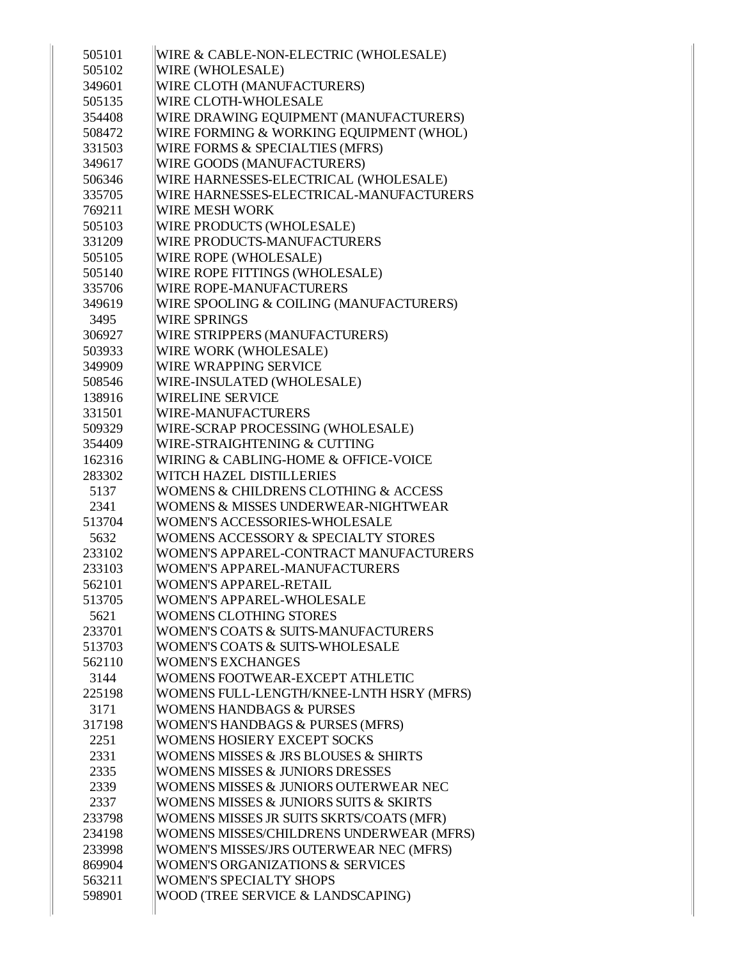| 505101 | WIRE & CABLE-NON-ELECTRIC (WHOLESALE)       |
|--------|---------------------------------------------|
| 505102 | WIRE (WHOLESALE)                            |
| 349601 | WIRE CLOTH (MANUFACTURERS)                  |
| 505135 | WIRE CLOTH-WHOLESALE                        |
| 354408 | WIRE DRAWING EQUIPMENT (MANUFACTURERS)      |
| 508472 | WIRE FORMING & WORKING EQUIPMENT (WHOL)     |
| 331503 | WIRE FORMS & SPECIALTIES (MFRS)             |
| 349617 | WIRE GOODS (MANUFACTURERS)                  |
| 506346 | WIRE HARNESSES-ELECTRICAL (WHOLESALE)       |
| 335705 | WIRE HARNESSES-ELECTRICAL-MANUFACTURERS     |
| 769211 | WIRE MESH WORK                              |
| 505103 | WIRE PRODUCTS (WHOLESALE)                   |
| 331209 | WIRE PRODUCTS-MANUFACTURERS                 |
| 505105 | WIRE ROPE (WHOLESALE)                       |
| 505140 | WIRE ROPE FITTINGS (WHOLESALE)              |
| 335706 | WIRE ROPE-MANUFACTURERS                     |
| 349619 | WIRE SPOOLING & COILING (MANUFACTURERS)     |
| 3495   | <b>WIRE SPRINGS</b>                         |
| 306927 | WIRE STRIPPERS (MANUFACTURERS)              |
| 503933 | WIRE WORK (WHOLESALE)                       |
| 349909 | WIRE WRAPPING SERVICE                       |
| 508546 | WIRE-INSULATED (WHOLESALE)                  |
| 138916 | WIRELINE SERVICE                            |
| 331501 | WIRE-MANUFACTURERS                          |
| 509329 | WIRE-SCRAP PROCESSING (WHOLESALE)           |
| 354409 | WIRE-STRAIGHTENING & CUTTING                |
| 162316 | WIRING & CABLING-HOME & OFFICE-VOICE        |
| 283302 | WITCH HAZEL DISTILLERIES                    |
| 5137   | WOMENS & CHILDRENS CLOTHING & ACCESS        |
| 2341   | WOMENS & MISSES UNDERWEAR-NIGHTWEAR         |
| 513704 | WOMEN'S ACCESSORIES-WHOLESALE               |
| 5632   | WOMENS ACCESSORY & SPECIALTY STORES         |
| 233102 | WOMEN'S APPAREL-CONTRACT MANUFACTURERS      |
| 233103 | WOMEN'S APPAREL-MANUFACTURERS               |
| 562101 | WOMEN'S APPAREL-RETAIL                      |
| 513705 | WOMEN'S APPAREL-WHOLESALE                   |
| 5621   | <b>WOMENS CLOTHING STORES</b>               |
| 233701 | WOMEN'S COATS & SUITS-MANUFACTURERS         |
| 513703 | WOMEN'S COATS & SUITS-WHOLESALE             |
| 562110 | <b>WOMEN'S EXCHANGES</b>                    |
| 3144   | WOMENS FOOTWEAR-EXCEPT ATHLETIC             |
| 225198 | WOMENS FULL-LENGTH/KNEE-LNTH HSRY (MFRS)    |
| 3171   | <b>WOMENS HANDBAGS &amp; PURSES</b>         |
| 317198 | WOMEN'S HANDBAGS & PURSES (MFRS)            |
| 2251   | <b>WOMENS HOSIERY EXCEPT SOCKS</b>          |
| 2331   | WOMENS MISSES & JRS BLOUSES & SHIRTS        |
| 2335   | <b>WOMENS MISSES &amp; JUNIORS DRESSES</b>  |
| 2339   | WOMENS MISSES & JUNIORS OUTERWEAR NEC       |
| 2337   | WOMENS MISSES & JUNIORS SUITS & SKIRTS      |
| 233798 | WOMENS MISSES JR SUITS SKRTS/COATS (MFR)    |
| 234198 | WOMENS MISSES/CHILDRENS UNDERWEAR (MFRS)    |
| 233998 | WOMEN'S MISSES/JRS OUTERWEAR NEC (MFRS)     |
| 869904 | <b>WOMEN'S ORGANIZATIONS &amp; SERVICES</b> |
| 563211 | <b>WOMEN'S SPECIALTY SHOPS</b>              |
| 598901 | WOOD (TREE SERVICE & LANDSCAPING)           |
|        |                                             |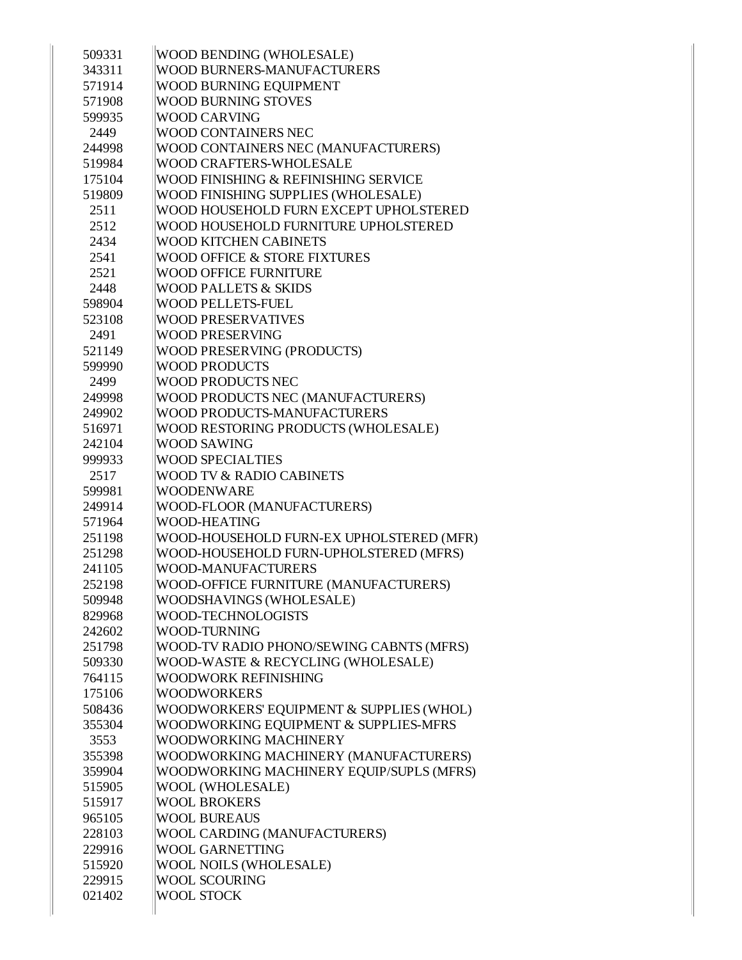| 509331 | <b>WOOD BENDING (WHOLESALE)</b>          |
|--------|------------------------------------------|
| 343311 | WOOD BURNERS-MANUFACTURERS               |
| 571914 | <b>WOOD BURNING EQUIPMENT</b>            |
| 571908 | <b>WOOD BURNING STOVES</b>               |
| 599935 | <b>WOOD CARVING</b>                      |
| 2449   | <b>WOOD CONTAINERS NEC</b>               |
| 244998 | WOOD CONTAINERS NEC (MANUFACTURERS)      |
| 519984 | <b>WOOD CRAFTERS-WHOLESALE</b>           |
| 175104 | WOOD FINISHING & REFINISHING SERVICE     |
| 519809 | WOOD FINISHING SUPPLIES (WHOLESALE)      |
| 2511   | WOOD HOUSEHOLD FURN EXCEPT UPHOLSTERED   |
| 2512   | WOOD HOUSEHOLD FURNITURE UPHOLSTERED     |
| 2434   | <b>WOOD KITCHEN CABINETS</b>             |
| 2541   | <b>WOOD OFFICE &amp; STORE FIXTURES</b>  |
| 2521   | <b>WOOD OFFICE FURNITURE</b>             |
| 2448   | <b>WOOD PALLETS &amp; SKIDS</b>          |
| 598904 | <b>WOOD PELLETS-FUEL</b>                 |
| 523108 | <b>WOOD PRESERVATIVES</b>                |
| 2491   | <b>WOOD PRESERVING</b>                   |
| 521149 | <b>WOOD PRESERVING (PRODUCTS)</b>        |
| 599990 | <b>WOOD PRODUCTS</b>                     |
| 2499   | <b>WOOD PRODUCTS NEC</b>                 |
| 249998 | WOOD PRODUCTS NEC (MANUFACTURERS)        |
| 249902 | <b>WOOD PRODUCTS-MANUFACTURERS</b>       |
| 516971 | WOOD RESTORING PRODUCTS (WHOLESALE)      |
| 242104 | <b>WOOD SAWING</b>                       |
| 999933 | <b>WOOD SPECIALTIES</b>                  |
| 2517   | <b>WOOD TV &amp; RADIO CABINETS</b>      |
| 599981 | <b>WOODENWARE</b>                        |
| 249914 | WOOD-FLOOR (MANUFACTURERS)               |
| 571964 | <b>WOOD-HEATING</b>                      |
| 251198 | WOOD-HOUSEHOLD FURN-EX UPHOLSTERED (MFR) |
| 251298 | WOOD-HOUSEHOLD FURN-UPHOLSTERED (MFRS)   |
| 241105 | <b>WOOD-MANUFACTURERS</b>                |
| 252198 | WOOD-OFFICE FURNITURE (MANUFACTURERS)    |
| 509948 | <b>WOODSHAVINGS (WHOLESALE)</b>          |
| 829968 | WOOD-TECHNOLOGISTS                       |
| 242602 | <b>WOOD-TURNING</b>                      |
| 251798 | WOOD-TV RADIO PHONO/SEWING CABNTS (MFRS) |
| 509330 | WOOD-WASTE & RECYCLING (WHOLESALE)       |
| 764115 | <b>WOODWORK REFINISHING</b>              |
| 175106 | <b>WOODWORKERS</b>                       |
| 508436 | WOODWORKERS' EQUIPMENT & SUPPLIES (WHOL) |
| 355304 | WOODWORKING EQUIPMENT & SUPPLIES-MFRS    |
| 3553   | <b>WOODWORKING MACHINERY</b>             |
| 355398 | WOODWORKING MACHINERY (MANUFACTURERS)    |
| 359904 | WOODWORKING MACHINERY EQUIP/SUPLS (MFRS) |
| 515905 | WOOL (WHOLESALE)                         |
| 515917 | <b>WOOL BROKERS</b>                      |
| 965105 | <b>WOOL BUREAUS</b>                      |
| 228103 | WOOL CARDING (MANUFACTURERS)             |
| 229916 | <b>WOOL GARNETTING</b>                   |
| 515920 | <b>WOOL NOILS (WHOLESALE)</b>            |
| 229915 | <b>WOOL SCOURING</b>                     |
| 021402 | <b>WOOL STOCK</b>                        |
|        |                                          |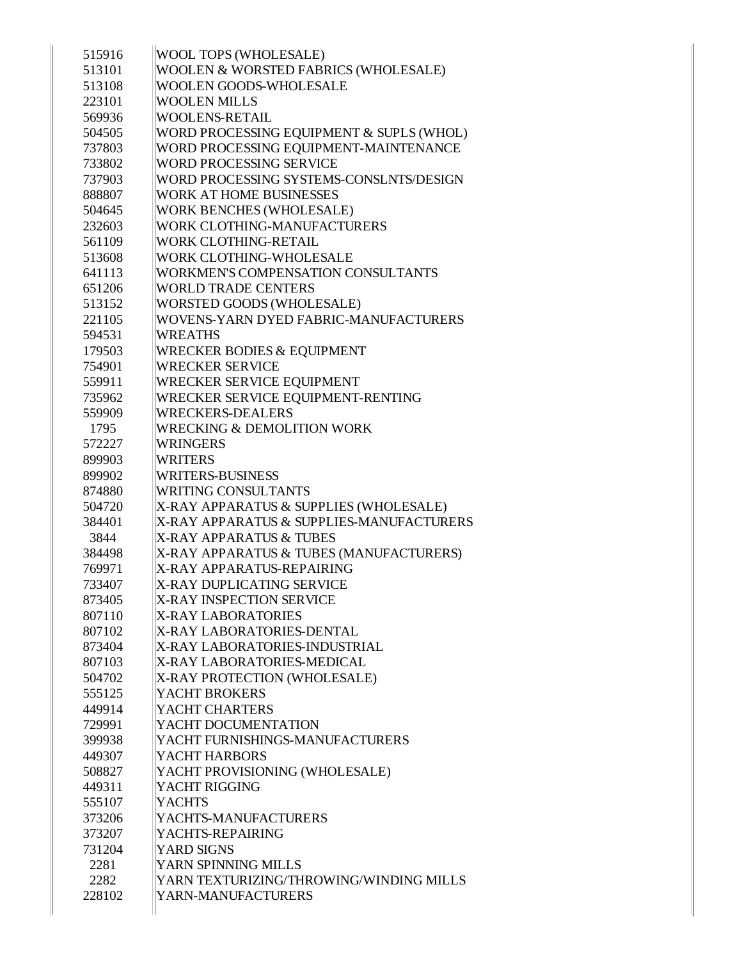| 515916 | WOOL TOPS (WHOLESALE)                                                              |
|--------|------------------------------------------------------------------------------------|
| 513101 | WOOLEN & WORSTED FABRICS (WHOLESALE)                                               |
| 513108 | WOOLEN GOODS-WHOLESALE                                                             |
| 223101 | <b>WOOLEN MILLS</b>                                                                |
| 569936 | <b>WOOLENS-RETAIL</b>                                                              |
| 504505 | WORD PROCESSING EQUIPMENT & SUPLS (WHOL)                                           |
| 737803 | WORD PROCESSING EQUIPMENT-MAINTENANCE                                              |
| 733802 | <b>WORD PROCESSING SERVICE</b>                                                     |
| 737903 | WORD PROCESSING SYSTEMS-CONSLNTS/DESIGN                                            |
| 888807 | <b>WORK AT HOME BUSINESSES</b>                                                     |
| 504645 | <b>WORK BENCHES (WHOLESALE)</b>                                                    |
| 232603 | WORK CLOTHING-MANUFACTURERS                                                        |
| 561109 | WORK CLOTHING-RETAIL                                                               |
| 513608 | WORK CLOTHING-WHOLESALE                                                            |
| 641113 | WORKMEN'S COMPENSATION CONSULTANTS                                                 |
| 651206 | <b>WORLD TRADE CENTERS</b>                                                         |
| 513152 | WORSTED GOODS (WHOLESALE)                                                          |
| 221105 | WOVENS-YARN DYED FABRIC-MANUFACTURERS                                              |
| 594531 | <b>WREATHS</b>                                                                     |
| 179503 | <b>WRECKER BODIES &amp; EQUIPMENT</b>                                              |
| 754901 | <b>WRECKER SERVICE</b>                                                             |
| 559911 | WRECKER SERVICE EQUIPMENT                                                          |
| 735962 | WRECKER SERVICE EQUIPMENT-RENTING                                                  |
| 559909 | <b>WRECKERS-DEALERS</b>                                                            |
| 1795   | <b>WRECKING &amp; DEMOLITION WORK</b>                                              |
| 572227 | <b>WRINGERS</b>                                                                    |
| 899903 | <b>WRITERS</b>                                                                     |
| 899902 | <b>WRITERS-BUSINESS</b>                                                            |
|        |                                                                                    |
| 874880 | <b>WRITING CONSULTANTS</b>                                                         |
| 504720 |                                                                                    |
| 384401 | X-RAY APPARATUS & SUPPLIES (WHOLESALE)<br>X-RAY APPARATUS & SUPPLIES-MANUFACTURERS |
| 3844   | <b>X-RAY APPARATUS &amp; TUBES</b>                                                 |
| 384498 | X-RAY APPARATUS & TUBES (MANUFACTURERS)                                            |
| 769971 | X-RAY APPARATUS-REPAIRING                                                          |
| 733407 | X-RAY DUPLICATING SERVICE                                                          |
| 873405 | <b>X-RAY INSPECTION SERVICE</b>                                                    |
| 807110 | <b>X-RAY LABORATORIES</b>                                                          |
| 807102 | X-RAY LABORATORIES-DENTAL                                                          |
| 873404 | X-RAY LABORATORIES-INDUSTRIAL                                                      |
| 807103 | X-RAY LABORATORIES-MEDICAL                                                         |
| 504702 | X-RAY PROTECTION (WHOLESALE)                                                       |
| 555125 | YACHT BROKERS                                                                      |
| 449914 | YACHT CHARTERS                                                                     |
| 729991 | YACHT DOCUMENTATION                                                                |
| 399938 | YACHT FURNISHINGS-MANUFACTURERS                                                    |
| 449307 | YACHT HARBORS                                                                      |
| 508827 | YACHT PROVISIONING (WHOLESALE)                                                     |
| 449311 | YACHT RIGGING                                                                      |
| 555107 | <b>YACHTS</b>                                                                      |
| 373206 | YACHTS-MANUFACTURERS                                                               |
| 373207 | YACHTS-REPAIRING                                                                   |
| 731204 | YARD SIGNS                                                                         |
| 2281   | YARN SPINNING MILLS                                                                |
| 2282   | YARN TEXTURIZING/THROWING/WINDING MILLS<br>YARN-MANUFACTURERS                      |